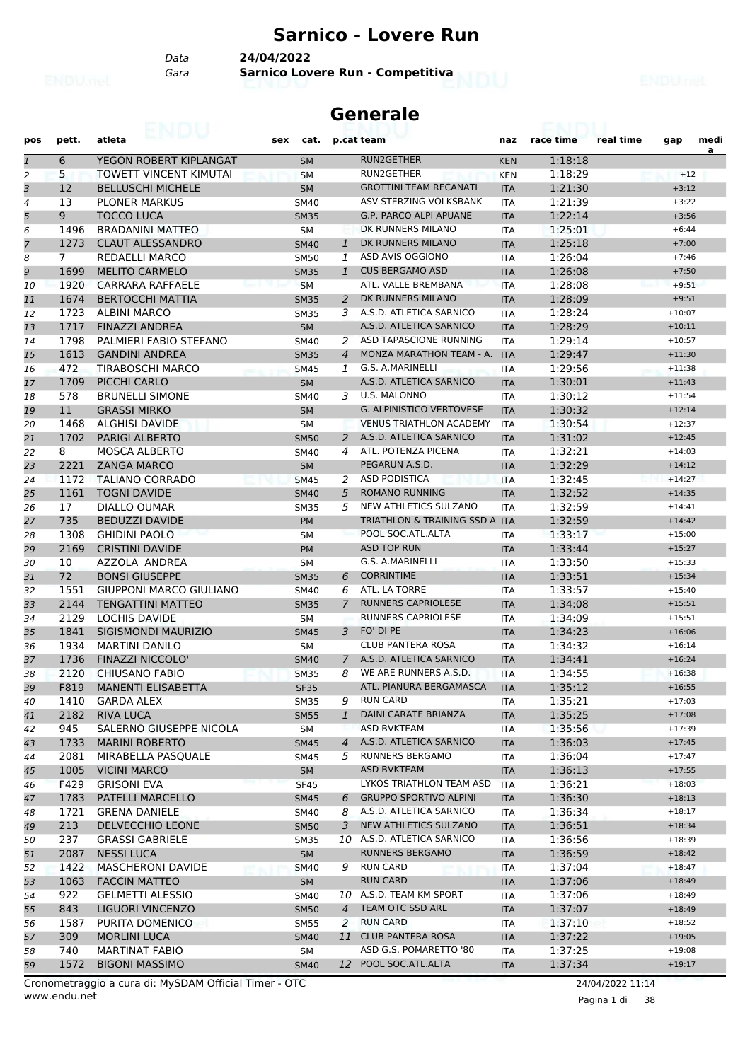#### **Sarnico - Lovere Run**

*Data* **24/04/2022**

*Gara* **Sarnico Lovere Run - Competitiva**

| <b>Generale</b> |             |                                               |             |                               |                                                |            |                    |           |                      |           |  |  |  |
|-----------------|-------------|-----------------------------------------------|-------------|-------------------------------|------------------------------------------------|------------|--------------------|-----------|----------------------|-----------|--|--|--|
| pos             | pett.       | atleta                                        | sex         | cat.                          | p.cat team                                     | naz        | race time          | real time | gap                  | medi<br>a |  |  |  |
| 1               | 6           | YEGON ROBERT KIPLANGAT                        |             | <b>SM</b>                     | <b>RUN2GETHER</b>                              | <b>KEN</b> | 1:18:18            |           |                      |           |  |  |  |
| 2               | 5.          | TOWETT VINCENT KIMUTAI                        |             | <b>SM</b>                     | RUN2GETHER                                     | <b>KEN</b> | 1:18:29            |           | $+12$                |           |  |  |  |
| 3               | 12          | <b>BELLUSCHI MICHELE</b>                      |             | <b>SM</b>                     | <b>GROTTINI TEAM RECANATI</b>                  | <b>ITA</b> | 1:21:30            |           | $+3:12$              |           |  |  |  |
| 4               | 13          | <b>PLONER MARKUS</b>                          | <b>SM40</b> |                               | ASV STERZING VOLKSBANK                         | <b>ITA</b> | 1:21:39            |           | $+3:22$              |           |  |  |  |
| 5               | 9           | <b>TOCCO LUCA</b>                             |             | <b>SM35</b>                   | <b>G.P. PARCO ALPI APUANE</b>                  | <b>ITA</b> | 1:22:14            |           | $+3:56$              |           |  |  |  |
| 6               | 1496        | <b>BRADANINI MATTEO</b>                       |             | <b>SM</b>                     | DK RUNNERS MILANO                              | ITA        | 1:25:01            |           | $+6:44$              |           |  |  |  |
| 7               | 1273        | <b>CLAUT ALESSANDRO</b>                       |             | <b>SM40</b><br>1              | DK RUNNERS MILANO                              | <b>ITA</b> | 1:25:18            |           | $+7:00$              |           |  |  |  |
| 8               | 7           | <b>REDAELLI MARCO</b>                         |             | <b>SM50</b><br>1              | ASD AVIS OGGIONO                               | <b>ITA</b> | 1:26:04            |           | $+7:46$              |           |  |  |  |
| 9               | 1699        | <b>MELITO CARMELO</b>                         |             | <b>SM35</b><br>$\mathbf{1}$   | <b>CUS BERGAMO ASD</b>                         | <b>ITA</b> | 1:26:08            |           | $+7:50$              |           |  |  |  |
| 10              | 1920        | CARRARA RAFFAELE                              | <b>SM</b>   |                               | ATL. VALLE BREMBANA                            | <b>ITA</b> | 1:28:08            |           | $+9:51$              |           |  |  |  |
| 11              | 1674        | <b>BERTOCCHI MATTIA</b>                       |             | 2<br><b>SM35</b>              | DK RUNNERS MILANO                              | <b>ITA</b> | 1:28:09            |           | $+9:51$              |           |  |  |  |
| 12              | 1723        | <b>ALBINI MARCO</b>                           |             | <b>SM35</b><br>3              | A.S.D. ATLETICA SARNICO                        | <b>ITA</b> | 1:28:24            |           | $+10:07$             |           |  |  |  |
| 13              | 1717        | <b>FINAZZI ANDREA</b>                         |             | <b>SM</b>                     | A.S.D. ATLETICA SARNICO                        | <b>ITA</b> | 1:28:29            |           | $+10:11$             |           |  |  |  |
| 14              | 1798        | PALMIERI FABIO STEFANO                        | <b>SM40</b> | 2                             | ASD TAPASCIONE RUNNING                         | <b>ITA</b> | 1:29:14            |           | $+10:57$             |           |  |  |  |
| 15              | 1613        | <b>GANDINI ANDREA</b>                         |             | <b>SM35</b><br>$\overline{4}$ | MONZA MARATHON TEAM - A.                       | <b>ITA</b> | 1:29:47            |           | $+11:30$             |           |  |  |  |
| 16              | 472         | TIRABOSCHI MARCO                              | <b>SM45</b> | 1                             | G.S. A.MARINELLI                               | ITA        | 1:29:56            |           | $+11:38$             |           |  |  |  |
| 17              | 1709        | PICCHI CARLO                                  |             | <b>SM</b>                     | A.S.D. ATLETICA SARNICO                        | <b>ITA</b> | 1:30:01            |           | $+11:43$             |           |  |  |  |
| 18              | 578         | <b>BRUNELLI SIMONE</b>                        |             | <b>SM40</b><br>3              | U.S. MALONNO                                   | <b>ITA</b> | 1:30:12            |           | $+11:54$             |           |  |  |  |
| 19              | 11          | <b>GRASSI MIRKO</b>                           |             | <b>SM</b>                     | <b>G. ALPINISTICO VERTOVESE</b>                | <b>ITA</b> | 1:30:32            |           | $+12:14$             |           |  |  |  |
| 20              | 1468        | <b>ALGHISI DAVIDE</b>                         | <b>SM</b>   |                               | <b>VENUS TRIATHLON ACADEMY</b>                 | <b>ITA</b> | 1:30:54            |           | $+12:37$             |           |  |  |  |
| 21              | 1702        | <b>PARIGI ALBERTO</b>                         |             | <b>SM50</b><br>2              | A.S.D. ATLETICA SARNICO                        | <b>ITA</b> | 1:31:02            |           | $+12:45$             |           |  |  |  |
| 22              | 8           | <b>MOSCA ALBERTO</b>                          |             | <b>SM40</b><br>4              | ATL. POTENZA PICENA                            | <b>ITA</b> | 1:32:21            |           | $+14:03$             |           |  |  |  |
| 23              | 2221        | <b>ZANGA MARCO</b>                            |             | <b>SM</b>                     | PEGARUN A.S.D.<br><b>ASD PODISTICA</b>         | <b>ITA</b> | 1:32:29            |           | $+14:12$             |           |  |  |  |
| 24              | 1172        | <b>TALIANO CORRADO</b>                        | <b>SM45</b> | 2                             |                                                | <b>ITA</b> | 1:32:45            |           | $+14:27$             |           |  |  |  |
| 25              | 1161        | <b>TOGNI DAVIDE</b>                           | <b>SM40</b> | 5                             | <b>ROMANO RUNNING</b><br>NEW ATHLETICS SULZANO | <b>ITA</b> | 1:32:52            |           | $+14:35$             |           |  |  |  |
| 26              | 17          | DIALLO OUMAR                                  |             | 5<br><b>SM35</b>              | TRIATHLON & TRAINING SSD A ITA                 | <b>ITA</b> | 1:32:59            |           | $+14:41$             |           |  |  |  |
| 27              | 735<br>1308 | <b>BEDUZZI DAVIDE</b><br><b>GHIDINI PAOLO</b> | <b>SM</b>   | <b>PM</b>                     | POOL SOC.ATL.ALTA                              | <b>ITA</b> | 1:32:59<br>1:33:17 |           | $+14:42$<br>$+15:00$ |           |  |  |  |
| 28              | 2169        | <b>CRISTINI DAVIDE</b>                        |             | <b>PM</b>                     | <b>ASD TOP RUN</b>                             | <b>ITA</b> | 1:33:44            |           | $+15:27$             |           |  |  |  |
| 29<br>30        | 10          | AZZOLA ANDREA                                 |             | <b>SM</b>                     | G.S. A.MARINELLI                               | ITA        | 1:33:50            |           | $+15:33$             |           |  |  |  |
| 31              | 72          | <b>BONSI GIUSEPPE</b>                         |             | <b>SM35</b><br>6              | <b>CORRINTIME</b>                              | <b>ITA</b> | 1:33:51            |           | $+15:34$             |           |  |  |  |
| 32              | 1551        | <b>GIUPPONI MARCO GIULIANO</b>                |             | <b>SM40</b><br>6              | ATL. LA TORRE                                  | <b>ITA</b> | 1:33:57            |           | $+15:40$             |           |  |  |  |
| 33              | 2144        | <b>TENGATTINI MATTEO</b>                      |             | <b>SM35</b><br>7              | <b>RUNNERS CAPRIOLESE</b>                      | <b>ITA</b> | 1:34:08            |           | $+15:51$             |           |  |  |  |
| 34              | 2129        | <b>LOCHIS DAVIDE</b>                          | SM          |                               | <b>RUNNERS CAPRIOLESE</b>                      | <b>ITA</b> | 1:34:09            |           | $+15:51$             |           |  |  |  |
| 35              | 1841        | SIGISMONDI MAURIZIO                           |             | 3<br><b>SM45</b>              | FO' DI PE                                      | <b>ITA</b> | 1:34:23            |           | $+16:06$             |           |  |  |  |
| 36              | 1934        | MARTINI DANILO                                |             | SМ                            | <b>CLUB PANTERA ROSA</b>                       | ITA        | 1:34:32            |           | $+16:14$             |           |  |  |  |
| 37              | 1736        | <b>FINAZZI NICCOLO'</b>                       |             | <b>SM40</b>                   | A.S.D. ATLETICA SARNICO<br>7                   | <b>ITA</b> | 1:34:41            |           | $+16:24$             |           |  |  |  |
| 38              | 2120        | <b>CHIUSANO FABIO</b>                         |             | <b>SM35</b><br>8              | WE ARE RUNNERS A.S.D.                          | <b>ITA</b> | 1:34:55            |           | $+16:38$             |           |  |  |  |
| 39              | F819        | <b>MANENTI ELISABETTA</b>                     |             | <b>SF35</b>                   | ATL. PIANURA BERGAMASCA                        | <b>ITA</b> | 1:35:12            |           | $+16:55$             |           |  |  |  |
| 40              | 1410        | <b>GARDA ALEX</b>                             |             | <b>SM35</b><br>9              | <b>RUN CARD</b>                                | ITA        | 1:35:21            |           | $+17:03$             |           |  |  |  |
| 41              | 2182        | <b>RIVA LUCA</b>                              |             | $\mathbf{1}$<br><b>SM55</b>   | DAINI CARATE BRIANZA                           | <b>ITA</b> | 1:35:25            |           | $+17:08$             |           |  |  |  |
| 42              | 945         | SALERNO GIUSEPPE NICOLA                       |             | SM                            | <b>ASD BVKTEAM</b>                             | ITA        | 1:35:56            |           | $+17:39$             |           |  |  |  |
| 43              | 1733        | <b>MARINI ROBERTO</b>                         |             | <b>SM45</b><br>$\overline{4}$ | A.S.D. ATLETICA SARNICO                        | <b>ITA</b> | 1:36:03            |           | $+17:45$             |           |  |  |  |
| 44              | 2081        | MIRABELLA PASQUALE                            |             | SM45<br>5                     | RUNNERS BERGAMO                                | ITA        | 1:36:04            |           | $+17:47$             |           |  |  |  |
| 45              | 1005        | <b>VICINI MARCO</b>                           |             | <b>SM</b>                     | ASD BVKTEAM                                    | <b>ITA</b> | 1:36:13            |           | $+17:55$             |           |  |  |  |
| 46              | F429        | <b>GRISONI EVA</b>                            |             | <b>SF45</b>                   | LYKOS TRIATHLON TEAM ASD                       | ITA        | 1:36:21            |           | $+18:03$             |           |  |  |  |
| 47              | 1783        | PATELLI MARCELLO                              |             | <b>SM45</b><br>6              | <b>GRUPPO SPORTIVO ALPINI</b>                  | <b>ITA</b> | 1:36:30            |           | $+18:13$             |           |  |  |  |
| 48              | 1721        | <b>GRENA DANIELE</b>                          |             | <b>SM40</b><br>8              | A.S.D. ATLETICA SARNICO                        | <b>ITA</b> | 1:36:34            |           | $+18:17$             |           |  |  |  |
| 49              | 213         | DELVECCHIO LEONE                              |             | <b>SM50</b><br>3              | NEW ATHLETICS SULZANO                          | <b>ITA</b> | 1:36:51            |           | $+18:34$             |           |  |  |  |
| 50              | 237         | <b>GRASSI GABRIELE</b>                        |             | <b>SM35</b>                   | 10 A.S.D. ATLETICA SARNICO                     | ITA        | 1:36:56            |           | $+18:39$             |           |  |  |  |
| 51              | 2087        | <b>NESSI LUCA</b>                             |             | <b>SM</b>                     | <b>RUNNERS BERGAMO</b>                         | <b>ITA</b> | 1:36:59            |           | $+18:42$             |           |  |  |  |
| 52              | 1422        | <b>MASCHERONI DAVIDE</b>                      |             | 9<br><b>SM40</b>              | <b>RUN CARD</b>                                | ITA        | 1:37:04            |           | $+18:47$             |           |  |  |  |
| 53              | 1063        | <b>FACCIN MATTEO</b>                          |             | <b>SM</b>                     | <b>RUN CARD</b>                                | <b>ITA</b> | 1:37:06            |           | $+18:49$             |           |  |  |  |
| 54              | 922         | <b>GELMETTI ALESSIO</b>                       |             | <b>SM40</b>                   | 10 A.S.D. TEAM KM SPORT                        | <b>ITA</b> | 1:37:06            |           | $+18:49$             |           |  |  |  |
| 55              | 843         | LIGUORI VINCENZO                              |             | $\overline{4}$<br><b>SM50</b> | TEAM OTC SSD ARL                               | <b>ITA</b> | 1:37:07            |           | $+18:49$             |           |  |  |  |
| 56              | 1587        | PURITA DOMENICO                               |             | <b>SM55</b><br>2              | <b>RUN CARD</b>                                | <b>ITA</b> | 1:37:10            |           | $+18:52$             |           |  |  |  |
| 57              | 309         | <b>MORLINI LUCA</b>                           |             | <b>SM40</b>                   | 11 CLUB PANTERA ROSA                           | <b>ITA</b> | 1:37:22            |           | $+19:05$             |           |  |  |  |
| 58              | 740         | <b>MARTINAT FABIO</b>                         |             | SM                            | ASD G.S. POMARETTO '80                         | ITA        | 1:37:25            |           | $+19:08$             |           |  |  |  |
| 59              | 1572        | <b>BIGONI MASSIMO</b>                         |             | <b>SM40</b>                   | 12 POOL SOC.ATL.ALTA                           | <b>ITA</b> | 1:37:34            |           | $+19:17$             |           |  |  |  |

www.endu.net Cronometraggio a cura di: MySDAM Official Timer - OTC 24/04/2022 11:14

Pagina 1 di 38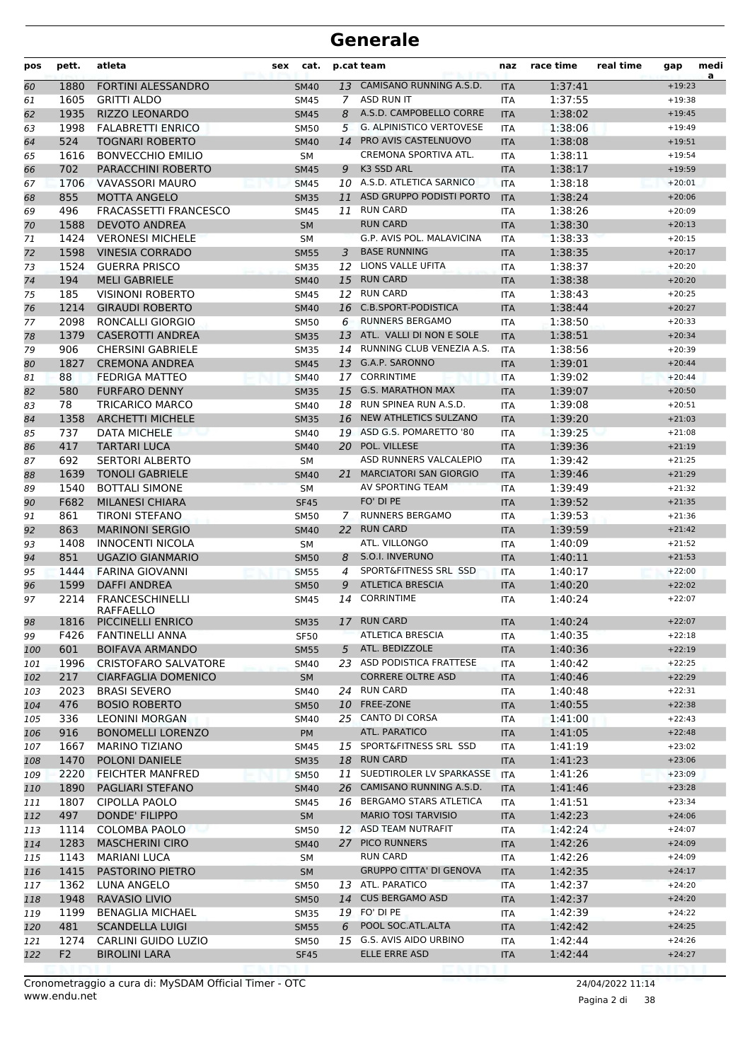| pos | pett.          | atleta                              | sex | cat.        |                | p.cat team                      | naz        | race time | real time | gap                  | medi<br>a |
|-----|----------------|-------------------------------------|-----|-------------|----------------|---------------------------------|------------|-----------|-----------|----------------------|-----------|
| 60  | 1880           | <b>FORTINI ALESSANDRO</b>           |     | <b>SM40</b> |                | 13 CAMISANO RUNNING A.S.D.      | <b>ITA</b> | 1:37:41   |           | $+19:23$             |           |
| 61  | 1605           | <b>GRITTI ALDO</b>                  |     | <b>SM45</b> | $\overline{7}$ | ASD RUN IT                      | <b>ITA</b> | 1:37:55   |           | $+19:38$             |           |
| 62  | 1935           | <b>RIZZO LEONARDO</b>               |     | <b>SM45</b> | 8              | A.S.D. CAMPOBELLO CORRE         | <b>ITA</b> | 1:38:02   |           | $+19:45$             |           |
| 63  | 1998           | <b>FALABRETTI ENRICO</b>            |     | <b>SM50</b> | 5              | <b>G. ALPINISTICO VERTOVESE</b> | <b>ITA</b> | 1:38:06   |           | $+19:49$             |           |
| 64  | 524            | <b>TOGNARI ROBERTO</b>              |     | <b>SM40</b> |                | 14 PRO AVIS CASTELNUOVO         | <b>ITA</b> | 1:38:08   |           | $+19:51$             |           |
| 65  | 1616           | <b>BONVECCHIO EMILIO</b>            |     | <b>SM</b>   |                | CREMONA SPORTIVA ATL.           | <b>ITA</b> | 1:38:11   |           | $+19:54$             |           |
| 66  | 702            | <b>PARACCHINI ROBERTO</b>           |     | <b>SM45</b> | 9              | K3 SSD ARL                      | <b>ITA</b> | 1:38:17   |           | $+19:59$             |           |
| 67  | 1706           | <b>VAVASSORI MAURO</b>              |     | <b>SM45</b> |                | 10 A.S.D. ATLETICA SARNICO      | <b>ITA</b> | 1:38:18   |           | $+20:01$             |           |
| 68  | 855            | <b>MOTTA ANGELO</b>                 |     | <b>SM35</b> | 11             | ASD GRUPPO PODISTI PORTO        | <b>ITA</b> | 1:38:24   |           | $+20:06$             |           |
| 69  | 496            | <b>FRACASSETTI FRANCESCO</b>        |     | <b>SM45</b> | 11             | <b>RUN CARD</b>                 | <b>ITA</b> | 1:38:26   |           | $+20:09$             |           |
| 70  | 1588           | <b>DEVOTO ANDREA</b>                |     | <b>SM</b>   |                | <b>RUN CARD</b>                 | <b>ITA</b> | 1:38:30   |           | $+20:13$             |           |
| 71  | 1424           | <b>VERONESI MICHELE</b>             |     | <b>SM</b>   |                | G.P. AVIS POL. MALAVICINA       | <b>ITA</b> | 1:38:33   |           | $+20:15$             |           |
| 72  | 1598           | <b>VINESIA CORRADO</b>              |     | <b>SM55</b> | 3              | <b>BASE RUNNING</b>             | <b>ITA</b> | 1:38:35   |           | $+20:17$             |           |
| 73  | 1524           | <b>GUERRA PRISCO</b>                |     | <b>SM35</b> | 12             | LIONS VALLE UFITA               | <b>ITA</b> | 1:38:37   |           | $+20:20$             |           |
| 74  | 194            | <b>MELI GABRIELE</b>                |     | <b>SM40</b> |                | 15 RUN CARD                     | <b>ITA</b> | 1:38:38   |           | $+20:20$             |           |
| 75  | 185            | <b>VISINONI ROBERTO</b>             |     | <b>SM45</b> | 12             | <b>RUN CARD</b>                 | <b>ITA</b> | 1:38:43   |           | $+20:25$             |           |
| 76  | 1214           | <b>GIRAUDI ROBERTO</b>              |     | <b>SM40</b> | 16             | C.B.SPORT-PODISTICA             | <b>ITA</b> | 1:38:44   |           | $+20:27$             |           |
| 77  | 2098           | RONCALLI GIORGIO                    |     | <b>SM50</b> | 6              | <b>RUNNERS BERGAMO</b>          | ITA        | 1:38:50   |           | $+20:33$             |           |
| 78  | 1379           | <b>CASEROTTI ANDREA</b>             |     | <b>SM35</b> |                | 13 ATL. VALLI DI NON E SOLE     | <b>ITA</b> | 1:38:51   |           | $+20:34$             |           |
| 79  | 906            | <b>CHERSINI GABRIELE</b>            |     | <b>SM35</b> | 14             | RUNNING CLUB VENEZIA A.S.       | <b>ITA</b> | 1:38:56   |           | $+20:39$             |           |
|     | 1827           | <b>CREMONA ANDREA</b>               |     |             |                | 13 G.A.P. SARONNO               |            | 1:39:01   |           | $+20:44$             |           |
| 80  | 88             | <b>FEDRIGA MATTEO</b>               |     | <b>SM45</b> | 17             | <b>CORRINTIME</b>               | <b>ITA</b> | 1:39:02   |           | $+20:44$             |           |
| 81  | 580            | <b>FURFARO DENNY</b>                |     | <b>SM40</b> |                | 15 G.S. MARATHON MAX            | <b>ITA</b> |           |           |                      |           |
| 82  |                |                                     |     | <b>SM35</b> |                | 18 RUN SPINEA RUN A.S.D.        | <b>ITA</b> | 1:39:07   |           | $+20:50$             |           |
| 83  | 78             | TRICARICO MARCO                     |     | SM40        |                |                                 | <b>ITA</b> | 1:39:08   |           | $+20:51$             |           |
| 84  | 1358           | <b>ARCHETTI MICHELE</b>             |     | <b>SM35</b> |                | 16 NEW ATHLETICS SULZANO        | <b>ITA</b> | 1:39:20   |           | $+21:03$             |           |
| 85  | 737            | DATA MICHELE                        |     | <b>SM40</b> |                | 19 ASD G.S. POMARETTO '80       | ITA        | 1:39:25   |           | $+21:08$             |           |
| 86  | 417            | TARTARI LUCA                        |     | <b>SM40</b> |                | 20 POL. VILLESE                 | <b>ITA</b> | 1:39:36   |           | $+21:19$             |           |
| 87  | 692            | <b>SERTORI ALBERTO</b>              |     | <b>SM</b>   |                | ASD RUNNERS VALCALEPIO          | <b>ITA</b> | 1:39:42   |           | $+21:25$             |           |
| 88  | 1639           | <b>TONOLI GABRIELE</b>              |     | <b>SM40</b> |                | 21 MARCIATORI SAN GIORGIO       | <b>ITA</b> | 1:39:46   |           | $+21:29$             |           |
| 89  | 1540           | <b>BOTTALI SIMONE</b>               |     | <b>SM</b>   |                | AV SPORTING TEAM                | <b>ITA</b> | 1:39:49   |           | $+21:32$             |           |
| 90  | F682           | <b>MILANESI CHIARA</b>              |     | <b>SF45</b> |                | FO' DI PE                       | <b>ITA</b> | 1:39:52   |           | $+21:35$             |           |
| 91  | 861            | <b>TIRONI STEFANO</b>               |     | <b>SM50</b> | $\mathcal{I}$  | <b>RUNNERS BERGAMO</b>          | ITA        | 1:39:53   |           | $+21:36$             |           |
| 92  | 863            | <b>MARINONI SERGIO</b>              |     | <b>SM40</b> | 22             | <b>RUN CARD</b>                 | <b>ITA</b> | 1:39:59   |           | $+21:42$             |           |
| 93  | 1408           | <b>INNOCENTI NICOLA</b>             |     | <b>SM</b>   |                | ATL. VILLONGO                   | <b>ITA</b> | 1:40:09   |           | $+21:52$             |           |
| 94  | 851            | <b>UGAZIO GIANMARIO</b>             |     | <b>SM50</b> | 8              | S.O.I. INVERUNO                 | <b>ITA</b> | 1:40:11   |           | $+21:53$             |           |
| 95  | 1444           | <b>FARINA GIOVANNI</b>              |     | <b>SM55</b> | 4              | SPORT&FITNESS SRL SSD           | <b>ITA</b> | 1:40:17   |           | $+22:00$             |           |
| 96  | 1599           | <b>DAFFI ANDREA</b>                 |     | <b>SM50</b> | 9              | <b>ATLETICA BRESCIA</b>         | <b>ITA</b> | 1:40:20   |           | $+22:02$             |           |
| 97  | 2214           | <b>FRANCESCHINELLI</b>              |     | <b>SM45</b> | 14             | <b>CORRINTIME</b>               | ITA        | 1:40:24   |           | $+22:07$             |           |
| 98  |                | RAFFAELLO<br>1816 PICCINELLI ENRICO |     | <b>SM35</b> |                | 17 RUN CARD                     | <b>ITA</b> | 1:40:24   |           | $+22:07$             |           |
| 99  | F426           | <b>FANTINELLI ANNA</b>              |     | <b>SF50</b> |                | <b>ATLETICA BRESCIA</b>         | <b>ITA</b> | 1:40:35   |           | $+22:18$             |           |
| 100 | 601            | <b>BOIFAVA ARMANDO</b>              |     | <b>SM55</b> |                | 5 ATL. BEDIZZOLE                | <b>ITA</b> | 1:40:36   |           | $+22:19$             |           |
| 101 | 1996           | <b>CRISTOFARO SALVATORE</b>         |     | SM40        |                | 23 ASD PODISTICA FRATTESE       | <b>ITA</b> | 1:40:42   |           | $+22:25$             |           |
| 102 | 217            | <b>CIARFAGLIA DOMENICO</b>          |     | <b>SM</b>   |                | <b>CORRERE OLTRE ASD</b>        | <b>ITA</b> | 1:40:46   |           | $+22:29$             |           |
| 103 | 2023           | <b>BRASI SEVERO</b>                 |     | SM40        |                | 24 RUN CARD                     | ITA        | 1:40:48   |           | $+22:31$             |           |
| 104 | 476            | <b>BOSIO ROBERTO</b>                |     | <b>SM50</b> |                | 10 FREE-ZONE                    | <b>ITA</b> | 1:40:55   |           | $+22:38$             |           |
| 105 | 336            | <b>LEONINI MORGAN</b>               |     | SM40        |                | 25 CANTO DI CORSA               | ITA        | 1:41:00   |           | $+22:43$             |           |
| 106 | 916            | <b>BONOMELLI LORENZO</b>            |     | PM          |                | ATL. PARATICO                   | <b>ITA</b> | 1:41:05   |           | $+22:48$             |           |
| 107 | 1667           | <b>MARINO TIZIANO</b>               |     | SM45        |                | 15 SPORT&FITNESS SRL SSD        | ITA        | 1:41:19   |           | $+23:02$             |           |
| 108 | 1470           | POLONI DANIELE                      |     | <b>SM35</b> |                | 18 RUN CARD                     | <b>ITA</b> | 1:41:23   |           | $+23:06$             |           |
|     | 2220           | <b>FEICHTER MANFRED</b>             |     |             |                | 11 SUEDTIROLER LV SPARKASSE     | <b>ITA</b> | 1:41:26   |           | $+23:09$             |           |
| 109 |                |                                     |     | <b>SM50</b> |                | 26 CAMISANO RUNNING A.S.D.      |            |           |           |                      |           |
| 110 | 1890           | PAGLIARI STEFANO                    |     | <b>SM40</b> |                | 16 BERGAMO STARS ATLETICA       | <b>ITA</b> | 1:41:46   |           | $+23:28$<br>$+23:34$ |           |
| 111 | 1807           | CIPOLLA PAOLO                       |     | SM45        |                |                                 | ITA        | 1:41:51   |           |                      |           |
| 112 | 497            | DONDE' FILIPPO                      |     | <b>SM</b>   |                | <b>MARIO TOSI TARVISIO</b>      | <b>ITA</b> | 1:42:23   |           | $+24:06$             |           |
| 113 | 1114           | COLOMBA PAOLO                       |     | <b>SM50</b> |                | 12 ASD TEAM NUTRAFIT            | ITA        | 1:42:24   |           | $+24:07$             |           |
| 114 | 1283           | <b>MASCHERINI CIRO</b>              |     | <b>SM40</b> |                | 27 PICO RUNNERS                 | <b>ITA</b> | 1:42:26   |           | $+24:09$             |           |
| 115 | 1143           | <b>MARIANI LUCA</b>                 |     | SM          |                | <b>RUN CARD</b>                 | ITA        | 1:42:26   |           | $+24:09$             |           |
| 116 | 1415           | PASTORINO PIETRO                    |     | SM          |                | <b>GRUPPO CITTA' DI GENOVA</b>  | <b>ITA</b> | 1:42:35   |           | $+24:17$             |           |
| 117 | 1362           | LUNA ANGELO                         |     | <b>SM50</b> |                | 13 ATL. PARATICO                | <b>ITA</b> | 1:42:37   |           | $+24:20$             |           |
| 118 | 1948           | RAVASIO LIVIO                       |     | <b>SM50</b> |                | 14 CUS BERGAMO ASD              | <b>ITA</b> | 1:42:37   |           | $+24:20$             |           |
| 119 | 1199           | <b>BENAGLIA MICHAEL</b>             |     | <b>SM35</b> |                | 19 FO' DI PE                    | <b>ITA</b> | 1:42:39   |           | $+24:22$             |           |
| 120 | 481            | <b>SCANDELLA LUIGI</b>              |     | <b>SM55</b> | 6              | POOL SOC.ATL.ALTA               | <b>ITA</b> | 1:42:42   |           | $+24:25$             |           |
| 121 | 1274           | CARLINI GUIDO LUZIO                 |     | <b>SM50</b> |                | 15 G.S. AVIS AIDO URBINO        | ITA        | 1:42:44   |           | $+24:26$             |           |
| 122 | F <sub>2</sub> | <b>BIROLINI LARA</b>                |     | <b>SF45</b> |                | ELLE ERRE ASD                   | <b>ITA</b> | 1:42:44   |           | $+24:27$             |           |
|     |                |                                     |     |             |                |                                 |            |           |           |                      |           |

Pagina 2 di 38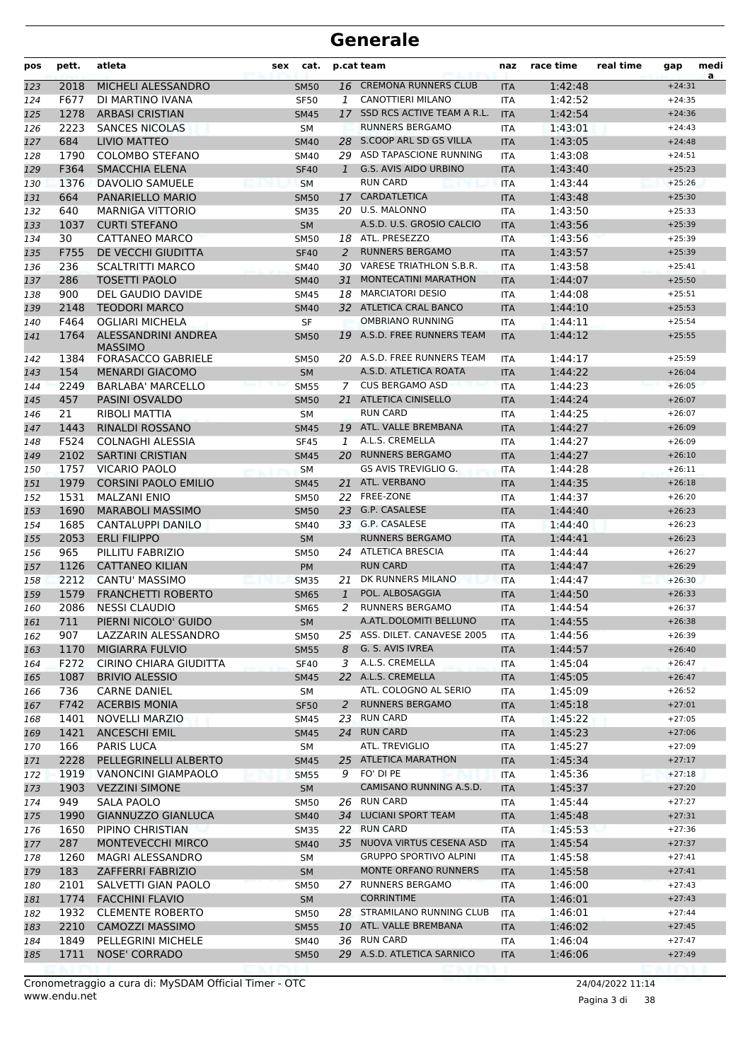| pos | pett.   | atleta                      | sex | cat.        |              | p.cat team                    | naz        | race time | real time | gap      | medi<br>a |
|-----|---------|-----------------------------|-----|-------------|--------------|-------------------------------|------------|-----------|-----------|----------|-----------|
| 123 | 2018    | MICHELI ALESSANDRO          |     | <b>SM50</b> |              | 16 CREMONA RUNNERS CLUB       | <b>ITA</b> | 1:42:48   |           | $+24:31$ |           |
| 124 | F677    | DI MARTINO IVANA            |     | <b>SF50</b> | 1            | <b>CANOTTIERI MILANO</b>      | <b>ITA</b> | 1:42:52   |           | $+24:35$ |           |
| 125 | 1278    | <b>ARBASI CRISTIAN</b>      |     | <b>SM45</b> | 17           | SSD RCS ACTIVE TEAM A R.L.    | <b>ITA</b> | 1:42:54   |           | $+24:36$ |           |
| 126 | 2223    | <b>SANCES NICOLAS</b>       |     | <b>SM</b>   |              | <b>RUNNERS BERGAMO</b>        | <b>ITA</b> | 1:43:01   |           | $+24:43$ |           |
| 127 | 684     | <b>LIVIO MATTEO</b>         |     | <b>SM40</b> |              | 28 S.COOP ARL SD GS VILLA     | <b>ITA</b> | 1:43:05   |           | $+24:48$ |           |
| 128 | 1790    | <b>COLOMBO STEFANO</b>      |     | <b>SM40</b> |              | 29 ASD TAPASCIONE RUNNING     | <b>ITA</b> | 1:43:08   |           | $+24:51$ |           |
| 129 | F364    | <b>SMACCHIA ELENA</b>       |     | <b>SF40</b> | 1            | <b>G.S. AVIS AIDO URBINO</b>  | <b>ITA</b> | 1:43:40   |           | $+25:23$ |           |
| 130 | 1376    | <b>DAVOLIO SAMUELE</b>      |     | <b>SM</b>   |              | <b>RUN CARD</b>               | <b>ITA</b> | 1:43:44   |           | $+25:26$ |           |
| 131 | 664     | PANARIELLO MARIO            |     | <b>SM50</b> | 17           | CARDATLETICA                  | <b>ITA</b> | 1:43:48   |           | $+25:30$ |           |
| 132 | 640     | <b>MARNIGA VITTORIO</b>     |     | <b>SM35</b> | 20           | <b>U.S. MALONNO</b>           | <b>ITA</b> | 1:43:50   |           | $+25:33$ |           |
| 133 | 1037    | <b>CURTI STEFANO</b>        |     | <b>SM</b>   |              | A.S.D. U.S. GROSIO CALCIO     | <b>ITA</b> | 1:43:56   |           | $+25:39$ |           |
| 134 | 30      | CATTANEO MARCO              |     | <b>SM50</b> |              | 18 ATL. PRESEZZO              | <b>ITA</b> | 1:43:56   |           | $+25:39$ |           |
| 135 | F755    | DE VECCHI GIUDITTA          |     | <b>SF40</b> | 2            | <b>RUNNERS BERGAMO</b>        | <b>ITA</b> | 1:43:57   |           | $+25:39$ |           |
| 136 | 236     | <b>SCALTRITTI MARCO</b>     |     | SM40        |              | 30 VARESE TRIATHLON S.B.R.    | <b>ITA</b> | 1:43:58   |           | $+25:41$ |           |
| 137 | 286     | <b>TOSETTI PAOLO</b>        |     | <b>SM40</b> | 31           | <b>MONTECATINI MARATHON</b>   | <b>ITA</b> | 1:44:07   |           | $+25:50$ |           |
| 138 | 900     | <b>DEL GAUDIO DAVIDE</b>    |     | <b>SM45</b> | 18           | <b>MARCIATORI DESIO</b>       | <b>ITA</b> | 1:44:08   |           | $+25:51$ |           |
| 139 | 2148    | <b>TEODORI MARCO</b>        |     | <b>SM40</b> |              | 32 ATLETICA CRAL BANCO        | <b>ITA</b> | 1:44:10   |           | $+25:53$ |           |
| 140 | F464    | <b>OGLIARI MICHELA</b>      |     | <b>SF</b>   |              | OMBRIANO RUNNING              | <b>ITA</b> | 1:44:11   |           | $+25:54$ |           |
| 141 | 1764    | ALESSANDRINI ANDREA         |     | <b>SM50</b> |              | 19 A.S.D. FREE RUNNERS TEAM   | <b>ITA</b> | 1:44:12   |           | $+25:55$ |           |
|     |         | <b>MASSIMO</b>              |     |             |              | 20 A.S.D. FREE RUNNERS TEAM   |            |           |           |          |           |
| 142 | 1384    | <b>FORASACCO GABRIELE</b>   |     | <b>SM50</b> |              |                               | <b>ITA</b> | 1:44:17   |           | $+25:59$ |           |
| 143 | 154     | <b>MENARDI GIACOMO</b>      |     | <b>SM</b>   |              | A.S.D. ATLETICA ROATA         | <b>ITA</b> | 1:44:22   |           | $+26:04$ |           |
| 144 | 2249    | <b>BARLABA' MARCELLO</b>    |     | <b>SM55</b> | 7            | <b>CUS BERGAMO ASD</b>        | <b>ITA</b> | 1:44:23   |           | $+26:05$ |           |
| 145 | 457     | PASINI OSVALDO              |     | <b>SM50</b> | 21           | <b>ATLETICA CINISELLO</b>     | <b>ITA</b> | 1:44:24   |           | $+26:07$ |           |
| 146 | 21      | <b>RIBOLI MATTIA</b>        |     | SM          |              | <b>RUN CARD</b>               | <b>ITA</b> | 1:44:25   |           | $+26:07$ |           |
| 147 | 1443    | <b>RINALDI ROSSANO</b>      |     | <b>SM45</b> |              | 19 ATL. VALLE BREMBANA        | <b>ITA</b> | 1:44:27   |           | $+26:09$ |           |
| 148 | F524    | <b>COLNAGHI ALESSIA</b>     |     | <b>SF45</b> | $\mathbf{1}$ | A.L.S. CREMELLA               | <b>ITA</b> | 1:44:27   |           | $+26:09$ |           |
| 149 | 2102    | <b>SARTINI CRISTIAN</b>     |     | <b>SM45</b> |              | 20 RUNNERS BERGAMO            | <b>ITA</b> | 1:44:27   |           | $+26:10$ |           |
| 150 | 1757    | <b>VICARIO PAOLO</b>        |     | <b>SM</b>   |              | GS AVIS TREVIGLIO G.          | <b>ITA</b> | 1:44:28   |           | $+26:11$ |           |
| 151 | 1979    | <b>CORSINI PAOLO EMILIO</b> |     | <b>SM45</b> | 21           | ATL. VERBANO                  | <b>ITA</b> | 1:44:35   |           | $+26:18$ |           |
| 152 | 1531    | <b>MALZANI ENIO</b>         |     | <b>SM50</b> |              | 22 FREE-ZONE                  | ITA        | 1:44:37   |           | $+26:20$ |           |
| 153 | 1690    | <b>MARABOLI MASSIMO</b>     |     | <b>SM50</b> | 23           | G.P. CASALESE                 | <b>ITA</b> | 1:44:40   |           | $+26:23$ |           |
| 154 | 1685    | <b>CANTALUPPI DANILO</b>    |     | <b>SM40</b> |              | 33 G.P. CASALESE              | <b>ITA</b> | 1:44:40   |           | $+26:23$ |           |
| 155 | 2053    | <b>ERLI FILIPPO</b>         |     | <b>SM</b>   |              | <b>RUNNERS BERGAMO</b>        | <b>ITA</b> | 1:44:41   |           | $+26:23$ |           |
| 156 | 965     | PILLITU FABRIZIO            |     | <b>SM50</b> |              | 24 ATLETICA BRESCIA           | <b>ITA</b> | 1:44:44   |           | $+26:27$ |           |
| 157 | 1126    | <b>CATTANEO KILIAN</b>      |     | PM          |              | <b>RUN CARD</b>               | <b>ITA</b> | 1:44:47   |           | $+26:29$ |           |
| 158 | 2212    | CANTU' MASSIMO              |     | <b>SM35</b> | 21           | DK RUNNERS MILANO             | <b>ITA</b> | 1:44:47   |           | $+26:30$ |           |
| 159 | 1579    | <b>FRANCHETTI ROBERTO</b>   |     | <b>SM65</b> | 1            | POL. ALBOSAGGIA               | <b>ITA</b> | 1:44:50   |           | $+26:33$ |           |
| 160 | 2086    | <b>NESSI CLAUDIO</b>        |     | <b>SM65</b> | 2            | <b>RUNNERS BERGAMO</b>        | <b>ITA</b> | 1:44:54   |           | $+26:37$ |           |
| 161 | $711\,$ | PIERNI NICOLO' GUIDO        |     | ${\sf SM}$  |              | A.ATL.DOLOMITI BELLUNO        | <b>ITA</b> | 1:44:55   |           | $+26:38$ |           |
| 162 | 907     | LAZZARIN ALESSANDRO         |     | <b>SM50</b> |              | 25 ASS. DILET. CANAVESE 2005  | <b>ITA</b> | 1:44:56   |           | $+26:39$ |           |
| 163 | 1170    | MIGIARRA FULVIO             |     | <b>SM55</b> | 8            | G. S. AVIS IVREA              | <b>ITA</b> | 1:44:57   |           | $+26:40$ |           |
| 164 | F272    | CIRINO CHIARA GIUDITTA      |     | <b>SF40</b> | 3            | A.L.S. CREMELLA               | <b>ITA</b> | 1:45:04   |           | $+26:47$ |           |
| 165 | 1087    | <b>BRIVIO ALESSIO</b>       |     | <b>SM45</b> |              | 22 A.L.S. CREMELLA            | <b>ITA</b> | 1:45:05   |           | $+26:47$ |           |
| 166 | 736     | <b>CARNE DANIEL</b>         |     | SM          |              | ATL. COLOGNO AL SERIO         | <b>ITA</b> | 1:45:09   |           | $+26:52$ |           |
| 167 | F742    | <b>ACERBIS MONIA</b>        |     | <b>SF50</b> | 2            | <b>RUNNERS BERGAMO</b>        | <b>ITA</b> | 1:45:18   |           | $+27:01$ |           |
| 168 | 1401    | <b>NOVELLI MARZIO</b>       |     | SM45        |              | 23 RUN CARD                   | ITA        | 1:45:22   |           | $+27:05$ |           |
| 169 | 1421    | <b>ANCESCHI EMIL</b>        |     | <b>SM45</b> |              | 24 RUN CARD                   | <b>ITA</b> | 1:45:23   |           | $+27:06$ |           |
| 170 | 166     | PARIS LUCA                  |     | SM          |              | ATL. TREVIGLIO                | <b>ITA</b> | 1:45:27   |           | $+27:09$ |           |
| 171 | 2228    | PELLEGRINELLI ALBERTO       |     | <b>SM45</b> |              | 25 ATLETICA MARATHON          | <b>ITA</b> | 1:45:34   |           | $+27:17$ |           |
| 172 | 1919    | VANONCINI GIAMPAOLO         |     | <b>SM55</b> |              | 9 FO' DI PE                   | ITA        | 1:45:36   |           | $+27:18$ |           |
| 173 | 1903    | <b>VEZZINI SIMONE</b>       |     | SM          |              | CAMISANO RUNNING A.S.D.       | <b>ITA</b> | 1:45:37   |           | $+27:20$ |           |
| 174 | 949     | SALA PAOLO                  |     | <b>SM50</b> |              | 26 RUN CARD                   | ITA        | 1:45:44   |           | $+27:27$ |           |
| 175 | 1990    | <b>GIANNUZZO GIANLUCA</b>   |     | <b>SM40</b> |              | 34 LUCIANI SPORT TEAM         | <b>ITA</b> | 1:45:48   |           | $+27:31$ |           |
| 176 | 1650    | PIPINO CHRISTIAN            |     | <b>SM35</b> |              | 22 RUN CARD                   | ITA        | 1:45:53   |           | $+27:36$ |           |
| 177 | 287     | <b>MONTEVECCHI MIRCO</b>    |     | <b>SM40</b> |              | 35 NUOVA VIRTUS CESENA ASD    | <b>ITA</b> | 1:45:54   |           | $+27:37$ |           |
| 178 | 1260    | MAGRI ALESSANDRO            |     | SM          |              | <b>GRUPPO SPORTIVO ALPINI</b> | ITA        | 1:45:58   |           | $+27:41$ |           |
| 179 | 183     | ZAFFERRI FABRIZIO           |     | <b>SM</b>   |              | MONTE ORFANO RUNNERS          | <b>ITA</b> | 1:45:58   |           | $+27:41$ |           |
| 180 | 2101    | SALVETTI GIAN PAOLO         |     | <b>SM50</b> |              | 27 RUNNERS BERGAMO            | ITA        | 1:46:00   |           | $+27:43$ |           |
| 181 | 1774    | <b>FACCHINI FLAVIO</b>      |     | <b>SM</b>   |              | <b>CORRINTIME</b>             | <b>ITA</b> | 1:46:01   |           | $+27:43$ |           |
| 182 | 1932    | <b>CLEMENTE ROBERTO</b>     |     | <b>SM50</b> |              | 28 STRAMILANO RUNNING CLUB    | <b>ITA</b> | 1:46:01   |           | $+27:44$ |           |
| 183 | 2210    | <b>CAMOZZI MASSIMO</b>      |     | <b>SM55</b> |              | 10 ATL. VALLE BREMBANA        | <b>ITA</b> | 1:46:02   |           | $+27:45$ |           |
| 184 | 1849    | PELLEGRINI MICHELE          |     | SM40        |              | 36 RUN CARD                   | ITA        | 1:46:04   |           | $+27:47$ |           |
| 185 | 1711    | <b>NOSE' CORRADO</b>        |     | <b>SM50</b> |              | 29 A.S.D. ATLETICA SARNICO    | <b>ITA</b> | 1:46:06   |           | $+27:49$ |           |
|     |         |                             |     |             |              |                               |            |           |           |          |           |

Pagina 3 di 38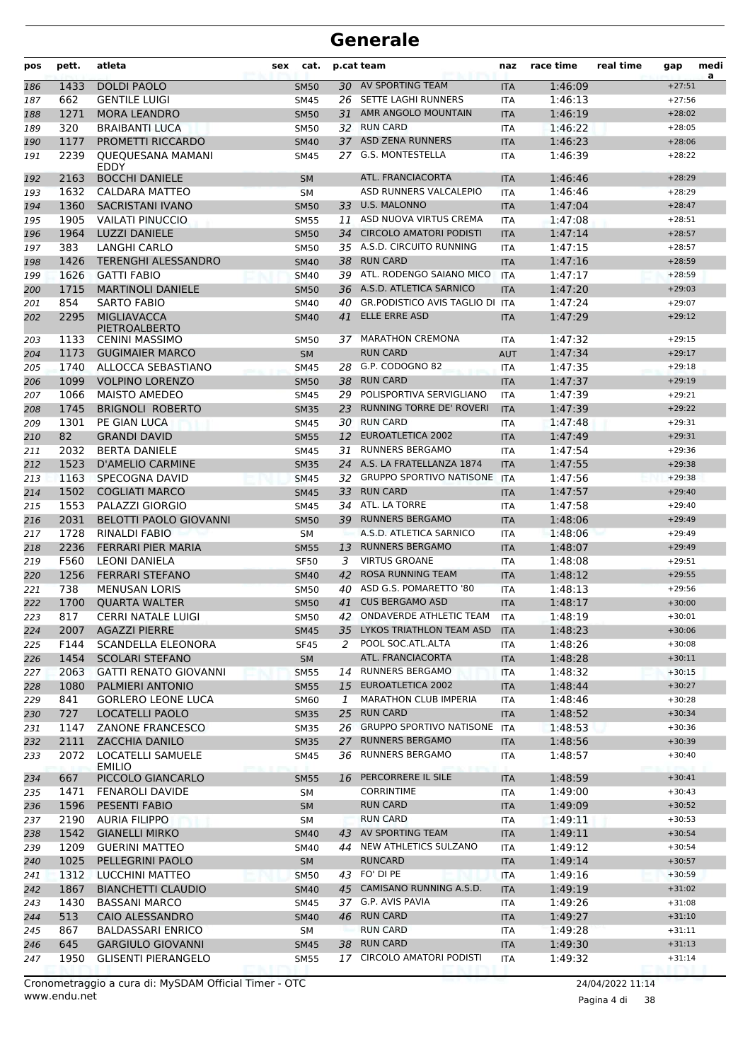| pos | pett.      | atleta                                               | sex | cat.              |               | p.cat team                              | naz               | race time          | real time | gap                  | medi<br>a |
|-----|------------|------------------------------------------------------|-----|-------------------|---------------|-----------------------------------------|-------------------|--------------------|-----------|----------------------|-----------|
| 186 | 1433       | <b>DOLDI PAOLO</b>                                   |     | <b>SM50</b>       |               | 30 AV SPORTING TEAM                     | <b>ITA</b>        | 1:46:09            |           | $+27:51$             |           |
| 187 | 662        | <b>GENTILE LUIGI</b>                                 |     | <b>SM45</b>       |               | 26 SETTE LAGHI RUNNERS                  | <b>ITA</b>        | 1:46:13            |           | $+27:56$             |           |
| 188 | 1271       | <b>MORA LEANDRO</b>                                  |     | <b>SM50</b>       |               | 31 AMR ANGOLO MOUNTAIN                  | <b>ITA</b>        | 1:46:19            |           | $+28:02$             |           |
| 189 | 320        | <b>BRAIBANTI LUCA</b>                                |     | <b>SM50</b>       | 32            | <b>RUN CARD</b>                         | <b>ITA</b>        | 1:46:22            |           | $+28:05$             |           |
| 190 | 1177       | <b>PROMETTI RICCARDO</b>                             |     | <b>SM40</b>       | 37            | <b>ASD ZENA RUNNERS</b>                 | <b>ITA</b>        | 1:46:23            |           | $+28:06$             |           |
| 191 | 2239       | QUEQUESANA MAMANI<br><b>EDDY</b>                     |     | <b>SM45</b>       |               | 27 G.S. MONTESTELLA                     | <b>ITA</b>        | 1:46:39            |           | $+28:22$             |           |
| 192 | 2163       | <b>BOCCHI DANIELE</b>                                |     | <b>SM</b>         |               | ATL. FRANCIACORTA                       | <b>ITA</b>        | 1:46:46            |           | $+28:29$             |           |
| 193 | 1632       | CALDARA MATTEO                                       |     | <b>SM</b>         |               | ASD RUNNERS VALCALEPIO                  | <b>ITA</b>        | 1:46:46            |           | $+28:29$             |           |
| 194 | 1360       | <b>SACRISTANI IVANO</b>                              |     | <b>SM50</b>       | 33            | <b>U.S. MALONNO</b>                     | <b>ITA</b>        | 1:47:04            |           | $+28:47$             |           |
| 195 | 1905       | <b>VAILATI PINUCCIO</b>                              |     | <b>SM55</b>       | 11            | ASD NUOVA VIRTUS CREMA                  | <b>ITA</b>        | 1:47:08            |           | $+28:51$             |           |
| 196 | 1964       | <b>LUZZI DANIELE</b>                                 |     | <b>SM50</b>       | 34            | <b>CIRCOLO AMATORI PODISTI</b>          | <b>ITA</b>        | 1:47:14            |           | $+28:57$             |           |
| 197 | 383        | LANGHI CARLO                                         |     | <b>SM50</b>       |               | 35 A.S.D. CIRCUITO RUNNING              | <b>ITA</b>        | 1:47:15            |           | $+28:57$             |           |
| 198 | 1426       | <b>TERENGHI ALESSANDRO</b>                           |     | <b>SM40</b>       |               | 38 RUN CARD                             | <b>ITA</b>        | 1:47:16            |           | $+28:59$             |           |
| 199 | 1626       | <b>GATTI FABIO</b>                                   |     | <b>SM40</b>       |               | 39 ATL. RODENGO SAIANO MICO             | <b>ITA</b>        | 1:47:17            |           | $+28:59$             |           |
| 200 | 1715       | <b>MARTINOLI DANIELE</b>                             |     | <b>SM50</b>       |               | 36 A.S.D. ATLETICA SARNICO              | <b>ITA</b>        | 1:47:20            |           | $+29:03$             |           |
| 201 | 854        | <b>SARTO FABIO</b>                                   |     | <b>SM40</b>       | 40            | <b>GR.PODISTICO AVIS TAGLIO DI</b>      | <b>ITA</b>        | 1:47:24            |           | $+29:07$             |           |
| 202 | 2295       | <b>MIGLIAVACCA</b><br><b>PIETROALBERTO</b>           |     | <b>SM40</b>       | 41            | ELLE ERRE ASD                           | <b>ITA</b>        | 1:47:29            |           | $+29:12$             |           |
| 203 | 1133       | CENINI MASSIMO                                       |     | <b>SM50</b>       | 37            | <b>MARATHON CREMONA</b>                 | <b>ITA</b>        | 1:47:32            |           | $+29:15$             |           |
| 204 | 1173       | <b>GUGIMAIER MARCO</b>                               |     | <b>SM</b>         |               | <b>RUN CARD</b>                         | <b>AUT</b>        | 1:47:34            |           | $+29:17$             |           |
| 205 | 1740       | ALLOCCA SEBASTIANO                                   |     | <b>SM45</b>       |               | 28 G.P. CODOGNO 82                      | <b>ITA</b>        | 1:47:35            |           | $+29:18$             |           |
| 206 | 1099       | <b>VOLPINO LORENZO</b>                               |     | <b>SM50</b>       | 38            | <b>RUN CARD</b>                         | <b>ITA</b>        | 1:47:37            |           | $+29:19$             |           |
| 207 | 1066       | <b>MAISTO AMEDEO</b>                                 |     | <b>SM45</b>       |               | 29 POLISPORTIVA SERVIGLIANO             | ITA               | 1:47:39            |           | $+29:21$             |           |
| 208 | 1745       | <b>BRIGNOLI ROBERTO</b>                              |     | <b>SM35</b>       | 23            | <b>RUNNING TORRE DE' ROVERI</b>         | <b>ITA</b>        | 1:47:39            |           | $+29:22$             |           |
| 209 | 1301       | PE GIAN LUCA                                         |     | <b>SM45</b>       | 30            | <b>RUN CARD</b>                         | ITA               | 1:47:48            |           | $+29:31$             |           |
| 210 | 82         | <b>GRANDI DAVID</b>                                  |     | <b>SM55</b>       | <sup>12</sup> | <b>EUROATLETICA 2002</b>                | <b>ITA</b>        | 1:47:49            |           | $+29:31$             |           |
| 211 | 2032       | <b>BERTA DANIELE</b>                                 |     | <b>SM45</b>       | 31            | <b>RUNNERS BERGAMO</b>                  | <b>ITA</b>        | 1:47:54            |           | $+29:36$             |           |
| 212 | 1523       | <b>D'AMELIO CARMINE</b>                              |     | <b>SM35</b>       |               | 24 A.S. LA FRATELLANZA 1874             | <b>ITA</b>        | 1:47:55            |           | $+29:38$             |           |
| 213 | 1163       | SPECOGNA DAVID                                       |     | <b>SM45</b>       |               | 32 GRUPPO SPORTIVO NATISONE ITA         |                   | 1:47:56            |           | $+29:38$             |           |
| 214 | 1502       | <b>COGLIATI MARCO</b>                                |     | <b>SM45</b>       | 33            | <b>RUN CARD</b>                         | <b>ITA</b>        | 1:47:57            |           | $+29:40$             |           |
| 215 | 1553       | PALAZZI GIORGIO                                      |     | <b>SM45</b>       | 34            | ATL. LA TORRE                           | ITA               | 1:47:58            |           | $+29:40$             |           |
| 216 | 2031       | <b>BELOTTI PAOLO GIOVANNI</b>                        |     | <b>SM50</b>       | 39            | <b>RUNNERS BERGAMO</b>                  | <b>ITA</b>        | 1:48:06            |           | $+29:49$             |           |
| 217 | 1728       | RINALDI FABIO                                        |     | <b>SM</b>         |               | A.S.D. ATLETICA SARNICO                 | <b>ITA</b>        | 1:48:06            |           | $+29:49$             |           |
| 218 | 2236       | <b>FERRARI PIER MARIA</b>                            |     | <b>SM55</b>       | 13            | <b>RUNNERS BERGAMO</b>                  | <b>ITA</b>        | 1:48:07            |           | $+29:49$             |           |
| 219 | F560       | LEONI DANIELA                                        |     | <b>SF50</b>       | 3             | <b>VIRTUS GROANE</b>                    | <b>ITA</b>        | 1:48:08            |           | $+29:51$             |           |
| 220 | 1256       | <b>FERRARI STEFANO</b>                               |     | <b>SM40</b>       | 42            | <b>ROSA RUNNING TEAM</b>                | <b>ITA</b>        | 1:48:12            |           | $+29:55$             |           |
| 221 | 738        | <b>MENUSAN LORIS</b>                                 |     | <b>SM50</b>       | 40            | ASD G.S. POMARETTO '80                  | <b>ITA</b>        | 1:48:13            |           | $+29:56$             |           |
| 222 | 1700       | <b>QUARTA WALTER</b>                                 |     | <b>SM50</b>       | 41            | <b>CUS BERGAMO ASD</b>                  | <b>ITA</b>        | 1:48:17            |           | $+30:00$             |           |
| 223 | 817        | <b>CERRI NATALE LUIGI</b>                            |     | <b>SM50</b>       | 42            | <b>ONDAVERDE ATHLETIC TEAM</b>          | <b>ITA</b>        | 1:48:19            |           | $+30:01$             |           |
| 224 | 2007       | <b>AGAZZI PIERRE</b>                                 |     | <b>SM45</b>       |               | 35 LYKOS TRIATHLON TEAM ASD             | <b>ITA</b>        | 1:48:23            |           | $+30:06$             |           |
| 225 | F144       | SCANDELLA ELEONORA                                   |     | <b>SF45</b>       | 2             | POOL SOC.ATL.ALTA                       | ITA               | 1:48:26            |           | $+30:08$             |           |
| 226 | 1454       | <b>SCOLARI STEFANO</b>                               |     | <b>SM</b>         |               | ATL. FRANCIACORTA                       | <b>ITA</b>        | 1:48:28            |           | $+30:11$             |           |
| 227 | 2063       | <b>GATTI RENATO GIOVANNI</b>                         |     | <b>SM55</b>       | 14            | RUNNERS BERGAMO                         | ITA               | 1:48:32            |           | $+30:15$             |           |
| 228 | 1080       | PALMIERI ANTONIO                                     |     | <b>SM55</b>       | 15            | EUROATLETICA 2002                       | <b>ITA</b>        | 1:48:44            |           | $+30:27$             |           |
| 229 | 841        | <b>GORLERO LEONE LUCA</b>                            |     | SM60              | 1             | <b>MARATHON CLUB IMPERIA</b>            | <b>ITA</b>        | 1:48:46            |           | $+30:28$             |           |
| 230 | 727        | LOCATELLI PAOLO                                      |     | <b>SM35</b>       | 25            | <b>RUN CARD</b>                         | <b>ITA</b>        | 1:48:52            |           | $+30:34$             |           |
| 231 | 1147       | <b>ZANONE FRANCESCO</b>                              |     | SM35              |               | 26 GRUPPO SPORTIVO NATISONE ITA         |                   | 1:48:53            |           | $+30:36$             |           |
| 232 | 2111       | <b>ZACCHIA DANILO</b>                                |     | <b>SM35</b>       | 27            | <b>RUNNERS BERGAMO</b>                  | <b>ITA</b>        | 1:48:56            |           | $+30:39$             |           |
| 233 | 2072       | LOCATELLI SAMUELE<br><b>EMILIO</b>                   |     | SM45              | 36            | RUNNERS BERGAMO                         | ITA               | 1:48:57            |           | $+30:40$             |           |
| 234 | 667        | PICCOLO GIANCARLO                                    |     | <b>SM55</b>       | 16            | PERCORRERE IL SILE                      | <b>ITA</b>        | 1:48:59            |           | $+30:41$             |           |
| 235 | 1471       | FENAROLI DAVIDE                                      |     | SM                |               | <b>CORRINTIME</b>                       | ITA               | 1:49:00            |           | $+30:43$             |           |
| 236 | 1596       | <b>PESENTI FABIO</b>                                 |     | <b>SM</b>         |               | <b>RUN CARD</b>                         | <b>ITA</b>        | 1:49:09            |           | $+30:52$             |           |
| 237 | 2190       | <b>AURIA FILIPPO</b>                                 |     | SM                |               | <b>RUN CARD</b>                         | ITA               | 1:49:11            |           | $+30:53$             |           |
| 238 | 1542       | <b>GIANELLI MIRKO</b>                                |     | <b>SM40</b>       |               | 43 AV SPORTING TEAM                     | <b>ITA</b>        | 1:49:11            |           | $+30:54$             |           |
| 239 | 1209       | <b>GUERINI MATTEO</b>                                |     | SM40              | 44            | NEW ATHLETICS SULZANO                   | ITA               | 1:49:12            |           | $+30:54$             |           |
| 240 | 1025       | PELLEGRINI PAOLO                                     |     | <b>SM</b>         |               | <b>RUNCARD</b>                          | <b>ITA</b>        | 1:49:14            |           | $+30:57$             |           |
| 241 | 1312       | LUCCHINI MATTEO                                      |     | <b>SM50</b>       |               | 43 FO' DI PE<br>CAMISANO RUNNING A.S.D. | ITA               | 1:49:16            |           | $+30:59$             |           |
| 242 | 1867       | <b>BIANCHETTI CLAUDIO</b>                            |     | <b>SM40</b>       | 45            |                                         | <b>ITA</b>        | 1:49:19            |           | $+31:02$             |           |
| 243 | 1430       | <b>BASSANI MARCO</b>                                 |     | SM45              |               | 37 G.P. AVIS PAVIA                      | ITA               | 1:49:26            |           | $+31:08$             |           |
| 244 | 513        | CAIO ALESSANDRO                                      |     | <b>SM40</b>       |               | 46 RUN CARD<br><b>RUN CARD</b>          | <b>ITA</b>        | 1:49:27            |           | $+31:10$             |           |
| 245 | 867<br>645 | <b>BALDASSARI ENRICO</b><br><b>GARGIULO GIOVANNI</b> |     | SM<br><b>SM45</b> |               | <b>RUN CARD</b>                         | ITA               | 1:49:28            |           | $+31:11$<br>$+31:13$ |           |
| 246 | 1950       | <b>GLISENTI PIERANGELO</b>                           |     |                   | 38            | 17 CIRCOLO AMATORI PODISTI              | <b>ITA</b><br>ITA | 1:49:30<br>1:49:32 |           | $+31:14$             |           |
| 247 |            |                                                      |     | <b>SM55</b>       |               |                                         |                   |                    |           |                      |           |

Pagina 4 di 38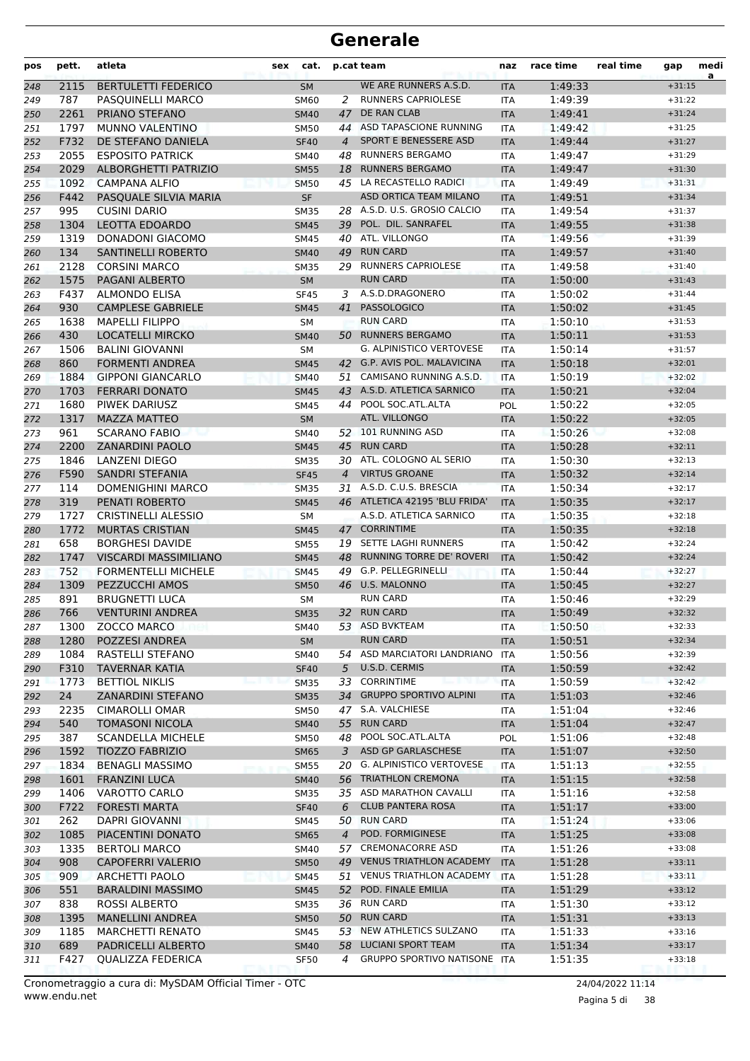| pos | pett. | atleta                       | sex | cat.        |                | p.cat team                      | naz        | race time | real time | gap      | medi<br>a |
|-----|-------|------------------------------|-----|-------------|----------------|---------------------------------|------------|-----------|-----------|----------|-----------|
| 248 | 2115  | <b>BERTULETTI FEDERICO</b>   |     | <b>SM</b>   |                | WE ARE RUNNERS A.S.D.           | <b>ITA</b> | 1:49:33   |           | $+31:15$ |           |
| 249 | 787   | PASQUINELLI MARCO            |     | SM60        | 2              | <b>RUNNERS CAPRIOLESE</b>       | <b>ITA</b> | 1:49:39   |           | $+31:22$ |           |
| 250 | 2261  | PRIANO STEFANO               |     | <b>SM40</b> | 47             | DE RAN CLAB                     | <b>ITA</b> | 1:49:41   |           | $+31:24$ |           |
| 251 | 1797  | <b>MUNNO VALENTINO</b>       |     | <b>SM50</b> |                | 44 ASD TAPASCIONE RUNNING       | <b>ITA</b> | 1:49:42   |           | $+31:25$ |           |
| 252 | F732  | DE STEFANO DANIELA           |     | <b>SF40</b> | $\overline{4}$ | SPORT E BENESSERE ASD           | <b>ITA</b> | 1:49:44   |           | $+31:27$ |           |
| 253 | 2055  | <b>ESPOSITO PATRICK</b>      |     | SM40        | 48             | <b>RUNNERS BERGAMO</b>          | <b>ITA</b> | 1:49:47   |           | $+31:29$ |           |
| 254 | 2029  | ALBORGHETTI PATRIZIO         |     | <b>SM55</b> |                | 18 RUNNERS BERGAMO              | <b>ITA</b> | 1:49:47   |           | $+31:30$ |           |
| 255 | 1092  | <b>CAMPANA ALFIO</b>         |     | <b>SM50</b> |                | 45 LA RECASTELLO RADICI         | <b>ITA</b> | 1:49:49   |           | $+31:31$ |           |
| 256 | F442  | PASQUALE SILVIA MARIA        |     | <b>SF</b>   |                | ASD ORTICA TEAM MILANO          | <b>ITA</b> | 1:49:51   |           | $+31:34$ |           |
| 257 | 995   | <b>CUSINI DARIO</b>          |     | <b>SM35</b> |                | 28 A.S.D. U.S. GROSIO CALCIO    | <b>ITA</b> | 1:49:54   |           | $+31:37$ |           |
| 258 | 1304  | LEOTTA EDOARDO               |     | <b>SM45</b> |                | 39 POL. DIL. SANRAFEL           | <b>ITA</b> | 1:49:55   |           | $+31:38$ |           |
| 259 | 1319  | <b>DONADONI GIACOMO</b>      |     | SM45        |                | 40 ATL. VILLONGO                | <b>ITA</b> | 1:49:56   |           | $+31:39$ |           |
| 260 | 134   | SANTINELLI ROBERTO           |     | <b>SM40</b> |                | 49 RUN CARD                     | <b>ITA</b> | 1:49:57   |           | $+31:40$ |           |
| 261 | 2128  | <b>CORSINI MARCO</b>         |     | <b>SM35</b> |                | 29 RUNNERS CAPRIOLESE           | <b>ITA</b> | 1:49:58   |           | $+31:40$ |           |
| 262 | 1575  | PAGANI ALBERTO               |     | <b>SM</b>   |                | <b>RUN CARD</b>                 | <b>ITA</b> | 1:50:00   |           | $+31:43$ |           |
| 263 | F437  | <b>ALMONDO ELISA</b>         |     | <b>SF45</b> | 3              | A.S.D.DRAGONERO                 | <b>ITA</b> | 1:50:02   |           | $+31:44$ |           |
| 264 | 930   | <b>CAMPLESE GABRIELE</b>     |     | <b>SM45</b> |                | 41 PASSOLOGICO                  | <b>ITA</b> | 1:50:02   |           | $+31:45$ |           |
| 265 | 1638  | <b>MAPELLI FILIPPO</b>       |     | <b>SM</b>   |                | <b>RUN CARD</b>                 | <b>ITA</b> | 1:50:10   |           | $+31:53$ |           |
| 266 | 430   | <b>LOCATELLI MIRCKO</b>      |     | <b>SM40</b> |                | 50 RUNNERS BERGAMO              | <b>ITA</b> | 1:50:11   |           | $+31:53$ |           |
| 267 | 1506  | <b>BALINI GIOVANNI</b>       |     | <b>SM</b>   |                | G. ALPINISTICO VERTOVESE        | <b>ITA</b> | 1:50:14   |           | $+31:57$ |           |
| 268 | 860   | <b>FORMENTI ANDREA</b>       |     | <b>SM45</b> |                | 42 G.P. AVIS POL. MALAVICINA    | <b>ITA</b> | 1:50:18   |           | $+32:01$ |           |
| 269 | 1884  | <b>GIPPONI GIANCARLO</b>     |     | <b>SM40</b> | 51             | CAMISANO RUNNING A.S.D.         | <b>ITA</b> | 1:50:19   |           | $+32:02$ |           |
| 270 | 1703  | <b>FERRARI DONATO</b>        |     | <b>SM45</b> |                | 43 A.S.D. ATLETICA SARNICO      | <b>ITA</b> | 1:50:21   |           | $+32:04$ |           |
| 271 | 1680  | PIWEK DARIUSZ                |     | SM45        |                | 44 POOL SOC.ATL.ALTA            | POL        | 1:50:22   |           | $+32:05$ |           |
| 272 | 1317  | <b>MAZZA MATTEO</b>          |     | <b>SM</b>   |                | ATL. VILLONGO                   | <b>ITA</b> | 1:50:22   |           | $+32:05$ |           |
| 273 | 961   | <b>SCARANO FABIO</b>         |     | <b>SM40</b> |                | 52 101 RUNNING ASD              | <b>ITA</b> | 1:50:26   |           | $+32:08$ |           |
| 274 | 2200  | <b>ZANARDINI PAOLO</b>       |     | <b>SM45</b> | 45             | <b>RUN CARD</b>                 | <b>ITA</b> | 1:50:28   |           | $+32:11$ |           |
| 275 | 1846  | LANZENI DIEGO                |     | <b>SM35</b> |                | 30 ATL. COLOGNO AL SERIO        | <b>ITA</b> | 1:50:30   |           | $+32:13$ |           |
| 276 | F590  | <b>SANDRI STEFANIA</b>       |     | <b>SF45</b> | $\overline{4}$ | <b>VIRTUS GROANE</b>            | <b>ITA</b> | 1:50:32   |           | $+32:14$ |           |
| 277 | 114   | <b>DOMENIGHINI MARCO</b>     |     | <b>SM35</b> |                | 31 A.S.D. C.U.S. BRESCIA        | <b>ITA</b> | 1:50:34   |           | $+32:17$ |           |
| 278 | 319   | PENATI ROBERTO               |     | <b>SM45</b> |                | 46 ATLETICA 42195 'BLU FRIDA'   | <b>ITA</b> | 1:50:35   |           | $+32:17$ |           |
| 279 | 1727  | <b>CRISTINELLI ALESSIO</b>   |     | <b>SM</b>   |                | A.S.D. ATLETICA SARNICO         | <b>ITA</b> | 1:50:35   |           | $+32:18$ |           |
| 280 | 1772  | <b>MURTAS CRISTIAN</b>       |     | <b>SM45</b> |                | 47 CORRINTIME                   | <b>ITA</b> | 1:50:35   |           | $+32:18$ |           |
| 281 | 658   | <b>BORGHESI DAVIDE</b>       |     | <b>SM55</b> | 19             | SETTE LAGHI RUNNERS             | ITA        | 1:50:42   |           | $+32:24$ |           |
| 282 | 1747  | <b>VISCARDI MASSIMILIANO</b> |     | <b>SM45</b> | 48             | RUNNING TORRE DE' ROVERI        | <b>ITA</b> | 1:50:42   |           | $+32:24$ |           |
| 283 | 752   | <b>FORMENTELLI MICHELE</b>   |     | <b>SM45</b> | 49             | G.P. PELLEGRINELLI              | <b>ITA</b> | 1:50:44   |           | $+32:27$ |           |
| 284 | 1309  | PEZZUCCHI AMOS               |     | <b>SM50</b> |                | 46 U.S. MALONNO                 | <b>ITA</b> | 1:50:45   |           | $+32:27$ |           |
| 285 | 891   | <b>BRUGNETTI LUCA</b>        |     | <b>SM</b>   |                | <b>RUN CARD</b>                 | <b>ITA</b> | 1:50:46   |           | $+32:29$ |           |
| 286 | 766   | <b>VENTURINI ANDREA</b>      |     | <b>SM35</b> |                | 32 RUN CARD                     | <b>ITA</b> | 1:50:49   |           | $+32:32$ |           |
| 287 | 1300  | ZOCCO MARCO                  |     | SM40        |                | 53 ASD BVKTEAM                  | ITA        | 1:50:50   |           | $+32:33$ |           |
| 288 | 1280  | POZZESI ANDREA               |     | <b>SM</b>   |                | <b>RUN CARD</b>                 | <b>ITA</b> | 1:50:51   |           | $+32:34$ |           |
| 289 | 1084  | RASTELLI STEFANO             |     | SM40        |                | 54 ASD MARCIATORI LANDRIANO     | ITA        | 1:50:56   |           | $+32:39$ |           |
| 290 | F310  | <b>TAVERNAR KATIA</b>        |     | <b>SF40</b> |                | 5 U.S.D. CERMIS                 | <b>ITA</b> | 1:50:59   |           | $+32:42$ |           |
| 291 | 1773  | <b>BETTIOL NIKLIS</b>        |     | <b>SM35</b> |                | 33 CORRINTIME                   | <b>ITA</b> | 1:50:59   |           | $+32:42$ |           |
| 292 | 24    | <b>ZANARDINI STEFANO</b>     |     | <b>SM35</b> |                | 34 GRUPPO SPORTIVO ALPINI       | <b>ITA</b> | 1:51:03   |           | $+32:46$ |           |
| 293 | 2235  | CIMAROLLI OMAR               |     | <b>SM50</b> |                | 47 S.A. VALCHIESE               | ITA        | 1:51:04   |           | $+32:46$ |           |
| 294 | 540   | <b>TOMASONI NICOLA</b>       |     | <b>SM40</b> |                | 55 RUN CARD                     | <b>ITA</b> | 1:51:04   |           | $+32:47$ |           |
| 295 | 387   | <b>SCANDELLA MICHELE</b>     |     | <b>SM50</b> | 48             | POOL SOC.ATL.ALTA               | <b>POL</b> | 1:51:06   |           | $+32:48$ |           |
| 296 | 1592  | <b>TIOZZO FABRIZIO</b>       |     | <b>SM65</b> | 3              | ASD GP GARLASCHESE              | <b>ITA</b> | 1:51:07   |           | $+32:50$ |           |
| 297 | 1834  | <b>BENAGLI MASSIMO</b>       |     | <b>SM55</b> | 20             | G. ALPINISTICO VERTOVESE        | ITA        | 1:51:13   |           | $+32:55$ |           |
| 298 | 1601  | <b>FRANZINI LUCA</b>         |     | <b>SM40</b> |                | 56 TRIATHLON CREMONA            | <b>ITA</b> | 1:51:15   |           | $+32:58$ |           |
| 299 | 1406  | VAROTTO CARLO                |     | <b>SM35</b> |                | 35 ASD MARATHON CAVALLI         | ITA        | 1:51:16   |           | $+32:58$ |           |
| 300 | F722  | <b>FORESTI MARTA</b>         |     | <b>SF40</b> | 6              | <b>CLUB PANTERA ROSA</b>        | <b>ITA</b> | 1:51:17   |           | $+33:00$ |           |
| 301 | 262   | <b>DAPRI GIOVANNI</b>        |     | SM45        | 50             | <b>RUN CARD</b>                 | ITA        | 1:51:24   |           | $+33:06$ |           |
| 302 | 1085  | PIACENTINI DONATO            |     | <b>SM65</b> | $\overline{4}$ | POD. FORMIGINESE                | <b>ITA</b> | 1:51:25   |           | $+33:08$ |           |
| 303 | 1335  | <b>BERTOLI MARCO</b>         |     | SM40        |                | 57 CREMONACORRE ASD             | <b>ITA</b> | 1:51:26   |           | $+33:08$ |           |
| 304 | 908   | <b>CAPOFERRI VALERIO</b>     |     | <b>SM50</b> | 49             | <b>VENUS TRIATHLON ACADEMY</b>  | <b>ITA</b> | 1:51:28   |           | $+33:11$ |           |
| 305 | 909   | <b>ARCHETTI PAOLO</b>        |     | <b>SM45</b> |                | 51 VENUS TRIATHLON ACADEMY      | <b>ITA</b> | 1:51:28   |           | $+33:11$ |           |
| 306 | 551   | <b>BARALDINI MASSIMO</b>     |     | <b>SM45</b> |                | 52 POD. FINALE EMILIA           | <b>ITA</b> | 1:51:29   |           | $+33:12$ |           |
| 307 | 838   | <b>ROSSI ALBERTO</b>         |     | <b>SM35</b> |                | 36 RUN CARD                     | ITA        | 1:51:30   |           | $+33:12$ |           |
| 308 | 1395  | <b>MANELLINI ANDREA</b>      |     | <b>SM50</b> |                | 50 RUN CARD                     | <b>ITA</b> | 1:51:31   |           | $+33:13$ |           |
| 309 | 1185  | <b>MARCHETTI RENATO</b>      |     | SM45        | 53             | NEW ATHLETICS SULZANO           | ITA        | 1:51:33   |           | $+33:16$ |           |
| 310 | 689   | PADRICELLI ALBERTO           |     | <b>SM40</b> | 58             | <b>LUCIANI SPORT TEAM</b>       | <b>ITA</b> | 1:51:34   |           | $+33:17$ |           |
| 311 | F427  | QUALIZZA FEDERICA            |     | <b>SF50</b> | 4              | <b>GRUPPO SPORTIVO NATISONE</b> | ITA        | 1:51:35   |           | $+33:18$ |           |

www.endu.net Cronometraggio a cura di: MySDAM Official Timer - OTC 24/04/2022 11:14

Pagina 5 di 38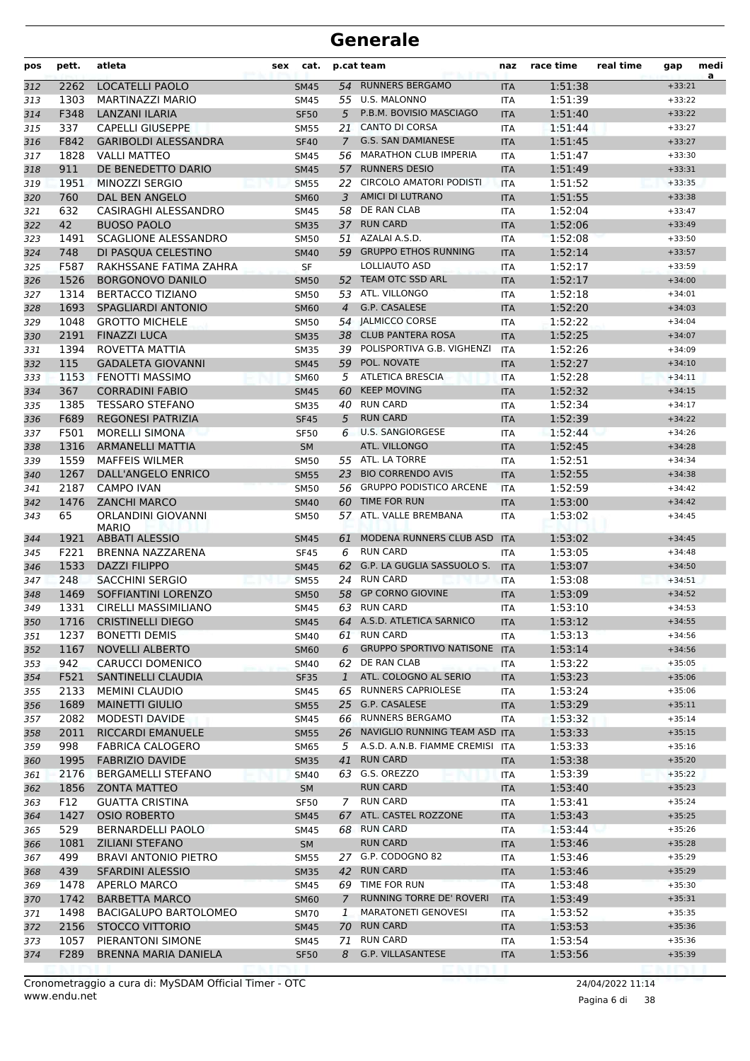| pos | pett. | atleta                             | sex | cat.        |              | p.cat team                         | naz        | race time | real time | gap      | medi<br>a |
|-----|-------|------------------------------------|-----|-------------|--------------|------------------------------------|------------|-----------|-----------|----------|-----------|
| 312 | 2262  | <b>LOCATELLI PAOLO</b>             |     | <b>SM45</b> |              | 54 RUNNERS BERGAMO                 | <b>ITA</b> | 1:51:38   |           | $+33:21$ |           |
| 313 | 1303  | MARTINAZZI MARIO                   |     | <b>SM45</b> |              | 55 U.S. MALONNO                    | <b>ITA</b> | 1:51:39   |           | $+33:22$ |           |
| 314 | F348  | <b>LANZANI ILARIA</b>              |     | <b>SF50</b> | 5            | P.B.M. BOVISIO MASCIAGO            | <b>ITA</b> | 1:51:40   |           | $+33:22$ |           |
| 315 | 337   | <b>CAPELLI GIUSEPPE</b>            |     | <b>SM55</b> | 21           | <b>CANTO DI CORSA</b>              | <b>ITA</b> | 1:51:44   |           | $+33:27$ |           |
| 316 | F842  | <b>GARIBOLDI ALESSANDRA</b>        |     | <b>SF40</b> | $7^{\circ}$  | <b>G.S. SAN DAMIANESE</b>          | <b>ITA</b> | 1:51:45   |           | $+33:27$ |           |
| 317 | 1828  | <b>VALLI MATTEO</b>                |     | <b>SM45</b> |              | 56 MARATHON CLUB IMPERIA           | <b>ITA</b> | 1:51:47   |           | $+33:30$ |           |
| 318 | 911   | DE BENEDETTO DARIO                 |     | <b>SM45</b> |              | 57 RUNNERS DESIO                   | <b>ITA</b> | 1:51:49   |           | $+33:31$ |           |
| 319 | 1951  | MINOZZI SERGIO                     |     | <b>SM55</b> |              | 22 CIRCOLO AMATORI PODISTI         | <b>ITA</b> | 1:51:52   |           | $+33:35$ |           |
| 320 | 760   | <b>DAL BEN ANGELO</b>              |     | <b>SM60</b> | 3            | AMICI DI LUTRANO                   | <b>ITA</b> | 1:51:55   |           | $+33:38$ |           |
| 321 | 632   | CASIRAGHI ALESSANDRO               |     | <b>SM45</b> | 58           | DE RAN CLAB                        | <b>ITA</b> | 1:52:04   |           | $+33:47$ |           |
| 322 | 42    | <b>BUOSO PAOLO</b>                 |     | <b>SM35</b> |              | 37 RUN CARD                        | <b>ITA</b> | 1:52:06   |           | $+33:49$ |           |
| 323 | 1491  | <b>SCAGLIONE ALESSANDRO</b>        |     | <b>SM50</b> | 51           | AZALAI A.S.D.                      | <b>ITA</b> | 1:52:08   |           | $+33:50$ |           |
| 324 | 748   | DI PASQUA CELESTINO                |     | <b>SM40</b> |              | 59 GRUPPO ETHOS RUNNING            | <b>ITA</b> | 1:52:14   |           | $+33:57$ |           |
| 325 | F587  | RAKHSSANE FATIMA ZAHRA             |     | <b>SF</b>   |              | LOLLIAUTO ASD                      | ITA        | 1:52:17   |           | $+33:59$ |           |
| 326 | 1526  | <b>BORGONOVO DANILO</b>            |     | <b>SM50</b> | 52           | TEAM OTC SSD ARL                   | <b>ITA</b> | 1:52:17   |           | $+34:00$ |           |
| 327 | 1314  | <b>BERTACCO TIZIANO</b>            |     | <b>SM50</b> |              | 53 ATL. VILLONGO                   | <b>ITA</b> | 1:52:18   |           | $+34:01$ |           |
| 328 | 1693  | <b>SPAGLIARDI ANTONIO</b>          |     | <b>SM60</b> | 4            | G.P. CASALESE                      | <b>ITA</b> | 1:52:20   |           | $+34:03$ |           |
| 329 | 1048  | <b>GROTTO MICHELE</b>              |     | <b>SM50</b> |              | 54 JALMICCO CORSE                  | ITA        | 1:52:22   |           | $+34:04$ |           |
| 330 | 2191  | <b>FINAZZI LUCA</b>                |     | <b>SM35</b> |              | 38 CLUB PANTERA ROSA               | <b>ITA</b> | 1:52:25   |           | $+34:07$ |           |
| 331 | 1394  | ROVETTA MATTIA                     |     | <b>SM35</b> |              | 39 POLISPORTIVA G.B. VIGHENZI      | <b>ITA</b> | 1:52:26   |           | $+34:09$ |           |
| 332 | 115   | <b>GADALETA GIOVANNI</b>           |     | <b>SM45</b> | 59           | POL. NOVATE                        | <b>ITA</b> | 1:52:27   |           | $+34:10$ |           |
| 333 | 1153  | <b>FENOTTI MASSIMO</b>             |     | <b>SM60</b> | 5            | <b>ATLETICA BRESCIA</b>            | <b>ITA</b> | 1:52:28   |           | $+34:11$ |           |
| 334 | 367   | <b>CORRADINI FABIO</b>             |     | <b>SM45</b> | 60           | <b>KEEP MOVING</b>                 | <b>ITA</b> | 1:52:32   |           | $+34:15$ |           |
| 335 | 1385  | <b>TESSARO STEFANO</b>             |     | <b>SM35</b> |              | 40 RUN CARD                        | ITA        | 1:52:34   |           | $+34:17$ |           |
| 336 | F689  | <b>REGONESI PATRIZIA</b>           |     | <b>SF45</b> | 5            | <b>RUN CARD</b>                    | <b>ITA</b> | 1:52:39   |           | $+34:22$ |           |
| 337 | F501  | <b>MORELLI SIMONA</b>              |     | <b>SF50</b> | 6            | <b>U.S. SANGIORGESE</b>            | <b>ITA</b> | 1:52:44   |           | $+34:26$ |           |
| 338 | 1316  | <b>ARMANELLI MATTIA</b>            |     | <b>SM</b>   |              | ATL. VILLONGO                      | <b>ITA</b> | 1:52:45   |           | $+34:28$ |           |
| 339 | 1559  | <b>MAFFEIS WILMER</b>              |     | <b>SM50</b> |              | 55 ATL. LA TORRE                   | <b>ITA</b> | 1:52:51   |           | $+34:34$ |           |
| 340 | 1267  | DALL'ANGELO ENRICO                 |     | <b>SM55</b> | 23           | <b>BIO CORRENDO AVIS</b>           | <b>ITA</b> | 1:52:55   |           | $+34:38$ |           |
| 341 | 2187  | <b>CAMPO IVAN</b>                  |     | <b>SM50</b> |              | 56 GRUPPO PODISTICO ARCENE         | <b>ITA</b> | 1:52:59   |           | $+34:42$ |           |
| 342 | 1476  | <b>ZANCHI MARCO</b>                |     | <b>SM40</b> | 60           | TIME FOR RUN                       | <b>ITA</b> | 1:53:00   |           | $+34:42$ |           |
| 343 | 65    | ORLANDINI GIOVANNI<br><b>MARIO</b> |     | <b>SM50</b> |              | 57 ATL. VALLE BREMBANA             | <b>ITA</b> | 1:53:02   |           | $+34:45$ |           |
| 344 | 1921  | <b>ABBATI ALESSIO</b>              |     | <b>SM45</b> | 61           | MODENA RUNNERS CLUB ASD            | <b>ITA</b> | 1:53:02   |           | $+34:45$ |           |
| 345 | F221  | BRENNA NAZZARENA                   |     | <b>SF45</b> | 6            | <b>RUN CARD</b>                    | <b>ITA</b> | 1:53:05   |           | $+34:48$ |           |
| 346 | 1533  | <b>DAZZI FILIPPO</b>               |     | <b>SM45</b> | 62           | G.P. LA GUGLIA SASSUOLO S.         | <b>ITA</b> | 1:53:07   |           | $+34:50$ |           |
| 347 | 248   | <b>SACCHINI SERGIO</b>             |     | <b>SM55</b> | 24           | <b>RUN CARD</b>                    | <b>ITA</b> | 1:53:08   |           | $+34:51$ |           |
| 348 | 1469  | SOFFIANTINI LORENZO                |     | <b>SM50</b> | 58           | <b>GP CORNO GIOVINE</b>            | <b>ITA</b> | 1:53:09   |           | $+34:52$ |           |
| 349 | 1331  | CIRELLI MASSIMILIANO               |     | <b>SM45</b> |              | 63 RUN CARD                        | <b>ITA</b> | 1:53:10   |           | $+34:53$ |           |
| 350 |       | 1716 CRISTINELLI DIEGO             |     | <b>SM45</b> |              | 64 A.S.D. ATLETICA SARNICO         | <b>ITA</b> | 1:53:12   |           | $+34:55$ |           |
| 351 | 1237  | <b>BONETTI DEMIS</b>               |     | SM40        |              | 61 RUN CARD                        | <b>ITA</b> | 1:53:13   |           | $+34:56$ |           |
| 352 | 1167  | <b>NOVELLI ALBERTO</b>             |     | <b>SM60</b> | 6            | GRUPPO SPORTIVO NATISONE ITA       |            | 1:53:14   |           | $+34:56$ |           |
| 353 | 942   | <b>CARUCCI DOMENICO</b>            |     | <b>SM40</b> |              | 62 DE RAN CLAB                     | ITA        | 1:53:22   |           | $+35:05$ |           |
| 354 | F521  | <b>SANTINELLI CLAUDIA</b>          |     | <b>SF35</b> | $\mathbf{1}$ | ATL. COLOGNO AL SERIO              | <b>ITA</b> | 1:53:23   |           | $+35:06$ |           |
| 355 | 2133  | <b>MEMINI CLAUDIO</b>              |     | SM45        |              | 65 RUNNERS CAPRIOLESE              | <b>ITA</b> | 1:53:24   |           | $+35:06$ |           |
| 356 | 1689  | <b>MAINETTI GIULIO</b>             |     | <b>SM55</b> |              | 25 G.P. CASALESE                   | <b>ITA</b> | 1:53:29   |           | $+35:11$ |           |
| 357 | 2082  | MODESTI DAVIDE                     |     | SM45        |              | 66 RUNNERS BERGAMO                 | <b>ITA</b> | 1:53:32   |           | $+35:14$ |           |
| 358 | 2011  | RICCARDI EMANUELE                  |     | <b>SM55</b> |              | 26 NAVIGLIO RUNNING TEAM ASD ITA   |            | 1:53:33   |           | $+35:15$ |           |
| 359 | 998   | <b>FABRICA CALOGERO</b>            |     | <b>SM65</b> |              | 5 A.S.D. A.N.B. FIAMME CREMISI ITA |            | 1:53:33   |           | $+35:16$ |           |
| 360 | 1995  | <b>FABRIZIO DAVIDE</b>             |     | <b>SM35</b> | 41           | <b>RUN CARD</b>                    | <b>ITA</b> | 1:53:38   |           | $+35:20$ |           |
| 361 | 2176  | <b>BERGAMELLI STEFANO</b>          |     | <b>SM40</b> |              | 63 G.S. OREZZO                     | ITA        | 1:53:39   |           | $+35:22$ |           |
| 362 | 1856  | <b>ZONTA MATTEO</b>                |     | SM          |              | <b>RUN CARD</b>                    | <b>ITA</b> | 1:53:40   |           | $+35:23$ |           |
| 363 | F12   | <b>GUATTA CRISTINA</b>             |     | <b>SF50</b> |              | 7 RUN CARD                         | <b>ITA</b> | 1:53:41   |           | $+35:24$ |           |
| 364 | 1427  | <b>OSIO ROBERTO</b>                |     | <b>SM45</b> | 67           | ATL. CASTEL ROZZONE                | <b>ITA</b> | 1:53:43   |           | $+35:25$ |           |
| 365 | 529   | <b>BERNARDELLI PAOLO</b>           |     | SM45        |              | 68 RUN CARD                        | ITA        | 1:53:44   |           | $+35:26$ |           |
| 366 | 1081  | <b>ZILIANI STEFANO</b>             |     | <b>SM</b>   |              | <b>RUN CARD</b>                    | <b>ITA</b> | 1:53:46   |           | $+35:28$ |           |
| 367 | 499   | <b>BRAVI ANTONIO PIETRO</b>        |     | <b>SM55</b> |              | 27 G.P. CODOGNO 82                 | <b>ITA</b> | 1:53:46   |           | $+35:29$ |           |
| 368 | 439   | <b>SFARDINI ALESSIO</b>            |     | <b>SM35</b> |              | 42 RUN CARD                        | <b>ITA</b> | 1:53:46   |           | $+35:29$ |           |
| 369 | 1478  | APERLO MARCO                       |     | <b>SM45</b> |              | 69 TIME FOR RUN                    | <b>ITA</b> | 1:53:48   |           | $+35:30$ |           |
| 370 | 1742  | <b>BARBETTA MARCO</b>              |     | <b>SM60</b> | $7^{\circ}$  | RUNNING TORRE DE' ROVERI           | <b>ITA</b> | 1:53:49   |           | $+35:31$ |           |
| 371 | 1498  | BACIGALUPO BARTOLOMEO              |     | <b>SM70</b> | $\mathbf{I}$ | <b>MARATONETI GENOVESI</b>         | ITA        | 1:53:52   |           | $+35:35$ |           |
| 372 | 2156  | STOCCO VITTORIO                    |     | <b>SM45</b> |              | 70 RUN CARD                        | <b>ITA</b> | 1:53:53   |           | $+35:36$ |           |
| 373 | 1057  | PIERANTONI SIMONE                  |     | SM45        |              | 71 RUN CARD                        | <b>ITA</b> | 1:53:54   |           | $+35:36$ |           |
| 374 | F289  | BRENNA MARIA DANIELA               |     | <b>SF50</b> | 8            | G.P. VILLASANTESE                  | <b>ITA</b> | 1:53:56   |           | $+35:39$ |           |
|     |       |                                    |     |             |              |                                    |            |           |           |          |           |

www.endu.net Cronometraggio a cura di: MySDAM Official Timer - OTC 24/04/2022 11:14

Pagina 6 di 38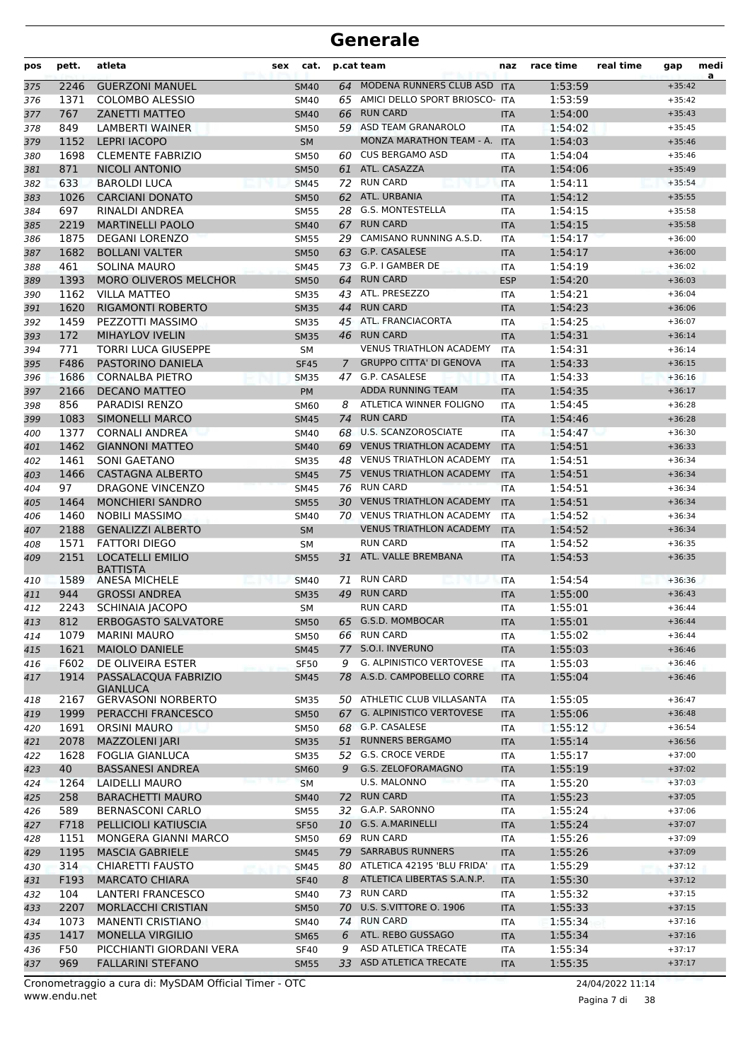| pos | pett. | atleta                                     | cat.<br>sex |                | p.cat team                        | naz        | race time | real time | gap      | medi<br>a |
|-----|-------|--------------------------------------------|-------------|----------------|-----------------------------------|------------|-----------|-----------|----------|-----------|
| 375 | 2246  | <b>GUERZONI MANUEL</b>                     | <b>SM40</b> |                | 64 MODENA RUNNERS CLUB ASD        | <b>ITA</b> | 1:53:59   |           | $+35:42$ |           |
| 376 | 1371  | <b>COLOMBO ALESSIO</b>                     | SM40        |                | 65 AMICI DELLO SPORT BRIOSCO- ITA |            | 1:53:59   |           | $+35:42$ |           |
| 377 | 767   | <b>ZANETTI MATTEO</b>                      | <b>SM40</b> | 66             | <b>RUN CARD</b>                   | <b>ITA</b> | 1:54:00   |           | $+35:43$ |           |
| 378 | 849   | <b>LAMBERTI WAINER</b>                     | <b>SM50</b> |                | 59 ASD TEAM GRANAROLO             | <b>ITA</b> | 1:54:02   |           | $+35:45$ |           |
| 379 | 1152  | <b>LEPRI IACOPO</b>                        | <b>SM</b>   |                | <b>MONZA MARATHON TEAM - A.</b>   | <b>ITA</b> | 1:54:03   |           | $+35:46$ |           |
| 380 | 1698  | <b>CLEMENTE FABRIZIO</b>                   | SM50        | 60             | <b>CUS BERGAMO ASD</b>            | <b>ITA</b> | 1:54:04   |           | $+35:46$ |           |
| 381 | 871   | <b>NICOLI ANTONIO</b>                      | <b>SM50</b> | 61             | ATL. CASAZZA                      | <b>ITA</b> | 1:54:06   |           | $+35:49$ |           |
| 382 | 633   | <b>BAROLDI LUCA</b>                        | <b>SM45</b> | 72             | <b>RUN CARD</b>                   | <b>ITA</b> | 1:54:11   |           | $+35:54$ |           |
| 383 | 1026  | <b>CARCIANI DONATO</b>                     | <b>SM50</b> |                | 62 ATL. URBANIA                   | <b>ITA</b> | 1:54:12   |           | $+35:55$ |           |
| 384 | 697   | <b>RINALDI ANDREA</b>                      | <b>SM55</b> | 28             | <b>G.S. MONTESTELLA</b>           | <b>ITA</b> | 1:54:15   |           | $+35:58$ |           |
| 385 | 2219  | <b>MARTINELLI PAOLO</b>                    | <b>SM40</b> | 67             | <b>RUN CARD</b>                   | <b>ITA</b> | 1:54:15   |           | $+35:58$ |           |
| 386 | 1875  | <b>DEGANI LORENZO</b>                      | SM55        | 29             | CAMISANO RUNNING A.S.D.           | <b>ITA</b> | 1:54:17   |           | $+36:00$ |           |
| 387 | 1682  | <b>BOLLANI VALTER</b>                      | <b>SM50</b> | 63             | G.P. CASALESE                     | <b>ITA</b> | 1:54:17   |           | $+36:00$ |           |
| 388 | 461   | <b>SOLINA MAURO</b>                        | SM45        | 73             | G.P. I GAMBER DE                  | ITA        | 1:54:19   |           | $+36:02$ |           |
| 389 | 1393  | <b>MORO OLIVEROS MELCHOR</b>               | <b>SM50</b> | 64             | <b>RUN CARD</b>                   | <b>ESP</b> | 1:54:20   |           | $+36:03$ |           |
| 390 | 1162  | <b>VILLA MATTEO</b>                        | <b>SM35</b> |                | 43 ATL. PRESEZZO                  | ITA        | 1:54:21   |           | $+36:04$ |           |
| 391 | 1620  | <b>RIGAMONTI ROBERTO</b>                   | <b>SM35</b> | 44             | <b>RUN CARD</b>                   | <b>ITA</b> | 1:54:23   |           | $+36:06$ |           |
| 392 | 1459  | PEZZOTTI MASSIMO                           | <b>SM35</b> |                | 45 ATL. FRANCIACORTA              | <b>ITA</b> | 1:54:25   |           | $+36:07$ |           |
| 393 | 172   | <b>MIHAYLOV IVELIN</b>                     | <b>SM35</b> |                | 46 RUN CARD                       | <b>ITA</b> | 1:54:31   |           | $+36:14$ |           |
| 394 | 771   | <b>TORRI LUCA GIUSEPPE</b>                 | <b>SM</b>   |                | <b>VENUS TRIATHLON ACADEMY</b>    | <b>ITA</b> | 1:54:31   |           | $+36:14$ |           |
| 395 | F486  | PASTORINO DANIELA                          | <b>SF45</b> | $\overline{7}$ | <b>GRUPPO CITTA' DI GENOVA</b>    | <b>ITA</b> | 1:54:33   |           | $+36:15$ |           |
| 396 | 1686  | <b>CORNALBA PIETRO</b>                     | <b>SM35</b> |                | 47 G.P. CASALESE                  | <b>ITA</b> | 1:54:33   |           | $+36:16$ |           |
| 397 | 2166  | <b>DECANO MATTEO</b>                       | PM          |                | <b>ADDA RUNNING TEAM</b>          | <b>ITA</b> | 1:54:35   |           | $+36:17$ |           |
| 398 | 856   | <b>PARADISI RENZO</b>                      | <b>SM60</b> | 8              | ATLETICA WINNER FOLIGNO           | <b>ITA</b> | 1:54:45   |           | $+36:28$ |           |
| 399 | 1083  | <b>SIMONELLI MARCO</b>                     | <b>SM45</b> | 74             | <b>RUN CARD</b>                   | <b>ITA</b> | 1:54:46   |           | $+36:28$ |           |
| 400 | 1377  | <b>CORNALI ANDREA</b>                      | SM40        | 68             | <b>U.S. SCANZOROSCIATE</b>        | <b>ITA</b> | 1:54:47   |           | $+36:30$ |           |
| 401 | 1462  | <b>GIANNONI MATTEO</b>                     | <b>SM40</b> |                | 69 VENUS TRIATHLON ACADEMY        | <b>ITA</b> | 1:54:51   |           | $+36:33$ |           |
| 402 | 1461  | <b>SONI GAETANO</b>                        | <b>SM35</b> | 48             | <b>VENUS TRIATHLON ACADEMY</b>    | <b>ITA</b> | 1:54:51   |           | $+36:34$ |           |
| 403 | 1466  | <b>CASTAGNA ALBERTO</b>                    | <b>SM45</b> |                | 75 VENUS TRIATHLON ACADEMY        | <b>ITA</b> | 1:54:51   |           | $+36:34$ |           |
| 404 | 97    | DRAGONE VINCENZO                           | <b>SM45</b> | 76             | <b>RUN CARD</b>                   | <b>ITA</b> | 1:54:51   |           | $+36:34$ |           |
| 405 | 1464  | <b>MONCHIERI SANDRO</b>                    | <b>SM55</b> |                | 30 VENUS TRIATHLON ACADEMY        | <b>ITA</b> | 1:54:51   |           | $+36:34$ |           |
| 406 | 1460  | <b>NOBILI MASSIMO</b>                      | SM40        |                | 70 VENUS TRIATHLON ACADEMY        | <b>ITA</b> | 1:54:52   |           | $+36:34$ |           |
| 407 | 2188  | <b>GENALIZZI ALBERTO</b>                   | <b>SM</b>   |                | <b>VENUS TRIATHLON ACADEMY</b>    | <b>ITA</b> | 1:54:52   |           | $+36:34$ |           |
| 408 | 1571  | <b>FATTORI DIEGO</b>                       | <b>SM</b>   |                | <b>RUN CARD</b>                   | <b>ITA</b> | 1:54:52   |           | $+36:35$ |           |
| 409 | 2151  | <b>LOCATELLI EMILIO</b><br><b>BATTISTA</b> | <b>SM55</b> | 31             | ATL. VALLE BREMBANA               | <b>ITA</b> | 1:54:53   |           | $+36:35$ |           |
| 410 | 1589  | <b>ANESA MICHELE</b>                       | <b>SM40</b> | 71             | <b>RUN CARD</b>                   | <b>ITA</b> | 1:54:54   |           | $+36:36$ |           |
| 411 | 944   | <b>GROSSI ANDREA</b>                       | <b>SM35</b> | 49             | <b>RUN CARD</b>                   | <b>ITA</b> | 1:55:00   |           | $+36:43$ |           |
| 412 | 2243  | <b>SCHINAIA JACOPO</b>                     | <b>SM</b>   |                | <b>RUN CARD</b>                   | <b>ITA</b> | 1:55:01   |           | $+36:44$ |           |
| 413 | 812   | <b>ERBOGASTO SALVATORE</b>                 | <b>SM50</b> |                | 65 G.S.D. MOMBOCAR                | ITA        | 1:55:01   |           | $+36:44$ |           |
| 414 | 1079  | <b>MARINI MAURO</b>                        | SM50        |                | 66 RUN CARD                       | ITA        | 1:55:02   |           | $+36:44$ |           |
| 415 | 1621  | <b>MAIOLO DANIELE</b>                      | <b>SM45</b> |                | 77 S.O.I. INVERUNO                | <b>ITA</b> | 1:55:03   |           | $+36:46$ |           |
| 416 | F602  | DE OLIVEIRA ESTER                          | <b>SF50</b> | 9              | <b>G. ALPINISTICO VERTOVESE</b>   | <b>ITA</b> | 1:55:03   |           | $+36:46$ |           |
| 417 | 1914  | PASSALACQUA FABRIZIO<br><b>GIANLUCA</b>    | <b>SM45</b> |                | 78 A.S.D. CAMPOBELLO CORRE        | <b>ITA</b> | 1:55:04   |           | $+36:46$ |           |
| 418 | 2167  | <b>GERVASONI NORBERTO</b>                  | SM35        |                | 50 ATHLETIC CLUB VILLASANTA       | ITA        | 1:55:05   |           | $+36:47$ |           |
| 419 | 1999  | PERACCHI FRANCESCO                         | <b>SM50</b> |                | 67 G. ALPINISTICO VERTOVESE       | <b>ITA</b> | 1:55:06   |           | $+36:48$ |           |
| 420 | 1691  | <b>ORSINI MAURO</b>                        | SM50        |                | 68 G.P. CASALESE                  | ITA        | 1:55:12   |           | $+36:54$ |           |
| 421 | 2078  | MAZZOLENI JARI                             | <b>SM35</b> |                | 51 RUNNERS BERGAMO                | <b>ITA</b> | 1:55:14   |           | $+36:56$ |           |
| 422 | 1628  | <b>FOGLIA GIANLUCA</b>                     | SM35        |                | 52 G.S. CROCE VERDE               | ITA        | 1:55:17   |           | $+37:00$ |           |
| 423 | 40    | <b>BASSANESI ANDREA</b>                    | <b>SM60</b> | 9              | G.S. ZELOFORAMAGNO                | <b>ITA</b> | 1:55:19   |           | $+37:02$ |           |
| 424 | 1264  | LAIDELLI MAURO                             | <b>SM</b>   |                | U.S. MALONNO                      | ITA        | 1:55:20   |           | $+37:03$ |           |
| 425 | 258   | <b>BARACHETTI MAURO</b>                    | <b>SM40</b> | 72             | <b>RUN CARD</b>                   | <b>ITA</b> | 1:55:23   |           | $+37:05$ |           |
| 426 | 589   | <b>BERNASCONI CARLO</b>                    | SM55        |                | 32 G.A.P. SARONNO                 | ITA        | 1:55:24   |           | $+37:06$ |           |
| 427 | F718  | PELLICIOLI KATIUSCIA                       | <b>SF50</b> |                | 10 G.S. A.MARINELLI               | <b>ITA</b> | 1:55:24   |           | $+37:07$ |           |
| 428 | 1151  | MONGERA GIANNI MARCO                       | SM50        |                | 69 RUN CARD                       | <b>ITA</b> | 1:55:26   |           | $+37:09$ |           |
| 429 | 1195  | <b>MASCIA GABRIELE</b>                     | <b>SM45</b> |                | 79 SARRABUS RUNNERS               | <b>ITA</b> | 1:55:26   |           | $+37:09$ |           |
| 430 | 314   | CHIARETTI FAUSTO                           | SM45        | 80             | ATLETICA 42195 'BLU FRIDA'        | ITA        | 1:55:29   |           | $+37:12$ |           |
| 431 | F193  | <b>MARCATO CHIARA</b>                      | <b>SF40</b> | 8              | ATLETICA LIBERTAS S.A.N.P.        | <b>ITA</b> | 1:55:30   |           | $+37:12$ |           |
| 432 | 104   | LANTERI FRANCESCO                          | SM40        |                | 73 RUN CARD                       | ITA        | 1:55:32   |           | $+37:15$ |           |
| 433 | 2207  | MORLACCHI CRISTIAN                         | <b>SM50</b> |                | 70 U.S. S.VITTORE O. 1906         | <b>ITA</b> | 1:55:33   |           | $+37:15$ |           |
| 434 | 1073  | <b>MANENTI CRISTIANO</b>                   | SM40        | 74             | <b>RUN CARD</b>                   | ITA        | 1:55:34   |           | $+37:16$ |           |
| 435 | 1417  | <b>MONELLA VIRGILIO</b>                    | <b>SM65</b> | 6              | ATL. REBO GUSSAGO                 | <b>ITA</b> | 1:55:34   |           | $+37:16$ |           |
| 436 | F50   | PICCHIANTI GIORDANI VERA                   | <b>SF40</b> | 9              | ASD ATLETICA TRECATE              | ITA        | 1:55:34   |           | $+37:17$ |           |
| 437 | 969   | <b>FALLARINI STEFANO</b>                   | <b>SM55</b> |                | 33 ASD ATLETICA TRECATE           | <b>ITA</b> | 1:55:35   |           | $+37:17$ |           |

Pagina 7 di 38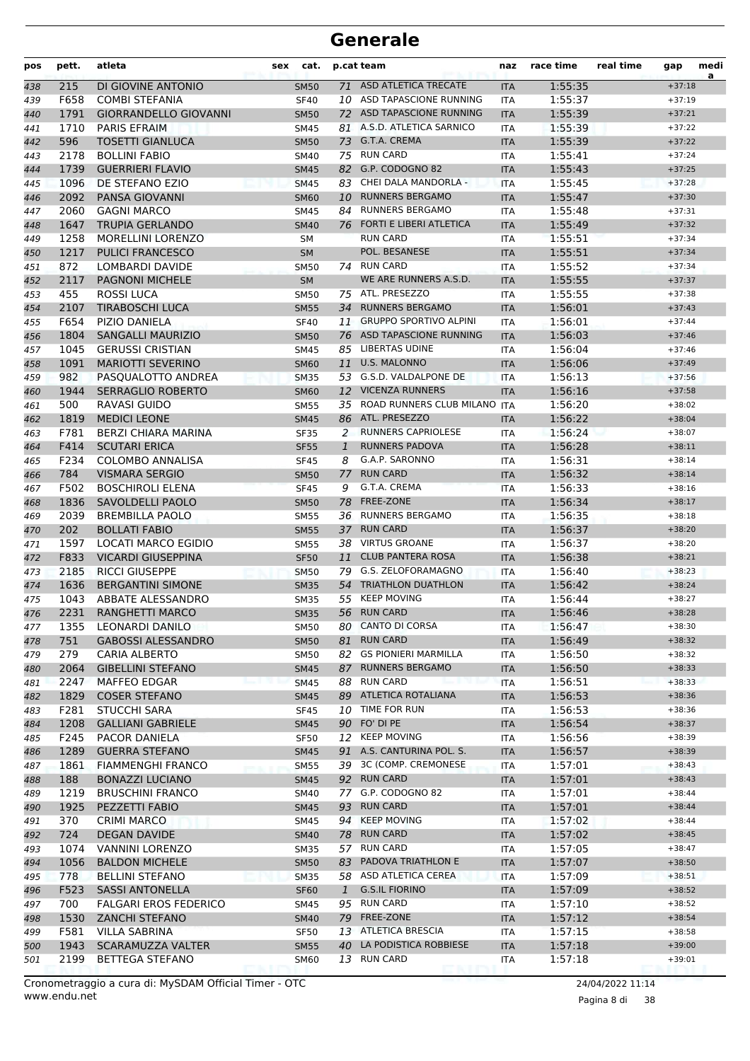| pos | pett. | atleta                       | sex | cat.        |              | p.cat team                     | naz        | race time | real time | gap      | medi<br>a |
|-----|-------|------------------------------|-----|-------------|--------------|--------------------------------|------------|-----------|-----------|----------|-----------|
| 438 | 215   | DI GIOVINE ANTONIO           |     | <b>SM50</b> |              | 71 ASD ATLETICA TRECATE        | <b>ITA</b> | 1:55:35   |           | $+37:18$ |           |
| 439 | F658  | <b>COMBI STEFANIA</b>        |     | <b>SF40</b> | 10           | ASD TAPASCIONE RUNNING         | <b>ITA</b> | 1:55:37   |           | $+37:19$ |           |
| 440 | 1791  | <b>GIORRANDELLO GIOVANNI</b> |     | <b>SM50</b> | 72           | ASD TAPASCIONE RUNNING         | <b>ITA</b> | 1:55:39   |           | $+37:21$ |           |
| 441 | 1710  | <b>PARIS EFRAIM</b>          |     | <b>SM45</b> |              | 81 A.S.D. ATLETICA SARNICO     | <b>ITA</b> | 1:55:39   |           | $+37:22$ |           |
| 442 | 596   | <b>TOSETTI GIANLUCA</b>      |     | <b>SM50</b> |              | 73 G.T.A. CREMA                | <b>ITA</b> | 1:55:39   |           | $+37:22$ |           |
| 443 | 2178  | <b>BOLLINI FABIO</b>         |     | <b>SM40</b> |              | 75 RUN CARD                    | <b>ITA</b> | 1:55:41   |           | $+37:24$ |           |
| 444 | 1739  | <b>GUERRIERI FLAVIO</b>      |     | <b>SM45</b> |              | 82 G.P. CODOGNO 82             | <b>ITA</b> | 1:55:43   |           | $+37:25$ |           |
| 445 | 1096  | DE STEFANO EZIO              |     | <b>SM45</b> | 83           | CHEI DALA MANDORLA -           | <b>ITA</b> | 1:55:45   |           | $+37:28$ |           |
| 446 | 2092  | PANSA GIOVANNI               |     | <b>SM60</b> | 10           | <b>RUNNERS BERGAMO</b>         | <b>ITA</b> | 1:55:47   |           | $+37:30$ |           |
| 447 | 2060  | <b>GAGNI MARCO</b>           |     | <b>SM45</b> | 84           | <b>RUNNERS BERGAMO</b>         | <b>ITA</b> | 1:55:48   |           | $+37:31$ |           |
| 448 | 1647  | <b>TRUPIA GERLANDO</b>       |     | <b>SM40</b> | 76           | <b>FORTI E LIBERI ATLETICA</b> | <b>ITA</b> | 1:55:49   |           | $+37:32$ |           |
| 449 | 1258  | <b>MORELLINI LORENZO</b>     |     | SM          |              | <b>RUN CARD</b>                | <b>ITA</b> | 1:55:51   |           | $+37:34$ |           |
| 450 | 1217  | <b>PULICI FRANCESCO</b>      |     | <b>SM</b>   |              | POL. BESANESE                  | <b>ITA</b> | 1:55:51   |           | $+37:34$ |           |
| 451 | 872   | LOMBARDI DAVIDE              |     | <b>SM50</b> |              | 74 RUN CARD                    | <b>ITA</b> | 1:55:52   |           | $+37:34$ |           |
| 452 | 2117  | <b>PAGNONI MICHELE</b>       |     | <b>SM</b>   |              | WE ARE RUNNERS A.S.D.          | <b>ITA</b> | 1:55:55   |           | $+37:37$ |           |
| 453 | 455   | <b>ROSSI LUCA</b>            |     | <b>SM50</b> |              | 75 ATL. PRESEZZO               | <b>ITA</b> | 1:55:55   |           | $+37:38$ |           |
| 454 | 2107  | <b>TIRABOSCHI LUCA</b>       |     | <b>SM55</b> | 34           | <b>RUNNERS BERGAMO</b>         | <b>ITA</b> | 1:56:01   |           | $+37:43$ |           |
| 455 | F654  | PIZIO DANIELA                |     | <b>SF40</b> | 11           | <b>GRUPPO SPORTIVO ALPINI</b>  | ITA        | 1:56:01   |           | $+37:44$ |           |
| 456 | 1804  | <b>SANGALLI MAURIZIO</b>     |     | <b>SM50</b> |              | 76 ASD TAPASCIONE RUNNING      | <b>ITA</b> | 1:56:03   |           | $+37:46$ |           |
| 457 | 1045  | <b>GERUSSI CRISTIAN</b>      |     | <b>SM45</b> |              | 85 LIBERTAS UDINE              | <b>ITA</b> | 1:56:04   |           | $+37:46$ |           |
| 458 | 1091  | <b>MARIOTTI SEVERINO</b>     |     | <b>SM60</b> | 11           | <b>U.S. MALONNO</b>            | <b>ITA</b> | 1:56:06   |           | $+37:49$ |           |
| 459 | 982   | PASQUALOTTO ANDREA           |     | <b>SM35</b> | 53           | G.S.D. VALDALPONE DE           | <b>ITA</b> | 1:56:13   |           | $+37:56$ |           |
| 460 | 1944  | <b>SERRAGLIO ROBERTO</b>     |     | <b>SM60</b> |              | 12 VICENZA RUNNERS             | <b>ITA</b> | 1:56:16   |           | $+37:58$ |           |
| 461 | 500   | RAVASI GUIDO                 |     | <b>SM55</b> |              | 35 ROAD RUNNERS CLUB MILANO    | <b>ITA</b> | 1:56:20   |           | $+38:02$ |           |
| 462 | 1819  | <b>MEDICI LEONE</b>          |     | <b>SM45</b> |              | 86 ATL. PRESEZZO               | <b>ITA</b> | 1:56:22   |           | $+38:04$ |           |
| 463 | F781  | BERZI CHIARA MARINA          |     | <b>SF35</b> | 2            | <b>RUNNERS CAPRIOLESE</b>      | ITA        | 1:56:24   |           | $+38:07$ |           |
| 464 | F414  | <b>SCUTARI ERICA</b>         |     | <b>SF55</b> | $\mathbf{1}$ | <b>RUNNERS PADOVA</b>          | <b>ITA</b> | 1:56:28   |           | $+38:11$ |           |
| 465 | F234  | <b>COLOMBO ANNALISA</b>      |     | <b>SF45</b> | 8            | G.A.P. SARONNO                 | <b>ITA</b> | 1:56:31   |           | $+38:14$ |           |
| 466 | 784   | <b>VISMARA SERGIO</b>        |     | <b>SM50</b> | 77           | <b>RUN CARD</b>                | <b>ITA</b> | 1:56:32   |           | $+38:14$ |           |
| 467 | F502  | <b>BOSCHIROLI ELENA</b>      |     | <b>SF45</b> | 9            | G.T.A. CREMA                   | <b>ITA</b> | 1:56:33   |           | $+38:16$ |           |
| 468 | 1836  | SAVOLDELLI PAOLO             |     | <b>SM50</b> |              | 78 FREE-ZONE                   | <b>ITA</b> | 1:56:34   |           | $+38:17$ |           |
| 469 | 2039  | <b>BREMBILLA PAOLO</b>       |     | <b>SM55</b> |              | 36 RUNNERS BERGAMO             | <b>ITA</b> | 1:56:35   |           | $+38:18$ |           |
| 470 | 202   | <b>BOLLATI FABIO</b>         |     | <b>SM55</b> | 37           | <b>RUN CARD</b>                | <b>ITA</b> | 1:56:37   |           | $+38:20$ |           |
| 471 | 1597  | <b>LOCATI MARCO EGIDIO</b>   |     | <b>SM55</b> | 38           | <b>VIRTUS GROANE</b>           | <b>ITA</b> | 1:56:37   |           | $+38:20$ |           |
| 472 | F833  | <b>VICARDI GIUSEPPINA</b>    |     | <b>SF50</b> | 11           | <b>CLUB PANTERA ROSA</b>       | <b>ITA</b> | 1:56:38   |           | $+38:21$ |           |
| 473 | 2185  | <b>RICCI GIUSEPPE</b>        |     | <b>SM50</b> | 79           | G.S. ZELOFORAMAGNO             | <b>ITA</b> | 1:56:40   |           | $+38:23$ |           |
| 474 | 1636  | <b>BERGANTINI SIMONE</b>     |     | <b>SM35</b> |              | 54 TRIATHLON DUATHLON          | <b>ITA</b> | 1:56:42   |           | $+38:24$ |           |
| 475 | 1043  | ABBATE ALESSANDRO            |     | <b>SM35</b> | 55           | <b>KEEP MOVING</b>             | ITA        | 1:56:44   |           | $+38:27$ |           |
| 476 | 2231  | <b>RANGHETTI MARCO</b>       |     | <b>SM35</b> |              | 56 RUN CARD                    | <b>ITA</b> | 1:56:46   |           | $+38:28$ |           |
| 477 | 1355  | LEONARDI DANILO              |     | <b>SM50</b> |              | 80 CANTO DI CORSA              | <b>ITA</b> | 1:56:47   |           | $+38:30$ |           |
| 478 | 751   | <b>GABOSSI ALESSANDRO</b>    |     | <b>SM50</b> | 81           | <b>RUN CARD</b>                | <b>ITA</b> | 1:56:49   |           | $+38:32$ |           |
| 479 | 279   | CARIA ALBERTO                |     | <b>SM50</b> | 82           | <b>GS PIONIERI MARMILLA</b>    | <b>ITA</b> | 1:56:50   |           | $+38:32$ |           |
| 480 | 2064  | <b>GIBELLINI STEFANO</b>     |     | <b>SM45</b> |              | 87 RUNNERS BERGAMO             | <b>ITA</b> | 1:56:50   |           | $+38:33$ |           |
| 481 | 2247  | <b>MAFFEO EDGAR</b>          |     | <b>SM45</b> |              | 88 RUN CARD                    | ITA        | 1:56:51   |           | $+38:33$ |           |
| 482 | 1829  | <b>COSER STEFANO</b>         |     | <b>SM45</b> |              | 89 ATLETICA ROTALIANA          | <b>ITA</b> | 1:56:53   |           | $+38:36$ |           |
| 483 | F281  | <b>STUCCHI SARA</b>          |     | <b>SF45</b> |              | 10 TIME FOR RUN                | ITA        | 1:56:53   |           | $+38:36$ |           |
| 484 | 1208  | <b>GALLIANI GABRIELE</b>     |     | <b>SM45</b> |              | 90 FO' DI PE                   | <b>ITA</b> | 1:56:54   |           | $+38:37$ |           |
| 485 | F245  | PACOR DANIELA                |     | <b>SF50</b> |              | 12 KEEP MOVING                 | ITA        | 1:56:56   |           | $+38:39$ |           |
| 486 | 1289  | <b>GUERRA STEFANO</b>        |     | <b>SM45</b> |              | 91 A.S. CANTURINA POL. S.      | <b>ITA</b> | 1:56:57   |           | $+38:39$ |           |
| 487 | 1861  | <b>FIAMMENGHI FRANCO</b>     |     | <b>SM55</b> |              | 39 3C (COMP. CREMONESE         | ITA        | 1:57:01   |           | $+38:43$ |           |
| 488 | 188   | <b>BONAZZI LUCIANO</b>       |     | <b>SM45</b> |              | 92 RUN CARD                    | <b>ITA</b> | 1:57:01   |           | $+38:43$ |           |
| 489 | 1219  | <b>BRUSCHINI FRANCO</b>      |     | SM40        |              | 77 G.P. CODOGNO 82             | ITA        | 1:57:01   |           | $+38:44$ |           |
| 490 | 1925  | PEZZETTI FABIO               |     | <b>SM45</b> |              | 93 RUN CARD                    | <b>ITA</b> | 1:57:01   |           | $+38:44$ |           |
| 491 | 370   | <b>CRIMI MARCO</b>           |     | SM45        |              | 94 KEEP MOVING                 | ITA        | 1:57:02   |           | $+38:44$ |           |
| 492 | 724   | <b>DEGAN DAVIDE</b>          |     | <b>SM40</b> |              | 78 RUN CARD                    | <b>ITA</b> | 1:57:02   |           | $+38:45$ |           |
| 493 | 1074  | <b>VANNINI LORENZO</b>       |     | <b>SM35</b> |              | 57 RUN CARD                    | ITA        | 1:57:05   |           | $+38:47$ |           |
| 494 | 1056  | <b>BALDON MICHELE</b>        |     | <b>SM50</b> |              | 83 PADOVA TRIATHLON E          | <b>ITA</b> | 1:57:07   |           | $+38:50$ |           |
| 495 | 778   | <b>BELLINI STEFANO</b>       |     | <b>SM35</b> |              | 58 ASD ATLETICA CEREA          | <b>ITA</b> | 1:57:09   |           | $+38:51$ |           |
| 496 | F523  | <b>SASSI ANTONELLA</b>       |     | <b>SF60</b> | $\mathbf{1}$ | <b>G.S.IL FIORINO</b>          | <b>ITA</b> | 1:57:09   |           | $+38:52$ |           |
| 497 | 700   | <b>FALGARI EROS FEDERICO</b> |     | SM45        |              | 95 RUN CARD                    | ITA        | 1:57:10   |           | $+38:52$ |           |
| 498 | 1530  | <b>ZANCHI STEFANO</b>        |     | <b>SM40</b> |              | 79 FREE-ZONE                   | <b>ITA</b> | 1:57:12   |           | $+38:54$ |           |
| 499 | F581  | <b>VILLA SABRINA</b>         |     | <b>SF50</b> |              | 13 ATLETICA BRESCIA            | ITA        | 1:57:15   |           | $+38:58$ |           |
| 500 | 1943  | SCARAMUZZA VALTER            |     | <b>SM55</b> |              | 40 LA PODISTICA ROBBIESE       | <b>ITA</b> | 1:57:18   |           | $+39:00$ |           |
| 501 | 2199  | <b>BETTEGA STEFANO</b>       |     | <b>SM60</b> |              | 13 RUN CARD                    | ITA        | 1:57:18   |           | $+39:01$ |           |

www.endu.net Cronometraggio a cura di: MySDAM Official Timer - OTC 24/04/2022 11:14

Pagina 8 di 38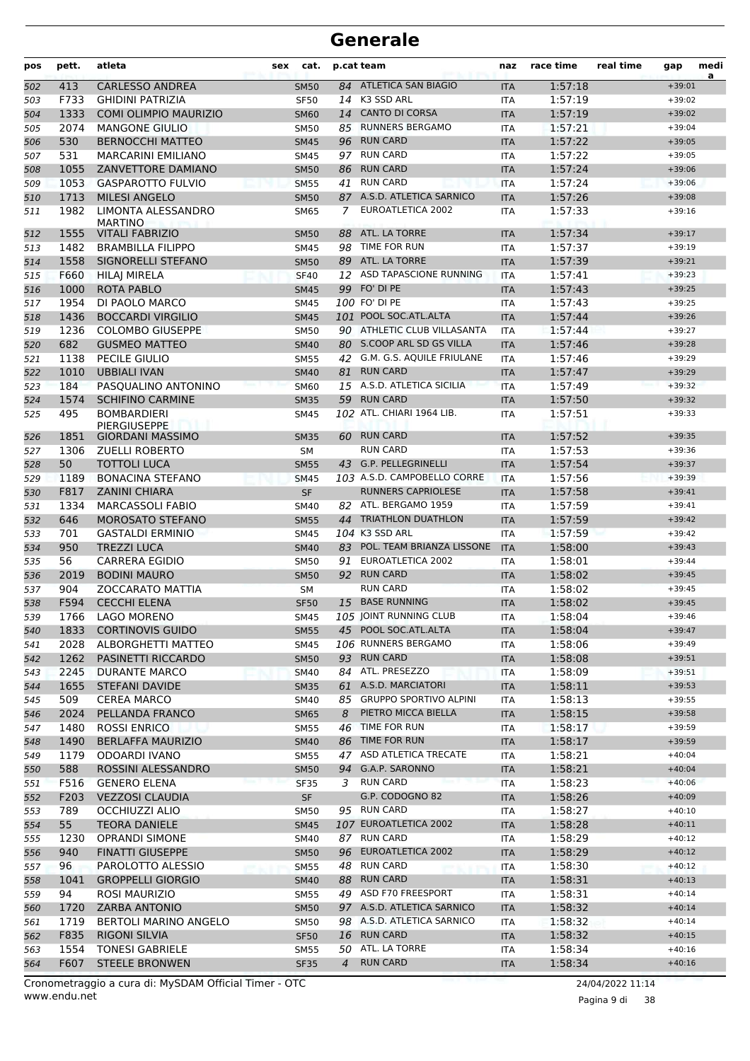| pos | pett. | atleta                               | <b>sex</b> | cat.        |                | p.cat team                      | naz        | race time | real time | gap                  | medi<br>a |
|-----|-------|--------------------------------------|------------|-------------|----------------|---------------------------------|------------|-----------|-----------|----------------------|-----------|
| 502 | 413   | <b>CARLESSO ANDREA</b>               |            | <b>SM50</b> |                | 84 ATLETICA SAN BIAGIO          | <b>ITA</b> | 1:57:18   |           | $+39:01$             |           |
| 503 | F733  | <b>GHIDINI PATRIZIA</b>              |            | <b>SF50</b> |                | 14 K3 SSD ARL                   | ITA        | 1:57:19   |           | $+39:02$             |           |
| 504 | 1333  | <b>COMI OLIMPIO MAURIZIO</b>         |            | <b>SM60</b> |                | 14 CANTO DI CORSA               | <b>ITA</b> | 1:57:19   |           | $+39:02$             |           |
| 505 | 2074  | <b>MANGONE GIULIO</b>                |            | <b>SM50</b> |                | 85 RUNNERS BERGAMO              | ITA        | 1:57:21   |           | $+39:04$             |           |
| 506 | 530   | <b>BERNOCCHI MATTEO</b>              |            | <b>SM45</b> |                | 96 RUN CARD                     | <b>ITA</b> | 1:57:22   |           | $+39:05$             |           |
| 507 | 531   | <b>MARCARINI EMILIANO</b>            |            | <b>SM45</b> |                | 97 RUN CARD                     | <b>ITA</b> | 1:57:22   |           | $+39:05$             |           |
| 508 | 1055  | ZANVETTORE DAMIANO                   |            | <b>SM50</b> | 86             | <b>RUN CARD</b>                 | <b>ITA</b> | 1:57:24   |           | $+39:06$             |           |
| 509 | 1053  | <b>GASPAROTTO FULVIO</b>             |            | <b>SM55</b> | 41             | <b>RUN CARD</b>                 | <b>ITA</b> | 1:57:24   |           | $+39:06$             |           |
| 510 | 1713  | <b>MILESI ANGELO</b>                 |            | <b>SM50</b> |                | 87 A.S.D. ATLETICA SARNICO      | <b>ITA</b> | 1:57:26   |           | $+39:08$             |           |
| 511 | 1982  | LIMONTA ALESSANDRO<br><b>MARTINO</b> |            | <b>SM65</b> | 7              | EUROATLETICA 2002               | <b>ITA</b> | 1:57:33   |           | $+39:16$             |           |
| 512 | 1555  | <b>VITALI FABRIZIO</b>               |            | <b>SM50</b> |                | 88 ATL. LA TORRE                | <b>ITA</b> | 1:57:34   |           | $+39:17$             |           |
| 513 | 1482  | <b>BRAMBILLA FILIPPO</b>             |            | <b>SM45</b> | 98             | TIME FOR RUN                    | ITA        | 1:57:37   |           | $+39:19$             |           |
| 514 | 1558  | SIGNORELLI STEFANO                   |            | <b>SM50</b> | 89             | ATL. LA TORRE                   | <b>ITA</b> | 1:57:39   |           | $+39:21$             |           |
| 515 | F660  | <b>HILAJ MIRELA</b>                  |            | <b>SF40</b> |                | 12 ASD TAPASCIONE RUNNING       | <b>ITA</b> | 1:57:41   |           | $+39:23$             |           |
| 516 | 1000  | ROTA PABLO                           |            | <b>SM45</b> |                | 99 FO' DI PE                    | <b>ITA</b> | 1:57:43   |           | $+39:25$             |           |
| 517 | 1954  | DI PAOLO MARCO                       |            | <b>SM45</b> |                | 100 FO' DI PE                   | <b>ITA</b> | 1:57:43   |           | $+39:25$             |           |
| 518 | 1436  | <b>BOCCARDI VIRGILIO</b>             |            | <b>SM45</b> |                | 101 POOL SOC.ATL.ALTA           | <b>ITA</b> | 1:57:44   |           | $+39:26$             |           |
| 519 | 1236  | <b>COLOMBO GIUSEPPE</b>              |            | <b>SM50</b> |                | 90 ATHLETIC CLUB VILLASANTA     | ITA        | 1:57:44   |           | $+39:27$             |           |
| 520 | 682   | <b>GUSMEO MATTEO</b>                 |            | <b>SM40</b> |                | 80 S.COOP ARL SD GS VILLA       | <b>ITA</b> | 1:57:46   |           | $+39:28$             |           |
| 521 | 1138  | <b>PECILE GIULIO</b>                 |            | <b>SM55</b> |                | 42 G.M. G.S. AQUILE FRIULANE    | <b>ITA</b> | 1:57:46   |           | $+39:29$             |           |
| 522 | 1010  | <b>UBBIALI IVAN</b>                  |            | <b>SM40</b> |                | 81 RUN CARD                     | <b>ITA</b> | 1:57:47   |           | $+39:29$             |           |
| 523 | 184   | PASQUALINO ANTONINO                  |            | <b>SM60</b> |                | 15 A.S.D. ATLETICA SICILIA      | <b>ITA</b> | 1:57:49   |           | $+39:32$             |           |
| 524 | 1574  | <b>SCHIFINO CARMINE</b>              |            | <b>SM35</b> |                | 59 RUN CARD                     | <b>ITA</b> | 1:57:50   |           | $+39:32$             |           |
| 525 | 495   | <b>BOMBARDIERI</b><br>PIERGIUSEPPE   |            | <b>SM45</b> |                | 102 ATL. CHIARI 1964 LIB.       | ITA        | 1:57:51   |           | $+39:33$             |           |
| 526 | 1851  | <b>GIORDANI MASSIMO</b>              |            | <b>SM35</b> |                | 60 RUN CARD                     | <b>ITA</b> | 1:57:52   |           | $+39:35$             |           |
| 527 | 1306  | <b>ZUELLI ROBERTO</b>                |            | <b>SM</b>   |                | <b>RUN CARD</b>                 | <b>ITA</b> | 1:57:53   |           | $+39:36$             |           |
| 528 | 50    | <b>TOTTOLI LUCA</b>                  |            | <b>SM55</b> |                | 43 G.P. PELLEGRINELLI           | <b>ITA</b> | 1:57:54   |           | $+39:37$             |           |
| 529 | 1189  | <b>BONACINA STEFANO</b>              |            | <b>SM45</b> |                | 103 A.S.D. CAMPOBELLO CORRE     | <b>ITA</b> | 1:57:56   |           | $+39:39$             |           |
| 530 | F817  | <b>ZANINI CHIARA</b>                 |            | <b>SF</b>   |                | <b>RUNNERS CAPRIOLESE</b>       | <b>ITA</b> | 1:57:58   |           | $+39:41$             |           |
| 531 | 1334  | <b>MARCASSOLI FABIO</b>              |            | <b>SM40</b> |                | 82 ATL. BERGAMO 1959            | <b>ITA</b> | 1:57:59   |           | $+39:41$             |           |
| 532 | 646   | <b>MOROSATO STEFANO</b>              |            | <b>SM55</b> | 44             | <b>TRIATHLON DUATHLON</b>       | <b>ITA</b> | 1:57:59   |           | $+39:42$             |           |
| 533 | 701   | <b>GASTALDI ERMINIO</b>              |            | <b>SM45</b> |                | 104 K3 SSD ARL                  | <b>ITA</b> | 1:57:59   |           | $+39:42$             |           |
| 534 | 950   | <b>TREZZI LUCA</b>                   |            | <b>SM40</b> |                | 83 POL. TEAM BRIANZA LISSONE    | <b>ITA</b> | 1:58:00   |           | $+39:43$             |           |
| 535 | 56    | <b>CARRERA EGIDIO</b>                |            | <b>SM50</b> |                | 91 EUROATLETICA 2002            | ITA        | 1:58:01   |           | $+39:44$             |           |
| 536 | 2019  | <b>BODINI MAURO</b>                  |            | <b>SM50</b> |                | 92 RUN CARD                     | <b>ITA</b> | 1:58:02   |           | $+39:45$             |           |
| 537 | 904   | <b>ZOCCARATO MATTIA</b>              |            | <b>SM</b>   |                | <b>RUN CARD</b>                 | <b>ITA</b> | 1:58:02   |           | $+39:45$             |           |
| 538 | F594  | <b>CECCHI ELENA</b>                  |            | <b>SF50</b> |                | 15 BASE RUNNING                 | <b>ITA</b> | 1:58:02   |           | $+39:45$             |           |
| 539 | 1766  | LAGO MORENO                          |            | <b>SM45</b> |                | 105 JOINT RUNNING CLUB          | <b>ITA</b> | 1:58:04   |           | $+39:46$             |           |
| 540 | 1833  | <b>CORTINOVIS GUIDO</b>              |            | <b>SM55</b> |                | 45 POOL SOC.ATL.ALTA            | <b>ITA</b> | 1:58:04   |           | $+39:47$             |           |
| 541 | 2028  | ALBORGHETTI MATTEO                   |            | SM45        |                | 106 RUNNERS BERGAMO             | ITA        | 1:58:06   |           | $+39:49$             |           |
| 542 | 1262  | PASINETTI RICCARDO                   |            | <b>SM50</b> |                | 93 RUN CARD                     | <b>ITA</b> | 1:58:08   |           | $+39:51$             |           |
| 543 | 2245  | <b>DURANTE MARCO</b>                 |            | <b>SM40</b> |                | 84 ATL. PRESEZZO                | ITA        | 1:58:09   |           | $+39:51$             |           |
| 544 | 1655  | STEFANI DAVIDE                       |            | <b>SM35</b> |                | 61 A.S.D. MARCIATORI            | <b>ITA</b> | 1:58:11   |           | $+39:53$             |           |
| 545 | 509   | <b>CEREA MARCO</b>                   |            | SM40        |                | 85 GRUPPO SPORTIVO ALPINI       | ITA        | 1:58:13   |           | $+39:55$             |           |
| 546 | 2024  | PELLANDA FRANCO                      |            | <b>SM65</b> | 8              | PIETRO MICCA BIELLA             | <b>ITA</b> | 1:58:15   |           | $+39:58$             |           |
| 547 | 1480  | <b>ROSSI ENRICO</b>                  |            | <b>SM55</b> |                | 46 TIME FOR RUN                 | ITA        | 1:58:17   |           | $+39:59$             |           |
| 548 | 1490  | <b>BERLAFFA MAURIZIO</b>             |            | <b>SM40</b> |                | 86 TIME FOR RUN                 | <b>ITA</b> | 1:58:17   |           | $+39:59$             |           |
| 549 | 1179  | <b>ODOARDI IVANO</b>                 |            | <b>SM55</b> |                | 47 ASD ATLETICA TRECATE         | ITA        | 1:58:21   |           | $+40:04$             |           |
| 550 | 588   | ROSSINI ALESSANDRO                   |            | <b>SM50</b> |                | 94 G.A.P. SARONNO               | <b>ITA</b> | 1:58:21   |           | $+40:04$             |           |
| 551 | F516  | <b>GENERO ELENA</b>                  |            | <b>SF35</b> | 3              | <b>RUN CARD</b>                 | <b>ITA</b> | 1:58:23   |           | $+40:06$             |           |
| 552 | F203  | <b>VEZZOSI CLAUDIA</b>               |            | SF          |                | G.P. CODOGNO 82                 | <b>ITA</b> | 1:58:26   |           | $+40:09$             |           |
| 553 | 789   | OCCHIUZZI ALIO                       |            | SM50        |                | 95 RUN CARD                     | ITA        | 1:58:27   |           | $+40:10$             |           |
| 554 | 55    | <b>TEORA DANIELE</b>                 |            | <b>SM45</b> |                | 107 EUROATLETICA 2002           | <b>ITA</b> | 1:58:28   |           | $+40:11$             |           |
| 555 | 1230  | <b>OPRANDI SIMONE</b>                |            | SM40        |                | 87 RUN CARD                     | ITA        | 1:58:29   |           | $+40:12$             |           |
| 556 | 940   | <b>FINATTI GIUSEPPE</b>              |            | <b>SM50</b> |                | 96 EUROATLETICA 2002            | <b>ITA</b> | 1:58:29   |           | $+40:12$             |           |
| 557 | 96    | PAROLOTTO ALESSIO                    |            | <b>SM55</b> |                | 48 RUN CARD                     | ITA        | 1:58:30   |           | $+40:12$             |           |
| 558 | 1041  | <b>GROPPELLI GIORGIO</b>             |            | <b>SM40</b> |                | 88 RUN CARD                     | <b>ITA</b> | 1:58:31   |           | $+40:13$             |           |
| 559 | 94    | ROSI MAURIZIO                        |            | <b>SM55</b> |                | 49 ASD F70 FREESPORT            | ITA        | 1:58:31   |           | $+40:14$             |           |
| 560 | 1720  | <b>ZARBA ANTONIO</b>                 |            | <b>SM50</b> |                | 97 A.S.D. ATLETICA SARNICO      | <b>ITA</b> | 1:58:32   |           | $+40:14$             |           |
| 561 | 1719  | <b>BERTOLI MARINO ANGELO</b>         |            | SM50        |                | 98 A.S.D. ATLETICA SARNICO      | ITA        | 1:58:32   |           | $+40:14$             |           |
| 562 | F835  | RIGONI SILVIA                        |            | <b>SF50</b> |                | 16 RUN CARD<br>50 ATL. LA TORRE | <b>ITA</b> | 1:58:32   |           | $+40:15$<br>$+40:16$ |           |
| 563 | 1554  | <b>TONESI GABRIELE</b>               |            | <b>SM55</b> |                | <b>RUN CARD</b>                 | ITA        | 1:58:34   |           |                      |           |
| 564 | F607  | <b>STEELE BRONWEN</b>                |            | <b>SF35</b> | $\overline{4}$ |                                 | <b>ITA</b> | 1:58:34   |           | $+40:16$             |           |

www.endu.net Cronometraggio a cura di: MySDAM Official Timer - OTC 24/04/2022 11:14

Pagina 9 di 38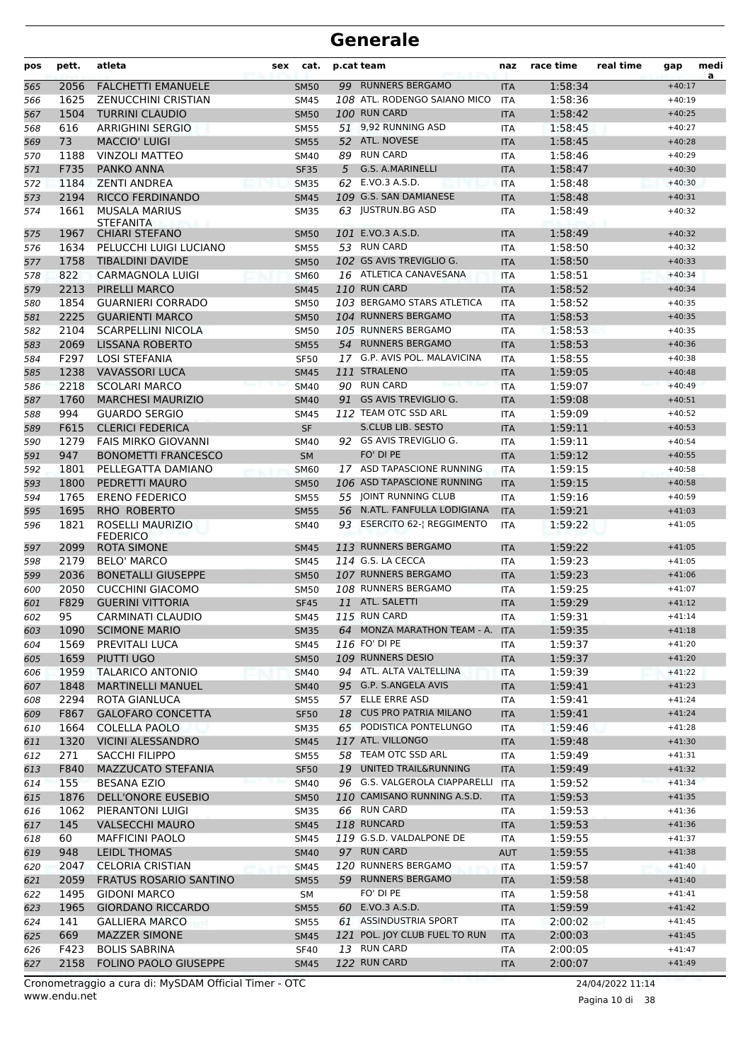| pos        | pett.        | atleta                                              | sex | cat.                       |    | p.cat team                                 | naz                      | race time          | real time | gap                  | medi<br>a |
|------------|--------------|-----------------------------------------------------|-----|----------------------------|----|--------------------------------------------|--------------------------|--------------------|-----------|----------------------|-----------|
| 565        | 2056         | <b>FALCHETTI EMANUELE</b>                           |     | <b>SM50</b>                |    | 99 RUNNERS BERGAMO                         | <b>ITA</b>               | 1:58:34            |           | $+40:17$             |           |
| 566        | 1625         | <b>ZENUCCHINI CRISTIAN</b>                          |     | <b>SM45</b>                |    | 108 ATL. RODENGO SAIANO MICO               | <b>ITA</b>               | 1:58:36            |           | $+40:19$             |           |
| 567        | 1504         | <b>TURRINI CLAUDIO</b>                              |     | <b>SM50</b>                |    | 100 RUN CARD                               | <b>ITA</b>               | 1:58:42            |           | $+40:25$             |           |
| 568        | 616          | <b>ARRIGHINI SERGIO</b>                             |     | <b>SM55</b>                |    | 51 9,92 RUNNING ASD                        | ITA                      | 1:58:45            |           | $+40:27$             |           |
| 569        | 73           | <b>MACCIO' LUIGI</b>                                |     | <b>SM55</b>                |    | 52 ATL. NOVESE                             | <b>ITA</b>               | 1:58:45            |           | $+40:28$             |           |
| 570        | 1188         | <b>VINZOLI MATTEO</b>                               |     | <b>SM40</b>                |    | 89 RUN CARD                                | <b>ITA</b>               | 1:58:46            |           | $+40:29$             |           |
| 571        | F735         | <b>PANKO ANNA</b>                                   |     | <b>SF35</b>                | 5  | G.S. A.MARINELLI                           | <b>ITA</b>               | 1:58:47            |           | $+40:30$             |           |
| 572        | 1184         | <b>ZENTI ANDREA</b>                                 |     | <b>SM35</b>                |    | 62 E.VO.3 A.S.D.                           | <b>ITA</b>               | 1:58:48            |           | $+40:30$             |           |
| 573        | 2194         | <b>RICCO FERDINANDO</b>                             |     | <b>SM45</b>                |    | 109 G.S. SAN DAMIANESE                     | <b>ITA</b>               | 1:58:48            |           | $+40:31$             |           |
| 574        | 1661         | <b>MUSALA MARIUS</b><br><b>STEFANITA</b>            |     | <b>SM35</b>                |    | 63 JUSTRUN.BG ASD                          | ITA                      | 1:58:49            |           | $+40:32$             |           |
| 575        | 1967         | <b>CHIARI STEFANO</b>                               |     | <b>SM50</b>                |    | 101 E.VO.3 A.S.D.                          | <b>ITA</b>               | 1:58:49            |           | $+40:32$             |           |
| 576        | 1634         | PELUCCHI LUIGI LUCIANO                              |     | <b>SM55</b>                |    | 53 RUN CARD                                | <b>ITA</b>               | 1:58:50            |           | $+40:32$             |           |
| 577        | 1758         | <b>TIBALDINI DAVIDE</b>                             |     | <b>SM50</b>                |    | 102 GS AVIS TREVIGLIO G.                   | <b>ITA</b>               | 1:58:50            |           | $+40:33$             |           |
| 578        | 822          | CARMAGNOLA LUIGI                                    |     | <b>SM60</b>                |    | 16 ATLETICA CANAVESANA                     | <b>ITA</b>               | 1:58:51            |           | $+40:34$             |           |
| 579        | 2213         | <b>PIRELLI MARCO</b>                                |     | <b>SM45</b>                |    | 110 RUN CARD<br>103 BERGAMO STARS ATLETICA | <b>ITA</b>               | 1:58:52            |           | $+40:34$             |           |
| 580        | 1854<br>2225 | <b>GUARNIERI CORRADO</b>                            |     | <b>SM50</b>                |    | 104 RUNNERS BERGAMO                        | <b>ITA</b>               | 1:58:52<br>1:58:53 |           | $+40:35$<br>$+40:35$ |           |
| 581        | 2104         | <b>GUARIENTI MARCO</b><br><b>SCARPELLINI NICOLA</b> |     | <b>SM50</b>                |    | 105 RUNNERS BERGAMO                        | <b>ITA</b><br><b>ITA</b> | 1:58:53            |           | $+40:35$             |           |
| 582<br>583 | 2069         | <b>LISSANA ROBERTO</b>                              |     | <b>SM50</b><br><b>SM55</b> |    | 54 RUNNERS BERGAMO                         | <b>ITA</b>               | 1:58:53            |           | $+40:36$             |           |
| 584        | F297         | <b>LOSI STEFANIA</b>                                |     | <b>SF50</b>                |    | 17 G.P. AVIS POL. MALAVICINA               | <b>ITA</b>               | 1:58:55            |           | $+40:38$             |           |
| 585        | 1238         | <b>VAVASSORI LUCA</b>                               |     | <b>SM45</b>                |    | 111 STRALENO                               | <b>ITA</b>               | 1:59:05            |           | $+40:48$             |           |
| 586        | 2218         | <b>SCOLARI MARCO</b>                                |     | <b>SM40</b>                |    | 90 RUN CARD                                | <b>ITA</b>               | 1:59:07            |           | $+40:49$             |           |
| 587        | 1760         | <b>MARCHESI MAURIZIO</b>                            |     | <b>SM40</b>                | 91 | GS AVIS TREVIGLIO G.                       | <b>ITA</b>               | 1:59:08            |           | $+40:51$             |           |
| 588        | 994          | <b>GUARDO SERGIO</b>                                |     | <b>SM45</b>                |    | 112 TEAM OTC SSD ARL                       | <b>ITA</b>               | 1:59:09            |           | $+40:52$             |           |
| 589        | F615         | <b>CLERICI FEDERICA</b>                             |     | <b>SF</b>                  |    | <b>S.CLUB LIB. SESTO</b>                   | <b>ITA</b>               | 1:59:11            |           | $+40:53$             |           |
| 590        | 1279         | <b>FAIS MIRKO GIOVANNI</b>                          |     | SM40                       |    | 92 GS AVIS TREVIGLIO G.                    | <b>ITA</b>               | 1:59:11            |           | $+40:54$             |           |
| 591        | 947          | <b>BONOMETTI FRANCESCO</b>                          |     | <b>SM</b>                  |    | FO' DI PE                                  | <b>ITA</b>               | 1:59:12            |           | $+40:55$             |           |
| 592        | 1801         | PELLEGATTA DAMIANO                                  |     | <b>SM60</b>                |    | 17 ASD TAPASCIONE RUNNING                  | <b>ITA</b>               | 1:59:15            |           | $+40:58$             |           |
| 593        | 1800         | PEDRETTI MAURO                                      |     | <b>SM50</b>                |    | 106 ASD TAPASCIONE RUNNING                 | <b>ITA</b>               | 1:59:15            |           | $+40:58$             |           |
| 594        | 1765         | <b>ERENO FEDERICO</b>                               |     | <b>SM55</b>                |    | 55 JOINT RUNNING CLUB                      | <b>ITA</b>               | 1:59:16            |           | $+40:59$             |           |
| 595        | 1695         | RHO ROBERTO                                         |     | <b>SM55</b>                |    | 56 N.ATL. FANFULLA LODIGIANA               | <b>ITA</b>               | 1:59:21            |           | $+41:03$             |           |
| 596        | 1821         | ROSELLI MAURIZIO<br><b>FEDERICO</b>                 |     | SM40                       |    | 93 ESERCITO 62-  REGGIMENTO                | <b>ITA</b>               | 1:59:22            |           | $+41:05$             |           |
| 597        | 2099         | ROTA SIMONE                                         |     | <b>SM45</b>                |    | 113 RUNNERS BERGAMO                        | <b>ITA</b>               | 1:59:22            |           | $+41:05$             |           |
| 598        | 2179         | <b>BELO' MARCO</b>                                  |     | <b>SM45</b>                |    | 114 G.S. LA CECCA                          | <b>ITA</b>               | 1:59:23            |           | $+41:05$             |           |
| 599        | 2036         | <b>BONETALLI GIUSEPPE</b>                           |     | <b>SM50</b>                |    | 107 RUNNERS BERGAMO                        | <b>ITA</b>               | 1:59:23            |           | $+41:06$             |           |
| 600        | 2050         | <b>CUCCHINI GIACOMO</b>                             |     | SM50                       |    | 108 RUNNERS BERGAMO                        | <b>ITA</b>               | 1:59:25            |           | $+41:07$             |           |
| 601        | F829         | <b>GUERINI VITTORIA</b>                             |     | <b>SF45</b>                |    | 11 ATL. SALETTI                            | <b>ITA</b>               | 1:59:29            |           | $+41:12$             |           |
| 602        | 95           | <b>CARMINATI CLAUDIO</b>                            |     | <b>SM45</b>                |    | 115 RUN CARD                               | <b>ITA</b>               | 1:59:31            |           | $+41:14$             |           |
| 603        | 1090         | <b>SCIMONE MARIO</b>                                |     | <b>SM35</b>                |    | 64 MONZA MARATHON TEAM - A. ITA            |                          | 1:59:35            |           | $+41:18$             |           |
| 604        | 1569         | PREVITALI LUCA                                      |     | <b>SM45</b>                |    | 116 FO' DI PE                              | ITA                      | 1:59:37            |           | $+41:20$             |           |
| 605        | 1659         | PIUTTI UGO                                          |     | <b>SM50</b>                |    | 109 RUNNERS DESIO                          | <b>ITA</b>               | 1:59:37            |           | $+41:20$             |           |
| 606        | 1959         | <b>TALARICO ANTONIO</b>                             |     | <b>SM40</b>                |    | 94 ATL. ALTA VALTELLINA                    | ITA                      | 1:59:39            |           | $+41:22$             |           |
| 607        | 1848<br>2294 | <b>MARTINELLI MANUEL</b>                            |     | <b>SM40</b>                |    | 95 G.P. S.ANGELA AVIS<br>57 ELLE ERRE ASD  | <b>ITA</b>               | 1:59:41            |           | $+41:23$<br>$+41:24$ |           |
| 608<br>609 | F867         | ROTA GIANLUCA<br><b>GALOFARO CONCETTA</b>           |     | SM55<br><b>SF50</b>        |    | 18 CUS PRO PATRIA MILANO                   | ITA<br><b>ITA</b>        | 1:59:41<br>1:59:41 |           | $+41:24$             |           |
| 610        | 1664         | <b>COLELLA PAOLO</b>                                |     | SM35                       |    | 65 PODISTICA PONTELUNGO                    | ITA                      | 1:59:46            |           | $+41:28$             |           |
| 611        | 1320         | <b>VICINI ALESSANDRO</b>                            |     | <b>SM45</b>                |    | 117 ATL. VILLONGO                          | <b>ITA</b>               | 1:59:48            |           | $+41:30$             |           |
| 612        | 271          | SACCHI FILIPPO                                      |     | <b>SM55</b>                |    | 58 TEAM OTC SSD ARL                        | ITA.                     | 1:59:49            |           | $+41:31$             |           |
| 613        | F840         | MAZZUCATO STEFANIA                                  |     | <b>SF50</b>                |    | 19 UNITED TRAIL&RUNNING                    | <b>ITA</b>               | 1:59:49            |           | $+41:32$             |           |
| 614        | 155          | <b>BESANA EZIO</b>                                  |     | <b>SM40</b>                |    | 96 G.S. VALGEROLA CIAPPARELLI              | <b>ITA</b>               | 1:59:52            |           | $+41:34$             |           |
| 615        | 1876         | <b>DELL'ONORE EUSEBIO</b>                           |     | <b>SM50</b>                |    | 110 CAMISANO RUNNING A.S.D.                | <b>ITA</b>               | 1:59:53            |           | $+41:35$             |           |
| 616        | 1062         | PIERANTONI LUIGI                                    |     | <b>SM35</b>                |    | 66 RUN CARD                                | ITA                      | 1:59:53            |           | $+41:36$             |           |
| 617        | 145          | <b>VALSECCHI MAURO</b>                              |     | <b>SM45</b>                |    | 118 RUNCARD                                | <b>ITA</b>               | 1:59:53            |           | $+41:36$             |           |
| 618        | 60           | <b>MAFFICINI PAOLO</b>                              |     | SM45                       |    | 119 G.S.D. VALDALPONE DE                   | ITA                      | 1:59:55            |           | $+41:37$             |           |
| 619        | 948          | <b>LEIDL THOMAS</b>                                 |     | <b>SM40</b>                |    | 97 RUN CARD                                | AUT                      | 1:59:55            |           | $+41:38$             |           |
| 620        | 2047         | <b>CELORIA CRISTIAN</b>                             |     | <b>SM45</b>                |    | 120 RUNNERS BERGAMO                        | ITA                      | 1:59:57            |           | $+41:40$             |           |
| 621        | 2059         | <b>FRATUS ROSARIO SANTINO</b>                       |     | <b>SM55</b>                |    | 59 RUNNERS BERGAMO                         | <b>ITA</b>               | 1:59:58            |           | $+41:40$             |           |
| 622        | 1495         | <b>GIDONI MARCO</b>                                 |     | SM                         |    | FO' DI PE                                  | ITA                      | 1:59:58            |           | $+41:41$             |           |
| 623        | 1965         | <b>GIORDANO RICCARDO</b>                            |     | <b>SM55</b>                |    | 60 E.VO.3 A.S.D.                           | <b>ITA</b>               | 1:59:59            |           | $+41:42$             |           |
| 624        | 141          | <b>GALLIERA MARCO</b>                               |     | SM55                       |    | 61 ASSINDUSTRIA SPORT                      | ITA                      | 2:00:02            |           | $+41:45$             |           |
| 625        | 669          | <b>MAZZER SIMONE</b>                                |     | <b>SM45</b>                |    | 121 POL. JOY CLUB FUEL TO RUN              | <b>ITA</b>               | 2:00:03            |           | $+41:45$             |           |
| 626        | F423         | <b>BOLIS SABRINA</b>                                |     | <b>SF40</b>                |    | 13 RUN CARD                                | ITA                      | 2:00:05            |           | $+41:47$             |           |
| 627        | 2158         | <b>FOLINO PAOLO GIUSEPPE</b>                        |     | <b>SM45</b>                |    | 122 RUN CARD                               | <b>ITA</b>               | 2:00:07            |           | $+41:49$             |           |

www.endu.net Cronometraggio a cura di: MySDAM Official Timer - OTC 24/04/2022 11:14

Pagina 10 di 38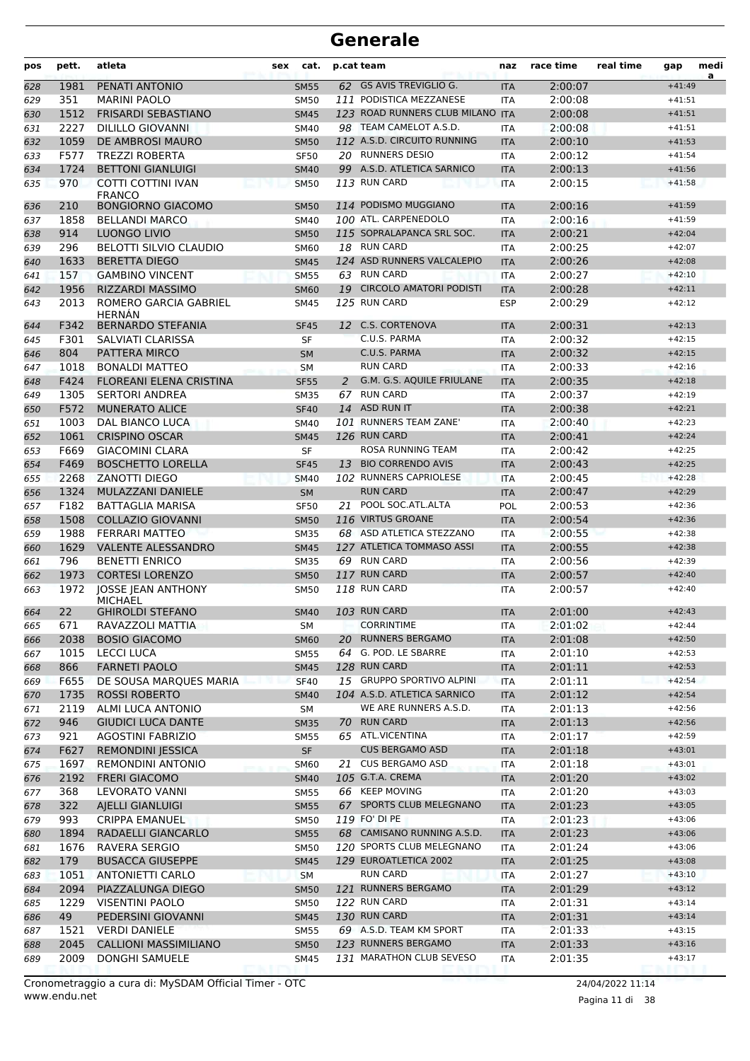| 62 GS AVIS TREVIGLIO G.<br>$+41:49$<br>1981<br>PENATI ANTONIO<br><b>SM55</b><br><b>ITA</b><br>2:00:07<br>351<br>111 PODISTICA MEZZANESE<br><b>MARINI PAOLO</b><br>2:00:08<br><b>SM50</b><br><b>ITA</b><br>$+41:51$<br>1512<br>123 ROAD RUNNERS CLUB MILANO ITA<br><b>FRISARDI SEBASTIANO</b><br>2:00:08<br><b>SM45</b><br>$+41:51$<br>2227<br><b>DILILLO GIOVANNI</b><br>98 TEAM CAMELOT A.S.D.<br>2:00:08<br>$+41:51$<br><b>SM40</b><br><b>ITA</b><br>1059<br>112 A.S.D. CIRCUITO RUNNING<br>DE AMBROSI MAURO<br>2:00:10<br><b>SM50</b><br>$+41:53$<br><b>ITA</b><br>20 RUNNERS DESIO<br>F577<br><b>TREZZI ROBERTA</b><br>2:00:12<br><b>SF50</b><br><b>ITA</b><br>$+41:54$<br><b>BETTONI GIANLUIGI</b><br>99 A.S.D. ATLETICA SARNICO<br>1724<br>2:00:13<br>$+41:56$<br><b>SM40</b><br><b>ITA</b><br>970<br>113 RUN CARD<br>COTTI COTTINI IVAN<br>2:00:15<br><b>SM50</b><br><b>ITA</b><br>$+41:58$<br><b>FRANCO</b><br>114 PODISMO MUGGIANO<br><b>BONGIORNO GIACOMO</b><br>2:00:16<br>210<br><b>SM50</b><br>$+41:59$<br>636<br><b>ITA</b><br>100 ATL. CARPENEDOLO<br>1858<br><b>BELLANDI MARCO</b><br>2:00:16<br><b>SM40</b><br><b>ITA</b><br>$+41:59$<br>115 SOPRALAPANCA SRL SOC.<br>2:00:21<br>914<br>LUONGO LIVIO<br>$+42:04$<br><b>SM50</b><br><b>ITA</b><br>638<br>18 RUN CARD<br>2:00:25<br>296<br><b>BELOTTI SILVIO CLAUDIO</b><br>639<br><b>SM60</b><br><b>ITA</b><br>$+42:07$<br>124 ASD RUNNERS VALCALEPIO<br>1633<br><b>BERETTA DIEGO</b><br>2:00:26<br><b>SM45</b><br><b>ITA</b><br>$+42:08$<br>63 RUN CARD<br>157<br><b>GAMBINO VINCENT</b><br><b>SM55</b><br>2:00:27<br>$+42:10$<br><b>ITA</b><br>1956<br>RIZZARDI MASSIMO<br><b>CIRCOLO AMATORI PODISTI</b><br>19<br>2:00:28<br><b>SM60</b><br><b>ITA</b><br>$+42:11$<br>125 RUN CARD<br>2013<br>ROMERO GARCIA GABRIEL<br>2:00:29<br><b>ESP</b><br>$+42:12$<br><b>SM45</b><br><b>HERNÁN</b><br>F342<br><b>BERNARDO STEFANIA</b><br>12 C.S. CORTENOVA<br>2:00:31<br>$+42:13$<br><b>SF45</b><br><b>ITA</b><br>644<br>C.U.S. PARMA<br>2:00:32<br>F301<br>SALVIATI CLARISSA<br>SF<br>$+42:15$<br>645<br><b>ITA</b><br>C.U.S. PARMA<br>804<br>PATTERA MIRCO<br>2:00:32<br><b>SM</b><br><b>ITA</b><br>$+42:15$<br>646<br><b>RUN CARD</b><br>1018<br><b>BONALDI MATTEO</b><br>2:00:33<br>$+42:16$<br>647<br><b>SM</b><br><b>ITA</b><br>F424<br><b>FLOREANI ELENA CRISTINA</b><br>G.M. G.S. AQUILE FRIULANE<br><b>SF55</b><br>2:00:35<br>$+42:18$<br>648<br>2<br><b>ITA</b><br>67 RUN CARD<br>1305<br><b>SERTORI ANDREA</b><br>2:00:37<br><b>SM35</b><br><b>ITA</b><br>$+42:19$<br>649<br>F572<br>14 ASD RUN IT<br><b>MUNERATO ALICE</b><br>2:00:38<br><b>SF40</b><br>$+42:21$<br>650<br><b>ITA</b><br>101 RUNNERS TEAM ZANE'<br>1003<br><b>DAL BIANCO LUCA</b><br>2:00:40<br><b>SM40</b><br><b>ITA</b><br>$+42:23$<br>651<br>1061<br><b>CRISPINO OSCAR</b><br>126 RUN CARD<br>2:00:41<br>652<br><b>SM45</b><br><b>ITA</b><br>$+42:24$<br>F669<br><b>GIACOMINI CLARA</b><br>ROSA RUNNING TEAM<br>2:00:42<br>$+42:25$<br>653<br>SF<br><b>ITA</b><br>F469<br><b>BOSCHETTO LORELLA</b><br><b>BIO CORRENDO AVIS</b><br><b>SF45</b><br>13<br><b>ITA</b><br>2:00:43<br>$+42:25$<br>654<br>2268<br>102 RUNNERS CAPRIOLESE<br><b>ZANOTTI DIEGO</b><br>2:00:45<br><b>SM40</b><br><b>ITA</b><br>$+42:28$<br>655<br>1324<br>MULAZZANI DANIELE<br><b>RUN CARD</b><br>2:00:47<br><b>SM</b><br>$+42:29$<br>656<br><b>ITA</b><br>F182<br>POOL SOC.ATL.ALTA<br><b>BATTAGLIA MARISA</b><br><b>SF50</b><br>21<br>POL<br>2:00:53<br>$+42:36$<br>657<br>1508<br>116 VIRTUS GROANE<br><b>COLLAZIO GIOVANNI</b><br>2:00:54<br><b>SM50</b><br>$+42:36$<br>658<br><b>ITA</b><br>1988<br><b>FERRARI MATTEO</b><br>68 ASD ATLETICA STEZZANO<br>2:00:55<br>$+42:38$<br>659<br><b>SM35</b><br><b>ITA</b><br>127 ATLETICA TOMMASO ASSI<br>1629<br><b>VALENTE ALESSANDRO</b><br><b>ITA</b><br>2:00:55<br>660<br><b>SM45</b><br>$+42:38$<br>796<br>69 RUN CARD<br><b>BENETTI ENRICO</b><br>2:00:56<br><b>SM35</b><br><b>ITA</b><br>$+42:39$<br>661<br>117 RUN CARD<br>1973<br><b>CORTESI LORENZO</b><br>2:00:57<br>$+42:40$<br>662<br><b>SM50</b><br><b>ITA</b><br><b>118 RUN CARD</b><br>1972<br>JOSSE JEAN ANTHONY<br><b>SM50</b><br>2:00:57<br><b>ITA</b><br>$+42:40$<br><b>MICHAEL</b><br>103 RUN CARD<br>22<br><b>GHIROLDI STEFANO</b><br><b>SM40</b><br>2:01:00<br>$+42:43$<br>664<br><b>ITA</b><br>RAVAZZOLI MATTIA<br><b>CORRINTIME</b><br>2:01:02<br>671<br>$+42:44$<br>SΜ<br>ITA<br>665<br><b>RUNNERS BERGAMO</b><br>2038<br>2:01:08<br>$+42:50$<br><b>BOSIO GIACOMO</b><br><b>SM60</b><br><b>ITA</b><br>666<br>20<br>64 G. POD. LE SBARRE<br>1015<br><b>LECCI LUCA</b><br><b>SM55</b><br>2:01:10<br>$+42:53$<br>ITA<br>667<br>866<br><b>FARNETI PAOLO</b><br>128 RUN CARD<br><b>ITA</b><br>2:01:11<br><b>SM45</b><br>$+42:53$<br>668<br>15 GRUPPO SPORTIVO ALPINI<br>F655<br>$+42:54$<br>DE SOUSA MARQUES MARIA<br><b>SF40</b><br><b>ITA</b><br>2:01:11<br>1735<br><b>ROSSI ROBERTO</b><br>104 A.S.D. ATLETICA SARNICO<br>2:01:12<br>$+42:54$<br><b>SM40</b><br><b>ITA</b><br>WE ARE RUNNERS A.S.D.<br>2119<br>ALMI LUCA ANTONIO<br>2:01:13<br>$+42:56$<br>SM<br>ITA<br>70 RUN CARD<br>$+42:56$<br>946<br><b>GIUDICI LUCA DANTE</b><br>2:01:13<br><b>SM35</b><br><b>ITA</b><br>65 ATL.VICENTINA<br>2:01:17<br>921<br><b>AGOSTINI FABRIZIO</b><br><b>SM55</b><br>$+42:59$<br>ITA<br>SF<br><b>CUS BERGAMO ASD</b><br>F627<br><b>REMONDINI JESSICA</b><br>2:01:18<br>$+43:01$<br><b>ITA</b><br>21 CUS BERGAMO ASD<br>$+43:01$<br>1697<br><b>REMONDINI ANTONIO</b><br><b>ITA</b><br>2:01:18<br><b>SM60</b><br>105 G.T.A. CREMA<br>2:01:20<br>2192<br><b>FRERI GIACOMO</b><br>$+43:02$<br><b>SM40</b><br><b>ITA</b><br>66 KEEP MOVING<br>368<br>2:01:20<br>$+43:03$<br>LEVORATO VANNI<br><b>SM55</b><br>ITA<br>67 SPORTS CLUB MELEGNANO<br>2:01:23<br>$+43:05$<br>322<br>AJELLI GIANLUIGI<br><b>SM55</b><br><b>ITA</b><br>119 FO' DI PE<br>993<br><b>CRIPPA EMANUEL</b><br>SM50<br>2:01:23<br>$+43:06$<br>ITA<br>68 CAMISANO RUNNING A.S.D.<br>1894<br>RADAELLI GIANCARLO<br>2:01:23<br>$+43:06$<br><b>SM55</b><br><b>ITA</b><br>120 SPORTS CLUB MELEGNANO<br>$+43:06$<br>1676<br>RAVERA SERGIO<br>2:01:24<br><b>SM50</b><br>ITA<br>179<br><b>BUSACCA GIUSEPPE</b><br>129 EUROATLETICA 2002<br>2:01:25<br><b>SM45</b><br><b>ITA</b><br>$+43:08$<br><b>RUN CARD</b><br>1051<br>2:01:27<br>$+43:10$<br>ANTONIETTI CARLO<br><b>SM</b><br>ITA<br>121 RUNNERS BERGAMO<br>$+43:12$<br>2094<br>PIAZZALUNGA DIEGO<br><b>SM50</b><br>2:01:29<br><b>ITA</b><br>122 RUN CARD<br>1229<br><b>VISENTINI PAOLO</b><br><b>SM50</b><br>2:01:31<br>$+43:14$<br>ITA<br>130 RUN CARD<br>49<br>PEDERSINI GIOVANNI<br>2:01:31<br>$+43:14$<br><b>SM45</b><br><b>ITA</b><br>69 A.S.D. TEAM KM SPORT<br>$+43:15$<br>1521<br><b>VERDI DANIELE</b><br><b>SM55</b><br><b>ITA</b><br>2:01:33<br>123 RUNNERS BERGAMO<br>2045<br><b>CALLIONI MASSIMILIANO</b><br><b>SM50</b><br>2:01:33<br>$+43:16$<br><b>ITA</b><br>2009<br>131 MARATHON CLUB SEVESO<br>DONGHI SAMUELE<br>2:01:35<br>$+43:17$<br>SM45<br>ITA | pos | pett. | atleta | sex | cat. | p.cat team | naz | race time | real time | gap | medi |
|---------------------------------------------------------------------------------------------------------------------------------------------------------------------------------------------------------------------------------------------------------------------------------------------------------------------------------------------------------------------------------------------------------------------------------------------------------------------------------------------------------------------------------------------------------------------------------------------------------------------------------------------------------------------------------------------------------------------------------------------------------------------------------------------------------------------------------------------------------------------------------------------------------------------------------------------------------------------------------------------------------------------------------------------------------------------------------------------------------------------------------------------------------------------------------------------------------------------------------------------------------------------------------------------------------------------------------------------------------------------------------------------------------------------------------------------------------------------------------------------------------------------------------------------------------------------------------------------------------------------------------------------------------------------------------------------------------------------------------------------------------------------------------------------------------------------------------------------------------------------------------------------------------------------------------------------------------------------------------------------------------------------------------------------------------------------------------------------------------------------------------------------------------------------------------------------------------------------------------------------------------------------------------------------------------------------------------------------------------------------------------------------------------------------------------------------------------------------------------------------------------------------------------------------------------------------------------------------------------------------------------------------------------------------------------------------------------------------------------------------------------------------------------------------------------------------------------------------------------------------------------------------------------------------------------------------------------------------------------------------------------------------------------------------------------------------------------------------------------------------------------------------------------------------------------------------------------------------------------------------------------------------------------------------------------------------------------------------------------------------------------------------------------------------------------------------------------------------------------------------------------------------------------------------------------------------------------------------------------------------------------------------------------------------------------------------------------------------------------------------------------------------------------------------------------------------------------------------------------------------------------------------------------------------------------------------------------------------------------------------------------------------------------------------------------------------------------------------------------------------------------------------------------------------------------------------------------------------------------------------------------------------------------------------------------------------------------------------------------------------------------------------------------------------------------------------------------------------------------------------------------------------------------------------------------------------------------------------------------------------------------------------------------------------------------------------------------------------------------------------------------------------------------------------------------------------------------------------------------------------------------------------------------------------------------------------------------------------------------------------------------------------------------------------------------------------------------------------------------------------------------------------------------------------------------------------------------------------------------------------------------------------------------------------------------------------------------------------------------------------------------------------------------------------------------------------------------------------------------------------------------------------------------------------------------------------------------------------------------------------------------------------------------------------------------------------------------------------------------------------------------------------------------------------------------------------------------------------------------------------------------------------------------------------------------------------------------------------------------------------------------------------------------------------------------------------------------------------------------------------------------------------------------------------------------------------------------------------------------------------------------------------------------------------------------------------------------------------------------------------------------------------------------------------------------------------------------------------------------------------------------------------------------------------------------------------------------------------------------------------------------------------------------------------------------------------------------------------------------------------------------------------------------------------------------------------------------------------------------------------------------------------------------------------------------------------------------------------------------------------------------------|-----|-------|--------|-----|------|------------|-----|-----------|-----------|-----|------|
|                                                                                                                                                                                                                                                                                                                                                                                                                                                                                                                                                                                                                                                                                                                                                                                                                                                                                                                                                                                                                                                                                                                                                                                                                                                                                                                                                                                                                                                                                                                                                                                                                                                                                                                                                                                                                                                                                                                                                                                                                                                                                                                                                                                                                                                                                                                                                                                                                                                                                                                                                                                                                                                                                                                                                                                                                                                                                                                                                                                                                                                                                                                                                                                                                                                                                                                                                                                                                                                                                                                                                                                                                                                                                                                                                                                                                                                                                                                                                                                                                                                                                                                                                                                                                                                                                                                                                                                                                                                                                                                                                                                                                                                                                                                                                                                                                                                                                                                                                                                                                                                                                                                                                                                                                                                                                                                                                                                                                                                                                                                                                                                                                                                                                                                                                                                                                                                                                                                                                                                                                                                                                                                                                                                                                                                                                                                                                                                                                                                                                                                                                                                                                                                                                                                                                                                                                                                                                                                                                                                                               | 628 |       |        |     |      |            |     |           |           |     | a    |
|                                                                                                                                                                                                                                                                                                                                                                                                                                                                                                                                                                                                                                                                                                                                                                                                                                                                                                                                                                                                                                                                                                                                                                                                                                                                                                                                                                                                                                                                                                                                                                                                                                                                                                                                                                                                                                                                                                                                                                                                                                                                                                                                                                                                                                                                                                                                                                                                                                                                                                                                                                                                                                                                                                                                                                                                                                                                                                                                                                                                                                                                                                                                                                                                                                                                                                                                                                                                                                                                                                                                                                                                                                                                                                                                                                                                                                                                                                                                                                                                                                                                                                                                                                                                                                                                                                                                                                                                                                                                                                                                                                                                                                                                                                                                                                                                                                                                                                                                                                                                                                                                                                                                                                                                                                                                                                                                                                                                                                                                                                                                                                                                                                                                                                                                                                                                                                                                                                                                                                                                                                                                                                                                                                                                                                                                                                                                                                                                                                                                                                                                                                                                                                                                                                                                                                                                                                                                                                                                                                                                               | 629 |       |        |     |      |            |     |           |           |     |      |
|                                                                                                                                                                                                                                                                                                                                                                                                                                                                                                                                                                                                                                                                                                                                                                                                                                                                                                                                                                                                                                                                                                                                                                                                                                                                                                                                                                                                                                                                                                                                                                                                                                                                                                                                                                                                                                                                                                                                                                                                                                                                                                                                                                                                                                                                                                                                                                                                                                                                                                                                                                                                                                                                                                                                                                                                                                                                                                                                                                                                                                                                                                                                                                                                                                                                                                                                                                                                                                                                                                                                                                                                                                                                                                                                                                                                                                                                                                                                                                                                                                                                                                                                                                                                                                                                                                                                                                                                                                                                                                                                                                                                                                                                                                                                                                                                                                                                                                                                                                                                                                                                                                                                                                                                                                                                                                                                                                                                                                                                                                                                                                                                                                                                                                                                                                                                                                                                                                                                                                                                                                                                                                                                                                                                                                                                                                                                                                                                                                                                                                                                                                                                                                                                                                                                                                                                                                                                                                                                                                                                               | 630 |       |        |     |      |            |     |           |           |     |      |
|                                                                                                                                                                                                                                                                                                                                                                                                                                                                                                                                                                                                                                                                                                                                                                                                                                                                                                                                                                                                                                                                                                                                                                                                                                                                                                                                                                                                                                                                                                                                                                                                                                                                                                                                                                                                                                                                                                                                                                                                                                                                                                                                                                                                                                                                                                                                                                                                                                                                                                                                                                                                                                                                                                                                                                                                                                                                                                                                                                                                                                                                                                                                                                                                                                                                                                                                                                                                                                                                                                                                                                                                                                                                                                                                                                                                                                                                                                                                                                                                                                                                                                                                                                                                                                                                                                                                                                                                                                                                                                                                                                                                                                                                                                                                                                                                                                                                                                                                                                                                                                                                                                                                                                                                                                                                                                                                                                                                                                                                                                                                                                                                                                                                                                                                                                                                                                                                                                                                                                                                                                                                                                                                                                                                                                                                                                                                                                                                                                                                                                                                                                                                                                                                                                                                                                                                                                                                                                                                                                                                               | 631 |       |        |     |      |            |     |           |           |     |      |
|                                                                                                                                                                                                                                                                                                                                                                                                                                                                                                                                                                                                                                                                                                                                                                                                                                                                                                                                                                                                                                                                                                                                                                                                                                                                                                                                                                                                                                                                                                                                                                                                                                                                                                                                                                                                                                                                                                                                                                                                                                                                                                                                                                                                                                                                                                                                                                                                                                                                                                                                                                                                                                                                                                                                                                                                                                                                                                                                                                                                                                                                                                                                                                                                                                                                                                                                                                                                                                                                                                                                                                                                                                                                                                                                                                                                                                                                                                                                                                                                                                                                                                                                                                                                                                                                                                                                                                                                                                                                                                                                                                                                                                                                                                                                                                                                                                                                                                                                                                                                                                                                                                                                                                                                                                                                                                                                                                                                                                                                                                                                                                                                                                                                                                                                                                                                                                                                                                                                                                                                                                                                                                                                                                                                                                                                                                                                                                                                                                                                                                                                                                                                                                                                                                                                                                                                                                                                                                                                                                                                               | 632 |       |        |     |      |            |     |           |           |     |      |
|                                                                                                                                                                                                                                                                                                                                                                                                                                                                                                                                                                                                                                                                                                                                                                                                                                                                                                                                                                                                                                                                                                                                                                                                                                                                                                                                                                                                                                                                                                                                                                                                                                                                                                                                                                                                                                                                                                                                                                                                                                                                                                                                                                                                                                                                                                                                                                                                                                                                                                                                                                                                                                                                                                                                                                                                                                                                                                                                                                                                                                                                                                                                                                                                                                                                                                                                                                                                                                                                                                                                                                                                                                                                                                                                                                                                                                                                                                                                                                                                                                                                                                                                                                                                                                                                                                                                                                                                                                                                                                                                                                                                                                                                                                                                                                                                                                                                                                                                                                                                                                                                                                                                                                                                                                                                                                                                                                                                                                                                                                                                                                                                                                                                                                                                                                                                                                                                                                                                                                                                                                                                                                                                                                                                                                                                                                                                                                                                                                                                                                                                                                                                                                                                                                                                                                                                                                                                                                                                                                                                               | 633 |       |        |     |      |            |     |           |           |     |      |
|                                                                                                                                                                                                                                                                                                                                                                                                                                                                                                                                                                                                                                                                                                                                                                                                                                                                                                                                                                                                                                                                                                                                                                                                                                                                                                                                                                                                                                                                                                                                                                                                                                                                                                                                                                                                                                                                                                                                                                                                                                                                                                                                                                                                                                                                                                                                                                                                                                                                                                                                                                                                                                                                                                                                                                                                                                                                                                                                                                                                                                                                                                                                                                                                                                                                                                                                                                                                                                                                                                                                                                                                                                                                                                                                                                                                                                                                                                                                                                                                                                                                                                                                                                                                                                                                                                                                                                                                                                                                                                                                                                                                                                                                                                                                                                                                                                                                                                                                                                                                                                                                                                                                                                                                                                                                                                                                                                                                                                                                                                                                                                                                                                                                                                                                                                                                                                                                                                                                                                                                                                                                                                                                                                                                                                                                                                                                                                                                                                                                                                                                                                                                                                                                                                                                                                                                                                                                                                                                                                                                               | 634 |       |        |     |      |            |     |           |           |     |      |
|                                                                                                                                                                                                                                                                                                                                                                                                                                                                                                                                                                                                                                                                                                                                                                                                                                                                                                                                                                                                                                                                                                                                                                                                                                                                                                                                                                                                                                                                                                                                                                                                                                                                                                                                                                                                                                                                                                                                                                                                                                                                                                                                                                                                                                                                                                                                                                                                                                                                                                                                                                                                                                                                                                                                                                                                                                                                                                                                                                                                                                                                                                                                                                                                                                                                                                                                                                                                                                                                                                                                                                                                                                                                                                                                                                                                                                                                                                                                                                                                                                                                                                                                                                                                                                                                                                                                                                                                                                                                                                                                                                                                                                                                                                                                                                                                                                                                                                                                                                                                                                                                                                                                                                                                                                                                                                                                                                                                                                                                                                                                                                                                                                                                                                                                                                                                                                                                                                                                                                                                                                                                                                                                                                                                                                                                                                                                                                                                                                                                                                                                                                                                                                                                                                                                                                                                                                                                                                                                                                                                               | 635 |       |        |     |      |            |     |           |           |     |      |
|                                                                                                                                                                                                                                                                                                                                                                                                                                                                                                                                                                                                                                                                                                                                                                                                                                                                                                                                                                                                                                                                                                                                                                                                                                                                                                                                                                                                                                                                                                                                                                                                                                                                                                                                                                                                                                                                                                                                                                                                                                                                                                                                                                                                                                                                                                                                                                                                                                                                                                                                                                                                                                                                                                                                                                                                                                                                                                                                                                                                                                                                                                                                                                                                                                                                                                                                                                                                                                                                                                                                                                                                                                                                                                                                                                                                                                                                                                                                                                                                                                                                                                                                                                                                                                                                                                                                                                                                                                                                                                                                                                                                                                                                                                                                                                                                                                                                                                                                                                                                                                                                                                                                                                                                                                                                                                                                                                                                                                                                                                                                                                                                                                                                                                                                                                                                                                                                                                                                                                                                                                                                                                                                                                                                                                                                                                                                                                                                                                                                                                                                                                                                                                                                                                                                                                                                                                                                                                                                                                                                               |     |       |        |     |      |            |     |           |           |     |      |
|                                                                                                                                                                                                                                                                                                                                                                                                                                                                                                                                                                                                                                                                                                                                                                                                                                                                                                                                                                                                                                                                                                                                                                                                                                                                                                                                                                                                                                                                                                                                                                                                                                                                                                                                                                                                                                                                                                                                                                                                                                                                                                                                                                                                                                                                                                                                                                                                                                                                                                                                                                                                                                                                                                                                                                                                                                                                                                                                                                                                                                                                                                                                                                                                                                                                                                                                                                                                                                                                                                                                                                                                                                                                                                                                                                                                                                                                                                                                                                                                                                                                                                                                                                                                                                                                                                                                                                                                                                                                                                                                                                                                                                                                                                                                                                                                                                                                                                                                                                                                                                                                                                                                                                                                                                                                                                                                                                                                                                                                                                                                                                                                                                                                                                                                                                                                                                                                                                                                                                                                                                                                                                                                                                                                                                                                                                                                                                                                                                                                                                                                                                                                                                                                                                                                                                                                                                                                                                                                                                                                               | 637 |       |        |     |      |            |     |           |           |     |      |
|                                                                                                                                                                                                                                                                                                                                                                                                                                                                                                                                                                                                                                                                                                                                                                                                                                                                                                                                                                                                                                                                                                                                                                                                                                                                                                                                                                                                                                                                                                                                                                                                                                                                                                                                                                                                                                                                                                                                                                                                                                                                                                                                                                                                                                                                                                                                                                                                                                                                                                                                                                                                                                                                                                                                                                                                                                                                                                                                                                                                                                                                                                                                                                                                                                                                                                                                                                                                                                                                                                                                                                                                                                                                                                                                                                                                                                                                                                                                                                                                                                                                                                                                                                                                                                                                                                                                                                                                                                                                                                                                                                                                                                                                                                                                                                                                                                                                                                                                                                                                                                                                                                                                                                                                                                                                                                                                                                                                                                                                                                                                                                                                                                                                                                                                                                                                                                                                                                                                                                                                                                                                                                                                                                                                                                                                                                                                                                                                                                                                                                                                                                                                                                                                                                                                                                                                                                                                                                                                                                                                               |     |       |        |     |      |            |     |           |           |     |      |
|                                                                                                                                                                                                                                                                                                                                                                                                                                                                                                                                                                                                                                                                                                                                                                                                                                                                                                                                                                                                                                                                                                                                                                                                                                                                                                                                                                                                                                                                                                                                                                                                                                                                                                                                                                                                                                                                                                                                                                                                                                                                                                                                                                                                                                                                                                                                                                                                                                                                                                                                                                                                                                                                                                                                                                                                                                                                                                                                                                                                                                                                                                                                                                                                                                                                                                                                                                                                                                                                                                                                                                                                                                                                                                                                                                                                                                                                                                                                                                                                                                                                                                                                                                                                                                                                                                                                                                                                                                                                                                                                                                                                                                                                                                                                                                                                                                                                                                                                                                                                                                                                                                                                                                                                                                                                                                                                                                                                                                                                                                                                                                                                                                                                                                                                                                                                                                                                                                                                                                                                                                                                                                                                                                                                                                                                                                                                                                                                                                                                                                                                                                                                                                                                                                                                                                                                                                                                                                                                                                                                               |     |       |        |     |      |            |     |           |           |     |      |
|                                                                                                                                                                                                                                                                                                                                                                                                                                                                                                                                                                                                                                                                                                                                                                                                                                                                                                                                                                                                                                                                                                                                                                                                                                                                                                                                                                                                                                                                                                                                                                                                                                                                                                                                                                                                                                                                                                                                                                                                                                                                                                                                                                                                                                                                                                                                                                                                                                                                                                                                                                                                                                                                                                                                                                                                                                                                                                                                                                                                                                                                                                                                                                                                                                                                                                                                                                                                                                                                                                                                                                                                                                                                                                                                                                                                                                                                                                                                                                                                                                                                                                                                                                                                                                                                                                                                                                                                                                                                                                                                                                                                                                                                                                                                                                                                                                                                                                                                                                                                                                                                                                                                                                                                                                                                                                                                                                                                                                                                                                                                                                                                                                                                                                                                                                                                                                                                                                                                                                                                                                                                                                                                                                                                                                                                                                                                                                                                                                                                                                                                                                                                                                                                                                                                                                                                                                                                                                                                                                                                               | 640 |       |        |     |      |            |     |           |           |     |      |
|                                                                                                                                                                                                                                                                                                                                                                                                                                                                                                                                                                                                                                                                                                                                                                                                                                                                                                                                                                                                                                                                                                                                                                                                                                                                                                                                                                                                                                                                                                                                                                                                                                                                                                                                                                                                                                                                                                                                                                                                                                                                                                                                                                                                                                                                                                                                                                                                                                                                                                                                                                                                                                                                                                                                                                                                                                                                                                                                                                                                                                                                                                                                                                                                                                                                                                                                                                                                                                                                                                                                                                                                                                                                                                                                                                                                                                                                                                                                                                                                                                                                                                                                                                                                                                                                                                                                                                                                                                                                                                                                                                                                                                                                                                                                                                                                                                                                                                                                                                                                                                                                                                                                                                                                                                                                                                                                                                                                                                                                                                                                                                                                                                                                                                                                                                                                                                                                                                                                                                                                                                                                                                                                                                                                                                                                                                                                                                                                                                                                                                                                                                                                                                                                                                                                                                                                                                                                                                                                                                                                               | 641 |       |        |     |      |            |     |           |           |     |      |
|                                                                                                                                                                                                                                                                                                                                                                                                                                                                                                                                                                                                                                                                                                                                                                                                                                                                                                                                                                                                                                                                                                                                                                                                                                                                                                                                                                                                                                                                                                                                                                                                                                                                                                                                                                                                                                                                                                                                                                                                                                                                                                                                                                                                                                                                                                                                                                                                                                                                                                                                                                                                                                                                                                                                                                                                                                                                                                                                                                                                                                                                                                                                                                                                                                                                                                                                                                                                                                                                                                                                                                                                                                                                                                                                                                                                                                                                                                                                                                                                                                                                                                                                                                                                                                                                                                                                                                                                                                                                                                                                                                                                                                                                                                                                                                                                                                                                                                                                                                                                                                                                                                                                                                                                                                                                                                                                                                                                                                                                                                                                                                                                                                                                                                                                                                                                                                                                                                                                                                                                                                                                                                                                                                                                                                                                                                                                                                                                                                                                                                                                                                                                                                                                                                                                                                                                                                                                                                                                                                                                               | 642 |       |        |     |      |            |     |           |           |     |      |
|                                                                                                                                                                                                                                                                                                                                                                                                                                                                                                                                                                                                                                                                                                                                                                                                                                                                                                                                                                                                                                                                                                                                                                                                                                                                                                                                                                                                                                                                                                                                                                                                                                                                                                                                                                                                                                                                                                                                                                                                                                                                                                                                                                                                                                                                                                                                                                                                                                                                                                                                                                                                                                                                                                                                                                                                                                                                                                                                                                                                                                                                                                                                                                                                                                                                                                                                                                                                                                                                                                                                                                                                                                                                                                                                                                                                                                                                                                                                                                                                                                                                                                                                                                                                                                                                                                                                                                                                                                                                                                                                                                                                                                                                                                                                                                                                                                                                                                                                                                                                                                                                                                                                                                                                                                                                                                                                                                                                                                                                                                                                                                                                                                                                                                                                                                                                                                                                                                                                                                                                                                                                                                                                                                                                                                                                                                                                                                                                                                                                                                                                                                                                                                                                                                                                                                                                                                                                                                                                                                                                               | 643 |       |        |     |      |            |     |           |           |     |      |
|                                                                                                                                                                                                                                                                                                                                                                                                                                                                                                                                                                                                                                                                                                                                                                                                                                                                                                                                                                                                                                                                                                                                                                                                                                                                                                                                                                                                                                                                                                                                                                                                                                                                                                                                                                                                                                                                                                                                                                                                                                                                                                                                                                                                                                                                                                                                                                                                                                                                                                                                                                                                                                                                                                                                                                                                                                                                                                                                                                                                                                                                                                                                                                                                                                                                                                                                                                                                                                                                                                                                                                                                                                                                                                                                                                                                                                                                                                                                                                                                                                                                                                                                                                                                                                                                                                                                                                                                                                                                                                                                                                                                                                                                                                                                                                                                                                                                                                                                                                                                                                                                                                                                                                                                                                                                                                                                                                                                                                                                                                                                                                                                                                                                                                                                                                                                                                                                                                                                                                                                                                                                                                                                                                                                                                                                                                                                                                                                                                                                                                                                                                                                                                                                                                                                                                                                                                                                                                                                                                                                               |     |       |        |     |      |            |     |           |           |     |      |
|                                                                                                                                                                                                                                                                                                                                                                                                                                                                                                                                                                                                                                                                                                                                                                                                                                                                                                                                                                                                                                                                                                                                                                                                                                                                                                                                                                                                                                                                                                                                                                                                                                                                                                                                                                                                                                                                                                                                                                                                                                                                                                                                                                                                                                                                                                                                                                                                                                                                                                                                                                                                                                                                                                                                                                                                                                                                                                                                                                                                                                                                                                                                                                                                                                                                                                                                                                                                                                                                                                                                                                                                                                                                                                                                                                                                                                                                                                                                                                                                                                                                                                                                                                                                                                                                                                                                                                                                                                                                                                                                                                                                                                                                                                                                                                                                                                                                                                                                                                                                                                                                                                                                                                                                                                                                                                                                                                                                                                                                                                                                                                                                                                                                                                                                                                                                                                                                                                                                                                                                                                                                                                                                                                                                                                                                                                                                                                                                                                                                                                                                                                                                                                                                                                                                                                                                                                                                                                                                                                                                               |     |       |        |     |      |            |     |           |           |     |      |
|                                                                                                                                                                                                                                                                                                                                                                                                                                                                                                                                                                                                                                                                                                                                                                                                                                                                                                                                                                                                                                                                                                                                                                                                                                                                                                                                                                                                                                                                                                                                                                                                                                                                                                                                                                                                                                                                                                                                                                                                                                                                                                                                                                                                                                                                                                                                                                                                                                                                                                                                                                                                                                                                                                                                                                                                                                                                                                                                                                                                                                                                                                                                                                                                                                                                                                                                                                                                                                                                                                                                                                                                                                                                                                                                                                                                                                                                                                                                                                                                                                                                                                                                                                                                                                                                                                                                                                                                                                                                                                                                                                                                                                                                                                                                                                                                                                                                                                                                                                                                                                                                                                                                                                                                                                                                                                                                                                                                                                                                                                                                                                                                                                                                                                                                                                                                                                                                                                                                                                                                                                                                                                                                                                                                                                                                                                                                                                                                                                                                                                                                                                                                                                                                                                                                                                                                                                                                                                                                                                                                               |     |       |        |     |      |            |     |           |           |     |      |
|                                                                                                                                                                                                                                                                                                                                                                                                                                                                                                                                                                                                                                                                                                                                                                                                                                                                                                                                                                                                                                                                                                                                                                                                                                                                                                                                                                                                                                                                                                                                                                                                                                                                                                                                                                                                                                                                                                                                                                                                                                                                                                                                                                                                                                                                                                                                                                                                                                                                                                                                                                                                                                                                                                                                                                                                                                                                                                                                                                                                                                                                                                                                                                                                                                                                                                                                                                                                                                                                                                                                                                                                                                                                                                                                                                                                                                                                                                                                                                                                                                                                                                                                                                                                                                                                                                                                                                                                                                                                                                                                                                                                                                                                                                                                                                                                                                                                                                                                                                                                                                                                                                                                                                                                                                                                                                                                                                                                                                                                                                                                                                                                                                                                                                                                                                                                                                                                                                                                                                                                                                                                                                                                                                                                                                                                                                                                                                                                                                                                                                                                                                                                                                                                                                                                                                                                                                                                                                                                                                                                               |     |       |        |     |      |            |     |           |           |     |      |
|                                                                                                                                                                                                                                                                                                                                                                                                                                                                                                                                                                                                                                                                                                                                                                                                                                                                                                                                                                                                                                                                                                                                                                                                                                                                                                                                                                                                                                                                                                                                                                                                                                                                                                                                                                                                                                                                                                                                                                                                                                                                                                                                                                                                                                                                                                                                                                                                                                                                                                                                                                                                                                                                                                                                                                                                                                                                                                                                                                                                                                                                                                                                                                                                                                                                                                                                                                                                                                                                                                                                                                                                                                                                                                                                                                                                                                                                                                                                                                                                                                                                                                                                                                                                                                                                                                                                                                                                                                                                                                                                                                                                                                                                                                                                                                                                                                                                                                                                                                                                                                                                                                                                                                                                                                                                                                                                                                                                                                                                                                                                                                                                                                                                                                                                                                                                                                                                                                                                                                                                                                                                                                                                                                                                                                                                                                                                                                                                                                                                                                                                                                                                                                                                                                                                                                                                                                                                                                                                                                                                               |     |       |        |     |      |            |     |           |           |     |      |
|                                                                                                                                                                                                                                                                                                                                                                                                                                                                                                                                                                                                                                                                                                                                                                                                                                                                                                                                                                                                                                                                                                                                                                                                                                                                                                                                                                                                                                                                                                                                                                                                                                                                                                                                                                                                                                                                                                                                                                                                                                                                                                                                                                                                                                                                                                                                                                                                                                                                                                                                                                                                                                                                                                                                                                                                                                                                                                                                                                                                                                                                                                                                                                                                                                                                                                                                                                                                                                                                                                                                                                                                                                                                                                                                                                                                                                                                                                                                                                                                                                                                                                                                                                                                                                                                                                                                                                                                                                                                                                                                                                                                                                                                                                                                                                                                                                                                                                                                                                                                                                                                                                                                                                                                                                                                                                                                                                                                                                                                                                                                                                                                                                                                                                                                                                                                                                                                                                                                                                                                                                                                                                                                                                                                                                                                                                                                                                                                                                                                                                                                                                                                                                                                                                                                                                                                                                                                                                                                                                                                               |     |       |        |     |      |            |     |           |           |     |      |
|                                                                                                                                                                                                                                                                                                                                                                                                                                                                                                                                                                                                                                                                                                                                                                                                                                                                                                                                                                                                                                                                                                                                                                                                                                                                                                                                                                                                                                                                                                                                                                                                                                                                                                                                                                                                                                                                                                                                                                                                                                                                                                                                                                                                                                                                                                                                                                                                                                                                                                                                                                                                                                                                                                                                                                                                                                                                                                                                                                                                                                                                                                                                                                                                                                                                                                                                                                                                                                                                                                                                                                                                                                                                                                                                                                                                                                                                                                                                                                                                                                                                                                                                                                                                                                                                                                                                                                                                                                                                                                                                                                                                                                                                                                                                                                                                                                                                                                                                                                                                                                                                                                                                                                                                                                                                                                                                                                                                                                                                                                                                                                                                                                                                                                                                                                                                                                                                                                                                                                                                                                                                                                                                                                                                                                                                                                                                                                                                                                                                                                                                                                                                                                                                                                                                                                                                                                                                                                                                                                                                               |     |       |        |     |      |            |     |           |           |     |      |
|                                                                                                                                                                                                                                                                                                                                                                                                                                                                                                                                                                                                                                                                                                                                                                                                                                                                                                                                                                                                                                                                                                                                                                                                                                                                                                                                                                                                                                                                                                                                                                                                                                                                                                                                                                                                                                                                                                                                                                                                                                                                                                                                                                                                                                                                                                                                                                                                                                                                                                                                                                                                                                                                                                                                                                                                                                                                                                                                                                                                                                                                                                                                                                                                                                                                                                                                                                                                                                                                                                                                                                                                                                                                                                                                                                                                                                                                                                                                                                                                                                                                                                                                                                                                                                                                                                                                                                                                                                                                                                                                                                                                                                                                                                                                                                                                                                                                                                                                                                                                                                                                                                                                                                                                                                                                                                                                                                                                                                                                                                                                                                                                                                                                                                                                                                                                                                                                                                                                                                                                                                                                                                                                                                                                                                                                                                                                                                                                                                                                                                                                                                                                                                                                                                                                                                                                                                                                                                                                                                                                               |     |       |        |     |      |            |     |           |           |     |      |
|                                                                                                                                                                                                                                                                                                                                                                                                                                                                                                                                                                                                                                                                                                                                                                                                                                                                                                                                                                                                                                                                                                                                                                                                                                                                                                                                                                                                                                                                                                                                                                                                                                                                                                                                                                                                                                                                                                                                                                                                                                                                                                                                                                                                                                                                                                                                                                                                                                                                                                                                                                                                                                                                                                                                                                                                                                                                                                                                                                                                                                                                                                                                                                                                                                                                                                                                                                                                                                                                                                                                                                                                                                                                                                                                                                                                                                                                                                                                                                                                                                                                                                                                                                                                                                                                                                                                                                                                                                                                                                                                                                                                                                                                                                                                                                                                                                                                                                                                                                                                                                                                                                                                                                                                                                                                                                                                                                                                                                                                                                                                                                                                                                                                                                                                                                                                                                                                                                                                                                                                                                                                                                                                                                                                                                                                                                                                                                                                                                                                                                                                                                                                                                                                                                                                                                                                                                                                                                                                                                                                               |     |       |        |     |      |            |     |           |           |     |      |
|                                                                                                                                                                                                                                                                                                                                                                                                                                                                                                                                                                                                                                                                                                                                                                                                                                                                                                                                                                                                                                                                                                                                                                                                                                                                                                                                                                                                                                                                                                                                                                                                                                                                                                                                                                                                                                                                                                                                                                                                                                                                                                                                                                                                                                                                                                                                                                                                                                                                                                                                                                                                                                                                                                                                                                                                                                                                                                                                                                                                                                                                                                                                                                                                                                                                                                                                                                                                                                                                                                                                                                                                                                                                                                                                                                                                                                                                                                                                                                                                                                                                                                                                                                                                                                                                                                                                                                                                                                                                                                                                                                                                                                                                                                                                                                                                                                                                                                                                                                                                                                                                                                                                                                                                                                                                                                                                                                                                                                                                                                                                                                                                                                                                                                                                                                                                                                                                                                                                                                                                                                                                                                                                                                                                                                                                                                                                                                                                                                                                                                                                                                                                                                                                                                                                                                                                                                                                                                                                                                                                               |     |       |        |     |      |            |     |           |           |     |      |
|                                                                                                                                                                                                                                                                                                                                                                                                                                                                                                                                                                                                                                                                                                                                                                                                                                                                                                                                                                                                                                                                                                                                                                                                                                                                                                                                                                                                                                                                                                                                                                                                                                                                                                                                                                                                                                                                                                                                                                                                                                                                                                                                                                                                                                                                                                                                                                                                                                                                                                                                                                                                                                                                                                                                                                                                                                                                                                                                                                                                                                                                                                                                                                                                                                                                                                                                                                                                                                                                                                                                                                                                                                                                                                                                                                                                                                                                                                                                                                                                                                                                                                                                                                                                                                                                                                                                                                                                                                                                                                                                                                                                                                                                                                                                                                                                                                                                                                                                                                                                                                                                                                                                                                                                                                                                                                                                                                                                                                                                                                                                                                                                                                                                                                                                                                                                                                                                                                                                                                                                                                                                                                                                                                                                                                                                                                                                                                                                                                                                                                                                                                                                                                                                                                                                                                                                                                                                                                                                                                                                               |     |       |        |     |      |            |     |           |           |     |      |
|                                                                                                                                                                                                                                                                                                                                                                                                                                                                                                                                                                                                                                                                                                                                                                                                                                                                                                                                                                                                                                                                                                                                                                                                                                                                                                                                                                                                                                                                                                                                                                                                                                                                                                                                                                                                                                                                                                                                                                                                                                                                                                                                                                                                                                                                                                                                                                                                                                                                                                                                                                                                                                                                                                                                                                                                                                                                                                                                                                                                                                                                                                                                                                                                                                                                                                                                                                                                                                                                                                                                                                                                                                                                                                                                                                                                                                                                                                                                                                                                                                                                                                                                                                                                                                                                                                                                                                                                                                                                                                                                                                                                                                                                                                                                                                                                                                                                                                                                                                                                                                                                                                                                                                                                                                                                                                                                                                                                                                                                                                                                                                                                                                                                                                                                                                                                                                                                                                                                                                                                                                                                                                                                                                                                                                                                                                                                                                                                                                                                                                                                                                                                                                                                                                                                                                                                                                                                                                                                                                                                               |     |       |        |     |      |            |     |           |           |     |      |
|                                                                                                                                                                                                                                                                                                                                                                                                                                                                                                                                                                                                                                                                                                                                                                                                                                                                                                                                                                                                                                                                                                                                                                                                                                                                                                                                                                                                                                                                                                                                                                                                                                                                                                                                                                                                                                                                                                                                                                                                                                                                                                                                                                                                                                                                                                                                                                                                                                                                                                                                                                                                                                                                                                                                                                                                                                                                                                                                                                                                                                                                                                                                                                                                                                                                                                                                                                                                                                                                                                                                                                                                                                                                                                                                                                                                                                                                                                                                                                                                                                                                                                                                                                                                                                                                                                                                                                                                                                                                                                                                                                                                                                                                                                                                                                                                                                                                                                                                                                                                                                                                                                                                                                                                                                                                                                                                                                                                                                                                                                                                                                                                                                                                                                                                                                                                                                                                                                                                                                                                                                                                                                                                                                                                                                                                                                                                                                                                                                                                                                                                                                                                                                                                                                                                                                                                                                                                                                                                                                                                               |     |       |        |     |      |            |     |           |           |     |      |
|                                                                                                                                                                                                                                                                                                                                                                                                                                                                                                                                                                                                                                                                                                                                                                                                                                                                                                                                                                                                                                                                                                                                                                                                                                                                                                                                                                                                                                                                                                                                                                                                                                                                                                                                                                                                                                                                                                                                                                                                                                                                                                                                                                                                                                                                                                                                                                                                                                                                                                                                                                                                                                                                                                                                                                                                                                                                                                                                                                                                                                                                                                                                                                                                                                                                                                                                                                                                                                                                                                                                                                                                                                                                                                                                                                                                                                                                                                                                                                                                                                                                                                                                                                                                                                                                                                                                                                                                                                                                                                                                                                                                                                                                                                                                                                                                                                                                                                                                                                                                                                                                                                                                                                                                                                                                                                                                                                                                                                                                                                                                                                                                                                                                                                                                                                                                                                                                                                                                                                                                                                                                                                                                                                                                                                                                                                                                                                                                                                                                                                                                                                                                                                                                                                                                                                                                                                                                                                                                                                                                               |     |       |        |     |      |            |     |           |           |     |      |
|                                                                                                                                                                                                                                                                                                                                                                                                                                                                                                                                                                                                                                                                                                                                                                                                                                                                                                                                                                                                                                                                                                                                                                                                                                                                                                                                                                                                                                                                                                                                                                                                                                                                                                                                                                                                                                                                                                                                                                                                                                                                                                                                                                                                                                                                                                                                                                                                                                                                                                                                                                                                                                                                                                                                                                                                                                                                                                                                                                                                                                                                                                                                                                                                                                                                                                                                                                                                                                                                                                                                                                                                                                                                                                                                                                                                                                                                                                                                                                                                                                                                                                                                                                                                                                                                                                                                                                                                                                                                                                                                                                                                                                                                                                                                                                                                                                                                                                                                                                                                                                                                                                                                                                                                                                                                                                                                                                                                                                                                                                                                                                                                                                                                                                                                                                                                                                                                                                                                                                                                                                                                                                                                                                                                                                                                                                                                                                                                                                                                                                                                                                                                                                                                                                                                                                                                                                                                                                                                                                                                               |     |       |        |     |      |            |     |           |           |     |      |
|                                                                                                                                                                                                                                                                                                                                                                                                                                                                                                                                                                                                                                                                                                                                                                                                                                                                                                                                                                                                                                                                                                                                                                                                                                                                                                                                                                                                                                                                                                                                                                                                                                                                                                                                                                                                                                                                                                                                                                                                                                                                                                                                                                                                                                                                                                                                                                                                                                                                                                                                                                                                                                                                                                                                                                                                                                                                                                                                                                                                                                                                                                                                                                                                                                                                                                                                                                                                                                                                                                                                                                                                                                                                                                                                                                                                                                                                                                                                                                                                                                                                                                                                                                                                                                                                                                                                                                                                                                                                                                                                                                                                                                                                                                                                                                                                                                                                                                                                                                                                                                                                                                                                                                                                                                                                                                                                                                                                                                                                                                                                                                                                                                                                                                                                                                                                                                                                                                                                                                                                                                                                                                                                                                                                                                                                                                                                                                                                                                                                                                                                                                                                                                                                                                                                                                                                                                                                                                                                                                                                               |     |       |        |     |      |            |     |           |           |     |      |
|                                                                                                                                                                                                                                                                                                                                                                                                                                                                                                                                                                                                                                                                                                                                                                                                                                                                                                                                                                                                                                                                                                                                                                                                                                                                                                                                                                                                                                                                                                                                                                                                                                                                                                                                                                                                                                                                                                                                                                                                                                                                                                                                                                                                                                                                                                                                                                                                                                                                                                                                                                                                                                                                                                                                                                                                                                                                                                                                                                                                                                                                                                                                                                                                                                                                                                                                                                                                                                                                                                                                                                                                                                                                                                                                                                                                                                                                                                                                                                                                                                                                                                                                                                                                                                                                                                                                                                                                                                                                                                                                                                                                                                                                                                                                                                                                                                                                                                                                                                                                                                                                                                                                                                                                                                                                                                                                                                                                                                                                                                                                                                                                                                                                                                                                                                                                                                                                                                                                                                                                                                                                                                                                                                                                                                                                                                                                                                                                                                                                                                                                                                                                                                                                                                                                                                                                                                                                                                                                                                                                               |     |       |        |     |      |            |     |           |           |     |      |
|                                                                                                                                                                                                                                                                                                                                                                                                                                                                                                                                                                                                                                                                                                                                                                                                                                                                                                                                                                                                                                                                                                                                                                                                                                                                                                                                                                                                                                                                                                                                                                                                                                                                                                                                                                                                                                                                                                                                                                                                                                                                                                                                                                                                                                                                                                                                                                                                                                                                                                                                                                                                                                                                                                                                                                                                                                                                                                                                                                                                                                                                                                                                                                                                                                                                                                                                                                                                                                                                                                                                                                                                                                                                                                                                                                                                                                                                                                                                                                                                                                                                                                                                                                                                                                                                                                                                                                                                                                                                                                                                                                                                                                                                                                                                                                                                                                                                                                                                                                                                                                                                                                                                                                                                                                                                                                                                                                                                                                                                                                                                                                                                                                                                                                                                                                                                                                                                                                                                                                                                                                                                                                                                                                                                                                                                                                                                                                                                                                                                                                                                                                                                                                                                                                                                                                                                                                                                                                                                                                                                               |     |       |        |     |      |            |     |           |           |     |      |
|                                                                                                                                                                                                                                                                                                                                                                                                                                                                                                                                                                                                                                                                                                                                                                                                                                                                                                                                                                                                                                                                                                                                                                                                                                                                                                                                                                                                                                                                                                                                                                                                                                                                                                                                                                                                                                                                                                                                                                                                                                                                                                                                                                                                                                                                                                                                                                                                                                                                                                                                                                                                                                                                                                                                                                                                                                                                                                                                                                                                                                                                                                                                                                                                                                                                                                                                                                                                                                                                                                                                                                                                                                                                                                                                                                                                                                                                                                                                                                                                                                                                                                                                                                                                                                                                                                                                                                                                                                                                                                                                                                                                                                                                                                                                                                                                                                                                                                                                                                                                                                                                                                                                                                                                                                                                                                                                                                                                                                                                                                                                                                                                                                                                                                                                                                                                                                                                                                                                                                                                                                                                                                                                                                                                                                                                                                                                                                                                                                                                                                                                                                                                                                                                                                                                                                                                                                                                                                                                                                                                               |     |       |        |     |      |            |     |           |           |     |      |
|                                                                                                                                                                                                                                                                                                                                                                                                                                                                                                                                                                                                                                                                                                                                                                                                                                                                                                                                                                                                                                                                                                                                                                                                                                                                                                                                                                                                                                                                                                                                                                                                                                                                                                                                                                                                                                                                                                                                                                                                                                                                                                                                                                                                                                                                                                                                                                                                                                                                                                                                                                                                                                                                                                                                                                                                                                                                                                                                                                                                                                                                                                                                                                                                                                                                                                                                                                                                                                                                                                                                                                                                                                                                                                                                                                                                                                                                                                                                                                                                                                                                                                                                                                                                                                                                                                                                                                                                                                                                                                                                                                                                                                                                                                                                                                                                                                                                                                                                                                                                                                                                                                                                                                                                                                                                                                                                                                                                                                                                                                                                                                                                                                                                                                                                                                                                                                                                                                                                                                                                                                                                                                                                                                                                                                                                                                                                                                                                                                                                                                                                                                                                                                                                                                                                                                                                                                                                                                                                                                                                               | 663 |       |        |     |      |            |     |           |           |     |      |
|                                                                                                                                                                                                                                                                                                                                                                                                                                                                                                                                                                                                                                                                                                                                                                                                                                                                                                                                                                                                                                                                                                                                                                                                                                                                                                                                                                                                                                                                                                                                                                                                                                                                                                                                                                                                                                                                                                                                                                                                                                                                                                                                                                                                                                                                                                                                                                                                                                                                                                                                                                                                                                                                                                                                                                                                                                                                                                                                                                                                                                                                                                                                                                                                                                                                                                                                                                                                                                                                                                                                                                                                                                                                                                                                                                                                                                                                                                                                                                                                                                                                                                                                                                                                                                                                                                                                                                                                                                                                                                                                                                                                                                                                                                                                                                                                                                                                                                                                                                                                                                                                                                                                                                                                                                                                                                                                                                                                                                                                                                                                                                                                                                                                                                                                                                                                                                                                                                                                                                                                                                                                                                                                                                                                                                                                                                                                                                                                                                                                                                                                                                                                                                                                                                                                                                                                                                                                                                                                                                                                               |     |       |        |     |      |            |     |           |           |     |      |
|                                                                                                                                                                                                                                                                                                                                                                                                                                                                                                                                                                                                                                                                                                                                                                                                                                                                                                                                                                                                                                                                                                                                                                                                                                                                                                                                                                                                                                                                                                                                                                                                                                                                                                                                                                                                                                                                                                                                                                                                                                                                                                                                                                                                                                                                                                                                                                                                                                                                                                                                                                                                                                                                                                                                                                                                                                                                                                                                                                                                                                                                                                                                                                                                                                                                                                                                                                                                                                                                                                                                                                                                                                                                                                                                                                                                                                                                                                                                                                                                                                                                                                                                                                                                                                                                                                                                                                                                                                                                                                                                                                                                                                                                                                                                                                                                                                                                                                                                                                                                                                                                                                                                                                                                                                                                                                                                                                                                                                                                                                                                                                                                                                                                                                                                                                                                                                                                                                                                                                                                                                                                                                                                                                                                                                                                                                                                                                                                                                                                                                                                                                                                                                                                                                                                                                                                                                                                                                                                                                                                               |     |       |        |     |      |            |     |           |           |     |      |
|                                                                                                                                                                                                                                                                                                                                                                                                                                                                                                                                                                                                                                                                                                                                                                                                                                                                                                                                                                                                                                                                                                                                                                                                                                                                                                                                                                                                                                                                                                                                                                                                                                                                                                                                                                                                                                                                                                                                                                                                                                                                                                                                                                                                                                                                                                                                                                                                                                                                                                                                                                                                                                                                                                                                                                                                                                                                                                                                                                                                                                                                                                                                                                                                                                                                                                                                                                                                                                                                                                                                                                                                                                                                                                                                                                                                                                                                                                                                                                                                                                                                                                                                                                                                                                                                                                                                                                                                                                                                                                                                                                                                                                                                                                                                                                                                                                                                                                                                                                                                                                                                                                                                                                                                                                                                                                                                                                                                                                                                                                                                                                                                                                                                                                                                                                                                                                                                                                                                                                                                                                                                                                                                                                                                                                                                                                                                                                                                                                                                                                                                                                                                                                                                                                                                                                                                                                                                                                                                                                                                               |     |       |        |     |      |            |     |           |           |     |      |
|                                                                                                                                                                                                                                                                                                                                                                                                                                                                                                                                                                                                                                                                                                                                                                                                                                                                                                                                                                                                                                                                                                                                                                                                                                                                                                                                                                                                                                                                                                                                                                                                                                                                                                                                                                                                                                                                                                                                                                                                                                                                                                                                                                                                                                                                                                                                                                                                                                                                                                                                                                                                                                                                                                                                                                                                                                                                                                                                                                                                                                                                                                                                                                                                                                                                                                                                                                                                                                                                                                                                                                                                                                                                                                                                                                                                                                                                                                                                                                                                                                                                                                                                                                                                                                                                                                                                                                                                                                                                                                                                                                                                                                                                                                                                                                                                                                                                                                                                                                                                                                                                                                                                                                                                                                                                                                                                                                                                                                                                                                                                                                                                                                                                                                                                                                                                                                                                                                                                                                                                                                                                                                                                                                                                                                                                                                                                                                                                                                                                                                                                                                                                                                                                                                                                                                                                                                                                                                                                                                                                               |     |       |        |     |      |            |     |           |           |     |      |
|                                                                                                                                                                                                                                                                                                                                                                                                                                                                                                                                                                                                                                                                                                                                                                                                                                                                                                                                                                                                                                                                                                                                                                                                                                                                                                                                                                                                                                                                                                                                                                                                                                                                                                                                                                                                                                                                                                                                                                                                                                                                                                                                                                                                                                                                                                                                                                                                                                                                                                                                                                                                                                                                                                                                                                                                                                                                                                                                                                                                                                                                                                                                                                                                                                                                                                                                                                                                                                                                                                                                                                                                                                                                                                                                                                                                                                                                                                                                                                                                                                                                                                                                                                                                                                                                                                                                                                                                                                                                                                                                                                                                                                                                                                                                                                                                                                                                                                                                                                                                                                                                                                                                                                                                                                                                                                                                                                                                                                                                                                                                                                                                                                                                                                                                                                                                                                                                                                                                                                                                                                                                                                                                                                                                                                                                                                                                                                                                                                                                                                                                                                                                                                                                                                                                                                                                                                                                                                                                                                                                               |     |       |        |     |      |            |     |           |           |     |      |
|                                                                                                                                                                                                                                                                                                                                                                                                                                                                                                                                                                                                                                                                                                                                                                                                                                                                                                                                                                                                                                                                                                                                                                                                                                                                                                                                                                                                                                                                                                                                                                                                                                                                                                                                                                                                                                                                                                                                                                                                                                                                                                                                                                                                                                                                                                                                                                                                                                                                                                                                                                                                                                                                                                                                                                                                                                                                                                                                                                                                                                                                                                                                                                                                                                                                                                                                                                                                                                                                                                                                                                                                                                                                                                                                                                                                                                                                                                                                                                                                                                                                                                                                                                                                                                                                                                                                                                                                                                                                                                                                                                                                                                                                                                                                                                                                                                                                                                                                                                                                                                                                                                                                                                                                                                                                                                                                                                                                                                                                                                                                                                                                                                                                                                                                                                                                                                                                                                                                                                                                                                                                                                                                                                                                                                                                                                                                                                                                                                                                                                                                                                                                                                                                                                                                                                                                                                                                                                                                                                                                               | 669 |       |        |     |      |            |     |           |           |     |      |
|                                                                                                                                                                                                                                                                                                                                                                                                                                                                                                                                                                                                                                                                                                                                                                                                                                                                                                                                                                                                                                                                                                                                                                                                                                                                                                                                                                                                                                                                                                                                                                                                                                                                                                                                                                                                                                                                                                                                                                                                                                                                                                                                                                                                                                                                                                                                                                                                                                                                                                                                                                                                                                                                                                                                                                                                                                                                                                                                                                                                                                                                                                                                                                                                                                                                                                                                                                                                                                                                                                                                                                                                                                                                                                                                                                                                                                                                                                                                                                                                                                                                                                                                                                                                                                                                                                                                                                                                                                                                                                                                                                                                                                                                                                                                                                                                                                                                                                                                                                                                                                                                                                                                                                                                                                                                                                                                                                                                                                                                                                                                                                                                                                                                                                                                                                                                                                                                                                                                                                                                                                                                                                                                                                                                                                                                                                                                                                                                                                                                                                                                                                                                                                                                                                                                                                                                                                                                                                                                                                                                               | 670 |       |        |     |      |            |     |           |           |     |      |
|                                                                                                                                                                                                                                                                                                                                                                                                                                                                                                                                                                                                                                                                                                                                                                                                                                                                                                                                                                                                                                                                                                                                                                                                                                                                                                                                                                                                                                                                                                                                                                                                                                                                                                                                                                                                                                                                                                                                                                                                                                                                                                                                                                                                                                                                                                                                                                                                                                                                                                                                                                                                                                                                                                                                                                                                                                                                                                                                                                                                                                                                                                                                                                                                                                                                                                                                                                                                                                                                                                                                                                                                                                                                                                                                                                                                                                                                                                                                                                                                                                                                                                                                                                                                                                                                                                                                                                                                                                                                                                                                                                                                                                                                                                                                                                                                                                                                                                                                                                                                                                                                                                                                                                                                                                                                                                                                                                                                                                                                                                                                                                                                                                                                                                                                                                                                                                                                                                                                                                                                                                                                                                                                                                                                                                                                                                                                                                                                                                                                                                                                                                                                                                                                                                                                                                                                                                                                                                                                                                                                               | 671 |       |        |     |      |            |     |           |           |     |      |
|                                                                                                                                                                                                                                                                                                                                                                                                                                                                                                                                                                                                                                                                                                                                                                                                                                                                                                                                                                                                                                                                                                                                                                                                                                                                                                                                                                                                                                                                                                                                                                                                                                                                                                                                                                                                                                                                                                                                                                                                                                                                                                                                                                                                                                                                                                                                                                                                                                                                                                                                                                                                                                                                                                                                                                                                                                                                                                                                                                                                                                                                                                                                                                                                                                                                                                                                                                                                                                                                                                                                                                                                                                                                                                                                                                                                                                                                                                                                                                                                                                                                                                                                                                                                                                                                                                                                                                                                                                                                                                                                                                                                                                                                                                                                                                                                                                                                                                                                                                                                                                                                                                                                                                                                                                                                                                                                                                                                                                                                                                                                                                                                                                                                                                                                                                                                                                                                                                                                                                                                                                                                                                                                                                                                                                                                                                                                                                                                                                                                                                                                                                                                                                                                                                                                                                                                                                                                                                                                                                                                               | 672 |       |        |     |      |            |     |           |           |     |      |
|                                                                                                                                                                                                                                                                                                                                                                                                                                                                                                                                                                                                                                                                                                                                                                                                                                                                                                                                                                                                                                                                                                                                                                                                                                                                                                                                                                                                                                                                                                                                                                                                                                                                                                                                                                                                                                                                                                                                                                                                                                                                                                                                                                                                                                                                                                                                                                                                                                                                                                                                                                                                                                                                                                                                                                                                                                                                                                                                                                                                                                                                                                                                                                                                                                                                                                                                                                                                                                                                                                                                                                                                                                                                                                                                                                                                                                                                                                                                                                                                                                                                                                                                                                                                                                                                                                                                                                                                                                                                                                                                                                                                                                                                                                                                                                                                                                                                                                                                                                                                                                                                                                                                                                                                                                                                                                                                                                                                                                                                                                                                                                                                                                                                                                                                                                                                                                                                                                                                                                                                                                                                                                                                                                                                                                                                                                                                                                                                                                                                                                                                                                                                                                                                                                                                                                                                                                                                                                                                                                                                               | 673 |       |        |     |      |            |     |           |           |     |      |
|                                                                                                                                                                                                                                                                                                                                                                                                                                                                                                                                                                                                                                                                                                                                                                                                                                                                                                                                                                                                                                                                                                                                                                                                                                                                                                                                                                                                                                                                                                                                                                                                                                                                                                                                                                                                                                                                                                                                                                                                                                                                                                                                                                                                                                                                                                                                                                                                                                                                                                                                                                                                                                                                                                                                                                                                                                                                                                                                                                                                                                                                                                                                                                                                                                                                                                                                                                                                                                                                                                                                                                                                                                                                                                                                                                                                                                                                                                                                                                                                                                                                                                                                                                                                                                                                                                                                                                                                                                                                                                                                                                                                                                                                                                                                                                                                                                                                                                                                                                                                                                                                                                                                                                                                                                                                                                                                                                                                                                                                                                                                                                                                                                                                                                                                                                                                                                                                                                                                                                                                                                                                                                                                                                                                                                                                                                                                                                                                                                                                                                                                                                                                                                                                                                                                                                                                                                                                                                                                                                                                               | 674 |       |        |     |      |            |     |           |           |     |      |
|                                                                                                                                                                                                                                                                                                                                                                                                                                                                                                                                                                                                                                                                                                                                                                                                                                                                                                                                                                                                                                                                                                                                                                                                                                                                                                                                                                                                                                                                                                                                                                                                                                                                                                                                                                                                                                                                                                                                                                                                                                                                                                                                                                                                                                                                                                                                                                                                                                                                                                                                                                                                                                                                                                                                                                                                                                                                                                                                                                                                                                                                                                                                                                                                                                                                                                                                                                                                                                                                                                                                                                                                                                                                                                                                                                                                                                                                                                                                                                                                                                                                                                                                                                                                                                                                                                                                                                                                                                                                                                                                                                                                                                                                                                                                                                                                                                                                                                                                                                                                                                                                                                                                                                                                                                                                                                                                                                                                                                                                                                                                                                                                                                                                                                                                                                                                                                                                                                                                                                                                                                                                                                                                                                                                                                                                                                                                                                                                                                                                                                                                                                                                                                                                                                                                                                                                                                                                                                                                                                                                               | 675 |       |        |     |      |            |     |           |           |     |      |
|                                                                                                                                                                                                                                                                                                                                                                                                                                                                                                                                                                                                                                                                                                                                                                                                                                                                                                                                                                                                                                                                                                                                                                                                                                                                                                                                                                                                                                                                                                                                                                                                                                                                                                                                                                                                                                                                                                                                                                                                                                                                                                                                                                                                                                                                                                                                                                                                                                                                                                                                                                                                                                                                                                                                                                                                                                                                                                                                                                                                                                                                                                                                                                                                                                                                                                                                                                                                                                                                                                                                                                                                                                                                                                                                                                                                                                                                                                                                                                                                                                                                                                                                                                                                                                                                                                                                                                                                                                                                                                                                                                                                                                                                                                                                                                                                                                                                                                                                                                                                                                                                                                                                                                                                                                                                                                                                                                                                                                                                                                                                                                                                                                                                                                                                                                                                                                                                                                                                                                                                                                                                                                                                                                                                                                                                                                                                                                                                                                                                                                                                                                                                                                                                                                                                                                                                                                                                                                                                                                                                               | 676 |       |        |     |      |            |     |           |           |     |      |
|                                                                                                                                                                                                                                                                                                                                                                                                                                                                                                                                                                                                                                                                                                                                                                                                                                                                                                                                                                                                                                                                                                                                                                                                                                                                                                                                                                                                                                                                                                                                                                                                                                                                                                                                                                                                                                                                                                                                                                                                                                                                                                                                                                                                                                                                                                                                                                                                                                                                                                                                                                                                                                                                                                                                                                                                                                                                                                                                                                                                                                                                                                                                                                                                                                                                                                                                                                                                                                                                                                                                                                                                                                                                                                                                                                                                                                                                                                                                                                                                                                                                                                                                                                                                                                                                                                                                                                                                                                                                                                                                                                                                                                                                                                                                                                                                                                                                                                                                                                                                                                                                                                                                                                                                                                                                                                                                                                                                                                                                                                                                                                                                                                                                                                                                                                                                                                                                                                                                                                                                                                                                                                                                                                                                                                                                                                                                                                                                                                                                                                                                                                                                                                                                                                                                                                                                                                                                                                                                                                                                               | 677 |       |        |     |      |            |     |           |           |     |      |
|                                                                                                                                                                                                                                                                                                                                                                                                                                                                                                                                                                                                                                                                                                                                                                                                                                                                                                                                                                                                                                                                                                                                                                                                                                                                                                                                                                                                                                                                                                                                                                                                                                                                                                                                                                                                                                                                                                                                                                                                                                                                                                                                                                                                                                                                                                                                                                                                                                                                                                                                                                                                                                                                                                                                                                                                                                                                                                                                                                                                                                                                                                                                                                                                                                                                                                                                                                                                                                                                                                                                                                                                                                                                                                                                                                                                                                                                                                                                                                                                                                                                                                                                                                                                                                                                                                                                                                                                                                                                                                                                                                                                                                                                                                                                                                                                                                                                                                                                                                                                                                                                                                                                                                                                                                                                                                                                                                                                                                                                                                                                                                                                                                                                                                                                                                                                                                                                                                                                                                                                                                                                                                                                                                                                                                                                                                                                                                                                                                                                                                                                                                                                                                                                                                                                                                                                                                                                                                                                                                                                               | 678 |       |        |     |      |            |     |           |           |     |      |
|                                                                                                                                                                                                                                                                                                                                                                                                                                                                                                                                                                                                                                                                                                                                                                                                                                                                                                                                                                                                                                                                                                                                                                                                                                                                                                                                                                                                                                                                                                                                                                                                                                                                                                                                                                                                                                                                                                                                                                                                                                                                                                                                                                                                                                                                                                                                                                                                                                                                                                                                                                                                                                                                                                                                                                                                                                                                                                                                                                                                                                                                                                                                                                                                                                                                                                                                                                                                                                                                                                                                                                                                                                                                                                                                                                                                                                                                                                                                                                                                                                                                                                                                                                                                                                                                                                                                                                                                                                                                                                                                                                                                                                                                                                                                                                                                                                                                                                                                                                                                                                                                                                                                                                                                                                                                                                                                                                                                                                                                                                                                                                                                                                                                                                                                                                                                                                                                                                                                                                                                                                                                                                                                                                                                                                                                                                                                                                                                                                                                                                                                                                                                                                                                                                                                                                                                                                                                                                                                                                                                               | 679 |       |        |     |      |            |     |           |           |     |      |
|                                                                                                                                                                                                                                                                                                                                                                                                                                                                                                                                                                                                                                                                                                                                                                                                                                                                                                                                                                                                                                                                                                                                                                                                                                                                                                                                                                                                                                                                                                                                                                                                                                                                                                                                                                                                                                                                                                                                                                                                                                                                                                                                                                                                                                                                                                                                                                                                                                                                                                                                                                                                                                                                                                                                                                                                                                                                                                                                                                                                                                                                                                                                                                                                                                                                                                                                                                                                                                                                                                                                                                                                                                                                                                                                                                                                                                                                                                                                                                                                                                                                                                                                                                                                                                                                                                                                                                                                                                                                                                                                                                                                                                                                                                                                                                                                                                                                                                                                                                                                                                                                                                                                                                                                                                                                                                                                                                                                                                                                                                                                                                                                                                                                                                                                                                                                                                                                                                                                                                                                                                                                                                                                                                                                                                                                                                                                                                                                                                                                                                                                                                                                                                                                                                                                                                                                                                                                                                                                                                                                               | 680 |       |        |     |      |            |     |           |           |     |      |
|                                                                                                                                                                                                                                                                                                                                                                                                                                                                                                                                                                                                                                                                                                                                                                                                                                                                                                                                                                                                                                                                                                                                                                                                                                                                                                                                                                                                                                                                                                                                                                                                                                                                                                                                                                                                                                                                                                                                                                                                                                                                                                                                                                                                                                                                                                                                                                                                                                                                                                                                                                                                                                                                                                                                                                                                                                                                                                                                                                                                                                                                                                                                                                                                                                                                                                                                                                                                                                                                                                                                                                                                                                                                                                                                                                                                                                                                                                                                                                                                                                                                                                                                                                                                                                                                                                                                                                                                                                                                                                                                                                                                                                                                                                                                                                                                                                                                                                                                                                                                                                                                                                                                                                                                                                                                                                                                                                                                                                                                                                                                                                                                                                                                                                                                                                                                                                                                                                                                                                                                                                                                                                                                                                                                                                                                                                                                                                                                                                                                                                                                                                                                                                                                                                                                                                                                                                                                                                                                                                                                               | 681 |       |        |     |      |            |     |           |           |     |      |
|                                                                                                                                                                                                                                                                                                                                                                                                                                                                                                                                                                                                                                                                                                                                                                                                                                                                                                                                                                                                                                                                                                                                                                                                                                                                                                                                                                                                                                                                                                                                                                                                                                                                                                                                                                                                                                                                                                                                                                                                                                                                                                                                                                                                                                                                                                                                                                                                                                                                                                                                                                                                                                                                                                                                                                                                                                                                                                                                                                                                                                                                                                                                                                                                                                                                                                                                                                                                                                                                                                                                                                                                                                                                                                                                                                                                                                                                                                                                                                                                                                                                                                                                                                                                                                                                                                                                                                                                                                                                                                                                                                                                                                                                                                                                                                                                                                                                                                                                                                                                                                                                                                                                                                                                                                                                                                                                                                                                                                                                                                                                                                                                                                                                                                                                                                                                                                                                                                                                                                                                                                                                                                                                                                                                                                                                                                                                                                                                                                                                                                                                                                                                                                                                                                                                                                                                                                                                                                                                                                                                               | 682 |       |        |     |      |            |     |           |           |     |      |
|                                                                                                                                                                                                                                                                                                                                                                                                                                                                                                                                                                                                                                                                                                                                                                                                                                                                                                                                                                                                                                                                                                                                                                                                                                                                                                                                                                                                                                                                                                                                                                                                                                                                                                                                                                                                                                                                                                                                                                                                                                                                                                                                                                                                                                                                                                                                                                                                                                                                                                                                                                                                                                                                                                                                                                                                                                                                                                                                                                                                                                                                                                                                                                                                                                                                                                                                                                                                                                                                                                                                                                                                                                                                                                                                                                                                                                                                                                                                                                                                                                                                                                                                                                                                                                                                                                                                                                                                                                                                                                                                                                                                                                                                                                                                                                                                                                                                                                                                                                                                                                                                                                                                                                                                                                                                                                                                                                                                                                                                                                                                                                                                                                                                                                                                                                                                                                                                                                                                                                                                                                                                                                                                                                                                                                                                                                                                                                                                                                                                                                                                                                                                                                                                                                                                                                                                                                                                                                                                                                                                               | 683 |       |        |     |      |            |     |           |           |     |      |
|                                                                                                                                                                                                                                                                                                                                                                                                                                                                                                                                                                                                                                                                                                                                                                                                                                                                                                                                                                                                                                                                                                                                                                                                                                                                                                                                                                                                                                                                                                                                                                                                                                                                                                                                                                                                                                                                                                                                                                                                                                                                                                                                                                                                                                                                                                                                                                                                                                                                                                                                                                                                                                                                                                                                                                                                                                                                                                                                                                                                                                                                                                                                                                                                                                                                                                                                                                                                                                                                                                                                                                                                                                                                                                                                                                                                                                                                                                                                                                                                                                                                                                                                                                                                                                                                                                                                                                                                                                                                                                                                                                                                                                                                                                                                                                                                                                                                                                                                                                                                                                                                                                                                                                                                                                                                                                                                                                                                                                                                                                                                                                                                                                                                                                                                                                                                                                                                                                                                                                                                                                                                                                                                                                                                                                                                                                                                                                                                                                                                                                                                                                                                                                                                                                                                                                                                                                                                                                                                                                                                               | 684 |       |        |     |      |            |     |           |           |     |      |
|                                                                                                                                                                                                                                                                                                                                                                                                                                                                                                                                                                                                                                                                                                                                                                                                                                                                                                                                                                                                                                                                                                                                                                                                                                                                                                                                                                                                                                                                                                                                                                                                                                                                                                                                                                                                                                                                                                                                                                                                                                                                                                                                                                                                                                                                                                                                                                                                                                                                                                                                                                                                                                                                                                                                                                                                                                                                                                                                                                                                                                                                                                                                                                                                                                                                                                                                                                                                                                                                                                                                                                                                                                                                                                                                                                                                                                                                                                                                                                                                                                                                                                                                                                                                                                                                                                                                                                                                                                                                                                                                                                                                                                                                                                                                                                                                                                                                                                                                                                                                                                                                                                                                                                                                                                                                                                                                                                                                                                                                                                                                                                                                                                                                                                                                                                                                                                                                                                                                                                                                                                                                                                                                                                                                                                                                                                                                                                                                                                                                                                                                                                                                                                                                                                                                                                                                                                                                                                                                                                                                               | 685 |       |        |     |      |            |     |           |           |     |      |
|                                                                                                                                                                                                                                                                                                                                                                                                                                                                                                                                                                                                                                                                                                                                                                                                                                                                                                                                                                                                                                                                                                                                                                                                                                                                                                                                                                                                                                                                                                                                                                                                                                                                                                                                                                                                                                                                                                                                                                                                                                                                                                                                                                                                                                                                                                                                                                                                                                                                                                                                                                                                                                                                                                                                                                                                                                                                                                                                                                                                                                                                                                                                                                                                                                                                                                                                                                                                                                                                                                                                                                                                                                                                                                                                                                                                                                                                                                                                                                                                                                                                                                                                                                                                                                                                                                                                                                                                                                                                                                                                                                                                                                                                                                                                                                                                                                                                                                                                                                                                                                                                                                                                                                                                                                                                                                                                                                                                                                                                                                                                                                                                                                                                                                                                                                                                                                                                                                                                                                                                                                                                                                                                                                                                                                                                                                                                                                                                                                                                                                                                                                                                                                                                                                                                                                                                                                                                                                                                                                                                               | 686 |       |        |     |      |            |     |           |           |     |      |
|                                                                                                                                                                                                                                                                                                                                                                                                                                                                                                                                                                                                                                                                                                                                                                                                                                                                                                                                                                                                                                                                                                                                                                                                                                                                                                                                                                                                                                                                                                                                                                                                                                                                                                                                                                                                                                                                                                                                                                                                                                                                                                                                                                                                                                                                                                                                                                                                                                                                                                                                                                                                                                                                                                                                                                                                                                                                                                                                                                                                                                                                                                                                                                                                                                                                                                                                                                                                                                                                                                                                                                                                                                                                                                                                                                                                                                                                                                                                                                                                                                                                                                                                                                                                                                                                                                                                                                                                                                                                                                                                                                                                                                                                                                                                                                                                                                                                                                                                                                                                                                                                                                                                                                                                                                                                                                                                                                                                                                                                                                                                                                                                                                                                                                                                                                                                                                                                                                                                                                                                                                                                                                                                                                                                                                                                                                                                                                                                                                                                                                                                                                                                                                                                                                                                                                                                                                                                                                                                                                                                               | 687 |       |        |     |      |            |     |           |           |     |      |
|                                                                                                                                                                                                                                                                                                                                                                                                                                                                                                                                                                                                                                                                                                                                                                                                                                                                                                                                                                                                                                                                                                                                                                                                                                                                                                                                                                                                                                                                                                                                                                                                                                                                                                                                                                                                                                                                                                                                                                                                                                                                                                                                                                                                                                                                                                                                                                                                                                                                                                                                                                                                                                                                                                                                                                                                                                                                                                                                                                                                                                                                                                                                                                                                                                                                                                                                                                                                                                                                                                                                                                                                                                                                                                                                                                                                                                                                                                                                                                                                                                                                                                                                                                                                                                                                                                                                                                                                                                                                                                                                                                                                                                                                                                                                                                                                                                                                                                                                                                                                                                                                                                                                                                                                                                                                                                                                                                                                                                                                                                                                                                                                                                                                                                                                                                                                                                                                                                                                                                                                                                                                                                                                                                                                                                                                                                                                                                                                                                                                                                                                                                                                                                                                                                                                                                                                                                                                                                                                                                                                               | 688 |       |        |     |      |            |     |           |           |     |      |
|                                                                                                                                                                                                                                                                                                                                                                                                                                                                                                                                                                                                                                                                                                                                                                                                                                                                                                                                                                                                                                                                                                                                                                                                                                                                                                                                                                                                                                                                                                                                                                                                                                                                                                                                                                                                                                                                                                                                                                                                                                                                                                                                                                                                                                                                                                                                                                                                                                                                                                                                                                                                                                                                                                                                                                                                                                                                                                                                                                                                                                                                                                                                                                                                                                                                                                                                                                                                                                                                                                                                                                                                                                                                                                                                                                                                                                                                                                                                                                                                                                                                                                                                                                                                                                                                                                                                                                                                                                                                                                                                                                                                                                                                                                                                                                                                                                                                                                                                                                                                                                                                                                                                                                                                                                                                                                                                                                                                                                                                                                                                                                                                                                                                                                                                                                                                                                                                                                                                                                                                                                                                                                                                                                                                                                                                                                                                                                                                                                                                                                                                                                                                                                                                                                                                                                                                                                                                                                                                                                                                               | 689 |       |        |     |      |            |     |           |           |     |      |

Pagina 11 di 38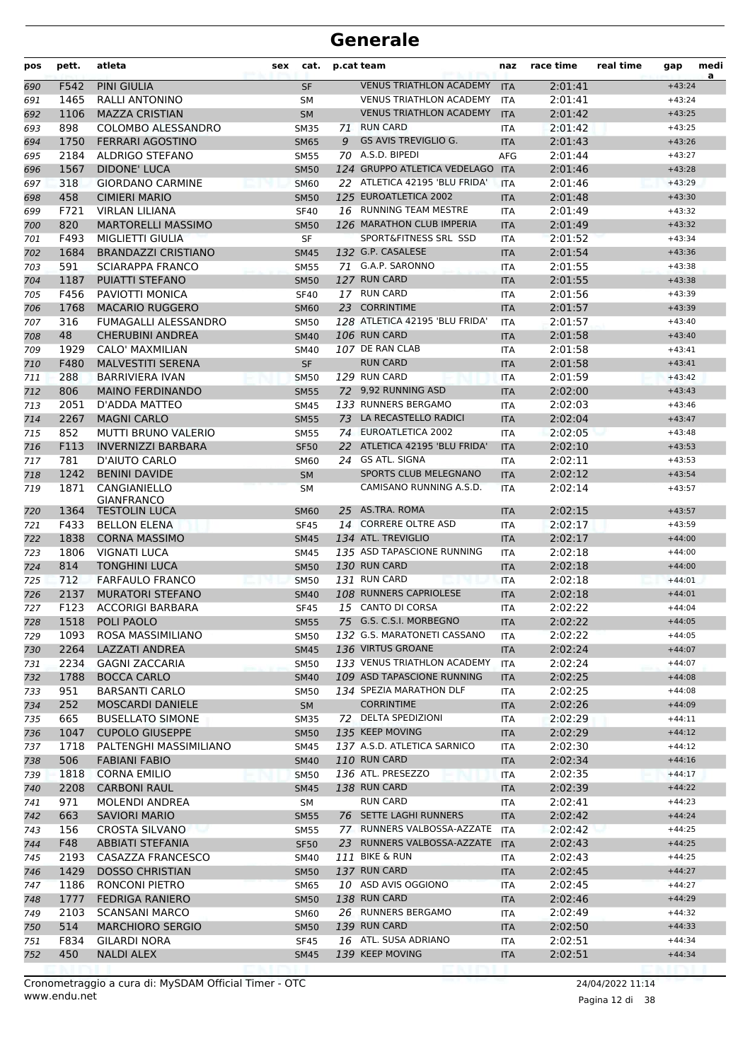| pos        | pett.        | atleta                                      | sex | cat.                       |    | p.cat team                              | naz                         | race time          | real time | gap                  | medi<br>a |
|------------|--------------|---------------------------------------------|-----|----------------------------|----|-----------------------------------------|-----------------------------|--------------------|-----------|----------------------|-----------|
| 690        | F542         | <b>PINI GIULIA</b>                          |     | <b>SF</b>                  |    | <b>VENUS TRIATHLON ACADEMY</b>          | <b>ITA</b>                  | 2:01:41            |           | $+43:24$             |           |
| 691        | 1465         | RALLI ANTONINO                              |     | SΜ                         |    | <b>VENUS TRIATHLON ACADEMY</b>          | <b>ITA</b>                  | 2:01:41            |           | $+43:24$             |           |
| 692        | 1106         | <b>MAZZA CRISTIAN</b>                       |     | <b>SM</b>                  |    | <b>VENUS TRIATHLON ACADEMY</b>          | <b>ITA</b>                  | 2:01:42            |           | $+43:25$             |           |
| 693        | 898          | COLOMBO ALESSANDRO                          |     | <b>SM35</b>                | 71 | <b>RUN CARD</b>                         | <b>ITA</b>                  | 2:01:42            |           | $+43:25$             |           |
| 694        | 1750         | <b>FERRARI AGOSTINO</b>                     |     | <b>SM65</b>                | 9  | <b>GS AVIS TREVIGLIO G.</b>             | <b>ITA</b>                  | 2:01:43            |           | $+43:26$             |           |
| 695        | 2184         | ALDRIGO STEFANO                             |     | <b>SM55</b>                |    | 70 A.S.D. BIPEDI                        | <b>AFG</b>                  | 2:01:44            |           | $+43:27$             |           |
| 696        | 1567         | <b>DIDONE' LUCA</b>                         |     | <b>SM50</b>                |    | 124 GRUPPO ATLETICA VEDELAGO ITA        |                             | 2:01:46            |           | $+43:28$             |           |
| 697        | 318          | <b>GIORDANO CARMINE</b>                     |     | <b>SM60</b>                |    | 22 ATLETICA 42195 'BLU FRIDA'           | <b>ITA</b>                  | 2:01:46            |           | $+43:29$             |           |
| 698        | 458          | <b>CIMIERI MARIO</b>                        |     | <b>SM50</b>                |    | 125 EUROATLETICA 2002                   | <b>ITA</b>                  | 2:01:48            |           | $+43:30$             |           |
| 699        | F721         | <b>VIRLAN LILIANA</b>                       |     | <b>SF40</b>                |    | 16 RUNNING TEAM MESTRE                  | ITA                         | 2:01:49            |           | $+43:32$             |           |
| 700        | 820          | <b>MARTORELLI MASSIMO</b>                   |     | <b>SM50</b>                |    | 126 MARATHON CLUB IMPERIA               | <b>ITA</b>                  | 2:01:49            |           | $+43:32$             |           |
| 701        | F493         | <b>MIGLIETTI GIULIA</b>                     |     | <b>SF</b>                  |    | SPORT&FITNESS SRL SSD                   | <b>ITA</b>                  | 2:01:52            |           | $+43:34$             |           |
| 702        | 1684<br>591  | <b>BRANDAZZI CRISTIANO</b>                  |     | <b>SM45</b>                |    | 132 G.P. CASALESE<br>71 G.A.P. SARONNO  | <b>ITA</b>                  | 2:01:54            |           | $+43:36$             |           |
| 703        | 1187         | <b>SCIARAPPA FRANCO</b><br>PUIATTI STEFANO  |     | <b>SM55</b>                |    | 127 RUN CARD                            | ITA                         | 2:01:55<br>2:01:55 |           | $+43:38$<br>$+43:38$ |           |
| 704<br>705 | F456         | PAVIOTTI MONICA                             |     | <b>SM50</b><br><b>SF40</b> |    | 17 RUN CARD                             | <b>ITA</b><br><b>ITA</b>    | 2:01:56            |           | $+43:39$             |           |
| 706        | 1768         | <b>MACARIO RUGGERO</b>                      |     | <b>SM60</b>                |    | 23 CORRINTIME                           | <b>ITA</b>                  | 2:01:57            |           | $+43:39$             |           |
| 707        | 316          | FUMAGALLI ALESSANDRO                        |     | <b>SM50</b>                |    | 128 ATLETICA 42195 'BLU FRIDA'          | <b>ITA</b>                  | 2:01:57            |           | $+43:40$             |           |
| 708        | 48           | <b>CHERUBINI ANDREA</b>                     |     | <b>SM40</b>                |    | 106 RUN CARD                            | <b>ITA</b>                  | 2:01:58            |           | $+43:40$             |           |
| 709        | 1929         | CALO' MAXMILIAN                             |     | SM40                       |    | 107 DE RAN CLAB                         | ITA                         | 2:01:58            |           | $+43:41$             |           |
| 710        | F480         | <b>MALVESTITI SERENA</b>                    |     | <b>SF</b>                  |    | <b>RUN CARD</b>                         | <b>ITA</b>                  | 2:01:58            |           | $+43:41$             |           |
| 711        | 288          | <b>BARRIVIERA IVAN</b>                      |     | <b>SM50</b>                |    | 129 RUN CARD                            | <b>ITA</b>                  | 2:01:59            |           | $+43:42$             |           |
| 712        | 806          | <b>MAINO FERDINANDO</b>                     |     | <b>SM55</b>                |    | 72 9,92 RUNNING ASD                     | <b>ITA</b>                  | 2:02:00            |           | $+43:43$             |           |
| 713        | 2051         | D'ADDA MATTEO                               |     | <b>SM45</b>                |    | 133 RUNNERS BERGAMO                     | <b>ITA</b>                  | 2:02:03            |           | $+43:46$             |           |
| 714        | 2267         | <b>MAGNI CARLO</b>                          |     | <b>SM55</b>                |    | 73 LA RECASTELLO RADICI                 | <b>ITA</b>                  | 2:02:04            |           | $+43:47$             |           |
| 715        | 852          | <b>MUTTI BRUNO VALERIO</b>                  |     | <b>SM55</b>                |    | 74 EUROATLETICA 2002                    | ITA                         | 2:02:05            |           | $+43:48$             |           |
| 716        | F113         | <b>INVERNIZZI BARBARA</b>                   |     | <b>SF50</b>                |    | 22 ATLETICA 42195 'BLU FRIDA'           | <b>ITA</b>                  | 2:02:10            |           | $+43:53$             |           |
| 717        | 781          | D'AIUTO CARLO                               |     | <b>SM60</b>                |    | 24 GS ATL. SIGNA                        | ITA                         | 2:02:11            |           | $+43:53$             |           |
| 718        | 1242         | <b>BENINI DAVIDE</b>                        |     | <b>SM</b>                  |    | SPORTS CLUB MELEGNANO                   | <b>ITA</b>                  | 2:02:12            |           | $+43:54$             |           |
| 719        | 1871         | CANGIANIELLO                                |     | <b>SM</b>                  |    | CAMISANO RUNNING A.S.D.                 | <b>ITA</b>                  | 2:02:14            |           | $+43:57$             |           |
|            |              | <b>GIANFRANCO</b>                           |     |                            |    |                                         |                             |                    |           |                      |           |
| 720        | 1364         | <b>TESTOLIN LUCA</b>                        |     | <b>SM60</b>                |    | 25 AS.TRA. ROMA<br>14 CORRERE OLTRE ASD | <b>ITA</b>                  | 2:02:15            |           | $+43:57$             |           |
| 721        | F433<br>1838 | <b>BELLON ELENA</b>                         |     | <b>SF45</b>                |    | 134 ATL. TREVIGLIO                      | <b>ITA</b>                  | 2:02:17            |           | $+43:59$             |           |
| 722        | 1806         | <b>CORNA MASSIMO</b><br><b>VIGNATI LUCA</b> |     | <b>SM45</b>                |    | 135 ASD TAPASCIONE RUNNING              | <b>ITA</b>                  | 2:02:17<br>2:02:18 |           | $+44:00$<br>$+44:00$ |           |
| 723        | 814          | <b>TONGHINI LUCA</b>                        |     | <b>SM45</b><br><b>SM50</b> |    | 130 RUN CARD                            | <b>ITA</b>                  | 2:02:18            |           | $+44:00$             |           |
| 724<br>725 | 712          | <b>FARFAULO FRANCO</b>                      |     | <b>SM50</b>                |    | 131 RUN CARD                            | <b>ITA</b><br><b>ITA</b>    | 2:02:18            |           | $+44:01$             |           |
| 726        | 2137         | <b>MURATORI STEFANO</b>                     |     | <b>SM40</b>                |    | 108 RUNNERS CAPRIOLESE                  | <b>ITA</b>                  | 2:02:18            |           | $+44:01$             |           |
| 727        | F123         | <b>ACCORIGI BARBARA</b>                     |     | <b>SF45</b>                |    | 15 CANTO DI CORSA                       | <b>ITA</b>                  | 2:02:22            |           | $+44:04$             |           |
| 728        |              | 1518 POLI PAOLO                             |     | <b>SM55</b>                |    | 75 G.S. C.S.I. MORBEGNO                 | $\ensuremath{\mathsf{ITA}}$ | 2:02:22            |           | $+44:05$             |           |
| 729        | 1093         | ROSA MASSIMILIANO                           |     | <b>SM50</b>                |    | 132 G.S. MARATONETI CASSANO             | ITA                         | 2:02:22            |           | $+44:05$             |           |
| 730        | 2264         | <b>LAZZATI ANDREA</b>                       |     | <b>SM45</b>                |    | 136 VIRTUS GROANE                       | ITA                         | 2:02:24            |           | $+44:07$             |           |
| 731        | 2234         | <b>GAGNI ZACCARIA</b>                       |     | SM50                       |    | 133 VENUS TRIATHLON ACADEMY             | ITA                         | 2:02:24            |           | $+44:07$             |           |
| 732        | 1788         | <b>BOCCA CARLO</b>                          |     | <b>SM40</b>                |    | 109 ASD TAPASCIONE RUNNING              | <b>ITA</b>                  | 2:02:25            |           | $+44:08$             |           |
| 733        | 951          | <b>BARSANTI CARLO</b>                       |     | <b>SM50</b>                |    | 134 SPEZIA MARATHON DLF                 | ITA                         | 2:02:25            |           | $+44:08$             |           |
| 734        | 252          | <b>MOSCARDI DANIELE</b>                     |     | SM                         |    | <b>CORRINTIME</b>                       | <b>ITA</b>                  | 2:02:26            |           | $+44:09$             |           |
| 735        | 665          | <b>BUSELLATO SIMONE</b>                     |     | <b>SM35</b>                |    | 72 DELTA SPEDIZIONI                     | ITA                         | 2:02:29            |           | $+44:11$             |           |
| 736        | 1047         | <b>CUPOLO GIUSEPPE</b>                      |     | <b>SM50</b>                |    | 135 KEEP MOVING                         | <b>ITA</b>                  | 2:02:29            |           | $+44:12$             |           |
| 737        | 1718         | PALTENGHI MASSIMILIANO                      |     | SM45                       |    | 137 A.S.D. ATLETICA SARNICO             | ITA                         | 2:02:30            |           | $+44:12$             |           |
| 738        | 506          | <b>FABIANI FABIO</b>                        |     | <b>SM40</b>                |    | 110 RUN CARD                            | <b>ITA</b>                  | 2:02:34            |           | $+44:16$             |           |
| 739        | 1818         | <b>CORNA EMILIO</b>                         |     | <b>SM50</b>                |    | 136 ATL. PRESEZZO                       | ITA                         | 2:02:35            |           | $+44:17$             |           |
| 740        | 2208         | <b>CARBONI RAUL</b>                         |     | <b>SM45</b>                |    | 138 RUN CARD                            | <b>ITA</b>                  | 2:02:39            |           | $+44:22$             |           |
| 741        | 971          | <b>MOLENDI ANDREA</b>                       |     | SM                         |    | <b>RUN CARD</b>                         | ITA                         | 2:02:41            |           | $+44:23$             |           |
| 742        | 663          | <b>SAVIORI MARIO</b>                        |     | <b>SM55</b>                |    | 76 SETTE LAGHI RUNNERS                  | <b>ITA</b>                  | 2:02:42            |           | $+44:24$             |           |
| 743        | 156          | CROSTA SILVANO                              |     | <b>SM55</b>                |    | 77 RUNNERS VALBOSSA-AZZATE              | <b>ITA</b>                  | 2:02:42            |           | $+44:25$             |           |
| 744        | F48          | <b>ABBIATI STEFANIA</b>                     |     | <b>SF50</b>                |    | 23 RUNNERS VALBOSSA-AZZATE              | <b>ITA</b>                  | 2:02:43            |           | $+44:25$             |           |
| 745        | 2193         | CASAZZA FRANCESCO                           |     | SM40                       |    | 111 BIKE & RUN                          | ITA                         | 2:02:43            |           | $+44:25$             |           |
| 746        | 1429         | <b>DOSSO CHRISTIAN</b>                      |     | <b>SM50</b>                |    | 137 RUN CARD                            | <b>ITA</b>                  | 2:02:45            |           | $+44:27$             |           |
| 747        | 1186         | RONCONI PIETRO                              |     | SM65                       |    | 10 ASD AVIS OGGIONO                     | ITA                         | 2:02:45            |           | $+44:27$             |           |
| 748        | 1777         | <b>FEDRIGA RANIERO</b>                      |     | <b>SM50</b>                |    | 138 RUN CARD                            | <b>ITA</b>                  | 2:02:46            |           | $+44:29$             |           |
| 749        | 2103         | <b>SCANSANI MARCO</b>                       |     | <b>SM60</b>                |    | 26 RUNNERS BERGAMO                      | ITA                         | 2:02:49            |           | $+44:32$             |           |
| 750        | 514          | <b>MARCHIORO SERGIO</b>                     |     | <b>SM50</b>                |    | 139 RUN CARD                            | <b>ITA</b>                  | 2:02:50            |           | $+44:33$             |           |
| 751        | F834         | GILARDI NORA                                |     | <b>SF45</b>                |    | 16 ATL. SUSA ADRIANO                    | ITA                         | 2:02:51            |           | $+44:34$             |           |
| 752        | 450          | <b>NALDI ALEX</b>                           |     | <b>SM45</b>                |    | 139 KEEP MOVING                         | <b>ITA</b>                  | 2:02:51            |           | $+44:34$             |           |

Pagina 12 di 38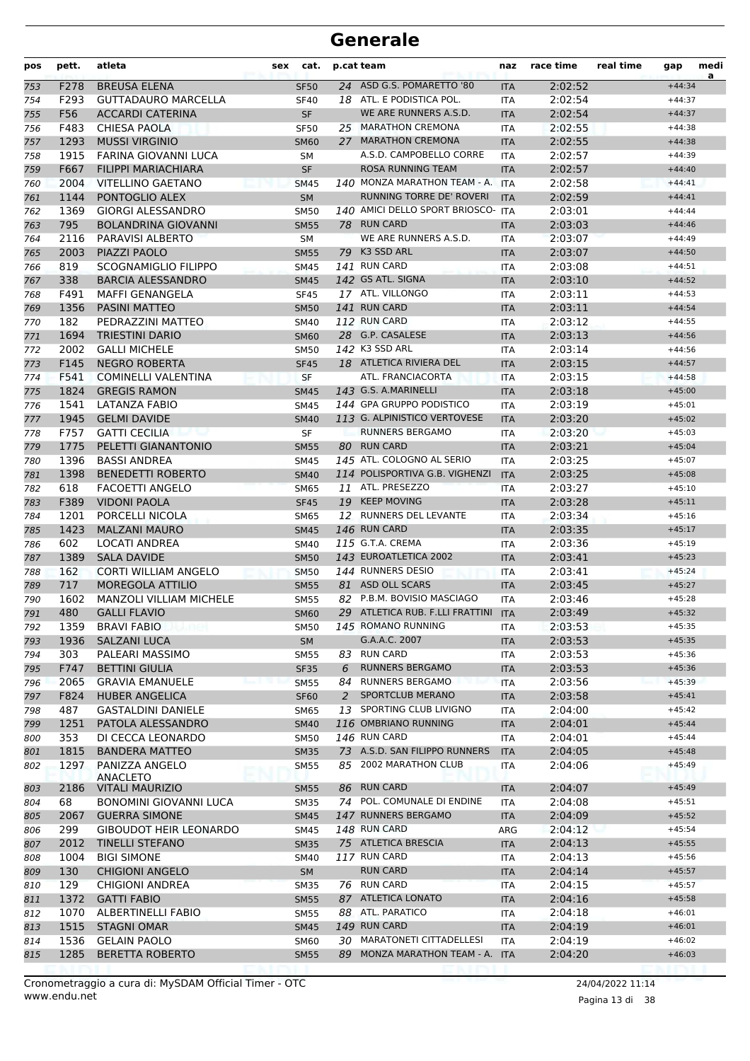| pos        | pett.       | atleta                                    | cat.<br>sex                |    | p.cat team                                             | naz                      | race time          | real time | gap                  | medi<br>a |
|------------|-------------|-------------------------------------------|----------------------------|----|--------------------------------------------------------|--------------------------|--------------------|-----------|----------------------|-----------|
| 753        | F278        | <b>BREUSA ELENA</b>                       | <b>SF50</b>                |    | 24 ASD G.S. POMARETTO '80                              | <b>ITA</b>               | 2:02:52            |           | $+44:34$             |           |
| 754        | F293        | <b>GUTTADAURO MARCELLA</b>                | <b>SF40</b>                |    | 18 ATL. E PODISTICA POL.                               | <b>ITA</b>               | 2:02:54            |           | $+44:37$             |           |
| 755        | F56         | <b>ACCARDI CATERINA</b>                   | SF                         |    | WE ARE RUNNERS A.S.D.                                  | <b>ITA</b>               | 2:02:54            |           | $+44:37$             |           |
| 756        | F483        | <b>CHIESA PAOLA</b>                       | <b>SF50</b>                |    | 25 MARATHON CREMONA                                    | <b>ITA</b>               | 2:02:55            |           | $+44:38$             |           |
| 757        | 1293        | <b>MUSSI VIRGINIO</b>                     | <b>SM60</b>                | 27 | <b>MARATHON CREMONA</b>                                | <b>ITA</b>               | 2:02:55            |           | $+44:38$             |           |
| 758        | 1915        | FARINA GIOVANNI LUCA                      | <b>SM</b>                  |    | A.S.D. CAMPOBELLO CORRE                                | <b>ITA</b>               | 2:02:57            |           | $+44:39$             |           |
| 759        | F667        | <b>FILIPPI MARIACHIARA</b>                | SF                         |    | <b>ROSA RUNNING TEAM</b>                               | <b>ITA</b>               | 2:02:57            |           | $+44:40$             |           |
| 760        | 2004        | <b>VITELLINO GAETANO</b>                  | <b>SM45</b>                |    | 140 MONZA MARATHON TEAM - A. ITA                       |                          | 2:02:58            |           | $+44:41$             |           |
| 761        | 1144        | PONTOGLIO ALEX                            | <b>SM</b>                  |    | RUNNING TORRE DE' ROVERI                               | <b>ITA</b>               | 2:02:59            |           | $+44:41$             |           |
| 762        | 1369        | <b>GIORGI ALESSANDRO</b>                  | <b>SM50</b>                |    | 140 AMICI DELLO SPORT BRIOSCO-                         | <b>ITA</b>               | 2:03:01            |           | $+44:44$             |           |
| 763        | 795         | <b>BOLANDRINA GIOVANNI</b>                | <b>SM55</b>                |    | 78 RUN CARD                                            | <b>ITA</b>               | 2:03:03            |           | $+44:46$             |           |
| 764        | 2116        | PARAVISI ALBERTO                          | <b>SM</b>                  |    | WE ARE RUNNERS A.S.D.                                  | ITA                      | 2:03:07            |           | $+44:49$             |           |
| 765        | 2003        | PIAZZI PAOLO                              | <b>SM55</b>                |    | 79 K3 SSD ARL                                          | <b>ITA</b>               | 2:03:07            |           | $+44:50$             |           |
| 766        | 819         | SCOGNAMIGLIO FILIPPO                      | <b>SM45</b>                |    | 141 RUN CARD                                           | ITA                      | 2:03:08            |           | $+44:51$             |           |
| 767        | 338         | <b>BARCIA ALESSANDRO</b>                  | <b>SM45</b>                |    | 142 GS ATL. SIGNA<br>17 ATL. VILLONGO                  | <b>ITA</b>               | 2:03:10            |           | $+44:52$             |           |
| 768        | F491        | <b>MAFFI GENANGELA</b>                    | <b>SF45</b>                |    | 141 RUN CARD                                           | <b>ITA</b>               | 2:03:11            |           | $+44:53$             |           |
| 769        | 1356<br>182 | <b>PASINI MATTEO</b><br>PEDRAZZINI MATTEO | <b>SM50</b><br><b>SM40</b> |    | 112 RUN CARD                                           | <b>ITA</b>               | 2:03:11<br>2:03:12 |           | $+44:54$<br>$+44:55$ |           |
| 770        | 1694        | <b>TRIESTINI DARIO</b>                    | <b>SM60</b>                |    | 28 G.P. CASALESE                                       | <b>ITA</b><br><b>ITA</b> | 2:03:13            |           | $+44:56$             |           |
| 771<br>772 | 2002        | <b>GALLI MICHELE</b>                      | <b>SM50</b>                |    | 142 K3 SSD ARL                                         | ITA                      | 2:03:14            |           | $+44:56$             |           |
| 773        | F145        | <b>NEGRO ROBERTA</b>                      | <b>SF45</b>                |    | 18 ATLETICA RIVIERA DEL                                | <b>ITA</b>               | 2:03:15            |           | $+44:57$             |           |
| 774        | F541        | <b>COMINELLI VALENTINA</b>                | <b>SF</b>                  |    | ATL. FRANCIACORTA                                      | <b>ITA</b>               | 2:03:15            |           | $+44:58$             |           |
| 775        | 1824        | <b>GREGIS RAMON</b>                       | <b>SM45</b>                |    | 143 G.S. A.MARINELLI                                   | <b>ITA</b>               | 2:03:18            |           | $+45:00$             |           |
| 776        | 1541        | LATANZA FABIO                             | <b>SM45</b>                |    | 144 GPA GRUPPO PODISTICO                               | <b>ITA</b>               | 2:03:19            |           | $+45:01$             |           |
| 777        | 1945        | <b>GELMI DAVIDE</b>                       | <b>SM40</b>                |    | 113 G. ALPINISTICO VERTOVESE                           | <b>ITA</b>               | 2:03:20            |           | $+45:02$             |           |
| 778        | F757        | <b>GATTI CECILIA</b>                      | SF                         |    | <b>RUNNERS BERGAMO</b>                                 | ITA                      | 2:03:20            |           | $+45:03$             |           |
| 779        | 1775        | PELETTI GIANANTONIO                       | <b>SM55</b>                |    | 80 RUN CARD                                            | <b>ITA</b>               | 2:03:21            |           | $+45:04$             |           |
| 780        | 1396        | <b>BASSI ANDREA</b>                       | <b>SM45</b>                |    | 145 ATL. COLOGNO AL SERIO                              | <b>ITA</b>               | 2:03:25            |           | $+45:07$             |           |
| 781        | 1398        | <b>BENEDETTI ROBERTO</b>                  | <b>SM40</b>                |    | 114 POLISPORTIVA G.B. VIGHENZI                         | <b>ITA</b>               | 2:03:25            |           | $+45:08$             |           |
| 782        | 618         | <b>FACOETTI ANGELO</b>                    | <b>SM65</b>                |    | 11 ATL. PRESEZZO                                       | <b>ITA</b>               | 2:03:27            |           | $+45:10$             |           |
| 783        | F389        | <b>VIDONI PAOLA</b>                       | <b>SF45</b>                |    | 19 KEEP MOVING                                         | <b>ITA</b>               | 2:03:28            |           | $+45:11$             |           |
| 784        | 1201        | PORCELLI NICOLA                           | <b>SM65</b>                |    | 12 RUNNERS DEL LEVANTE                                 | ITA                      | 2:03:34            |           | $+45:16$             |           |
| 785        | 1423        | <b>MALZANI MAURO</b>                      | <b>SM45</b>                |    | 146 RUN CARD                                           | <b>ITA</b>               | 2:03:35            |           | $+45:17$             |           |
| 786        | 602         | LOCATI ANDREA                             | <b>SM40</b>                |    | 115 G.T.A. CREMA                                       | <b>ITA</b>               | 2:03:36            |           | $+45:19$             |           |
| 787        | 1389        | <b>SALA DAVIDE</b>                        | <b>SM50</b>                |    | 143 EUROATLETICA 2002                                  | <b>ITA</b>               | 2:03:41            |           | $+45:23$             |           |
| 788        | 162         | <b>CORTI WILLIAM ANGELO</b>               | <b>SM50</b>                |    | 144 RUNNERS DESIO                                      | <b>ITA</b>               | 2:03:41            |           | $+45:24$             |           |
| 789        | 717         | MOREGOLA ATTILIO                          | <b>SM55</b>                |    | 81 ASD OLL SCARS                                       | <b>ITA</b>               | 2:03:45            |           | $+45:27$             |           |
| 790        | 1602        | <b>MANZOLI VILLIAM MICHELE</b>            | <b>SM55</b>                |    | 82 P.B.M. BOVISIO MASCIAGO                             | ITA                      | 2:03:46            |           | $+45:28$             |           |
| 791        | 480         | <b>GALLI FLAVIO</b>                       | <b>SM60</b>                |    | 29 ATLETICA RUB. F.LLI FRATTINI                        | <b>ITA</b>               | 2:03:49            |           | $+45:32$             |           |
| 792        | 1359        | <b>BRAVI FABIO</b>                        | <b>SM50</b>                |    | 145 ROMANO RUNNING                                     | ITA                      | 2:03:53            |           | $+45:35$             |           |
| 793        | 1936        | <b>SALZANI LUCA</b>                       | SM                         |    | G.A.A.C. 2007                                          | <b>ITA</b>               | 2:03:53            |           | $+45:35$             |           |
| 794        | 303         | PALEARI MASSIMO                           | <b>SM55</b>                |    | 83 RUN CARD                                            | ITA                      | 2:03:53            |           | $+45:36$             |           |
| 795        | F747        | <b>BETTINI GIULIA</b>                     | <b>SF35</b>                | 6  | <b>RUNNERS BERGAMO</b>                                 | <b>ITA</b>               | 2:03:53            |           | $+45:36$             |           |
| 796        | 2065        | <b>GRAVIA EMANUELE</b>                    | <b>SM55</b>                |    | 84 RUNNERS BERGAMO                                     | <b>ITA</b>               | 2:03:56            |           | $+45:39$             |           |
| 797        | F824        | <b>HUBER ANGELICA</b>                     | <b>SF60</b>                | 2  | SPORTCLUB MERANO                                       | <b>ITA</b>               | 2:03:58            |           | $+45:41$             |           |
| 798        | 487         | <b>GASTALDINI DANIELE</b>                 | SM65                       | 13 | SPORTING CLUB LIVIGNO                                  | ITA                      | 2:04:00            |           | $+45:42$             |           |
| 799        | 1251        | PATOLA ALESSANDRO                         | <b>SM40</b>                |    | 116 OMBRIANO RUNNING<br>146 RUN CARD                   | <b>ITA</b>               | 2:04:01            |           | $+45:44$             |           |
| 800        | 353         | DI CECCA LEONARDO                         | SM50                       |    |                                                        | ITA                      | 2:04:01            |           | $+45:44$             |           |
| 801        | 1815        | <b>BANDERA MATTEO</b>                     | <b>SM35</b>                |    | 73 A.S.D. SAN FILIPPO RUNNERS<br>85 2002 MARATHON CLUB | <b>ITA</b>               | 2:04:05            |           | $+45:48$             |           |
| 802        | 1297        | PANIZZA ANGELO<br><b>ANACLETO</b>         | SM55                       |    |                                                        | ITA                      | 2:04:06            |           | $+45:49$             |           |
| 803        | 2186        | <b>VITALI MAURIZIO</b>                    | <b>SM55</b>                |    | 86 RUN CARD                                            | <b>ITA</b>               | 2:04:07            |           | $+45:49$             |           |
| 804        | 68          | <b>BONOMINI GIOVANNI LUCA</b>             | <b>SM35</b>                |    | 74 POL. COMUNALE DI ENDINE                             | ITA                      | 2:04:08            |           | $+45:51$             |           |
| 805        | 2067        | <b>GUERRA SIMONE</b>                      | <b>SM45</b>                |    | 147 RUNNERS BERGAMO                                    | <b>ITA</b>               | 2:04:09            |           | $+45:52$             |           |
| 806        | 299         | <b>GIBOUDOT HEIR LEONARDO</b>             | SM45                       |    | 148 RUN CARD                                           | ARG                      | 2:04:12            |           | $+45:54$             |           |
| 807        | 2012        | <b>TINELLI STEFANO</b>                    | <b>SM35</b>                |    | 75 ATLETICA BRESCIA                                    | <b>ITA</b>               | 2:04:13            |           | $+45:55$             |           |
| 808        | 1004        | <b>BIGI SIMONE</b>                        | SM40                       |    | 117 RUN CARD                                           | ITA                      | 2:04:13            |           | $+45:56$             |           |
| 809        | 130         | <b>CHIGIONI ANGELO</b>                    | SM                         |    | <b>RUN CARD</b>                                        | <b>ITA</b>               | 2:04:14            |           | $+45:57$             |           |
| 810        | 129         | <b>CHIGIONI ANDREA</b>                    | <b>SM35</b>                |    | 76 RUN CARD                                            | ITA                      | 2:04:15            |           | $+45:57$             |           |
| 811        | 1372        | <b>GATTI FABIO</b>                        | <b>SM55</b>                |    | 87 ATLETICA LONATO                                     | <b>ITA</b>               | 2:04:16            |           | $+45:58$             |           |
| 812        | 1070        | ALBERTINELLI FABIO                        | SM55                       |    | 88 ATL. PARATICO                                       | ITA                      | 2:04:18            |           | $+46:01$             |           |
| 813        | 1515        | <b>STAGNI OMAR</b>                        | <b>SM45</b>                |    | 149 RUN CARD                                           | <b>ITA</b>               | 2:04:19            |           | $+46:01$             |           |
| 814        | 1536        | <b>GELAIN PAOLO</b>                       | <b>SM60</b>                |    | 30 MARATONETI CITTADELLESI                             | <b>ITA</b>               | 2:04:19            |           | $+46:02$             |           |
| 815        | 1285        | <b>BERETTA ROBERTO</b>                    | <b>SM55</b>                |    | 89 MONZA MARATHON TEAM - A. ITA                        |                          | 2:04:20            |           | $+46:03$             |           |
|            |             |                                           |                            |    |                                                        |                          |                    |           |                      |           |

www.endu.net Cronometraggio a cura di: MySDAM Official Timer - OTC 24/04/2022 11:14

Pagina 13 di 38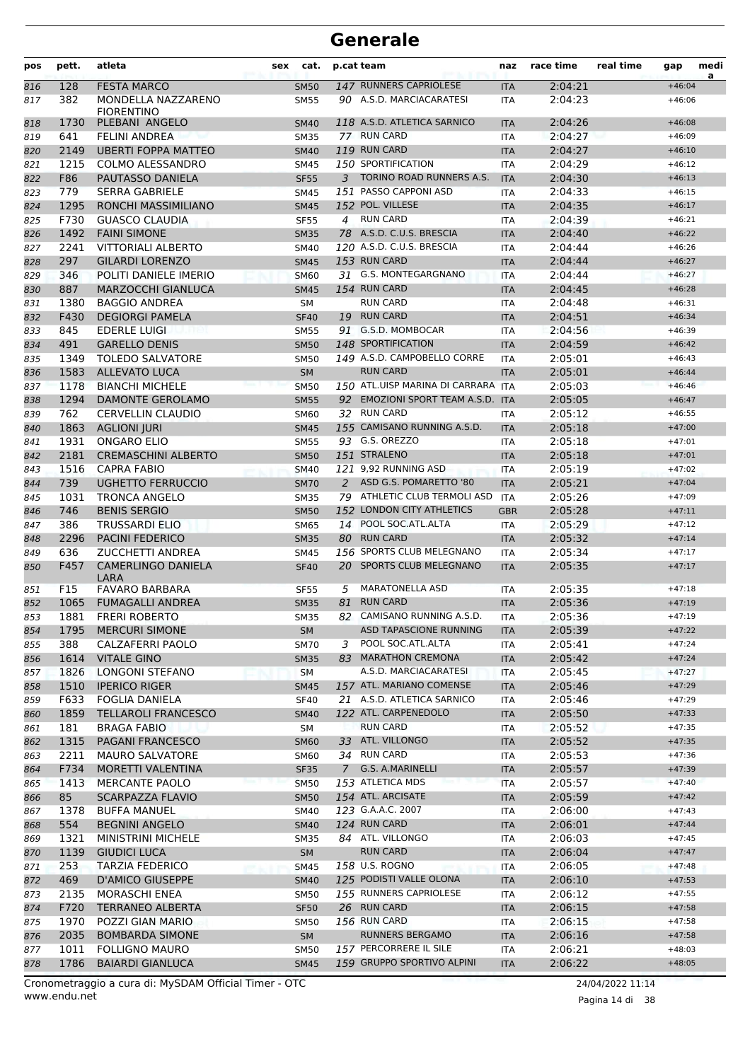| pos        | pett.        | atleta                                             | sex | cat.                       |                | p.cat team                                 | naz                      | race time          | real time | gap                  | medi<br>a |
|------------|--------------|----------------------------------------------------|-----|----------------------------|----------------|--------------------------------------------|--------------------------|--------------------|-----------|----------------------|-----------|
| 816        | 128          | <b>FESTA MARCO</b>                                 |     | <b>SM50</b>                |                | 147 RUNNERS CAPRIOLESE                     | <b>ITA</b>               | 2:04:21            |           | $+46:04$             |           |
| 817        | 382          | MONDELLA NAZZARENO                                 |     | <b>SM55</b>                |                | 90 A.S.D. MARCIACARATESI                   | <b>ITA</b>               | 2:04:23            |           | $+46:06$             |           |
|            |              | <b>FIORENTINO</b>                                  |     |                            |                |                                            |                          |                    |           |                      |           |
| 818        | 1730<br>641  | PLEBANI ANGELO                                     |     | <b>SM40</b>                |                | 118 A.S.D. ATLETICA SARNICO<br>77 RUN CARD | <b>ITA</b>               | 2:04:26<br>2:04:27 |           | $+46:08$<br>$+46:09$ |           |
| 819        | 2149         | <b>FELINI ANDREA</b><br><b>UBERTI FOPPA MATTEO</b> |     | <b>SM35</b>                |                | 119 RUN CARD                               | <b>ITA</b>               | 2:04:27            |           | $+46:10$             |           |
| 820<br>821 | 1215         | COLMO ALESSANDRO                                   |     | <b>SM40</b><br><b>SM45</b> |                | 150 SPORTIFICATION                         | <b>ITA</b><br><b>ITA</b> | 2:04:29            |           | $+46:12$             |           |
| 822        | F86          | PAUTASSO DANIELA                                   |     | <b>SF55</b>                |                | 3 TORINO ROAD RUNNERS A.S.                 | <b>ITA</b>               | 2:04:30            |           | $+46:13$             |           |
| 823        | 779          | <b>SERRA GABRIELE</b>                              |     | <b>SM45</b>                |                | 151 PASSO CAPPONI ASD                      | <b>ITA</b>               | 2:04:33            |           | $+46:15$             |           |
| 824        | 1295         | RONCHI MASSIMILIANO                                |     | <b>SM45</b>                |                | 152 POL. VILLESE                           | <b>ITA</b>               | 2:04:35            |           | $+46:17$             |           |
| 825        | F730         | <b>GUASCO CLAUDIA</b>                              |     | <b>SF55</b>                | 4              | <b>RUN CARD</b>                            | <b>ITA</b>               | 2:04:39            |           | $+46:21$             |           |
| 826        | 1492         | <b>FAINI SIMONE</b>                                |     | <b>SM35</b>                |                | 78 A.S.D. C.U.S. BRESCIA                   | <b>ITA</b>               | 2:04:40            |           | $+46:22$             |           |
| 827        | 2241         | <b>VITTORIALI ALBERTO</b>                          |     | <b>SM40</b>                |                | 120 A.S.D. C.U.S. BRESCIA                  | <b>ITA</b>               | 2:04:44            |           | $+46:26$             |           |
| 828        | 297          | <b>GILARDI LORENZO</b>                             |     | <b>SM45</b>                |                | 153 RUN CARD                               | <b>ITA</b>               | 2:04:44            |           | $+46:27$             |           |
| 829        | 346          | POLITI DANIELE IMERIO                              |     | <b>SM60</b>                |                | 31 G.S. MONTEGARGNANO                      | <b>ITA</b>               | 2:04:44            |           | $+46:27$             |           |
| 830        | 887          | MARZOCCHI GIANLUCA                                 |     | <b>SM45</b>                |                | 154 RUN CARD                               | <b>ITA</b>               | 2:04:45            |           | $+46:28$             |           |
| 831        | 1380         | <b>BAGGIO ANDREA</b>                               |     | <b>SM</b>                  |                | <b>RUN CARD</b>                            | <b>ITA</b>               | 2:04:48            |           | $+46:31$             |           |
| 832        | F430         | <b>DEGIORGI PAMELA</b>                             |     | <b>SF40</b>                |                | 19 RUN CARD                                | <b>ITA</b>               | 2:04:51            |           | $+46:34$             |           |
| 833        | 845          | <b>EDERLE LUIGI</b>                                |     | <b>SM55</b>                | 91             | G.S.D. MOMBOCAR                            | <b>ITA</b>               | 2:04:56            |           | $+46:39$             |           |
| 834        | 491          | <b>GARELLO DENIS</b>                               |     | <b>SM50</b>                |                | 148 SPORTIFICATION                         | <b>ITA</b>               | 2:04:59            |           | $+46:42$             |           |
| 835        | 1349         | <b>TOLEDO SALVATORE</b>                            |     | <b>SM50</b>                |                | 149 A.S.D. CAMPOBELLO CORRE                | <b>ITA</b>               | 2:05:01            |           | $+46:43$             |           |
| 836        | 1583         | <b>ALLEVATO LUCA</b>                               |     | SM                         |                | <b>RUN CARD</b>                            | <b>ITA</b>               | 2:05:01            |           | $+46:44$             |           |
| 837        | 1178         | <b>BIANCHI MICHELE</b>                             |     | <b>SM50</b>                |                | 150 ATL.UISP MARINA DI CARRARA ITA         |                          | 2:05:03            |           | $+46:46$             |           |
| 838        | 1294         | <b>DAMONTE GEROLAMO</b>                            |     | <b>SM55</b>                |                | 92 EMOZIONI SPORT TEAM A.S.D. ITA          |                          | 2:05:05            |           | $+46:47$             |           |
| 839        | 762          | <b>CERVELLIN CLAUDIO</b>                           |     | <b>SM60</b>                |                | 32 RUN CARD                                | ITA                      | 2:05:12            |           | $+46:55$             |           |
| 840        | 1863         | <b>AGLIONI JURI</b>                                |     | <b>SM45</b>                |                | 155 CAMISANO RUNNING A.S.D.                | <b>ITA</b>               | 2:05:18            |           | $+47:00$             |           |
| 841        | 1931         | <b>ONGARO ELIO</b>                                 |     | <b>SM55</b>                |                | 93 G.S. OREZZO                             | <b>ITA</b>               | 2:05:18            |           | $+47:01$             |           |
| 842        | 2181         | <b>CREMASCHINI ALBERTO</b>                         |     | <b>SM50</b>                |                | 151 STRALENO                               | <b>ITA</b>               | 2:05:18            |           | $+47:01$             |           |
| 843        | 1516         | <b>CAPRA FABIO</b>                                 |     | <b>SM40</b>                |                | 121 9,92 RUNNING ASD                       | <b>ITA</b>               | 2:05:19            |           | $+47:02$             |           |
| 844        | 739          | <b>UGHETTO FERRUCCIO</b>                           |     | <b>SM70</b>                |                | 2 ASD G.S. POMARETTO '80                   | <b>ITA</b>               | 2:05:21            |           | $+47:04$             |           |
| 845        | 1031         | <b>TRONCA ANGELO</b>                               |     | <b>SM35</b>                |                | 79 ATHLETIC CLUB TERMOLI ASD               | <b>ITA</b>               | 2:05:26            |           | $+47:09$             |           |
| 846        | 746          | <b>BENIS SERGIO</b>                                |     | <b>SM50</b>                |                | 152 LONDON CITY ATHLETICS                  | <b>GBR</b>               | 2:05:28            |           | $+47:11$             |           |
| 847        | 386          | <b>TRUSSARDI ELIO</b>                              |     | <b>SM65</b>                |                | 14 POOL SOC.ATL.ALTA                       | <b>ITA</b>               | 2:05:29            |           | $+47:12$             |           |
| 848        | 2296         | <b>PACINI FEDERICO</b>                             |     | <b>SM35</b>                |                | 80 RUN CARD                                | <b>ITA</b>               | 2:05:32            |           | $+47:14$             |           |
| 849        | 636          | <b>ZUCCHETTI ANDREA</b>                            |     | SM45                       |                | 156 SPORTS CLUB MELEGNANO                  | ITA                      | 2:05:34            |           | $+47:17$             |           |
| 850        | F457         | <b>CAMERLINGO DANIELA</b><br>LARA                  |     | <b>SF40</b>                |                | 20 SPORTS CLUB MELEGNANO                   | <b>ITA</b>               | 2:05:35            |           | $+47:17$             |           |
| 851        | F15          | <b>FAVARO BARBARA</b>                              |     | <b>SF55</b>                | 5              | <b>MARATONELLA ASD</b>                     | <b>ITA</b>               | 2:05:35            |           | $+47:18$             |           |
| 852        | 1065         | <b>FUMAGALLI ANDREA</b>                            |     | <b>SM35</b>                | 81             | <b>RUN CARD</b>                            | <b>ITA</b>               | 2:05:36            |           | $+47:19$             |           |
| 853        | 1881         | <b>FRERI ROBERTO</b>                               |     | <b>SM35</b>                |                | 82 CAMISANO RUNNING A.S.D                  | ITA                      | 2:05:36            |           | $+47:19$             |           |
| 854        | 1795         | <b>MERCURI SIMONE</b>                              |     | <b>SM</b>                  |                | ASD TAPASCIONE RUNNING                     | <b>ITA</b>               | 2:05:39            |           | $+47:22$             |           |
| 855        | 388          | CALZAFERRI PAOLO                                   |     | <b>SM70</b>                | 3              | POOL SOC.ATL.ALTA                          | ITA                      | 2:05:41            |           | $+47:24$             |           |
| 856        | 1614         | <b>VITALE GINO</b>                                 |     | <b>SM35</b>                |                | 83 MARATHON CREMONA                        | <b>ITA</b>               | 2:05:42            |           | $+47:24$             |           |
| 857        | 1826         | <b>LONGONI STEFANO</b>                             |     | <b>SM</b>                  |                | A.S.D. MARCIACARATESI                      | ITA                      | 2:05:45            |           | $+47:27$             |           |
| 858        | 1510         | <b>IPERICO RIGER</b>                               |     | <b>SM45</b>                |                | 157 ATL. MARIANO COMENSE                   | <b>ITA</b>               | 2:05:46            |           | $+47:29$             |           |
| 859        | F633         | FOGLIA DANIELA                                     |     | <b>SF40</b>                |                | 21 A.S.D. ATLETICA SARNICO                 | ITA                      | 2:05:46            |           | $+47:29$             |           |
| 860        | 1859         | <b>TELLAROLI FRANCESCO</b>                         |     | <b>SM40</b>                |                | 122 ATL. CARPENEDOLO                       | <b>ITA</b>               | 2:05:50            |           | $+47:33$             |           |
| 861        | 181          | <b>BRAGA FABIO</b>                                 |     | SM                         |                | <b>RUN CARD</b>                            | ITA                      | 2:05:52            |           | $+47:35$             |           |
| 862        | 1315         | PAGANI FRANCESCO                                   |     | <b>SM60</b>                |                | 33 ATL. VILLONGO                           | <b>ITA</b>               | 2:05:52            |           | $+47:35$             |           |
| 863        | 2211         | <b>MAURO SALVATORE</b>                             |     | SM60                       |                | 34 RUN CARD                                | ITA                      | 2:05:53            |           | $+47:36$             |           |
| 864        | F734         | MORETTI VALENTINA                                  |     | <b>SF35</b>                | 7 <sup>7</sup> | G.S. A.MARINELLI                           | <b>ITA</b>               | 2:05:57            |           | $+47:39$             |           |
| 865        | 1413         | <b>MERCANTE PAOLO</b>                              |     | <b>SM50</b>                |                | 153 ATLETICA MDS                           | ITA                      | 2:05:57            |           | $+47:40$             |           |
| 866        | 85           | <b>SCARPAZZA FLAVIO</b>                            |     | <b>SM50</b>                |                | 154 ATL. ARCISATE                          | <b>ITA</b>               | 2:05:59            |           | $+47:42$             |           |
| 867        | 1378         | <b>BUFFA MANUEL</b>                                |     | SM40                       |                | 123 G.A.A.C. 2007                          | ITA                      | 2:06:00            |           | $+47:43$             |           |
| 868        | 554          | <b>BEGNINI ANGELO</b>                              |     | <b>SM40</b>                |                | 124 RUN CARD                               | <b>ITA</b>               | 2:06:01            |           | $+47:44$             |           |
| 869        | 1321         | <b>MINISTRINI MICHELE</b>                          |     | <b>SM35</b>                |                | 84 ATL. VILLONGO                           | ITA                      | 2:06:03            |           | $+47:45$             |           |
| 870        | 1139         | <b>GIUDICI LUCA</b>                                |     | SM                         |                | <b>RUN CARD</b>                            | <b>ITA</b>               | 2:06:04            |           | $+47:47$             |           |
| 871        | 253          | TARZIA FEDERICO                                    |     | <b>SM45</b>                |                | 158 U.S. ROGNO                             | ITA                      | 2:06:05            |           | $+47:48$             |           |
| 872        | 469          | <b>D'AMICO GIUSEPPE</b>                            |     | <b>SM40</b>                |                | 125 PODISTI VALLE OLONA                    | <b>ITA</b>               | 2:06:10            |           | $+47:53$             |           |
| 873        | 2135         | <b>MORASCHI ENEA</b>                               |     | SM50                       |                | 155 RUNNERS CAPRIOLESE                     | ITA                      | 2:06:12            |           | $+47:55$             |           |
| 874        | F720         | <b>TERRANEO ALBERTA</b>                            |     | <b>SF50</b>                |                | 26 RUN CARD                                | <b>ITA</b>               | 2:06:15            |           | $+47:58$             |           |
| 875        | 1970         | POZZI GIAN MARIO                                   |     | <b>SM50</b>                |                | 156 RUN CARD                               | ITA                      | 2:06:15            |           | $+47:58$             |           |
| 876        | 2035         | <b>BOMBARDA SIMONE</b>                             |     | <b>SM</b>                  |                | RUNNERS BERGAMO<br>157 PERCORRERE IL SILE  | <b>ITA</b>               | 2:06:16            |           | $+47:58$<br>$+48:03$ |           |
| 877        | 1011<br>1786 | <b>FOLLIGNO MAURO</b><br><b>BAIARDI GIANLUCA</b>   |     | SM50<br><b>SM45</b>        |                | 159 GRUPPO SPORTIVO ALPINI                 | ITA<br><b>ITA</b>        | 2:06:21<br>2:06:22 |           | $+48:05$             |           |
| 878        |              |                                                    |     |                            |                |                                            |                          |                    |           |                      |           |

www.endu.net Cronometraggio a cura di: MySDAM Official Timer - OTC 24/04/2022 11:14

Pagina 14 di 38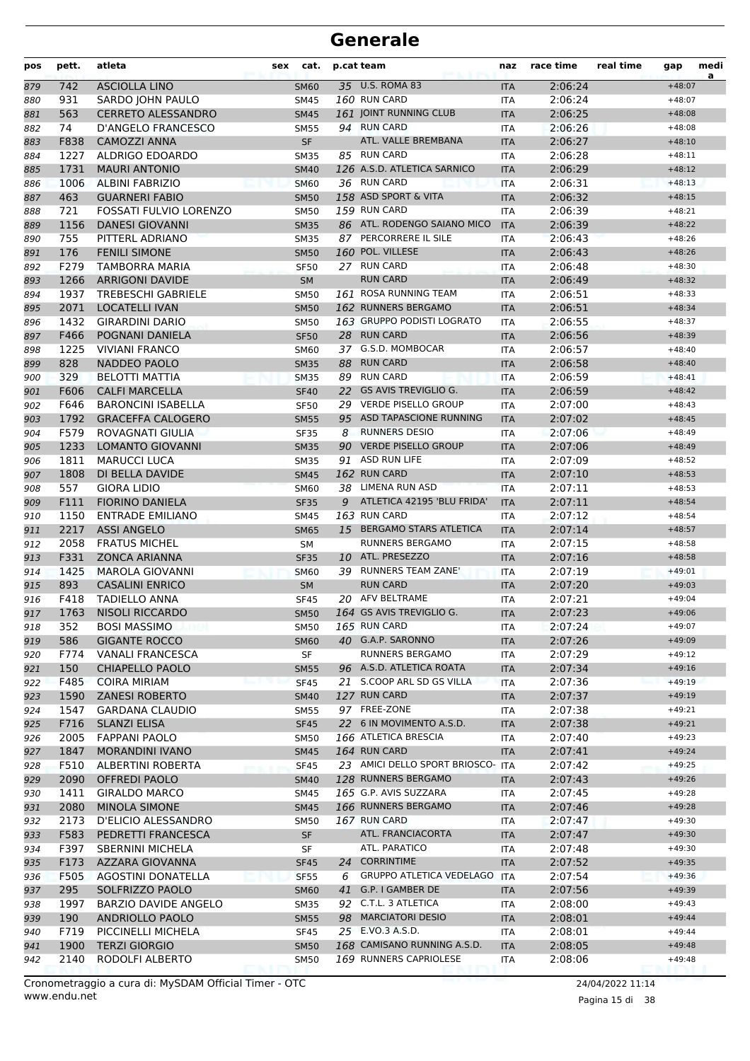| pos | pett. | atleta                      | sex | cat.        |    | p.cat team                        | naz        | race time | real time | gap      | medi<br>a |
|-----|-------|-----------------------------|-----|-------------|----|-----------------------------------|------------|-----------|-----------|----------|-----------|
| 879 | 742   | <b>ASCIOLLA LINO</b>        |     | <b>SM60</b> |    | 35 U.S. ROMA 83                   | <b>ITA</b> | 2:06:24   |           | $+48:07$ |           |
| 880 | 931   | SARDO JOHN PAULO            |     | <b>SM45</b> |    | 160 RUN CARD                      | <b>ITA</b> | 2:06:24   |           | $+48:07$ |           |
| 881 | 563   | <b>CERRETO ALESSANDRO</b>   |     | <b>SM45</b> |    | 161 JOINT RUNNING CLUB            | <b>ITA</b> | 2:06:25   |           | $+48:08$ |           |
| 882 | 74    | D'ANGELO FRANCESCO          |     | <b>SM55</b> |    | 94 RUN CARD                       | <b>ITA</b> | 2:06:26   |           | $+48:08$ |           |
| 883 | F838  | <b>CAMOZZI ANNA</b>         |     | <b>SF</b>   |    | ATL. VALLE BREMBANA               | <b>ITA</b> | 2:06:27   |           | $+48:10$ |           |
| 884 | 1227  | ALDRIGO EDOARDO             |     | <b>SM35</b> |    | 85 RUN CARD                       | <b>ITA</b> | 2:06:28   |           | $+48:11$ |           |
| 885 | 1731  | <b>MAURI ANTONIO</b>        |     | <b>SM40</b> |    | 126 A.S.D. ATLETICA SARNICO       | <b>ITA</b> | 2:06:29   |           | $+48:12$ |           |
| 886 | 1006  | <b>ALBINI FABRIZIO</b>      |     | <b>SM60</b> |    | 36 RUN CARD                       | <b>ITA</b> | 2:06:31   |           | $+48:13$ |           |
| 887 | 463   | <b>GUARNERI FABIO</b>       |     | <b>SM50</b> |    | 158 ASD SPORT & VITA              | <b>ITA</b> | 2:06:32   |           | $+48:15$ |           |
| 888 | 721   | FOSSATI FULVIO LORENZO      |     | <b>SM50</b> |    | 159 RUN CARD                      | <b>ITA</b> | 2:06:39   |           | $+48:21$ |           |
| 889 | 1156  | <b>DANESI GIOVANNI</b>      |     | <b>SM35</b> |    | 86 ATL. RODENGO SAIANO MICO       | <b>ITA</b> | 2:06:39   |           | $+48:22$ |           |
| 890 | 755   | PITTERL ADRIANO             |     | <b>SM35</b> |    | 87 PERCORRERE IL SILE             | <b>ITA</b> | 2:06:43   |           | $+48:26$ |           |
| 891 | 176   | <b>FENILI SIMONE</b>        |     | <b>SM50</b> |    | 160 POL. VILLESE                  | <b>ITA</b> | 2:06:43   |           | $+48:26$ |           |
| 892 | F279  | TAMBORRA MARIA              |     | <b>SF50</b> |    | 27 RUN CARD                       | <b>ITA</b> | 2:06:48   |           | $+48:30$ |           |
| 893 | 1266  | <b>ARRIGONI DAVIDE</b>      |     | <b>SM</b>   |    | <b>RUN CARD</b>                   | <b>ITA</b> | 2:06:49   |           | $+48:32$ |           |
| 894 | 1937  | <b>TREBESCHI GABRIELE</b>   |     | <b>SM50</b> |    | 161 ROSA RUNNING TEAM             | <b>ITA</b> | 2:06:51   |           | $+48:33$ |           |
| 895 | 2071  | <b>LOCATELLI IVAN</b>       |     | <b>SM50</b> |    | 162 RUNNERS BERGAMO               | <b>ITA</b> | 2:06:51   |           | $+48:34$ |           |
| 896 | 1432  | <b>GIRARDINI DARIO</b>      |     | <b>SM50</b> |    | 163 GRUPPO PODISTI LOGRATO        | <b>ITA</b> | 2:06:55   |           | $+48:37$ |           |
| 897 | F466  | POGNANI DANIELA             |     | <b>SF50</b> |    | 28 RUN CARD                       | <b>ITA</b> | 2:06:56   |           | $+48:39$ |           |
| 898 | 1225  | <b>VIVIANI FRANCO</b>       |     | SM60        |    | 37 G.S.D. MOMBOCAR                | <b>ITA</b> | 2:06:57   |           | $+48:40$ |           |
| 899 | 828   | NADDEO PAOLO                |     | <b>SM35</b> | 88 | <b>RUN CARD</b>                   | <b>ITA</b> | 2:06:58   |           | $+48:40$ |           |
| 900 | 329   | <b>BELOTTI MATTIA</b>       |     | <b>SM35</b> | 89 | <b>RUN CARD</b>                   | <b>ITA</b> | 2:06:59   |           | $+48:41$ |           |
| 901 | F606  | <b>CALFI MARCELLA</b>       |     | <b>SF40</b> | 22 | <b>GS AVIS TREVIGLIO G.</b>       | <b>ITA</b> | 2:06:59   |           | $+48:42$ |           |
| 902 | F646  | <b>BARONCINI ISABELLA</b>   |     | <b>SF50</b> |    | 29 VERDE PISELLO GROUP            | <b>ITA</b> | 2:07:00   |           | $+48:43$ |           |
| 903 | 1792  | <b>GRACEFFA CALOGERO</b>    |     | <b>SM55</b> |    | 95 ASD TAPASCIONE RUNNING         | <b>ITA</b> | 2:07:02   |           | $+48:45$ |           |
| 904 | F579  | ROVAGNATI GIULIA            |     | <b>SF35</b> | 8  | <b>RUNNERS DESIO</b>              | <b>ITA</b> | 2:07:06   |           | $+48:49$ |           |
| 905 | 1233  | <b>LOMANTO GIOVANNI</b>     |     | <b>SM35</b> | 90 | <b>VERDE PISELLO GROUP</b>        | <b>ITA</b> | 2:07:06   |           | $+48:49$ |           |
| 906 | 1811  | <b>MARUCCI LUCA</b>         |     | <b>SM35</b> |    | 91 ASD RUN LIFE                   | <b>ITA</b> | 2:07:09   |           | $+48:52$ |           |
| 907 | 1808  | DI BELLA DAVIDE             |     | <b>SM45</b> |    | 162 RUN CARD                      | <b>ITA</b> | 2:07:10   |           | $+48:53$ |           |
| 908 | 557   | <b>GIORA LIDIO</b>          |     | <b>SM60</b> |    | 38 LIMENA RUN ASD                 | <b>ITA</b> | 2:07:11   |           | $+48:53$ |           |
| 909 | F111  | <b>FIORINO DANIELA</b>      |     | <b>SF35</b> | 9  | ATLETICA 42195 'BLU FRIDA'        | <b>ITA</b> | 2:07:11   |           | $+48:54$ |           |
| 910 | 1150  | <b>ENTRADE EMILIANO</b>     |     | <b>SM45</b> |    | 163 RUN CARD                      | <b>ITA</b> | 2:07:12   |           | $+48:54$ |           |
| 911 | 2217  | <b>ASSI ANGELO</b>          |     | <b>SM65</b> | 15 | <b>BERGAMO STARS ATLETICA</b>     | <b>ITA</b> | 2:07:14   |           | $+48:57$ |           |
| 912 | 2058  | <b>FRATUS MICHEL</b>        |     | <b>SM</b>   |    | RUNNERS BERGAMO                   | <b>ITA</b> | 2:07:15   |           | $+48:58$ |           |
| 913 | F331  | <b>ZONCA ARIANNA</b>        |     | <b>SF35</b> |    | 10 ATL. PRESEZZO                  | <b>ITA</b> | 2:07:16   |           | $+48:58$ |           |
| 914 | 1425  | <b>MAROLA GIOVANNI</b>      |     | <b>SM60</b> |    | 39 RUNNERS TEAM ZANE'             | <b>ITA</b> | 2:07:19   |           | $+49:01$ |           |
| 915 | 893   | <b>CASALINI ENRICO</b>      |     | <b>SM</b>   |    | <b>RUN CARD</b>                   | <b>ITA</b> | 2:07:20   |           | $+49:03$ |           |
| 916 | F418  | <b>TADIELLO ANNA</b>        |     | <b>SF45</b> |    | 20 AFV BELTRAME                   | <b>ITA</b> | 2:07:21   |           | $+49:04$ |           |
| 917 | 1763  | <b>NISOLI RICCARDO</b>      |     | <b>SM50</b> |    | 164 GS AVIS TREVIGLIO G.          | <b>ITA</b> | 2:07:23   |           | $+49:06$ |           |
| 918 | 352   | <b>BOSI MASSIMO</b>         |     | <b>SM50</b> |    | 165 RUN CARD                      | ITA        | 2:07:24   |           | $+49:07$ |           |
| 919 | 586   | <b>GIGANTE ROCCO</b>        |     | <b>SM60</b> |    | 40 G.A.P. SARONNO                 | <b>ITA</b> | 2:07:26   |           | $+49:09$ |           |
| 920 | F774  | <b>VANALI FRANCESCA</b>     |     | SF          |    | RUNNERS BERGAMO                   | ITA        | 2:07:29   |           | $+49:12$ |           |
| 921 | 150   | <b>CHIAPELLO PAOLO</b>      |     | <b>SM55</b> |    | 96 A.S.D. ATLETICA ROATA          | <b>ITA</b> | 2:07:34   |           | $+49:16$ |           |
| 922 | F485  | <b>COIRA MIRIAM</b>         |     | <b>SF45</b> |    | 21 S.COOP ARL SD GS VILLA         | ITA        | 2:07:36   |           | $+49:19$ |           |
| 923 | 1590  | <b>ZANESI ROBERTO</b>       |     | <b>SM40</b> |    | 127 RUN CARD                      | <b>ITA</b> | 2:07:37   |           | $+49:19$ |           |
| 924 | 1547  | <b>GARDANA CLAUDIO</b>      |     | SM55        |    | 97 FREE-ZONE                      | ITA        | 2:07:38   |           | $+49:21$ |           |
| 925 | F716  | <b>SLANZI ELISA</b>         |     | <b>SF45</b> |    | 22 6 IN MOVIMENTO A.S.D.          | <b>ITA</b> | 2:07:38   |           | $+49:21$ |           |
| 926 | 2005  | <b>FAPPANI PAOLO</b>        |     | <b>SM50</b> |    | 166 ATLETICA BRESCIA              | <b>ITA</b> | 2:07:40   |           | $+49:23$ |           |
| 927 | 1847  | <b>MORANDINI IVANO</b>      |     | <b>SM45</b> |    | 164 RUN CARD                      | <b>ITA</b> | 2:07:41   |           | $+49:24$ |           |
| 928 | F510  | ALBERTINI ROBERTA           |     | <b>SF45</b> |    | 23 AMICI DELLO SPORT BRIOSCO- ITA |            | 2:07:42   |           | $+49:25$ |           |
| 929 | 2090  | <b>OFFREDI PAOLO</b>        |     | <b>SM40</b> |    | 128 RUNNERS BERGAMO               | <b>ITA</b> | 2:07:43   |           | $+49:26$ |           |
| 930 | 1411  | <b>GIRALDO MARCO</b>        |     | SM45        |    | 165 G.P. AVIS SUZZARA             | <b>ITA</b> | 2:07:45   |           | $+49:28$ |           |
| 931 | 2080  | <b>MINOLA SIMONE</b>        |     | <b>SM45</b> |    | 166 RUNNERS BERGAMO               | <b>ITA</b> | 2:07:46   |           | $+49:28$ |           |
| 932 | 2173  | D'ELICIO ALESSANDRO         |     | SM50        |    | 167 RUN CARD                      | ITA        | 2:07:47   |           | $+49:30$ |           |
| 933 | F583  | PEDRETTI FRANCESCA          |     | SF          |    | ATL. FRANCIACORTA                 | <b>ITA</b> | 2:07:47   |           | $+49:30$ |           |
| 934 | F397  | <b>SBERNINI MICHELA</b>     |     | SF          |    | ATL. PARATICO                     | ITA        | 2:07:48   |           | $+49:30$ |           |
| 935 | F173  | AZZARA GIOVANNA             |     | <b>SF45</b> | 24 | <b>CORRINTIME</b>                 | <b>ITA</b> | 2:07:52   |           | $+49:35$ |           |
| 936 | F505  | AGOSTINI DONATELLA          |     | <b>SF55</b> | 6  | <b>GRUPPO ATLETICA VEDELAGO</b>   | <b>ITA</b> | 2:07:54   |           | $+49:36$ |           |
| 937 | 295   | SOLFRIZZO PAOLO             |     | <b>SM60</b> | 41 | G.P. I GAMBER DE                  | <b>ITA</b> | 2:07:56   |           | $+49:39$ |           |
| 938 | 1997  | <b>BARZIO DAVIDE ANGELO</b> |     | <b>SM35</b> |    | 92 C.T.L. 3 ATLETICA              | ITA        | 2:08:00   |           | $+49:43$ |           |
| 939 | 190   | ANDRIOLLO PAOLO             |     | <b>SM55</b> |    | 98 MARCIATORI DESIO               | <b>ITA</b> | 2:08:01   |           | $+49:44$ |           |
| 940 | F719  | PICCINELLI MICHELA          |     | <b>SF45</b> |    | 25 E.VO.3 A.S.D.                  | ITA        | 2:08:01   |           | $+49:44$ |           |
| 941 | 1900  | <b>TERZI GIORGIO</b>        |     | <b>SM50</b> |    | 168 CAMISANO RUNNING A.S.D.       | <b>ITA</b> | 2:08:05   |           | $+49:48$ |           |
| 942 | 2140  | RODOLFI ALBERTO             |     | <b>SM50</b> |    | 169 RUNNERS CAPRIOLESE            | ITA        | 2:08:06   |           | $+49:48$ |           |
|     |       |                             |     |             |    |                                   |            |           |           |          |           |

Pagina 15 di 38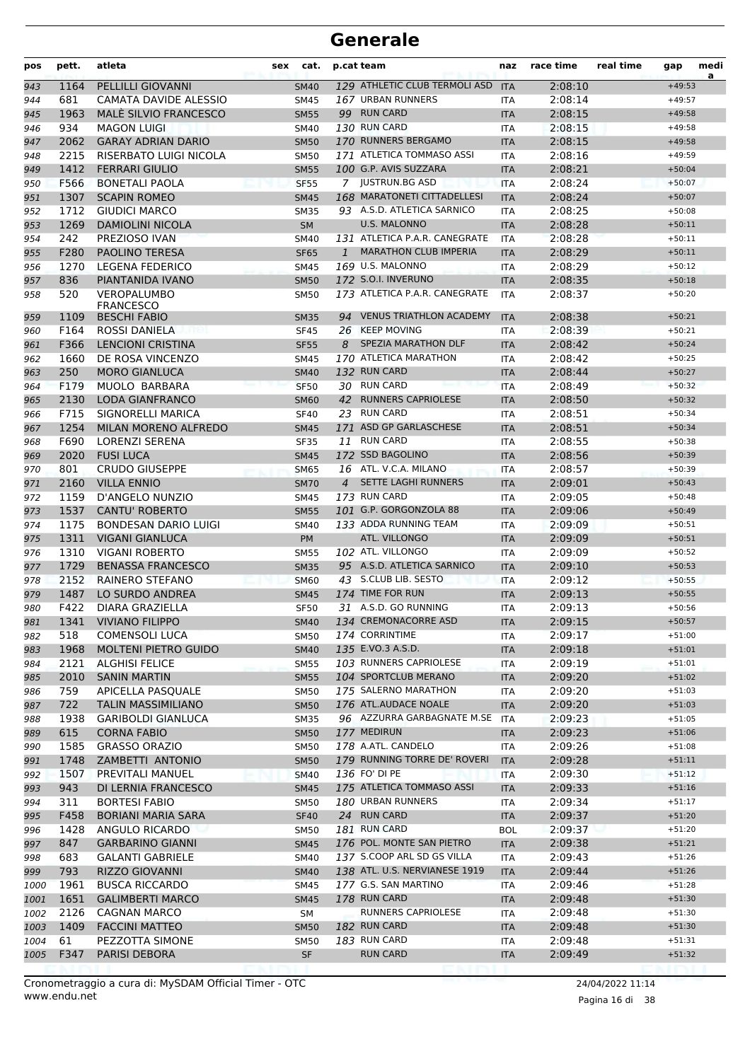| pos          | pett. | atleta                       | sex | cat.              |                | p.cat team                     | naz                         | race time | real time | gap      | medi<br>a |
|--------------|-------|------------------------------|-----|-------------------|----------------|--------------------------------|-----------------------------|-----------|-----------|----------|-----------|
| 943          | 1164  | PELLILLI GIOVANNI            |     | <b>SM40</b>       |                | 129 ATHLETIC CLUB TERMOLI ASD  | <b>ITA</b>                  | 2:08:10   |           | $+49:53$ |           |
| 944          | 681   | CAMATA DAVIDE ALESSIO        |     | <b>SM45</b>       |                | 167 URBAN RUNNERS              | ITA                         | 2:08:14   |           | $+49:57$ |           |
| 945          | 1963  | <b>MALE SILVIO FRANCESCO</b> |     | <b>SM55</b>       |                | 99 RUN CARD                    | <b>ITA</b>                  | 2:08:15   |           | $+49:58$ |           |
| 946          | 934   | <b>MAGON LUIGI</b>           |     | <b>SM40</b>       |                | 130 RUN CARD                   | <b>ITA</b>                  | 2:08:15   |           | $+49:58$ |           |
| 947          | 2062  | <b>GARAY ADRIAN DARIO</b>    |     | <b>SM50</b>       |                | 170 RUNNERS BERGAMO            | <b>ITA</b>                  | 2:08:15   |           | $+49:58$ |           |
| 948          | 2215  | RISERBATO LUIGI NICOLA       |     | <b>SM50</b>       |                | 171 ATLETICA TOMMASO ASSI      | <b>ITA</b>                  | 2:08:16   |           | $+49:59$ |           |
| 949          | 1412  | <b>FERRARI GIULIO</b>        |     | <b>SM55</b>       |                | 100 G.P. AVIS SUZZARA          | <b>ITA</b>                  | 2:08:21   |           | $+50:04$ |           |
| 950          | F566  | <b>BONETALI PAOLA</b>        |     | <b>SF55</b>       |                | 7 JUSTRUN.BG ASD               | <b>ITA</b>                  | 2:08:24   |           | $+50:07$ |           |
| 951          | 1307  | <b>SCAPIN ROMEO</b>          |     | <b>SM45</b>       |                | 168 MARATONETI CITTADELLESI    | <b>ITA</b>                  | 2:08:24   |           | $+50:07$ |           |
| 952          | 1712  | <b>GIUDICI MARCO</b>         |     | <b>SM35</b>       |                | 93 A.S.D. ATLETICA SARNICO     | ITA                         | 2:08:25   |           | $+50:08$ |           |
| 953          | 1269  | <b>DAMIOLINI NICOLA</b>      |     | <b>SM</b>         |                | <b>U.S. MALONNO</b>            | <b>ITA</b>                  | 2:08:28   |           | $+50:11$ |           |
| 954          | 242   | PREZIOSO IVAN                |     | <b>SM40</b>       |                | 131 ATLETICA P.A.R. CANEGRATE  | <b>ITA</b>                  | 2:08:28   |           | $+50:11$ |           |
| 955          | F280  | <b>PAOLINO TERESA</b>        |     | <b>SF65</b>       | $\mathbf{1}$   | <b>MARATHON CLUB IMPERIA</b>   | <b>ITA</b>                  | 2:08:29   |           | $+50:11$ |           |
| 956          | 1270  | <b>LEGENA FEDERICO</b>       |     | <b>SM45</b>       |                | 169 U.S. MALONNO               | ITA                         | 2:08:29   |           | $+50:12$ |           |
| 957          | 836   | PIANTANIDA IVANO             |     | <b>SM50</b>       |                | 172 S.O.I. INVERUNO            | <b>ITA</b>                  | 2:08:35   |           | $+50:18$ |           |
| 958          | 520   | <b>VEROPALUMBO</b>           |     | <b>SM50</b>       |                | 173 ATLETICA P.A.R. CANEGRATE  | <b>ITA</b>                  | 2:08:37   |           | $+50:20$ |           |
|              |       | <b>FRANCESCO</b>             |     |                   |                |                                |                             |           |           |          |           |
| 959          | 1109  | <b>BESCHI FABIO</b>          |     | <b>SM35</b>       |                | 94 VENUS TRIATHLON ACADEMY     | <b>ITA</b>                  | 2:08:38   |           | $+50:21$ |           |
| 960          | F164  | <b>ROSSI DANIELA</b>         |     | <b>SF45</b>       |                | 26 KEEP MOVING                 | <b>ITA</b>                  | 2:08:39   |           | $+50:21$ |           |
| 961          | F366  | <b>LENCIONI CRISTINA</b>     |     | <b>SF55</b>       | 8              | <b>SPEZIA MARATHON DLF</b>     | <b>ITA</b>                  | 2:08:42   |           | $+50:24$ |           |
| 962          | 1660  | DE ROSA VINCENZO             |     | <b>SM45</b>       |                | 170 ATLETICA MARATHON          | <b>ITA</b>                  | 2:08:42   |           | $+50:25$ |           |
| 963          | 250   | <b>MORO GIANLUCA</b>         |     | <b>SM40</b>       |                | 132 RUN CARD                   | <b>ITA</b>                  | 2:08:44   |           | $+50:27$ |           |
| 964          | F179  | MUOLO BARBARA                |     | <b>SF50</b>       |                | 30 RUN CARD                    | <b>ITA</b>                  | 2:08:49   |           | $+50:32$ |           |
| 965          | 2130  | <b>LODA GIANFRANCO</b>       |     | <b>SM60</b>       | 42             | <b>RUNNERS CAPRIOLESE</b>      | <b>ITA</b>                  | 2:08:50   |           | $+50:32$ |           |
| 966          | F715  | SIGNORELLI MARICA            |     | <b>SF40</b>       |                | 23 RUN CARD                    | <b>ITA</b>                  | 2:08:51   |           | $+50:34$ |           |
| 967          | 1254  | MILAN MORENO ALFREDO         |     | <b>SM45</b>       |                | 171 ASD GP GARLASCHESE         | <b>ITA</b>                  | 2:08:51   |           | $+50:34$ |           |
| 968          | F690  | <b>LORENZI SERENA</b>        |     | <b>SF35</b>       |                | 11 RUN CARD                    | <b>ITA</b>                  | 2:08:55   |           | $+50:38$ |           |
| 969          | 2020  | <b>FUSI LUCA</b>             |     | <b>SM45</b>       |                | 172 SSD BAGOLINO               | <b>ITA</b>                  | 2:08:56   |           | $+50:39$ |           |
| 970          | 801   | <b>CRUDO GIUSEPPE</b>        |     | <b>SM65</b>       |                | 16 ATL. V.C.A. MILANO          | <b>ITA</b>                  | 2:08:57   |           | $+50:39$ |           |
| 971          | 2160  | <b>VILLA ENNIO</b>           |     | <b>SM70</b>       | $\overline{4}$ | <b>SETTE LAGHI RUNNERS</b>     | <b>ITA</b>                  | 2:09:01   |           | $+50:43$ |           |
| 972          | 1159  | D'ANGELO NUNZIO              |     | SM45              |                | 173 RUN CARD                   | <b>ITA</b>                  | 2:09:05   |           | $+50:48$ |           |
| 973          | 1537  | <b>CANTU' ROBERTO</b>        |     | <b>SM55</b>       |                | 101 G.P. GORGONZOLA 88         | <b>ITA</b>                  | 2:09:06   |           | $+50:49$ |           |
| 974          | 1175  | <b>BONDESAN DARIO LUIGI</b>  |     | <b>SM40</b>       |                | 133 ADDA RUNNING TEAM          | <b>ITA</b>                  | 2:09:09   |           | $+50:51$ |           |
| 975          | 1311  | <b>VIGANI GIANLUCA</b>       |     | <b>PM</b>         |                | ATL. VILLONGO                  | <b>ITA</b>                  | 2:09:09   |           | $+50:51$ |           |
| 976          | 1310  | <b>VIGANI ROBERTO</b>        |     | <b>SM55</b>       |                | 102 ATL. VILLONGO              | <b>ITA</b>                  | 2:09:09   |           | $+50:52$ |           |
| 977          | 1729  | <b>BENASSA FRANCESCO</b>     |     | <b>SM35</b>       |                | 95 A.S.D. ATLETICA SARNICO     | <b>ITA</b>                  | 2:09:10   |           | $+50:53$ |           |
| 978          | 2152  | <b>RAINERO STEFANO</b>       |     | <b>SM60</b>       |                | 43 S.CLUB LIB. SESTO           | <b>ITA</b>                  | 2:09:12   |           | $+50:55$ |           |
| 979          | 1487  | LO SURDO ANDREA              |     | <b>SM45</b>       |                | 174 TIME FOR RUN               | <b>ITA</b>                  | 2:09:13   |           | $+50:55$ |           |
| 980          | F422  | DIARA GRAZIELLA              |     | <b>SF50</b>       |                | 31 A.S.D. GO RUNNING           | <b>ITA</b>                  | 2:09:13   |           | $+50:56$ |           |
| 981          |       | 1341 VIVIANO FILIPPO         |     | <b>SM40</b>       |                | 134 CREMONACORRE ASD           | $\ensuremath{\mathsf{ITA}}$ | 2:09:15   |           | $+50:57$ |           |
| 982          | 518   | <b>COMENSOLI LUCA</b>        |     | <b>SM50</b>       |                | 174 CORRINTIME                 | ITA                         | 2:09:17   |           | $+51:00$ |           |
| 983          | 1968  | <b>MOLTENI PIETRO GUIDO</b>  |     | <b>SM40</b>       |                | 135 E.VO.3 A.S.D.              | ITA                         | 2:09:18   |           | $+51:01$ |           |
| 984          | 2121  | <b>ALGHISI FELICE</b>        |     | SM55              |                | 103 RUNNERS CAPRIOLESE         | ITA                         | 2:09:19   |           | $+51:01$ |           |
| 985          | 2010  | <b>SANIN MARTIN</b>          |     | <b>SM55</b>       |                | 104 SPORTCLUB MERANO           | <b>ITA</b>                  | 2:09:20   |           | $+51:02$ |           |
| 986          | 759   | APICELLA PASQUALE            |     | <b>SM50</b>       |                | 175 SALERNO MARATHON           | ITA                         | 2:09:20   |           | $+51:03$ |           |
| 987          | 722   | <b>TALIN MASSIMILIANO</b>    |     | <b>SM50</b>       |                | 176 ATL.AUDACE NOALE           | <b>ITA</b>                  | 2:09:20   |           | $+51:03$ |           |
| 988          | 1938  | <b>GARIBOLDI GIANLUCA</b>    |     | <b>SM35</b>       |                | 96 AZZURRA GARBAGNATE M.SE ITA |                             | 2:09:23   |           | $+51:05$ |           |
| 989          | 615   | <b>CORNA FABIO</b>           |     | <b>SM50</b>       |                | 177 MEDIRUN                    | ITA                         | 2:09:23   |           | $+51:06$ |           |
| 990          | 1585  | <b>GRASSO ORAZIO</b>         |     | <b>SM50</b>       |                | 178 A.ATL. CANDELO             | ITA                         | 2:09:26   |           | $+51:08$ |           |
| 991          | 1748  | ZAMBETTI ANTONIO             |     | <b>SM50</b>       |                | 179 RUNNING TORRE DE' ROVERI   | <b>ITA</b>                  | 2:09:28   |           | $+51:11$ |           |
| 992          | 1507  | PREVITALI MANUEL             |     | SM40              |                | 136 FO' DI PE                  | ITA                         | 2:09:30   |           | $+51:12$ |           |
| 993          | 943   | DI LERNIA FRANCESCO          |     | <b>SM45</b>       |                | 175 ATLETICA TOMMASO ASSI      | <b>ITA</b>                  | 2:09:33   |           | $+51:16$ |           |
| 994          | 311   | <b>BORTESI FABIO</b>         |     | <b>SM50</b>       |                | 180 URBAN RUNNERS              | ITA                         | 2:09:34   |           | $+51:17$ |           |
| 995          | F458  | <b>BORIANI MARIA SARA</b>    |     | <b>SF40</b>       |                | 24 RUN CARD                    | ITA                         | 2:09:37   |           | $+51:20$ |           |
| 996          | 1428  | ANGULO RICARDO               |     | <b>SM50</b>       |                | 181 RUN CARD                   | <b>BOL</b>                  | 2:09:37   |           | $+51:20$ |           |
| 997          | 847   | <b>GARBARINO GIANNI</b>      |     | <b>SM45</b>       |                | 176 POL. MONTE SAN PIETRO      | <b>ITA</b>                  | 2:09:38   |           | $+51:21$ |           |
| 998          | 683   | <b>GALANTI GABRIELE</b>      |     | <b>SM40</b>       |                | 137 S.COOP ARL SD GS VILLA     | ITA                         | 2:09:43   |           | $+51:26$ |           |
| 999          | 793   | <b>RIZZO GIOVANNI</b>        |     | <b>SM40</b>       |                | 138 ATL. U.S. NERVIANESE 1919  | <b>ITA</b>                  | 2:09:44   |           | $+51:26$ |           |
| 1000         | 1961  | <b>BUSCA RICCARDO</b>        |     | SM45              |                | 177 G.S. SAN MARTINO           | ITA                         | 2:09:46   |           | $+51:28$ |           |
| 1001         | 1651  | <b>GALIMBERTI MARCO</b>      |     | <b>SM45</b>       |                | 178 RUN CARD                   | <b>ITA</b>                  | 2:09:48   |           | $+51:30$ |           |
| 1002         | 2126  | CAGNAN MARCO                 |     |                   |                | RUNNERS CAPRIOLESE             | ITA                         | 2:09:48   |           | $+51:30$ |           |
|              | 1409  | <b>FACCINI MATTEO</b>        |     | SM<br><b>SM50</b> |                | 182 RUN CARD                   |                             | 2:09:48   |           | $+51:30$ |           |
| 1003         | 61    | PEZZOTTA SIMONE              |     |                   |                | 183 RUN CARD                   | <b>ITA</b>                  | 2:09:48   |           | $+51:31$ |           |
| 1004<br>1005 | F347  | PARISI DEBORA                |     | SM50<br><b>SF</b> |                | <b>RUN CARD</b>                | ITA                         | 2:09:49   |           | $+51:32$ |           |
|              |       |                              |     |                   |                |                                | <b>ITA</b>                  |           |           |          |           |

Pagina 16 di 38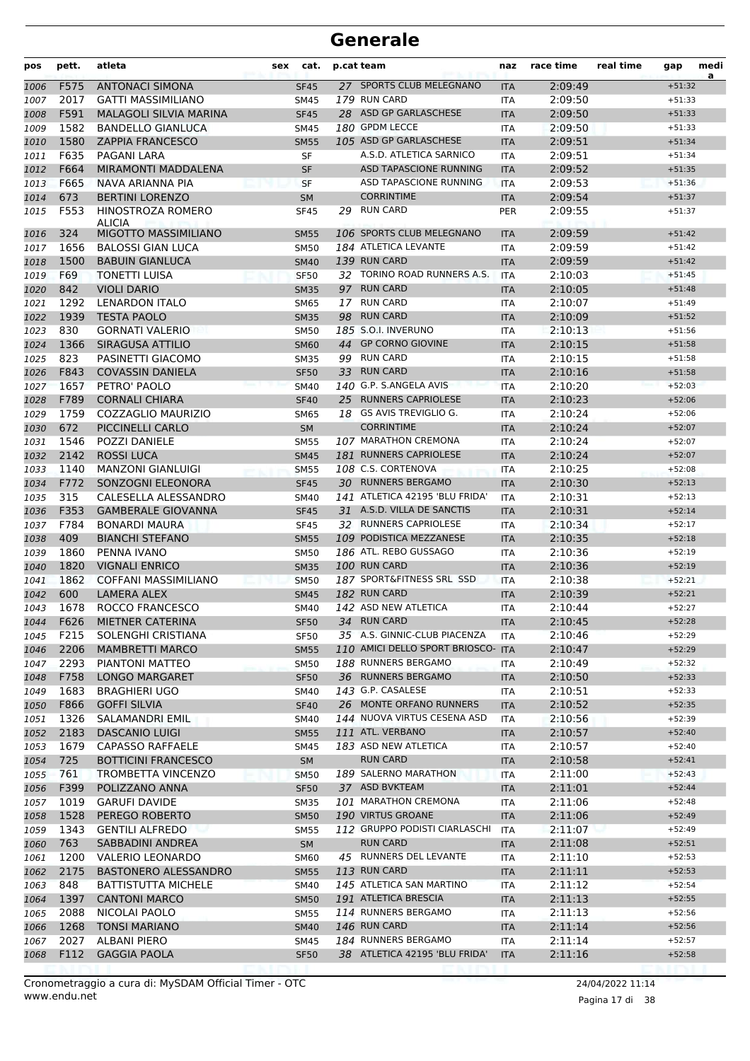| pos          | pett.       | atleta                                           | sex | cat.                       |    | p.cat team                              | naz               | race time          | real time | gap                  | medi<br>a |
|--------------|-------------|--------------------------------------------------|-----|----------------------------|----|-----------------------------------------|-------------------|--------------------|-----------|----------------------|-----------|
| 1006         | F575        | <b>ANTONACI SIMONA</b>                           |     | <b>SF45</b>                |    | 27 SPORTS CLUB MELEGNANO                | <b>ITA</b>        | 2:09:49            |           | $+51:32$             |           |
| 1007         | 2017        | <b>GATTI MASSIMILIANO</b>                        |     | <b>SM45</b>                |    | 179 RUN CARD                            | <b>ITA</b>        | 2:09:50            |           | $+51:33$             |           |
| 1008         | F591        | <b>MALAGOLI SILVIA MARINA</b>                    |     | <b>SF45</b>                |    | 28 ASD GP GARLASCHESE                   | <b>ITA</b>        | 2:09:50            |           | $+51:33$             |           |
| 1009         | 1582        | <b>BANDELLO GIANLUCA</b>                         |     | <b>SM45</b>                |    | 180 GPDM LECCE                          | <b>ITA</b>        | 2:09:50            |           | $+51:33$             |           |
| 1010         | 1580        | <b>ZAPPIA FRANCESCO</b>                          |     | <b>SM55</b>                |    | 105 ASD GP GARLASCHESE                  | <b>ITA</b>        | 2:09:51            |           | $+51:34$             |           |
| 1011         | F635        | PAGANI LARA                                      |     | SF                         |    | A.S.D. ATLETICA SARNICO                 | <b>ITA</b>        | 2:09:51            |           | $+51:34$             |           |
| 1012         | F664        | <b>MIRAMONTI MADDALENA</b>                       |     | <b>SF</b>                  |    | ASD TAPASCIONE RUNNING                  | <b>ITA</b>        | 2:09:52            |           | $+51:35$             |           |
| 1013         | F665        | NAVA ARIANNA PIA                                 |     | <b>SF</b>                  |    | ASD TAPASCIONE RUNNING                  | <b>ITA</b>        | 2:09:53            |           | $+51:36$             |           |
| 1014         | 673         | <b>BERTINI LORENZO</b>                           |     | <b>SM</b>                  |    | <b>CORRINTIME</b>                       | <b>ITA</b>        | 2:09:54            |           | $+51:37$             |           |
| 1015         | F553        | HINOSTROZA ROMERO<br>ALICIA                      |     | <b>SF45</b>                | 29 | <b>RUN CARD</b>                         | <b>PER</b>        | 2:09:55            |           | $+51:37$             |           |
| 1016         | 324         | <b>MIGOTTO MASSIMILIANO</b>                      |     | <b>SM55</b>                |    | 106 SPORTS CLUB MELEGNANO               | <b>ITA</b>        | 2:09:59            |           | $+51:42$             |           |
| 1017         | 1656        | <b>BALOSSI GIAN LUCA</b>                         |     | <b>SM50</b>                |    | 184 ATLETICA LEVANTE                    | <b>ITA</b>        | 2:09:59            |           | $+51:42$             |           |
| 1018         | 1500        | <b>BABUIN GIANLUCA</b>                           |     | <b>SM40</b>                |    | 139 RUN CARD                            | <b>ITA</b>        | 2:09:59            |           | $+51:42$             |           |
| 1019         | F69         | <b>TONETTI LUISA</b>                             |     | <b>SF50</b>                |    | 32 TORINO ROAD RUNNERS A.S.             | <b>ITA</b>        | 2:10:03            |           | $+51:45$             |           |
| 1020         | 842         | <b>VIOLI DARIO</b>                               |     | <b>SM35</b>                | 97 | <b>RUN CARD</b>                         | <b>ITA</b>        | 2:10:05            |           | $+51:48$             |           |
| 1021         | 1292        | <b>LENARDON ITALO</b>                            |     | <b>SM65</b>                | 17 | <b>RUN CARD</b>                         | <b>ITA</b>        | 2:10:07            |           | $+51:49$             |           |
| 1022         | 1939        | <b>TESTA PAOLO</b>                               |     | <b>SM35</b>                |    | 98 RUN CARD                             | <b>ITA</b>        | 2:10:09            |           | $+51:52$             |           |
| 1023         | 830         | <b>GORNATI VALERIO</b>                           |     | <b>SM50</b>                |    | 185 S.O.I. INVERUNO                     | <b>ITA</b>        | 2:10:13            |           | $+51:56$             |           |
| 1024         | 1366        | SIRAGUSA ATTILIO                                 |     | <b>SM60</b>                | 44 | <b>GP CORNO GIOVINE</b>                 | <b>ITA</b>        | 2:10:15            |           | $+51:58$             |           |
| 1025         | 823         | PASINETTI GIACOMO                                |     | <b>SM35</b>                |    | 99 RUN CARD                             | <b>ITA</b>        | 2:10:15            |           | $+51:58$             |           |
| 1026         | F843        | <b>COVASSIN DANIELA</b>                          |     | <b>SF50</b>                |    | 33 RUN CARD                             | <b>ITA</b>        | 2:10:16            |           | $+51:58$             |           |
| 1027         | 1657        | PETRO' PAOLO                                     |     | <b>SM40</b>                |    | 140 G.P. S.ANGELA AVIS                  | <b>ITA</b>        | 2:10:20            |           | $+52:03$             |           |
| 1028         | F789        | <b>CORNALI CHIARA</b>                            |     | <b>SF40</b>                | 25 | <b>RUNNERS CAPRIOLESE</b>               | <b>ITA</b>        | 2:10:23            |           | $+52:06$             |           |
| 1029         | 1759        | COZZAGLIO MAURIZIO                               |     | <b>SM65</b>                |    | 18 GS AVIS TREVIGLIO G.                 | <b>ITA</b>        | 2:10:24            |           | $+52:06$             |           |
| 1030         | 672         | PICCINELLI CARLO                                 |     | <b>SM</b>                  |    | <b>CORRINTIME</b>                       | <b>ITA</b>        | 2:10:24            |           | $+52:07$             |           |
| 1031         | 1546        | <b>POZZI DANIELE</b>                             |     | <b>SM55</b>                |    | 107 MARATHON CREMONA                    | <b>ITA</b>        | 2:10:24            |           | $+52:07$             |           |
| 1032         | 2142        | <b>ROSSI LUCA</b>                                |     | <b>SM45</b>                |    | 181 RUNNERS CAPRIOLESE                  | <b>ITA</b>        | 2:10:24            |           | $+52:07$             |           |
| 1033         | 1140        | <b>MANZONI GIANLUIGI</b>                         |     | <b>SM55</b>                |    | 108 C.S. CORTENOVA                      | ITA               | 2:10:25            |           | $+52:08$             |           |
| 1034         | F772        | SONZOGNI ELEONORA                                |     | <b>SF45</b>                |    | 30 RUNNERS BERGAMO                      | <b>ITA</b>        | 2:10:30            |           | $+52:13$             |           |
| 1035         | 315         | CALESELLA ALESSANDRO                             |     | <b>SM40</b>                |    | 141 ATLETICA 42195 'BLU FRIDA'          | <b>ITA</b>        | 2:10:31            |           | $+52:13$             |           |
| 1036         | F353        | <b>GAMBERALE GIOVANNA</b>                        |     | <b>SF45</b>                |    | 31 A.S.D. VILLA DE SANCTIS              | <b>ITA</b>        | 2:10:31            |           | $+52:14$             |           |
| 1037         | F784        | <b>BONARDI MAURA</b>                             |     | <b>SF45</b>                |    | 32 RUNNERS CAPRIOLESE                   | <b>ITA</b>        | 2:10:34            |           | $+52:17$             |           |
| 1038         | 409         | <b>BIANCHI STEFANO</b>                           |     | <b>SM55</b>                |    | 109 PODISTICA MEZZANESE                 | <b>ITA</b>        | 2:10:35            |           | $+52:18$             |           |
| 1039         | 1860        | PENNA IVANO                                      |     | <b>SM50</b>                |    | 186 ATL. REBO GUSSAGO                   | <b>ITA</b>        | 2:10:36            |           | $+52:19$             |           |
| 1040         | 1820        | <b>VIGNALI ENRICO</b>                            |     | <b>SM35</b>                |    | 100 RUN CARD                            | <b>ITA</b>        | 2:10:36            |           | $+52:19$             |           |
| 1041         | 1862        | <b>COFFANI MASSIMILIANO</b>                      |     | <b>SM50</b>                |    | 187 SPORT&FITNESS SRL SSD               | <b>ITA</b>        | 2:10:38            |           | $+52:21$             |           |
| 1042         | 600         | LAMERA ALEX                                      |     | <b>SM45</b>                |    | 182 RUN CARD                            | <b>ITA</b>        | 2:10:39            |           | $+52:21$             |           |
| 1043         | 1678        | ROCCO FRANCESCO                                  |     | SM40                       |    | 142 ASD NEW ATLETICA                    | <b>ITA</b>        | 2:10:44            |           | $+52:27$             |           |
| 1044         |             | F626 MIETNER CATERINA                            |     |                            |    | SF50 34 RUN CARD                        | <b>ITA</b>        | 2:10:45            |           | $+52:28$             |           |
| 1045         | F215        | SOLENGHI CRISTIANA                               |     | SF50                       |    | 35 A.S. GINNIC-CLUB PIACENZA            | ITA               | 2:10:46            |           | $+52:29$             |           |
| 1046         | 2206        | <b>MAMBRETTI MARCO</b>                           |     | <b>SM55</b>                |    | 110 AMICI DELLO SPORT BRIOSCO- ITA      |                   | 2:10:47            |           | $+52:29$             |           |
| 1047         | 2293        | PIANTONI MATTEO                                  |     | <b>SM50</b>                |    | 188 RUNNERS BERGAMO                     | ITA               | 2:10:49            |           | $+52:32$             |           |
| 1048         | F758        | LONGO MARGARET                                   |     | <b>SF50</b>                |    | 36 RUNNERS BERGAMO<br>143 G.P. CASALESE | <b>ITA</b>        | 2:10:50            |           | $+52:33$             |           |
| 1049         | 1683        | <b>BRAGHIERI UGO</b><br><b>GOFFI SILVIA</b>      |     | SM40                       |    | 26 MONTE ORFANO RUNNERS                 | ITA               | 2:10:51            |           | $+52:33$             |           |
| 1050         | F866        |                                                  |     | <b>SF40</b>                |    | 144 NUOVA VIRTUS CESENA ASD             | <b>ITA</b>        | 2:10:52            |           | $+52:35$<br>$+52:39$ |           |
| 1051         | 1326        | SALAMANDRI EMIL<br><b>DASCANIO LUIGI</b>         |     | <b>SM40</b>                |    | 111 ATL. VERBANO                        | ITA               | 2:10:56            |           |                      |           |
| 1052         | 2183        |                                                  |     | <b>SM55</b>                |    | 183 ASD NEW ATLETICA                    | <b>ITA</b>        | 2:10:57            |           | $+52:40$             |           |
| 1053         | 1679        | <b>CAPASSO RAFFAELE</b>                          |     | SM45                       |    | <b>RUN CARD</b>                         | ITA               | 2:10:57            |           | $+52:40$             |           |
| 1054         | 725         | <b>BOTTICINI FRANCESCO</b><br>TROMBETTA VINCENZO |     | <b>SM</b>                  |    | 189 SALERNO MARATHON                    | <b>ITA</b>        | 2:10:58            |           | $+52:41$             |           |
| 1055         | 761<br>F399 | POLIZZANO ANNA                                   |     | <b>SM50</b>                |    | 37 ASD BVKTEAM                          | <b>ITA</b>        | 2:11:00            |           | $+52:43$<br>$+52:44$ |           |
| 1056         | 1019        |                                                  |     | <b>SF50</b>                |    | 101 MARATHON CREMONA                    | <b>ITA</b>        | 2:11:01            |           | $+52:48$             |           |
| 1057<br>1058 | 1528        | <b>GARUFI DAVIDE</b><br>PEREGO ROBERTO           |     | SM35<br><b>SM50</b>        |    | 190 VIRTUS GROANE                       | ITA<br><b>ITA</b> | 2:11:06<br>2:11:06 |           | $+52:49$             |           |
|              | 1343        | <b>GENTILI ALFREDO</b>                           |     |                            |    | 112 GRUPPO PODISTI CIARLASCHI           |                   | 2:11:07            |           | $+52:49$             |           |
| 1059         |             |                                                  |     | <b>SM55</b>                |    | <b>RUN CARD</b>                         | ITA               |                    |           | $+52:51$             |           |
| 1060         | 763<br>1200 | SABBADINI ANDREA<br><b>VALERIO LEONARDO</b>      |     | <b>SM</b><br><b>SM60</b>   |    | 45 RUNNERS DEL LEVANTE                  | <b>ITA</b><br>ITA | 2:11:08<br>2:11:10 |           | $+52:53$             |           |
| 1061         | 2175        | <b>BASTONERO ALESSANDRO</b>                      |     |                            |    | 113 RUN CARD                            |                   | 2:11:11            |           | $+52:53$             |           |
| 1062         | 848         | BATTISTUTTA MICHELE                              |     | <b>SM55</b><br><b>SM40</b> |    | 145 ATLETICA SAN MARTINO                | <b>ITA</b>        |                    |           | $+52:54$             |           |
| 1063<br>1064 | 1397        | <b>CANTONI MARCO</b>                             |     | <b>SM50</b>                |    | 191 ATLETICA BRESCIA                    | ITA<br><b>ITA</b> | 2:11:12<br>2:11:13 |           | $+52:55$             |           |
|              | 2088        | NICOLAI PAOLO                                    |     |                            |    | 114 RUNNERS BERGAMO                     |                   | 2:11:13            |           | $+52:56$             |           |
| 1065         | 1268        | <b>TONSI MARIANO</b>                             |     | <b>SM55</b>                |    | <b>146 RUN CARD</b>                     | ITA               | 2:11:14            |           | $+52:56$             |           |
| 1066<br>1067 | 2027        | ALBANI PIERO                                     |     | <b>SM40</b><br><b>SM45</b> |    | 184 RUNNERS BERGAMO                     | <b>ITA</b><br>ITA | 2:11:14            |           | $+52:57$             |           |
| 1068         | F112        | <b>GAGGIA PAOLA</b>                              |     | <b>SF50</b>                |    | 38 ATLETICA 42195 'BLU FRIDA'           | <b>ITA</b>        | 2:11:16            |           | $+52:58$             |           |
|              |             |                                                  |     |                            |    |                                         |                   |                    |           |                      |           |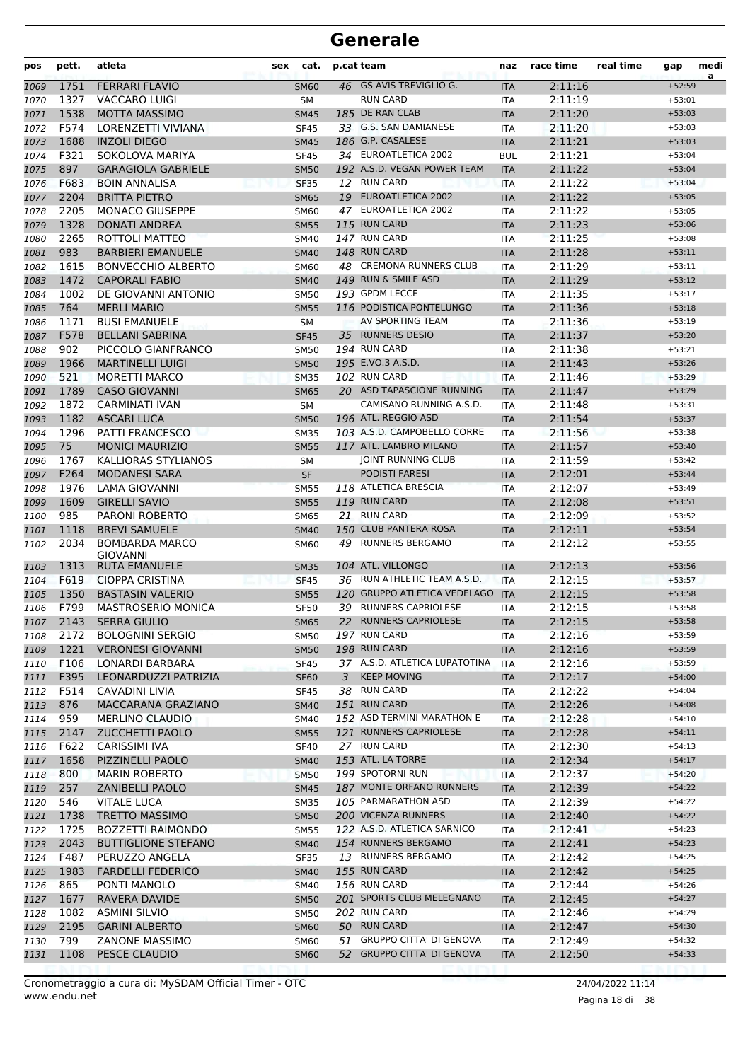| pos  | pett. | atleta                                   | cat.<br>sex |                | p.cat team                    | naz        | race time | real time | gap      | medi<br>a |
|------|-------|------------------------------------------|-------------|----------------|-------------------------------|------------|-----------|-----------|----------|-----------|
| 1069 | 1751  | <b>FERRARI FLAVIO</b>                    | <b>SM60</b> |                | 46 GS AVIS TREVIGLIO G.       | <b>ITA</b> | 2:11:16   |           | $+52:59$ |           |
| 1070 | 1327  | <b>VACCARO LUIGI</b>                     | <b>SM</b>   |                | <b>RUN CARD</b>               | <b>ITA</b> | 2:11:19   |           | $+53:01$ |           |
| 1071 | 1538  | <b>MOTTA MASSIMO</b>                     | <b>SM45</b> |                | 185 DE RAN CLAB               | <b>ITA</b> | 2:11:20   |           | $+53:03$ |           |
| 1072 | F574  | LORENZETTI VIVIANA                       | <b>SF45</b> |                | 33 G.S. SAN DAMIANESE         | <b>ITA</b> | 2:11:20   |           | $+53:03$ |           |
| 1073 | 1688  | <b>INZOLI DIEGO</b>                      | <b>SM45</b> |                | 186 G.P. CASALESE             | <b>ITA</b> | 2:11:21   |           | $+53:03$ |           |
| 1074 | F321  | SOKOLOVA MARIYA                          | <b>SF45</b> |                | 34 EUROATLETICA 2002          | <b>BUL</b> | 2:11:21   |           | $+53:04$ |           |
| 1075 | 897   | <b>GARAGIOLA GABRIELE</b>                | <b>SM50</b> |                | 192 A.S.D. VEGAN POWER TEAM   | <b>ITA</b> | 2:11:22   |           | $+53:04$ |           |
| 1076 | F683  | <b>BOIN ANNALISA</b>                     | <b>SF35</b> |                | 12 RUN CARD                   | <b>ITA</b> | 2:11:22   |           | $+53:04$ |           |
| 1077 | 2204  | <b>BRITTA PIETRO</b>                     | <b>SM65</b> |                | 19 EUROATLETICA 2002          | <b>ITA</b> | 2:11:22   |           | $+53:05$ |           |
| 1078 | 2205  | <b>MONACO GIUSEPPE</b>                   | <b>SM60</b> | 47             | EUROATLETICA 2002             | <b>ITA</b> | 2:11:22   |           | $+53:05$ |           |
| 1079 | 1328  | <b>DONATI ANDREA</b>                     | <b>SM55</b> |                | 115 RUN CARD                  | <b>ITA</b> | 2:11:23   |           | $+53:06$ |           |
| 1080 | 2265  | ROTTOLI MATTEO                           | <b>SM40</b> |                | 147 RUN CARD                  | <b>ITA</b> | 2:11:25   |           | $+53:08$ |           |
| 1081 | 983   | <b>BARBIERI EMANUELE</b>                 | <b>SM40</b> |                | 148 RUN CARD                  | <b>ITA</b> | 2:11:28   |           | $+53:11$ |           |
| 1082 | 1615  | <b>BONVECCHIO ALBERTO</b>                | <b>SM60</b> |                | 48 CREMONA RUNNERS CLUB       | <b>ITA</b> | 2:11:29   |           | $+53:11$ |           |
| 1083 | 1472  | <b>CAPORALI FABIO</b>                    | <b>SM40</b> |                | 149 RUN & SMILE ASD           | <b>ITA</b> | 2:11:29   |           | $+53:12$ |           |
| 1084 | 1002  | DE GIOVANNI ANTONIO                      | <b>SM50</b> |                | 193 GPDM LECCE                | <b>ITA</b> | 2:11:35   |           | $+53:17$ |           |
| 1085 | 764   | <b>MERLI MARIO</b>                       | <b>SM55</b> |                | 116 PODISTICA PONTELUNGO      | <b>ITA</b> | 2:11:36   |           | $+53:18$ |           |
| 1086 | 1171  | <b>BUSI EMANUELE</b>                     | SM          |                | AV SPORTING TEAM              | <b>ITA</b> | 2:11:36   |           | $+53:19$ |           |
| 1087 | F578  | <b>BELLANI SABRINA</b>                   | <b>SF45</b> |                | 35 RUNNERS DESIO              | <b>ITA</b> | 2:11:37   |           | $+53:20$ |           |
| 1088 | 902   | PICCOLO GIANFRANCO                       | <b>SM50</b> |                | 194 RUN CARD                  | <b>ITA</b> | 2:11:38   |           | $+53:21$ |           |
| 1089 | 1966  | <b>MARTINELLI LUIGI</b>                  | <b>SM50</b> |                | 195 E.VO.3 A.S.D.             | <b>ITA</b> | 2:11:43   |           | $+53:26$ |           |
| 1090 | 521   | <b>MORETTI MARCO</b>                     | <b>SM35</b> |                | 102 RUN CARD                  | <b>ITA</b> | 2:11:46   |           | $+53:29$ |           |
| 1091 | 1789  | <b>CASO GIOVANNI</b>                     | <b>SM65</b> |                | 20 ASD TAPASCIONE RUNNING     | <b>ITA</b> | 2:11:47   |           | $+53:29$ |           |
| 1092 | 1872  | CARMINATI IVAN                           | SM          |                | CAMISANO RUNNING A.S.D.       | <b>ITA</b> | 2:11:48   |           | $+53:31$ |           |
| 1093 | 1182  | <b>ASCARI LUCA</b>                       | <b>SM50</b> |                | 196 ATL. REGGIO ASD           | <b>ITA</b> | 2:11:54   |           | $+53:37$ |           |
| 1094 | 1296  | <b>PATTI FRANCESCO</b>                   | <b>SM35</b> |                | 103 A.S.D. CAMPOBELLO CORRE   | <b>ITA</b> | 2:11:56   |           | $+53:38$ |           |
| 1095 | 75    | <b>MONICI MAURIZIO</b>                   | <b>SM55</b> |                | 117 ATL. LAMBRO MILANO        | <b>ITA</b> | 2:11:57   |           | $+53:40$ |           |
| 1096 | 1767  | KALLIORAS STYLIANOS                      | SM          |                | JOINT RUNNING CLUB            | <b>ITA</b> | 2:11:59   |           | $+53:42$ |           |
| 1097 | F264  | <b>MODANESI SARA</b>                     | <b>SF</b>   |                | <b>PODISTI FARESI</b>         | <b>ITA</b> | 2:12:01   |           | $+53:44$ |           |
| 1098 | 1976  | LAMA GIOVANNI                            | <b>SM55</b> |                | 118 ATLETICA BRESCIA          | <b>ITA</b> | 2:12:07   |           | $+53:49$ |           |
| 1099 | 1609  | <b>GIRELLI SAVIO</b>                     | <b>SM55</b> |                | 119 RUN CARD                  | <b>ITA</b> | 2:12:08   |           | $+53:51$ |           |
| 1100 | 985   | PARONI ROBERTO                           | <b>SM65</b> |                | 21 RUN CARD                   | <b>ITA</b> | 2:12:09   |           | $+53:52$ |           |
| 1101 | 1118  | <b>BREVI SAMUELE</b>                     | <b>SM40</b> |                | 150 CLUB PANTERA ROSA         | <b>ITA</b> | 2:12:11   |           | $+53:54$ |           |
| 1102 | 2034  | <b>BOMBARDA MARCO</b><br><b>GIOVANNI</b> | <b>SM60</b> |                | 49 RUNNERS BERGAMO            | <b>ITA</b> | 2:12:12   |           | $+53:55$ |           |
| 1103 | 1313  | RUTA EMANUELE                            | <b>SM35</b> |                | 104 ATL. VILLONGO             | <b>ITA</b> | 2:12:13   |           | $+53:56$ |           |
| 1104 | F619  | <b>CIOPPA CRISTINA</b>                   | <b>SF45</b> |                | 36 RUN ATHLETIC TEAM A.S.D.   | <b>ITA</b> | 2:12:15   |           | $+53:57$ |           |
| 1105 | 1350  | <b>BASTASIN VALERIO</b>                  | <b>SM55</b> |                | 120 GRUPPO ATLETICA VEDELAGO  | <b>ITA</b> | 2:12:15   |           | $+53:58$ |           |
| 1106 | F799  | <b>MASTROSERIO MONICA</b>                | <b>SF50</b> |                | 39 RUNNERS CAPRIOLESE         | <b>ITA</b> | 2:12:15   |           | $+53:58$ |           |
| 1107 | 2143  | <b>SERRA GIULIO</b>                      | <b>SM65</b> |                | 22 RUNNERS CAPRIOLESE         | IIA        | 2:12:15   |           | $+53:58$ |           |
| 1108 | 2172  | <b>BOLOGNINI SERGIO</b>                  | <b>SM50</b> |                | 197 RUN CARD                  | ITA        | 2:12:16   |           | $+53:59$ |           |
| 1109 | 1221  | <b>VERONESI GIOVANNI</b>                 | <b>SM50</b> |                | 198 RUN CARD                  | <b>ITA</b> | 2:12:16   |           | $+53:59$ |           |
| 1110 | F106  | LONARDI BARBARA                          | <b>SF45</b> |                | 37 A.S.D. ATLETICA LUPATOTINA | ITA        | 2:12:16   |           | $+53:59$ |           |
| 1111 | F395  | LEONARDUZZI PATRIZIA                     | <b>SF60</b> | $\overline{3}$ | <b>KEEP MOVING</b>            | <b>ITA</b> | 2:12:17   |           | $+54:00$ |           |
| 1112 | F514  | CAVADINI LIVIA                           | <b>SF45</b> |                | 38 RUN CARD                   | ITA        | 2:12:22   |           | $+54:04$ |           |
| 1113 | 876   | MACCARANA GRAZIANO                       | <b>SM40</b> |                | 151 RUN CARD                  | <b>ITA</b> | 2:12:26   |           | $+54:08$ |           |
| 1114 | 959   | <b>MERLINO CLAUDIO</b>                   | <b>SM40</b> |                | 152 ASD TERMINI MARATHON E    | ITA        | 2:12:28   |           | $+54:10$ |           |
| 1115 | 2147  | <b>ZUCCHETTI PAOLO</b>                   | <b>SM55</b> |                | 121 RUNNERS CAPRIOLESE        | <b>ITA</b> | 2:12:28   |           | $+54:11$ |           |
| 1116 | F622  | CARISSIMI IVA                            | <b>SF40</b> |                | 27 RUN CARD                   | ITA        | 2:12:30   |           | $+54:13$ |           |
| 1117 | 1658  | PIZZINELLI PAOLO                         | <b>SM40</b> |                | 153 ATL. LA TORRE             | <b>ITA</b> | 2:12:34   |           | $+54:17$ |           |
| 1118 | 800   | <b>MARIN ROBERTO</b>                     | <b>SM50</b> |                | 199 SPOTORNI RUN              | <b>ITA</b> | 2:12:37   |           | $+54:20$ |           |
| 1119 | 257   | <b>ZANIBELLI PAOLO</b>                   | <b>SM45</b> |                | 187 MONTE ORFANO RUNNERS      | <b>ITA</b> | 2:12:39   |           | $+54:22$ |           |
| 1120 | 546   | <b>VITALE LUCA</b>                       | <b>SM35</b> |                | 105 PARMARATHON ASD           | ITA        | 2:12:39   |           | $+54:22$ |           |
| 1121 | 1738  | <b>TRETTO MASSIMO</b>                    | <b>SM50</b> |                | 200 VICENZA RUNNERS           | <b>ITA</b> | 2:12:40   |           | $+54:22$ |           |
| 1122 | 1725  | <b>BOZZETTI RAIMONDO</b>                 | <b>SM55</b> |                | 122 A.S.D. ATLETICA SARNICO   | ITA        | 2:12:41   |           | $+54:23$ |           |
| 1123 | 2043  | <b>BUTTIGLIONE STEFANO</b>               | <b>SM40</b> |                | 154 RUNNERS BERGAMO           | <b>ITA</b> | 2:12:41   |           | $+54:23$ |           |
| 1124 | F487  | PERUZZO ANGELA                           | <b>SF35</b> |                | 13 RUNNERS BERGAMO            | ITA        | 2:12:42   |           | $+54:25$ |           |
| 1125 | 1983  | <b>FARDELLI FEDERICO</b>                 | <b>SM40</b> |                | 155 RUN CARD                  | <b>ITA</b> | 2:12:42   |           | $+54:25$ |           |
| 1126 | 865   | PONTI MANOLO                             | <b>SM40</b> |                | 156 RUN CARD                  | ITA        | 2:12:44   |           | $+54:26$ |           |
| 1127 | 1677  | RAVERA DAVIDE                            | <b>SM50</b> |                | 201 SPORTS CLUB MELEGNANO     | <b>ITA</b> | 2:12:45   |           | $+54:27$ |           |
| 1128 | 1082  | <b>ASMINI SILVIO</b>                     | <b>SM50</b> |                | 202 RUN CARD                  | ITA        | 2:12:46   |           | $+54:29$ |           |
| 1129 | 2195  | <b>GARINI ALBERTO</b>                    | <b>SM60</b> |                | 50 RUN CARD                   | <b>ITA</b> | 2:12:47   |           | $+54:30$ |           |
| 1130 | 799   | <b>ZANONE MASSIMO</b>                    | <b>SM60</b> |                | 51 GRUPPO CITTA' DI GENOVA    | ITA        | 2:12:49   |           | $+54:32$ |           |
| 1131 | 1108  | PESCE CLAUDIO                            | <b>SM60</b> |                | 52 GRUPPO CITTA' DI GENOVA    | <b>ITA</b> | 2:12:50   |           | $+54:33$ |           |
|      |       |                                          |             |                |                               |            |           |           |          |           |

Pagina 18 di 38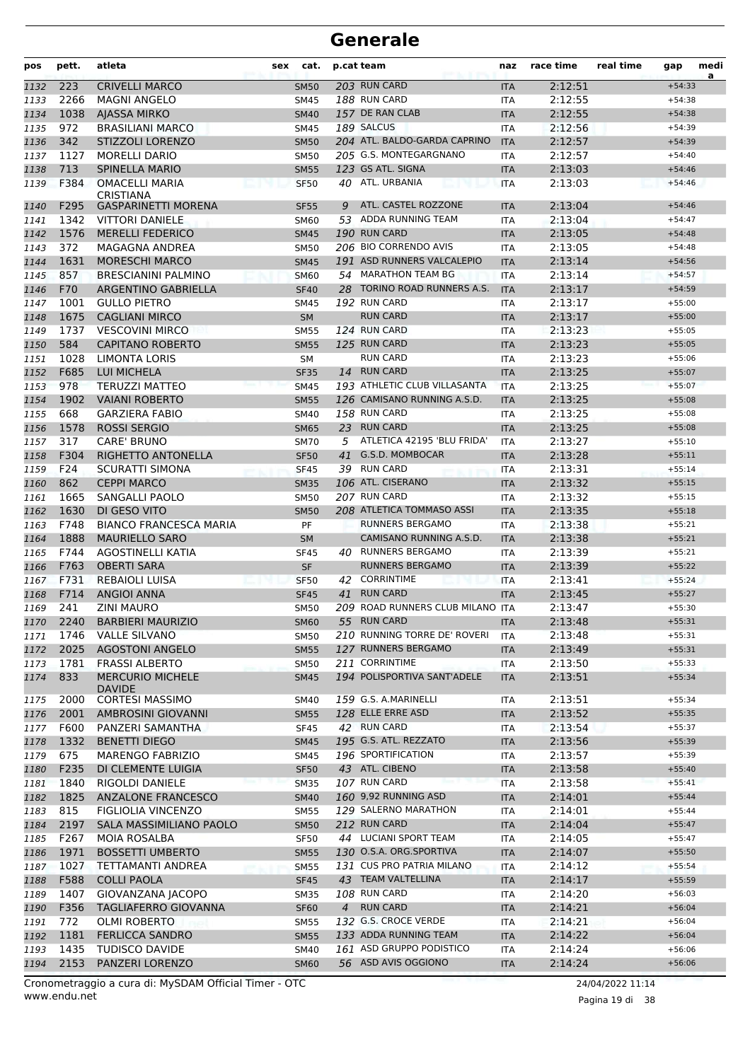| 223<br><b>CRIVELLI MARCO</b><br>203 RUN CARD<br>2:12:51<br><b>SM50</b><br>$+54:33$<br>1132<br><b>ITA</b><br>2266<br>188 RUN CARD<br><b>MAGNI ANGELO</b><br>2:12:55<br><b>SM45</b><br>$+54:38$<br>1133<br>ITA<br>1038<br>157 DE RAN CLAB<br>2:12:55<br><b>AJASSA MIRKO</b><br>1134<br><b>SM40</b><br><b>ITA</b><br>$+54:38$<br>972<br><b>BRASILIANI MARCO</b><br>189 SALCUS<br>2:12:56<br>1135<br><b>SM45</b><br>$+54:39$<br><b>ITA</b><br>204 ATL. BALDO-GARDA CAPRINO<br>342<br><b>STIZZOLI LORENZO</b><br>2:12:57<br>1136<br><b>SM50</b><br><b>ITA</b><br>$+54:39$<br>205 G.S. MONTEGARGNANO<br>1127<br><b>MORELLI DARIO</b><br>2:12:57<br>1137<br><b>SM50</b><br><b>ITA</b><br>$+54:40$<br>713<br>123 GS ATL. SIGNA<br>1138<br><b>SPINELLA MARIO</b><br><b>SM55</b><br>2:13:03<br>$+54:46$<br><b>ITA</b><br>F384<br>40 ATL. URBANIA<br><b>OMACELLI MARIA</b><br>2:13:03<br><b>SF50</b><br>1139<br>ITA<br>$+54:46$<br>CRISTIANA<br>ATL. CASTEL ROZZONE<br>F295<br>2:13:04<br><b>GASPARINETTI MORENA</b><br>9<br>$+54:46$<br>1140<br><b>SF55</b><br><b>ITA</b><br>53 ADDA RUNNING TEAM<br>1342<br><b>VITTORI DANIELE</b><br>2:13:04<br><b>SM60</b><br><b>ITA</b><br>$+54:47$<br>1141<br>1576<br>190 RUN CARD<br>2:13:05<br><b>MERELLI FEDERICO</b><br>$+54:48$<br>1142<br><b>SM45</b><br><b>ITA</b><br>206 BIO CORRENDO AVIS<br>372<br>MAGAGNA ANDREA<br>2:13:05<br>1143<br><b>SM50</b><br><b>ITA</b><br>$+54:48$<br>191 ASD RUNNERS VALCALEPIO<br>1631<br><b>MORESCHI MARCO</b><br>2:13:14<br>1144<br><b>SM45</b><br><b>ITA</b><br>$+54:56$<br>54 MARATHON TEAM BG<br>2:13:14<br>857<br><b>BRESCIANINI PALMINO</b><br><b>SM60</b><br>$+54:57$<br>1145<br><b>ITA</b><br>F70<br>28 TORINO ROAD RUNNERS A.S.<br>ARGENTINO GABRIELLA<br>2:13:17<br>1146<br><b>SF40</b><br><b>ITA</b><br>$+54:59$<br>192 RUN CARD<br>1001<br><b>GULLO PIETRO</b><br>2:13:17<br>$+55:00$<br>1147<br><b>SM45</b><br><b>ITA</b><br><b>RUN CARD</b><br>1675<br><b>CAGLIANI MIRCO</b><br>2:13:17<br><b>SM</b><br>$+55:00$<br>1148<br><b>ITA</b><br>1737<br>124 RUN CARD<br><b>VESCOVINI MIRCO</b><br>2:13:23<br>1149<br><b>SM55</b><br><b>ITA</b><br>$+55:05$<br>125 RUN CARD<br>2:13:23<br>584<br><b>CAPITANO ROBERTO</b><br>$+55:05$<br><b>SM55</b><br><b>ITA</b><br>1150<br><b>RUN CARD</b><br>1028<br><b>LIMONTA LORIS</b><br>2:13:23<br>$+55:06$<br><b>SM</b><br>1151<br><b>ITA</b><br>F685<br><b>LUI MICHELA</b><br>14 RUN CARD<br>2:13:25<br>1152<br><b>SF35</b><br><b>ITA</b><br>$+55:07$<br>978<br>193 ATHLETIC CLUB VILLASANTA<br><b>TERUZZI MATTEO</b><br>2:13:25<br>$+55:07$<br>1153<br><b>SM45</b><br><b>ITA</b><br>1902<br>126 CAMISANO RUNNING A.S.D.<br>2:13:25<br><b>VAIANI ROBERTO</b><br>$+55:08$<br>1154<br><b>SM55</b><br><b>ITA</b><br>668<br>158 RUN CARD<br><b>GARZIERA FABIO</b><br>2:13:25<br>$+55:08$<br>1155<br><b>SM40</b><br>ITA<br>1578<br><b>ROSSI SERGIO</b><br>23 RUN CARD<br>2:13:25<br>$+55:08$<br>1156<br><b>SM65</b><br><b>ITA</b><br>ATLETICA 42195 'BLU FRIDA'<br>317<br><b>CARE' BRUNO</b><br>2:13:27<br>5<br>$+55:10$<br>1157<br><b>SM70</b><br><b>ITA</b><br>F304<br><b>G.S.D. MOMBOCAR</b><br>2:13:28<br>RIGHETTO ANTONELLA<br>41<br>1158<br><b>SF50</b><br><b>ITA</b><br>$+55:11$<br>F24<br>39 RUN CARD<br>SCURATTI SIMONA<br>2:13:31<br>$+55:14$<br><b>SF45</b><br>1159<br><b>ITA</b><br>862<br><b>CEPPI MARCO</b><br>106 ATL. CISERANO<br>2:13:32<br>$+55:15$<br>1160<br><b>SM35</b><br><b>ITA</b><br>207 RUN CARD<br>1665<br>SANGALLI PAOLO<br>2:13:32<br>1161<br><b>SM50</b><br><b>ITA</b><br>$+55:15$<br>208 ATLETICA TOMMASO ASSI<br>1630<br>DI GESO VITO<br>2:13:35<br>$+55:18$<br><b>ITA</b><br>1162<br><b>SM50</b><br>F748<br><b>BIANCO FRANCESCA MARIA</b><br>RUNNERS BERGAMO<br>2:13:38<br>PF<br>$+55:21$<br>1163<br><b>ITA</b><br>1888<br><b>MAURIELLO SARO</b><br>CAMISANO RUNNING A.S.D.<br>2:13:38<br>1164<br><b>SM</b><br><b>ITA</b><br>$+55:21$<br>F744<br>AGOSTINELLI KATIA<br>40 RUNNERS BERGAMO<br>2:13:39<br>$+55:21$<br>1165<br><b>SF45</b><br><b>ITA</b><br>F763<br><b>OBERTI SARA</b><br><b>RUNNERS BERGAMO</b><br><b>SF</b><br>2:13:39<br>1166<br><b>ITA</b><br>$+55:22$<br>F731<br><b>CORRINTIME</b><br>REBAIOLI LUISA<br>42<br>2:13:41<br>$+55:24$<br>1167<br><b>SF50</b><br>ITA<br><b>RUN CARD</b><br>$+55:27$<br>F714<br><b>ANGIOI ANNA</b><br>41<br>2:13:45<br>1168<br><b>SF45</b><br><b>ITA</b><br>209 ROAD RUNNERS CLUB MILANO ITA<br>241<br>ZINI MAURO<br><b>SM50</b><br>2:13:47<br>$+55:30$<br>1169<br>55 RUN CARD<br>2:13:48<br>2240<br><b>BARBIERI MAURIZIO</b><br>1170<br>SM60<br>ITA<br>$+55:31$<br>210 RUNNING TORRE DE' ROVERI<br>1746<br><b>VALLE SILVANO</b><br>2:13:48<br>$+55:31$<br>1171<br><b>SM50</b><br>ITA<br>2025<br>127 RUNNERS BERGAMO<br>2:13:49<br>1172<br><b>AGOSTONI ANGELO</b><br><b>SM55</b><br><b>ITA</b><br>$+55:31$<br>1781<br><b>FRASSI ALBERTO</b><br>211 CORRINTIME<br><b>SM50</b><br>2:13:50<br>$+55:33$<br>1173<br>ITA<br>194 POLISPORTIVA SANT'ADELE<br>$+55:34$<br>833<br><b>MERCURIO MICHELE</b><br><b>SM45</b><br>2:13:51<br>1174<br><b>ITA</b><br><b>DAVIDE</b><br>159 G.S. A.MARINELLI<br>2000<br><b>CORTESI MASSIMO</b><br>2:13:51<br>$+55:34$<br>1175<br>SM40<br><b>ITA</b><br>128 ELLE ERRE ASD<br>2001<br>AMBROSINI GIOVANNI<br>2:13:52<br>1176<br><b>SM55</b><br><b>ITA</b><br>$+55:35$<br>F600<br>42 RUN CARD<br>1177<br>PANZERI SAMANTHA<br><b>SF45</b><br>2:13:54<br>$+55:37$<br>ITA<br>1332<br>195 G.S. ATL. REZZATO<br><b>BENETTI DIEGO</b><br>2:13:56<br>$+55:39$<br>1178<br><b>SM45</b><br><b>ITA</b><br>675<br>196 SPORTIFICATION<br><b>MARENGO FABRIZIO</b><br>2:13:57<br>$+55:39$<br>1179<br>SM45<br>ITA<br>F235<br>43 ATL. CIBENO<br>DI CLEMENTE LUIGIA<br>2:13:58<br>$+55:40$<br>1180<br><b>SF50</b><br><b>ITA</b><br>107 RUN CARD<br>$+55:41$<br>1840<br>RIGOLDI DANIELE<br>2:13:58<br>1181<br><b>SM35</b><br>ITA<br>160 9,92 RUNNING ASD<br>1825<br><b>ANZALONE FRANCESCO</b><br>2:14:01<br>$+55:44$<br>1182<br><b>SM40</b><br><b>ITA</b><br>815<br>129 SALERNO MARATHON<br>FIGLIOLIA VINCENZO<br>$+55:44$<br>2:14:01<br>1183<br><b>SM55</b><br>ITA<br>2197<br>212 RUN CARD<br>1184<br>SALA MASSIMILIANO PAOLO<br><b>SM50</b><br>2:14:04<br>$+55:47$<br><b>ITA</b><br>F267<br>44 LUCIANI SPORT TEAM<br><b>MOIA ROSALBA</b><br><b>SF50</b><br>2:14:05<br>$+55:47$<br>1185<br>ITA<br>1971<br><b>BOSSETTI UMBERTO</b><br>130 O.S.A. ORG.SPORTIVA<br>2:14:07<br>$+55:50$<br>1186<br><b>SM55</b><br><b>ITA</b><br>1027<br>131 CUS PRO PATRIA MILANO<br>$+55:54$<br>TETTAMANTI ANDREA<br><b>SM55</b><br>2:14:12<br>1187<br>ITA<br>F588<br>43 TEAM VALTELLINA<br><b>COLLI PAOLA</b><br>2:14:17<br>$+55:59$<br>1188<br><b>SF45</b><br><b>ITA</b><br>1407<br>108 RUN CARD<br>GIOVANZANA JACOPO<br>2:14:20<br>$+56:03$<br>1189<br><b>SM35</b><br>ITA<br>4 RUN CARD<br>F356<br>$+56:04$<br><b>TAGLIAFERRO GIOVANNA</b><br><b>SF60</b><br>2:14:21<br>1190<br><b>ITA</b><br>772<br>132 G.S. CROCE VERDE<br><b>OLMI ROBERTO</b><br><b>SM55</b><br>2:14:21<br>$+56:04$<br>1191<br>ITA<br>133 ADDA RUNNING TEAM<br>1181<br><b>FERLICCA SANDRO</b><br>2:14:22<br>$+56:04$<br>1192<br><b>SM55</b><br><b>ITA</b><br>161 ASD GRUPPO PODISTICO<br>$+56:06$<br>1435<br><b>TUDISCO DAVIDE</b><br>SM40<br>2:14:24<br>1193<br>ITA | pos | pett. | atleta | sex | cat. | p.cat team | naz | race time | real time | gap | medi<br>a |
|--------------------------------------------------------------------------------------------------------------------------------------------------------------------------------------------------------------------------------------------------------------------------------------------------------------------------------------------------------------------------------------------------------------------------------------------------------------------------------------------------------------------------------------------------------------------------------------------------------------------------------------------------------------------------------------------------------------------------------------------------------------------------------------------------------------------------------------------------------------------------------------------------------------------------------------------------------------------------------------------------------------------------------------------------------------------------------------------------------------------------------------------------------------------------------------------------------------------------------------------------------------------------------------------------------------------------------------------------------------------------------------------------------------------------------------------------------------------------------------------------------------------------------------------------------------------------------------------------------------------------------------------------------------------------------------------------------------------------------------------------------------------------------------------------------------------------------------------------------------------------------------------------------------------------------------------------------------------------------------------------------------------------------------------------------------------------------------------------------------------------------------------------------------------------------------------------------------------------------------------------------------------------------------------------------------------------------------------------------------------------------------------------------------------------------------------------------------------------------------------------------------------------------------------------------------------------------------------------------------------------------------------------------------------------------------------------------------------------------------------------------------------------------------------------------------------------------------------------------------------------------------------------------------------------------------------------------------------------------------------------------------------------------------------------------------------------------------------------------------------------------------------------------------------------------------------------------------------------------------------------------------------------------------------------------------------------------------------------------------------------------------------------------------------------------------------------------------------------------------------------------------------------------------------------------------------------------------------------------------------------------------------------------------------------------------------------------------------------------------------------------------------------------------------------------------------------------------------------------------------------------------------------------------------------------------------------------------------------------------------------------------------------------------------------------------------------------------------------------------------------------------------------------------------------------------------------------------------------------------------------------------------------------------------------------------------------------------------------------------------------------------------------------------------------------------------------------------------------------------------------------------------------------------------------------------------------------------------------------------------------------------------------------------------------------------------------------------------------------------------------------------------------------------------------------------------------------------------------------------------------------------------------------------------------------------------------------------------------------------------------------------------------------------------------------------------------------------------------------------------------------------------------------------------------------------------------------------------------------------------------------------------------------------------------------------------------------------------------------------------------------------------------------------------------------------------------------------------------------------------------------------------------------------------------------------------------------------------------------------------------------------------------------------------------------------------------------------------------------------------------------------------------------------------------------------------------------------------------------------------------------------------------------------------------------------------------------------------------------------------------------------------------------------------------------------------------------------------------------------------------------------------------------------------------------------------------------------------------------------------------------------------------------------------------------------------------------------------------------------------------------------------------------------------------------------------------------------------------------------------------------------------------------------------------------------------------------------------------------------------------------------------------------------------------------------------------------------------------------------------------------------------------------------------------------------------------------------------------------------------------------------------------------------------------------------------------------------------------------------------------------------------------------------------------------------------------------------------------------------------------------------------------------------------------------------------------------------------------|-----|-------|--------|-----|------|------------|-----|-----------|-----------|-----|-----------|
|                                                                                                                                                                                                                                                                                                                                                                                                                                                                                                                                                                                                                                                                                                                                                                                                                                                                                                                                                                                                                                                                                                                                                                                                                                                                                                                                                                                                                                                                                                                                                                                                                                                                                                                                                                                                                                                                                                                                                                                                                                                                                                                                                                                                                                                                                                                                                                                                                                                                                                                                                                                                                                                                                                                                                                                                                                                                                                                                                                                                                                                                                                                                                                                                                                                                                                                                                                                                                                                                                                                                                                                                                                                                                                                                                                                                                                                                                                                                                                                                                                                                                                                                                                                                                                                                                                                                                                                                                                                                                                                                                                                                                                                                                                                                                                                                                                                                                                                                                                                                                                                                                                                                                                                                                                                                                                                                                                                                                                                                                                                                                                                                                                                                                                                                                                                                                                                                                                                                                                                                                                                                                                                                                                                                                                                                                                                                                                                                                                                                                                                                                                                                                                                                                                                                                                                                                                                                                                                                                                                                                                                                                                                                                                                                                          |     |       |        |     |      |            |     |           |           |     |           |
|                                                                                                                                                                                                                                                                                                                                                                                                                                                                                                                                                                                                                                                                                                                                                                                                                                                                                                                                                                                                                                                                                                                                                                                                                                                                                                                                                                                                                                                                                                                                                                                                                                                                                                                                                                                                                                                                                                                                                                                                                                                                                                                                                                                                                                                                                                                                                                                                                                                                                                                                                                                                                                                                                                                                                                                                                                                                                                                                                                                                                                                                                                                                                                                                                                                                                                                                                                                                                                                                                                                                                                                                                                                                                                                                                                                                                                                                                                                                                                                                                                                                                                                                                                                                                                                                                                                                                                                                                                                                                                                                                                                                                                                                                                                                                                                                                                                                                                                                                                                                                                                                                                                                                                                                                                                                                                                                                                                                                                                                                                                                                                                                                                                                                                                                                                                                                                                                                                                                                                                                                                                                                                                                                                                                                                                                                                                                                                                                                                                                                                                                                                                                                                                                                                                                                                                                                                                                                                                                                                                                                                                                                                                                                                                                                          |     |       |        |     |      |            |     |           |           |     |           |
|                                                                                                                                                                                                                                                                                                                                                                                                                                                                                                                                                                                                                                                                                                                                                                                                                                                                                                                                                                                                                                                                                                                                                                                                                                                                                                                                                                                                                                                                                                                                                                                                                                                                                                                                                                                                                                                                                                                                                                                                                                                                                                                                                                                                                                                                                                                                                                                                                                                                                                                                                                                                                                                                                                                                                                                                                                                                                                                                                                                                                                                                                                                                                                                                                                                                                                                                                                                                                                                                                                                                                                                                                                                                                                                                                                                                                                                                                                                                                                                                                                                                                                                                                                                                                                                                                                                                                                                                                                                                                                                                                                                                                                                                                                                                                                                                                                                                                                                                                                                                                                                                                                                                                                                                                                                                                                                                                                                                                                                                                                                                                                                                                                                                                                                                                                                                                                                                                                                                                                                                                                                                                                                                                                                                                                                                                                                                                                                                                                                                                                                                                                                                                                                                                                                                                                                                                                                                                                                                                                                                                                                                                                                                                                                                                          |     |       |        |     |      |            |     |           |           |     |           |
|                                                                                                                                                                                                                                                                                                                                                                                                                                                                                                                                                                                                                                                                                                                                                                                                                                                                                                                                                                                                                                                                                                                                                                                                                                                                                                                                                                                                                                                                                                                                                                                                                                                                                                                                                                                                                                                                                                                                                                                                                                                                                                                                                                                                                                                                                                                                                                                                                                                                                                                                                                                                                                                                                                                                                                                                                                                                                                                                                                                                                                                                                                                                                                                                                                                                                                                                                                                                                                                                                                                                                                                                                                                                                                                                                                                                                                                                                                                                                                                                                                                                                                                                                                                                                                                                                                                                                                                                                                                                                                                                                                                                                                                                                                                                                                                                                                                                                                                                                                                                                                                                                                                                                                                                                                                                                                                                                                                                                                                                                                                                                                                                                                                                                                                                                                                                                                                                                                                                                                                                                                                                                                                                                                                                                                                                                                                                                                                                                                                                                                                                                                                                                                                                                                                                                                                                                                                                                                                                                                                                                                                                                                                                                                                                                          |     |       |        |     |      |            |     |           |           |     |           |
|                                                                                                                                                                                                                                                                                                                                                                                                                                                                                                                                                                                                                                                                                                                                                                                                                                                                                                                                                                                                                                                                                                                                                                                                                                                                                                                                                                                                                                                                                                                                                                                                                                                                                                                                                                                                                                                                                                                                                                                                                                                                                                                                                                                                                                                                                                                                                                                                                                                                                                                                                                                                                                                                                                                                                                                                                                                                                                                                                                                                                                                                                                                                                                                                                                                                                                                                                                                                                                                                                                                                                                                                                                                                                                                                                                                                                                                                                                                                                                                                                                                                                                                                                                                                                                                                                                                                                                                                                                                                                                                                                                                                                                                                                                                                                                                                                                                                                                                                                                                                                                                                                                                                                                                                                                                                                                                                                                                                                                                                                                                                                                                                                                                                                                                                                                                                                                                                                                                                                                                                                                                                                                                                                                                                                                                                                                                                                                                                                                                                                                                                                                                                                                                                                                                                                                                                                                                                                                                                                                                                                                                                                                                                                                                                                          |     |       |        |     |      |            |     |           |           |     |           |
|                                                                                                                                                                                                                                                                                                                                                                                                                                                                                                                                                                                                                                                                                                                                                                                                                                                                                                                                                                                                                                                                                                                                                                                                                                                                                                                                                                                                                                                                                                                                                                                                                                                                                                                                                                                                                                                                                                                                                                                                                                                                                                                                                                                                                                                                                                                                                                                                                                                                                                                                                                                                                                                                                                                                                                                                                                                                                                                                                                                                                                                                                                                                                                                                                                                                                                                                                                                                                                                                                                                                                                                                                                                                                                                                                                                                                                                                                                                                                                                                                                                                                                                                                                                                                                                                                                                                                                                                                                                                                                                                                                                                                                                                                                                                                                                                                                                                                                                                                                                                                                                                                                                                                                                                                                                                                                                                                                                                                                                                                                                                                                                                                                                                                                                                                                                                                                                                                                                                                                                                                                                                                                                                                                                                                                                                                                                                                                                                                                                                                                                                                                                                                                                                                                                                                                                                                                                                                                                                                                                                                                                                                                                                                                                                                          |     |       |        |     |      |            |     |           |           |     |           |
|                                                                                                                                                                                                                                                                                                                                                                                                                                                                                                                                                                                                                                                                                                                                                                                                                                                                                                                                                                                                                                                                                                                                                                                                                                                                                                                                                                                                                                                                                                                                                                                                                                                                                                                                                                                                                                                                                                                                                                                                                                                                                                                                                                                                                                                                                                                                                                                                                                                                                                                                                                                                                                                                                                                                                                                                                                                                                                                                                                                                                                                                                                                                                                                                                                                                                                                                                                                                                                                                                                                                                                                                                                                                                                                                                                                                                                                                                                                                                                                                                                                                                                                                                                                                                                                                                                                                                                                                                                                                                                                                                                                                                                                                                                                                                                                                                                                                                                                                                                                                                                                                                                                                                                                                                                                                                                                                                                                                                                                                                                                                                                                                                                                                                                                                                                                                                                                                                                                                                                                                                                                                                                                                                                                                                                                                                                                                                                                                                                                                                                                                                                                                                                                                                                                                                                                                                                                                                                                                                                                                                                                                                                                                                                                                                          |     |       |        |     |      |            |     |           |           |     |           |
|                                                                                                                                                                                                                                                                                                                                                                                                                                                                                                                                                                                                                                                                                                                                                                                                                                                                                                                                                                                                                                                                                                                                                                                                                                                                                                                                                                                                                                                                                                                                                                                                                                                                                                                                                                                                                                                                                                                                                                                                                                                                                                                                                                                                                                                                                                                                                                                                                                                                                                                                                                                                                                                                                                                                                                                                                                                                                                                                                                                                                                                                                                                                                                                                                                                                                                                                                                                                                                                                                                                                                                                                                                                                                                                                                                                                                                                                                                                                                                                                                                                                                                                                                                                                                                                                                                                                                                                                                                                                                                                                                                                                                                                                                                                                                                                                                                                                                                                                                                                                                                                                                                                                                                                                                                                                                                                                                                                                                                                                                                                                                                                                                                                                                                                                                                                                                                                                                                                                                                                                                                                                                                                                                                                                                                                                                                                                                                                                                                                                                                                                                                                                                                                                                                                                                                                                                                                                                                                                                                                                                                                                                                                                                                                                                          |     |       |        |     |      |            |     |           |           |     |           |
|                                                                                                                                                                                                                                                                                                                                                                                                                                                                                                                                                                                                                                                                                                                                                                                                                                                                                                                                                                                                                                                                                                                                                                                                                                                                                                                                                                                                                                                                                                                                                                                                                                                                                                                                                                                                                                                                                                                                                                                                                                                                                                                                                                                                                                                                                                                                                                                                                                                                                                                                                                                                                                                                                                                                                                                                                                                                                                                                                                                                                                                                                                                                                                                                                                                                                                                                                                                                                                                                                                                                                                                                                                                                                                                                                                                                                                                                                                                                                                                                                                                                                                                                                                                                                                                                                                                                                                                                                                                                                                                                                                                                                                                                                                                                                                                                                                                                                                                                                                                                                                                                                                                                                                                                                                                                                                                                                                                                                                                                                                                                                                                                                                                                                                                                                                                                                                                                                                                                                                                                                                                                                                                                                                                                                                                                                                                                                                                                                                                                                                                                                                                                                                                                                                                                                                                                                                                                                                                                                                                                                                                                                                                                                                                                                          |     |       |        |     |      |            |     |           |           |     |           |
|                                                                                                                                                                                                                                                                                                                                                                                                                                                                                                                                                                                                                                                                                                                                                                                                                                                                                                                                                                                                                                                                                                                                                                                                                                                                                                                                                                                                                                                                                                                                                                                                                                                                                                                                                                                                                                                                                                                                                                                                                                                                                                                                                                                                                                                                                                                                                                                                                                                                                                                                                                                                                                                                                                                                                                                                                                                                                                                                                                                                                                                                                                                                                                                                                                                                                                                                                                                                                                                                                                                                                                                                                                                                                                                                                                                                                                                                                                                                                                                                                                                                                                                                                                                                                                                                                                                                                                                                                                                                                                                                                                                                                                                                                                                                                                                                                                                                                                                                                                                                                                                                                                                                                                                                                                                                                                                                                                                                                                                                                                                                                                                                                                                                                                                                                                                                                                                                                                                                                                                                                                                                                                                                                                                                                                                                                                                                                                                                                                                                                                                                                                                                                                                                                                                                                                                                                                                                                                                                                                                                                                                                                                                                                                                                                          |     |       |        |     |      |            |     |           |           |     |           |
|                                                                                                                                                                                                                                                                                                                                                                                                                                                                                                                                                                                                                                                                                                                                                                                                                                                                                                                                                                                                                                                                                                                                                                                                                                                                                                                                                                                                                                                                                                                                                                                                                                                                                                                                                                                                                                                                                                                                                                                                                                                                                                                                                                                                                                                                                                                                                                                                                                                                                                                                                                                                                                                                                                                                                                                                                                                                                                                                                                                                                                                                                                                                                                                                                                                                                                                                                                                                                                                                                                                                                                                                                                                                                                                                                                                                                                                                                                                                                                                                                                                                                                                                                                                                                                                                                                                                                                                                                                                                                                                                                                                                                                                                                                                                                                                                                                                                                                                                                                                                                                                                                                                                                                                                                                                                                                                                                                                                                                                                                                                                                                                                                                                                                                                                                                                                                                                                                                                                                                                                                                                                                                                                                                                                                                                                                                                                                                                                                                                                                                                                                                                                                                                                                                                                                                                                                                                                                                                                                                                                                                                                                                                                                                                                                          |     |       |        |     |      |            |     |           |           |     |           |
|                                                                                                                                                                                                                                                                                                                                                                                                                                                                                                                                                                                                                                                                                                                                                                                                                                                                                                                                                                                                                                                                                                                                                                                                                                                                                                                                                                                                                                                                                                                                                                                                                                                                                                                                                                                                                                                                                                                                                                                                                                                                                                                                                                                                                                                                                                                                                                                                                                                                                                                                                                                                                                                                                                                                                                                                                                                                                                                                                                                                                                                                                                                                                                                                                                                                                                                                                                                                                                                                                                                                                                                                                                                                                                                                                                                                                                                                                                                                                                                                                                                                                                                                                                                                                                                                                                                                                                                                                                                                                                                                                                                                                                                                                                                                                                                                                                                                                                                                                                                                                                                                                                                                                                                                                                                                                                                                                                                                                                                                                                                                                                                                                                                                                                                                                                                                                                                                                                                                                                                                                                                                                                                                                                                                                                                                                                                                                                                                                                                                                                                                                                                                                                                                                                                                                                                                                                                                                                                                                                                                                                                                                                                                                                                                                          |     |       |        |     |      |            |     |           |           |     |           |
|                                                                                                                                                                                                                                                                                                                                                                                                                                                                                                                                                                                                                                                                                                                                                                                                                                                                                                                                                                                                                                                                                                                                                                                                                                                                                                                                                                                                                                                                                                                                                                                                                                                                                                                                                                                                                                                                                                                                                                                                                                                                                                                                                                                                                                                                                                                                                                                                                                                                                                                                                                                                                                                                                                                                                                                                                                                                                                                                                                                                                                                                                                                                                                                                                                                                                                                                                                                                                                                                                                                                                                                                                                                                                                                                                                                                                                                                                                                                                                                                                                                                                                                                                                                                                                                                                                                                                                                                                                                                                                                                                                                                                                                                                                                                                                                                                                                                                                                                                                                                                                                                                                                                                                                                                                                                                                                                                                                                                                                                                                                                                                                                                                                                                                                                                                                                                                                                                                                                                                                                                                                                                                                                                                                                                                                                                                                                                                                                                                                                                                                                                                                                                                                                                                                                                                                                                                                                                                                                                                                                                                                                                                                                                                                                                          |     |       |        |     |      |            |     |           |           |     |           |
|                                                                                                                                                                                                                                                                                                                                                                                                                                                                                                                                                                                                                                                                                                                                                                                                                                                                                                                                                                                                                                                                                                                                                                                                                                                                                                                                                                                                                                                                                                                                                                                                                                                                                                                                                                                                                                                                                                                                                                                                                                                                                                                                                                                                                                                                                                                                                                                                                                                                                                                                                                                                                                                                                                                                                                                                                                                                                                                                                                                                                                                                                                                                                                                                                                                                                                                                                                                                                                                                                                                                                                                                                                                                                                                                                                                                                                                                                                                                                                                                                                                                                                                                                                                                                                                                                                                                                                                                                                                                                                                                                                                                                                                                                                                                                                                                                                                                                                                                                                                                                                                                                                                                                                                                                                                                                                                                                                                                                                                                                                                                                                                                                                                                                                                                                                                                                                                                                                                                                                                                                                                                                                                                                                                                                                                                                                                                                                                                                                                                                                                                                                                                                                                                                                                                                                                                                                                                                                                                                                                                                                                                                                                                                                                                                          |     |       |        |     |      |            |     |           |           |     |           |
|                                                                                                                                                                                                                                                                                                                                                                                                                                                                                                                                                                                                                                                                                                                                                                                                                                                                                                                                                                                                                                                                                                                                                                                                                                                                                                                                                                                                                                                                                                                                                                                                                                                                                                                                                                                                                                                                                                                                                                                                                                                                                                                                                                                                                                                                                                                                                                                                                                                                                                                                                                                                                                                                                                                                                                                                                                                                                                                                                                                                                                                                                                                                                                                                                                                                                                                                                                                                                                                                                                                                                                                                                                                                                                                                                                                                                                                                                                                                                                                                                                                                                                                                                                                                                                                                                                                                                                                                                                                                                                                                                                                                                                                                                                                                                                                                                                                                                                                                                                                                                                                                                                                                                                                                                                                                                                                                                                                                                                                                                                                                                                                                                                                                                                                                                                                                                                                                                                                                                                                                                                                                                                                                                                                                                                                                                                                                                                                                                                                                                                                                                                                                                                                                                                                                                                                                                                                                                                                                                                                                                                                                                                                                                                                                                          |     |       |        |     |      |            |     |           |           |     |           |
|                                                                                                                                                                                                                                                                                                                                                                                                                                                                                                                                                                                                                                                                                                                                                                                                                                                                                                                                                                                                                                                                                                                                                                                                                                                                                                                                                                                                                                                                                                                                                                                                                                                                                                                                                                                                                                                                                                                                                                                                                                                                                                                                                                                                                                                                                                                                                                                                                                                                                                                                                                                                                                                                                                                                                                                                                                                                                                                                                                                                                                                                                                                                                                                                                                                                                                                                                                                                                                                                                                                                                                                                                                                                                                                                                                                                                                                                                                                                                                                                                                                                                                                                                                                                                                                                                                                                                                                                                                                                                                                                                                                                                                                                                                                                                                                                                                                                                                                                                                                                                                                                                                                                                                                                                                                                                                                                                                                                                                                                                                                                                                                                                                                                                                                                                                                                                                                                                                                                                                                                                                                                                                                                                                                                                                                                                                                                                                                                                                                                                                                                                                                                                                                                                                                                                                                                                                                                                                                                                                                                                                                                                                                                                                                                                          |     |       |        |     |      |            |     |           |           |     |           |
|                                                                                                                                                                                                                                                                                                                                                                                                                                                                                                                                                                                                                                                                                                                                                                                                                                                                                                                                                                                                                                                                                                                                                                                                                                                                                                                                                                                                                                                                                                                                                                                                                                                                                                                                                                                                                                                                                                                                                                                                                                                                                                                                                                                                                                                                                                                                                                                                                                                                                                                                                                                                                                                                                                                                                                                                                                                                                                                                                                                                                                                                                                                                                                                                                                                                                                                                                                                                                                                                                                                                                                                                                                                                                                                                                                                                                                                                                                                                                                                                                                                                                                                                                                                                                                                                                                                                                                                                                                                                                                                                                                                                                                                                                                                                                                                                                                                                                                                                                                                                                                                                                                                                                                                                                                                                                                                                                                                                                                                                                                                                                                                                                                                                                                                                                                                                                                                                                                                                                                                                                                                                                                                                                                                                                                                                                                                                                                                                                                                                                                                                                                                                                                                                                                                                                                                                                                                                                                                                                                                                                                                                                                                                                                                                                          |     |       |        |     |      |            |     |           |           |     |           |
|                                                                                                                                                                                                                                                                                                                                                                                                                                                                                                                                                                                                                                                                                                                                                                                                                                                                                                                                                                                                                                                                                                                                                                                                                                                                                                                                                                                                                                                                                                                                                                                                                                                                                                                                                                                                                                                                                                                                                                                                                                                                                                                                                                                                                                                                                                                                                                                                                                                                                                                                                                                                                                                                                                                                                                                                                                                                                                                                                                                                                                                                                                                                                                                                                                                                                                                                                                                                                                                                                                                                                                                                                                                                                                                                                                                                                                                                                                                                                                                                                                                                                                                                                                                                                                                                                                                                                                                                                                                                                                                                                                                                                                                                                                                                                                                                                                                                                                                                                                                                                                                                                                                                                                                                                                                                                                                                                                                                                                                                                                                                                                                                                                                                                                                                                                                                                                                                                                                                                                                                                                                                                                                                                                                                                                                                                                                                                                                                                                                                                                                                                                                                                                                                                                                                                                                                                                                                                                                                                                                                                                                                                                                                                                                                                          |     |       |        |     |      |            |     |           |           |     |           |
|                                                                                                                                                                                                                                                                                                                                                                                                                                                                                                                                                                                                                                                                                                                                                                                                                                                                                                                                                                                                                                                                                                                                                                                                                                                                                                                                                                                                                                                                                                                                                                                                                                                                                                                                                                                                                                                                                                                                                                                                                                                                                                                                                                                                                                                                                                                                                                                                                                                                                                                                                                                                                                                                                                                                                                                                                                                                                                                                                                                                                                                                                                                                                                                                                                                                                                                                                                                                                                                                                                                                                                                                                                                                                                                                                                                                                                                                                                                                                                                                                                                                                                                                                                                                                                                                                                                                                                                                                                                                                                                                                                                                                                                                                                                                                                                                                                                                                                                                                                                                                                                                                                                                                                                                                                                                                                                                                                                                                                                                                                                                                                                                                                                                                                                                                                                                                                                                                                                                                                                                                                                                                                                                                                                                                                                                                                                                                                                                                                                                                                                                                                                                                                                                                                                                                                                                                                                                                                                                                                                                                                                                                                                                                                                                                          |     |       |        |     |      |            |     |           |           |     |           |
|                                                                                                                                                                                                                                                                                                                                                                                                                                                                                                                                                                                                                                                                                                                                                                                                                                                                                                                                                                                                                                                                                                                                                                                                                                                                                                                                                                                                                                                                                                                                                                                                                                                                                                                                                                                                                                                                                                                                                                                                                                                                                                                                                                                                                                                                                                                                                                                                                                                                                                                                                                                                                                                                                                                                                                                                                                                                                                                                                                                                                                                                                                                                                                                                                                                                                                                                                                                                                                                                                                                                                                                                                                                                                                                                                                                                                                                                                                                                                                                                                                                                                                                                                                                                                                                                                                                                                                                                                                                                                                                                                                                                                                                                                                                                                                                                                                                                                                                                                                                                                                                                                                                                                                                                                                                                                                                                                                                                                                                                                                                                                                                                                                                                                                                                                                                                                                                                                                                                                                                                                                                                                                                                                                                                                                                                                                                                                                                                                                                                                                                                                                                                                                                                                                                                                                                                                                                                                                                                                                                                                                                                                                                                                                                                                          |     |       |        |     |      |            |     |           |           |     |           |
|                                                                                                                                                                                                                                                                                                                                                                                                                                                                                                                                                                                                                                                                                                                                                                                                                                                                                                                                                                                                                                                                                                                                                                                                                                                                                                                                                                                                                                                                                                                                                                                                                                                                                                                                                                                                                                                                                                                                                                                                                                                                                                                                                                                                                                                                                                                                                                                                                                                                                                                                                                                                                                                                                                                                                                                                                                                                                                                                                                                                                                                                                                                                                                                                                                                                                                                                                                                                                                                                                                                                                                                                                                                                                                                                                                                                                                                                                                                                                                                                                                                                                                                                                                                                                                                                                                                                                                                                                                                                                                                                                                                                                                                                                                                                                                                                                                                                                                                                                                                                                                                                                                                                                                                                                                                                                                                                                                                                                                                                                                                                                                                                                                                                                                                                                                                                                                                                                                                                                                                                                                                                                                                                                                                                                                                                                                                                                                                                                                                                                                                                                                                                                                                                                                                                                                                                                                                                                                                                                                                                                                                                                                                                                                                                                          |     |       |        |     |      |            |     |           |           |     |           |
|                                                                                                                                                                                                                                                                                                                                                                                                                                                                                                                                                                                                                                                                                                                                                                                                                                                                                                                                                                                                                                                                                                                                                                                                                                                                                                                                                                                                                                                                                                                                                                                                                                                                                                                                                                                                                                                                                                                                                                                                                                                                                                                                                                                                                                                                                                                                                                                                                                                                                                                                                                                                                                                                                                                                                                                                                                                                                                                                                                                                                                                                                                                                                                                                                                                                                                                                                                                                                                                                                                                                                                                                                                                                                                                                                                                                                                                                                                                                                                                                                                                                                                                                                                                                                                                                                                                                                                                                                                                                                                                                                                                                                                                                                                                                                                                                                                                                                                                                                                                                                                                                                                                                                                                                                                                                                                                                                                                                                                                                                                                                                                                                                                                                                                                                                                                                                                                                                                                                                                                                                                                                                                                                                                                                                                                                                                                                                                                                                                                                                                                                                                                                                                                                                                                                                                                                                                                                                                                                                                                                                                                                                                                                                                                                                          |     |       |        |     |      |            |     |           |           |     |           |
|                                                                                                                                                                                                                                                                                                                                                                                                                                                                                                                                                                                                                                                                                                                                                                                                                                                                                                                                                                                                                                                                                                                                                                                                                                                                                                                                                                                                                                                                                                                                                                                                                                                                                                                                                                                                                                                                                                                                                                                                                                                                                                                                                                                                                                                                                                                                                                                                                                                                                                                                                                                                                                                                                                                                                                                                                                                                                                                                                                                                                                                                                                                                                                                                                                                                                                                                                                                                                                                                                                                                                                                                                                                                                                                                                                                                                                                                                                                                                                                                                                                                                                                                                                                                                                                                                                                                                                                                                                                                                                                                                                                                                                                                                                                                                                                                                                                                                                                                                                                                                                                                                                                                                                                                                                                                                                                                                                                                                                                                                                                                                                                                                                                                                                                                                                                                                                                                                                                                                                                                                                                                                                                                                                                                                                                                                                                                                                                                                                                                                                                                                                                                                                                                                                                                                                                                                                                                                                                                                                                                                                                                                                                                                                                                                          |     |       |        |     |      |            |     |           |           |     |           |
|                                                                                                                                                                                                                                                                                                                                                                                                                                                                                                                                                                                                                                                                                                                                                                                                                                                                                                                                                                                                                                                                                                                                                                                                                                                                                                                                                                                                                                                                                                                                                                                                                                                                                                                                                                                                                                                                                                                                                                                                                                                                                                                                                                                                                                                                                                                                                                                                                                                                                                                                                                                                                                                                                                                                                                                                                                                                                                                                                                                                                                                                                                                                                                                                                                                                                                                                                                                                                                                                                                                                                                                                                                                                                                                                                                                                                                                                                                                                                                                                                                                                                                                                                                                                                                                                                                                                                                                                                                                                                                                                                                                                                                                                                                                                                                                                                                                                                                                                                                                                                                                                                                                                                                                                                                                                                                                                                                                                                                                                                                                                                                                                                                                                                                                                                                                                                                                                                                                                                                                                                                                                                                                                                                                                                                                                                                                                                                                                                                                                                                                                                                                                                                                                                                                                                                                                                                                                                                                                                                                                                                                                                                                                                                                                                          |     |       |        |     |      |            |     |           |           |     |           |
|                                                                                                                                                                                                                                                                                                                                                                                                                                                                                                                                                                                                                                                                                                                                                                                                                                                                                                                                                                                                                                                                                                                                                                                                                                                                                                                                                                                                                                                                                                                                                                                                                                                                                                                                                                                                                                                                                                                                                                                                                                                                                                                                                                                                                                                                                                                                                                                                                                                                                                                                                                                                                                                                                                                                                                                                                                                                                                                                                                                                                                                                                                                                                                                                                                                                                                                                                                                                                                                                                                                                                                                                                                                                                                                                                                                                                                                                                                                                                                                                                                                                                                                                                                                                                                                                                                                                                                                                                                                                                                                                                                                                                                                                                                                                                                                                                                                                                                                                                                                                                                                                                                                                                                                                                                                                                                                                                                                                                                                                                                                                                                                                                                                                                                                                                                                                                                                                                                                                                                                                                                                                                                                                                                                                                                                                                                                                                                                                                                                                                                                                                                                                                                                                                                                                                                                                                                                                                                                                                                                                                                                                                                                                                                                                                          |     |       |        |     |      |            |     |           |           |     |           |
|                                                                                                                                                                                                                                                                                                                                                                                                                                                                                                                                                                                                                                                                                                                                                                                                                                                                                                                                                                                                                                                                                                                                                                                                                                                                                                                                                                                                                                                                                                                                                                                                                                                                                                                                                                                                                                                                                                                                                                                                                                                                                                                                                                                                                                                                                                                                                                                                                                                                                                                                                                                                                                                                                                                                                                                                                                                                                                                                                                                                                                                                                                                                                                                                                                                                                                                                                                                                                                                                                                                                                                                                                                                                                                                                                                                                                                                                                                                                                                                                                                                                                                                                                                                                                                                                                                                                                                                                                                                                                                                                                                                                                                                                                                                                                                                                                                                                                                                                                                                                                                                                                                                                                                                                                                                                                                                                                                                                                                                                                                                                                                                                                                                                                                                                                                                                                                                                                                                                                                                                                                                                                                                                                                                                                                                                                                                                                                                                                                                                                                                                                                                                                                                                                                                                                                                                                                                                                                                                                                                                                                                                                                                                                                                                                          |     |       |        |     |      |            |     |           |           |     |           |
|                                                                                                                                                                                                                                                                                                                                                                                                                                                                                                                                                                                                                                                                                                                                                                                                                                                                                                                                                                                                                                                                                                                                                                                                                                                                                                                                                                                                                                                                                                                                                                                                                                                                                                                                                                                                                                                                                                                                                                                                                                                                                                                                                                                                                                                                                                                                                                                                                                                                                                                                                                                                                                                                                                                                                                                                                                                                                                                                                                                                                                                                                                                                                                                                                                                                                                                                                                                                                                                                                                                                                                                                                                                                                                                                                                                                                                                                                                                                                                                                                                                                                                                                                                                                                                                                                                                                                                                                                                                                                                                                                                                                                                                                                                                                                                                                                                                                                                                                                                                                                                                                                                                                                                                                                                                                                                                                                                                                                                                                                                                                                                                                                                                                                                                                                                                                                                                                                                                                                                                                                                                                                                                                                                                                                                                                                                                                                                                                                                                                                                                                                                                                                                                                                                                                                                                                                                                                                                                                                                                                                                                                                                                                                                                                                          |     |       |        |     |      |            |     |           |           |     |           |
|                                                                                                                                                                                                                                                                                                                                                                                                                                                                                                                                                                                                                                                                                                                                                                                                                                                                                                                                                                                                                                                                                                                                                                                                                                                                                                                                                                                                                                                                                                                                                                                                                                                                                                                                                                                                                                                                                                                                                                                                                                                                                                                                                                                                                                                                                                                                                                                                                                                                                                                                                                                                                                                                                                                                                                                                                                                                                                                                                                                                                                                                                                                                                                                                                                                                                                                                                                                                                                                                                                                                                                                                                                                                                                                                                                                                                                                                                                                                                                                                                                                                                                                                                                                                                                                                                                                                                                                                                                                                                                                                                                                                                                                                                                                                                                                                                                                                                                                                                                                                                                                                                                                                                                                                                                                                                                                                                                                                                                                                                                                                                                                                                                                                                                                                                                                                                                                                                                                                                                                                                                                                                                                                                                                                                                                                                                                                                                                                                                                                                                                                                                                                                                                                                                                                                                                                                                                                                                                                                                                                                                                                                                                                                                                                                          |     |       |        |     |      |            |     |           |           |     |           |
|                                                                                                                                                                                                                                                                                                                                                                                                                                                                                                                                                                                                                                                                                                                                                                                                                                                                                                                                                                                                                                                                                                                                                                                                                                                                                                                                                                                                                                                                                                                                                                                                                                                                                                                                                                                                                                                                                                                                                                                                                                                                                                                                                                                                                                                                                                                                                                                                                                                                                                                                                                                                                                                                                                                                                                                                                                                                                                                                                                                                                                                                                                                                                                                                                                                                                                                                                                                                                                                                                                                                                                                                                                                                                                                                                                                                                                                                                                                                                                                                                                                                                                                                                                                                                                                                                                                                                                                                                                                                                                                                                                                                                                                                                                                                                                                                                                                                                                                                                                                                                                                                                                                                                                                                                                                                                                                                                                                                                                                                                                                                                                                                                                                                                                                                                                                                                                                                                                                                                                                                                                                                                                                                                                                                                                                                                                                                                                                                                                                                                                                                                                                                                                                                                                                                                                                                                                                                                                                                                                                                                                                                                                                                                                                                                          |     |       |        |     |      |            |     |           |           |     |           |
|                                                                                                                                                                                                                                                                                                                                                                                                                                                                                                                                                                                                                                                                                                                                                                                                                                                                                                                                                                                                                                                                                                                                                                                                                                                                                                                                                                                                                                                                                                                                                                                                                                                                                                                                                                                                                                                                                                                                                                                                                                                                                                                                                                                                                                                                                                                                                                                                                                                                                                                                                                                                                                                                                                                                                                                                                                                                                                                                                                                                                                                                                                                                                                                                                                                                                                                                                                                                                                                                                                                                                                                                                                                                                                                                                                                                                                                                                                                                                                                                                                                                                                                                                                                                                                                                                                                                                                                                                                                                                                                                                                                                                                                                                                                                                                                                                                                                                                                                                                                                                                                                                                                                                                                                                                                                                                                                                                                                                                                                                                                                                                                                                                                                                                                                                                                                                                                                                                                                                                                                                                                                                                                                                                                                                                                                                                                                                                                                                                                                                                                                                                                                                                                                                                                                                                                                                                                                                                                                                                                                                                                                                                                                                                                                                          |     |       |        |     |      |            |     |           |           |     |           |
|                                                                                                                                                                                                                                                                                                                                                                                                                                                                                                                                                                                                                                                                                                                                                                                                                                                                                                                                                                                                                                                                                                                                                                                                                                                                                                                                                                                                                                                                                                                                                                                                                                                                                                                                                                                                                                                                                                                                                                                                                                                                                                                                                                                                                                                                                                                                                                                                                                                                                                                                                                                                                                                                                                                                                                                                                                                                                                                                                                                                                                                                                                                                                                                                                                                                                                                                                                                                                                                                                                                                                                                                                                                                                                                                                                                                                                                                                                                                                                                                                                                                                                                                                                                                                                                                                                                                                                                                                                                                                                                                                                                                                                                                                                                                                                                                                                                                                                                                                                                                                                                                                                                                                                                                                                                                                                                                                                                                                                                                                                                                                                                                                                                                                                                                                                                                                                                                                                                                                                                                                                                                                                                                                                                                                                                                                                                                                                                                                                                                                                                                                                                                                                                                                                                                                                                                                                                                                                                                                                                                                                                                                                                                                                                                                          |     |       |        |     |      |            |     |           |           |     |           |
|                                                                                                                                                                                                                                                                                                                                                                                                                                                                                                                                                                                                                                                                                                                                                                                                                                                                                                                                                                                                                                                                                                                                                                                                                                                                                                                                                                                                                                                                                                                                                                                                                                                                                                                                                                                                                                                                                                                                                                                                                                                                                                                                                                                                                                                                                                                                                                                                                                                                                                                                                                                                                                                                                                                                                                                                                                                                                                                                                                                                                                                                                                                                                                                                                                                                                                                                                                                                                                                                                                                                                                                                                                                                                                                                                                                                                                                                                                                                                                                                                                                                                                                                                                                                                                                                                                                                                                                                                                                                                                                                                                                                                                                                                                                                                                                                                                                                                                                                                                                                                                                                                                                                                                                                                                                                                                                                                                                                                                                                                                                                                                                                                                                                                                                                                                                                                                                                                                                                                                                                                                                                                                                                                                                                                                                                                                                                                                                                                                                                                                                                                                                                                                                                                                                                                                                                                                                                                                                                                                                                                                                                                                                                                                                                                          |     |       |        |     |      |            |     |           |           |     |           |
|                                                                                                                                                                                                                                                                                                                                                                                                                                                                                                                                                                                                                                                                                                                                                                                                                                                                                                                                                                                                                                                                                                                                                                                                                                                                                                                                                                                                                                                                                                                                                                                                                                                                                                                                                                                                                                                                                                                                                                                                                                                                                                                                                                                                                                                                                                                                                                                                                                                                                                                                                                                                                                                                                                                                                                                                                                                                                                                                                                                                                                                                                                                                                                                                                                                                                                                                                                                                                                                                                                                                                                                                                                                                                                                                                                                                                                                                                                                                                                                                                                                                                                                                                                                                                                                                                                                                                                                                                                                                                                                                                                                                                                                                                                                                                                                                                                                                                                                                                                                                                                                                                                                                                                                                                                                                                                                                                                                                                                                                                                                                                                                                                                                                                                                                                                                                                                                                                                                                                                                                                                                                                                                                                                                                                                                                                                                                                                                                                                                                                                                                                                                                                                                                                                                                                                                                                                                                                                                                                                                                                                                                                                                                                                                                                          |     |       |        |     |      |            |     |           |           |     |           |
|                                                                                                                                                                                                                                                                                                                                                                                                                                                                                                                                                                                                                                                                                                                                                                                                                                                                                                                                                                                                                                                                                                                                                                                                                                                                                                                                                                                                                                                                                                                                                                                                                                                                                                                                                                                                                                                                                                                                                                                                                                                                                                                                                                                                                                                                                                                                                                                                                                                                                                                                                                                                                                                                                                                                                                                                                                                                                                                                                                                                                                                                                                                                                                                                                                                                                                                                                                                                                                                                                                                                                                                                                                                                                                                                                                                                                                                                                                                                                                                                                                                                                                                                                                                                                                                                                                                                                                                                                                                                                                                                                                                                                                                                                                                                                                                                                                                                                                                                                                                                                                                                                                                                                                                                                                                                                                                                                                                                                                                                                                                                                                                                                                                                                                                                                                                                                                                                                                                                                                                                                                                                                                                                                                                                                                                                                                                                                                                                                                                                                                                                                                                                                                                                                                                                                                                                                                                                                                                                                                                                                                                                                                                                                                                                                          |     |       |        |     |      |            |     |           |           |     |           |
|                                                                                                                                                                                                                                                                                                                                                                                                                                                                                                                                                                                                                                                                                                                                                                                                                                                                                                                                                                                                                                                                                                                                                                                                                                                                                                                                                                                                                                                                                                                                                                                                                                                                                                                                                                                                                                                                                                                                                                                                                                                                                                                                                                                                                                                                                                                                                                                                                                                                                                                                                                                                                                                                                                                                                                                                                                                                                                                                                                                                                                                                                                                                                                                                                                                                                                                                                                                                                                                                                                                                                                                                                                                                                                                                                                                                                                                                                                                                                                                                                                                                                                                                                                                                                                                                                                                                                                                                                                                                                                                                                                                                                                                                                                                                                                                                                                                                                                                                                                                                                                                                                                                                                                                                                                                                                                                                                                                                                                                                                                                                                                                                                                                                                                                                                                                                                                                                                                                                                                                                                                                                                                                                                                                                                                                                                                                                                                                                                                                                                                                                                                                                                                                                                                                                                                                                                                                                                                                                                                                                                                                                                                                                                                                                                          |     |       |        |     |      |            |     |           |           |     |           |
|                                                                                                                                                                                                                                                                                                                                                                                                                                                                                                                                                                                                                                                                                                                                                                                                                                                                                                                                                                                                                                                                                                                                                                                                                                                                                                                                                                                                                                                                                                                                                                                                                                                                                                                                                                                                                                                                                                                                                                                                                                                                                                                                                                                                                                                                                                                                                                                                                                                                                                                                                                                                                                                                                                                                                                                                                                                                                                                                                                                                                                                                                                                                                                                                                                                                                                                                                                                                                                                                                                                                                                                                                                                                                                                                                                                                                                                                                                                                                                                                                                                                                                                                                                                                                                                                                                                                                                                                                                                                                                                                                                                                                                                                                                                                                                                                                                                                                                                                                                                                                                                                                                                                                                                                                                                                                                                                                                                                                                                                                                                                                                                                                                                                                                                                                                                                                                                                                                                                                                                                                                                                                                                                                                                                                                                                                                                                                                                                                                                                                                                                                                                                                                                                                                                                                                                                                                                                                                                                                                                                                                                                                                                                                                                                                          |     |       |        |     |      |            |     |           |           |     |           |
|                                                                                                                                                                                                                                                                                                                                                                                                                                                                                                                                                                                                                                                                                                                                                                                                                                                                                                                                                                                                                                                                                                                                                                                                                                                                                                                                                                                                                                                                                                                                                                                                                                                                                                                                                                                                                                                                                                                                                                                                                                                                                                                                                                                                                                                                                                                                                                                                                                                                                                                                                                                                                                                                                                                                                                                                                                                                                                                                                                                                                                                                                                                                                                                                                                                                                                                                                                                                                                                                                                                                                                                                                                                                                                                                                                                                                                                                                                                                                                                                                                                                                                                                                                                                                                                                                                                                                                                                                                                                                                                                                                                                                                                                                                                                                                                                                                                                                                                                                                                                                                                                                                                                                                                                                                                                                                                                                                                                                                                                                                                                                                                                                                                                                                                                                                                                                                                                                                                                                                                                                                                                                                                                                                                                                                                                                                                                                                                                                                                                                                                                                                                                                                                                                                                                                                                                                                                                                                                                                                                                                                                                                                                                                                                                                          |     |       |        |     |      |            |     |           |           |     |           |
|                                                                                                                                                                                                                                                                                                                                                                                                                                                                                                                                                                                                                                                                                                                                                                                                                                                                                                                                                                                                                                                                                                                                                                                                                                                                                                                                                                                                                                                                                                                                                                                                                                                                                                                                                                                                                                                                                                                                                                                                                                                                                                                                                                                                                                                                                                                                                                                                                                                                                                                                                                                                                                                                                                                                                                                                                                                                                                                                                                                                                                                                                                                                                                                                                                                                                                                                                                                                                                                                                                                                                                                                                                                                                                                                                                                                                                                                                                                                                                                                                                                                                                                                                                                                                                                                                                                                                                                                                                                                                                                                                                                                                                                                                                                                                                                                                                                                                                                                                                                                                                                                                                                                                                                                                                                                                                                                                                                                                                                                                                                                                                                                                                                                                                                                                                                                                                                                                                                                                                                                                                                                                                                                                                                                                                                                                                                                                                                                                                                                                                                                                                                                                                                                                                                                                                                                                                                                                                                                                                                                                                                                                                                                                                                                                          |     |       |        |     |      |            |     |           |           |     |           |
|                                                                                                                                                                                                                                                                                                                                                                                                                                                                                                                                                                                                                                                                                                                                                                                                                                                                                                                                                                                                                                                                                                                                                                                                                                                                                                                                                                                                                                                                                                                                                                                                                                                                                                                                                                                                                                                                                                                                                                                                                                                                                                                                                                                                                                                                                                                                                                                                                                                                                                                                                                                                                                                                                                                                                                                                                                                                                                                                                                                                                                                                                                                                                                                                                                                                                                                                                                                                                                                                                                                                                                                                                                                                                                                                                                                                                                                                                                                                                                                                                                                                                                                                                                                                                                                                                                                                                                                                                                                                                                                                                                                                                                                                                                                                                                                                                                                                                                                                                                                                                                                                                                                                                                                                                                                                                                                                                                                                                                                                                                                                                                                                                                                                                                                                                                                                                                                                                                                                                                                                                                                                                                                                                                                                                                                                                                                                                                                                                                                                                                                                                                                                                                                                                                                                                                                                                                                                                                                                                                                                                                                                                                                                                                                                                          |     |       |        |     |      |            |     |           |           |     |           |
|                                                                                                                                                                                                                                                                                                                                                                                                                                                                                                                                                                                                                                                                                                                                                                                                                                                                                                                                                                                                                                                                                                                                                                                                                                                                                                                                                                                                                                                                                                                                                                                                                                                                                                                                                                                                                                                                                                                                                                                                                                                                                                                                                                                                                                                                                                                                                                                                                                                                                                                                                                                                                                                                                                                                                                                                                                                                                                                                                                                                                                                                                                                                                                                                                                                                                                                                                                                                                                                                                                                                                                                                                                                                                                                                                                                                                                                                                                                                                                                                                                                                                                                                                                                                                                                                                                                                                                                                                                                                                                                                                                                                                                                                                                                                                                                                                                                                                                                                                                                                                                                                                                                                                                                                                                                                                                                                                                                                                                                                                                                                                                                                                                                                                                                                                                                                                                                                                                                                                                                                                                                                                                                                                                                                                                                                                                                                                                                                                                                                                                                                                                                                                                                                                                                                                                                                                                                                                                                                                                                                                                                                                                                                                                                                                          |     |       |        |     |      |            |     |           |           |     |           |
|                                                                                                                                                                                                                                                                                                                                                                                                                                                                                                                                                                                                                                                                                                                                                                                                                                                                                                                                                                                                                                                                                                                                                                                                                                                                                                                                                                                                                                                                                                                                                                                                                                                                                                                                                                                                                                                                                                                                                                                                                                                                                                                                                                                                                                                                                                                                                                                                                                                                                                                                                                                                                                                                                                                                                                                                                                                                                                                                                                                                                                                                                                                                                                                                                                                                                                                                                                                                                                                                                                                                                                                                                                                                                                                                                                                                                                                                                                                                                                                                                                                                                                                                                                                                                                                                                                                                                                                                                                                                                                                                                                                                                                                                                                                                                                                                                                                                                                                                                                                                                                                                                                                                                                                                                                                                                                                                                                                                                                                                                                                                                                                                                                                                                                                                                                                                                                                                                                                                                                                                                                                                                                                                                                                                                                                                                                                                                                                                                                                                                                                                                                                                                                                                                                                                                                                                                                                                                                                                                                                                                                                                                                                                                                                                                          |     |       |        |     |      |            |     |           |           |     |           |
|                                                                                                                                                                                                                                                                                                                                                                                                                                                                                                                                                                                                                                                                                                                                                                                                                                                                                                                                                                                                                                                                                                                                                                                                                                                                                                                                                                                                                                                                                                                                                                                                                                                                                                                                                                                                                                                                                                                                                                                                                                                                                                                                                                                                                                                                                                                                                                                                                                                                                                                                                                                                                                                                                                                                                                                                                                                                                                                                                                                                                                                                                                                                                                                                                                                                                                                                                                                                                                                                                                                                                                                                                                                                                                                                                                                                                                                                                                                                                                                                                                                                                                                                                                                                                                                                                                                                                                                                                                                                                                                                                                                                                                                                                                                                                                                                                                                                                                                                                                                                                                                                                                                                                                                                                                                                                                                                                                                                                                                                                                                                                                                                                                                                                                                                                                                                                                                                                                                                                                                                                                                                                                                                                                                                                                                                                                                                                                                                                                                                                                                                                                                                                                                                                                                                                                                                                                                                                                                                                                                                                                                                                                                                                                                                                          |     |       |        |     |      |            |     |           |           |     |           |
|                                                                                                                                                                                                                                                                                                                                                                                                                                                                                                                                                                                                                                                                                                                                                                                                                                                                                                                                                                                                                                                                                                                                                                                                                                                                                                                                                                                                                                                                                                                                                                                                                                                                                                                                                                                                                                                                                                                                                                                                                                                                                                                                                                                                                                                                                                                                                                                                                                                                                                                                                                                                                                                                                                                                                                                                                                                                                                                                                                                                                                                                                                                                                                                                                                                                                                                                                                                                                                                                                                                                                                                                                                                                                                                                                                                                                                                                                                                                                                                                                                                                                                                                                                                                                                                                                                                                                                                                                                                                                                                                                                                                                                                                                                                                                                                                                                                                                                                                                                                                                                                                                                                                                                                                                                                                                                                                                                                                                                                                                                                                                                                                                                                                                                                                                                                                                                                                                                                                                                                                                                                                                                                                                                                                                                                                                                                                                                                                                                                                                                                                                                                                                                                                                                                                                                                                                                                                                                                                                                                                                                                                                                                                                                                                                          |     |       |        |     |      |            |     |           |           |     |           |
|                                                                                                                                                                                                                                                                                                                                                                                                                                                                                                                                                                                                                                                                                                                                                                                                                                                                                                                                                                                                                                                                                                                                                                                                                                                                                                                                                                                                                                                                                                                                                                                                                                                                                                                                                                                                                                                                                                                                                                                                                                                                                                                                                                                                                                                                                                                                                                                                                                                                                                                                                                                                                                                                                                                                                                                                                                                                                                                                                                                                                                                                                                                                                                                                                                                                                                                                                                                                                                                                                                                                                                                                                                                                                                                                                                                                                                                                                                                                                                                                                                                                                                                                                                                                                                                                                                                                                                                                                                                                                                                                                                                                                                                                                                                                                                                                                                                                                                                                                                                                                                                                                                                                                                                                                                                                                                                                                                                                                                                                                                                                                                                                                                                                                                                                                                                                                                                                                                                                                                                                                                                                                                                                                                                                                                                                                                                                                                                                                                                                                                                                                                                                                                                                                                                                                                                                                                                                                                                                                                                                                                                                                                                                                                                                                          |     |       |        |     |      |            |     |           |           |     |           |
|                                                                                                                                                                                                                                                                                                                                                                                                                                                                                                                                                                                                                                                                                                                                                                                                                                                                                                                                                                                                                                                                                                                                                                                                                                                                                                                                                                                                                                                                                                                                                                                                                                                                                                                                                                                                                                                                                                                                                                                                                                                                                                                                                                                                                                                                                                                                                                                                                                                                                                                                                                                                                                                                                                                                                                                                                                                                                                                                                                                                                                                                                                                                                                                                                                                                                                                                                                                                                                                                                                                                                                                                                                                                                                                                                                                                                                                                                                                                                                                                                                                                                                                                                                                                                                                                                                                                                                                                                                                                                                                                                                                                                                                                                                                                                                                                                                                                                                                                                                                                                                                                                                                                                                                                                                                                                                                                                                                                                                                                                                                                                                                                                                                                                                                                                                                                                                                                                                                                                                                                                                                                                                                                                                                                                                                                                                                                                                                                                                                                                                                                                                                                                                                                                                                                                                                                                                                                                                                                                                                                                                                                                                                                                                                                                          |     |       |        |     |      |            |     |           |           |     |           |
|                                                                                                                                                                                                                                                                                                                                                                                                                                                                                                                                                                                                                                                                                                                                                                                                                                                                                                                                                                                                                                                                                                                                                                                                                                                                                                                                                                                                                                                                                                                                                                                                                                                                                                                                                                                                                                                                                                                                                                                                                                                                                                                                                                                                                                                                                                                                                                                                                                                                                                                                                                                                                                                                                                                                                                                                                                                                                                                                                                                                                                                                                                                                                                                                                                                                                                                                                                                                                                                                                                                                                                                                                                                                                                                                                                                                                                                                                                                                                                                                                                                                                                                                                                                                                                                                                                                                                                                                                                                                                                                                                                                                                                                                                                                                                                                                                                                                                                                                                                                                                                                                                                                                                                                                                                                                                                                                                                                                                                                                                                                                                                                                                                                                                                                                                                                                                                                                                                                                                                                                                                                                                                                                                                                                                                                                                                                                                                                                                                                                                                                                                                                                                                                                                                                                                                                                                                                                                                                                                                                                                                                                                                                                                                                                                          |     |       |        |     |      |            |     |           |           |     |           |
|                                                                                                                                                                                                                                                                                                                                                                                                                                                                                                                                                                                                                                                                                                                                                                                                                                                                                                                                                                                                                                                                                                                                                                                                                                                                                                                                                                                                                                                                                                                                                                                                                                                                                                                                                                                                                                                                                                                                                                                                                                                                                                                                                                                                                                                                                                                                                                                                                                                                                                                                                                                                                                                                                                                                                                                                                                                                                                                                                                                                                                                                                                                                                                                                                                                                                                                                                                                                                                                                                                                                                                                                                                                                                                                                                                                                                                                                                                                                                                                                                                                                                                                                                                                                                                                                                                                                                                                                                                                                                                                                                                                                                                                                                                                                                                                                                                                                                                                                                                                                                                                                                                                                                                                                                                                                                                                                                                                                                                                                                                                                                                                                                                                                                                                                                                                                                                                                                                                                                                                                                                                                                                                                                                                                                                                                                                                                                                                                                                                                                                                                                                                                                                                                                                                                                                                                                                                                                                                                                                                                                                                                                                                                                                                                                          |     |       |        |     |      |            |     |           |           |     |           |
|                                                                                                                                                                                                                                                                                                                                                                                                                                                                                                                                                                                                                                                                                                                                                                                                                                                                                                                                                                                                                                                                                                                                                                                                                                                                                                                                                                                                                                                                                                                                                                                                                                                                                                                                                                                                                                                                                                                                                                                                                                                                                                                                                                                                                                                                                                                                                                                                                                                                                                                                                                                                                                                                                                                                                                                                                                                                                                                                                                                                                                                                                                                                                                                                                                                                                                                                                                                                                                                                                                                                                                                                                                                                                                                                                                                                                                                                                                                                                                                                                                                                                                                                                                                                                                                                                                                                                                                                                                                                                                                                                                                                                                                                                                                                                                                                                                                                                                                                                                                                                                                                                                                                                                                                                                                                                                                                                                                                                                                                                                                                                                                                                                                                                                                                                                                                                                                                                                                                                                                                                                                                                                                                                                                                                                                                                                                                                                                                                                                                                                                                                                                                                                                                                                                                                                                                                                                                                                                                                                                                                                                                                                                                                                                                                          |     |       |        |     |      |            |     |           |           |     |           |
|                                                                                                                                                                                                                                                                                                                                                                                                                                                                                                                                                                                                                                                                                                                                                                                                                                                                                                                                                                                                                                                                                                                                                                                                                                                                                                                                                                                                                                                                                                                                                                                                                                                                                                                                                                                                                                                                                                                                                                                                                                                                                                                                                                                                                                                                                                                                                                                                                                                                                                                                                                                                                                                                                                                                                                                                                                                                                                                                                                                                                                                                                                                                                                                                                                                                                                                                                                                                                                                                                                                                                                                                                                                                                                                                                                                                                                                                                                                                                                                                                                                                                                                                                                                                                                                                                                                                                                                                                                                                                                                                                                                                                                                                                                                                                                                                                                                                                                                                                                                                                                                                                                                                                                                                                                                                                                                                                                                                                                                                                                                                                                                                                                                                                                                                                                                                                                                                                                                                                                                                                                                                                                                                                                                                                                                                                                                                                                                                                                                                                                                                                                                                                                                                                                                                                                                                                                                                                                                                                                                                                                                                                                                                                                                                                          |     |       |        |     |      |            |     |           |           |     |           |
|                                                                                                                                                                                                                                                                                                                                                                                                                                                                                                                                                                                                                                                                                                                                                                                                                                                                                                                                                                                                                                                                                                                                                                                                                                                                                                                                                                                                                                                                                                                                                                                                                                                                                                                                                                                                                                                                                                                                                                                                                                                                                                                                                                                                                                                                                                                                                                                                                                                                                                                                                                                                                                                                                                                                                                                                                                                                                                                                                                                                                                                                                                                                                                                                                                                                                                                                                                                                                                                                                                                                                                                                                                                                                                                                                                                                                                                                                                                                                                                                                                                                                                                                                                                                                                                                                                                                                                                                                                                                                                                                                                                                                                                                                                                                                                                                                                                                                                                                                                                                                                                                                                                                                                                                                                                                                                                                                                                                                                                                                                                                                                                                                                                                                                                                                                                                                                                                                                                                                                                                                                                                                                                                                                                                                                                                                                                                                                                                                                                                                                                                                                                                                                                                                                                                                                                                                                                                                                                                                                                                                                                                                                                                                                                                                          |     |       |        |     |      |            |     |           |           |     |           |
|                                                                                                                                                                                                                                                                                                                                                                                                                                                                                                                                                                                                                                                                                                                                                                                                                                                                                                                                                                                                                                                                                                                                                                                                                                                                                                                                                                                                                                                                                                                                                                                                                                                                                                                                                                                                                                                                                                                                                                                                                                                                                                                                                                                                                                                                                                                                                                                                                                                                                                                                                                                                                                                                                                                                                                                                                                                                                                                                                                                                                                                                                                                                                                                                                                                                                                                                                                                                                                                                                                                                                                                                                                                                                                                                                                                                                                                                                                                                                                                                                                                                                                                                                                                                                                                                                                                                                                                                                                                                                                                                                                                                                                                                                                                                                                                                                                                                                                                                                                                                                                                                                                                                                                                                                                                                                                                                                                                                                                                                                                                                                                                                                                                                                                                                                                                                                                                                                                                                                                                                                                                                                                                                                                                                                                                                                                                                                                                                                                                                                                                                                                                                                                                                                                                                                                                                                                                                                                                                                                                                                                                                                                                                                                                                                          |     |       |        |     |      |            |     |           |           |     |           |
|                                                                                                                                                                                                                                                                                                                                                                                                                                                                                                                                                                                                                                                                                                                                                                                                                                                                                                                                                                                                                                                                                                                                                                                                                                                                                                                                                                                                                                                                                                                                                                                                                                                                                                                                                                                                                                                                                                                                                                                                                                                                                                                                                                                                                                                                                                                                                                                                                                                                                                                                                                                                                                                                                                                                                                                                                                                                                                                                                                                                                                                                                                                                                                                                                                                                                                                                                                                                                                                                                                                                                                                                                                                                                                                                                                                                                                                                                                                                                                                                                                                                                                                                                                                                                                                                                                                                                                                                                                                                                                                                                                                                                                                                                                                                                                                                                                                                                                                                                                                                                                                                                                                                                                                                                                                                                                                                                                                                                                                                                                                                                                                                                                                                                                                                                                                                                                                                                                                                                                                                                                                                                                                                                                                                                                                                                                                                                                                                                                                                                                                                                                                                                                                                                                                                                                                                                                                                                                                                                                                                                                                                                                                                                                                                                          |     |       |        |     |      |            |     |           |           |     |           |
|                                                                                                                                                                                                                                                                                                                                                                                                                                                                                                                                                                                                                                                                                                                                                                                                                                                                                                                                                                                                                                                                                                                                                                                                                                                                                                                                                                                                                                                                                                                                                                                                                                                                                                                                                                                                                                                                                                                                                                                                                                                                                                                                                                                                                                                                                                                                                                                                                                                                                                                                                                                                                                                                                                                                                                                                                                                                                                                                                                                                                                                                                                                                                                                                                                                                                                                                                                                                                                                                                                                                                                                                                                                                                                                                                                                                                                                                                                                                                                                                                                                                                                                                                                                                                                                                                                                                                                                                                                                                                                                                                                                                                                                                                                                                                                                                                                                                                                                                                                                                                                                                                                                                                                                                                                                                                                                                                                                                                                                                                                                                                                                                                                                                                                                                                                                                                                                                                                                                                                                                                                                                                                                                                                                                                                                                                                                                                                                                                                                                                                                                                                                                                                                                                                                                                                                                                                                                                                                                                                                                                                                                                                                                                                                                                          |     |       |        |     |      |            |     |           |           |     |           |
|                                                                                                                                                                                                                                                                                                                                                                                                                                                                                                                                                                                                                                                                                                                                                                                                                                                                                                                                                                                                                                                                                                                                                                                                                                                                                                                                                                                                                                                                                                                                                                                                                                                                                                                                                                                                                                                                                                                                                                                                                                                                                                                                                                                                                                                                                                                                                                                                                                                                                                                                                                                                                                                                                                                                                                                                                                                                                                                                                                                                                                                                                                                                                                                                                                                                                                                                                                                                                                                                                                                                                                                                                                                                                                                                                                                                                                                                                                                                                                                                                                                                                                                                                                                                                                                                                                                                                                                                                                                                                                                                                                                                                                                                                                                                                                                                                                                                                                                                                                                                                                                                                                                                                                                                                                                                                                                                                                                                                                                                                                                                                                                                                                                                                                                                                                                                                                                                                                                                                                                                                                                                                                                                                                                                                                                                                                                                                                                                                                                                                                                                                                                                                                                                                                                                                                                                                                                                                                                                                                                                                                                                                                                                                                                                                          |     |       |        |     |      |            |     |           |           |     |           |
|                                                                                                                                                                                                                                                                                                                                                                                                                                                                                                                                                                                                                                                                                                                                                                                                                                                                                                                                                                                                                                                                                                                                                                                                                                                                                                                                                                                                                                                                                                                                                                                                                                                                                                                                                                                                                                                                                                                                                                                                                                                                                                                                                                                                                                                                                                                                                                                                                                                                                                                                                                                                                                                                                                                                                                                                                                                                                                                                                                                                                                                                                                                                                                                                                                                                                                                                                                                                                                                                                                                                                                                                                                                                                                                                                                                                                                                                                                                                                                                                                                                                                                                                                                                                                                                                                                                                                                                                                                                                                                                                                                                                                                                                                                                                                                                                                                                                                                                                                                                                                                                                                                                                                                                                                                                                                                                                                                                                                                                                                                                                                                                                                                                                                                                                                                                                                                                                                                                                                                                                                                                                                                                                                                                                                                                                                                                                                                                                                                                                                                                                                                                                                                                                                                                                                                                                                                                                                                                                                                                                                                                                                                                                                                                                                          |     |       |        |     |      |            |     |           |           |     |           |
|                                                                                                                                                                                                                                                                                                                                                                                                                                                                                                                                                                                                                                                                                                                                                                                                                                                                                                                                                                                                                                                                                                                                                                                                                                                                                                                                                                                                                                                                                                                                                                                                                                                                                                                                                                                                                                                                                                                                                                                                                                                                                                                                                                                                                                                                                                                                                                                                                                                                                                                                                                                                                                                                                                                                                                                                                                                                                                                                                                                                                                                                                                                                                                                                                                                                                                                                                                                                                                                                                                                                                                                                                                                                                                                                                                                                                                                                                                                                                                                                                                                                                                                                                                                                                                                                                                                                                                                                                                                                                                                                                                                                                                                                                                                                                                                                                                                                                                                                                                                                                                                                                                                                                                                                                                                                                                                                                                                                                                                                                                                                                                                                                                                                                                                                                                                                                                                                                                                                                                                                                                                                                                                                                                                                                                                                                                                                                                                                                                                                                                                                                                                                                                                                                                                                                                                                                                                                                                                                                                                                                                                                                                                                                                                                                          |     |       |        |     |      |            |     |           |           |     |           |
|                                                                                                                                                                                                                                                                                                                                                                                                                                                                                                                                                                                                                                                                                                                                                                                                                                                                                                                                                                                                                                                                                                                                                                                                                                                                                                                                                                                                                                                                                                                                                                                                                                                                                                                                                                                                                                                                                                                                                                                                                                                                                                                                                                                                                                                                                                                                                                                                                                                                                                                                                                                                                                                                                                                                                                                                                                                                                                                                                                                                                                                                                                                                                                                                                                                                                                                                                                                                                                                                                                                                                                                                                                                                                                                                                                                                                                                                                                                                                                                                                                                                                                                                                                                                                                                                                                                                                                                                                                                                                                                                                                                                                                                                                                                                                                                                                                                                                                                                                                                                                                                                                                                                                                                                                                                                                                                                                                                                                                                                                                                                                                                                                                                                                                                                                                                                                                                                                                                                                                                                                                                                                                                                                                                                                                                                                                                                                                                                                                                                                                                                                                                                                                                                                                                                                                                                                                                                                                                                                                                                                                                                                                                                                                                                                          |     |       |        |     |      |            |     |           |           |     |           |
|                                                                                                                                                                                                                                                                                                                                                                                                                                                                                                                                                                                                                                                                                                                                                                                                                                                                                                                                                                                                                                                                                                                                                                                                                                                                                                                                                                                                                                                                                                                                                                                                                                                                                                                                                                                                                                                                                                                                                                                                                                                                                                                                                                                                                                                                                                                                                                                                                                                                                                                                                                                                                                                                                                                                                                                                                                                                                                                                                                                                                                                                                                                                                                                                                                                                                                                                                                                                                                                                                                                                                                                                                                                                                                                                                                                                                                                                                                                                                                                                                                                                                                                                                                                                                                                                                                                                                                                                                                                                                                                                                                                                                                                                                                                                                                                                                                                                                                                                                                                                                                                                                                                                                                                                                                                                                                                                                                                                                                                                                                                                                                                                                                                                                                                                                                                                                                                                                                                                                                                                                                                                                                                                                                                                                                                                                                                                                                                                                                                                                                                                                                                                                                                                                                                                                                                                                                                                                                                                                                                                                                                                                                                                                                                                                          |     |       |        |     |      |            |     |           |           |     |           |
|                                                                                                                                                                                                                                                                                                                                                                                                                                                                                                                                                                                                                                                                                                                                                                                                                                                                                                                                                                                                                                                                                                                                                                                                                                                                                                                                                                                                                                                                                                                                                                                                                                                                                                                                                                                                                                                                                                                                                                                                                                                                                                                                                                                                                                                                                                                                                                                                                                                                                                                                                                                                                                                                                                                                                                                                                                                                                                                                                                                                                                                                                                                                                                                                                                                                                                                                                                                                                                                                                                                                                                                                                                                                                                                                                                                                                                                                                                                                                                                                                                                                                                                                                                                                                                                                                                                                                                                                                                                                                                                                                                                                                                                                                                                                                                                                                                                                                                                                                                                                                                                                                                                                                                                                                                                                                                                                                                                                                                                                                                                                                                                                                                                                                                                                                                                                                                                                                                                                                                                                                                                                                                                                                                                                                                                                                                                                                                                                                                                                                                                                                                                                                                                                                                                                                                                                                                                                                                                                                                                                                                                                                                                                                                                                                          |     |       |        |     |      |            |     |           |           |     |           |
|                                                                                                                                                                                                                                                                                                                                                                                                                                                                                                                                                                                                                                                                                                                                                                                                                                                                                                                                                                                                                                                                                                                                                                                                                                                                                                                                                                                                                                                                                                                                                                                                                                                                                                                                                                                                                                                                                                                                                                                                                                                                                                                                                                                                                                                                                                                                                                                                                                                                                                                                                                                                                                                                                                                                                                                                                                                                                                                                                                                                                                                                                                                                                                                                                                                                                                                                                                                                                                                                                                                                                                                                                                                                                                                                                                                                                                                                                                                                                                                                                                                                                                                                                                                                                                                                                                                                                                                                                                                                                                                                                                                                                                                                                                                                                                                                                                                                                                                                                                                                                                                                                                                                                                                                                                                                                                                                                                                                                                                                                                                                                                                                                                                                                                                                                                                                                                                                                                                                                                                                                                                                                                                                                                                                                                                                                                                                                                                                                                                                                                                                                                                                                                                                                                                                                                                                                                                                                                                                                                                                                                                                                                                                                                                                                          |     |       |        |     |      |            |     |           |           |     |           |
|                                                                                                                                                                                                                                                                                                                                                                                                                                                                                                                                                                                                                                                                                                                                                                                                                                                                                                                                                                                                                                                                                                                                                                                                                                                                                                                                                                                                                                                                                                                                                                                                                                                                                                                                                                                                                                                                                                                                                                                                                                                                                                                                                                                                                                                                                                                                                                                                                                                                                                                                                                                                                                                                                                                                                                                                                                                                                                                                                                                                                                                                                                                                                                                                                                                                                                                                                                                                                                                                                                                                                                                                                                                                                                                                                                                                                                                                                                                                                                                                                                                                                                                                                                                                                                                                                                                                                                                                                                                                                                                                                                                                                                                                                                                                                                                                                                                                                                                                                                                                                                                                                                                                                                                                                                                                                                                                                                                                                                                                                                                                                                                                                                                                                                                                                                                                                                                                                                                                                                                                                                                                                                                                                                                                                                                                                                                                                                                                                                                                                                                                                                                                                                                                                                                                                                                                                                                                                                                                                                                                                                                                                                                                                                                                                          |     |       |        |     |      |            |     |           |           |     |           |
|                                                                                                                                                                                                                                                                                                                                                                                                                                                                                                                                                                                                                                                                                                                                                                                                                                                                                                                                                                                                                                                                                                                                                                                                                                                                                                                                                                                                                                                                                                                                                                                                                                                                                                                                                                                                                                                                                                                                                                                                                                                                                                                                                                                                                                                                                                                                                                                                                                                                                                                                                                                                                                                                                                                                                                                                                                                                                                                                                                                                                                                                                                                                                                                                                                                                                                                                                                                                                                                                                                                                                                                                                                                                                                                                                                                                                                                                                                                                                                                                                                                                                                                                                                                                                                                                                                                                                                                                                                                                                                                                                                                                                                                                                                                                                                                                                                                                                                                                                                                                                                                                                                                                                                                                                                                                                                                                                                                                                                                                                                                                                                                                                                                                                                                                                                                                                                                                                                                                                                                                                                                                                                                                                                                                                                                                                                                                                                                                                                                                                                                                                                                                                                                                                                                                                                                                                                                                                                                                                                                                                                                                                                                                                                                                                          |     |       |        |     |      |            |     |           |           |     |           |
| 56 ASD AVIS OGGIONO<br>2153<br>PANZERI LORENZO<br><b>SM60</b><br>2:14:24<br>$+56:06$<br>1194<br><b>ITA</b>                                                                                                                                                                                                                                                                                                                                                                                                                                                                                                                                                                                                                                                                                                                                                                                                                                                                                                                                                                                                                                                                                                                                                                                                                                                                                                                                                                                                                                                                                                                                                                                                                                                                                                                                                                                                                                                                                                                                                                                                                                                                                                                                                                                                                                                                                                                                                                                                                                                                                                                                                                                                                                                                                                                                                                                                                                                                                                                                                                                                                                                                                                                                                                                                                                                                                                                                                                                                                                                                                                                                                                                                                                                                                                                                                                                                                                                                                                                                                                                                                                                                                                                                                                                                                                                                                                                                                                                                                                                                                                                                                                                                                                                                                                                                                                                                                                                                                                                                                                                                                                                                                                                                                                                                                                                                                                                                                                                                                                                                                                                                                                                                                                                                                                                                                                                                                                                                                                                                                                                                                                                                                                                                                                                                                                                                                                                                                                                                                                                                                                                                                                                                                                                                                                                                                                                                                                                                                                                                                                                                                                                                                                               |     |       |        |     |      |            |     |           |           |     |           |

Pagina 19 di 38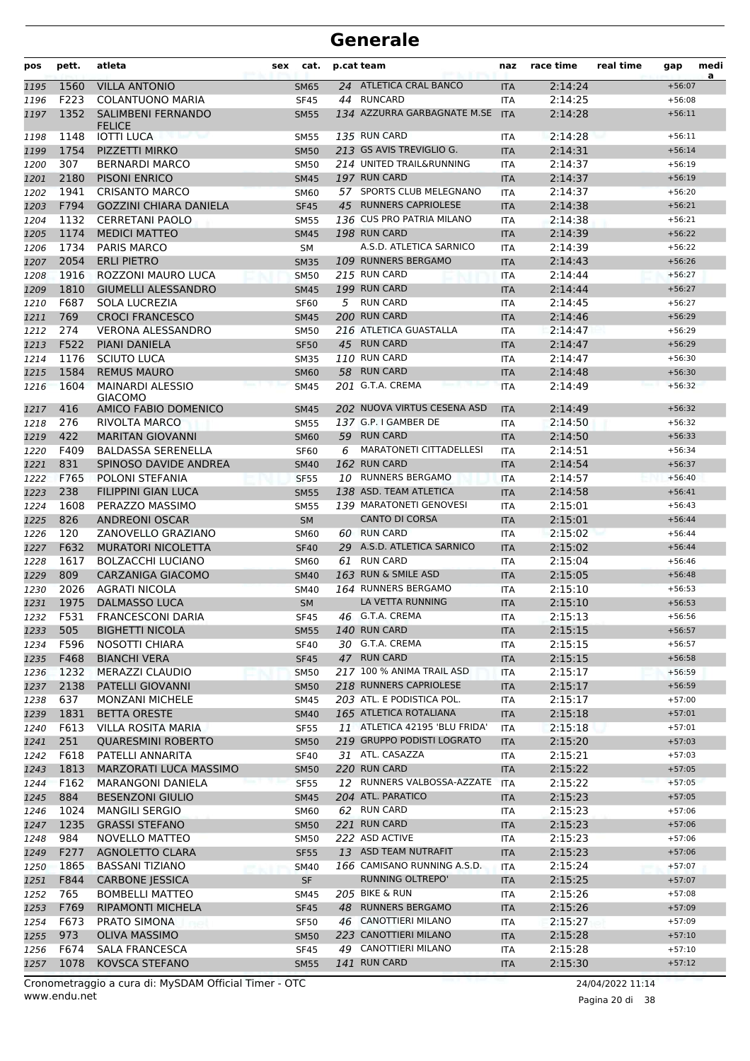| pos          | pett.        | atleta                                     | sex | cat.                       | p.cat team |                                                   | naz                      | race time          | real time | gap                  | medi<br>a |
|--------------|--------------|--------------------------------------------|-----|----------------------------|------------|---------------------------------------------------|--------------------------|--------------------|-----------|----------------------|-----------|
| 1195         | 1560         | <b>VILLA ANTONIO</b>                       |     | <b>SM65</b>                |            | 24 ATLETICA CRAL BANCO                            | <b>ITA</b>               | 2:14:24            |           | $+56:07$             |           |
| 1196         | F223         | <b>COLANTUONO MARIA</b>                    |     | <b>SF45</b>                |            | 44 RUNCARD                                        | <b>ITA</b>               | 2:14:25            |           | $+56:08$             |           |
| 1197         | 1352         | <b>SALIMBENI FERNANDO</b><br><b>FELICE</b> |     | <b>SM55</b>                |            | 134 AZZURRA GARBAGNATE M.SE                       | <b>ITA</b>               | 2:14:28            |           | $+56:11$             |           |
| 1198         | 1148         | <b>IOTTI LUCA</b>                          |     | <b>SM55</b>                |            | 135 RUN CARD                                      | <b>ITA</b>               | 2:14:28            |           | $+56:11$             |           |
| 1199         | 1754         | PIZZETTI MIRKO                             |     | <b>SM50</b>                |            | 213 GS AVIS TREVIGLIO G.                          | <b>ITA</b>               | 2:14:31            |           | $+56:14$             |           |
| 1200         | 307          | <b>BERNARDI MARCO</b>                      |     | <b>SM50</b>                |            | 214 UNITED TRAIL&RUNNING                          | <b>ITA</b>               | 2:14:37            |           | $+56:19$             |           |
| 1201         | 2180         | <b>PISONI ENRICO</b>                       |     | <b>SM45</b>                |            | 197 RUN CARD                                      | <b>ITA</b>               | 2:14:37            |           | $+56:19$             |           |
| 1202         | 1941         | <b>CRISANTO MARCO</b>                      |     | <b>SM60</b>                |            | 57 SPORTS CLUB MELEGNANO<br>45 RUNNERS CAPRIOLESE | <b>ITA</b>               | 2:14:37            |           | $+56:20$             |           |
| 1203         | F794         | <b>GOZZINI CHIARA DANIELA</b>              |     | <b>SF45</b>                |            | 136 CUS PRO PATRIA MILANO                         | <b>ITA</b>               | 2:14:38            |           | $+56:21$             |           |
| 1204         | 1132<br>1174 | <b>CERRETANI PAOLO</b>                     |     | <b>SM55</b>                |            | 198 RUN CARD                                      | <b>ITA</b>               | 2:14:38            |           | $+56:21$<br>$+56:22$ |           |
| 1205<br>1206 | 1734         | <b>MEDICI MATTEO</b><br>PARIS MARCO        |     | <b>SM45</b><br>SM          |            | A.S.D. ATLETICA SARNICO                           | <b>ITA</b><br>ITA        | 2:14:39<br>2:14:39 |           | $+56:22$             |           |
| 1207         | 2054         | <b>ERLI PIETRO</b>                         |     | <b>SM35</b>                |            | 109 RUNNERS BERGAMO                               | <b>ITA</b>               | 2:14:43            |           | $+56:26$             |           |
| 1208         | 1916         | ROZZONI MAURO LUCA                         |     | <b>SM50</b>                |            | 215 RUN CARD                                      | ITA                      | 2:14:44            |           | $+56:27$             |           |
| 1209         | 1810         | <b>GIUMELLI ALESSANDRO</b>                 |     | <b>SM45</b>                |            | 199 RUN CARD                                      | <b>ITA</b>               | 2:14:44            |           | $+56:27$             |           |
| 1210         | F687         | SOLA LUCREZIA                              |     | <b>SF60</b>                |            | 5 RUN CARD                                        | <b>ITA</b>               | 2:14:45            |           | $+56:27$             |           |
| 1211         | 769          | <b>CROCI FRANCESCO</b>                     |     | <b>SM45</b>                |            | 200 RUN CARD                                      | <b>ITA</b>               | 2:14:46            |           | $+56:29$             |           |
| 1212         | 274          | <b>VERONA ALESSANDRO</b>                   |     | <b>SM50</b>                |            | 216 ATLETICA GUASTALLA                            | <b>ITA</b>               | 2:14:47            |           | $+56:29$             |           |
| 1213         | F522         | <b>PIANI DANIELA</b>                       |     | <b>SF50</b>                |            | 45 RUN CARD                                       | <b>ITA</b>               | 2:14:47            |           | $+56:29$             |           |
| 1214         | 1176         | <b>SCIUTO LUCA</b>                         |     | <b>SM35</b>                |            | 110 RUN CARD                                      | <b>ITA</b>               | 2:14:47            |           | $+56:30$             |           |
| 1215         | 1584         | <b>REMUS MAURO</b>                         |     | <b>SM60</b>                |            | 58 RUN CARD                                       | <b>ITA</b>               | 2:14:48            |           | $+56:30$             |           |
| 1216         | 1604         | <b>MAINARDI ALESSIO</b><br><b>GIACOMO</b>  |     | <b>SM45</b>                |            | 201 G.T.A. CREMA                                  | <b>ITA</b>               | 2:14:49            |           | $+56:32$             |           |
| 1217         | 416          | AMICO FABIO DOMENICO                       |     | <b>SM45</b>                |            | 202 NUOVA VIRTUS CESENA ASD                       | <b>ITA</b>               | 2:14:49            |           | $+56:32$             |           |
| 1218         | 276          | RIVOLTA MARCO                              |     | <b>SM55</b>                |            | 137 G.P. I GAMBER DE                              | <b>ITA</b>               | 2:14:50            |           | $+56:32$             |           |
| 1219         | 422          | <b>MARITAN GIOVANNI</b>                    |     | <b>SM60</b>                |            | 59 RUN CARD                                       | <b>ITA</b>               | 2:14:50            |           | $+56:33$             |           |
| 1220         | F409         | <b>BALDASSA SERENELLA</b>                  |     | <b>SF60</b>                | 6          | <b>MARATONETI CITTADELLESI</b>                    | <b>ITA</b>               | 2:14:51            |           | $+56:34$             |           |
| 1221         | 831          | SPINOSO DAVIDE ANDREA                      |     | <b>SM40</b>                |            | 162 RUN CARD                                      | <b>ITA</b>               | 2:14:54            |           | $+56:37$             |           |
| 1222         | F765         | POLONI STEFANIA                            |     | <b>SF55</b>                |            | 10 RUNNERS BERGAMO                                | <b>ITA</b>               | 2:14:57            |           | $+56:40$             |           |
| 1223         | 238          | <b>FILIPPINI GIAN LUCA</b>                 |     | <b>SM55</b>                |            | 138 ASD. TEAM ATLETICA                            | <b>ITA</b>               | 2:14:58            |           | $+56:41$             |           |
| 1224         | 1608         | PERAZZO MASSIMO                            |     | <b>SM55</b>                |            | 139 MARATONETI GENOVESI                           | <b>ITA</b>               | 2:15:01            |           | $+56:43$             |           |
| 1225         | 826          | <b>ANDREONI OSCAR</b>                      |     | <b>SM</b>                  |            | <b>CANTO DI CORSA</b>                             | <b>ITA</b>               | 2:15:01            |           | $+56:44$             |           |
| 1226         | 120          | ZANOVELLO GRAZIANO                         |     | <b>SM60</b>                |            | 60 RUN CARD                                       | ITA                      | 2:15:02            |           | $+56:44$             |           |
| 1227         | F632         | <b>MURATORI NICOLETTA</b>                  |     | <b>SF40</b>                |            | 29 A.S.D. ATLETICA SARNICO                        | <b>ITA</b>               | 2:15:02            |           | $+56:44$             |           |
| 1228         | 1617         | <b>BOLZACCHI LUCIANO</b>                   |     | <b>SM60</b>                |            | 61 RUN CARD                                       | <b>ITA</b>               | 2:15:04            |           | $+56:46$             |           |
| 1229         | 809          | <b>CARZANIGA GIACOMO</b>                   |     | <b>SM40</b>                |            | 163 RUN & SMILE ASD                               | <b>ITA</b>               | 2:15:05            |           | $+56:48$             |           |
| 1230         | 2026         | <b>AGRATI NICOLA</b>                       |     | <b>SM40</b>                |            | 164 RUNNERS BERGAMO                               | <b>ITA</b>               | 2:15:10            |           | $+56:53$             |           |
| 1231         | 1975         | <b>DALMASSO LUCA</b>                       |     | <b>SM</b>                  |            | LA VETTA RUNNING                                  | <b>ITA</b>               | 2:15:10            |           | $+56:53$             |           |
| 1232         | F531         | <b>FRANCESCONI DARIA</b>                   |     | <b>SF45</b>                |            | 46 G.T.A. CREMA                                   | <b>ITA</b>               | 2:15:13            |           | $+56:56$             |           |
| 1233         | 505          | <b>BIGHETTI NICOLA</b>                     |     | <b>SM55</b>                |            | <b>140 RUN CARD</b><br>30 G.T.A. CREMA            | <b>ITA</b>               | 2:15:15            |           | $+56:57$             |           |
| 1234         | F596         | NOSOTTI CHIARA                             |     | <b>SF40</b>                |            | 47 RUN CARD                                       | ITA                      | 2:15:15            |           | $+56:57$             |           |
| 1235         | F468<br>1232 | <b>BIANCHI VERA</b><br>MERAZZI CLAUDIO     |     | <b>SF45</b><br><b>SM50</b> |            | 217 100 % ANIMA TRAIL ASD                         | <b>ITA</b><br><b>ITA</b> | 2:15:15<br>2:15:17 |           | $+56:58$<br>$+56:59$ |           |
| 1236<br>1237 | 2138         | PATELLI GIOVANNI                           |     | <b>SM50</b>                |            | 218 RUNNERS CAPRIOLESE                            | <b>ITA</b>               | 2:15:17            |           | $+56:59$             |           |
| 1238         | 637          | <b>MONZANI MICHELE</b>                     |     | SM45                       |            | 203 ATL. E PODISTICA POL.                         | ITA                      | 2:15:17            |           | $+57:00$             |           |
| 1239         | 1831         | <b>BETTA ORESTE</b>                        |     | <b>SM40</b>                |            | 165 ATLETICA ROTALIANA                            | <b>ITA</b>               | 2:15:18            |           | $+57:01$             |           |
| 1240         | F613         | <b>VILLA ROSITA MARIA</b>                  |     | <b>SF55</b>                |            | 11 ATLETICA 42195 'BLU FRIDA'                     | ITA                      | 2:15:18            |           | $+57:01$             |           |
| 1241         | 251          | <b>QUARESMINI ROBERTO</b>                  |     | <b>SM50</b>                |            | 219 GRUPPO PODISTI LOGRATO                        | <b>ITA</b>               | 2:15:20            |           | $+57:03$             |           |
| 1242         | F618         | PATELLI ANNARITA                           |     | <b>SF40</b>                |            | 31 ATL. CASAZZA                                   | ITA                      | 2:15:21            |           | $+57:03$             |           |
| 1243         | 1813         | MARZORATI LUCA MASSIMO                     |     | <b>SM50</b>                |            | 220 RUN CARD                                      | <b>ITA</b>               | 2:15:22            |           | $+57:05$             |           |
| 1244         | F162         | <b>MARANGONI DANIELA</b>                   |     | <b>SF55</b>                |            | 12 RUNNERS VALBOSSA-AZZATE                        | <b>ITA</b>               | 2:15:22            |           | $+57:05$             |           |
| 1245         | 884          | <b>BESENZONI GIULIO</b>                    |     | <b>SM45</b>                |            | 204 ATL. PARATICO                                 | <b>ITA</b>               | 2:15:23            |           | $+57:05$             |           |
| 1246         | 1024         | <b>MANGILI SERGIO</b>                      |     | <b>SM60</b>                |            | 62 RUN CARD                                       | ITA                      | 2:15:23            |           | $+57:06$             |           |
| 1247         | 1235         | <b>GRASSI STEFANO</b>                      |     | <b>SM50</b>                |            | 221 RUN CARD                                      | <b>ITA</b>               | 2:15:23            |           | $+57:06$             |           |
| 1248         | 984          | NOVELLO MATTEO                             |     | <b>SM50</b>                |            | 222 ASD ACTIVE                                    | ITA                      | 2:15:23            |           | $+57:06$             |           |
| 1249         | F277         | AGNOLETTO CLARA                            |     | <b>SF55</b>                |            | 13 ASD TEAM NUTRAFIT                              | <b>ITA</b>               | 2:15:23            |           | $+57:06$             |           |
| 1250         | 1865         | <b>BASSANI TIZIANO</b>                     |     | <b>SM40</b>                |            | 166 CAMISANO RUNNING A.S.D.                       | <b>ITA</b>               | 2:15:24            |           | $+57:07$             |           |
| 1251         | F844         | <b>CARBONE JESSICA</b>                     |     | SF                         |            | RUNNING OLTREPO'                                  | <b>ITA</b>               | 2:15:25            |           | $+57:07$             |           |
| 1252         | 765          | <b>BOMBELLI MATTEO</b>                     |     | SM45                       |            | 205 BIKE & RUN                                    | ITA                      | 2:15:26            |           | $+57:08$             |           |
| 1253         | F769         | RIPAMONTI MICHELA                          |     | <b>SF45</b>                |            | 48 RUNNERS BERGAMO                                | <b>ITA</b>               | 2:15:26            |           | $+57:09$             |           |
| 1254         | F673         | PRATO SIMONA                               |     | <b>SF50</b>                |            | 46 CANOTTIERI MILANO                              | ITA                      | 2:15:27            |           | $+57:09$             |           |
| 1255         | 973          | OLIVA MASSIMO                              |     | <b>SM50</b>                |            | 223 CANOTTIERI MILANO                             | <b>ITA</b>               | 2:15:28            |           | $+57:10$             |           |
| 1256         | F674         | <b>SALA FRANCESCA</b>                      |     | <b>SF45</b>                |            | 49 CANOTTIERI MILANO                              | ITA                      | 2:15:28            |           | $+57:10$             |           |
| 1257         | 1078         | KOVSCA STEFANO                             |     | <b>SM55</b>                |            | <b>141 RUN CARD</b>                               | <b>ITA</b>               | 2:15:30            |           | $+57:12$             |           |

www.endu.net Cronometraggio a cura di: MySDAM Official Timer - OTC 24/04/2022 11:14

Pagina 20 di 38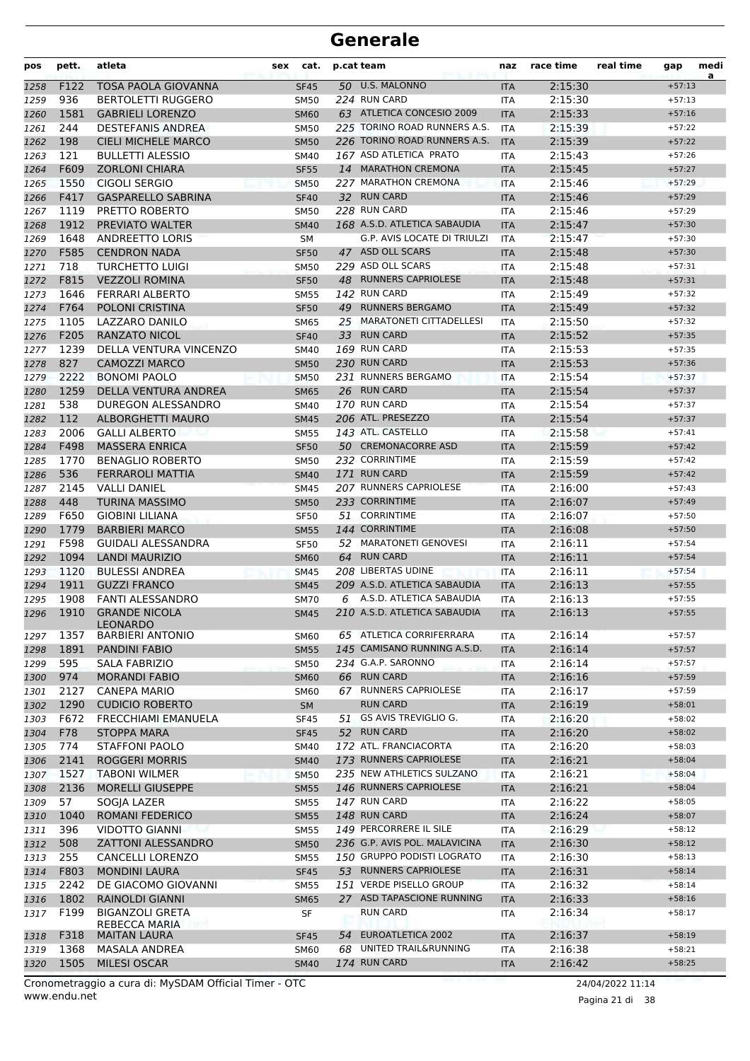| pos  | pett. | atleta                           | sex | cat.        | p.cat team |                               | naz        | race time | real time | gap      | medi<br>a |
|------|-------|----------------------------------|-----|-------------|------------|-------------------------------|------------|-----------|-----------|----------|-----------|
| 1258 | F122  | <b>TOSA PAOLA GIOVANNA</b>       |     | <b>SF45</b> |            | 50 U.S. MALONNO               | <b>ITA</b> | 2:15:30   |           | $+57:13$ |           |
| 1259 | 936   | <b>BERTOLETTI RUGGERO</b>        |     | <b>SM50</b> |            | 224 RUN CARD                  | <b>ITA</b> | 2:15:30   |           | $+57:13$ |           |
| 1260 | 1581  | <b>GABRIELI LORENZO</b>          |     | <b>SM60</b> |            | 63 ATLETICA CONCESIO 2009     | <b>ITA</b> | 2:15:33   |           | $+57:16$ |           |
| 1261 | 244   | <b>DESTEFANIS ANDREA</b>         |     | <b>SM50</b> |            | 225 TORINO ROAD RUNNERS A.S.  | <b>ITA</b> | 2:15:39   |           | $+57:22$ |           |
| 1262 | 198   | <b>CIELI MICHELE MARCO</b>       |     | <b>SM50</b> |            | 226 TORINO ROAD RUNNERS A.S.  | <b>ITA</b> | 2:15:39   |           | $+57:22$ |           |
| 1263 | 121   | <b>BULLETTI ALESSIO</b>          |     | <b>SM40</b> |            | 167 ASD ATLETICA PRATO        | <b>ITA</b> | 2:15:43   |           | $+57:26$ |           |
| 1264 | F609  | <b>ZORLONI CHIARA</b>            |     | <b>SF55</b> |            | 14 MARATHON CREMONA           | <b>ITA</b> | 2:15:45   |           | $+57:27$ |           |
| 1265 | 1550  | <b>CIGOLI SERGIO</b>             |     | <b>SM50</b> |            | 227 MARATHON CREMONA          | <b>ITA</b> | 2:15:46   |           | $+57:29$ |           |
| 1266 | F417  | <b>GASPARELLO SABRINA</b>        |     | <b>SF40</b> |            | 32 RUN CARD                   | <b>ITA</b> | 2:15:46   |           | $+57:29$ |           |
| 1267 | 1119  | PRETTO ROBERTO                   |     | <b>SM50</b> |            | 228 RUN CARD                  | <b>ITA</b> | 2:15:46   |           | $+57:29$ |           |
| 1268 | 1912  | PREVIATO WALTER                  |     | <b>SM40</b> |            | 168 A.S.D. ATLETICA SABAUDIA  | <b>ITA</b> | 2:15:47   |           | $+57:30$ |           |
| 1269 | 1648  | <b>ANDREETTO LORIS</b>           |     | SМ          |            | G.P. AVIS LOCATE DI TRIULZI   | ITA        | 2:15:47   |           | $+57:30$ |           |
| 1270 | F585  | <b>CENDRON NADA</b>              |     | <b>SF50</b> |            | 47 ASD OLL SCARS              | <b>ITA</b> | 2:15:48   |           | $+57:30$ |           |
| 1271 | 718   | <b>TURCHETTO LUIGI</b>           |     | <b>SM50</b> |            | 229 ASD OLL SCARS             | <b>ITA</b> | 2:15:48   |           | $+57:31$ |           |
| 1272 | F815  | <b>VEZZOLI ROMINA</b>            |     | <b>SF50</b> | 48         | <b>RUNNERS CAPRIOLESE</b>     | <b>ITA</b> | 2:15:48   |           | $+57:31$ |           |
| 1273 | 1646  | <b>FERRARI ALBERTO</b>           |     | <b>SM55</b> |            | 142 RUN CARD                  | ITA        | 2:15:49   |           | $+57:32$ |           |
| 1274 | F764  | POLONI CRISTINA                  |     | <b>SF50</b> | 49         | <b>RUNNERS BERGAMO</b>        | <b>ITA</b> | 2:15:49   |           | $+57:32$ |           |
| 1275 | 1105  | LAZZARO DANILO                   |     | <b>SM65</b> |            | 25 MARATONETI CITTADELLESI    | <b>ITA</b> | 2:15:50   |           | $+57:32$ |           |
| 1276 | F205  | <b>RANZATO NICOL</b>             |     | <b>SF40</b> | 33         | <b>RUN CARD</b>               | <b>ITA</b> | 2:15:52   |           | $+57:35$ |           |
| 1277 | 1239  | DELLA VENTURA VINCENZO           |     | <b>SM40</b> |            | 169 RUN CARD                  | <b>ITA</b> | 2:15:53   |           | $+57:35$ |           |
|      | 827   | <b>CAMOZZI MARCO</b>             |     |             |            | 230 RUN CARD                  |            | 2:15:53   |           | $+57:36$ |           |
| 1278 | 2222  | <b>BONOMI PAOLO</b>              |     | <b>SM50</b> |            | 231 RUNNERS BERGAMO           | <b>ITA</b> | 2:15:54   |           | $+57:37$ |           |
| 1279 |       |                                  |     | <b>SM50</b> |            | 26 RUN CARD                   | <b>ITA</b> |           |           |          |           |
| 1280 | 1259  | DELLA VENTURA ANDREA             |     | <b>SM65</b> |            |                               | <b>ITA</b> | 2:15:54   |           | $+57:37$ |           |
| 1281 | 538   | DUREGON ALESSANDRO               |     | <b>SM40</b> |            | 170 RUN CARD                  | <b>ITA</b> | 2:15:54   |           | $+57:37$ |           |
| 1282 | 112   | ALBORGHETTI MAURO                |     | <b>SM45</b> |            | 206 ATL. PRESEZZO             | <b>ITA</b> | 2:15:54   |           | $+57:37$ |           |
| 1283 | 2006  | <b>GALLI ALBERTO</b>             |     | <b>SM55</b> |            | 143 ATL. CASTELLO             | <b>ITA</b> | 2:15:58   |           | $+57:41$ |           |
| 1284 | F498  | <b>MASSERA ENRICA</b>            |     | <b>SF50</b> |            | 50 CREMONACORRE ASD           | <b>ITA</b> | 2:15:59   |           | $+57:42$ |           |
| 1285 | 1770  | <b>BENAGLIO ROBERTO</b>          |     | <b>SM50</b> |            | 232 CORRINTIME                | ITA        | 2:15:59   |           | $+57:42$ |           |
| 1286 | 536   | FERRAROLI MATTIA                 |     | <b>SM40</b> |            | 171 RUN CARD                  | <b>ITA</b> | 2:15:59   |           | $+57:42$ |           |
| 1287 | 2145  | <b>VALLI DANIEL</b>              |     | <b>SM45</b> |            | 207 RUNNERS CAPRIOLESE        | <b>ITA</b> | 2:16:00   |           | $+57:43$ |           |
| 1288 | 448   | TURINA MASSIMO                   |     | <b>SM50</b> |            | 233 CORRINTIME                | <b>ITA</b> | 2:16:07   |           | $+57:49$ |           |
| 1289 | F650  | <b>GIOBINI LILIANA</b>           |     | <b>SF50</b> |            | 51 CORRINTIME                 | <b>ITA</b> | 2:16:07   |           | $+57:50$ |           |
| 1290 | 1779  | <b>BARBIERI MARCO</b>            |     | <b>SM55</b> |            | 144 CORRINTIME                | <b>ITA</b> | 2:16:08   |           | $+57:50$ |           |
| 1291 | F598  | <b>GUIDALI ALESSANDRA</b>        |     | <b>SF50</b> | 52         | <b>MARATONETI GENOVESI</b>    | ITA        | 2:16:11   |           | $+57:54$ |           |
| 1292 | 1094  | <b>LANDI MAURIZIO</b>            |     | <b>SM60</b> | 64         | <b>RUN CARD</b>               | <b>ITA</b> | 2:16:11   |           | $+57:54$ |           |
| 1293 | 1120  | <b>BULESSI ANDREA</b>            |     | <b>SM45</b> |            | 208 LIBERTAS UDINE            | <b>ITA</b> | 2:16:11   |           | $+57:54$ |           |
| 1294 | 1911  | <b>GUZZI FRANCO</b>              |     | <b>SM45</b> |            | 209 A.S.D. ATLETICA SABAUDIA  | <b>ITA</b> | 2:16:13   |           | $+57:55$ |           |
| 1295 | 1908  | <b>FANTI ALESSANDRO</b>          |     | SM70        | 6          | A.S.D. ATLETICA SABAUDIA      | <b>ITA</b> | 2:16:13   |           | $+57:55$ |           |
| 1296 | 1910  | <b>GRANDE NICOLA</b><br>LEONARDO |     | <b>SM45</b> |            | 210 A.S.D. ATLETICA SABAUDIA  | <b>ITA</b> | 2:16:13   |           | $+57:55$ |           |
| 1297 | 1357  | <b>BARBIERI ANTONIO</b>          |     | <b>SM60</b> |            | 65 ATLETICA CORRIFERRARA      | ITA        | 2:16:14   |           | $+57:57$ |           |
| 1298 | 1891  | <b>PANDINI FABIO</b>             |     | <b>SM55</b> |            | 145 CAMISANO RUNNING A.S.D.   | <b>ITA</b> | 2:16:14   |           | $+57:57$ |           |
| 1299 | 595   | SALA FABRIZIO                    |     | <b>SM50</b> |            | 234 G.A.P. SARONNO            | ITA        | 2:16:14   |           | $+57:57$ |           |
| 1300 | 974   | <b>MORANDI FABIO</b>             |     | <b>SM60</b> |            | 66 RUN CARD                   | <b>ITA</b> | 2:16:16   |           | $+57:59$ |           |
| 1301 | 2127  | <b>CANEPA MARIO</b>              |     | <b>SM60</b> |            | 67 RUNNERS CAPRIOLESE         | ITA        | 2:16:17   |           | $+57:59$ |           |
| 1302 | 1290  | <b>CUDICIO ROBERTO</b>           |     | SM          |            | <b>RUN CARD</b>               | <b>ITA</b> | 2:16:19   |           | $+58:01$ |           |
| 1303 | F672  | FRECCHIAMI EMANUELA              |     | <b>SF45</b> | 51         | GS AVIS TREVIGLIO G.          | <b>ITA</b> | 2:16:20   |           | $+58:02$ |           |
| 1304 | F78   | <b>STOPPA MARA</b>               |     | <b>SF45</b> |            | 52 RUN CARD                   | <b>ITA</b> | 2:16:20   |           | $+58:02$ |           |
| 1305 | 774   | <b>STAFFONI PAOLO</b>            |     | <b>SM40</b> |            | 172 ATL. FRANCIACORTA         | <b>ITA</b> | 2:16:20   |           | $+58:03$ |           |
| 1306 | 2141  | <b>ROGGERI MORRIS</b>            |     | <b>SM40</b> |            | 173 RUNNERS CAPRIOLESE        | <b>ITA</b> | 2:16:21   |           | $+58:04$ |           |
| 1307 | 1527  | <b>TABONI WILMER</b>             |     | <b>SM50</b> |            | 235 NEW ATHLETICS SULZANO     | <b>ITA</b> | 2:16:21   |           | $+58:04$ |           |
| 1308 | 2136  | <b>MORELLI GIUSEPPE</b>          |     | <b>SM55</b> |            | 146 RUNNERS CAPRIOLESE        | <b>ITA</b> | 2:16:21   |           | $+58:04$ |           |
| 1309 | 57    | SOGJA LAZER                      |     | <b>SM55</b> |            | 147 RUN CARD                  | ITA        | 2:16:22   |           | $+58:05$ |           |
| 1310 | 1040  | <b>ROMANI FEDERICO</b>           |     | <b>SM55</b> |            | 148 RUN CARD                  | <b>ITA</b> | 2:16:24   |           | $+58:07$ |           |
| 1311 | 396   | <b>VIDOTTO GIANNI</b>            |     | <b>SM55</b> |            | 149 PERCORRERE IL SILE        | ITA        | 2:16:29   |           | $+58:12$ |           |
| 1312 | 508   | <b>ZATTONI ALESSANDRO</b>        |     | <b>SM50</b> |            | 236 G.P. AVIS POL. MALAVICINA | <b>ITA</b> | 2:16:30   |           | $+58:12$ |           |
| 1313 | 255   | <b>CANCELLI LORENZO</b>          |     | <b>SM55</b> |            | 150 GRUPPO PODISTI LOGRATO    | ITA        | 2:16:30   |           | $+58:13$ |           |
| 1314 | F803  | <b>MONDINI LAURA</b>             |     | <b>SF45</b> |            | 53 RUNNERS CAPRIOLESE         | <b>ITA</b> | 2:16:31   |           | $+58:14$ |           |
| 1315 | 2242  | DE GIACOMO GIOVANNI              |     | <b>SM55</b> |            | 151 VERDE PISELLO GROUP       | <b>ITA</b> | 2:16:32   |           | $+58:14$ |           |
| 1316 | 1802  | RAINOLDI GIANNI                  |     | <b>SM65</b> |            | 27 ASD TAPASCIONE RUNNING     | <b>ITA</b> | 2:16:33   |           | $+58:16$ |           |
| 1317 | F199  | <b>BIGANZOLI GRETA</b>           |     | SF          |            | <b>RUN CARD</b>               | ITA        | 2:16:34   |           | $+58:17$ |           |
|      |       | REBECCA MARIA                    |     |             |            |                               |            |           |           |          |           |
| 1318 | F318  | <b>MAITAN LAURA</b>              |     | <b>SF45</b> | 54         | EUROATLETICA 2002             | <b>ITA</b> | 2:16:37   |           | $+58:19$ |           |
| 1319 | 1368  | MASALA ANDREA                    |     | <b>SM60</b> |            | 68 UNITED TRAIL&RUNNING       | <b>ITA</b> | 2:16:38   |           | $+58:21$ |           |
| 1320 | 1505  | MILESI OSCAR                     |     | <b>SM40</b> |            | 174 RUN CARD                  | <b>ITA</b> | 2:16:42   |           | $+58:25$ |           |

Pagina 21 di 38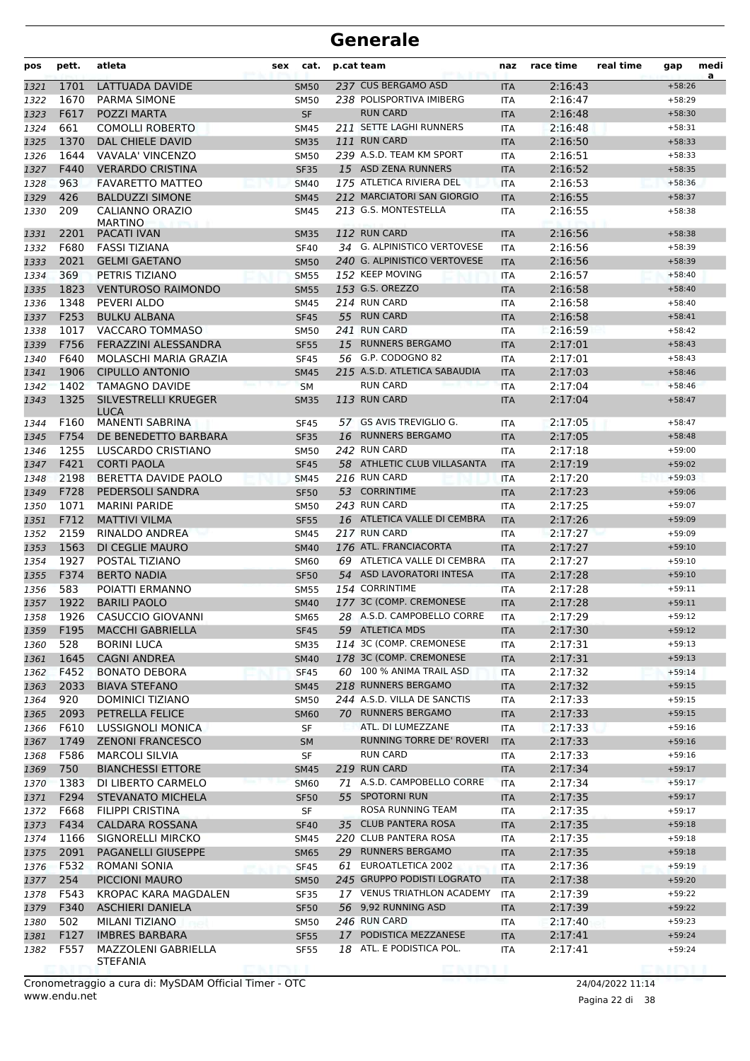| pos          | pett.        | atleta                                        | sex | cat.                       | p.cat team                                      | naz                      | race time          | real time | gap                  | medi<br>a |
|--------------|--------------|-----------------------------------------------|-----|----------------------------|-------------------------------------------------|--------------------------|--------------------|-----------|----------------------|-----------|
| 1321         | 1701         | LATTUADA DAVIDE                               |     | <b>SM50</b>                | 237 CUS BERGAMO ASD                             | <b>ITA</b>               | 2:16:43            |           | $+58:26$             |           |
| 1322         | 1670         | <b>PARMA SIMONE</b>                           |     | <b>SM50</b>                | 238 POLISPORTIVA IMIBERG                        | <b>ITA</b>               | 2:16:47            |           | $+58:29$             |           |
| 1323         | F617         | POZZI MARTA                                   |     | <b>SF</b>                  | <b>RUN CARD</b>                                 | <b>ITA</b>               | 2:16:48            |           | $+58:30$             |           |
| 1324         | 661          | <b>COMOLLI ROBERTO</b>                        |     | <b>SM45</b>                | 211 SETTE LAGHI RUNNERS                         | ITA                      | 2:16:48            |           | $+58:31$             |           |
| 1325         | 1370         | DAL CHIELE DAVID                              |     | <b>SM35</b>                | 111 RUN CARD                                    | <b>ITA</b>               | 2:16:50            |           | $+58:33$             |           |
| 1326         | 1644         | VAVALA' VINCENZO                              |     | <b>SM50</b>                | 239 A.S.D. TEAM KM SPORT                        | ITA                      | 2:16:51            |           | $+58:33$             |           |
| 1327         | F440         | <b>VERARDO CRISTINA</b>                       |     | <b>SF35</b>                | 15 ASD ZENA RUNNERS                             | <b>ITA</b>               | 2:16:52            |           | $+58:35$             |           |
| 1328         | 963          | <b>FAVARETTO MATTEO</b>                       |     | <b>SM40</b>                | 175 ATLETICA RIVIERA DEL                        | <b>ITA</b>               | 2:16:53            |           | $+58:36$             |           |
| 1329         | 426          | <b>BALDUZZI SIMONE</b>                        |     | <b>SM45</b>                | 212 MARCIATORI SAN GIORGIO                      | <b>ITA</b>               | 2:16:55            |           | $+58:37$             |           |
| 1330         | 209          | CALIANNO ORAZIO<br><b>MARTINO</b>             |     | <b>SM45</b>                | 213 G.S. MONTESTELLA                            | ITA                      | 2:16:55            |           | $+58:38$             |           |
| 1331         | 2201         | <b>PACATI IVAN</b>                            |     | <b>SM35</b>                | 112 RUN CARD                                    | <b>ITA</b>               | 2:16:56            |           | $+58:38$             |           |
| 1332         | F680         | <b>FASSI TIZIANA</b>                          |     | <b>SF40</b>                | 34 G. ALPINISTICO VERTOVESE                     | <b>ITA</b>               | 2:16:56            |           | $+58:39$             |           |
| 1333         | 2021         | <b>GELMI GAETANO</b>                          |     | <b>SM50</b>                | 240 G. ALPINISTICO VERTOVESE                    | <b>ITA</b>               | 2:16:56            |           | $+58:39$             |           |
| 1334         | 369          | PETRIS TIZIANO                                |     | <b>SM55</b>                | 152 KEEP MOVING                                 | <b>ITA</b>               | 2:16:57            |           | $+58:40$             |           |
| 1335         | 1823         | <b>VENTUROSO RAIMONDO</b>                     |     | <b>SM55</b>                | 153 G.S. OREZZO                                 | <b>ITA</b>               | 2:16:58            |           | $+58:40$             |           |
| 1336         | 1348         | PEVERI ALDO                                   |     | <b>SM45</b>                | 214 RUN CARD                                    | <b>ITA</b>               | 2:16:58            |           | $+58:40$             |           |
| 1337         | F253         | <b>BULKU ALBANA</b>                           |     | <b>SF45</b>                | 55 RUN CARD                                     | <b>ITA</b>               | 2:16:58            |           | $+58:41$             |           |
| 1338         | 1017         | VACCARO TOMMASO                               |     | <b>SM50</b>                | 241 RUN CARD                                    | <b>ITA</b>               | 2:16:59            |           | $+58:42$             |           |
| 1339         | F756         | FERAZZINI ALESSANDRA                          |     | 15<br><b>SF55</b>          | <b>RUNNERS BERGAMO</b>                          | <b>ITA</b>               | 2:17:01            |           | $+58:43$             |           |
| 1340         | F640         | MOLASCHI MARIA GRAZIA                         |     | <b>SF45</b>                | 56 G.P. CODOGNO 82                              | <b>ITA</b>               | 2:17:01            |           | $+58:43$             |           |
| 1341         | 1906         | <b>CIPULLO ANTONIO</b>                        |     | <b>SM45</b>                | 215 A.S.D. ATLETICA SABAUDIA                    | <b>ITA</b>               | 2:17:03            |           | +58:46               |           |
| 1342<br>1343 | 1402<br>1325 | <b>TAMAGNO DAVIDE</b><br>SILVESTRELLI KRUEGER |     | <b>SM</b><br><b>SM35</b>   | <b>RUN CARD</b><br>113 RUN CARD                 | <b>ITA</b><br><b>ITA</b> | 2:17:04<br>2:17:04 |           | $+58:46$<br>+58:47   |           |
| 1344         | F160         | LUCA<br><b>MANENTI SABRINA</b>                |     | <b>SF45</b>                | 57 GS AVIS TREVIGLIO G.                         | ITA                      | 2:17:05            |           | $+58:47$             |           |
| 1345         | F754         | DE BENEDETTO BARBARA                          |     | <b>SF35</b><br>16          | <b>RUNNERS BERGAMO</b>                          | <b>ITA</b>               | 2:17:05            |           | $+58:48$             |           |
| 1346         | 1255         | LUSCARDO CRISTIANO                            |     | <b>SM50</b>                | 242 RUN CARD                                    | <b>ITA</b>               | 2:17:18            |           | $+59:00$             |           |
| 1347         | F421         | <b>CORTI PAOLA</b>                            |     | <b>SF45</b>                | 58 ATHLETIC CLUB VILLASANTA                     | <b>ITA</b>               | 2:17:19            |           | $+59:02$             |           |
| 1348         | 2198         | BERETTA DAVIDE PAOLO                          |     | <b>SM45</b>                | 216 RUN CARD                                    | <b>ITA</b>               | 2:17:20            |           | $+59:03$             |           |
| 1349         | F728         | PEDERSOLI SANDRA                              |     | <b>SF50</b>                | 53 CORRINTIME                                   | <b>ITA</b>               | 2:17:23            |           | $+59:06$             |           |
| 1350         | 1071         | <b>MARINI PARIDE</b>                          |     | <b>SM50</b>                | 243 RUN CARD                                    | ITA                      | 2:17:25            |           | $+59:07$             |           |
| 1351         | F712         | <b>MATTIVI VILMA</b>                          |     | <b>SF55</b>                | 16 ATLETICA VALLE DI CEMBRA                     | <b>ITA</b>               | 2:17:26            |           | $+59:09$             |           |
| 1352         | 2159         | RINALDO ANDREA                                |     | <b>SM45</b>                | 217 RUN CARD                                    | ITA                      | 2:17:27            |           | $+59:09$             |           |
| 1353         | 1563         | DI CEGLIE MAURO                               |     | <b>SM40</b>                | 176 ATL. FRANCIACORTA                           | <b>ITA</b>               | 2:17:27            |           | $+59:10$             |           |
| 1354         | 1927         | POSTAL TIZIANO                                |     | <b>SM60</b>                | 69 ATLETICA VALLE DI CEMBRA                     | <b>ITA</b>               | 2:17:27            |           | $+59:10$             |           |
| 1355         | F374         | <b>BERTO NADIA</b>                            |     | <b>SF50</b>                | 54 ASD LAVORATORI INTESA                        | <b>ITA</b>               | 2:17:28            |           | $+59:10$             |           |
| 1356         | 583          | POIATTI ERMANNO                               |     | <b>SM55</b>                | 154 CORRINTIME                                  | <b>ITA</b>               | 2:17:28            |           | $+59:11$             |           |
| 1357         | 1922         | <b>BARILI PAOLO</b>                           |     | <b>SM40</b>                | 177 3C (COMP. CREMONESE                         | <b>ITA</b>               | 2:17:28            |           | $+59:11$             |           |
| 1358         | 1926         | <b>CASUCCIO GIOVANNI</b>                      |     | SM65                       | 28 A.S.D. CAMPOBELLO CORRE                      | ITA                      | 2:17:29            |           | $+59:12$             |           |
| 1359         | F195         | <b>MACCHI GABRIELLA</b>                       |     | <b>SF45</b>                | 59 ATLETICA MDS                                 | <b>ITA</b>               | 2:17:30            |           | $+59:12$             |           |
| 1360         | 528          | <b>BORINI LUCA</b>                            |     | <b>SM35</b>                | 114 3C (COMP. CREMONESE                         | ITA                      | 2:17:31            |           | $+59:13$             |           |
| 1361         | 1645         | <b>CAGNI ANDREA</b>                           |     | <b>SM40</b>                | 178 3C (COMP. CREMONESE                         | <b>ITA</b>               | 2:17:31            |           | $+59:13$             |           |
| 1362         | F452         | BONATO DEBORA                                 |     | <b>SF45</b>                | 60 100 % ANIMA TRAIL ASD                        | ITA                      | 2:17:32            |           | $+59:14$             |           |
| 1363         | 2033         | <b>BIAVA STEFANO</b>                          |     | <b>SM45</b>                | 218 RUNNERS BERGAMO                             | <b>ITA</b>               | 2:17:32            |           | $+59:15$             |           |
| 1364         | 920          | DOMINICI TIZIANO                              |     | <b>SM50</b>                | 244 A.S.D. VILLA DE SANCTIS                     | <b>ITA</b>               | 2:17:33            |           | $+59:15$             |           |
| 1365         | 2093         | PETRELLA FELICE                               |     | <b>SM60</b>                | 70 RUNNERS BERGAMO                              | <b>ITA</b>               | 2:17:33            |           | $+59:15$             |           |
| 1366         | F610         | <b>LUSSIGNOLI MONICA</b>                      |     | SF                         | ATL. DI LUMEZZANE                               | ITA                      | 2:17:33            |           | $+59:16$             |           |
| 1367         | 1749         | <b>ZENONI FRANCESCO</b>                       |     | <b>SM</b>                  | RUNNING TORRE DE' ROVERI                        | <b>ITA</b>               | 2:17:33            |           | $+59:16$             |           |
| 1368         | F586         | <b>MARCOLI SILVIA</b>                         |     | SF                         | <b>RUN CARD</b>                                 | ITA.                     | 2:17:33            |           | $+59:16$             |           |
| 1369         | 750          | <b>BIANCHESSI ETTORE</b>                      |     | <b>SM45</b>                | 219 RUN CARD                                    | <b>ITA</b>               | 2:17:34            |           | $+59:17$             |           |
| 1370         | 1383         | DI LIBERTO CARMELO                            |     | <b>SM60</b>                | 71 A.S.D. CAMPOBELLO CORRE                      | ITA                      | 2:17:34            |           | $+59:17$             |           |
| 1371         | F294         | <b>STEVANATO MICHELA</b>                      |     | <b>SF50</b>                | 55 SPOTORNI RUN                                 | <b>ITA</b>               | 2:17:35            |           | $+59:17$             |           |
| 1372         | F668         | <b>FILIPPI CRISTINA</b>                       |     | SF                         | ROSA RUNNING TEAM                               | ITA                      | 2:17:35            |           | $+59:17$             |           |
| 1373         | F434         | <b>CALDARA ROSSANA</b>                        |     | 35<br><b>SF40</b>          | <b>CLUB PANTERA ROSA</b>                        | <b>ITA</b>               | 2:17:35            |           | $+59:18$             |           |
| 1374         | 1166         | SIGNORELLI MIRCKO                             |     | <b>SM45</b>                | 220 CLUB PANTERA ROSA<br><b>RUNNERS BERGAMO</b> | ITA                      | 2:17:35            |           | $+59:18$             |           |
| 1375         | 2091         | PAGANELLI GIUSEPPE                            |     | 29<br><b>SM65</b>          | 61 EUROATLETICA 2002                            | <b>ITA</b>               | 2:17:35            |           | $+59:18$<br>$+59:19$ |           |
| 1376         | F532<br>254  | <b>ROMANI SONIA</b><br>PICCIONI MAURO         |     | <b>SF45</b>                | 245 GRUPPO PODISTI LOGRATO                      | ITA                      | 2:17:36            |           | $+59:20$             |           |
| 1377<br>1378 | F543         | KROPAC KARA MAGDALEN                          |     | <b>SM50</b><br><b>SF35</b> | 17 VENUS TRIATHLON ACADEMY                      | <b>ITA</b><br><b>ITA</b> | 2:17:38<br>2:17:39 |           | $+59:22$             |           |
| 1379         | F340         | <b>ASCHIERI DANIELA</b>                       |     | <b>SF50</b>                | 56 9,92 RUNNING ASD                             | <b>ITA</b>               | 2:17:39            |           | $+59:22$             |           |
| 1380         | 502          | MILANI TIZIANO                                |     | <b>SM50</b>                | 246 RUN CARD                                    | ITA                      | 2:17:40            |           | $+59:23$             |           |
| 1381         | F127         | <b>IMBRES BARBARA</b>                         |     | 17<br><b>SF55</b>          | PODISTICA MEZZANESE                             | <b>ITA</b>               | 2:17:41            |           | $+59:24$             |           |
| 1382         | F557         | MAZZOLENI GABRIELLA                           |     | SF55                       | 18 ATL. E PODISTICA POL.                        | ITA                      | 2:17:41            |           | $+59:24$             |           |
|              |              | <b>STEFANIA</b>                               |     |                            |                                                 |                          |                    |           |                      |           |
|              |              |                                               |     |                            |                                                 |                          |                    |           |                      |           |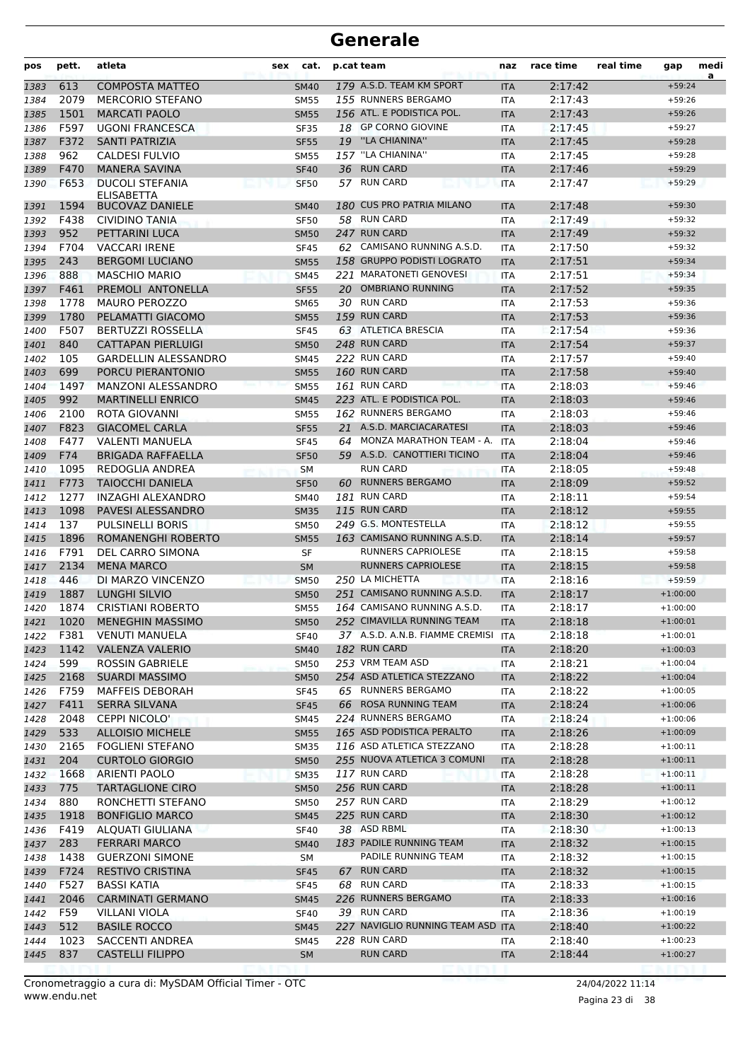| pos          | pett.        | atleta                                          | sex | cat.                       |    | p.cat team                          | naz                      | race time          | real time | gap                      | medi<br>a |
|--------------|--------------|-------------------------------------------------|-----|----------------------------|----|-------------------------------------|--------------------------|--------------------|-----------|--------------------------|-----------|
| 1383         | 613          | <b>COMPOSTA MATTEO</b>                          |     | <b>SM40</b>                |    | 179 A.S.D. TEAM KM SPORT            | <b>ITA</b>               | 2:17:42            |           | $+59:24$                 |           |
| 1384         | 2079         | <b>MERCORIO STEFANO</b>                         |     | <b>SM55</b>                |    | 155 RUNNERS BERGAMO                 | <b>ITA</b>               | 2:17:43            |           | $+59:26$                 |           |
| 1385         | 1501         | <b>MARCATI PAOLO</b>                            |     | <b>SM55</b>                |    | 156 ATL. E PODISTICA POL.           | <b>ITA</b>               | 2:17:43            |           | $+59:26$                 |           |
| 1386         | F597         | <b>UGONI FRANCESCA</b>                          |     | <b>SF35</b>                |    | 18 GP CORNO GIOVINE                 | <b>ITA</b>               | 2:17:45            |           | $+59:27$                 |           |
| 1387         | F372         | SANTI PATRIZIA                                  |     | <b>SF55</b>                |    | 19 "LA CHIANINA"                    | <b>ITA</b>               | 2:17:45            |           | $+59:28$                 |           |
| 1388         | 962          | CALDESI FULVIO                                  |     | <b>SM55</b>                |    | 157 "LA CHIANINA"                   | <b>ITA</b>               | 2:17:45            |           | $+59:28$                 |           |
| 1389         | F470         | <b>MANERA SAVINA</b>                            |     | <b>SF40</b>                |    | 36 RUN CARD                         | <b>ITA</b>               | 2:17:46            |           | $+59:29$                 |           |
| 1390         | F653         | <b>DUCOLI STEFANIA</b>                          |     | <b>SF50</b>                |    | 57 RUN CARD                         | <b>ITA</b>               | 2:17:47            |           | $+59:29$                 |           |
|              |              | ELISABETTA                                      |     |                            |    | 180 CUS PRO PATRIA MILANO           |                          |                    |           |                          |           |
| 1391         | 1594<br>F438 | <b>BUCOVAZ DANIELE</b><br><b>CIVIDINO TANIA</b> |     | <b>SM40</b>                |    | 58 RUN CARD                         | <b>ITA</b>               | 2:17:48<br>2:17:49 |           | $+59:30$<br>$+59:32$     |           |
| 1392         | 952          |                                                 |     | <b>SF50</b>                |    | 247 RUN CARD                        | <b>ITA</b>               |                    |           | $+59:32$                 |           |
| 1393<br>1394 | F704         | PETTARINI LUCA<br><b>VACCARI IRENE</b>          |     | <b>SM50</b><br><b>SF45</b> |    | 62 CAMISANO RUNNING A.S.D.          | <b>ITA</b><br><b>ITA</b> | 2:17:49<br>2:17:50 |           | $+59:32$                 |           |
| 1395         | 243          | <b>BERGOMI LUCIANO</b>                          |     | <b>SM55</b>                |    | 158 GRUPPO PODISTI LOGRATO          | <b>ITA</b>               | 2:17:51            |           | $+59:34$                 |           |
| 1396         | 888          | <b>MASCHIO MARIO</b>                            |     | <b>SM45</b>                |    | 221 MARATONETI GENOVESI             | <b>ITA</b>               | 2:17:51            |           | $+59:34$                 |           |
| 1397         | F461         | PREMOLI ANTONELLA                               |     | <b>SF55</b>                |    | 20 OMBRIANO RUNNING                 | <b>ITA</b>               | 2:17:52            |           | $+59:35$                 |           |
| 1398         | 1778         | <b>MAURO PEROZZO</b>                            |     | <b>SM65</b>                |    | 30 RUN CARD                         | <b>ITA</b>               | 2:17:53            |           | $+59:36$                 |           |
| 1399         | 1780         | PELAMATTI GIACOMO                               |     | <b>SM55</b>                |    | 159 RUN CARD                        | <b>ITA</b>               | 2:17:53            |           | $+59:36$                 |           |
| 1400         | F507         | <b>BERTUZZI ROSSELLA</b>                        |     | <b>SF45</b>                |    | 63 ATLETICA BRESCIA                 | <b>ITA</b>               | 2:17:54            |           | $+59:36$                 |           |
| 1401         | 840          | <b>CATTAPAN PIERLUIGI</b>                       |     | <b>SM50</b>                |    | 248 RUN CARD                        | <b>ITA</b>               | 2:17:54            |           | $+59:37$                 |           |
| 1402         | 105          | <b>GARDELLIN ALESSANDRO</b>                     |     | <b>SM45</b>                |    | 222 RUN CARD                        | <b>ITA</b>               | 2:17:57            |           | $+59:40$                 |           |
| 1403         | 699          | PORCU PIERANTONIO                               |     | <b>SM55</b>                |    | 160 RUN CARD                        | <b>ITA</b>               | 2:17:58            |           | $+59:40$                 |           |
| 1404         | 1497         | <b>MANZONI ALESSANDRO</b>                       |     | <b>SM55</b>                |    | 161 RUN CARD                        | <b>ITA</b>               | 2:18:03            |           | $+59:46$                 |           |
| 1405         | 992          | <b>MARTINELLI ENRICO</b>                        |     | <b>SM45</b>                |    | 223 ATL. E PODISTICA POL.           | <b>ITA</b>               | 2:18:03            |           | $+59:46$                 |           |
| 1406         | 2100         | ROTA GIOVANNI                                   |     | <b>SM55</b>                |    | 162 RUNNERS BERGAMO                 | <b>ITA</b>               | 2:18:03            |           | $+59:46$                 |           |
| 1407         | F823         | <b>GIACOMEL CARLA</b>                           |     | <b>SF55</b>                |    | 21 A.S.D. MARCIACARATESI            | <b>ITA</b>               | 2:18:03            |           | $+59:46$                 |           |
| 1408         | F477         | <b>VALENTI MANUELA</b>                          |     | <b>SF45</b>                |    | 64 MONZA MARATHON TEAM - A.         | ITA                      | 2:18:04            |           | $+59:46$                 |           |
| 1409         | F74          | <b>BRIGADA RAFFAELLA</b>                        |     | <b>SF50</b>                |    | 59 A.S.D. CANOTTIERI TICINO         | <b>ITA</b>               | 2:18:04            |           | $+59:46$                 |           |
| 1410         | 1095         | REDOGLIA ANDREA                                 |     | <b>SM</b>                  |    | <b>RUN CARD</b>                     | ITA                      | 2:18:05            |           | $+59:48$                 |           |
| 1411         | F773         | <b>TAIOCCHI DANIELA</b>                         |     | <b>SF50</b>                | 60 | <b>RUNNERS BERGAMO</b>              | <b>ITA</b>               | 2:18:09            |           | $+59:52$                 |           |
| 1412         | 1277         | INZAGHI ALEXANDRO                               |     | <b>SM40</b>                |    | 181 RUN CARD                        | ITA                      | 2:18:11            |           | $+59:54$                 |           |
| 1413         | 1098         | PAVESI ALESSANDRO                               |     | <b>SM35</b>                |    | 115 RUN CARD                        | <b>ITA</b>               | 2:18:12            |           | $+59:55$                 |           |
| 1414         | 137          | <b>PULSINELLI BORIS</b>                         |     | <b>SM50</b>                |    | 249 G.S. MONTESTELLA                | <b>ITA</b>               | 2:18:12            |           | $+59:55$                 |           |
| 1415         | 1896         | ROMANENGHI ROBERTO                              |     | <b>SM55</b>                |    | 163 CAMISANO RUNNING A.S.D.         | <b>ITA</b>               | 2:18:14            |           | $+59:57$                 |           |
| 1416         | F791         | DEL CARRO SIMONA                                |     | SF                         |    | RUNNERS CAPRIOLESE                  | <b>ITA</b>               | 2:18:15            |           | $+59:58$                 |           |
| 1417         | 2134         | <b>MENA MARCO</b>                               |     | <b>SM</b>                  |    | <b>RUNNERS CAPRIOLESE</b>           | <b>ITA</b>               | 2:18:15            |           | $+59:58$                 |           |
| 1418         | 446          | DI MARZO VINCENZO                               |     | <b>SM50</b>                |    | 250 LA MICHETTA                     | <b>ITA</b>               | 2:18:16            |           | $+59:59$                 |           |
| 1419         | 1887         | LUNGHI SILVIO                                   |     | <b>SM50</b>                |    | 251 CAMISANO RUNNING A.S.D.         | <b>ITA</b>               | 2:18:17            |           | $+1:00:00$               |           |
| 1420         | 1874         | <b>CRISTIANI ROBERTO</b>                        |     | <b>SM55</b>                |    | 164 CAMISANO RUNNING A.S.D.         | <b>ITA</b>               | 2:18:17            |           | $+1:00:00$               |           |
| 1421         |              | 1020 MENEGHIN MASSIMO                           |     | <b>SM50</b>                |    | 252 CIMAVILLA RUNNING TEAM          | <b>ITA</b>               | 2:18:18            |           | $+1:00:01$               |           |
| 1422         | F381         | <b>VENUTI MANUELA</b>                           |     | <b>SF40</b>                |    | 37 A.S.D. A.N.B. FIAMME CREMISI ITA |                          | 2:18:18            |           | $+1:00:01$               |           |
| 1423         | 1142         | <b>VALENZA VALERIO</b>                          |     | <b>SM40</b>                |    | 182 RUN CARD                        | ITA                      | 2:18:20            |           | $+1:00:03$               |           |
| 1424         | 599          | ROSSIN GABRIELE                                 |     | <b>SM50</b>                |    | 253 VRM TEAM ASD                    | ITA                      | 2:18:21            |           | $+1:00:04$               |           |
| 1425         | 2168         | <b>SUARDI MASSIMO</b>                           |     | <b>SM50</b>                |    | 254 ASD ATLETICA STEZZANO           | <b>ITA</b>               | 2:18:22            |           | $+1:00:04$               |           |
| 1426         | F759         | <b>MAFFEIS DEBORAH</b>                          |     | <b>SF45</b>                |    | 65 RUNNERS BERGAMO                  | ITA                      | 2:18:22            |           | $+1:00:05$               |           |
| 1427         | F411         | SERRA SILVANA                                   |     | <b>SF45</b>                |    | 66 ROSA RUNNING TEAM                | <b>ITA</b>               | 2:18:24            |           | $+1:00:06$               |           |
| 1428         | 2048         | <b>CEPPI NICOLO'</b>                            |     | <b>SM45</b>                |    | 224 RUNNERS BERGAMO                 | ITA                      | 2:18:24            |           | $+1:00:06$               |           |
| 1429         | 533          | <b>ALLOISIO MICHELE</b>                         |     | <b>SM55</b>                |    | 165 ASD PODISTICA PERALTO           | <b>ITA</b>               | 2:18:26            |           | $+1:00:09$               |           |
| 1430         | 2165         | FOGLIENI STEFANO                                |     | <b>SM35</b>                |    | 116 ASD ATLETICA STEZZANO           | ITA                      | 2:18:28            |           | $+1:00:11$               |           |
| 1431         | 204          | <b>CURTOLO GIORGIO</b>                          |     | <b>SM50</b>                |    | 255 NUOVA ATLETICA 3 COMUNI         | <b>ITA</b>               | 2:18:28            |           | $+1:00:11$               |           |
| 1432         | 1668         | <b>ARIENTI PAOLO</b>                            |     | <b>SM35</b>                |    | 117 RUN CARD                        | ITA                      | 2:18:28            |           | $+1:00:11$               |           |
| 1433         | 775          | <b>TARTAGLIONE CIRO</b>                         |     | <b>SM50</b>                |    | 256 RUN CARD                        | <b>ITA</b>               | 2:18:28            |           | $+1:00:11$               |           |
| 1434         | 880          | RONCHETTI STEFANO                               |     | <b>SM50</b>                |    | 257 RUN CARD<br>225 RUN CARD        | ITA                      | 2:18:29            |           | $+1:00:12$               |           |
| 1435         | 1918         | <b>BONFIGLIO MARCO</b>                          |     | <b>SM45</b>                |    | 38 ASD RBML                         | <b>ITA</b>               | 2:18:30            |           | $+1:00:12$               |           |
| 1436         | F419<br>283  | ALQUATI GIULIANA<br><b>FERRARI MARCO</b>        |     | <b>SF40</b>                |    | 183 PADILE RUNNING TEAM             | ITA                      | 2:18:30<br>2:18:32 |           | $+1:00:13$<br>$+1:00:15$ |           |
| 1437         | 1438         | <b>GUERZONI SIMONE</b>                          |     | <b>SM40</b>                |    | PADILE RUNNING TEAM                 | <b>ITA</b>               | 2:18:32            |           | $+1:00:15$               |           |
| 1438         | F724         | <b>RESTIVO CRISTINA</b>                         |     | SM                         |    | 67 RUN CARD                         | ITA                      | 2:18:32            |           | $+1:00:15$               |           |
| 1439<br>1440 | F527         | <b>BASSI KATIA</b>                              |     | <b>SF45</b><br><b>SF45</b> |    | 68 RUN CARD                         | <b>ITA</b><br>ITA        | 2:18:33            |           | $+1:00:15$               |           |
| 1441         | 2046         | <b>CARMINATI GERMANO</b>                        |     | <b>SM45</b>                |    | 226 RUNNERS BERGAMO                 | <b>ITA</b>               | 2:18:33            |           | $+1:00:16$               |           |
| 1442         | F59          | VILLANI VIOLA                                   |     | <b>SF40</b>                |    | 39 RUN CARD                         | ITA                      | 2:18:36            |           | $+1:00:19$               |           |
| 1443         | 512          | <b>BASILE ROCCO</b>                             |     | <b>SM45</b>                |    | 227 NAVIGLIO RUNNING TEAM ASD ITA   |                          | 2:18:40            |           | $+1:00:22$               |           |
| 1444         | 1023         | SACCENTI ANDREA                                 |     | SM45                       |    | 228 RUN CARD                        | ITA                      | 2:18:40            |           | $+1:00:23$               |           |
| 1445         | 837          | <b>CASTELLI FILIPPO</b>                         |     | SM                         |    | <b>RUN CARD</b>                     | <b>ITA</b>               | 2:18:44            |           | $+1:00:27$               |           |
|              |              |                                                 |     |                            |    |                                     |                          |                    |           |                          |           |

Pagina 23 di 38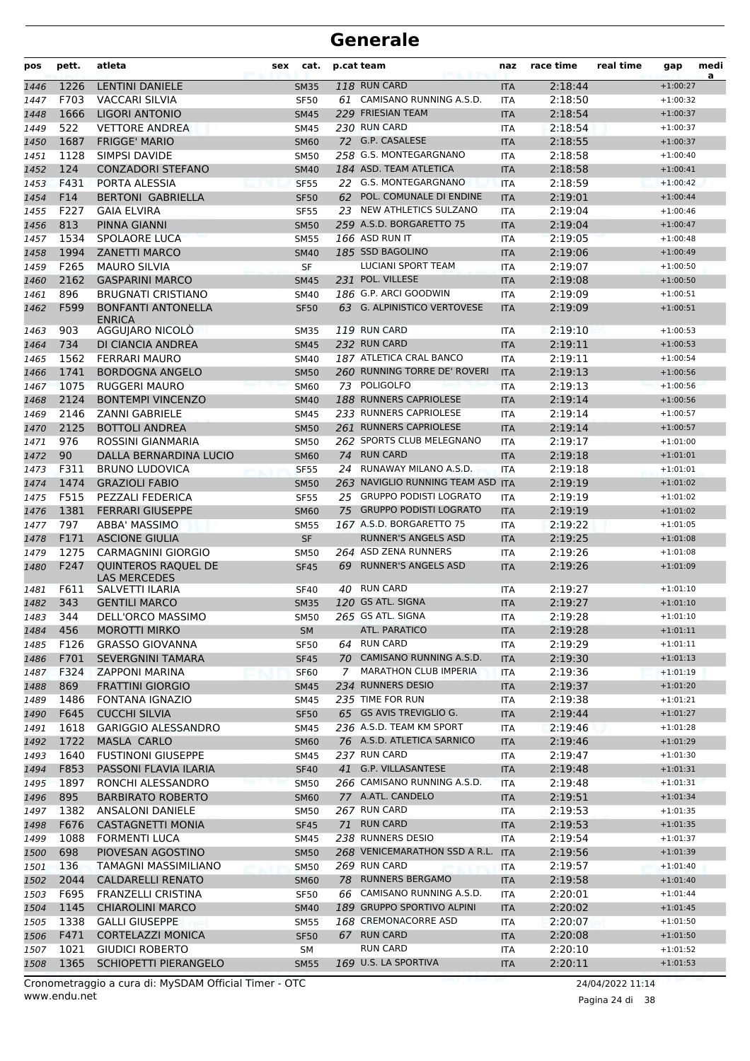| pos          | pett.        | atleta                                                 | sex | cat.                | p.cat team |                                               | naz                      | race time          | real time | gap                      | medi<br>a |
|--------------|--------------|--------------------------------------------------------|-----|---------------------|------------|-----------------------------------------------|--------------------------|--------------------|-----------|--------------------------|-----------|
| 1446         | 1226         | <b>LENTINI DANIELE</b>                                 |     | <b>SM35</b>         |            | 118 RUN CARD                                  | <b>ITA</b>               | 2:18:44            |           | $+1:00:27$               |           |
| 1447         | F703         | <b>VACCARI SILVIA</b>                                  |     | <b>SF50</b>         |            | 61 CAMISANO RUNNING A.S.D.                    | <b>ITA</b>               | 2:18:50            |           | $+1:00:32$               |           |
| 1448         | 1666         | LIGORI ANTONIO                                         |     | <b>SM45</b>         |            | 229 FRIESIAN TEAM                             | <b>ITA</b>               | 2:18:54            |           | $+1:00:37$               |           |
| 1449         | 522          | <b>VETTORE ANDREA</b>                                  |     | <b>SM45</b>         |            | 230 RUN CARD                                  | <b>ITA</b>               | 2:18:54            |           | $+1:00:37$               |           |
| 1450         | 1687         | <b>FRIGGE' MARIO</b>                                   |     | <b>SM60</b>         |            | 72 G.P. CASALESE                              | <b>ITA</b>               | 2:18:55            |           | $+1:00:37$               |           |
| 1451         | 1128         | SIMPSI DAVIDE                                          |     | <b>SM50</b>         |            | 258 G.S. MONTEGARGNANO                        | <b>ITA</b>               | 2:18:58            |           | $+1:00:40$               |           |
| 1452         | 124          | <b>CONZADORI STEFANO</b>                               |     | <b>SM40</b>         |            | 184 ASD. TEAM ATLETICA                        | <b>ITA</b>               | 2:18:58            |           | $+1:00:41$               |           |
| 1453         | F431         | PORTA ALESSIA                                          |     | <b>SF55</b>         |            | 22 G.S. MONTEGARGNANO                         | <b>ITA</b>               | 2:18:59            |           | $+1:00:42$               |           |
| 1454         | F14          | <b>BERTONI GABRIELLA</b>                               |     | <b>SF50</b>         | 62         | POL. COMUNALE DI ENDINE                       | <b>ITA</b>               | 2:19:01            |           | $+1:00:44$               |           |
| 1455         | F227         | <b>GAIA ELVIRA</b>                                     |     | <b>SF55</b>         |            | 23 NEW ATHLETICS SULZANO                      | <b>ITA</b>               | 2:19:04            |           | $+1:00:46$               |           |
| 1456         | 813          | <b>PINNA GIANNI</b>                                    |     | <b>SM50</b>         |            | 259 A.S.D. BORGARETTO 75                      | <b>ITA</b>               | 2:19:04            |           | $+1:00:47$               |           |
| 1457         | 1534         | <b>SPOLAORE LUCA</b>                                   |     | <b>SM55</b>         |            | 166 ASD RUN IT                                | <b>ITA</b>               | 2:19:05            |           | $+1:00:48$               |           |
| 1458         | 1994         | <b>ZANETTI MARCO</b>                                   |     | <b>SM40</b>         |            | 185 SSD BAGOLINO                              | <b>ITA</b>               | 2:19:06            |           | $+1:00:49$               |           |
| 1459         | F265         | <b>MAURO SILVIA</b>                                    |     | SF                  |            | LUCIANI SPORT TEAM                            | <b>ITA</b>               | 2:19:07            |           | $+1:00:50$               |           |
| 1460         | 2162         | <b>GASPARINI MARCO</b>                                 |     | <b>SM45</b>         |            | 231 POL. VILLESE                              | <b>ITA</b>               | 2:19:08            |           | $+1:00:50$               |           |
| 1461         | 896          | <b>BRUGNATI CRISTIANO</b>                              |     | <b>SM40</b>         |            | 186 G.P. ARCI GOODWIN                         | <b>ITA</b>               | 2:19:09            |           | $+1:00:51$               |           |
| 1462         | F599         | <b>BONFANTI ANTONELLA</b><br><b>ENRICA</b>             |     | <b>SF50</b>         |            | 63 G. ALPINISTICO VERTOVESE                   | <b>ITA</b>               | 2:19:09            |           | $+1:00:51$               |           |
| 1463         | 903          | AGGUJARO NICOLO                                        |     | <b>SM35</b>         |            | <b>119 RUN CARD</b>                           | ITA                      | 2:19:10            |           | $+1:00:53$               |           |
| 1464         | 734          | DI CIANCIA ANDREA                                      |     | <b>SM45</b>         |            | 232 RUN CARD                                  | <b>ITA</b>               | 2:19:11            |           | $+1:00:53$               |           |
| 1465         | 1562         | <b>FERRARI MAURO</b>                                   |     | <b>SM40</b>         |            | 187 ATLETICA CRAL BANCO                       | <b>ITA</b>               | 2:19:11            |           | $+1:00:54$               |           |
| 1466         | 1741         | <b>BORDOGNA ANGELO</b>                                 |     | <b>SM50</b>         |            | 260 RUNNING TORRE DE' ROVERI                  | <b>ITA</b>               | 2:19:13            |           | $+1:00:56$               |           |
| 1467         | 1075         | <b>RUGGERI MAURO</b>                                   |     | <b>SM60</b>         |            | 73 POLIGOLFO                                  | <b>ITA</b>               | 2:19:13            |           | $+1:00:56$               |           |
| 1468         | 2124         | <b>BONTEMPI VINCENZO</b>                               |     | <b>SM40</b>         |            | 188 RUNNERS CAPRIOLESE                        | <b>ITA</b>               | 2:19:14            |           | $+1:00:56$               |           |
| 1469         | 2146         | <b>ZANNI GABRIELE</b>                                  |     | <b>SM45</b>         |            | 233 RUNNERS CAPRIOLESE                        | <b>ITA</b>               | 2:19:14            |           | $+1:00:57$               |           |
| 1470         | 2125         | <b>BOTTOLI ANDREA</b>                                  |     | <b>SM50</b>         |            | 261 RUNNERS CAPRIOLESE                        | <b>ITA</b>               | 2:19:14            |           | $+1:00:57$               |           |
| 1471         | 976          | ROSSINI GIANMARIA                                      |     | <b>SM50</b>         |            | 262 SPORTS CLUB MELEGNANO                     | <b>ITA</b>               | 2:19:17            |           | $+1:01:00$               |           |
| 1472         | 90           | DALLA BERNARDINA LUCIO                                 |     | <b>SM60</b>         | 74         | <b>RUN CARD</b>                               | <b>ITA</b>               | 2:19:18            |           | $+1:01:01$               |           |
| 1473         | F311         | <b>BRUNO LUDOVICA</b>                                  |     | <b>SF55</b>         |            | 24 RUNAWAY MILANO A.S.D.                      | <b>ITA</b>               | 2:19:18            |           | $+1:01:01$               |           |
| 1474         | 1474         | <b>GRAZIOLI FABIO</b>                                  |     | <b>SM50</b>         |            | 263 NAVIGLIO RUNNING TEAM ASD ITA             |                          | 2:19:19            |           | $+1:01:02$               |           |
| 1475         | F515         | PEZZALI FEDERICA                                       |     | <b>SF55</b>         |            | 25 GRUPPO PODISTI LOGRATO                     | ITA                      | 2:19:19            |           | $+1:01:02$               |           |
| 1476         | 1381         | <b>FERRARI GIUSEPPE</b>                                |     | <b>SM60</b>         | 75         | <b>GRUPPO PODISTI LOGRATO</b>                 | <b>ITA</b>               | 2:19:19            |           | $+1:01:02$               |           |
| 1477         | 797          | ABBA' MASSIMO                                          |     | <b>SM55</b>         |            | 167 A.S.D. BORGARETTO 75                      | <b>ITA</b>               | 2:19:22            |           | $+1:01:05$               |           |
| 1478         | F171         | <b>ASCIONE GIULIA</b>                                  |     | <b>SF</b>           |            | <b>RUNNER'S ANGELS ASD</b>                    | <b>ITA</b>               | 2:19:25            |           | $+1:01:08$               |           |
| 1479         | 1275         | <b>CARMAGNINI GIORGIO</b>                              |     | <b>SM50</b>         |            | 264 ASD ZENA RUNNERS                          | <b>ITA</b>               | 2:19:26            |           | $+1:01:08$               |           |
| 1480         | F247<br>F611 | QUINTEROS RAQUEL DE<br>LAS MERCEDES<br>SALVETTI ILARIA |     | <b>SF45</b><br>SF40 | 69<br>40   | <b>RUNNER'S ANGELS ASD</b><br><b>RUN CARD</b> | <b>ITA</b>               | 2:19:26<br>2:19:27 |           | $+1:01:09$<br>$+1:01:10$ |           |
| 1481<br>1482 | 343          | <b>GENTILI MARCO</b>                                   |     | <b>SM35</b>         |            | 120 GS ATL. SIGNA                             | <b>ITA</b><br><b>ITA</b> | 2:19:27            |           | $+1:01:10$               |           |
|              | 344          | DELL'ORCO MASSIMO                                      |     |                     |            | 265 GS ATL. SIGNA                             | <b>ITA</b>               | 2:19:28            |           | $+1:01:10$               |           |
| 1483         | 456          | <b>MOROTTI MIRKO</b>                                   |     | <b>SM50</b>         |            | ATL. PARATICO                                 |                          | 2:19:28            |           | $+1:01:11$               |           |
| 1484<br>1485 | F126         | <b>GRASSO GIOVANNA</b>                                 |     | SM<br><b>SF50</b>   |            | 64 RUN CARD                                   | <b>ITA</b><br><b>ITA</b> | 2:19:29            |           | $+1:01:11$               |           |
| 1486         | F701         | <b>SEVERGNINI TAMARA</b>                               |     | <b>SF45</b>         |            | 70 CAMISANO RUNNING A.S.D.                    | <b>ITA</b>               | 2:19:30            |           | $+1:01:13$               |           |
| 1487         | F324         | <b>ZAPPONI MARINA</b>                                  |     | <b>SF60</b>         | 7          | <b>MARATHON CLUB IMPERIA</b>                  | ITA                      | 2:19:36            |           | $+1:01:19$               |           |
| 1488         | 869          | <b>FRATTINI GIORGIO</b>                                |     | <b>SM45</b>         |            | 234 RUNNERS DESIO                             | <b>ITA</b>               | 2:19:37            |           | $+1:01:20$               |           |
| 1489         | 1486         | <b>FONTANA IGNAZIO</b>                                 |     | <b>SM45</b>         |            | 235 TIME FOR RUN                              | ITA                      | 2:19:38            |           | $+1:01:21$               |           |
| 1490         | F645         | <b>CUCCHI SILVIA</b>                                   |     | <b>SF50</b>         |            | 65 GS AVIS TREVIGLIO G.                       | <b>ITA</b>               | 2:19:44            |           | $+1:01:27$               |           |
| 1491         | 1618         | <b>GARIGGIO ALESSANDRO</b>                             |     | <b>SM45</b>         |            | 236 A.S.D. TEAM KM SPORT                      | ITA                      | 2:19:46            |           | $+1:01:28$               |           |
| 1492         | 1722         | MASLA CARLO                                            |     | <b>SM60</b>         |            | 76 A.S.D. ATLETICA SARNICO                    | <b>ITA</b>               | 2:19:46            |           | $+1:01:29$               |           |
| 1493         | 1640         | <b>FUSTINONI GIUSEPPE</b>                              |     | SM45                |            | 237 RUN CARD                                  | ITA                      | 2:19:47            |           | $+1:01:30$               |           |
| 1494         | F853         | PASSONI FLAVIA ILARIA                                  |     | <b>SF40</b>         |            | 41 G.P. VILLASANTESE                          | <b>ITA</b>               | 2:19:48            |           | $+1:01:31$               |           |
| 1495         | 1897         | RONCHI ALESSANDRO                                      |     | <b>SM50</b>         |            | 266 CAMISANO RUNNING A.S.D.                   | <b>ITA</b>               | 2:19:48            |           | $+1:01:31$               |           |
| 1496         | 895          | <b>BARBIRATO ROBERTO</b>                               |     | <b>SM60</b>         |            | 77 A.ATL. CANDELO                             | <b>ITA</b>               | 2:19:51            |           | $+1:01:34$               |           |
| 1497         | 1382         | <b>ANSALONI DANIELE</b>                                |     | <b>SM50</b>         |            | 267 RUN CARD                                  | ITA                      | 2:19:53            |           | $+1:01:35$               |           |
| 1498         | F676         | <b>CASTAGNETTI MONIA</b>                               |     | <b>SF45</b>         |            | 71 RUN CARD                                   | <b>ITA</b>               | 2:19:53            |           | $+1:01:35$               |           |
| 1499         | 1088         | <b>FORMENTI LUCA</b>                                   |     | <b>SM45</b>         |            | 238 RUNNERS DESIO                             | ITA                      | 2:19:54            |           | $+1:01:37$               |           |
| 1500         | 698          | PIOVESAN AGOSTINO                                      |     | <b>SM50</b>         |            | 268 VENICEMARATHON SSD A R.L.                 | <b>ITA</b>               | 2:19:56            |           | $+1:01:39$               |           |
| 1501         | 136          | TAMAGNI MASSIMILIANO                                   |     | <b>SM50</b>         |            | 269 RUN CARD                                  | ITA                      | 2:19:57            |           | $+1:01:40$               |           |
| 1502         | 2044         | <b>CALDARELLI RENATO</b>                               |     | <b>SM60</b>         |            | 78 RUNNERS BERGAMO                            | <b>ITA</b>               | 2:19:58            |           | $+1:01:40$               |           |
| 1503         | F695         | FRANZELLI CRISTINA                                     |     | <b>SF50</b>         |            | 66 CAMISANO RUNNING A.S.D.                    | <b>ITA</b>               | 2:20:01            |           | $+1:01:44$               |           |
| 1504         | 1145         | <b>CHIAROLINI MARCO</b>                                |     | <b>SM40</b>         |            | 189 GRUPPO SPORTIVO ALPINI                    | <b>ITA</b>               | 2:20:02            |           | $+1:01:45$               |           |
| 1505         | 1338         | <b>GALLI GIUSEPPE</b>                                  |     | <b>SM55</b>         |            | 168 CREMONACORRE ASD                          | ITA                      | 2:20:07            |           | $+1:01:50$               |           |
| 1506         | F471         | <b>CORTELAZZI MONICA</b>                               |     | <b>SF50</b>         |            | 67 RUN CARD                                   | <b>ITA</b>               | 2:20:08            |           | $+1:01:50$               |           |
| 1507         | 1021         | <b>GIUDICI ROBERTO</b>                                 |     | SΜ                  |            | RUN CARD                                      | ITA                      | 2:20:10            |           | $+1:01:52$               |           |
| 1508         | 1365         | SCHIOPETTI PIERANGELO                                  |     | <b>SM55</b>         |            | 169 U.S. LA SPORTIVA                          | <b>ITA</b>               | 2:20:11            |           | $+1:01:53$               |           |
|              |              |                                                        |     |                     |            |                                               |                          |                    |           |                          |           |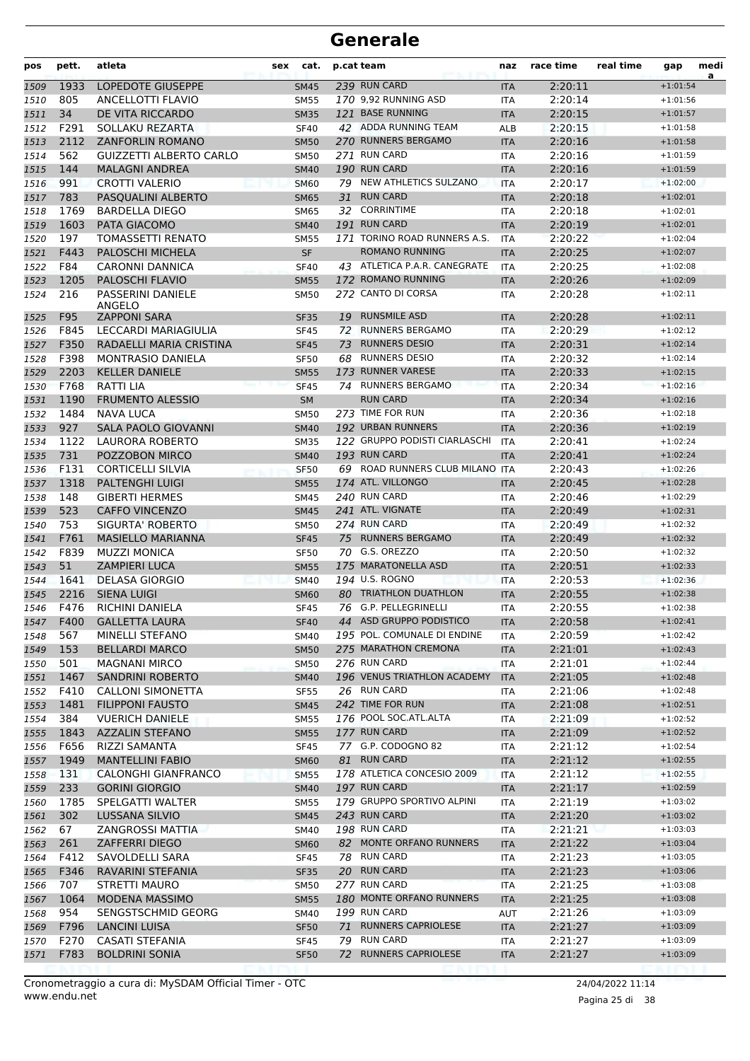| pos          | pett.        | atleta                                      | sex | cat.                       | p.cat team |                                                    | naz                      | race time          | real time | gap                      | medi<br>a |
|--------------|--------------|---------------------------------------------|-----|----------------------------|------------|----------------------------------------------------|--------------------------|--------------------|-----------|--------------------------|-----------|
| 1509         | 1933         | LOPEDOTE GIUSEPPE                           |     | <b>SM45</b>                |            | 239 RUN CARD                                       | <b>ITA</b>               | 2:20:11            |           | $+1:01:54$               |           |
| 1510         | 805          | ANCELLOTTI FLAVIO                           |     | <b>SM55</b>                |            | 170 9,92 RUNNING ASD                               | ITA                      | 2:20:14            |           | $+1:01:56$               |           |
| 1511         | 34           | DE VITA RICCARDO                            |     | <b>SM35</b>                |            | 121 BASE RUNNING                                   | <b>ITA</b>               | 2:20:15            |           | $+1:01:57$               |           |
| 1512         | F291         | SOLLAKU REZARTA                             |     | <b>SF40</b>                |            | 42 ADDA RUNNING TEAM                               | <b>ALB</b>               | 2:20:15            |           | $+1:01:58$               |           |
| 1513         | 2112         | <b>ZANFORLIN ROMANO</b>                     |     | <b>SM50</b>                |            | 270 RUNNERS BERGAMO                                | <b>ITA</b>               | 2:20:16            |           | $+1:01:58$               |           |
| 1514         | 562          | <b>GUIZZETTI ALBERTO CARLO</b>              |     | <b>SM50</b>                |            | 271 RUN CARD                                       | ITA                      | 2:20:16            |           | $+1:01:59$               |           |
| 1515         | 144          | <b>MALAGNI ANDREA</b>                       |     | <b>SM40</b>                |            | 190 RUN CARD                                       | <b>ITA</b>               | 2:20:16            |           | $+1:01:59$               |           |
| 1516         | 991          | <b>CROTTI VALERIO</b>                       |     | <b>SM60</b>                |            | 79 NEW ATHLETICS SULZANO                           | <b>ITA</b>               | 2:20:17            |           | $+1:02:00$               |           |
| 1517         | 783          | PASQUALINI ALBERTO                          |     | <b>SM65</b>                | 31         | <b>RUN CARD</b>                                    | <b>ITA</b>               | 2:20:18            |           | $+1:02:01$               |           |
| 1518         | 1769         | <b>BARDELLA DIEGO</b>                       |     | <b>SM65</b>                | 32         | <b>CORRINTIME</b>                                  | ITA                      | 2:20:18            |           | $+1:02:01$               |           |
| 1519         | 1603         | PATA GIACOMO                                |     | <b>SM40</b>                |            | 191 RUN CARD                                       | <b>ITA</b>               | 2:20:19            |           | $+1:02:01$               |           |
| 1520         | 197          | TOMASSETTI RENATO                           |     | <b>SM55</b>                |            | 171 TORINO ROAD RUNNERS A.S.                       | <b>ITA</b>               | 2:20:22            |           | $+1:02:04$               |           |
| 1521         | F443<br>F84  | PALOSCHI MICHELA                            |     | <b>SF</b>                  |            | ROMANO RUNNING                                     | <b>ITA</b>               | 2:20:25            |           | $+1:02:07$               |           |
| 1522         | 1205         | <b>CARONNI DANNICA</b><br>PALOSCHI FLAVIO   |     | <b>SF40</b>                |            | 43 ATLETICA P.A.R. CANEGRATE<br>172 ROMANO RUNNING | ITA                      | 2:20:25<br>2:20:26 |           | $+1:02:08$<br>$+1:02:09$ |           |
| 1523         | 216          | PASSERINI DANIELE                           |     | <b>SM55</b><br><b>SM50</b> |            | 272 CANTO DI CORSA                                 | <b>ITA</b>               | 2:20:28            |           | $+1:02:11$               |           |
| 1524         |              | ANGELO                                      |     |                            |            |                                                    | ITA                      |                    |           |                          |           |
| 1525         | F95          | <b>ZAPPONI SARA</b>                         |     | <b>SF35</b>                | 19         | <b>RUNSMILE ASD</b>                                | <b>ITA</b>               | 2:20:28            |           | $+1:02:11$               |           |
| 1526         | F845         | LECCARDI MARIAGIULIA                        |     | <b>SF45</b>                | 72         | <b>RUNNERS BERGAMO</b>                             | <b>ITA</b>               | 2:20:29            |           | $+1:02:12$               |           |
| 1527         | F350         | RADAELLI MARIA CRISTINA                     |     | <b>SF45</b>                | 73         | <b>RUNNERS DESIO</b>                               | <b>ITA</b>               | 2:20:31            |           | $+1:02:14$               |           |
| 1528         | F398         | <b>MONTRASIO DANIELA</b>                    |     | <b>SF50</b>                | 68         | <b>RUNNERS DESIO</b>                               | ITA                      | 2:20:32            |           | $+1:02:14$               |           |
| 1529         | 2203         | <b>KELLER DANIELE</b>                       |     | <b>SM55</b>                |            | 173 RUNNER VARESE                                  | <b>ITA</b>               | 2:20:33            |           | $+1:02:15$               |           |
| 1530         | F768         | RATTI LIA                                   |     | <b>SF45</b>                |            | 74 RUNNERS BERGAMO                                 | <b>ITA</b>               | 2:20:34            |           | $+1:02:16$               |           |
| 1531         | 1190         | <b>FRUMENTO ALESSIO</b>                     |     | <b>SM</b>                  |            | <b>RUN CARD</b>                                    | <b>ITA</b>               | 2:20:34            |           | $+1:02:16$               |           |
| 1532         | 1484         | <b>NAVA LUCA</b>                            |     | <b>SM50</b>                |            | 273 TIME FOR RUN                                   | <b>ITA</b>               | 2:20:36            |           | $+1:02:18$               |           |
| 1533         | 927          | SALA PAOLO GIOVANNI                         |     | <b>SM40</b>                |            | 192 URBAN RUNNERS                                  | <b>ITA</b>               | 2:20:36            |           | $+1:02:19$               |           |
| 1534         | 1122         | LAURORA ROBERTO                             |     | <b>SM35</b>                |            | 122 GRUPPO PODISTI CIARLASCHI                      | <b>ITA</b>               | 2:20:41            |           | $+1:02:24$               |           |
| 1535         | 731          | POZZOBON MIRCO                              |     | <b>SM40</b>                |            | 193 RUN CARD                                       | <b>ITA</b>               | 2:20:41            |           | $+1:02:24$               |           |
| 1536         | F131         | <b>CORTICELLI SILVIA</b>                    |     | <b>SF50</b>                |            | 69 ROAD RUNNERS CLUB MILANO ITA                    |                          | 2:20:43            |           | $+1:02:26$               |           |
| 1537         | 1318         | <b>PALTENGHI LUIGI</b>                      |     | <b>SM55</b>                |            | 174 ATL. VILLONGO                                  | <b>ITA</b>               | 2:20:45            |           | $+1:02:28$               |           |
| 1538         | 148          | <b>GIBERTI HERMES</b>                       |     | SM45                       |            | 240 RUN CARD                                       | ITA                      | 2:20:46            |           | $+1:02:29$               |           |
| 1539         | 523          | <b>CAFFO VINCENZO</b>                       |     | <b>SM45</b>                |            | 241 ATL. VIGNATE                                   | <b>ITA</b>               | 2:20:49            |           | $+1:02:31$               |           |
| 1540         | 753          | SIGURTA' ROBERTO                            |     | <b>SM50</b>                |            | 274 RUN CARD                                       | ITA                      | 2:20:49            |           | $+1:02:32$               |           |
| 1541         | F761<br>F839 | <b>MASIELLO MARIANNA</b>                    |     | <b>SF45</b>                |            | 75 RUNNERS BERGAMO<br>70 G.S. OREZZO               | <b>ITA</b>               | 2:20:49            |           | $+1:02:32$               |           |
| 1542         | 51           | <b>MUZZI MONICA</b><br><b>ZAMPIERI LUCA</b> |     | <b>SF50</b><br><b>SM55</b> |            | 175 MARATONELLA ASD                                | <b>ITA</b>               | 2:20:50<br>2:20:51 |           | $+1:02:32$<br>$+1:02:33$ |           |
| 1543<br>1544 | 1641         | <b>DELASA GIORGIO</b>                       |     | <b>SM40</b>                |            | 194 U.S. ROGNO                                     | <b>ITA</b><br><b>ITA</b> | 2:20:53            |           | $+1:02:36$               |           |
| 1545         | 2216         | <b>SIENA LUIGI</b>                          |     | <b>SM60</b>                |            | 80 TRIATHLON DUATHLON                              | <b>ITA</b>               | 2:20:55            |           | $+1:02:38$               |           |
| 1546         | F476         | <b>RICHINI DANIELA</b>                      |     | <b>SF45</b>                |            | 76 G.P. PELLEGRINELLI                              | <b>ITA</b>               | 2:20:55            |           | $+1:02:38$               |           |
| 1547         | F400         | <b>GALLETTA LAURA</b>                       |     | <b>SF40</b>                |            | 44 ASD GRUPPO PODISTICO                            | <b>ITA</b>               | 2:20:58            |           | $+1:02:41$               |           |
| 1548         | 567          | MINELLI STEFANO                             |     | SM40                       |            | 195 POL. COMUNALE DI ENDINE                        | ITA                      | 2:20:59            |           | $+1:02:42$               |           |
| 1549         | 153          | <b>BELLARDI MARCO</b>                       |     | <b>SM50</b>                |            | 275 MARATHON CREMONA                               | ITA                      | 2:21:01            |           | $+1:02:43$               |           |
| 1550         | 501          | <b>MAGNANI MIRCO</b>                        |     | <b>SM50</b>                |            | 276 RUN CARD                                       | ITA                      | 2:21:01            |           | $+1:02:44$               |           |
| 1551         | 1467         | <b>SANDRINI ROBERTO</b>                     |     | <b>SM40</b>                |            | 196 VENUS TRIATHLON ACADEMY                        | <b>ITA</b>               | 2:21:05            |           | $+1:02:48$               |           |
| 1552         | F410         | CALLONI SIMONETTA                           |     | <b>SF55</b>                |            | 26 RUN CARD                                        | ITA                      | 2:21:06            |           | $+1:02:48$               |           |
| 1553         | 1481         | <b>FILIPPONI FAUSTO</b>                     |     | <b>SM45</b>                |            | 242 TIME FOR RUN                                   | <b>ITA</b>               | 2:21:08            |           | $+1:02:51$               |           |
| 1554         | 384          | <b>VUERICH DANIELE</b>                      |     | <b>SM55</b>                |            | 176 POOL SOC.ATL.ALTA                              | ITA                      | 2:21:09            |           | $+1:02:52$               |           |
| 1555         | 1843         | <b>AZZALIN STEFANO</b>                      |     | <b>SM55</b>                |            | 177 RUN CARD                                       | <b>ITA</b>               | 2:21:09            |           | $+1:02:52$               |           |
| 1556         | F656         | RIZZI SAMANTA                               |     | <b>SF45</b>                |            | 77 G.P. CODOGNO 82                                 | ITA                      | 2:21:12            |           | $+1:02:54$               |           |
| 1557         | 1949         | <b>MANTELLINI FABIO</b>                     |     | <b>SM60</b>                |            | 81 RUN CARD                                        | <b>ITA</b>               | 2:21:12            |           | $+1:02:55$               |           |
| 1558         | 131          | CALONGHI GIANFRANCO                         |     | <b>SM55</b>                |            | 178 ATLETICA CONCESIO 2009                         | ITA                      | 2:21:12            |           | $+1:02:55$               |           |
| 1559         | 233          | <b>GORINI GIORGIO</b>                       |     | <b>SM40</b>                |            | 197 RUN CARD                                       | <b>ITA</b>               | 2:21:17            |           | $+1:02:59$               |           |
| 1560         | 1785         | SPELGATTI WALTER                            |     | <b>SM55</b>                |            | 179 GRUPPO SPORTIVO ALPINI                         | ITA                      | 2:21:19            |           | $+1:03:02$               |           |
| 1561         | 302          | LUSSANA SILVIO                              |     | <b>SM45</b>                |            | 243 RUN CARD                                       | <b>ITA</b>               | 2:21:20            |           | $+1:03:02$               |           |
| 1562         | 67           | ZANGROSSI MATTIA                            |     | SM40                       |            | 198 RUN CARD                                       | ITA                      | 2:21:21            |           | $+1:03:03$               |           |
| 1563         | 261          | <b>ZAFFERRI DIEGO</b>                       |     | <b>SM60</b>                |            | 82 MONTE ORFANO RUNNERS                            | <b>ITA</b>               | 2:21:22            |           | $+1:03:04$               |           |
| 1564         | F412         | SAVOLDELLI SARA                             |     | SF45                       |            | 78 RUN CARD                                        | ITA                      | 2:21:23            |           | $+1:03:05$               |           |
| 1565         | F346         | RAVARINI STEFANIA                           |     | <b>SF35</b>                |            | 20 RUN CARD                                        | <b>ITA</b>               | 2:21:23            |           | $+1:03:06$               |           |
| 1566         | 707          | STRETTI MAURO                               |     | <b>SM50</b>                |            | 277 RUN CARD                                       | ITA                      | 2:21:25            |           | $+1:03:08$               |           |
| 1567         | 1064         | <b>MODENA MASSIMO</b>                       |     | <b>SM55</b>                |            | 180 MONTE ORFANO RUNNERS                           | <b>ITA</b>               | 2:21:25            |           | $+1:03:08$               |           |
| 1568         | 954          | SENGSTSCHMID GEORG                          |     | SM40                       |            | 199 RUN CARD                                       | AUT                      | 2:21:26            |           | $+1:03:09$               |           |
| 1569         | F796         | <b>LANCINI LUISA</b>                        |     | <b>SF50</b>                | 71         | <b>RUNNERS CAPRIOLESE</b>                          | <b>ITA</b>               | 2:21:27            |           | $+1:03:09$               |           |
| 1570         | F270         | <b>CASATI STEFANIA</b>                      |     | <b>SF45</b>                |            | 79 RUN CARD                                        | ITA                      | 2:21:27            |           | $+1:03:09$               |           |
| 1571         | F783         | <b>BOLDRINI SONIA</b>                       |     | <b>SF50</b>                |            | 72 RUNNERS CAPRIOLESE                              | <b>ITA</b>               | 2:21:27            |           | $+1:03:09$               |           |

Pagina 25 di 38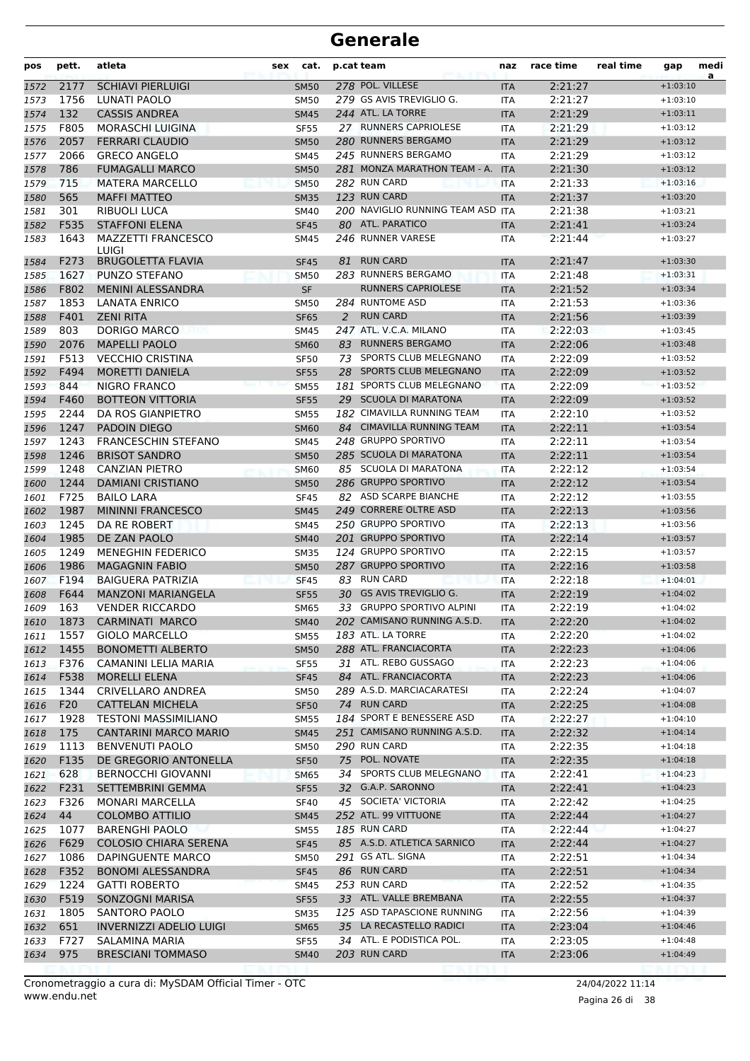| pos          | pett.       | atleta                                         | sex | cat.                       |    | p.cat team                                 | naz                | race time          | real time | gap                      | medi<br>a |
|--------------|-------------|------------------------------------------------|-----|----------------------------|----|--------------------------------------------|--------------------|--------------------|-----------|--------------------------|-----------|
| 1572         | 2177        | <b>SCHIAVI PIERLUIGI</b>                       |     | <b>SM50</b>                |    | 278 POL. VILLESE                           | <b>ITA</b>         | 2:21:27            |           | $+1:03:10$               |           |
| 1573         | 1756        | LUNATI PAOLO                                   |     | <b>SM50</b>                |    | 279 GS AVIS TREVIGLIO G.                   | <b>ITA</b>         | 2:21:27            |           | $+1:03:10$               |           |
| 1574         | 132         | <b>CASSIS ANDREA</b>                           |     | <b>SM45</b>                |    | 244 ATL. LA TORRE                          | <b>ITA</b>         | 2:21:29            |           | $+1:03:11$               |           |
| 1575         | F805        | <b>MORASCHI LUIGINA</b>                        |     | <b>SF55</b>                |    | 27 RUNNERS CAPRIOLESE                      | <b>ITA</b>         | 2:21:29            |           | $+1:03:12$               |           |
| 1576         | 2057        | <b>FERRARI CLAUDIO</b>                         |     | <b>SM50</b>                |    | 280 RUNNERS BERGAMO                        | <b>ITA</b>         | 2:21:29            |           | $+1:03:12$               |           |
| 1577         | 2066        | <b>GRECO ANGELO</b>                            |     | <b>SM45</b>                |    | 245 RUNNERS BERGAMO                        | <b>ITA</b>         | 2:21:29            |           | $+1:03:12$               |           |
| 1578         | 786         | <b>FUMAGALLI MARCO</b>                         |     | <b>SM50</b>                |    | 281 MONZA MARATHON TEAM - A.               | <b>ITA</b>         | 2:21:30            |           | $+1:03:12$               |           |
| 1579         | 715         | <b>MATERA MARCELLO</b>                         |     | <b>SM50</b>                |    | 282 RUN CARD                               | <b>ITA</b>         | 2:21:33            |           | $+1:03:16$               |           |
| 1580         | 565         | <b>MAFFI MATTEO</b>                            |     | <b>SM35</b>                |    | 123 RUN CARD                               | <b>ITA</b>         | 2:21:37            |           | $+1:03:20$               |           |
| 1581         | 301         | RIBUOLI LUCA                                   |     | <b>SM40</b>                |    | 200 NAVIGLIO RUNNING TEAM ASD ITA          |                    | 2:21:38            |           | $+1:03:21$               |           |
| 1582         | F535        | <b>STAFFONI ELENA</b>                          |     | <b>SF45</b>                |    | 80 ATL. PARATICO                           | <b>ITA</b>         | 2:21:41            |           | $+1:03:24$               |           |
| 1583         | 1643        | <b>MAZZETTI FRANCESCO</b><br>LUIGI             |     | SM45                       |    | 246 RUNNER VARESE                          | ITA                | 2:21:44            |           | $+1:03:27$               |           |
| 1584         | F273        | <b>BRUGOLETTA FLAVIA</b>                       |     | <b>SF45</b>                | 81 | <b>RUN CARD</b>                            | <b>ITA</b>         | 2:21:47            |           | $+1:03:30$               |           |
| 1585         | 1627        | PUNZO STEFANO                                  |     | <b>SM50</b>                |    | 283 RUNNERS BERGAMO                        | <b>ITA</b>         | 2:21:48            |           | $+1:03:31$               |           |
| 1586         | F802        | <b>MENINI ALESSANDRA</b>                       |     | <b>SF</b>                  |    | <b>RUNNERS CAPRIOLESE</b>                  | <b>ITA</b>         | 2:21:52            |           | $+1:03:34$               |           |
| 1587         | 1853        | <b>LANATA ENRICO</b>                           |     | <b>SM50</b>                |    | 284 RUNTOME ASD                            | <b>ITA</b>         | 2:21:53            |           | $+1:03:36$               |           |
| 1588         | F401        | <b>ZENI RITA</b>                               |     | <b>SF65</b>                | 2  | <b>RUN CARD</b>                            | <b>ITA</b>         | 2:21:56            |           | $+1:03:39$               |           |
| 1589         | 803         | DORIGO MARCO                                   |     | <b>SM45</b>                |    | 247 ATL. V.C.A. MILANO                     | <b>ITA</b>         | 2:22:03            |           | $+1:03:45$               |           |
| 1590         | 2076        | <b>MAPELLI PAOLO</b>                           |     | <b>SM60</b>                |    | 83 RUNNERS BERGAMO                         | <b>ITA</b>         | 2:22:06            |           | $+1:03:48$               |           |
| 1591         | F513        | <b>VECCHIO CRISTINA</b>                        |     | <b>SF50</b>                |    | 73 SPORTS CLUB MELEGNANO                   | <b>ITA</b>         | 2:22:09            |           | $+1:03:52$               |           |
| 1592         | F494        | <b>MORETTI DANIELA</b>                         |     | <b>SF55</b>                |    | 28 SPORTS CLUB MELEGNANO                   | <b>ITA</b>         | 2:22:09            |           | $+1:03:52$               |           |
| 1593         | 844         | <b>NIGRO FRANCO</b>                            |     | <b>SM55</b>                |    | 181 SPORTS CLUB MELEGNANO                  | <b>ITA</b>         | 2:22:09            |           | $+1:03:52$               |           |
| 1594         | F460        | <b>BOTTEON VITTORIA</b>                        |     | <b>SF55</b>                |    | 29 SCUOLA DI MARATONA                      | <b>ITA</b>         | 2:22:09            |           | $+1:03:52$               |           |
| 1595         | 2244        | DA ROS GIANPIETRO                              |     | <b>SM55</b>                |    | 182 CIMAVILLA RUNNING TEAM                 | <b>ITA</b>         | 2:22:10            |           | $+1:03:52$               |           |
| 1596         | 1247        | <b>PADOIN DIEGO</b>                            |     | <b>SM60</b>                |    | 84 CIMAVILLA RUNNING TEAM                  | <b>ITA</b>         | 2:22:11            |           | $+1:03:54$               |           |
| 1597         | 1243        | <b>FRANCESCHIN STEFANO</b>                     |     | <b>SM45</b>                |    | 248 GRUPPO SPORTIVO                        | <b>ITA</b>         | 2:22:11            |           | $+1:03:54$               |           |
| 1598         | 1246        | <b>BRISOT SANDRO</b>                           |     | <b>SM50</b>                |    | 285 SCUOLA DI MARATONA                     | <b>ITA</b>         | 2:22:11            |           | $+1:03:54$               |           |
| 1599         | 1248        | <b>CANZIAN PIETRO</b>                          |     | <b>SM60</b>                |    | 85 SCUOLA DI MARATONA                      | ITA                | 2:22:12            |           | $+1:03:54$               |           |
| 1600         | 1244        | <b>DAMIANI CRISTIANO</b>                       |     | <b>SM50</b>                |    | 286 GRUPPO SPORTIVO                        | <b>ITA</b>         | 2:22:12            |           | $+1:03:54$               |           |
| 1601         | F725        | <b>BAILO LARA</b>                              |     | <b>SF45</b>                |    | 82 ASD SCARPE BIANCHE                      | <b>ITA</b>         | 2:22:12            |           | $+1:03:55$               |           |
| 1602         | 1987        | <b>MININNI FRANCESCO</b>                       |     | <b>SM45</b>                |    | 249 CORRERE OLTRE ASD                      | <b>ITA</b>         | 2:22:13            |           | $+1:03:56$               |           |
| 1603         | 1245        | DA RE ROBERT                                   |     | <b>SM45</b>                |    | 250 GRUPPO SPORTIVO                        | <b>ITA</b>         | 2:22:13            |           | $+1:03:56$               |           |
| 1604         | 1985        | DE ZAN PAOLO                                   |     | <b>SM40</b>                |    | 201 GRUPPO SPORTIVO                        | <b>ITA</b>         | 2:22:14            |           | $+1:03:57$               |           |
| 1605         | 1249        | <b>MENEGHIN FEDERICO</b>                       |     | <b>SM35</b>                |    | 124 GRUPPO SPORTIVO                        | <b>ITA</b>         | 2:22:15            |           | $+1:03:57$               |           |
| 1606         | 1986        | <b>MAGAGNIN FABIO</b>                          |     | <b>SM50</b>                |    | 287 GRUPPO SPORTIVO                        | <b>ITA</b>         | 2:22:16            |           | $+1:03:58$               |           |
| 1607         | F194        | <b>BAIGUERA PATRIZIA</b>                       |     | <b>SF45</b>                |    | 83 RUN CARD                                | <b>ITA</b>         | 2:22:18            |           | $+1:04:01$               |           |
| 1608         | F644        | <b>MANZONI MARIANGELA</b>                      |     | <b>SF55</b>                |    | 30 GS AVIS TREVIGLIO G.                    | <b>ITA</b>         | 2:22:19            |           | $+1:04:02$               |           |
| 1609         | 163         | <b>VENDER RICCARDO</b>                         |     | <b>SM65</b>                |    | 33 GRUPPO SPORTIVO ALPINI                  | <b>ITA</b>         | 2:22:19            |           | $+1:04:02$               |           |
| 1610         |             | 1873 CARMINATI MARCO                           |     | <b>SM40</b>                |    | 202 CAMISANO RUNNING A.S.D.                | <b>ITA</b>         | 2:22:20            |           | $+1:04:02$               |           |
| 1611         | 1557        | <b>GIOLO MARCELLO</b>                          |     | <b>SM55</b>                |    | 183 ATL. LA TORRE                          | ITA                | 2:22:20            |           | $+1:04:02$               |           |
| 1612         | 1455        | <b>BONOMETTI ALBERTO</b>                       |     | <b>SM50</b>                |    | 288 ATL. FRANCIACORTA                      | <b>ITA</b>         | 2:22:23            |           | $+1:04:06$               |           |
| 1613         | F376        | CAMANINI LELIA MARIA                           |     | <b>SF55</b>                |    | 31 ATL. REBO GUSSAGO                       | ITA                | 2:22:23            |           | $+1:04:06$               |           |
| 1614         | F538        | <b>MORELLI ELENA</b>                           |     | <b>SF45</b>                |    | 84 ATL. FRANCIACORTA                       | <b>ITA</b>         | 2:22:23            |           | $+1:04:06$               |           |
| 1615         | 1344        | CRIVELLARO ANDREA                              |     | <b>SM50</b>                |    | 289 A.S.D. MARCIACARATESI                  | ITA                | 2:22:24            |           | $+1:04:07$               |           |
| 1616         | F20         | <b>CATTELAN MICHELA</b>                        |     | <b>SF50</b>                |    | 74 RUN CARD                                | <b>ITA</b>         | 2:22:25            |           | $+1:04:08$               |           |
| 1617         | 1928        | <b>TESTONI MASSIMILIANO</b>                    |     | <b>SM55</b>                |    | 184 SPORT E BENESSERE ASD                  | ITA                | 2:22:27            |           | $+1:04:10$               |           |
| 1618         | 175         | <b>CANTARINI MARCO MARIO</b>                   |     | <b>SM45</b>                |    | 251 CAMISANO RUNNING A.S.D.                | <b>ITA</b>         | 2:22:32            |           | $+1:04:14$               |           |
| 1619         | 1113        | <b>BENVENUTI PAOLO</b>                         |     | <b>SM50</b>                |    | 290 RUN CARD                               | ITA                | 2:22:35            |           | $+1:04:18$               |           |
| 1620         | F135        | DE GREGORIO ANTONELLA                          |     | <b>SF50</b>                |    | 75 POL. NOVATE<br>34 SPORTS CLUB MELEGNANO | <b>ITA</b>         | 2:22:35            |           | $+1:04:18$               |           |
| 1621         | 628<br>F231 | <b>BERNOCCHI GIOVANNI</b><br>SETTEMBRINI GEMMA |     | <b>SM65</b>                |    | 32 G.A.P. SARONNO                          | ITA                | 2:22:41            |           | $+1:04:23$<br>$+1:04:23$ |           |
| 1622         | F326        |                                                |     | <b>SF55</b>                |    | 45 SOCIETA' VICTORIA                       | ITA                | 2:22:41            |           | $+1:04:25$               |           |
| 1623         | 44          | MONARI MARCELLA<br><b>COLOMBO ATTILIO</b>      |     | <b>SF40</b>                |    | 252 ATL. 99 VITTUONE                       | ITA                | 2:22:42<br>2:22:44 |           | $+1:04:27$               |           |
| 1624         | 1077        | <b>BARENGHI PAOLO</b>                          |     | <b>SM45</b>                |    | 185 RUN CARD                               | <b>ITA</b>         | 2:22:44            |           | $+1:04:27$               |           |
| 1625<br>1626 | F629        | <b>COLOSIO CHIARA SERENA</b>                   |     | <b>SM55</b><br><b>SF45</b> |    | 85 A.S.D. ATLETICA SARNICO                 | ITA.<br><b>ITA</b> | 2:22:44            |           | $+1:04:27$               |           |
| 1627         | 1086        | DAPINGUENTE MARCO                              |     | <b>SM50</b>                |    | 291 GS ATL. SIGNA                          | ITA                | 2:22:51            |           | $+1:04:34$               |           |
| 1628         | F352        | <b>BONOMI ALESSANDRA</b>                       |     | <b>SF45</b>                |    | 86 RUN CARD                                | <b>ITA</b>         | 2:22:51            |           | $+1:04:34$               |           |
| 1629         | 1224        | <b>GATTI ROBERTO</b>                           |     | <b>SM45</b>                |    | 253 RUN CARD                               | ITA                | 2:22:52            |           | $+1:04:35$               |           |
| 1630         | F519        | SONZOGNI MARISA                                |     | <b>SF55</b>                |    | 33 ATL. VALLE BREMBANA                     | <b>ITA</b>         | 2:22:55            |           | $+1:04:37$               |           |
| 1631         | 1805        | SANTORO PAOLO                                  |     | <b>SM35</b>                |    | 125 ASD TAPASCIONE RUNNING                 | ITA                | 2:22:56            |           | $+1:04:39$               |           |
| 1632         | 651         | <b>INVERNIZZI ADELIO LUIGI</b>                 |     | <b>SM65</b>                |    | 35 LA RECASTELLO RADICI                    | <b>ITA</b>         | 2:23:04            |           | $+1:04:46$               |           |
| 1633         | F727        | SALAMINA MARIA                                 |     | <b>SF55</b>                |    | 34 ATL. E PODISTICA POL.                   | ITA                | 2:23:05            |           | $+1:04:48$               |           |
| 1634         | 975         | <b>BRESCIANI TOMMASO</b>                       |     | <b>SM40</b>                |    | 203 RUN CARD                               | <b>ITA</b>         | 2:23:06            |           | $+1:04:49$               |           |
|              |             |                                                |     |                            |    |                                            |                    |                    |           |                          |           |

Pagina 26 di 38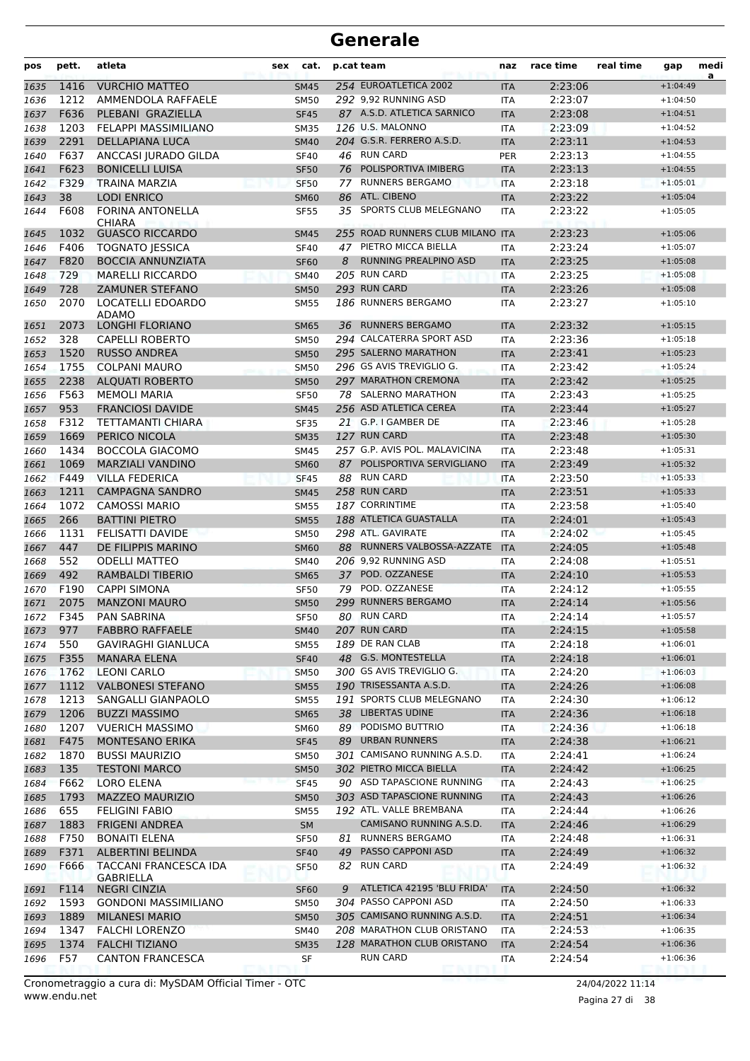| pos          | pett.        | atleta                                        | sex | cat.                       |    | p.cat team                       | naz               | race time          | real time | gap                      | medi<br>a |
|--------------|--------------|-----------------------------------------------|-----|----------------------------|----|----------------------------------|-------------------|--------------------|-----------|--------------------------|-----------|
| 1635         | 1416         | <b>VURCHIO MATTEO</b>                         |     | <b>SM45</b>                |    | 254 EUROATLETICA 2002            | <b>ITA</b>        | 2:23:06            |           | $+1:04:49$               |           |
| 1636         | 1212         | AMMENDOLA RAFFAELE                            |     | <b>SM50</b>                |    | 292 9,92 RUNNING ASD             | <b>ITA</b>        | 2:23:07            |           | $+1:04:50$               |           |
| 1637         | F636         | PLEBANI GRAZIELLA                             |     | <b>SF45</b>                |    | 87 A.S.D. ATLETICA SARNICO       | <b>ITA</b>        | 2:23:08            |           | $+1:04:51$               |           |
| 1638         | 1203         | FELAPPI MASSIMILIANO                          |     | <b>SM35</b>                |    | 126 U.S. MALONNO                 | <b>ITA</b>        | 2:23:09            |           | $+1:04:52$               |           |
| 1639         | 2291         | DELLAPIANA LUCA                               |     | <b>SM40</b>                |    | 204 G.S.R. FERRERO A.S.D.        | <b>ITA</b>        | 2:23:11            |           | $+1:04:53$               |           |
| 1640         | F637         | ANCCASI JURADO GILDA                          |     | <b>SF40</b>                |    | 46 RUN CARD                      | <b>PER</b>        | 2:23:13            |           | $+1:04:55$               |           |
| 1641         | F623         | <b>BONICELLI LUISA</b>                        |     | <b>SF50</b>                |    | 76 POLISPORTIVA IMIBERG          | <b>ITA</b>        | 2:23:13            |           | $+1:04:55$               |           |
| 1642         | F329         | <b>TRAINA MARZIA</b>                          |     | <b>SF50</b>                | 77 | <b>RUNNERS BERGAMO</b>           | <b>ITA</b>        | 2:23:18            |           | $+1:05:01$               |           |
| 1643         | 38           | <b>LODI ENRICO</b>                            |     | <b>SM60</b>                |    | 86 ATL. CIBENO                   | <b>ITA</b>        | 2:23:22            |           | $+1:05:04$               |           |
| 1644         | F608         | <b>FORINA ANTONELLA</b><br><b>CHIARA</b>      |     | <b>SF55</b>                | 35 | SPORTS CLUB MELEGNANO            | <b>ITA</b>        | 2:23:22            |           | $+1:05:05$               |           |
| 1645         | 1032         | <b>GUASCO RICCARDO</b>                        |     | <b>SM45</b>                |    | 255 ROAD RUNNERS CLUB MILANO ITA |                   | 2:23:23            |           | $+1:05:06$               |           |
| 1646         | F406         | <b>TOGNATO JESSICA</b>                        |     | <b>SF40</b>                |    | 47 PIETRO MICCA BIELLA           | <b>ITA</b>        | 2:23:24            |           | $+1:05:07$               |           |
| 1647         | F820         | <b>BOCCIA ANNUNZIATA</b>                      |     | <b>SF60</b>                | 8  | RUNNING PREALPINO ASD            | <b>ITA</b>        | 2:23:25            |           | $+1:05:08$               |           |
| 1648         | 729          | <b>MARELLI RICCARDO</b>                       |     | <b>SM40</b>                |    | 205 RUN CARD                     | <b>ITA</b>        | 2:23:25            |           | $+1:05:08$               |           |
| 1649         | 728          | <b>ZAMUNER STEFANO</b>                        |     | <b>SM50</b>                |    | 293 RUN CARD                     | <b>ITA</b>        | 2:23:26            |           | $+1:05:08$               |           |
| 1650         | 2070         | LOCATELLI EDOARDO<br>ADAMO                    |     | <b>SM55</b>                |    | 186 RUNNERS BERGAMO              | <b>ITA</b>        | 2:23:27            |           | $+1:05:10$               |           |
| 1651         | 2073         | <b>LONGHI FLORIANO</b>                        |     | <b>SM65</b>                | 36 | <b>RUNNERS BERGAMO</b>           | <b>ITA</b>        | 2:23:32            |           | $+1:05:15$               |           |
| 1652         | 328          | <b>CAPELLI ROBERTO</b>                        |     | <b>SM50</b>                |    | 294 CALCATERRA SPORT ASD         | <b>ITA</b>        | 2:23:36            |           | $+1:05:18$               |           |
| 1653         | 1520         | <b>RUSSO ANDREA</b>                           |     | <b>SM50</b>                |    | 295 SALERNO MARATHON             | <b>ITA</b>        | 2:23:41            |           | $+1:05:23$               |           |
| 1654         | 1755         | <b>COLPANI MAURO</b>                          |     | <b>SM50</b>                |    | 296 GS AVIS TREVIGLIO G.         | <b>ITA</b>        | 2:23:42            |           | $+1:05:24$               |           |
| 1655         | 2238         | <b>ALQUATI ROBERTO</b>                        |     | <b>SM50</b>                |    | 297 MARATHON CREMONA             | <b>ITA</b>        | 2:23:42            |           | $+1:05:25$               |           |
| 1656         | F563         | <b>MEMOLI MARIA</b>                           |     | <b>SF50</b>                |    | 78 SALERNO MARATHON              | <b>ITA</b>        | 2:23:43            |           | $+1:05:25$               |           |
| 1657         | 953          | <b>FRANCIOSI DAVIDE</b>                       |     | <b>SM45</b>                |    | 256 ASD ATLETICA CEREA           | <b>ITA</b>        | 2:23:44            |           | $+1:05:27$               |           |
| 1658         | F312         | TETTAMANTI CHIARA                             |     | <b>SF35</b>                |    | 21 G.P. I GAMBER DE              | <b>ITA</b>        | 2:23:46            |           | $+1:05:28$               |           |
| 1659         | 1669         | PERICO NICOLA                                 |     | <b>SM35</b>                |    | 127 RUN CARD                     | <b>ITA</b>        | 2:23:48            |           | $+1:05:30$               |           |
| 1660         | 1434         | <b>BOCCOLA GIACOMO</b>                        |     | <b>SM45</b>                |    | 257 G.P. AVIS POL. MALAVICINA    | <b>ITA</b>        | 2:23:48            |           | $+1:05:31$               |           |
| 1661         | 1069         | <b>MARZIALI VANDINO</b>                       |     | <b>SM60</b>                |    | 87 POLISPORTIVA SERVIGLIANO      | <b>ITA</b>        | 2:23:49            |           | $+1:05:32$               |           |
| 1662         | F449<br>1211 | <b>VILLA FEDERICA</b>                         |     | <b>SF45</b>                |    | 88 RUN CARD<br>258 RUN CARD      | <b>ITA</b>        | 2:23:50            |           | $+1:05:33$               |           |
| 1663         | 1072         | <b>CAMPAGNA SANDRO</b>                        |     | <b>SM45</b>                |    | <b>187 CORRINTIME</b>            | <b>ITA</b>        | 2:23:51            |           | $+1:05:33$               |           |
| 1664         | 266          | <b>CAMOSSI MARIO</b><br><b>BATTINI PIETRO</b> |     | <b>SM55</b><br><b>SM55</b> |    | 188 ATLETICA GUASTALLA           | ITA<br><b>ITA</b> | 2:23:58<br>2:24:01 |           | $+1:05:40$<br>$+1:05:43$ |           |
| 1665<br>1666 | 1131         | FELISATTI DAVIDE                              |     | <b>SM50</b>                |    | 298 ATL. GAVIRATE                | <b>ITA</b>        | 2:24:02            |           | $+1:05:45$               |           |
| 1667         | 447          | DE FILIPPIS MARINO                            |     | <b>SM60</b>                |    | 88 RUNNERS VALBOSSA-AZZATE       | <b>ITA</b>        | 2:24:05            |           | $+1:05:48$               |           |
| 1668         | 552          | <b>ODELLI MATTEO</b>                          |     | SM40                       |    | 206 9,92 RUNNING ASD             | <b>ITA</b>        | 2:24:08            |           | $+1:05:51$               |           |
| 1669         | 492          | <b>RAMBALDI TIBERIO</b>                       |     | <b>SM65</b>                |    | 37 POD. OZZANESE                 | <b>ITA</b>        | 2:24:10            |           | $+1:05:53$               |           |
| 1670         | F190         | <b>CAPPI SIMONA</b>                           |     | <b>SF50</b>                | 79 | POD. OZZANESE                    | <b>ITA</b>        | 2:24:12            |           | $+1:05:55$               |           |
| 1671         | 2075         | <b>MANZONI MAURO</b>                          |     | <b>SM50</b>                |    | 299 RUNNERS BERGAMO              | <b>ITA</b>        | 2:24:14            |           | $+1:05:56$               |           |
| 1672         | F345         | PAN SABRINA                                   |     | <b>SF50</b>                |    | 80 RUN CARD                      | <b>ITA</b>        | 2:24:14            |           | $+1:05:57$               |           |
| 1673         | 977          | <b>FABBRO RAFFAELE</b>                        |     | <b>SM40</b>                |    | 207 RUN CARD                     | <b>ITA</b>        | 2:24:15            |           | $+1:05:58$               |           |
| 1674         | 550          | <b>GAVIRAGHI GIANLUCA</b>                     |     | <b>SM55</b>                |    | 189 DE RAN CLAB                  | ITA               | 2:24:18            |           | $+1:06:01$               |           |
| 1675         | F355         | <b>MANARA ELENA</b>                           |     | <b>SF40</b>                |    | 48 G.S. MONTESTELLA              | <b>ITA</b>        | 2:24:18            |           | $+1:06:01$               |           |
| 1676         | 1762         | <b>LEONI CARLO</b>                            |     | <b>SM50</b>                |    | 300 GS AVIS TREVIGLIO G.         | <b>ITA</b>        | 2:24:20            |           | $+1:06:03$               |           |
| 1677         | 1112         | <b>VALBONESI STEFANO</b>                      |     | <b>SM55</b>                |    | 190 TRISESSANTA A.S.D.           | <b>ITA</b>        | 2:24:26            |           | $+1:06:08$               |           |
| 1678         | 1213         | SANGALLI GIANPAOLO                            |     | <b>SM55</b>                |    | 191 SPORTS CLUB MELEGNANO        | <b>ITA</b>        | 2:24:30            |           | $+1:06:12$               |           |
| 1679         | 1206         | <b>BUZZI MASSIMO</b>                          |     | <b>SM65</b>                |    | 38 LIBERTAS UDINE                | <b>ITA</b>        | 2:24:36            |           | $+1:06:18$               |           |
| 1680         | 1207         | <b>VUERICH MASSIMO</b>                        |     | <b>SM60</b>                |    | 89 PODISMO BUTTRIO               | ITA               | 2:24:36            |           | $+1:06:18$               |           |
| 1681         | F475         | <b>MONTESANO ERIKA</b>                        |     | <b>SF45</b>                | 89 | <b>URBAN RUNNERS</b>             | <b>ITA</b>        | 2:24:38            |           | $+1:06:21$               |           |
| 1682         | 1870         | <b>BUSSI MAURIZIO</b>                         |     | <b>SM50</b>                |    | 301 CAMISANO RUNNING A.S.D.      | ITA               | 2:24:41            |           | $+1:06:24$               |           |
| 1683         | 135          | <b>TESTONI MARCO</b>                          |     | <b>SM50</b>                |    | 302 PIETRO MICCA BIELLA          | <b>ITA</b>        | 2:24:42            |           | $+1:06:25$               |           |
| 1684         | F662         | LORO ELENA                                    |     | <b>SF45</b>                |    | 90 ASD TAPASCIONE RUNNING        | ITA               | 2:24:43            |           | $+1:06:25$               |           |
| 1685         | 1793         | <b>MAZZEO MAURIZIO</b>                        |     | <b>SM50</b>                |    | 303 ASD TAPASCIONE RUNNING       | <b>ITA</b>        | 2:24:43            |           | $+1:06:26$               |           |
| 1686         | 655          | <b>FELIGINI FABIO</b>                         |     | <b>SM55</b>                |    | 192 ATL. VALLE BREMBANA          | ITA               | 2:24:44            |           | $+1:06:26$               |           |
| 1687         | 1883         | <b>FRIGENI ANDREA</b>                         |     | SM                         |    | CAMISANO RUNNING A.S.D.          | <b>ITA</b>        | 2:24:46            |           | $+1:06:29$               |           |
| 1688         | F750         | <b>BONAITI ELENA</b>                          |     | <b>SF50</b>                | 81 | <b>RUNNERS BERGAMO</b>           | ITA               | 2:24:48            |           | $+1:06:31$               |           |
| 1689         | F371         | ALBERTINI BELINDA                             |     | <b>SF40</b>                | 49 | PASSO CAPPONI ASD                | <b>ITA</b>        | 2:24:49            |           | $+1:06:32$               |           |
| 1690         | F666         | TACCANI FRANCESCA IDA<br>GABRIELLA            |     | <b>SF50</b>                |    | 82 RUN CARD                      | ITA               | 2:24:49            |           | $+1:06:32$               |           |
| 1691         | F114         | <b>NEGRI CINZIA</b>                           |     | <b>SF60</b>                | 9  | ATLETICA 42195 'BLU FRIDA'       | <b>ITA</b>        | 2:24:50            |           | $+1:06:32$               |           |
| 1692         | 1593         | <b>GONDONI MASSIMILIANO</b>                   |     | <b>SM50</b>                |    | 304 PASSO CAPPONI ASD            | ITA               | 2:24:50            |           | $+1:06:33$               |           |
| 1693         | 1889         | <b>MILANESI MARIO</b>                         |     | <b>SM50</b>                |    | 305 CAMISANO RUNNING A.S.D.      | <b>ITA</b>        | 2:24:51            |           | $+1:06:34$               |           |
| 1694         | 1347         | <b>FALCHI LORENZO</b>                         |     | SM40                       |    | 208 MARATHON CLUB ORISTANO       | ITA               | 2:24:53            |           | $+1:06:35$               |           |
| 1695         | 1374         | <b>FALCHI TIZIANO</b>                         |     | <b>SM35</b>                |    | 128 MARATHON CLUB ORISTANO       | <b>ITA</b>        | 2:24:54            |           | $+1:06:36$               |           |
| 1696         | F57          | <b>CANTON FRANCESCA</b>                       |     | SF                         |    | RUN CARD                         | ITA               | 2:24:54            |           | $+1:06:36$               |           |

www.endu.net Cronometraggio a cura di: MySDAM Official Timer - OTC 24/04/2022 11:14

Pagina 27 di 38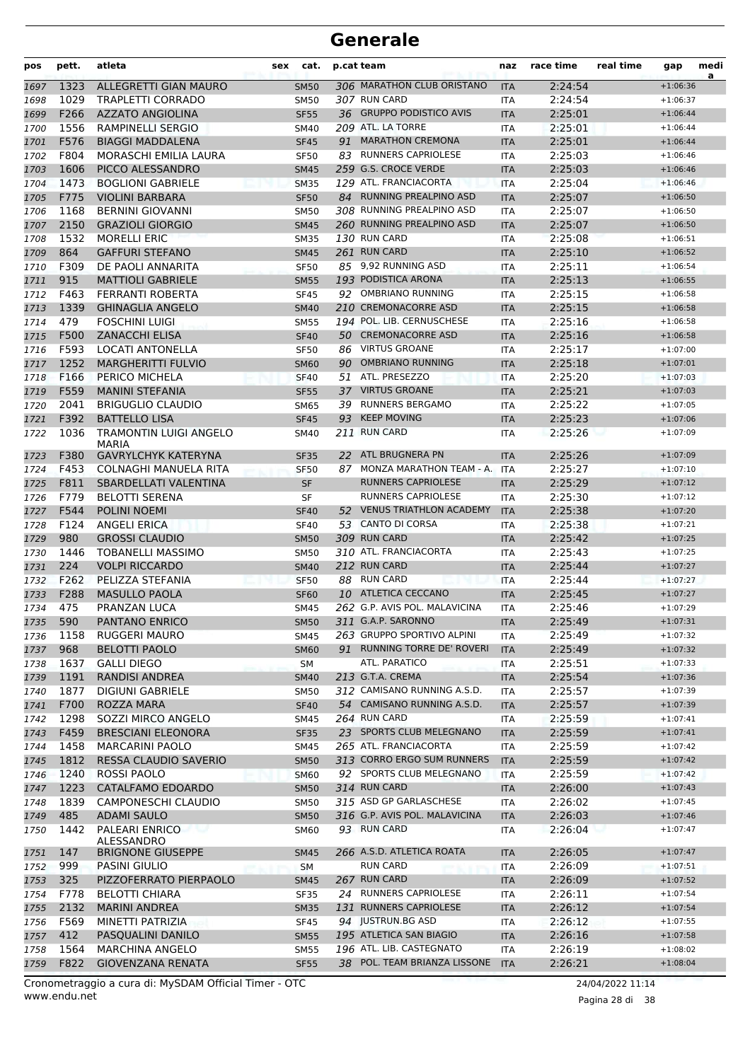| pos          | pett.        | atleta                                           | sex | cat.                       |    | p.cat team                                      | naz                      | race time          | real time | gap                      | medi<br>a |
|--------------|--------------|--------------------------------------------------|-----|----------------------------|----|-------------------------------------------------|--------------------------|--------------------|-----------|--------------------------|-----------|
| 1697         | 1323         | <b>ALLEGRETTI GIAN MAURO</b>                     |     | <b>SM50</b>                |    | 306 MARATHON CLUB ORISTANO                      | <b>ITA</b>               | 2:24:54            |           | $+1:06:36$               |           |
| 1698         | 1029         | TRAPLETTI CORRADO                                |     | <b>SM50</b>                |    | 307 RUN CARD                                    | ITA                      | 2:24:54            |           | $+1:06:37$               |           |
| 1699         | F266         | <b>AZZATO ANGIOLINA</b>                          |     | <b>SF55</b>                |    | 36 GRUPPO PODISTICO AVIS                        | <b>ITA</b>               | 2:25:01            |           | $+1:06:44$               |           |
| 1700         | 1556         | <b>RAMPINELLI SERGIO</b>                         |     | SM40                       |    | 209 ATL. LA TORRE                               | <b>ITA</b>               | 2:25:01            |           | $+1:06:44$               |           |
| 1701         | F576         | <b>BIAGGI MADDALENA</b>                          |     | <b>SF45</b>                | 91 | <b>MARATHON CREMONA</b>                         | <b>ITA</b>               | 2:25:01            |           | $+1:06:44$               |           |
| 1702         | F804         | MORASCHI EMILIA LAURA                            |     | <b>SF50</b>                |    | 83 RUNNERS CAPRIOLESE                           | <b>ITA</b>               | 2:25:03            |           | $+1:06:46$               |           |
| 1703         | 1606         | PICCO ALESSANDRO                                 |     | <b>SM45</b>                |    | 259 G.S. CROCE VERDE                            | <b>ITA</b>               | 2:25:03            |           | $+1:06:46$               |           |
| 1704         | 1473         | <b>BOGLIONI GABRIELE</b>                         |     | <b>SM35</b>                |    | 129 ATL. FRANCIACORTA                           | <b>ITA</b>               | 2:25:04            |           | $+1:06:46$               |           |
| 1705         | F775         | <b>VIOLINI BARBARA</b>                           |     | <b>SF50</b>                |    | 84 RUNNING PREALPINO ASD                        | <b>ITA</b>               | 2:25:07            |           | $+1:06:50$               |           |
| 1706         | 1168         | <b>BERNINI GIOVANNI</b>                          |     | <b>SM50</b>                |    | 308 RUNNING PREALPINO ASD                       | <b>ITA</b>               | 2:25:07            |           | $+1:06:50$               |           |
| 1707         | 2150         | <b>GRAZIOLI GIORGIO</b>                          |     | <b>SM45</b>                |    | 260 RUNNING PREALPINO ASD                       | <b>ITA</b>               | 2:25:07            |           | $+1:06:50$               |           |
| 1708         | 1532         | <b>MORELLI ERIC</b>                              |     | <b>SM35</b>                |    | 130 RUN CARD                                    | <b>ITA</b>               | 2:25:08            |           | $+1:06:51$               |           |
| 1709         | 864          | <b>GAFFURI STEFANO</b>                           |     | <b>SM45</b>                |    | 261 RUN CARD                                    | <b>ITA</b>               | 2:25:10            |           | $+1:06:52$               |           |
| 1710         | F309<br>915  | DE PAOLI ANNARITA                                |     | <b>SF50</b>                |    | 85 9,92 RUNNING ASD                             | ITA                      | 2:25:11            |           | $+1:06:54$               |           |
| 1711         | F463         | <b>MATTIOLI GABRIELE</b>                         |     | <b>SM55</b>                |    | 193 PODISTICA ARONA<br>92 OMBRIANO RUNNING      | <b>ITA</b>               | 2:25:13<br>2:25:15 |           | $+1:06:55$<br>$+1:06:58$ |           |
| 1712         | 1339         | FERRANTI ROBERTA                                 |     | <b>SF45</b>                |    | 210 CREMONACORRE ASD                            | <b>ITA</b>               |                    |           |                          |           |
| 1713         | 479          | <b>GHINAGLIA ANGELO</b><br><b>FOSCHINI LUIGI</b> |     | <b>SM40</b>                |    | 194 POL. LIB. CERNUSCHESE                       | <b>ITA</b>               | 2:25:15<br>2:25:16 |           | $+1:06:58$<br>$+1:06:58$ |           |
| 1714         | F500         | <b>ZANACCHI ELISA</b>                            |     | <b>SM55</b>                |    | 50 CREMONACORRE ASD                             | <b>ITA</b>               | 2:25:16            |           | $+1:06:58$               |           |
| 1715         | F593         | LOCATI ANTONELLA                                 |     | <b>SF40</b><br><b>SF50</b> |    | 86 VIRTUS GROANE                                | <b>ITA</b><br><b>ITA</b> | 2:25:17            |           | $+1:07:00$               |           |
| 1716<br>1717 | 1252         | <b>MARGHERITTI FULVIO</b>                        |     | <b>SM60</b>                |    | 90 OMBRIANO RUNNING                             | <b>ITA</b>               | 2:25:18            |           | $+1:07:01$               |           |
| 1718         | F166         | PERICO MICHELA                                   |     | <b>SF40</b>                |    | 51 ATL. PRESEZZO                                | <b>ITA</b>               | 2:25:20            |           | $+1:07:03$               |           |
| 1719         | F559         | <b>MANINI STEFANIA</b>                           |     | <b>SF55</b>                | 37 | <b>VIRTUS GROANE</b>                            | <b>ITA</b>               | 2:25:21            |           | $+1:07:03$               |           |
| 1720         | 2041         | <b>BRIGUGLIO CLAUDIO</b>                         |     | <b>SM65</b>                | 39 | <b>RUNNERS BERGAMO</b>                          | <b>ITA</b>               | 2:25:22            |           | $+1:07:05$               |           |
| 1721         | F392         | <b>BATTELLO LISA</b>                             |     | <b>SF45</b>                | 93 | <b>KEEP MOVING</b>                              | <b>ITA</b>               | 2:25:23            |           | $+1:07:06$               |           |
| 1722         | 1036         | <b>TRAMONTIN LUIGI ANGELO</b>                    |     | SM40                       |    | 211 RUN CARD                                    | ITA                      | 2:25:26            |           | $+1:07:09$               |           |
|              |              | <b>MARIA</b>                                     |     |                            |    |                                                 |                          |                    |           |                          |           |
| 1723         | F380         | <b>GAVRYLCHYK KATERYNA</b>                       |     | <b>SF35</b>                |    | 22 ATL BRUGNERA PN                              | <b>ITA</b>               | 2:25:26            |           | $+1:07:09$               |           |
| 1724         | F453         | COLNAGHI MANUELA RITA                            |     | <b>SF50</b>                |    | 87 MONZA MARATHON TEAM - A.                     | <b>ITA</b>               | 2:25:27            |           | $+1:07:10$               |           |
| 1725         | F811         | SBARDELLATI VALENTINA                            |     | <b>SF</b>                  |    | RUNNERS CAPRIOLESE                              | <b>ITA</b>               | 2:25:29            |           | $+1:07:12$               |           |
| 1726         | F779         | <b>BELOTTI SERENA</b>                            |     | SF                         |    | RUNNERS CAPRIOLESE                              | ITA                      | 2:25:30            |           | $+1:07:12$               |           |
| 1727         | F544         | POLINI NOEMI                                     |     | <b>SF40</b>                | 52 | <b>VENUS TRIATHLON ACADEMY</b>                  | <b>ITA</b>               | 2:25:38            |           | $+1:07:20$               |           |
| 1728         | F124         | <b>ANGELI ERICA</b>                              |     | <b>SF40</b>                |    | 53 CANTO DI CORSA                               | <b>ITA</b>               | 2:25:38            |           | $+1:07:21$               |           |
| 1729         | 980          | <b>GROSSI CLAUDIO</b>                            |     | <b>SM50</b>                |    | 309 RUN CARD                                    | <b>ITA</b>               | 2:25:42            |           | $+1:07:25$               |           |
| 1730         | 1446         | <b>TOBANELLI MASSIMO</b>                         |     | <b>SM50</b>                |    | 310 ATL. FRANCIACORTA                           | <b>ITA</b>               | 2:25:43            |           | $+1:07:25$               |           |
| 1731         | 224          | <b>VOLPI RICCARDO</b>                            |     | <b>SM40</b>                |    | 212 RUN CARD                                    | <b>ITA</b>               | 2:25:44            |           | $+1:07:27$               |           |
| 1732         | F262         | PELIZZA STEFANIA                                 |     | SF50                       |    | 88 RUN CARD                                     | <b>ITA</b>               | 2:25:44            |           | $+1:07:27$               |           |
| 1733         | F288         | <b>MASULLO PAOLA</b>                             |     | <b>SF60</b>                |    | 10 ATLETICA CECCANO                             | <b>ITA</b>               | 2:25:45            |           | $+1:07:27$               |           |
| 1734         | 475          | PRANZAN LUCA                                     |     | <b>SM45</b>                |    | 262 G.P. AVIS POL. MALAVICINA                   | <b>ITA</b>               | 2:25:46            |           | $+1:07:29$               |           |
| 1735         | 590          | PANTANO ENRICO                                   |     | SM50                       |    | 311 G.A.P. SARONNO                              | <b>ITA</b>               | 2:25:49            |           | $+1:07:31$               |           |
| 1736         | 1158         | RUGGERI MAURO                                    |     | <b>SM45</b>                |    | 263 GRUPPO SPORTIVO ALPINI                      | ITA                      | 2:25:49            |           | $+1:07:32$               |           |
| 1737         | 968          | <b>BELOTTI PAOLO</b>                             |     | <b>SM60</b>                |    | 91 RUNNING TORRE DE' ROVERI                     | <b>ITA</b>               | 2:25:49            |           | $+1:07:32$               |           |
| 1738         | 1637         | <b>GALLI DIEGO</b>                               |     | SM                         |    | ATL. PARATICO                                   | ITA                      | 2:25:51            |           | $+1:07:33$               |           |
| 1739         | 1191<br>1877 | <b>RANDISI ANDREA</b><br><b>DIGIUNI GABRIELE</b> |     | <b>SM40</b>                |    | 213 G.T.A. CREMA<br>312 CAMISANO RUNNING A.S.D. | <b>ITA</b>               | 2:25:54<br>2:25:57 |           | $+1:07:36$<br>$+1:07:39$ |           |
| 1740<br>1741 | F700         | <b>ROZZA MARA</b>                                |     | <b>SM50</b><br><b>SF40</b> |    | 54 CAMISANO RUNNING A.S.D.                      | ITA<br><b>ITA</b>        | 2:25:57            |           | $+1:07:39$               |           |
| 1742         | 1298         | SOZZI MIRCO ANGELO                               |     | SM45                       |    | 264 RUN CARD                                    | ITA                      | 2:25:59            |           | $+1:07:41$               |           |
| 1743         | F459         | <b>BRESCIANI ELEONORA</b>                        |     | <b>SF35</b>                |    | 23 SPORTS CLUB MELEGNANO                        | <b>ITA</b>               | 2:25:59            |           | $+1:07:41$               |           |
| 1744         | 1458         | <b>MARCARINI PAOLO</b>                           |     | SM45                       |    | 265 ATL. FRANCIACORTA                           | ITA                      | 2:25:59            |           | $+1:07:42$               |           |
| 1745         | 1812         | RESSA CLAUDIO SAVERIO                            |     | <b>SM50</b>                |    | 313 CORRO ERGO SUM RUNNERS                      | <b>ITA</b>               | 2:25:59            |           | $+1:07:42$               |           |
| 1746         | 1240         | ROSSI PAOLO                                      |     | <b>SM60</b>                |    | 92 SPORTS CLUB MELEGNANO                        | <b>ITA</b>               | 2:25:59            |           | $+1:07:42$               |           |
| 1747         | 1223         | CATALFAMO EDOARDO                                |     | <b>SM50</b>                |    | 314 RUN CARD                                    | <b>ITA</b>               | 2:26:00            |           | $+1:07:43$               |           |
| 1748         | 1839         | <b>CAMPONESCHI CLAUDIO</b>                       |     | <b>SM50</b>                |    | 315 ASD GP GARLASCHESE                          | ITA                      | 2:26:02            |           | $+1:07:45$               |           |
| 1749         | 485          | <b>ADAMI SAULO</b>                               |     | <b>SM50</b>                |    | 316 G.P. AVIS POL. MALAVICINA                   | <b>ITA</b>               | 2:26:03            |           | $+1:07:46$               |           |
| 1750         | 1442         | PALEARI ENRICO                                   |     | <b>SM60</b>                |    | 93 RUN CARD                                     | ITA                      | 2:26:04            |           | $+1:07:47$               |           |
| 1751         | 147          | ALESSANDRO<br><b>BRIGNONE GIUSEPPE</b>           |     | <b>SM45</b>                |    | 266 A.S.D. ATLETICA ROATA                       | <b>ITA</b>               | 2:26:05            |           | $+1:07:47$               |           |
| 1752         | 999          | PASINI GIULIO                                    |     | <b>SM</b>                  |    | RUN CARD                                        | ITA                      | 2:26:09            |           | $+1:07:51$               |           |
| 1753         | 325          | PIZZOFERRATO PIERPAOLO                           |     | <b>SM45</b>                |    | 267 RUN CARD                                    | <b>ITA</b>               | 2:26:09            |           | $+1:07:52$               |           |
| 1754         | F778         | <b>BELOTTI CHIARA</b>                            |     | <b>SF35</b>                |    | 24 RUNNERS CAPRIOLESE                           | ITA                      | 2:26:11            |           | $+1:07:54$               |           |
| 1755         | 2132         | <b>MARINI ANDREA</b>                             |     | <b>SM35</b>                |    | 131 RUNNERS CAPRIOLESE                          | <b>ITA</b>               | 2:26:12            |           | $+1:07:54$               |           |
| 1756         | F569         | MINETTI PATRIZIA                                 |     | <b>SF45</b>                |    | 94 JUSTRUN.BG ASD                               | ITA                      | 2:26:12            |           | $+1:07:55$               |           |
| 1757         | 412          | PASQUALINI DANILO                                |     | <b>SM55</b>                |    | 195 ATLETICA SAN BIAGIO                         | <b>ITA</b>               | 2:26:16            |           | $+1:07:58$               |           |
| 1758         | 1564         | <b>MARCHINA ANGELO</b>                           |     | <b>SM55</b>                |    | 196 ATL. LIB. CASTEGNATO                        | ITA                      | 2:26:19            |           | $+1:08:02$               |           |
| 1759         | F822         | <b>GIOVENZANA RENATA</b>                         |     | <b>SF55</b>                |    | 38 POL. TEAM BRIANZA LISSONE                    | <b>ITA</b>               | 2:26:21            |           | $+1:08:04$               |           |

www.endu.net Cronometraggio a cura di: MySDAM Official Timer - OTC 24/04/2022 11:14

Pagina 28 di 38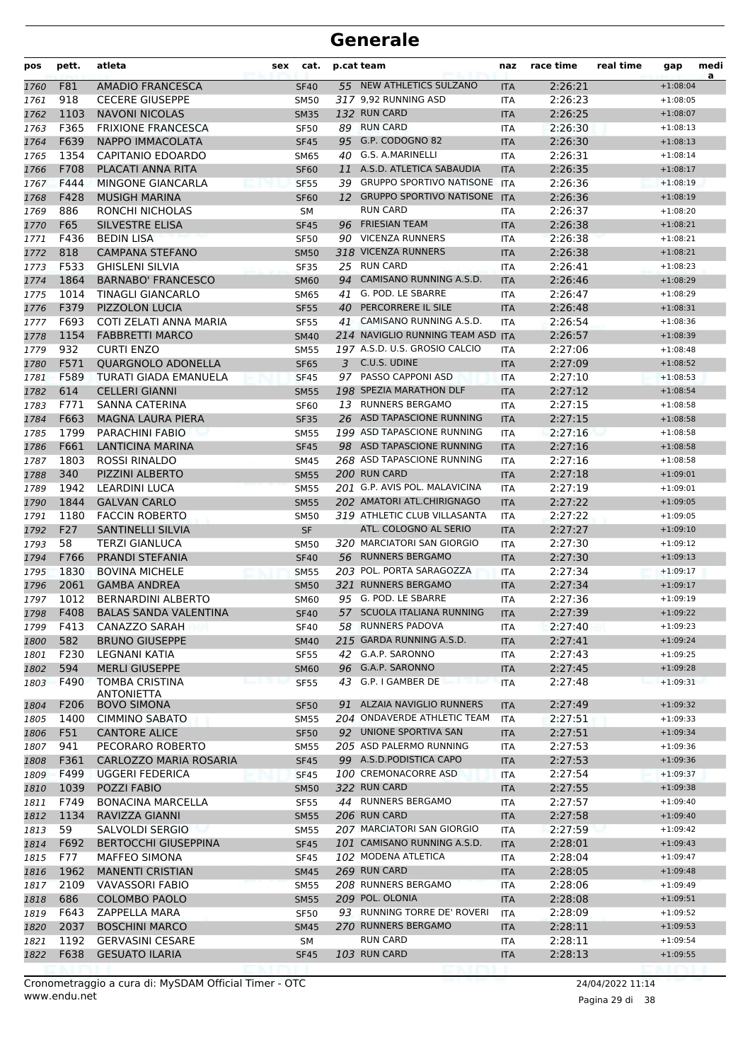| pos          | pett.     | atleta                                          | sex | cat.                       |    | p.cat team                                          | naz                      | race time          | real time | gap                      | medi<br>a |
|--------------|-----------|-------------------------------------------------|-----|----------------------------|----|-----------------------------------------------------|--------------------------|--------------------|-----------|--------------------------|-----------|
| 1760         | F81       | <b>AMADIO FRANCESCA</b>                         |     | <b>SF40</b>                |    | 55 NEW ATHLETICS SULZANO                            | <b>ITA</b>               | 2:26:21            |           | $+1:08:04$               |           |
| 1761         | 918       | <b>CECERE GIUSEPPE</b>                          |     | <b>SM50</b>                |    | 317 9,92 RUNNING ASD                                | <b>ITA</b>               | 2:26:23            |           | $+1:08:05$               |           |
| 1762         | 1103      | <b>NAVONI NICOLAS</b>                           |     | <b>SM35</b>                |    | 132 RUN CARD                                        | <b>ITA</b>               | 2:26:25            |           | $+1:08:07$               |           |
| 1763         | F365      | <b>FRIXIONE FRANCESCA</b>                       |     | <b>SF50</b>                |    | 89 RUN CARD                                         | <b>ITA</b>               | 2:26:30            |           | $+1:08:13$               |           |
| 1764         | F639      | NAPPO IMMACOLATA                                |     | <b>SF45</b>                |    | 95 G.P. CODOGNO 82                                  | <b>ITA</b>               | 2:26:30            |           | $+1:08:13$               |           |
| 1765         | 1354      | CAPITANIO EDOARDO                               |     | <b>SM65</b>                |    | 40 G.S. A.MARINELLI                                 | <b>ITA</b>               | 2:26:31            |           | $+1:08:14$               |           |
| 1766         | F708      | PLACATI ANNA RITA                               |     | <b>SF60</b>                | 11 | A.S.D. ATLETICA SABAUDIA                            | <b>ITA</b>               | 2:26:35            |           | $+1:08:17$               |           |
| 1767         | F444      | <b>MINGONE GIANCARLA</b>                        |     | <b>SF55</b>                |    | 39 GRUPPO SPORTIVO NATISONE ITA                     |                          | 2:26:36            |           | $+1:08:19$               |           |
| 1768         | F428      | <b>MUSIGH MARINA</b>                            |     | <b>SF60</b>                |    | 12 GRUPPO SPORTIVO NATISONE ITA                     |                          | 2:26:36            |           | $+1:08:19$               |           |
| 1769         | 886       | RONCHI NICHOLAS                                 |     | <b>SM</b>                  |    | <b>RUN CARD</b>                                     | <b>ITA</b>               | 2:26:37            |           | $+1:08:20$               |           |
| 1770         | F65       | <b>SILVESTRE ELISA</b>                          |     | <b>SF45</b>                | 96 | <b>FRIESIAN TEAM</b>                                | <b>ITA</b>               | 2:26:38            |           | $+1:08:21$               |           |
| 1771         | F436      | <b>BEDIN LISA</b>                               |     | <b>SF50</b>                |    | 90 VICENZA RUNNERS                                  | <b>ITA</b>               | 2:26:38            |           | $+1:08:21$               |           |
| 1772         | 818       | <b>CAMPANA STEFANO</b>                          |     | <b>SM50</b>                |    | 318 VICENZA RUNNERS                                 | <b>ITA</b>               | 2:26:38            |           | $+1:08:21$               |           |
| 1773         | F533      | <b>GHISLENI SILVIA</b>                          |     | <b>SF35</b>                |    | 25 RUN CARD                                         | <b>ITA</b>               | 2:26:41            |           | $+1:08:23$               |           |
| 1774         | 1864      | <b>BARNABO' FRANCESCO</b>                       |     | <b>SM60</b>                | 94 | CAMISANO RUNNING A.S.D.                             | <b>ITA</b>               | 2:26:46            |           | $+1:08:29$               |           |
| 1775         | 1014      | TINAGLI GIANCARLO                               |     | <b>SM65</b>                | 41 | G. POD. LE SBARRE                                   | <b>ITA</b>               | 2:26:47            |           | $+1:08:29$               |           |
| 1776         | F379      | <b>PIZZOLON LUCIA</b>                           |     | <b>SF55</b>                | 40 | PERCORRERE IL SILE                                  | <b>ITA</b>               | 2:26:48            |           | $+1:08:31$               |           |
| 1777         | F693      | COTI ZELATI ANNA MARIA                          |     | <b>SF55</b>                | 41 | CAMISANO RUNNING A.S.D.                             | <b>ITA</b>               | 2:26:54            |           | $+1:08:36$               |           |
| 1778         | 1154      | <b>FABBRETTI MARCO</b>                          |     | <b>SM40</b>                |    | 214 NAVIGLIO RUNNING TEAM ASD ITA                   |                          | 2:26:57            |           | $+1:08:39$               |           |
| 1779         | 932       | <b>CURTI ENZO</b>                               |     | <b>SM55</b>                |    | 197 A.S.D. U.S. GROSIO CALCIO                       | <b>ITA</b>               | 2:27:06            |           | $+1:08:48$               |           |
| 1780         | F571      | <b>OUARGNOLO ADONELLA</b>                       |     | <b>SF65</b>                |    | 3 C.U.S. UDINE                                      | <b>ITA</b>               | 2:27:09            |           | $+1:08:52$               |           |
| 1781         | F589      | TURATI GIADA EMANUELA                           |     | <b>SF45</b>                |    | 97 PASSO CAPPONI ASD                                | <b>ITA</b>               | 2:27:10            |           | $+1:08:53$               |           |
| 1782         | 614       | <b>CELLERI GIANNI</b>                           |     | <b>SM55</b>                |    | 198 SPEZIA MARATHON DLF                             | <b>ITA</b>               | 2:27:12            |           | $+1:08:54$               |           |
| 1783         | F771      | SANNA CATERINA                                  |     | <b>SF60</b>                |    | 13 RUNNERS BERGAMO                                  | <b>ITA</b>               | 2:27:15            |           | $+1:08:58$               |           |
| 1784         | F663      | <b>MAGNA LAURA PIERA</b>                        |     | <b>SF35</b>                |    | 26 ASD TAPASCIONE RUNNING                           | <b>ITA</b>               | 2:27:15            |           | $+1:08:58$               |           |
| 1785         | 1799      | <b>PARACHINI FABIO</b>                          |     | <b>SM55</b>                |    | 199 ASD TAPASCIONE RUNNING                          | <b>ITA</b>               | 2:27:16            |           | $+1:08:58$               |           |
| 1786         | F661      | <b>LANTICINA MARINA</b>                         |     | <b>SF45</b>                |    | 98 ASD TAPASCIONE RUNNING                           | <b>ITA</b>               | 2:27:16            |           | $+1:08:58$               |           |
| 1787         | 1803      | ROSSI RINALDO                                   |     | <b>SM45</b>                |    | 268 ASD TAPASCIONE RUNNING                          | <b>ITA</b>               | 2:27:16            |           | $+1:08:58$               |           |
| 1788         | 340       | PIZZINI ALBERTO                                 |     | <b>SM55</b>                |    | 200 RUN CARD                                        | <b>ITA</b>               | 2:27:18            |           | $+1:09:01$               |           |
| 1789         | 1942      | <b>LEARDINI LUCA</b>                            |     | <b>SM55</b>                |    | 201 G.P. AVIS POL. MALAVICINA                       | <b>ITA</b>               | 2:27:19            |           | $+1:09:01$               |           |
| 1790         | 1844      | <b>GALVAN CARLO</b>                             |     | <b>SM55</b>                |    | 202 AMATORI ATL.CHIRIGNAGO                          | <b>ITA</b>               | 2:27:22            |           | $+1:09:05$               |           |
| 1791         | 1180      | <b>FACCIN ROBERTO</b>                           |     | <b>SM50</b>                |    | 319 ATHLETIC CLUB VILLASANTA                        | ITA                      | 2:27:22            |           | $+1:09:05$               |           |
| 1792         | F27<br>58 | <b>SANTINELLI SILVIA</b>                        |     | SF                         |    | ATL. COLOGNO AL SERIO<br>320 MARCIATORI SAN GIORGIO | <b>ITA</b>               | 2:27:27<br>2:27:30 |           | $+1:09:10$               |           |
| 1793         | F766      | <b>TERZI GIANLUCA</b><br><b>PRANDI STEFANIA</b> |     | <b>SM50</b><br><b>SF40</b> |    | 56 RUNNERS BERGAMO                                  | <b>ITA</b><br><b>ITA</b> | 2:27:30            |           | $+1:09:12$<br>$+1:09:13$ |           |
| 1794<br>1795 | 1830      | <b>BOVINA MICHELE</b>                           |     | <b>SM55</b>                |    | 203 POL. PORTA SARAGOZZA                            | <b>ITA</b>               | 2:27:34            |           | $+1:09:17$               |           |
| 1796         | 2061      | <b>GAMBA ANDREA</b>                             |     | <b>SM50</b>                |    | 321 RUNNERS BERGAMO                                 | <b>ITA</b>               | 2:27:34            |           | $+1:09:17$               |           |
| 1797         | 1012      | <b>BERNARDINI ALBERTO</b>                       |     | <b>SM60</b>                |    | 95 G. POD. LE SBARRE                                | <b>ITA</b>               | 2:27:36            |           | $+1:09:19$               |           |
| 1798         | F408      | <b>BALAS SANDA VALENTINA</b>                    |     | <b>SF40</b>                |    | 57 SCUOLA ITALIANA RUNNING                          | <b>ITA</b>               | 2:27:39            |           | $+1:09:22$               |           |
| 1799         | F413      | CANAZZO SARAH                                   |     | <b>SF40</b>                |    | 58 RUNNERS PADOVA                                   | ITA                      | 2:27:40            |           | $+1:09:23$               |           |
| 1800         | 582       | <b>BRUNO GIUSEPPE</b>                           |     | <b>SM40</b>                |    | 215 GARDA RUNNING A.S.D.                            | <b>ITA</b>               | 2:27:41            |           | $+1:09:24$               |           |
| 1801         | F230      | LEGNANI KATIA                                   |     | <b>SF55</b>                |    | 42 G.A.P. SARONNO                                   | ITA                      | 2:27:43            |           | $+1:09:25$               |           |
| 1802         | 594       | <b>MERLI GIUSEPPE</b>                           |     | <b>SM60</b>                |    | 96 G.A.P. SARONNO                                   | <b>ITA</b>               | 2:27:45            |           | $+1:09:28$               |           |
| 1803         | F490      | <b>TOMBA CRISTINA</b>                           |     | <b>SF55</b>                |    | 43 G.P. I GAMBER DE                                 | <b>ITA</b>               | 2:27:48            |           | $+1:09:31$               |           |
|              |           | <b>ANTONIETTA</b>                               |     |                            |    |                                                     |                          |                    |           |                          |           |
| 1804         | F206      | <b>BOVO SIMONA</b>                              |     | <b>SF50</b>                |    | 91 ALZAIA NAVIGLIO RUNNERS                          | <b>ITA</b>               | 2:27:49            |           | $+1:09:32$               |           |
| 1805         | 1400      | <b>CIMMINO SABATO</b>                           |     | <b>SM55</b>                |    | 204 ONDAVERDE ATHLETIC TEAM                         | <b>ITA</b>               | 2:27:51            |           | $+1:09:33$               |           |
| 1806         | F51       | <b>CANTORE ALICE</b>                            |     | <b>SF50</b>                |    | 92 UNIONE SPORTIVA SAN                              | <b>ITA</b>               | 2:27:51            |           | $+1:09:34$               |           |
| 1807         | 941       | PECORARO ROBERTO                                |     | SM55                       |    | 205 ASD PALERMO RUNNING                             | ITA                      | 2:27:53            |           | $+1:09:36$               |           |
| 1808         | F361      | CARLOZZO MARIA ROSARIA                          |     | <b>SF45</b>                |    | 99 A.S.D.PODISTICA CAPO                             | <b>ITA</b>               | 2:27:53            |           | $+1:09:36$               |           |
| 1809         | F499      | UGGERI FEDERICA                                 |     | <b>SF45</b>                |    | 100 CREMONACORRE ASD                                | <b>ITA</b>               | 2:27:54            |           | $+1:09:37$               |           |
| 1810         | 1039      | POZZI FABIO                                     |     | <b>SM50</b>                |    | 322 RUN CARD                                        | <b>ITA</b>               | 2:27:55            |           | $+1:09:38$               |           |
| 1811         | F749      | <b>BONACINA MARCELLA</b>                        |     | <b>SF55</b>                |    | 44 RUNNERS BERGAMO                                  | ITA                      | 2:27:57            |           | $+1:09:40$               |           |
| 1812         | 1134      | RAVIZZA GIANNI                                  |     | <b>SM55</b>                |    | 206 RUN CARD                                        | <b>ITA</b>               | 2:27:58            |           | $+1:09:40$               |           |
| 1813         | 59        | SALVOLDI SERGIO                                 |     | <b>SM55</b>                |    | 207 MARCIATORI SAN GIORGIO                          | ITA                      | 2:27:59            |           | $+1:09:42$               |           |
| 1814         | F692      | <b>BERTOCCHI GIUSEPPINA</b>                     |     | <b>SF45</b>                |    | 101 CAMISANO RUNNING A.S.D.                         | <b>ITA</b>               | 2:28:01            |           | $+1:09:43$               |           |
| 1815         | F77       | <b>MAFFEO SIMONA</b>                            |     | <b>SF45</b>                |    | 102 MODENA ATLETICA                                 | ITA                      | 2:28:04            |           | $+1:09:47$               |           |
| 1816         | 1962      | <b>MANENTI CRISTIAN</b>                         |     | <b>SM45</b>                |    | 269 RUN CARD                                        | <b>ITA</b>               | 2:28:05            |           | $+1:09:48$               |           |
| 1817         | 2109      | VAVASSORI FABIO                                 |     | <b>SM55</b>                |    | 208 RUNNERS BERGAMO                                 | <b>ITA</b>               | 2:28:06            |           | $+1:09:49$               |           |
| 1818         | 686       | <b>COLOMBO PAOLO</b>                            |     | <b>SM55</b>                |    | 209 POL. OLONIA                                     | <b>ITA</b>               | 2:28:08            |           | $+1:09:51$               |           |
| 1819         | F643      | ZAPPELLA MARA                                   |     | <b>SF50</b>                |    | 93 RUNNING TORRE DE' ROVERI                         | ITA                      | 2:28:09            |           | $+1:09:52$               |           |
| 1820         | 2037      | <b>BOSCHINI MARCO</b>                           |     | <b>SM45</b>                |    | 270 RUNNERS BERGAMO                                 | <b>ITA</b>               | 2:28:11            |           | $+1:09:53$               |           |
| 1821         | 1192      | <b>GERVASINI CESARE</b>                         |     | SM                         |    | <b>RUN CARD</b><br>103 RUN CARD                     | ITA                      | 2:28:11            |           | $+1:09:54$               |           |
| 1822         | F638      | <b>GESUATO ILARIA</b>                           |     | <b>SF45</b>                |    |                                                     | <b>ITA</b>               | 2:28:13            |           | $+1:09:55$               |           |

Pagina 29 di 38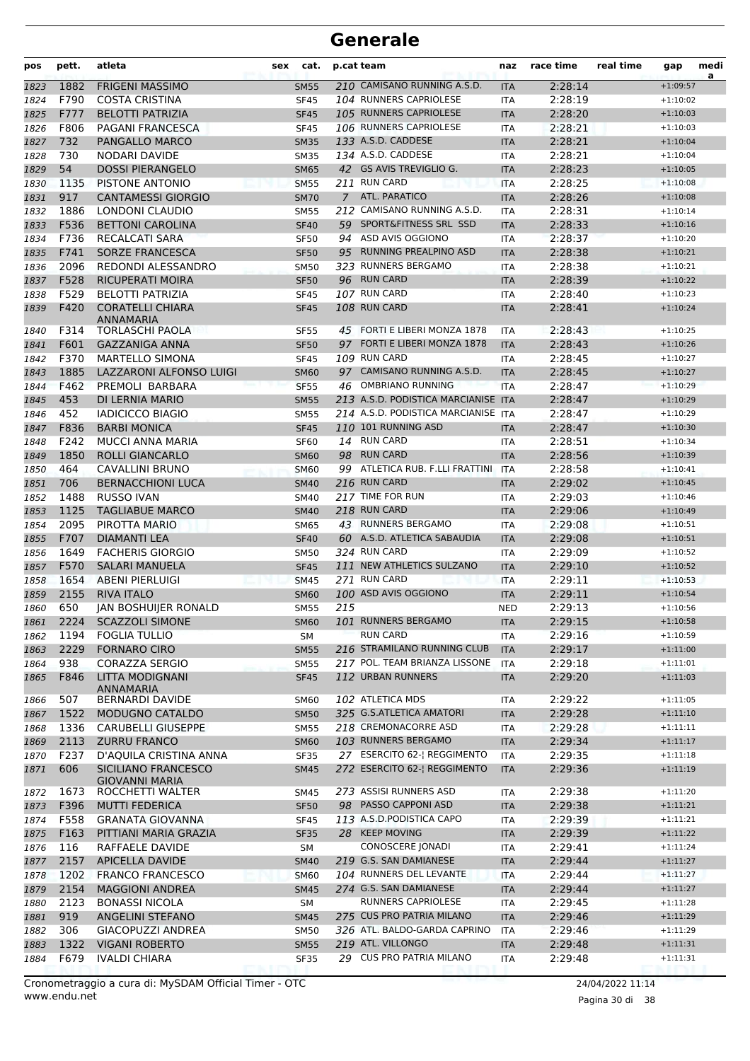| pos          | pett.       | atleta                                                        | sex | cat.                       |     | p.cat team                                     | naz               | race time          | real time | gap                      | medi<br>a |
|--------------|-------------|---------------------------------------------------------------|-----|----------------------------|-----|------------------------------------------------|-------------------|--------------------|-----------|--------------------------|-----------|
| 1823         | 1882        | <b>FRIGENI MASSIMO</b>                                        |     | <b>SM55</b>                |     | 210 CAMISANO RUNNING A.S.D.                    | <b>ITA</b>        | 2:28:14            |           | $+1:09:57$               |           |
| 1824         | F790        | <b>COSTA CRISTINA</b>                                         |     | <b>SF45</b>                |     | 104 RUNNERS CAPRIOLESE                         | ITA               | 2:28:19            |           | $+1:10:02$               |           |
| 1825         | F777        | <b>BELOTTI PATRIZIA</b>                                       |     | <b>SF45</b>                |     | 105 RUNNERS CAPRIOLESE                         | <b>ITA</b>        | 2:28:20            |           | $+1:10:03$               |           |
| 1826         | F806        | PAGANI FRANCESCA                                              |     | <b>SF45</b>                |     | 106 RUNNERS CAPRIOLESE                         | <b>ITA</b>        | 2:28:21            |           | $+1:10:03$               |           |
| 1827         | 732         | PANGALLO MARCO                                                |     | <b>SM35</b>                |     | 133 A.S.D. CADDESE                             | <b>ITA</b>        | 2:28:21            |           | $+1:10:04$               |           |
| 1828         | 730         | NODARI DAVIDE                                                 |     | <b>SM35</b>                |     | 134 A.S.D. CADDESE                             | <b>ITA</b>        | 2:28:21            |           | $+1:10:04$               |           |
| 1829         | 54          | <b>DOSSI PIERANGELO</b>                                       |     | <b>SM65</b>                |     | 42 GS AVIS TREVIGLIO G.                        | <b>ITA</b>        | 2:28:23            |           | $+1:10:05$               |           |
| 1830         | 1135        | PISTONE ANTONIO                                               |     | <b>SM55</b>                |     | 211 RUN CARD                                   | <b>ITA</b>        | 2:28:25            |           | $+1:10:08$               |           |
| 1831         | 917         | <b>CANTAMESSI GIORGIO</b>                                     |     | <b>SM70</b>                |     | 7 ATL. PARATICO                                | <b>ITA</b>        | 2:28:26            |           | $+1:10:08$               |           |
| 1832         | 1886        | <b>LONDONI CLAUDIO</b>                                        |     | <b>SM55</b>                |     | 212 CAMISANO RUNNING A.S.D.                    | <b>ITA</b>        | 2:28:31            |           | $+1:10:14$               |           |
| 1833         | F536        | <b>BETTONI CAROLINA</b>                                       |     | <b>SF40</b>                |     | 59 SPORT&FITNESS SRL SSD                       | <b>ITA</b>        | 2:28:33            |           | $+1:10:16$               |           |
| 1834         | F736        | RECALCATI SARA                                                |     | <b>SF50</b>                |     | 94 ASD AVIS OGGIONO                            | <b>ITA</b>        | 2:28:37            |           | $+1:10:20$               |           |
| 1835         | F741        | <b>SORZE FRANCESCA</b>                                        |     | <b>SF50</b>                | 95  | RUNNING PREALPINO ASD                          | <b>ITA</b>        | 2:28:38            |           | $+1:10:21$               |           |
| 1836         | 2096        | REDONDI ALESSANDRO                                            |     | <b>SM50</b>                |     | 323 RUNNERS BERGAMO                            | <b>ITA</b>        | 2:28:38            |           | $+1:10:21$               |           |
| 1837         | F528        | <b>RICUPERATI MOIRA</b>                                       |     | <b>SF50</b>                |     | 96 RUN CARD                                    | <b>ITA</b>        | 2:28:39            |           | $+1:10:22$               |           |
| 1838         | F529        | <b>BELOTTI PATRIZIA</b>                                       |     | <b>SF45</b>                |     | 107 RUN CARD                                   | <b>ITA</b>        | 2:28:40            |           | $+1:10:23$               |           |
| 1839         | F420        | <b>CORATELLI CHIARA</b><br>ANNAMARIA                          |     | <b>SF45</b>                |     | 108 RUN CARD                                   | <b>ITA</b>        | 2:28:41            |           | $+1:10:24$               |           |
| 1840         | F314        | <b>TORLASCHI PAOLA</b>                                        |     | <b>SF55</b>                |     | 45 FORTI E LIBERI MONZA 1878                   | ITA               | 2:28:43            |           | $+1:10:25$               |           |
| 1841         | F601        | <b>GAZZANIGA ANNA</b>                                         |     | <b>SF50</b>                |     | 97 FORTI E LIBERI MONZA 1878                   | <b>ITA</b>        | 2:28:43            |           | $+1:10:26$               |           |
| 1842         | F370        | <b>MARTELLO SIMONA</b>                                        |     | <b>SF45</b>                |     | 109 RUN CARD                                   | <b>ITA</b>        | 2:28:45            |           | $+1:10:27$               |           |
| 1843         | 1885        | LAZZARONI ALFONSO LUIGI                                       |     | <b>SM60</b>                |     | 97 CAMISANO RUNNING A.S.D.                     | <b>ITA</b>        | 2:28:45            |           | $+1:10:27$               |           |
| 1844         | F462        | PREMOLI BARBARA                                               |     | <b>SF55</b>                |     | 46 OMBRIANO RUNNING                            | <b>ITA</b>        | 2:28:47            |           | $+1:10:29$               |           |
| 1845         | 453         | DI LERNIA MARIO                                               |     | <b>SM55</b>                |     | 213 A.S.D. PODISTICA MARCIANISE ITA            |                   | 2:28:47            |           | $+1:10:29$               |           |
| 1846         | 452         | <b>IADICICCO BIAGIO</b>                                       |     | SM55                       |     | 214 A.S.D. PODISTICA MARCIANISE ITA            |                   | 2:28:47            |           | $+1:10:29$               |           |
| 1847         | F836        | <b>BARBI MONICA</b>                                           |     | <b>SF45</b>                |     | 110 101 RUNNING ASD                            | <b>ITA</b>        | 2:28:47            |           | $+1:10:30$               |           |
| 1848         | F242        | <b>MUCCI ANNA MARIA</b>                                       |     | <b>SF60</b>                |     | 14 RUN CARD                                    | <b>ITA</b>        | 2:28:51            |           | $+1:10:34$               |           |
| 1849         | 1850        | ROLLI GIANCARLO                                               |     | <b>SM60</b>                |     | 98 RUN CARD                                    | <b>ITA</b>        | 2:28:56            |           | $+1:10:39$               |           |
| 1850         | 464         | CAVALLINI BRUNO                                               |     | <b>SM60</b>                |     | 99 ATLETICA RUB. F.LLI FRATTINI                | ITA               | 2:28:58            |           | $+1:10:41$               |           |
| 1851         | 706         | <b>BERNACCHIONI LUCA</b>                                      |     | <b>SM40</b>                |     | 216 RUN CARD                                   | <b>ITA</b>        | 2:29:02            |           | $+1:10:45$               |           |
| 1852         | 1488        | <b>RUSSO IVAN</b>                                             |     | <b>SM40</b>                |     | 217 TIME FOR RUN                               | ITA               | 2:29:03            |           | $+1:10:46$               |           |
| 1853         | 1125        | <b>TAGLIABUE MARCO</b>                                        |     | <b>SM40</b>                |     | 218 RUN CARD                                   | <b>ITA</b>        | 2:29:06            |           | $+1:10:49$               |           |
| 1854         | 2095        | PIROTTA MARIO                                                 |     | <b>SM65</b>                |     | 43 RUNNERS BERGAMO                             | <b>ITA</b>        | 2:29:08            |           | $+1:10:51$               |           |
| 1855         | F707        | <b>DIAMANTI LEA</b>                                           |     | <b>SF40</b>                |     | 60 A.S.D. ATLETICA SABAUDIA                    | <b>ITA</b>        | 2:29:08            |           | $+1:10:51$               |           |
| 1856         | 1649        | <b>FACHERIS GIORGIO</b>                                       |     | <b>SM50</b>                |     | 324 RUN CARD                                   | <b>ITA</b>        | 2:29:09            |           | $+1:10:52$               |           |
| 1857         | F570        | <b>SALARI MANUELA</b>                                         |     | <b>SF45</b>                |     | 111 NEW ATHLETICS SULZANO                      | <b>ITA</b>        | 2:29:10            |           | $+1:10:52$               |           |
| 1858         | 1654        | <b>ABENI PIERLUIGI</b>                                        |     | <b>SM45</b>                |     | 271 RUN CARD                                   | <b>ITA</b>        | 2:29:11            |           | $+1:10:53$               |           |
| 1859         | 2155        | <b>RIVA ITALO</b>                                             |     | <b>SM60</b>                |     | 100 ASD AVIS OGGIONO                           | <b>ITA</b>        | 2:29:11            |           | $+1:10:54$               |           |
| 1860         | 650         | <b>IAN BOSHUIIER RONALD</b>                                   |     | <b>SM55</b>                | 215 |                                                | <b>NED</b>        | 2:29:13            |           | $+1:10:56$               |           |
| 1861         | 2224        | <b>SCAZZOLI SIMONE</b>                                        |     | SM60                       |     | 101 RUNNERS BERGAMO                            | <b>ITA</b>        | 2:29:15            |           | $+1:10:58$               |           |
| 1862         | 1194        | <b>FOGLIA TULLIO</b>                                          |     | SM                         |     | <b>RUN CARD</b><br>216 STRAMILANO RUNNING CLUB | ITA               | 2:29:16            |           | $+1:10:59$               |           |
| 1863         | 2229<br>938 | <b>FORNARO CIRO</b>                                           |     | <b>SM55</b>                |     | 217 POL. TEAM BRIANZA LISSONE                  | <b>ITA</b>        | 2:29:17            |           | $+1:11:00$               |           |
| 1864         |             | <b>CORAZZA SERGIO</b>                                         |     | <b>SM55</b>                |     | 112 URBAN RUNNERS                              | ITA               | 2:29:18            |           | $+1:11:01$<br>$+1:11:03$ |           |
| 1865         | F846<br>507 | LITTA MODIGNANI<br><b>ANNAMARIA</b><br><b>BERNARDI DAVIDE</b> |     | <b>SF45</b><br><b>SM60</b> |     | 102 ATLETICA MDS                               | <b>ITA</b>        | 2:29:20<br>2:29:22 |           | $+1:11:05$               |           |
| 1866         | 1522        | MODUGNO CATALDO                                               |     | <b>SM50</b>                |     | 325 G.S.ATLETICA AMATORI                       | ITA<br><b>ITA</b> | 2:29:28            |           | $+1:11:10$               |           |
| 1867         | 1336        | <b>CARUBELLI GIUSEPPE</b>                                     |     |                            |     | 218 CREMONACORRE ASD                           |                   | 2:29:28            |           | $+1:11:11$               |           |
| 1868         | 2113        | <b>ZURRU FRANCO</b>                                           |     | <b>SM55</b>                |     | 103 RUNNERS BERGAMO                            | <b>ITA</b>        | 2:29:34            |           | $+1:11:17$               |           |
| 1869<br>1870 | F237        | D'AQUILA CRISTINA ANNA                                        |     | <b>SM60</b><br><b>SF35</b> |     | 27 ESERCITO 62-  REGGIMENTO                    | <b>ITA</b><br>ITA | 2:29:35            |           | $+1:11:18$               |           |
| 1871         | 606         | SICILIANO FRANCESCO<br><b>GIOVANNI MARIA</b>                  |     | <b>SM45</b>                |     | 272 ESERCITO 62-  REGGIMENTO                   | <b>ITA</b>        | 2:29:36            |           | $+1:11:19$               |           |
| 1872         | 1673        | ROCCHETTI WALTER                                              |     | SM45                       |     | 273 ASSISI RUNNERS ASD                         | ITA               | 2:29:38            |           | $+1:11:20$               |           |
| 1873         | F396        | <b>MUTTI FEDERICA</b>                                         |     | <b>SF50</b>                |     | 98 PASSO CAPPONI ASD                           | <b>ITA</b>        | 2:29:38            |           | $+1:11:21$               |           |
| 1874         | F558        | <b>GRANATA GIOVANNA</b>                                       |     | <b>SF45</b>                |     | 113 A.S.D. PODISTICA CAPO                      | ITA               | 2:29:39            |           | $+1:11:21$               |           |
| 1875         | F163        | PITTIANI MARIA GRAZIA                                         |     | <b>SF35</b>                |     | 28 KEEP MOVING                                 | <b>ITA</b>        | 2:29:39            |           | $+1:11:22$               |           |
| 1876         | 116         | RAFFAELE DAVIDE                                               |     | SM                         |     | CONOSCERE JONADI                               | ITA               | 2:29:41            |           | $+1:11:24$               |           |
| 1877         | 2157        | <b>APICELLA DAVIDE</b>                                        |     | <b>SM40</b>                |     | 219 G.S. SAN DAMIANESE                         | <b>ITA</b>        | 2:29:44            |           | $+1:11:27$               |           |
| 1878         | 1202        | <b>FRANCO FRANCESCO</b>                                       |     | <b>SM60</b>                |     | 104 RUNNERS DEL LEVANTE                        | <b>ITA</b>        | 2:29:44            |           | $+1:11:27$               |           |
| 1879         | 2154        | <b>MAGGIONI ANDREA</b>                                        |     | <b>SM45</b>                |     | 274 G.S. SAN DAMIANESE                         | <b>ITA</b>        | 2:29:44            |           | $+1:11:27$               |           |
| 1880         | 2123        | <b>BONASSI NICOLA</b>                                         |     | SM                         |     | RUNNERS CAPRIOLESE                             | ITA               | 2:29:45            |           | $+1:11:28$               |           |
| 1881         | 919         | ANGELINI STEFANO                                              |     | <b>SM45</b>                |     | 275 CUS PRO PATRIA MILANO                      | <b>ITA</b>        | 2:29:46            |           | $+1:11:29$               |           |
| 1882         | 306         | GIACOPUZZI ANDREA                                             |     | <b>SM50</b>                |     | 326 ATL. BALDO-GARDA CAPRINO                   | <b>ITA</b>        | 2:29:46            |           | $+1:11:29$               |           |
| 1883         | 1322        | <b>VIGANI ROBERTO</b>                                         |     | <b>SM55</b>                |     | 219 ATL. VILLONGO                              | <b>ITA</b>        | 2:29:48            |           | $+1:11:31$               |           |
| 1884         | F679        | <b>IVALDI CHIARA</b>                                          |     | <b>SF35</b>                |     | 29 CUS PRO PATRIA MILANO                       | ITA               | 2:29:48            |           | $+1:11:31$               |           |
|              |             |                                                               |     |                            |     |                                                |                   |                    |           |                          |           |

Pagina 30 di 38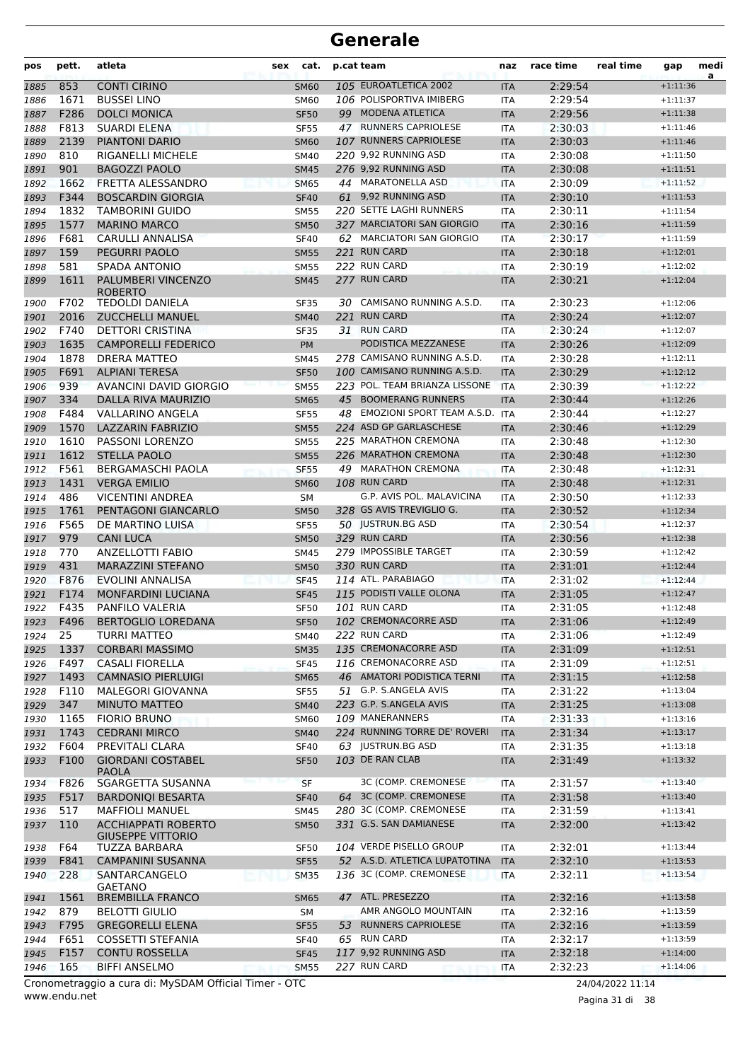| 105 EUROATLETICA 2002<br>853<br><b>CONTI CIRINO</b><br>2:29:54<br>$+1:11:36$<br>1885<br><b>SM60</b><br><b>ITA</b><br>1671<br>106 POLISPORTIVA IMIBERG<br><b>BUSSEI LINO</b><br>2:29:54<br>1886<br><b>SM60</b><br><b>ITA</b><br>$+1:11:37$<br>99 MODENA ATLETICA<br>F286<br><b>DOLCI MONICA</b><br>2:29:56<br>1887<br><b>SF50</b><br><b>ITA</b><br>$+1:11:38$<br>47 RUNNERS CAPRIOLESE<br>F813<br><b>SUARDI ELENA</b><br>2:30:03<br>$+1:11:46$<br>1888<br><b>SF55</b><br><b>ITA</b><br>2139<br>107 RUNNERS CAPRIOLESE<br><b>PIANTONI DARIO</b><br>2:30:03<br>1889<br><b>SM60</b><br><b>ITA</b><br>$+1:11:46$<br>220 9,92 RUNNING ASD<br>810<br><b>RIGANELLI MICHELE</b><br>2:30:08<br>1890<br><b>SM40</b><br><b>ITA</b><br>$+1:11:50$<br>276 9,92 RUNNING ASD<br>901<br><b>BAGOZZI PAOLO</b><br>2:30:08<br>$+1:11:51$<br>1891<br><b>SM45</b><br><b>ITA</b><br>1662<br>44 MARATONELLA ASD<br>FRETTA ALESSANDRO<br>2:30:09<br>1892<br><b>SM65</b><br><b>ITA</b><br>$+1:11:52$<br>1893<br>F344<br><b>BOSCARDIN GIORGIA</b><br><b>SF40</b><br>61 9,92 RUNNING ASD<br>2:30:10<br><b>ITA</b><br>$+1:11:53$<br>1832<br><b>TAMBORINI GUIDO</b><br>220 SETTE LAGHI RUNNERS<br>2:30:11<br>$+1:11:54$<br>1894<br><b>SM55</b><br><b>ITA</b><br>1577<br>327 MARCIATORI SAN GIORGIO<br><b>MARINO MARCO</b><br>2:30:16<br>1895<br><b>SM50</b><br><b>ITA</b><br>$+1:11:59$<br>62 MARCIATORI SAN GIORGIO<br>F681<br><b>CARULLI ANNALISA</b><br><b>SF40</b><br>2:30:17<br>1896<br><b>ITA</b><br>$+1:11:59$<br>159<br><b>PEGURRI PAOLO</b><br>221 RUN CARD<br><b>SM55</b><br>2:30:18<br>$+1:12:01$<br>1897<br><b>ITA</b><br>581<br>SPADA ANTONIO<br>222 RUN CARD<br>2:30:19<br>1898<br><b>SM55</b><br><b>ITA</b><br>$+1:12:02$<br>277 RUN CARD<br>1611<br>PALUMBERI VINCENZO<br>2:30:21<br>1899<br>$+1:12:04$<br><b>SM45</b><br><b>ITA</b><br><b>ROBERTO</b><br>F702<br><b>TEDOLDI DANIELA</b><br>30 CAMISANO RUNNING A.S.D.<br>2:30:23<br>$+1:12:06$<br>1900<br>SF35<br>ITA<br>221 RUN CARD<br>2016<br><b>ZUCCHELLI MANUEL</b><br>2:30:24<br>1901<br><b>SM40</b><br><b>ITA</b><br>$+1:12:07$<br>F740<br><b>DETTORI CRISTINA</b><br>31 RUN CARD<br>2:30:24<br>1902<br><b>SF35</b><br><b>ITA</b><br>$+1:12:07$<br>1635<br><b>CAMPORELLI FEDERICO</b><br>PODISTICA MEZZANESE<br>2:30:26<br>1903<br>PM<br><b>ITA</b><br>$+1:12:09$<br><b>DRERA MATTEO</b><br>278 CAMISANO RUNNING A.S.D.<br>2:30:28<br>1878<br>$+1:12:11$<br>1904<br><b>SM45</b><br><b>ITA</b><br>F691<br>100 CAMISANO RUNNING A.S.D.<br><b>ALPIANI TERESA</b><br>2:30:29<br>1905<br><b>SF50</b><br><b>ITA</b><br>$+1:12:12$<br>939<br><b>AVANCINI DAVID GIORGIO</b><br>223 POL. TEAM BRIANZA LISSONE<br>2:30:39<br><b>ITA</b><br>$+1:12:22$<br>1906<br><b>SM55</b><br>334<br>45 BOOMERANG RUNNERS<br>DALLA RIVA MAURIZIO<br>2:30:44<br>$+1:12:26$<br>1907<br><b>SM65</b><br><b>ITA</b><br>F484<br>VALLARINO ANGELA<br>48 EMOZIONI SPORT TEAM A.S.D.<br>2:30:44<br>1908<br><b>SF55</b><br><b>ITA</b><br>$+1:12:27$<br>1570<br>LAZZARIN FABRIZIO<br>224 ASD GP GARLASCHESE<br>2:30:46<br>$+1:12:29$<br>1909<br><b>SM55</b><br><b>ITA</b><br>225 MARATHON CREMONA<br>1610<br>PASSONI LORENZO<br>2:30:48<br>$+1:12:30$<br>1910<br><b>SM55</b><br><b>ITA</b><br>1612<br><b>STELLA PAOLO</b><br>226 MARATHON CREMONA<br>2:30:48<br>1911<br><b>SM55</b><br><b>ITA</b><br>$+1:12:30$<br>F561<br>BERGAMASCHI PAOLA<br>49 MARATHON CREMONA<br>2:30:48<br><b>SF55</b><br>$+1:12:31$<br>1912<br><b>ITA</b><br>1431<br><b>VERGA EMILIO</b><br>108 RUN CARD<br>2:30:48<br>$+1:12:31$<br>1913<br><b>SM60</b><br><b>ITA</b><br>486<br>G.P. AVIS POL. MALAVICINA<br>2:30:50<br>1914<br>VICENTINI ANDREA<br>SM<br><b>ITA</b><br>$+1:12:33$<br>328 GS AVIS TREVIGLIO G.<br>1761<br>PENTAGONI GIANCARLO<br>2:30:52<br>$+1:12:34$<br>1915<br><b>SM50</b><br><b>ITA</b><br>50 JUSTRUN.BG ASD<br>F565<br>DE MARTINO LUISA<br>2:30:54<br>1916<br><b>SF55</b><br><b>ITA</b><br>$+1:12:37$<br>329 RUN CARD<br>979<br><b>CANI LUCA</b><br>2:30:56<br>1917<br><b>SM50</b><br><b>ITA</b><br>$+1:12:38$<br>770<br>279 IMPOSSIBLE TARGET<br><b>ANZELLOTTI FABIO</b><br>2:30:59<br>1918<br>$+1:12:42$<br><b>SM45</b><br><b>ITA</b><br>431<br>330 RUN CARD<br>MARAZZINI STEFANO<br>2:31:01<br>1919<br><b>SM50</b><br><b>ITA</b><br>$+1:12:44$<br>F876<br>114 ATL. PARABIAGO<br>1920<br>EVOLINI ANNALISA<br><b>SF45</b><br><b>ITA</b><br>2:31:02<br>$+1:12:44$<br>115 PODISTI VALLE OLONA<br>F174<br><b>MONFARDINI LUCIANA</b><br>2:31:05<br>$+1:12:47$<br>1921<br><b>SF45</b><br><b>ITA</b><br>101 RUN CARD<br>F435<br>PANFILO VALERIA<br>2:31:05<br>1922<br><b>SF50</b><br><b>ITA</b><br>$+1:12:48$<br>102 CREMONACORRE ASD<br>1923<br>F496<br>BERTOGLIO LOREDANA<br><b>SF50</b><br><b>ITA</b><br>2:31:06<br>$+1:12:49$<br>25<br>222 RUN CARD<br>$+1:12:49$<br><b>TURRI MATTEO</b><br>2:31:06<br>1924<br><b>SM40</b><br><b>ITA</b><br>135 CREMONACORRE ASD<br>1337<br>1925<br><b>CORBARI MASSIMO</b><br>2:31:09<br><b>SM35</b><br><b>ITA</b><br>$+1:12:51$<br>F497<br>116 CREMONACORRE ASD<br>2:31:09<br>1926<br>CASALI FIORELLA<br><b>SF45</b><br>ITA<br>$+1:12:51$<br>46 AMATORI PODISTICA TERNI<br>1493<br>$+1:12:58$<br>1927<br><b>CAMNASIO PIERLUIGI</b><br>2:31:15<br><b>SM65</b><br><b>ITA</b><br>51 G.P. S.ANGELA AVIS<br>F110<br>MALEGORI GIOVANNA<br>2:31:22<br>$+1:13:04$<br>1928<br><b>SF55</b><br><b>ITA</b><br>347<br>223 G.P. S.ANGELA AVIS<br><b>MINUTO MATTEO</b><br>2:31:25<br>1929<br><b>SM40</b><br><b>ITA</b><br>$+1:13:08$<br>109 MANERANNERS<br>1165<br><b>FIORIO BRUNO</b><br>2:31:33<br>$+1:13:16$<br>1930<br><b>SM60</b><br>ITA<br>224 RUNNING TORRE DE' ROVERI<br>1743<br><b>CEDRANI MIRCO</b><br>2:31:34<br>1931<br><b>SM40</b><br><b>ITA</b><br>$+1:13:17$<br>F604<br>63 JUSTRUN.BG ASD<br>PREVITALI CLARA<br>2:31:35<br>$+1:13:18$<br>1932<br><b>SF40</b><br>ITA<br>103 DE RAN CLAB<br>F100<br><b>GIORDANI COSTABEL</b><br>$+1:13:32$<br>1933<br>2:31:49<br><b>SF50</b><br><b>ITA</b><br><b>PAOLA</b><br>3C (COMP. CREMONESE<br>F826<br>SGARGETTA SUSANNA<br>2:31:57<br>$+1:13:40$<br><b>SF</b><br>1934<br><b>ITA</b><br>64 3C (COMP. CREMONESE<br>F517<br><b>BARDONIQI BESARTA</b><br><b>ITA</b><br>2:31:58<br>$+1:13:40$<br>1935<br><b>SF40</b><br>517<br><b>MAFFIOLI MANUEL</b><br>280 3C (COMP. CREMONESE<br>2:31:59<br>SM45<br>$+1:13:41$<br>1936<br><b>ITA</b><br>110<br>331 G.S. SAN DAMIANESE<br>$+1:13:42$<br>1937<br><b>ACCHIAPPATI ROBERTO</b><br><b>SM50</b><br>2:32:00<br><b>ITA</b><br><b>GIUSEPPE VITTORIO</b><br>104 VERDE PISELLO GROUP<br>2:32:01<br>$+1:13:44$<br>F64<br>TUZZA BARBARA<br><b>SF50</b><br>1938<br>ITA<br>F841<br><b>CAMPANINI SUSANNA</b><br>52 A.S.D. ATLETICA LUPATOTINA<br>2:32:10<br><b>SF55</b><br><b>ITA</b><br>$+1:13:53$<br>1939<br>228<br>SANTARCANGELO<br>136 3C (COMP. CREMONESE<br>2:32:11<br>$+1:13:54$<br>1940<br><b>SM35</b><br>ITA<br><b>GAETANO</b><br>47 ATL. PRESEZZO<br>1561<br><b>BREMBILLA FRANCO</b><br>2:32:16<br>$+1:13:58$<br><b>SM65</b><br><b>ITA</b><br>1941<br>AMR ANGOLO MOUNTAIN<br>879<br>2:32:16<br>$+1:13:59$<br><b>BELOTTI GIULIO</b><br>1942<br>SM<br><b>ITA</b><br>53 RUNNERS CAPRIOLESE<br>F795<br><b>GREGORELLI ELENA</b><br><b>SF55</b><br><b>ITA</b><br>2:32:16<br>$+1:13:59$<br>1943<br>F651<br>COSSETTI STEFANIA<br>65 RUN CARD<br>2:32:17<br><b>SF40</b><br>$+1:13:59$<br>1944<br><b>ITA</b><br>F157<br>117 9,92 RUNNING ASD<br>2:32:18<br>1945<br><b>CONTU ROSSELLA</b><br><b>ITA</b><br>$+1:14:00$<br><b>SF45</b><br>227 RUN CARD<br>165<br><b>BIFFI ANSELMO</b><br>2:32:23<br>1946<br><b>SM55</b><br><b>ITA</b><br>$+1:14:06$<br>Cronometraggio a cura di: MySDAM Official Timer - OTC<br>24/04/2022 11:14 | pos | pett. | atleta | <b>sex</b> | cat. | p.cat team | naz | race time | real time | gap | medi<br>a |
|--------------------------------------------------------------------------------------------------------------------------------------------------------------------------------------------------------------------------------------------------------------------------------------------------------------------------------------------------------------------------------------------------------------------------------------------------------------------------------------------------------------------------------------------------------------------------------------------------------------------------------------------------------------------------------------------------------------------------------------------------------------------------------------------------------------------------------------------------------------------------------------------------------------------------------------------------------------------------------------------------------------------------------------------------------------------------------------------------------------------------------------------------------------------------------------------------------------------------------------------------------------------------------------------------------------------------------------------------------------------------------------------------------------------------------------------------------------------------------------------------------------------------------------------------------------------------------------------------------------------------------------------------------------------------------------------------------------------------------------------------------------------------------------------------------------------------------------------------------------------------------------------------------------------------------------------------------------------------------------------------------------------------------------------------------------------------------------------------------------------------------------------------------------------------------------------------------------------------------------------------------------------------------------------------------------------------------------------------------------------------------------------------------------------------------------------------------------------------------------------------------------------------------------------------------------------------------------------------------------------------------------------------------------------------------------------------------------------------------------------------------------------------------------------------------------------------------------------------------------------------------------------------------------------------------------------------------------------------------------------------------------------------------------------------------------------------------------------------------------------------------------------------------------------------------------------------------------------------------------------------------------------------------------------------------------------------------------------------------------------------------------------------------------------------------------------------------------------------------------------------------------------------------------------------------------------------------------------------------------------------------------------------------------------------------------------------------------------------------------------------------------------------------------------------------------------------------------------------------------------------------------------------------------------------------------------------------------------------------------------------------------------------------------------------------------------------------------------------------------------------------------------------------------------------------------------------------------------------------------------------------------------------------------------------------------------------------------------------------------------------------------------------------------------------------------------------------------------------------------------------------------------------------------------------------------------------------------------------------------------------------------------------------------------------------------------------------------------------------------------------------------------------------------------------------------------------------------------------------------------------------------------------------------------------------------------------------------------------------------------------------------------------------------------------------------------------------------------------------------------------------------------------------------------------------------------------------------------------------------------------------------------------------------------------------------------------------------------------------------------------------------------------------------------------------------------------------------------------------------------------------------------------------------------------------------------------------------------------------------------------------------------------------------------------------------------------------------------------------------------------------------------------------------------------------------------------------------------------------------------------------------------------------------------------------------------------------------------------------------------------------------------------------------------------------------------------------------------------------------------------------------------------------------------------------------------------------------------------------------------------------------------------------------------------------------------------------------------------------------------------------------------------------------------------------------------------------------------------------------------------------------------------------------------------------------------------------------------------------------------------------------------------------------------------------------------------------------------------------------------------------------------------------------------------------------------------------------------------------------------------------------------------------------------------------------------------------------------------------------------------------------------------------------------------------------------------------------------------------------------------------------------------------------------------------------------------------------------------------------------------------------------------------------------------------------------------------------------------------------------------------------------------------------------------------------------------------------------------------------------------------------------------------------------------------------------------------------------------------------------------------------|-----|-------|--------|------------|------|------------|-----|-----------|-----------|-----|-----------|
|                                                                                                                                                                                                                                                                                                                                                                                                                                                                                                                                                                                                                                                                                                                                                                                                                                                                                                                                                                                                                                                                                                                                                                                                                                                                                                                                                                                                                                                                                                                                                                                                                                                                                                                                                                                                                                                                                                                                                                                                                                                                                                                                                                                                                                                                                                                                                                                                                                                                                                                                                                                                                                                                                                                                                                                                                                                                                                                                                                                                                                                                                                                                                                                                                                                                                                                                                                                                                                                                                                                                                                                                                                                                                                                                                                                                                                                                                                                                                                                                                                                                                                                                                                                                                                                                                                                                                                                                                                                                                                                                                                                                                                                                                                                                                                                                                                                                                                                                                                                                                                                                                                                                                                                                                                                                                                                                                                                                                                                                                                                                                                                                                                                                                                                                                                                                                                                                                                                                                                                                                                                                                                                                                                                                                                                                                                                                                                                                                                                                                                                                                                                                                                                                                                                                                                                                                                                                                                                                                                                                                                                                                                                                                                                                                                                                                                                                                                                                                                                                                                                                                                                                                                      |     |       |        |            |      |            |     |           |           |     |           |
|                                                                                                                                                                                                                                                                                                                                                                                                                                                                                                                                                                                                                                                                                                                                                                                                                                                                                                                                                                                                                                                                                                                                                                                                                                                                                                                                                                                                                                                                                                                                                                                                                                                                                                                                                                                                                                                                                                                                                                                                                                                                                                                                                                                                                                                                                                                                                                                                                                                                                                                                                                                                                                                                                                                                                                                                                                                                                                                                                                                                                                                                                                                                                                                                                                                                                                                                                                                                                                                                                                                                                                                                                                                                                                                                                                                                                                                                                                                                                                                                                                                                                                                                                                                                                                                                                                                                                                                                                                                                                                                                                                                                                                                                                                                                                                                                                                                                                                                                                                                                                                                                                                                                                                                                                                                                                                                                                                                                                                                                                                                                                                                                                                                                                                                                                                                                                                                                                                                                                                                                                                                                                                                                                                                                                                                                                                                                                                                                                                                                                                                                                                                                                                                                                                                                                                                                                                                                                                                                                                                                                                                                                                                                                                                                                                                                                                                                                                                                                                                                                                                                                                                                                                      |     |       |        |            |      |            |     |           |           |     |           |
|                                                                                                                                                                                                                                                                                                                                                                                                                                                                                                                                                                                                                                                                                                                                                                                                                                                                                                                                                                                                                                                                                                                                                                                                                                                                                                                                                                                                                                                                                                                                                                                                                                                                                                                                                                                                                                                                                                                                                                                                                                                                                                                                                                                                                                                                                                                                                                                                                                                                                                                                                                                                                                                                                                                                                                                                                                                                                                                                                                                                                                                                                                                                                                                                                                                                                                                                                                                                                                                                                                                                                                                                                                                                                                                                                                                                                                                                                                                                                                                                                                                                                                                                                                                                                                                                                                                                                                                                                                                                                                                                                                                                                                                                                                                                                                                                                                                                                                                                                                                                                                                                                                                                                                                                                                                                                                                                                                                                                                                                                                                                                                                                                                                                                                                                                                                                                                                                                                                                                                                                                                                                                                                                                                                                                                                                                                                                                                                                                                                                                                                                                                                                                                                                                                                                                                                                                                                                                                                                                                                                                                                                                                                                                                                                                                                                                                                                                                                                                                                                                                                                                                                                                                      |     |       |        |            |      |            |     |           |           |     |           |
|                                                                                                                                                                                                                                                                                                                                                                                                                                                                                                                                                                                                                                                                                                                                                                                                                                                                                                                                                                                                                                                                                                                                                                                                                                                                                                                                                                                                                                                                                                                                                                                                                                                                                                                                                                                                                                                                                                                                                                                                                                                                                                                                                                                                                                                                                                                                                                                                                                                                                                                                                                                                                                                                                                                                                                                                                                                                                                                                                                                                                                                                                                                                                                                                                                                                                                                                                                                                                                                                                                                                                                                                                                                                                                                                                                                                                                                                                                                                                                                                                                                                                                                                                                                                                                                                                                                                                                                                                                                                                                                                                                                                                                                                                                                                                                                                                                                                                                                                                                                                                                                                                                                                                                                                                                                                                                                                                                                                                                                                                                                                                                                                                                                                                                                                                                                                                                                                                                                                                                                                                                                                                                                                                                                                                                                                                                                                                                                                                                                                                                                                                                                                                                                                                                                                                                                                                                                                                                                                                                                                                                                                                                                                                                                                                                                                                                                                                                                                                                                                                                                                                                                                                                      |     |       |        |            |      |            |     |           |           |     |           |
|                                                                                                                                                                                                                                                                                                                                                                                                                                                                                                                                                                                                                                                                                                                                                                                                                                                                                                                                                                                                                                                                                                                                                                                                                                                                                                                                                                                                                                                                                                                                                                                                                                                                                                                                                                                                                                                                                                                                                                                                                                                                                                                                                                                                                                                                                                                                                                                                                                                                                                                                                                                                                                                                                                                                                                                                                                                                                                                                                                                                                                                                                                                                                                                                                                                                                                                                                                                                                                                                                                                                                                                                                                                                                                                                                                                                                                                                                                                                                                                                                                                                                                                                                                                                                                                                                                                                                                                                                                                                                                                                                                                                                                                                                                                                                                                                                                                                                                                                                                                                                                                                                                                                                                                                                                                                                                                                                                                                                                                                                                                                                                                                                                                                                                                                                                                                                                                                                                                                                                                                                                                                                                                                                                                                                                                                                                                                                                                                                                                                                                                                                                                                                                                                                                                                                                                                                                                                                                                                                                                                                                                                                                                                                                                                                                                                                                                                                                                                                                                                                                                                                                                                                                      |     |       |        |            |      |            |     |           |           |     |           |
|                                                                                                                                                                                                                                                                                                                                                                                                                                                                                                                                                                                                                                                                                                                                                                                                                                                                                                                                                                                                                                                                                                                                                                                                                                                                                                                                                                                                                                                                                                                                                                                                                                                                                                                                                                                                                                                                                                                                                                                                                                                                                                                                                                                                                                                                                                                                                                                                                                                                                                                                                                                                                                                                                                                                                                                                                                                                                                                                                                                                                                                                                                                                                                                                                                                                                                                                                                                                                                                                                                                                                                                                                                                                                                                                                                                                                                                                                                                                                                                                                                                                                                                                                                                                                                                                                                                                                                                                                                                                                                                                                                                                                                                                                                                                                                                                                                                                                                                                                                                                                                                                                                                                                                                                                                                                                                                                                                                                                                                                                                                                                                                                                                                                                                                                                                                                                                                                                                                                                                                                                                                                                                                                                                                                                                                                                                                                                                                                                                                                                                                                                                                                                                                                                                                                                                                                                                                                                                                                                                                                                                                                                                                                                                                                                                                                                                                                                                                                                                                                                                                                                                                                                                      |     |       |        |            |      |            |     |           |           |     |           |
|                                                                                                                                                                                                                                                                                                                                                                                                                                                                                                                                                                                                                                                                                                                                                                                                                                                                                                                                                                                                                                                                                                                                                                                                                                                                                                                                                                                                                                                                                                                                                                                                                                                                                                                                                                                                                                                                                                                                                                                                                                                                                                                                                                                                                                                                                                                                                                                                                                                                                                                                                                                                                                                                                                                                                                                                                                                                                                                                                                                                                                                                                                                                                                                                                                                                                                                                                                                                                                                                                                                                                                                                                                                                                                                                                                                                                                                                                                                                                                                                                                                                                                                                                                                                                                                                                                                                                                                                                                                                                                                                                                                                                                                                                                                                                                                                                                                                                                                                                                                                                                                                                                                                                                                                                                                                                                                                                                                                                                                                                                                                                                                                                                                                                                                                                                                                                                                                                                                                                                                                                                                                                                                                                                                                                                                                                                                                                                                                                                                                                                                                                                                                                                                                                                                                                                                                                                                                                                                                                                                                                                                                                                                                                                                                                                                                                                                                                                                                                                                                                                                                                                                                                                      |     |       |        |            |      |            |     |           |           |     |           |
|                                                                                                                                                                                                                                                                                                                                                                                                                                                                                                                                                                                                                                                                                                                                                                                                                                                                                                                                                                                                                                                                                                                                                                                                                                                                                                                                                                                                                                                                                                                                                                                                                                                                                                                                                                                                                                                                                                                                                                                                                                                                                                                                                                                                                                                                                                                                                                                                                                                                                                                                                                                                                                                                                                                                                                                                                                                                                                                                                                                                                                                                                                                                                                                                                                                                                                                                                                                                                                                                                                                                                                                                                                                                                                                                                                                                                                                                                                                                                                                                                                                                                                                                                                                                                                                                                                                                                                                                                                                                                                                                                                                                                                                                                                                                                                                                                                                                                                                                                                                                                                                                                                                                                                                                                                                                                                                                                                                                                                                                                                                                                                                                                                                                                                                                                                                                                                                                                                                                                                                                                                                                                                                                                                                                                                                                                                                                                                                                                                                                                                                                                                                                                                                                                                                                                                                                                                                                                                                                                                                                                                                                                                                                                                                                                                                                                                                                                                                                                                                                                                                                                                                                                                      |     |       |        |            |      |            |     |           |           |     |           |
|                                                                                                                                                                                                                                                                                                                                                                                                                                                                                                                                                                                                                                                                                                                                                                                                                                                                                                                                                                                                                                                                                                                                                                                                                                                                                                                                                                                                                                                                                                                                                                                                                                                                                                                                                                                                                                                                                                                                                                                                                                                                                                                                                                                                                                                                                                                                                                                                                                                                                                                                                                                                                                                                                                                                                                                                                                                                                                                                                                                                                                                                                                                                                                                                                                                                                                                                                                                                                                                                                                                                                                                                                                                                                                                                                                                                                                                                                                                                                                                                                                                                                                                                                                                                                                                                                                                                                                                                                                                                                                                                                                                                                                                                                                                                                                                                                                                                                                                                                                                                                                                                                                                                                                                                                                                                                                                                                                                                                                                                                                                                                                                                                                                                                                                                                                                                                                                                                                                                                                                                                                                                                                                                                                                                                                                                                                                                                                                                                                                                                                                                                                                                                                                                                                                                                                                                                                                                                                                                                                                                                                                                                                                                                                                                                                                                                                                                                                                                                                                                                                                                                                                                                                      |     |       |        |            |      |            |     |           |           |     |           |
|                                                                                                                                                                                                                                                                                                                                                                                                                                                                                                                                                                                                                                                                                                                                                                                                                                                                                                                                                                                                                                                                                                                                                                                                                                                                                                                                                                                                                                                                                                                                                                                                                                                                                                                                                                                                                                                                                                                                                                                                                                                                                                                                                                                                                                                                                                                                                                                                                                                                                                                                                                                                                                                                                                                                                                                                                                                                                                                                                                                                                                                                                                                                                                                                                                                                                                                                                                                                                                                                                                                                                                                                                                                                                                                                                                                                                                                                                                                                                                                                                                                                                                                                                                                                                                                                                                                                                                                                                                                                                                                                                                                                                                                                                                                                                                                                                                                                                                                                                                                                                                                                                                                                                                                                                                                                                                                                                                                                                                                                                                                                                                                                                                                                                                                                                                                                                                                                                                                                                                                                                                                                                                                                                                                                                                                                                                                                                                                                                                                                                                                                                                                                                                                                                                                                                                                                                                                                                                                                                                                                                                                                                                                                                                                                                                                                                                                                                                                                                                                                                                                                                                                                                                      |     |       |        |            |      |            |     |           |           |     |           |
|                                                                                                                                                                                                                                                                                                                                                                                                                                                                                                                                                                                                                                                                                                                                                                                                                                                                                                                                                                                                                                                                                                                                                                                                                                                                                                                                                                                                                                                                                                                                                                                                                                                                                                                                                                                                                                                                                                                                                                                                                                                                                                                                                                                                                                                                                                                                                                                                                                                                                                                                                                                                                                                                                                                                                                                                                                                                                                                                                                                                                                                                                                                                                                                                                                                                                                                                                                                                                                                                                                                                                                                                                                                                                                                                                                                                                                                                                                                                                                                                                                                                                                                                                                                                                                                                                                                                                                                                                                                                                                                                                                                                                                                                                                                                                                                                                                                                                                                                                                                                                                                                                                                                                                                                                                                                                                                                                                                                                                                                                                                                                                                                                                                                                                                                                                                                                                                                                                                                                                                                                                                                                                                                                                                                                                                                                                                                                                                                                                                                                                                                                                                                                                                                                                                                                                                                                                                                                                                                                                                                                                                                                                                                                                                                                                                                                                                                                                                                                                                                                                                                                                                                                                      |     |       |        |            |      |            |     |           |           |     |           |
|                                                                                                                                                                                                                                                                                                                                                                                                                                                                                                                                                                                                                                                                                                                                                                                                                                                                                                                                                                                                                                                                                                                                                                                                                                                                                                                                                                                                                                                                                                                                                                                                                                                                                                                                                                                                                                                                                                                                                                                                                                                                                                                                                                                                                                                                                                                                                                                                                                                                                                                                                                                                                                                                                                                                                                                                                                                                                                                                                                                                                                                                                                                                                                                                                                                                                                                                                                                                                                                                                                                                                                                                                                                                                                                                                                                                                                                                                                                                                                                                                                                                                                                                                                                                                                                                                                                                                                                                                                                                                                                                                                                                                                                                                                                                                                                                                                                                                                                                                                                                                                                                                                                                                                                                                                                                                                                                                                                                                                                                                                                                                                                                                                                                                                                                                                                                                                                                                                                                                                                                                                                                                                                                                                                                                                                                                                                                                                                                                                                                                                                                                                                                                                                                                                                                                                                                                                                                                                                                                                                                                                                                                                                                                                                                                                                                                                                                                                                                                                                                                                                                                                                                                                      |     |       |        |            |      |            |     |           |           |     |           |
|                                                                                                                                                                                                                                                                                                                                                                                                                                                                                                                                                                                                                                                                                                                                                                                                                                                                                                                                                                                                                                                                                                                                                                                                                                                                                                                                                                                                                                                                                                                                                                                                                                                                                                                                                                                                                                                                                                                                                                                                                                                                                                                                                                                                                                                                                                                                                                                                                                                                                                                                                                                                                                                                                                                                                                                                                                                                                                                                                                                                                                                                                                                                                                                                                                                                                                                                                                                                                                                                                                                                                                                                                                                                                                                                                                                                                                                                                                                                                                                                                                                                                                                                                                                                                                                                                                                                                                                                                                                                                                                                                                                                                                                                                                                                                                                                                                                                                                                                                                                                                                                                                                                                                                                                                                                                                                                                                                                                                                                                                                                                                                                                                                                                                                                                                                                                                                                                                                                                                                                                                                                                                                                                                                                                                                                                                                                                                                                                                                                                                                                                                                                                                                                                                                                                                                                                                                                                                                                                                                                                                                                                                                                                                                                                                                                                                                                                                                                                                                                                                                                                                                                                                                      |     |       |        |            |      |            |     |           |           |     |           |
|                                                                                                                                                                                                                                                                                                                                                                                                                                                                                                                                                                                                                                                                                                                                                                                                                                                                                                                                                                                                                                                                                                                                                                                                                                                                                                                                                                                                                                                                                                                                                                                                                                                                                                                                                                                                                                                                                                                                                                                                                                                                                                                                                                                                                                                                                                                                                                                                                                                                                                                                                                                                                                                                                                                                                                                                                                                                                                                                                                                                                                                                                                                                                                                                                                                                                                                                                                                                                                                                                                                                                                                                                                                                                                                                                                                                                                                                                                                                                                                                                                                                                                                                                                                                                                                                                                                                                                                                                                                                                                                                                                                                                                                                                                                                                                                                                                                                                                                                                                                                                                                                                                                                                                                                                                                                                                                                                                                                                                                                                                                                                                                                                                                                                                                                                                                                                                                                                                                                                                                                                                                                                                                                                                                                                                                                                                                                                                                                                                                                                                                                                                                                                                                                                                                                                                                                                                                                                                                                                                                                                                                                                                                                                                                                                                                                                                                                                                                                                                                                                                                                                                                                                                      |     |       |        |            |      |            |     |           |           |     |           |
|                                                                                                                                                                                                                                                                                                                                                                                                                                                                                                                                                                                                                                                                                                                                                                                                                                                                                                                                                                                                                                                                                                                                                                                                                                                                                                                                                                                                                                                                                                                                                                                                                                                                                                                                                                                                                                                                                                                                                                                                                                                                                                                                                                                                                                                                                                                                                                                                                                                                                                                                                                                                                                                                                                                                                                                                                                                                                                                                                                                                                                                                                                                                                                                                                                                                                                                                                                                                                                                                                                                                                                                                                                                                                                                                                                                                                                                                                                                                                                                                                                                                                                                                                                                                                                                                                                                                                                                                                                                                                                                                                                                                                                                                                                                                                                                                                                                                                                                                                                                                                                                                                                                                                                                                                                                                                                                                                                                                                                                                                                                                                                                                                                                                                                                                                                                                                                                                                                                                                                                                                                                                                                                                                                                                                                                                                                                                                                                                                                                                                                                                                                                                                                                                                                                                                                                                                                                                                                                                                                                                                                                                                                                                                                                                                                                                                                                                                                                                                                                                                                                                                                                                                                      |     |       |        |            |      |            |     |           |           |     |           |
|                                                                                                                                                                                                                                                                                                                                                                                                                                                                                                                                                                                                                                                                                                                                                                                                                                                                                                                                                                                                                                                                                                                                                                                                                                                                                                                                                                                                                                                                                                                                                                                                                                                                                                                                                                                                                                                                                                                                                                                                                                                                                                                                                                                                                                                                                                                                                                                                                                                                                                                                                                                                                                                                                                                                                                                                                                                                                                                                                                                                                                                                                                                                                                                                                                                                                                                                                                                                                                                                                                                                                                                                                                                                                                                                                                                                                                                                                                                                                                                                                                                                                                                                                                                                                                                                                                                                                                                                                                                                                                                                                                                                                                                                                                                                                                                                                                                                                                                                                                                                                                                                                                                                                                                                                                                                                                                                                                                                                                                                                                                                                                                                                                                                                                                                                                                                                                                                                                                                                                                                                                                                                                                                                                                                                                                                                                                                                                                                                                                                                                                                                                                                                                                                                                                                                                                                                                                                                                                                                                                                                                                                                                                                                                                                                                                                                                                                                                                                                                                                                                                                                                                                                                      |     |       |        |            |      |            |     |           |           |     |           |
|                                                                                                                                                                                                                                                                                                                                                                                                                                                                                                                                                                                                                                                                                                                                                                                                                                                                                                                                                                                                                                                                                                                                                                                                                                                                                                                                                                                                                                                                                                                                                                                                                                                                                                                                                                                                                                                                                                                                                                                                                                                                                                                                                                                                                                                                                                                                                                                                                                                                                                                                                                                                                                                                                                                                                                                                                                                                                                                                                                                                                                                                                                                                                                                                                                                                                                                                                                                                                                                                                                                                                                                                                                                                                                                                                                                                                                                                                                                                                                                                                                                                                                                                                                                                                                                                                                                                                                                                                                                                                                                                                                                                                                                                                                                                                                                                                                                                                                                                                                                                                                                                                                                                                                                                                                                                                                                                                                                                                                                                                                                                                                                                                                                                                                                                                                                                                                                                                                                                                                                                                                                                                                                                                                                                                                                                                                                                                                                                                                                                                                                                                                                                                                                                                                                                                                                                                                                                                                                                                                                                                                                                                                                                                                                                                                                                                                                                                                                                                                                                                                                                                                                                                                      |     |       |        |            |      |            |     |           |           |     |           |
|                                                                                                                                                                                                                                                                                                                                                                                                                                                                                                                                                                                                                                                                                                                                                                                                                                                                                                                                                                                                                                                                                                                                                                                                                                                                                                                                                                                                                                                                                                                                                                                                                                                                                                                                                                                                                                                                                                                                                                                                                                                                                                                                                                                                                                                                                                                                                                                                                                                                                                                                                                                                                                                                                                                                                                                                                                                                                                                                                                                                                                                                                                                                                                                                                                                                                                                                                                                                                                                                                                                                                                                                                                                                                                                                                                                                                                                                                                                                                                                                                                                                                                                                                                                                                                                                                                                                                                                                                                                                                                                                                                                                                                                                                                                                                                                                                                                                                                                                                                                                                                                                                                                                                                                                                                                                                                                                                                                                                                                                                                                                                                                                                                                                                                                                                                                                                                                                                                                                                                                                                                                                                                                                                                                                                                                                                                                                                                                                                                                                                                                                                                                                                                                                                                                                                                                                                                                                                                                                                                                                                                                                                                                                                                                                                                                                                                                                                                                                                                                                                                                                                                                                                                      |     |       |        |            |      |            |     |           |           |     |           |
|                                                                                                                                                                                                                                                                                                                                                                                                                                                                                                                                                                                                                                                                                                                                                                                                                                                                                                                                                                                                                                                                                                                                                                                                                                                                                                                                                                                                                                                                                                                                                                                                                                                                                                                                                                                                                                                                                                                                                                                                                                                                                                                                                                                                                                                                                                                                                                                                                                                                                                                                                                                                                                                                                                                                                                                                                                                                                                                                                                                                                                                                                                                                                                                                                                                                                                                                                                                                                                                                                                                                                                                                                                                                                                                                                                                                                                                                                                                                                                                                                                                                                                                                                                                                                                                                                                                                                                                                                                                                                                                                                                                                                                                                                                                                                                                                                                                                                                                                                                                                                                                                                                                                                                                                                                                                                                                                                                                                                                                                                                                                                                                                                                                                                                                                                                                                                                                                                                                                                                                                                                                                                                                                                                                                                                                                                                                                                                                                                                                                                                                                                                                                                                                                                                                                                                                                                                                                                                                                                                                                                                                                                                                                                                                                                                                                                                                                                                                                                                                                                                                                                                                                                                      |     |       |        |            |      |            |     |           |           |     |           |
|                                                                                                                                                                                                                                                                                                                                                                                                                                                                                                                                                                                                                                                                                                                                                                                                                                                                                                                                                                                                                                                                                                                                                                                                                                                                                                                                                                                                                                                                                                                                                                                                                                                                                                                                                                                                                                                                                                                                                                                                                                                                                                                                                                                                                                                                                                                                                                                                                                                                                                                                                                                                                                                                                                                                                                                                                                                                                                                                                                                                                                                                                                                                                                                                                                                                                                                                                                                                                                                                                                                                                                                                                                                                                                                                                                                                                                                                                                                                                                                                                                                                                                                                                                                                                                                                                                                                                                                                                                                                                                                                                                                                                                                                                                                                                                                                                                                                                                                                                                                                                                                                                                                                                                                                                                                                                                                                                                                                                                                                                                                                                                                                                                                                                                                                                                                                                                                                                                                                                                                                                                                                                                                                                                                                                                                                                                                                                                                                                                                                                                                                                                                                                                                                                                                                                                                                                                                                                                                                                                                                                                                                                                                                                                                                                                                                                                                                                                                                                                                                                                                                                                                                                                      |     |       |        |            |      |            |     |           |           |     |           |
|                                                                                                                                                                                                                                                                                                                                                                                                                                                                                                                                                                                                                                                                                                                                                                                                                                                                                                                                                                                                                                                                                                                                                                                                                                                                                                                                                                                                                                                                                                                                                                                                                                                                                                                                                                                                                                                                                                                                                                                                                                                                                                                                                                                                                                                                                                                                                                                                                                                                                                                                                                                                                                                                                                                                                                                                                                                                                                                                                                                                                                                                                                                                                                                                                                                                                                                                                                                                                                                                                                                                                                                                                                                                                                                                                                                                                                                                                                                                                                                                                                                                                                                                                                                                                                                                                                                                                                                                                                                                                                                                                                                                                                                                                                                                                                                                                                                                                                                                                                                                                                                                                                                                                                                                                                                                                                                                                                                                                                                                                                                                                                                                                                                                                                                                                                                                                                                                                                                                                                                                                                                                                                                                                                                                                                                                                                                                                                                                                                                                                                                                                                                                                                                                                                                                                                                                                                                                                                                                                                                                                                                                                                                                                                                                                                                                                                                                                                                                                                                                                                                                                                                                                                      |     |       |        |            |      |            |     |           |           |     |           |
|                                                                                                                                                                                                                                                                                                                                                                                                                                                                                                                                                                                                                                                                                                                                                                                                                                                                                                                                                                                                                                                                                                                                                                                                                                                                                                                                                                                                                                                                                                                                                                                                                                                                                                                                                                                                                                                                                                                                                                                                                                                                                                                                                                                                                                                                                                                                                                                                                                                                                                                                                                                                                                                                                                                                                                                                                                                                                                                                                                                                                                                                                                                                                                                                                                                                                                                                                                                                                                                                                                                                                                                                                                                                                                                                                                                                                                                                                                                                                                                                                                                                                                                                                                                                                                                                                                                                                                                                                                                                                                                                                                                                                                                                                                                                                                                                                                                                                                                                                                                                                                                                                                                                                                                                                                                                                                                                                                                                                                                                                                                                                                                                                                                                                                                                                                                                                                                                                                                                                                                                                                                                                                                                                                                                                                                                                                                                                                                                                                                                                                                                                                                                                                                                                                                                                                                                                                                                                                                                                                                                                                                                                                                                                                                                                                                                                                                                                                                                                                                                                                                                                                                                                                      |     |       |        |            |      |            |     |           |           |     |           |
|                                                                                                                                                                                                                                                                                                                                                                                                                                                                                                                                                                                                                                                                                                                                                                                                                                                                                                                                                                                                                                                                                                                                                                                                                                                                                                                                                                                                                                                                                                                                                                                                                                                                                                                                                                                                                                                                                                                                                                                                                                                                                                                                                                                                                                                                                                                                                                                                                                                                                                                                                                                                                                                                                                                                                                                                                                                                                                                                                                                                                                                                                                                                                                                                                                                                                                                                                                                                                                                                                                                                                                                                                                                                                                                                                                                                                                                                                                                                                                                                                                                                                                                                                                                                                                                                                                                                                                                                                                                                                                                                                                                                                                                                                                                                                                                                                                                                                                                                                                                                                                                                                                                                                                                                                                                                                                                                                                                                                                                                                                                                                                                                                                                                                                                                                                                                                                                                                                                                                                                                                                                                                                                                                                                                                                                                                                                                                                                                                                                                                                                                                                                                                                                                                                                                                                                                                                                                                                                                                                                                                                                                                                                                                                                                                                                                                                                                                                                                                                                                                                                                                                                                                                      |     |       |        |            |      |            |     |           |           |     |           |
|                                                                                                                                                                                                                                                                                                                                                                                                                                                                                                                                                                                                                                                                                                                                                                                                                                                                                                                                                                                                                                                                                                                                                                                                                                                                                                                                                                                                                                                                                                                                                                                                                                                                                                                                                                                                                                                                                                                                                                                                                                                                                                                                                                                                                                                                                                                                                                                                                                                                                                                                                                                                                                                                                                                                                                                                                                                                                                                                                                                                                                                                                                                                                                                                                                                                                                                                                                                                                                                                                                                                                                                                                                                                                                                                                                                                                                                                                                                                                                                                                                                                                                                                                                                                                                                                                                                                                                                                                                                                                                                                                                                                                                                                                                                                                                                                                                                                                                                                                                                                                                                                                                                                                                                                                                                                                                                                                                                                                                                                                                                                                                                                                                                                                                                                                                                                                                                                                                                                                                                                                                                                                                                                                                                                                                                                                                                                                                                                                                                                                                                                                                                                                                                                                                                                                                                                                                                                                                                                                                                                                                                                                                                                                                                                                                                                                                                                                                                                                                                                                                                                                                                                                                      |     |       |        |            |      |            |     |           |           |     |           |
|                                                                                                                                                                                                                                                                                                                                                                                                                                                                                                                                                                                                                                                                                                                                                                                                                                                                                                                                                                                                                                                                                                                                                                                                                                                                                                                                                                                                                                                                                                                                                                                                                                                                                                                                                                                                                                                                                                                                                                                                                                                                                                                                                                                                                                                                                                                                                                                                                                                                                                                                                                                                                                                                                                                                                                                                                                                                                                                                                                                                                                                                                                                                                                                                                                                                                                                                                                                                                                                                                                                                                                                                                                                                                                                                                                                                                                                                                                                                                                                                                                                                                                                                                                                                                                                                                                                                                                                                                                                                                                                                                                                                                                                                                                                                                                                                                                                                                                                                                                                                                                                                                                                                                                                                                                                                                                                                                                                                                                                                                                                                                                                                                                                                                                                                                                                                                                                                                                                                                                                                                                                                                                                                                                                                                                                                                                                                                                                                                                                                                                                                                                                                                                                                                                                                                                                                                                                                                                                                                                                                                                                                                                                                                                                                                                                                                                                                                                                                                                                                                                                                                                                                                                      |     |       |        |            |      |            |     |           |           |     |           |
|                                                                                                                                                                                                                                                                                                                                                                                                                                                                                                                                                                                                                                                                                                                                                                                                                                                                                                                                                                                                                                                                                                                                                                                                                                                                                                                                                                                                                                                                                                                                                                                                                                                                                                                                                                                                                                                                                                                                                                                                                                                                                                                                                                                                                                                                                                                                                                                                                                                                                                                                                                                                                                                                                                                                                                                                                                                                                                                                                                                                                                                                                                                                                                                                                                                                                                                                                                                                                                                                                                                                                                                                                                                                                                                                                                                                                                                                                                                                                                                                                                                                                                                                                                                                                                                                                                                                                                                                                                                                                                                                                                                                                                                                                                                                                                                                                                                                                                                                                                                                                                                                                                                                                                                                                                                                                                                                                                                                                                                                                                                                                                                                                                                                                                                                                                                                                                                                                                                                                                                                                                                                                                                                                                                                                                                                                                                                                                                                                                                                                                                                                                                                                                                                                                                                                                                                                                                                                                                                                                                                                                                                                                                                                                                                                                                                                                                                                                                                                                                                                                                                                                                                                                      |     |       |        |            |      |            |     |           |           |     |           |
|                                                                                                                                                                                                                                                                                                                                                                                                                                                                                                                                                                                                                                                                                                                                                                                                                                                                                                                                                                                                                                                                                                                                                                                                                                                                                                                                                                                                                                                                                                                                                                                                                                                                                                                                                                                                                                                                                                                                                                                                                                                                                                                                                                                                                                                                                                                                                                                                                                                                                                                                                                                                                                                                                                                                                                                                                                                                                                                                                                                                                                                                                                                                                                                                                                                                                                                                                                                                                                                                                                                                                                                                                                                                                                                                                                                                                                                                                                                                                                                                                                                                                                                                                                                                                                                                                                                                                                                                                                                                                                                                                                                                                                                                                                                                                                                                                                                                                                                                                                                                                                                                                                                                                                                                                                                                                                                                                                                                                                                                                                                                                                                                                                                                                                                                                                                                                                                                                                                                                                                                                                                                                                                                                                                                                                                                                                                                                                                                                                                                                                                                                                                                                                                                                                                                                                                                                                                                                                                                                                                                                                                                                                                                                                                                                                                                                                                                                                                                                                                                                                                                                                                                                                      |     |       |        |            |      |            |     |           |           |     |           |
|                                                                                                                                                                                                                                                                                                                                                                                                                                                                                                                                                                                                                                                                                                                                                                                                                                                                                                                                                                                                                                                                                                                                                                                                                                                                                                                                                                                                                                                                                                                                                                                                                                                                                                                                                                                                                                                                                                                                                                                                                                                                                                                                                                                                                                                                                                                                                                                                                                                                                                                                                                                                                                                                                                                                                                                                                                                                                                                                                                                                                                                                                                                                                                                                                                                                                                                                                                                                                                                                                                                                                                                                                                                                                                                                                                                                                                                                                                                                                                                                                                                                                                                                                                                                                                                                                                                                                                                                                                                                                                                                                                                                                                                                                                                                                                                                                                                                                                                                                                                                                                                                                                                                                                                                                                                                                                                                                                                                                                                                                                                                                                                                                                                                                                                                                                                                                                                                                                                                                                                                                                                                                                                                                                                                                                                                                                                                                                                                                                                                                                                                                                                                                                                                                                                                                                                                                                                                                                                                                                                                                                                                                                                                                                                                                                                                                                                                                                                                                                                                                                                                                                                                                                      |     |       |        |            |      |            |     |           |           |     |           |
|                                                                                                                                                                                                                                                                                                                                                                                                                                                                                                                                                                                                                                                                                                                                                                                                                                                                                                                                                                                                                                                                                                                                                                                                                                                                                                                                                                                                                                                                                                                                                                                                                                                                                                                                                                                                                                                                                                                                                                                                                                                                                                                                                                                                                                                                                                                                                                                                                                                                                                                                                                                                                                                                                                                                                                                                                                                                                                                                                                                                                                                                                                                                                                                                                                                                                                                                                                                                                                                                                                                                                                                                                                                                                                                                                                                                                                                                                                                                                                                                                                                                                                                                                                                                                                                                                                                                                                                                                                                                                                                                                                                                                                                                                                                                                                                                                                                                                                                                                                                                                                                                                                                                                                                                                                                                                                                                                                                                                                                                                                                                                                                                                                                                                                                                                                                                                                                                                                                                                                                                                                                                                                                                                                                                                                                                                                                                                                                                                                                                                                                                                                                                                                                                                                                                                                                                                                                                                                                                                                                                                                                                                                                                                                                                                                                                                                                                                                                                                                                                                                                                                                                                                                      |     |       |        |            |      |            |     |           |           |     |           |
|                                                                                                                                                                                                                                                                                                                                                                                                                                                                                                                                                                                                                                                                                                                                                                                                                                                                                                                                                                                                                                                                                                                                                                                                                                                                                                                                                                                                                                                                                                                                                                                                                                                                                                                                                                                                                                                                                                                                                                                                                                                                                                                                                                                                                                                                                                                                                                                                                                                                                                                                                                                                                                                                                                                                                                                                                                                                                                                                                                                                                                                                                                                                                                                                                                                                                                                                                                                                                                                                                                                                                                                                                                                                                                                                                                                                                                                                                                                                                                                                                                                                                                                                                                                                                                                                                                                                                                                                                                                                                                                                                                                                                                                                                                                                                                                                                                                                                                                                                                                                                                                                                                                                                                                                                                                                                                                                                                                                                                                                                                                                                                                                                                                                                                                                                                                                                                                                                                                                                                                                                                                                                                                                                                                                                                                                                                                                                                                                                                                                                                                                                                                                                                                                                                                                                                                                                                                                                                                                                                                                                                                                                                                                                                                                                                                                                                                                                                                                                                                                                                                                                                                                                                      |     |       |        |            |      |            |     |           |           |     |           |
|                                                                                                                                                                                                                                                                                                                                                                                                                                                                                                                                                                                                                                                                                                                                                                                                                                                                                                                                                                                                                                                                                                                                                                                                                                                                                                                                                                                                                                                                                                                                                                                                                                                                                                                                                                                                                                                                                                                                                                                                                                                                                                                                                                                                                                                                                                                                                                                                                                                                                                                                                                                                                                                                                                                                                                                                                                                                                                                                                                                                                                                                                                                                                                                                                                                                                                                                                                                                                                                                                                                                                                                                                                                                                                                                                                                                                                                                                                                                                                                                                                                                                                                                                                                                                                                                                                                                                                                                                                                                                                                                                                                                                                                                                                                                                                                                                                                                                                                                                                                                                                                                                                                                                                                                                                                                                                                                                                                                                                                                                                                                                                                                                                                                                                                                                                                                                                                                                                                                                                                                                                                                                                                                                                                                                                                                                                                                                                                                                                                                                                                                                                                                                                                                                                                                                                                                                                                                                                                                                                                                                                                                                                                                                                                                                                                                                                                                                                                                                                                                                                                                                                                                                                      |     |       |        |            |      |            |     |           |           |     |           |
|                                                                                                                                                                                                                                                                                                                                                                                                                                                                                                                                                                                                                                                                                                                                                                                                                                                                                                                                                                                                                                                                                                                                                                                                                                                                                                                                                                                                                                                                                                                                                                                                                                                                                                                                                                                                                                                                                                                                                                                                                                                                                                                                                                                                                                                                                                                                                                                                                                                                                                                                                                                                                                                                                                                                                                                                                                                                                                                                                                                                                                                                                                                                                                                                                                                                                                                                                                                                                                                                                                                                                                                                                                                                                                                                                                                                                                                                                                                                                                                                                                                                                                                                                                                                                                                                                                                                                                                                                                                                                                                                                                                                                                                                                                                                                                                                                                                                                                                                                                                                                                                                                                                                                                                                                                                                                                                                                                                                                                                                                                                                                                                                                                                                                                                                                                                                                                                                                                                                                                                                                                                                                                                                                                                                                                                                                                                                                                                                                                                                                                                                                                                                                                                                                                                                                                                                                                                                                                                                                                                                                                                                                                                                                                                                                                                                                                                                                                                                                                                                                                                                                                                                                                      |     |       |        |            |      |            |     |           |           |     |           |
|                                                                                                                                                                                                                                                                                                                                                                                                                                                                                                                                                                                                                                                                                                                                                                                                                                                                                                                                                                                                                                                                                                                                                                                                                                                                                                                                                                                                                                                                                                                                                                                                                                                                                                                                                                                                                                                                                                                                                                                                                                                                                                                                                                                                                                                                                                                                                                                                                                                                                                                                                                                                                                                                                                                                                                                                                                                                                                                                                                                                                                                                                                                                                                                                                                                                                                                                                                                                                                                                                                                                                                                                                                                                                                                                                                                                                                                                                                                                                                                                                                                                                                                                                                                                                                                                                                                                                                                                                                                                                                                                                                                                                                                                                                                                                                                                                                                                                                                                                                                                                                                                                                                                                                                                                                                                                                                                                                                                                                                                                                                                                                                                                                                                                                                                                                                                                                                                                                                                                                                                                                                                                                                                                                                                                                                                                                                                                                                                                                                                                                                                                                                                                                                                                                                                                                                                                                                                                                                                                                                                                                                                                                                                                                                                                                                                                                                                                                                                                                                                                                                                                                                                                                      |     |       |        |            |      |            |     |           |           |     |           |
|                                                                                                                                                                                                                                                                                                                                                                                                                                                                                                                                                                                                                                                                                                                                                                                                                                                                                                                                                                                                                                                                                                                                                                                                                                                                                                                                                                                                                                                                                                                                                                                                                                                                                                                                                                                                                                                                                                                                                                                                                                                                                                                                                                                                                                                                                                                                                                                                                                                                                                                                                                                                                                                                                                                                                                                                                                                                                                                                                                                                                                                                                                                                                                                                                                                                                                                                                                                                                                                                                                                                                                                                                                                                                                                                                                                                                                                                                                                                                                                                                                                                                                                                                                                                                                                                                                                                                                                                                                                                                                                                                                                                                                                                                                                                                                                                                                                                                                                                                                                                                                                                                                                                                                                                                                                                                                                                                                                                                                                                                                                                                                                                                                                                                                                                                                                                                                                                                                                                                                                                                                                                                                                                                                                                                                                                                                                                                                                                                                                                                                                                                                                                                                                                                                                                                                                                                                                                                                                                                                                                                                                                                                                                                                                                                                                                                                                                                                                                                                                                                                                                                                                                                                      |     |       |        |            |      |            |     |           |           |     |           |
|                                                                                                                                                                                                                                                                                                                                                                                                                                                                                                                                                                                                                                                                                                                                                                                                                                                                                                                                                                                                                                                                                                                                                                                                                                                                                                                                                                                                                                                                                                                                                                                                                                                                                                                                                                                                                                                                                                                                                                                                                                                                                                                                                                                                                                                                                                                                                                                                                                                                                                                                                                                                                                                                                                                                                                                                                                                                                                                                                                                                                                                                                                                                                                                                                                                                                                                                                                                                                                                                                                                                                                                                                                                                                                                                                                                                                                                                                                                                                                                                                                                                                                                                                                                                                                                                                                                                                                                                                                                                                                                                                                                                                                                                                                                                                                                                                                                                                                                                                                                                                                                                                                                                                                                                                                                                                                                                                                                                                                                                                                                                                                                                                                                                                                                                                                                                                                                                                                                                                                                                                                                                                                                                                                                                                                                                                                                                                                                                                                                                                                                                                                                                                                                                                                                                                                                                                                                                                                                                                                                                                                                                                                                                                                                                                                                                                                                                                                                                                                                                                                                                                                                                                                      |     |       |        |            |      |            |     |           |           |     |           |
|                                                                                                                                                                                                                                                                                                                                                                                                                                                                                                                                                                                                                                                                                                                                                                                                                                                                                                                                                                                                                                                                                                                                                                                                                                                                                                                                                                                                                                                                                                                                                                                                                                                                                                                                                                                                                                                                                                                                                                                                                                                                                                                                                                                                                                                                                                                                                                                                                                                                                                                                                                                                                                                                                                                                                                                                                                                                                                                                                                                                                                                                                                                                                                                                                                                                                                                                                                                                                                                                                                                                                                                                                                                                                                                                                                                                                                                                                                                                                                                                                                                                                                                                                                                                                                                                                                                                                                                                                                                                                                                                                                                                                                                                                                                                                                                                                                                                                                                                                                                                                                                                                                                                                                                                                                                                                                                                                                                                                                                                                                                                                                                                                                                                                                                                                                                                                                                                                                                                                                                                                                                                                                                                                                                                                                                                                                                                                                                                                                                                                                                                                                                                                                                                                                                                                                                                                                                                                                                                                                                                                                                                                                                                                                                                                                                                                                                                                                                                                                                                                                                                                                                                                                      |     |       |        |            |      |            |     |           |           |     |           |
|                                                                                                                                                                                                                                                                                                                                                                                                                                                                                                                                                                                                                                                                                                                                                                                                                                                                                                                                                                                                                                                                                                                                                                                                                                                                                                                                                                                                                                                                                                                                                                                                                                                                                                                                                                                                                                                                                                                                                                                                                                                                                                                                                                                                                                                                                                                                                                                                                                                                                                                                                                                                                                                                                                                                                                                                                                                                                                                                                                                                                                                                                                                                                                                                                                                                                                                                                                                                                                                                                                                                                                                                                                                                                                                                                                                                                                                                                                                                                                                                                                                                                                                                                                                                                                                                                                                                                                                                                                                                                                                                                                                                                                                                                                                                                                                                                                                                                                                                                                                                                                                                                                                                                                                                                                                                                                                                                                                                                                                                                                                                                                                                                                                                                                                                                                                                                                                                                                                                                                                                                                                                                                                                                                                                                                                                                                                                                                                                                                                                                                                                                                                                                                                                                                                                                                                                                                                                                                                                                                                                                                                                                                                                                                                                                                                                                                                                                                                                                                                                                                                                                                                                                                      |     |       |        |            |      |            |     |           |           |     |           |
|                                                                                                                                                                                                                                                                                                                                                                                                                                                                                                                                                                                                                                                                                                                                                                                                                                                                                                                                                                                                                                                                                                                                                                                                                                                                                                                                                                                                                                                                                                                                                                                                                                                                                                                                                                                                                                                                                                                                                                                                                                                                                                                                                                                                                                                                                                                                                                                                                                                                                                                                                                                                                                                                                                                                                                                                                                                                                                                                                                                                                                                                                                                                                                                                                                                                                                                                                                                                                                                                                                                                                                                                                                                                                                                                                                                                                                                                                                                                                                                                                                                                                                                                                                                                                                                                                                                                                                                                                                                                                                                                                                                                                                                                                                                                                                                                                                                                                                                                                                                                                                                                                                                                                                                                                                                                                                                                                                                                                                                                                                                                                                                                                                                                                                                                                                                                                                                                                                                                                                                                                                                                                                                                                                                                                                                                                                                                                                                                                                                                                                                                                                                                                                                                                                                                                                                                                                                                                                                                                                                                                                                                                                                                                                                                                                                                                                                                                                                                                                                                                                                                                                                                                                      |     |       |        |            |      |            |     |           |           |     |           |
|                                                                                                                                                                                                                                                                                                                                                                                                                                                                                                                                                                                                                                                                                                                                                                                                                                                                                                                                                                                                                                                                                                                                                                                                                                                                                                                                                                                                                                                                                                                                                                                                                                                                                                                                                                                                                                                                                                                                                                                                                                                                                                                                                                                                                                                                                                                                                                                                                                                                                                                                                                                                                                                                                                                                                                                                                                                                                                                                                                                                                                                                                                                                                                                                                                                                                                                                                                                                                                                                                                                                                                                                                                                                                                                                                                                                                                                                                                                                                                                                                                                                                                                                                                                                                                                                                                                                                                                                                                                                                                                                                                                                                                                                                                                                                                                                                                                                                                                                                                                                                                                                                                                                                                                                                                                                                                                                                                                                                                                                                                                                                                                                                                                                                                                                                                                                                                                                                                                                                                                                                                                                                                                                                                                                                                                                                                                                                                                                                                                                                                                                                                                                                                                                                                                                                                                                                                                                                                                                                                                                                                                                                                                                                                                                                                                                                                                                                                                                                                                                                                                                                                                                                                      |     |       |        |            |      |            |     |           |           |     |           |
|                                                                                                                                                                                                                                                                                                                                                                                                                                                                                                                                                                                                                                                                                                                                                                                                                                                                                                                                                                                                                                                                                                                                                                                                                                                                                                                                                                                                                                                                                                                                                                                                                                                                                                                                                                                                                                                                                                                                                                                                                                                                                                                                                                                                                                                                                                                                                                                                                                                                                                                                                                                                                                                                                                                                                                                                                                                                                                                                                                                                                                                                                                                                                                                                                                                                                                                                                                                                                                                                                                                                                                                                                                                                                                                                                                                                                                                                                                                                                                                                                                                                                                                                                                                                                                                                                                                                                                                                                                                                                                                                                                                                                                                                                                                                                                                                                                                                                                                                                                                                                                                                                                                                                                                                                                                                                                                                                                                                                                                                                                                                                                                                                                                                                                                                                                                                                                                                                                                                                                                                                                                                                                                                                                                                                                                                                                                                                                                                                                                                                                                                                                                                                                                                                                                                                                                                                                                                                                                                                                                                                                                                                                                                                                                                                                                                                                                                                                                                                                                                                                                                                                                                                                      |     |       |        |            |      |            |     |           |           |     |           |
|                                                                                                                                                                                                                                                                                                                                                                                                                                                                                                                                                                                                                                                                                                                                                                                                                                                                                                                                                                                                                                                                                                                                                                                                                                                                                                                                                                                                                                                                                                                                                                                                                                                                                                                                                                                                                                                                                                                                                                                                                                                                                                                                                                                                                                                                                                                                                                                                                                                                                                                                                                                                                                                                                                                                                                                                                                                                                                                                                                                                                                                                                                                                                                                                                                                                                                                                                                                                                                                                                                                                                                                                                                                                                                                                                                                                                                                                                                                                                                                                                                                                                                                                                                                                                                                                                                                                                                                                                                                                                                                                                                                                                                                                                                                                                                                                                                                                                                                                                                                                                                                                                                                                                                                                                                                                                                                                                                                                                                                                                                                                                                                                                                                                                                                                                                                                                                                                                                                                                                                                                                                                                                                                                                                                                                                                                                                                                                                                                                                                                                                                                                                                                                                                                                                                                                                                                                                                                                                                                                                                                                                                                                                                                                                                                                                                                                                                                                                                                                                                                                                                                                                                                                      |     |       |        |            |      |            |     |           |           |     |           |
|                                                                                                                                                                                                                                                                                                                                                                                                                                                                                                                                                                                                                                                                                                                                                                                                                                                                                                                                                                                                                                                                                                                                                                                                                                                                                                                                                                                                                                                                                                                                                                                                                                                                                                                                                                                                                                                                                                                                                                                                                                                                                                                                                                                                                                                                                                                                                                                                                                                                                                                                                                                                                                                                                                                                                                                                                                                                                                                                                                                                                                                                                                                                                                                                                                                                                                                                                                                                                                                                                                                                                                                                                                                                                                                                                                                                                                                                                                                                                                                                                                                                                                                                                                                                                                                                                                                                                                                                                                                                                                                                                                                                                                                                                                                                                                                                                                                                                                                                                                                                                                                                                                                                                                                                                                                                                                                                                                                                                                                                                                                                                                                                                                                                                                                                                                                                                                                                                                                                                                                                                                                                                                                                                                                                                                                                                                                                                                                                                                                                                                                                                                                                                                                                                                                                                                                                                                                                                                                                                                                                                                                                                                                                                                                                                                                                                                                                                                                                                                                                                                                                                                                                                                      |     |       |        |            |      |            |     |           |           |     |           |
|                                                                                                                                                                                                                                                                                                                                                                                                                                                                                                                                                                                                                                                                                                                                                                                                                                                                                                                                                                                                                                                                                                                                                                                                                                                                                                                                                                                                                                                                                                                                                                                                                                                                                                                                                                                                                                                                                                                                                                                                                                                                                                                                                                                                                                                                                                                                                                                                                                                                                                                                                                                                                                                                                                                                                                                                                                                                                                                                                                                                                                                                                                                                                                                                                                                                                                                                                                                                                                                                                                                                                                                                                                                                                                                                                                                                                                                                                                                                                                                                                                                                                                                                                                                                                                                                                                                                                                                                                                                                                                                                                                                                                                                                                                                                                                                                                                                                                                                                                                                                                                                                                                                                                                                                                                                                                                                                                                                                                                                                                                                                                                                                                                                                                                                                                                                                                                                                                                                                                                                                                                                                                                                                                                                                                                                                                                                                                                                                                                                                                                                                                                                                                                                                                                                                                                                                                                                                                                                                                                                                                                                                                                                                                                                                                                                                                                                                                                                                                                                                                                                                                                                                                                      |     |       |        |            |      |            |     |           |           |     |           |
|                                                                                                                                                                                                                                                                                                                                                                                                                                                                                                                                                                                                                                                                                                                                                                                                                                                                                                                                                                                                                                                                                                                                                                                                                                                                                                                                                                                                                                                                                                                                                                                                                                                                                                                                                                                                                                                                                                                                                                                                                                                                                                                                                                                                                                                                                                                                                                                                                                                                                                                                                                                                                                                                                                                                                                                                                                                                                                                                                                                                                                                                                                                                                                                                                                                                                                                                                                                                                                                                                                                                                                                                                                                                                                                                                                                                                                                                                                                                                                                                                                                                                                                                                                                                                                                                                                                                                                                                                                                                                                                                                                                                                                                                                                                                                                                                                                                                                                                                                                                                                                                                                                                                                                                                                                                                                                                                                                                                                                                                                                                                                                                                                                                                                                                                                                                                                                                                                                                                                                                                                                                                                                                                                                                                                                                                                                                                                                                                                                                                                                                                                                                                                                                                                                                                                                                                                                                                                                                                                                                                                                                                                                                                                                                                                                                                                                                                                                                                                                                                                                                                                                                                                                      |     |       |        |            |      |            |     |           |           |     |           |
|                                                                                                                                                                                                                                                                                                                                                                                                                                                                                                                                                                                                                                                                                                                                                                                                                                                                                                                                                                                                                                                                                                                                                                                                                                                                                                                                                                                                                                                                                                                                                                                                                                                                                                                                                                                                                                                                                                                                                                                                                                                                                                                                                                                                                                                                                                                                                                                                                                                                                                                                                                                                                                                                                                                                                                                                                                                                                                                                                                                                                                                                                                                                                                                                                                                                                                                                                                                                                                                                                                                                                                                                                                                                                                                                                                                                                                                                                                                                                                                                                                                                                                                                                                                                                                                                                                                                                                                                                                                                                                                                                                                                                                                                                                                                                                                                                                                                                                                                                                                                                                                                                                                                                                                                                                                                                                                                                                                                                                                                                                                                                                                                                                                                                                                                                                                                                                                                                                                                                                                                                                                                                                                                                                                                                                                                                                                                                                                                                                                                                                                                                                                                                                                                                                                                                                                                                                                                                                                                                                                                                                                                                                                                                                                                                                                                                                                                                                                                                                                                                                                                                                                                                                      |     |       |        |            |      |            |     |           |           |     |           |
|                                                                                                                                                                                                                                                                                                                                                                                                                                                                                                                                                                                                                                                                                                                                                                                                                                                                                                                                                                                                                                                                                                                                                                                                                                                                                                                                                                                                                                                                                                                                                                                                                                                                                                                                                                                                                                                                                                                                                                                                                                                                                                                                                                                                                                                                                                                                                                                                                                                                                                                                                                                                                                                                                                                                                                                                                                                                                                                                                                                                                                                                                                                                                                                                                                                                                                                                                                                                                                                                                                                                                                                                                                                                                                                                                                                                                                                                                                                                                                                                                                                                                                                                                                                                                                                                                                                                                                                                                                                                                                                                                                                                                                                                                                                                                                                                                                                                                                                                                                                                                                                                                                                                                                                                                                                                                                                                                                                                                                                                                                                                                                                                                                                                                                                                                                                                                                                                                                                                                                                                                                                                                                                                                                                                                                                                                                                                                                                                                                                                                                                                                                                                                                                                                                                                                                                                                                                                                                                                                                                                                                                                                                                                                                                                                                                                                                                                                                                                                                                                                                                                                                                                                                      |     |       |        |            |      |            |     |           |           |     |           |
|                                                                                                                                                                                                                                                                                                                                                                                                                                                                                                                                                                                                                                                                                                                                                                                                                                                                                                                                                                                                                                                                                                                                                                                                                                                                                                                                                                                                                                                                                                                                                                                                                                                                                                                                                                                                                                                                                                                                                                                                                                                                                                                                                                                                                                                                                                                                                                                                                                                                                                                                                                                                                                                                                                                                                                                                                                                                                                                                                                                                                                                                                                                                                                                                                                                                                                                                                                                                                                                                                                                                                                                                                                                                                                                                                                                                                                                                                                                                                                                                                                                                                                                                                                                                                                                                                                                                                                                                                                                                                                                                                                                                                                                                                                                                                                                                                                                                                                                                                                                                                                                                                                                                                                                                                                                                                                                                                                                                                                                                                                                                                                                                                                                                                                                                                                                                                                                                                                                                                                                                                                                                                                                                                                                                                                                                                                                                                                                                                                                                                                                                                                                                                                                                                                                                                                                                                                                                                                                                                                                                                                                                                                                                                                                                                                                                                                                                                                                                                                                                                                                                                                                                                                      |     |       |        |            |      |            |     |           |           |     |           |
|                                                                                                                                                                                                                                                                                                                                                                                                                                                                                                                                                                                                                                                                                                                                                                                                                                                                                                                                                                                                                                                                                                                                                                                                                                                                                                                                                                                                                                                                                                                                                                                                                                                                                                                                                                                                                                                                                                                                                                                                                                                                                                                                                                                                                                                                                                                                                                                                                                                                                                                                                                                                                                                                                                                                                                                                                                                                                                                                                                                                                                                                                                                                                                                                                                                                                                                                                                                                                                                                                                                                                                                                                                                                                                                                                                                                                                                                                                                                                                                                                                                                                                                                                                                                                                                                                                                                                                                                                                                                                                                                                                                                                                                                                                                                                                                                                                                                                                                                                                                                                                                                                                                                                                                                                                                                                                                                                                                                                                                                                                                                                                                                                                                                                                                                                                                                                                                                                                                                                                                                                                                                                                                                                                                                                                                                                                                                                                                                                                                                                                                                                                                                                                                                                                                                                                                                                                                                                                                                                                                                                                                                                                                                                                                                                                                                                                                                                                                                                                                                                                                                                                                                                                      |     |       |        |            |      |            |     |           |           |     |           |
|                                                                                                                                                                                                                                                                                                                                                                                                                                                                                                                                                                                                                                                                                                                                                                                                                                                                                                                                                                                                                                                                                                                                                                                                                                                                                                                                                                                                                                                                                                                                                                                                                                                                                                                                                                                                                                                                                                                                                                                                                                                                                                                                                                                                                                                                                                                                                                                                                                                                                                                                                                                                                                                                                                                                                                                                                                                                                                                                                                                                                                                                                                                                                                                                                                                                                                                                                                                                                                                                                                                                                                                                                                                                                                                                                                                                                                                                                                                                                                                                                                                                                                                                                                                                                                                                                                                                                                                                                                                                                                                                                                                                                                                                                                                                                                                                                                                                                                                                                                                                                                                                                                                                                                                                                                                                                                                                                                                                                                                                                                                                                                                                                                                                                                                                                                                                                                                                                                                                                                                                                                                                                                                                                                                                                                                                                                                                                                                                                                                                                                                                                                                                                                                                                                                                                                                                                                                                                                                                                                                                                                                                                                                                                                                                                                                                                                                                                                                                                                                                                                                                                                                                                                      |     |       |        |            |      |            |     |           |           |     |           |
|                                                                                                                                                                                                                                                                                                                                                                                                                                                                                                                                                                                                                                                                                                                                                                                                                                                                                                                                                                                                                                                                                                                                                                                                                                                                                                                                                                                                                                                                                                                                                                                                                                                                                                                                                                                                                                                                                                                                                                                                                                                                                                                                                                                                                                                                                                                                                                                                                                                                                                                                                                                                                                                                                                                                                                                                                                                                                                                                                                                                                                                                                                                                                                                                                                                                                                                                                                                                                                                                                                                                                                                                                                                                                                                                                                                                                                                                                                                                                                                                                                                                                                                                                                                                                                                                                                                                                                                                                                                                                                                                                                                                                                                                                                                                                                                                                                                                                                                                                                                                                                                                                                                                                                                                                                                                                                                                                                                                                                                                                                                                                                                                                                                                                                                                                                                                                                                                                                                                                                                                                                                                                                                                                                                                                                                                                                                                                                                                                                                                                                                                                                                                                                                                                                                                                                                                                                                                                                                                                                                                                                                                                                                                                                                                                                                                                                                                                                                                                                                                                                                                                                                                                                      |     |       |        |            |      |            |     |           |           |     |           |
|                                                                                                                                                                                                                                                                                                                                                                                                                                                                                                                                                                                                                                                                                                                                                                                                                                                                                                                                                                                                                                                                                                                                                                                                                                                                                                                                                                                                                                                                                                                                                                                                                                                                                                                                                                                                                                                                                                                                                                                                                                                                                                                                                                                                                                                                                                                                                                                                                                                                                                                                                                                                                                                                                                                                                                                                                                                                                                                                                                                                                                                                                                                                                                                                                                                                                                                                                                                                                                                                                                                                                                                                                                                                                                                                                                                                                                                                                                                                                                                                                                                                                                                                                                                                                                                                                                                                                                                                                                                                                                                                                                                                                                                                                                                                                                                                                                                                                                                                                                                                                                                                                                                                                                                                                                                                                                                                                                                                                                                                                                                                                                                                                                                                                                                                                                                                                                                                                                                                                                                                                                                                                                                                                                                                                                                                                                                                                                                                                                                                                                                                                                                                                                                                                                                                                                                                                                                                                                                                                                                                                                                                                                                                                                                                                                                                                                                                                                                                                                                                                                                                                                                                                                      |     |       |        |            |      |            |     |           |           |     |           |
|                                                                                                                                                                                                                                                                                                                                                                                                                                                                                                                                                                                                                                                                                                                                                                                                                                                                                                                                                                                                                                                                                                                                                                                                                                                                                                                                                                                                                                                                                                                                                                                                                                                                                                                                                                                                                                                                                                                                                                                                                                                                                                                                                                                                                                                                                                                                                                                                                                                                                                                                                                                                                                                                                                                                                                                                                                                                                                                                                                                                                                                                                                                                                                                                                                                                                                                                                                                                                                                                                                                                                                                                                                                                                                                                                                                                                                                                                                                                                                                                                                                                                                                                                                                                                                                                                                                                                                                                                                                                                                                                                                                                                                                                                                                                                                                                                                                                                                                                                                                                                                                                                                                                                                                                                                                                                                                                                                                                                                                                                                                                                                                                                                                                                                                                                                                                                                                                                                                                                                                                                                                                                                                                                                                                                                                                                                                                                                                                                                                                                                                                                                                                                                                                                                                                                                                                                                                                                                                                                                                                                                                                                                                                                                                                                                                                                                                                                                                                                                                                                                                                                                                                                                      |     |       |        |            |      |            |     |           |           |     |           |
|                                                                                                                                                                                                                                                                                                                                                                                                                                                                                                                                                                                                                                                                                                                                                                                                                                                                                                                                                                                                                                                                                                                                                                                                                                                                                                                                                                                                                                                                                                                                                                                                                                                                                                                                                                                                                                                                                                                                                                                                                                                                                                                                                                                                                                                                                                                                                                                                                                                                                                                                                                                                                                                                                                                                                                                                                                                                                                                                                                                                                                                                                                                                                                                                                                                                                                                                                                                                                                                                                                                                                                                                                                                                                                                                                                                                                                                                                                                                                                                                                                                                                                                                                                                                                                                                                                                                                                                                                                                                                                                                                                                                                                                                                                                                                                                                                                                                                                                                                                                                                                                                                                                                                                                                                                                                                                                                                                                                                                                                                                                                                                                                                                                                                                                                                                                                                                                                                                                                                                                                                                                                                                                                                                                                                                                                                                                                                                                                                                                                                                                                                                                                                                                                                                                                                                                                                                                                                                                                                                                                                                                                                                                                                                                                                                                                                                                                                                                                                                                                                                                                                                                                                                      |     |       |        |            |      |            |     |           |           |     |           |
|                                                                                                                                                                                                                                                                                                                                                                                                                                                                                                                                                                                                                                                                                                                                                                                                                                                                                                                                                                                                                                                                                                                                                                                                                                                                                                                                                                                                                                                                                                                                                                                                                                                                                                                                                                                                                                                                                                                                                                                                                                                                                                                                                                                                                                                                                                                                                                                                                                                                                                                                                                                                                                                                                                                                                                                                                                                                                                                                                                                                                                                                                                                                                                                                                                                                                                                                                                                                                                                                                                                                                                                                                                                                                                                                                                                                                                                                                                                                                                                                                                                                                                                                                                                                                                                                                                                                                                                                                                                                                                                                                                                                                                                                                                                                                                                                                                                                                                                                                                                                                                                                                                                                                                                                                                                                                                                                                                                                                                                                                                                                                                                                                                                                                                                                                                                                                                                                                                                                                                                                                                                                                                                                                                                                                                                                                                                                                                                                                                                                                                                                                                                                                                                                                                                                                                                                                                                                                                                                                                                                                                                                                                                                                                                                                                                                                                                                                                                                                                                                                                                                                                                                                                      |     |       |        |            |      |            |     |           |           |     |           |
|                                                                                                                                                                                                                                                                                                                                                                                                                                                                                                                                                                                                                                                                                                                                                                                                                                                                                                                                                                                                                                                                                                                                                                                                                                                                                                                                                                                                                                                                                                                                                                                                                                                                                                                                                                                                                                                                                                                                                                                                                                                                                                                                                                                                                                                                                                                                                                                                                                                                                                                                                                                                                                                                                                                                                                                                                                                                                                                                                                                                                                                                                                                                                                                                                                                                                                                                                                                                                                                                                                                                                                                                                                                                                                                                                                                                                                                                                                                                                                                                                                                                                                                                                                                                                                                                                                                                                                                                                                                                                                                                                                                                                                                                                                                                                                                                                                                                                                                                                                                                                                                                                                                                                                                                                                                                                                                                                                                                                                                                                                                                                                                                                                                                                                                                                                                                                                                                                                                                                                                                                                                                                                                                                                                                                                                                                                                                                                                                                                                                                                                                                                                                                                                                                                                                                                                                                                                                                                                                                                                                                                                                                                                                                                                                                                                                                                                                                                                                                                                                                                                                                                                                                                      |     |       |        |            |      |            |     |           |           |     |           |
|                                                                                                                                                                                                                                                                                                                                                                                                                                                                                                                                                                                                                                                                                                                                                                                                                                                                                                                                                                                                                                                                                                                                                                                                                                                                                                                                                                                                                                                                                                                                                                                                                                                                                                                                                                                                                                                                                                                                                                                                                                                                                                                                                                                                                                                                                                                                                                                                                                                                                                                                                                                                                                                                                                                                                                                                                                                                                                                                                                                                                                                                                                                                                                                                                                                                                                                                                                                                                                                                                                                                                                                                                                                                                                                                                                                                                                                                                                                                                                                                                                                                                                                                                                                                                                                                                                                                                                                                                                                                                                                                                                                                                                                                                                                                                                                                                                                                                                                                                                                                                                                                                                                                                                                                                                                                                                                                                                                                                                                                                                                                                                                                                                                                                                                                                                                                                                                                                                                                                                                                                                                                                                                                                                                                                                                                                                                                                                                                                                                                                                                                                                                                                                                                                                                                                                                                                                                                                                                                                                                                                                                                                                                                                                                                                                                                                                                                                                                                                                                                                                                                                                                                                                      |     |       |        |            |      |            |     |           |           |     |           |
|                                                                                                                                                                                                                                                                                                                                                                                                                                                                                                                                                                                                                                                                                                                                                                                                                                                                                                                                                                                                                                                                                                                                                                                                                                                                                                                                                                                                                                                                                                                                                                                                                                                                                                                                                                                                                                                                                                                                                                                                                                                                                                                                                                                                                                                                                                                                                                                                                                                                                                                                                                                                                                                                                                                                                                                                                                                                                                                                                                                                                                                                                                                                                                                                                                                                                                                                                                                                                                                                                                                                                                                                                                                                                                                                                                                                                                                                                                                                                                                                                                                                                                                                                                                                                                                                                                                                                                                                                                                                                                                                                                                                                                                                                                                                                                                                                                                                                                                                                                                                                                                                                                                                                                                                                                                                                                                                                                                                                                                                                                                                                                                                                                                                                                                                                                                                                                                                                                                                                                                                                                                                                                                                                                                                                                                                                                                                                                                                                                                                                                                                                                                                                                                                                                                                                                                                                                                                                                                                                                                                                                                                                                                                                                                                                                                                                                                                                                                                                                                                                                                                                                                                                                      |     |       |        |            |      |            |     |           |           |     |           |
|                                                                                                                                                                                                                                                                                                                                                                                                                                                                                                                                                                                                                                                                                                                                                                                                                                                                                                                                                                                                                                                                                                                                                                                                                                                                                                                                                                                                                                                                                                                                                                                                                                                                                                                                                                                                                                                                                                                                                                                                                                                                                                                                                                                                                                                                                                                                                                                                                                                                                                                                                                                                                                                                                                                                                                                                                                                                                                                                                                                                                                                                                                                                                                                                                                                                                                                                                                                                                                                                                                                                                                                                                                                                                                                                                                                                                                                                                                                                                                                                                                                                                                                                                                                                                                                                                                                                                                                                                                                                                                                                                                                                                                                                                                                                                                                                                                                                                                                                                                                                                                                                                                                                                                                                                                                                                                                                                                                                                                                                                                                                                                                                                                                                                                                                                                                                                                                                                                                                                                                                                                                                                                                                                                                                                                                                                                                                                                                                                                                                                                                                                                                                                                                                                                                                                                                                                                                                                                                                                                                                                                                                                                                                                                                                                                                                                                                                                                                                                                                                                                                                                                                                                                      |     |       |        |            |      |            |     |           |           |     |           |
|                                                                                                                                                                                                                                                                                                                                                                                                                                                                                                                                                                                                                                                                                                                                                                                                                                                                                                                                                                                                                                                                                                                                                                                                                                                                                                                                                                                                                                                                                                                                                                                                                                                                                                                                                                                                                                                                                                                                                                                                                                                                                                                                                                                                                                                                                                                                                                                                                                                                                                                                                                                                                                                                                                                                                                                                                                                                                                                                                                                                                                                                                                                                                                                                                                                                                                                                                                                                                                                                                                                                                                                                                                                                                                                                                                                                                                                                                                                                                                                                                                                                                                                                                                                                                                                                                                                                                                                                                                                                                                                                                                                                                                                                                                                                                                                                                                                                                                                                                                                                                                                                                                                                                                                                                                                                                                                                                                                                                                                                                                                                                                                                                                                                                                                                                                                                                                                                                                                                                                                                                                                                                                                                                                                                                                                                                                                                                                                                                                                                                                                                                                                                                                                                                                                                                                                                                                                                                                                                                                                                                                                                                                                                                                                                                                                                                                                                                                                                                                                                                                                                                                                                                                      |     |       |        |            |      |            |     |           |           |     |           |
|                                                                                                                                                                                                                                                                                                                                                                                                                                                                                                                                                                                                                                                                                                                                                                                                                                                                                                                                                                                                                                                                                                                                                                                                                                                                                                                                                                                                                                                                                                                                                                                                                                                                                                                                                                                                                                                                                                                                                                                                                                                                                                                                                                                                                                                                                                                                                                                                                                                                                                                                                                                                                                                                                                                                                                                                                                                                                                                                                                                                                                                                                                                                                                                                                                                                                                                                                                                                                                                                                                                                                                                                                                                                                                                                                                                                                                                                                                                                                                                                                                                                                                                                                                                                                                                                                                                                                                                                                                                                                                                                                                                                                                                                                                                                                                                                                                                                                                                                                                                                                                                                                                                                                                                                                                                                                                                                                                                                                                                                                                                                                                                                                                                                                                                                                                                                                                                                                                                                                                                                                                                                                                                                                                                                                                                                                                                                                                                                                                                                                                                                                                                                                                                                                                                                                                                                                                                                                                                                                                                                                                                                                                                                                                                                                                                                                                                                                                                                                                                                                                                                                                                                                                      |     |       |        |            |      |            |     |           |           |     |           |
|                                                                                                                                                                                                                                                                                                                                                                                                                                                                                                                                                                                                                                                                                                                                                                                                                                                                                                                                                                                                                                                                                                                                                                                                                                                                                                                                                                                                                                                                                                                                                                                                                                                                                                                                                                                                                                                                                                                                                                                                                                                                                                                                                                                                                                                                                                                                                                                                                                                                                                                                                                                                                                                                                                                                                                                                                                                                                                                                                                                                                                                                                                                                                                                                                                                                                                                                                                                                                                                                                                                                                                                                                                                                                                                                                                                                                                                                                                                                                                                                                                                                                                                                                                                                                                                                                                                                                                                                                                                                                                                                                                                                                                                                                                                                                                                                                                                                                                                                                                                                                                                                                                                                                                                                                                                                                                                                                                                                                                                                                                                                                                                                                                                                                                                                                                                                                                                                                                                                                                                                                                                                                                                                                                                                                                                                                                                                                                                                                                                                                                                                                                                                                                                                                                                                                                                                                                                                                                                                                                                                                                                                                                                                                                                                                                                                                                                                                                                                                                                                                                                                                                                                                                      |     |       |        |            |      |            |     |           |           |     |           |
|                                                                                                                                                                                                                                                                                                                                                                                                                                                                                                                                                                                                                                                                                                                                                                                                                                                                                                                                                                                                                                                                                                                                                                                                                                                                                                                                                                                                                                                                                                                                                                                                                                                                                                                                                                                                                                                                                                                                                                                                                                                                                                                                                                                                                                                                                                                                                                                                                                                                                                                                                                                                                                                                                                                                                                                                                                                                                                                                                                                                                                                                                                                                                                                                                                                                                                                                                                                                                                                                                                                                                                                                                                                                                                                                                                                                                                                                                                                                                                                                                                                                                                                                                                                                                                                                                                                                                                                                                                                                                                                                                                                                                                                                                                                                                                                                                                                                                                                                                                                                                                                                                                                                                                                                                                                                                                                                                                                                                                                                                                                                                                                                                                                                                                                                                                                                                                                                                                                                                                                                                                                                                                                                                                                                                                                                                                                                                                                                                                                                                                                                                                                                                                                                                                                                                                                                                                                                                                                                                                                                                                                                                                                                                                                                                                                                                                                                                                                                                                                                                                                                                                                                                                      |     |       |        |            |      |            |     |           |           |     |           |
|                                                                                                                                                                                                                                                                                                                                                                                                                                                                                                                                                                                                                                                                                                                                                                                                                                                                                                                                                                                                                                                                                                                                                                                                                                                                                                                                                                                                                                                                                                                                                                                                                                                                                                                                                                                                                                                                                                                                                                                                                                                                                                                                                                                                                                                                                                                                                                                                                                                                                                                                                                                                                                                                                                                                                                                                                                                                                                                                                                                                                                                                                                                                                                                                                                                                                                                                                                                                                                                                                                                                                                                                                                                                                                                                                                                                                                                                                                                                                                                                                                                                                                                                                                                                                                                                                                                                                                                                                                                                                                                                                                                                                                                                                                                                                                                                                                                                                                                                                                                                                                                                                                                                                                                                                                                                                                                                                                                                                                                                                                                                                                                                                                                                                                                                                                                                                                                                                                                                                                                                                                                                                                                                                                                                                                                                                                                                                                                                                                                                                                                                                                                                                                                                                                                                                                                                                                                                                                                                                                                                                                                                                                                                                                                                                                                                                                                                                                                                                                                                                                                                                                                                                                      |     |       |        |            |      |            |     |           |           |     |           |
|                                                                                                                                                                                                                                                                                                                                                                                                                                                                                                                                                                                                                                                                                                                                                                                                                                                                                                                                                                                                                                                                                                                                                                                                                                                                                                                                                                                                                                                                                                                                                                                                                                                                                                                                                                                                                                                                                                                                                                                                                                                                                                                                                                                                                                                                                                                                                                                                                                                                                                                                                                                                                                                                                                                                                                                                                                                                                                                                                                                                                                                                                                                                                                                                                                                                                                                                                                                                                                                                                                                                                                                                                                                                                                                                                                                                                                                                                                                                                                                                                                                                                                                                                                                                                                                                                                                                                                                                                                                                                                                                                                                                                                                                                                                                                                                                                                                                                                                                                                                                                                                                                                                                                                                                                                                                                                                                                                                                                                                                                                                                                                                                                                                                                                                                                                                                                                                                                                                                                                                                                                                                                                                                                                                                                                                                                                                                                                                                                                                                                                                                                                                                                                                                                                                                                                                                                                                                                                                                                                                                                                                                                                                                                                                                                                                                                                                                                                                                                                                                                                                                                                                                                                      |     |       |        |            |      |            |     |           |           |     |           |

www.endu.net

Pagina 31 di 38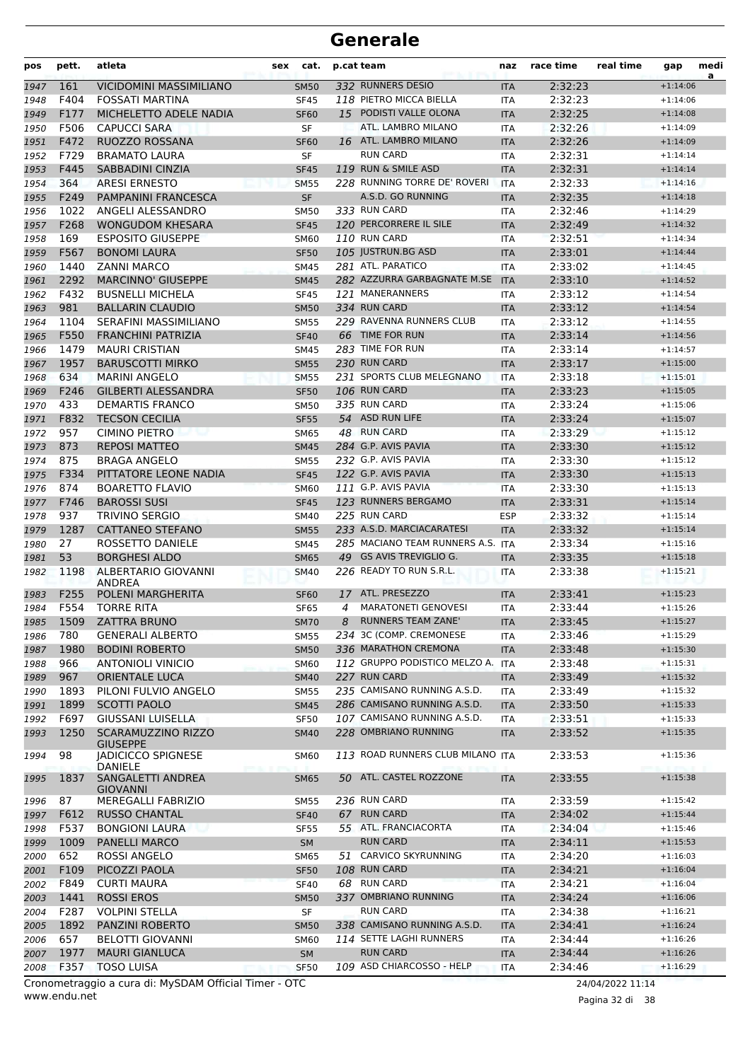| 161<br>332 RUNNERS DESIO<br>2:32:23<br>VICIDOMINI MASSIMILIANO<br><b>SM50</b><br>$+1:14:06$<br><b>ITA</b><br>F404<br>118 PIETRO MICCA BIELLA<br><b>FOSSATI MARTINA</b><br>2:32:23<br><b>SF45</b><br><b>ITA</b><br>$+1:14:06$<br>15 PODISTI VALLE OLONA<br>2:32:25<br>F177<br>MICHELETTO ADELE NADIA<br><b>SF60</b><br><b>ITA</b><br>$+1:14:08$<br>F506<br>ATL. LAMBRO MILANO<br><b>CAPUCCI SARA</b><br>SF<br>2:32:26<br>$+1:14:09$<br><b>ITA</b><br>F472<br>16 ATL. LAMBRO MILANO<br>2:32:26<br><b>RUOZZO ROSSANA</b><br><b>SF60</b><br><b>ITA</b><br>$+1:14:09$<br><b>RUN CARD</b><br>F729<br><b>BRAMATO LAURA</b><br>SF<br>2:32:31<br><b>ITA</b><br>$+1:14:14$<br>119 RUN & SMILE ASD<br>2:32:31<br>F445<br>SABBADINI CINZIA<br>$+1:14:14$<br><b>SF45</b><br><b>ITA</b><br>228 RUNNING TORRE DE' ROVERI<br>364<br><b>ARESI ERNESTO</b><br>2:32:33<br><b>SM55</b><br><b>ITA</b><br>$+1:14:16$<br>SF<br>2:32:35<br>F249<br>PAMPANINI FRANCESCA<br>A.S.D. GO RUNNING<br><b>ITA</b><br>$+1:14:18$<br>1022<br>ANGELI ALESSANDRO<br>333 RUN CARD<br>2:32:46<br><b>SM50</b><br>$+1:14:29$<br><b>ITA</b><br>120 PERCORRERE IL SILE<br>F268<br>2:32:49<br><b>WONGUDOM KHESARA</b><br>1957<br><b>SF45</b><br><b>ITA</b><br>$+1:14:32$<br>110 RUN CARD<br>169<br><b>ESPOSITO GIUSEPPE</b><br>2:32:51<br>1958<br><b>SM60</b><br><b>ITA</b><br>$+1:14:34$<br>F567<br>105 JUSTRUN.BG ASD<br>2:33:01<br>1959<br><b>BONOMI LAURA</b><br><b>SF50</b><br>$+1:14:44$<br><b>ITA</b><br>281 ATL. PARATICO<br>1440<br><b>ZANNI MARCO</b><br>2:33:02<br>1960<br><b>SM45</b><br>ITA<br>$+1:14:45$<br>2292<br>282 AZZURRA GARBAGNATE M.SE<br><b>MARCINNO' GIUSEPPE</b><br>2:33:10<br><b>SM45</b><br>$+1:14:52$<br>1961<br><b>ITA</b><br>F432<br><b>BUSNELLI MICHELA</b><br>121 MANERANNERS<br>2:33:12<br>$+1:14:54$<br>1962<br><b>SF45</b><br><b>ITA</b><br>981<br>334 RUN CARD<br>2:33:12<br><b>BALLARIN CLAUDIO</b><br>1963<br><b>SM50</b><br><b>ITA</b><br>$+1:14:54$<br>229 RAVENNA RUNNERS CLUB<br>1104<br>SERAFINI MASSIMILIANO<br>2:33:12<br>$+1:14:55$<br>1964<br><b>SM55</b><br><b>ITA</b><br>66 TIME FOR RUN<br>F550<br><b>FRANCHINI PATRIZIA</b><br><b>SF40</b><br>2:33:14<br>$+1:14:56$<br>1965<br><b>ITA</b><br>1479<br>283 TIME FOR RUN<br><b>MAURI CRISTIAN</b><br>2:33:14<br><b>SM45</b><br>ITA<br>1966<br>$+1:14:57$<br>1957<br>230 RUN CARD<br><b>BARUSCOTTI MIRKO</b><br>2:33:17<br><b>SM55</b><br>$+1:15:00$<br>1967<br><b>ITA</b><br>231 SPORTS CLUB MELEGNANO<br>634<br><b>MARINI ANGELO</b><br>2:33:18<br><b>SM55</b><br>$+1:15:01$<br>1968<br><b>ITA</b><br><b>GILBERTI ALESSANDRA</b><br>106 RUN CARD<br>2:33:23<br>F246<br>1969<br><b>SF50</b><br><b>ITA</b><br>$+1:15:05$<br>335 RUN CARD<br>433<br><b>DEMARTIS FRANCO</b><br>2:33:24<br>1970<br><b>SM50</b><br>$+1:15:06$<br><b>ITA</b><br>54 ASD RUN LIFE<br><b>TECSON CECILIA</b><br>2:33:24<br>F832<br><b>SF55</b><br>$+1:15:07$<br>1971<br><b>ITA</b><br>957<br>48 RUN CARD<br><b>CIMINO PIETRO</b><br>2:33:29<br>1972<br>ITA<br><b>SM65</b><br>$+1:15:12$<br>873<br>284 G.P. AVIS PAVIA<br><b>REPOSI MATTEO</b><br>2:33:30<br><b>SM45</b><br>$+1:15:12$<br>1973<br><b>ITA</b><br>875<br>232 G.P. AVIS PAVIA<br><b>BRAGA ANGELO</b><br><b>SM55</b><br>2:33:30<br>$+1:15:12$<br>1974<br><b>ITA</b><br>F334<br>122 G.P. AVIS PAVIA<br>PITTATORE LEONE NADIA<br>2:33:30<br>1975<br><b>SF45</b><br><b>ITA</b><br>$+1:15:13$<br>111 G.P. AVIS PAVIA<br>874<br><b>BOARETTO FLAVIO</b><br>2:33:30<br><b>SM60</b><br>$+1:15:13$<br>1976<br><b>ITA</b><br>123 RUNNERS BERGAMO<br>2:33:31<br>F746<br><b>BAROSSI SUSI</b><br>1977<br><b>SF45</b><br><b>ITA</b><br>$+1:15:14$<br>937<br>225 RUN CARD<br><b>TRIVINO SERGIO</b><br><b>ESP</b><br>2:33:32<br><b>SM40</b><br>1978<br>$+1:15:14$<br>233 A.S.D. MARCIACARATESI<br>2:33:32<br>1287<br><b>CATTANEO STEFANO</b><br>$+1:15:14$<br>1979<br><b>SM55</b><br><b>ITA</b><br>27<br>285 MACIANO TEAM RUNNERS A.S. ITA<br>ROSSETTO DANIELE<br>2:33:34<br>1980<br><b>SM45</b><br>$+1:15:16$<br>53<br><b>BORGHESI ALDO</b><br><b>GS AVIS TREVIGLIO G.</b><br>2:33:35<br><b>SM65</b><br>49<br>$+1:15:18$<br>1981<br><b>ITA</b><br>226 READY TO RUN S.R.L.<br>1198<br>ALBERTARIO GIOVANNI<br>2:33:38<br>$+1:15:21$<br><b>SM40</b><br><b>ITA</b><br><b>ANDREA</b><br>ATL. PRESEZZO<br>F255<br>POLENI MARGHERITA<br>2:33:41<br>$+1:15:23$<br>1983<br><b>SF60</b><br>17<br><b>ITA</b><br><b>MARATONETI GENOVESI</b><br>F554<br>2:33:44<br><b>TORRE RITA</b><br><b>SF65</b><br>1984<br>4<br><b>ITA</b><br>$+1:15:26$<br><b>RUNNERS TEAM ZANE'</b><br>2:33:45<br>1509<br>ZATTRA BRUNO<br>1985<br>SM70<br>8<br>ITA<br>$+1:15:27$<br>234 3C (COMP. CREMONESE<br>780<br><b>GENERALI ALBERTO</b><br>2:33:46<br>$+1:15:29$<br>1986<br><b>SM55</b><br>ITA<br>1980<br>336 MARATHON CREMONA<br><b>BODINI ROBERTO</b><br><b>SM50</b><br>2:33:48<br>1987<br><b>ITA</b><br>$+1:15:30$<br>112 GRUPPO PODISTICO MELZO A.<br>966<br><b>ANTONIOLI VINICIO</b><br><b>SM60</b><br>2:33:48<br>$+1:15:31$<br>1988<br><b>ITA</b><br>227 RUN CARD<br>$+1:15:32$<br>967<br><b>ORIENTALE LUCA</b><br><b>SM40</b><br>2:33:49<br>1989<br><b>ITA</b><br>235 CAMISANO RUNNING A.S.D.<br>1893<br>PILONI FULVIO ANGELO<br>2:33:49<br>$+1:15:32$<br>1990<br><b>SM55</b><br>ITA<br>286 CAMISANO RUNNING A.S.D.<br>1899<br><b>SCOTTI PAOLO</b><br>2:33:50<br><b>SM45</b><br><b>ITA</b><br>$+1:15:33$<br>1991<br>107 CAMISANO RUNNING A.S.D.<br>F697<br><b>GIUSSANI LUISELLA</b><br>2:33:51<br>$+1:15:33$<br>1992<br><b>SF50</b><br><b>ITA</b><br>1250<br><b>SCARAMUZZINO RIZZO</b><br>228 OMBRIANO RUNNING<br>2:33:52<br><b>SM40</b><br><b>ITA</b><br>$+1:15:35$<br><b>GIUSEPPE</b><br>98<br>113 ROAD RUNNERS CLUB MILANO ITA<br><b>JADICICCO SPIGNESE</b><br>2:33:53<br><b>SM60</b><br>$+1:15:36$<br>DANIELE<br>50 ATL. CASTEL ROZZONE<br>1837<br>SANGALETTI ANDREA<br>2:33:55<br>$+1:15:38$<br><b>SM65</b><br><b>ITA</b><br><b>GIOVANNI</b><br>236 RUN CARD<br>87<br>MEREGALLI FABRIZIO<br>2:33:59<br>ITA<br>$+1:15:42$<br><b>SM55</b><br>F612<br><b>RUN CARD</b><br>2:34:02<br><b>RUSSO CHANTAL</b><br>67<br>$+1:15:44$<br><b>SF40</b><br><b>ITA</b><br>55 ATL. FRANCIACORTA<br>F537<br><b>BONGIONI LAURA</b><br>2:34:04<br>$+1:15:46$<br><b>SF55</b><br><b>ITA</b><br><b>RUN CARD</b><br>1009<br><b>PANELLI MARCO</b><br>2:34:11<br>$+1:15:53$<br><b>SM</b><br><b>ITA</b><br>51 CARVICO SKYRUNNING<br>652<br>ROSSI ANGELO<br>2:34:20<br>$+1:16:03$<br><b>SM65</b><br><b>ITA</b><br>108 RUN CARD<br>PICOZZI PAOLA<br>2:34:21<br>$+1:16:04$<br>F109<br><b>SF50</b><br><b>ITA</b><br>F849<br>68 RUN CARD<br>2:34:21<br><b>CURTI MAURA</b><br>$+1:16:04$<br><b>SF40</b><br>ITA<br>337 OMBRIANO RUNNING<br>1441<br><b>ROSSI EROS</b><br>2:34:24<br>$+1:16:06$<br><b>SM50</b><br><b>ITA</b><br><b>RUN CARD</b><br>$+1:16:21$<br>F287<br><b>VOLPINI STELLA</b><br>SF<br>2:34:38<br><b>ITA</b><br>338 CAMISANO RUNNING A.S.D.<br>1892<br>PANZINI ROBERTO<br><b>SM50</b><br>2:34:41<br>$+1:16:24$<br><b>ITA</b><br>114 SETTE LAGHI RUNNERS<br>657<br><b>BELOTTI GIOVANNI</b><br>2:34:44<br>$+1:16:26$<br><b>SM60</b><br><b>ITA</b><br><b>RUN CARD</b><br>1977<br><b>MAURI GIANLUCA</b><br>SM<br>2:34:44<br>$+1:16:26$<br><b>ITA</b><br>109 ASD CHIARCOSSO - HELP<br>F357<br><b>TOSO LUISA</b><br><b>SF50</b><br>2:34:46<br>ITA<br>$+1:16:29$ | pos  | pett. | atleta | cat.<br>sex | p.cat team | naz | race time | real time | gap | medi<br>a |
|-------------------------------------------------------------------------------------------------------------------------------------------------------------------------------------------------------------------------------------------------------------------------------------------------------------------------------------------------------------------------------------------------------------------------------------------------------------------------------------------------------------------------------------------------------------------------------------------------------------------------------------------------------------------------------------------------------------------------------------------------------------------------------------------------------------------------------------------------------------------------------------------------------------------------------------------------------------------------------------------------------------------------------------------------------------------------------------------------------------------------------------------------------------------------------------------------------------------------------------------------------------------------------------------------------------------------------------------------------------------------------------------------------------------------------------------------------------------------------------------------------------------------------------------------------------------------------------------------------------------------------------------------------------------------------------------------------------------------------------------------------------------------------------------------------------------------------------------------------------------------------------------------------------------------------------------------------------------------------------------------------------------------------------------------------------------------------------------------------------------------------------------------------------------------------------------------------------------------------------------------------------------------------------------------------------------------------------------------------------------------------------------------------------------------------------------------------------------------------------------------------------------------------------------------------------------------------------------------------------------------------------------------------------------------------------------------------------------------------------------------------------------------------------------------------------------------------------------------------------------------------------------------------------------------------------------------------------------------------------------------------------------------------------------------------------------------------------------------------------------------------------------------------------------------------------------------------------------------------------------------------------------------------------------------------------------------------------------------------------------------------------------------------------------------------------------------------------------------------------------------------------------------------------------------------------------------------------------------------------------------------------------------------------------------------------------------------------------------------------------------------------------------------------------------------------------------------------------------------------------------------------------------------------------------------------------------------------------------------------------------------------------------------------------------------------------------------------------------------------------------------------------------------------------------------------------------------------------------------------------------------------------------------------------------------------------------------------------------------------------------------------------------------------------------------------------------------------------------------------------------------------------------------------------------------------------------------------------------------------------------------------------------------------------------------------------------------------------------------------------------------------------------------------------------------------------------------------------------------------------------------------------------------------------------------------------------------------------------------------------------------------------------------------------------------------------------------------------------------------------------------------------------------------------------------------------------------------------------------------------------------------------------------------------------------------------------------------------------------------------------------------------------------------------------------------------------------------------------------------------------------------------------------------------------------------------------------------------------------------------------------------------------------------------------------------------------------------------------------------------------------------------------------------------------------------------------------------------------------------------------------------------------------------------------------------------------------------------------------------------------------------------------------------------------------------------------------------------------------------------------------------------------------------------------------------------------------------------------------------------------------------------------------------------------------------------------------------------------------------------------------------------------------------------------------------------------------------------------------------------------------------------------------------------------------------------------------------------------------------------------------------------------------------------------------------------------------------------------------------------------------------------------------------------------------------------------------------------------------------------------------------------------------------------------------------------------------------------------------------------------------------------------------------------------------------------------------------------------------------------------------------------------------------------------------------------------------------------------------------------------------------------------------------------|------|-------|--------|-------------|------------|-----|-----------|-----------|-----|-----------|
|                                                                                                                                                                                                                                                                                                                                                                                                                                                                                                                                                                                                                                                                                                                                                                                                                                                                                                                                                                                                                                                                                                                                                                                                                                                                                                                                                                                                                                                                                                                                                                                                                                                                                                                                                                                                                                                                                                                                                                                                                                                                                                                                                                                                                                                                                                                                                                                                                                                                                                                                                                                                                                                                                                                                                                                                                                                                                                                                                                                                                                                                                                                                                                                                                                                                                                                                                                                                                                                                                                                                                                                                                                                                                                                                                                                                                                                                                                                                                                                                                                                                                                                                                                                                                                                                                                                                                                                                                                                                                                                                                                                                                                                                                                                                                                                                                                                                                                                                                                                                                                                                                                                                                                                                                                                                                                                                                                                                                                                                                                                                                                                                                                                                                                                                                                                                                                                                                                                                                                                                                                                                                                                                                                                                                                                                                                                                                                                                                                                                                                                                                                                                                                                                                                                                                                                                                                                                                                                                                                                                                                                                                                                                                                                                                                                                                           | 1947 |       |        |             |            |     |           |           |     |           |
|                                                                                                                                                                                                                                                                                                                                                                                                                                                                                                                                                                                                                                                                                                                                                                                                                                                                                                                                                                                                                                                                                                                                                                                                                                                                                                                                                                                                                                                                                                                                                                                                                                                                                                                                                                                                                                                                                                                                                                                                                                                                                                                                                                                                                                                                                                                                                                                                                                                                                                                                                                                                                                                                                                                                                                                                                                                                                                                                                                                                                                                                                                                                                                                                                                                                                                                                                                                                                                                                                                                                                                                                                                                                                                                                                                                                                                                                                                                                                                                                                                                                                                                                                                                                                                                                                                                                                                                                                                                                                                                                                                                                                                                                                                                                                                                                                                                                                                                                                                                                                                                                                                                                                                                                                                                                                                                                                                                                                                                                                                                                                                                                                                                                                                                                                                                                                                                                                                                                                                                                                                                                                                                                                                                                                                                                                                                                                                                                                                                                                                                                                                                                                                                                                                                                                                                                                                                                                                                                                                                                                                                                                                                                                                                                                                                                                           | 1948 |       |        |             |            |     |           |           |     |           |
|                                                                                                                                                                                                                                                                                                                                                                                                                                                                                                                                                                                                                                                                                                                                                                                                                                                                                                                                                                                                                                                                                                                                                                                                                                                                                                                                                                                                                                                                                                                                                                                                                                                                                                                                                                                                                                                                                                                                                                                                                                                                                                                                                                                                                                                                                                                                                                                                                                                                                                                                                                                                                                                                                                                                                                                                                                                                                                                                                                                                                                                                                                                                                                                                                                                                                                                                                                                                                                                                                                                                                                                                                                                                                                                                                                                                                                                                                                                                                                                                                                                                                                                                                                                                                                                                                                                                                                                                                                                                                                                                                                                                                                                                                                                                                                                                                                                                                                                                                                                                                                                                                                                                                                                                                                                                                                                                                                                                                                                                                                                                                                                                                                                                                                                                                                                                                                                                                                                                                                                                                                                                                                                                                                                                                                                                                                                                                                                                                                                                                                                                                                                                                                                                                                                                                                                                                                                                                                                                                                                                                                                                                                                                                                                                                                                                                           | 1949 |       |        |             |            |     |           |           |     |           |
|                                                                                                                                                                                                                                                                                                                                                                                                                                                                                                                                                                                                                                                                                                                                                                                                                                                                                                                                                                                                                                                                                                                                                                                                                                                                                                                                                                                                                                                                                                                                                                                                                                                                                                                                                                                                                                                                                                                                                                                                                                                                                                                                                                                                                                                                                                                                                                                                                                                                                                                                                                                                                                                                                                                                                                                                                                                                                                                                                                                                                                                                                                                                                                                                                                                                                                                                                                                                                                                                                                                                                                                                                                                                                                                                                                                                                                                                                                                                                                                                                                                                                                                                                                                                                                                                                                                                                                                                                                                                                                                                                                                                                                                                                                                                                                                                                                                                                                                                                                                                                                                                                                                                                                                                                                                                                                                                                                                                                                                                                                                                                                                                                                                                                                                                                                                                                                                                                                                                                                                                                                                                                                                                                                                                                                                                                                                                                                                                                                                                                                                                                                                                                                                                                                                                                                                                                                                                                                                                                                                                                                                                                                                                                                                                                                                                                           | 1950 |       |        |             |            |     |           |           |     |           |
|                                                                                                                                                                                                                                                                                                                                                                                                                                                                                                                                                                                                                                                                                                                                                                                                                                                                                                                                                                                                                                                                                                                                                                                                                                                                                                                                                                                                                                                                                                                                                                                                                                                                                                                                                                                                                                                                                                                                                                                                                                                                                                                                                                                                                                                                                                                                                                                                                                                                                                                                                                                                                                                                                                                                                                                                                                                                                                                                                                                                                                                                                                                                                                                                                                                                                                                                                                                                                                                                                                                                                                                                                                                                                                                                                                                                                                                                                                                                                                                                                                                                                                                                                                                                                                                                                                                                                                                                                                                                                                                                                                                                                                                                                                                                                                                                                                                                                                                                                                                                                                                                                                                                                                                                                                                                                                                                                                                                                                                                                                                                                                                                                                                                                                                                                                                                                                                                                                                                                                                                                                                                                                                                                                                                                                                                                                                                                                                                                                                                                                                                                                                                                                                                                                                                                                                                                                                                                                                                                                                                                                                                                                                                                                                                                                                                                           | 1951 |       |        |             |            |     |           |           |     |           |
|                                                                                                                                                                                                                                                                                                                                                                                                                                                                                                                                                                                                                                                                                                                                                                                                                                                                                                                                                                                                                                                                                                                                                                                                                                                                                                                                                                                                                                                                                                                                                                                                                                                                                                                                                                                                                                                                                                                                                                                                                                                                                                                                                                                                                                                                                                                                                                                                                                                                                                                                                                                                                                                                                                                                                                                                                                                                                                                                                                                                                                                                                                                                                                                                                                                                                                                                                                                                                                                                                                                                                                                                                                                                                                                                                                                                                                                                                                                                                                                                                                                                                                                                                                                                                                                                                                                                                                                                                                                                                                                                                                                                                                                                                                                                                                                                                                                                                                                                                                                                                                                                                                                                                                                                                                                                                                                                                                                                                                                                                                                                                                                                                                                                                                                                                                                                                                                                                                                                                                                                                                                                                                                                                                                                                                                                                                                                                                                                                                                                                                                                                                                                                                                                                                                                                                                                                                                                                                                                                                                                                                                                                                                                                                                                                                                                                           | 1952 |       |        |             |            |     |           |           |     |           |
|                                                                                                                                                                                                                                                                                                                                                                                                                                                                                                                                                                                                                                                                                                                                                                                                                                                                                                                                                                                                                                                                                                                                                                                                                                                                                                                                                                                                                                                                                                                                                                                                                                                                                                                                                                                                                                                                                                                                                                                                                                                                                                                                                                                                                                                                                                                                                                                                                                                                                                                                                                                                                                                                                                                                                                                                                                                                                                                                                                                                                                                                                                                                                                                                                                                                                                                                                                                                                                                                                                                                                                                                                                                                                                                                                                                                                                                                                                                                                                                                                                                                                                                                                                                                                                                                                                                                                                                                                                                                                                                                                                                                                                                                                                                                                                                                                                                                                                                                                                                                                                                                                                                                                                                                                                                                                                                                                                                                                                                                                                                                                                                                                                                                                                                                                                                                                                                                                                                                                                                                                                                                                                                                                                                                                                                                                                                                                                                                                                                                                                                                                                                                                                                                                                                                                                                                                                                                                                                                                                                                                                                                                                                                                                                                                                                                                           | 1953 |       |        |             |            |     |           |           |     |           |
|                                                                                                                                                                                                                                                                                                                                                                                                                                                                                                                                                                                                                                                                                                                                                                                                                                                                                                                                                                                                                                                                                                                                                                                                                                                                                                                                                                                                                                                                                                                                                                                                                                                                                                                                                                                                                                                                                                                                                                                                                                                                                                                                                                                                                                                                                                                                                                                                                                                                                                                                                                                                                                                                                                                                                                                                                                                                                                                                                                                                                                                                                                                                                                                                                                                                                                                                                                                                                                                                                                                                                                                                                                                                                                                                                                                                                                                                                                                                                                                                                                                                                                                                                                                                                                                                                                                                                                                                                                                                                                                                                                                                                                                                                                                                                                                                                                                                                                                                                                                                                                                                                                                                                                                                                                                                                                                                                                                                                                                                                                                                                                                                                                                                                                                                                                                                                                                                                                                                                                                                                                                                                                                                                                                                                                                                                                                                                                                                                                                                                                                                                                                                                                                                                                                                                                                                                                                                                                                                                                                                                                                                                                                                                                                                                                                                                           | 1954 |       |        |             |            |     |           |           |     |           |
|                                                                                                                                                                                                                                                                                                                                                                                                                                                                                                                                                                                                                                                                                                                                                                                                                                                                                                                                                                                                                                                                                                                                                                                                                                                                                                                                                                                                                                                                                                                                                                                                                                                                                                                                                                                                                                                                                                                                                                                                                                                                                                                                                                                                                                                                                                                                                                                                                                                                                                                                                                                                                                                                                                                                                                                                                                                                                                                                                                                                                                                                                                                                                                                                                                                                                                                                                                                                                                                                                                                                                                                                                                                                                                                                                                                                                                                                                                                                                                                                                                                                                                                                                                                                                                                                                                                                                                                                                                                                                                                                                                                                                                                                                                                                                                                                                                                                                                                                                                                                                                                                                                                                                                                                                                                                                                                                                                                                                                                                                                                                                                                                                                                                                                                                                                                                                                                                                                                                                                                                                                                                                                                                                                                                                                                                                                                                                                                                                                                                                                                                                                                                                                                                                                                                                                                                                                                                                                                                                                                                                                                                                                                                                                                                                                                                                           | 1955 |       |        |             |            |     |           |           |     |           |
|                                                                                                                                                                                                                                                                                                                                                                                                                                                                                                                                                                                                                                                                                                                                                                                                                                                                                                                                                                                                                                                                                                                                                                                                                                                                                                                                                                                                                                                                                                                                                                                                                                                                                                                                                                                                                                                                                                                                                                                                                                                                                                                                                                                                                                                                                                                                                                                                                                                                                                                                                                                                                                                                                                                                                                                                                                                                                                                                                                                                                                                                                                                                                                                                                                                                                                                                                                                                                                                                                                                                                                                                                                                                                                                                                                                                                                                                                                                                                                                                                                                                                                                                                                                                                                                                                                                                                                                                                                                                                                                                                                                                                                                                                                                                                                                                                                                                                                                                                                                                                                                                                                                                                                                                                                                                                                                                                                                                                                                                                                                                                                                                                                                                                                                                                                                                                                                                                                                                                                                                                                                                                                                                                                                                                                                                                                                                                                                                                                                                                                                                                                                                                                                                                                                                                                                                                                                                                                                                                                                                                                                                                                                                                                                                                                                                                           | 1956 |       |        |             |            |     |           |           |     |           |
|                                                                                                                                                                                                                                                                                                                                                                                                                                                                                                                                                                                                                                                                                                                                                                                                                                                                                                                                                                                                                                                                                                                                                                                                                                                                                                                                                                                                                                                                                                                                                                                                                                                                                                                                                                                                                                                                                                                                                                                                                                                                                                                                                                                                                                                                                                                                                                                                                                                                                                                                                                                                                                                                                                                                                                                                                                                                                                                                                                                                                                                                                                                                                                                                                                                                                                                                                                                                                                                                                                                                                                                                                                                                                                                                                                                                                                                                                                                                                                                                                                                                                                                                                                                                                                                                                                                                                                                                                                                                                                                                                                                                                                                                                                                                                                                                                                                                                                                                                                                                                                                                                                                                                                                                                                                                                                                                                                                                                                                                                                                                                                                                                                                                                                                                                                                                                                                                                                                                                                                                                                                                                                                                                                                                                                                                                                                                                                                                                                                                                                                                                                                                                                                                                                                                                                                                                                                                                                                                                                                                                                                                                                                                                                                                                                                                                           |      |       |        |             |            |     |           |           |     |           |
|                                                                                                                                                                                                                                                                                                                                                                                                                                                                                                                                                                                                                                                                                                                                                                                                                                                                                                                                                                                                                                                                                                                                                                                                                                                                                                                                                                                                                                                                                                                                                                                                                                                                                                                                                                                                                                                                                                                                                                                                                                                                                                                                                                                                                                                                                                                                                                                                                                                                                                                                                                                                                                                                                                                                                                                                                                                                                                                                                                                                                                                                                                                                                                                                                                                                                                                                                                                                                                                                                                                                                                                                                                                                                                                                                                                                                                                                                                                                                                                                                                                                                                                                                                                                                                                                                                                                                                                                                                                                                                                                                                                                                                                                                                                                                                                                                                                                                                                                                                                                                                                                                                                                                                                                                                                                                                                                                                                                                                                                                                                                                                                                                                                                                                                                                                                                                                                                                                                                                                                                                                                                                                                                                                                                                                                                                                                                                                                                                                                                                                                                                                                                                                                                                                                                                                                                                                                                                                                                                                                                                                                                                                                                                                                                                                                                                           |      |       |        |             |            |     |           |           |     |           |
|                                                                                                                                                                                                                                                                                                                                                                                                                                                                                                                                                                                                                                                                                                                                                                                                                                                                                                                                                                                                                                                                                                                                                                                                                                                                                                                                                                                                                                                                                                                                                                                                                                                                                                                                                                                                                                                                                                                                                                                                                                                                                                                                                                                                                                                                                                                                                                                                                                                                                                                                                                                                                                                                                                                                                                                                                                                                                                                                                                                                                                                                                                                                                                                                                                                                                                                                                                                                                                                                                                                                                                                                                                                                                                                                                                                                                                                                                                                                                                                                                                                                                                                                                                                                                                                                                                                                                                                                                                                                                                                                                                                                                                                                                                                                                                                                                                                                                                                                                                                                                                                                                                                                                                                                                                                                                                                                                                                                                                                                                                                                                                                                                                                                                                                                                                                                                                                                                                                                                                                                                                                                                                                                                                                                                                                                                                                                                                                                                                                                                                                                                                                                                                                                                                                                                                                                                                                                                                                                                                                                                                                                                                                                                                                                                                                                                           |      |       |        |             |            |     |           |           |     |           |
|                                                                                                                                                                                                                                                                                                                                                                                                                                                                                                                                                                                                                                                                                                                                                                                                                                                                                                                                                                                                                                                                                                                                                                                                                                                                                                                                                                                                                                                                                                                                                                                                                                                                                                                                                                                                                                                                                                                                                                                                                                                                                                                                                                                                                                                                                                                                                                                                                                                                                                                                                                                                                                                                                                                                                                                                                                                                                                                                                                                                                                                                                                                                                                                                                                                                                                                                                                                                                                                                                                                                                                                                                                                                                                                                                                                                                                                                                                                                                                                                                                                                                                                                                                                                                                                                                                                                                                                                                                                                                                                                                                                                                                                                                                                                                                                                                                                                                                                                                                                                                                                                                                                                                                                                                                                                                                                                                                                                                                                                                                                                                                                                                                                                                                                                                                                                                                                                                                                                                                                                                                                                                                                                                                                                                                                                                                                                                                                                                                                                                                                                                                                                                                                                                                                                                                                                                                                                                                                                                                                                                                                                                                                                                                                                                                                                                           |      |       |        |             |            |     |           |           |     |           |
|                                                                                                                                                                                                                                                                                                                                                                                                                                                                                                                                                                                                                                                                                                                                                                                                                                                                                                                                                                                                                                                                                                                                                                                                                                                                                                                                                                                                                                                                                                                                                                                                                                                                                                                                                                                                                                                                                                                                                                                                                                                                                                                                                                                                                                                                                                                                                                                                                                                                                                                                                                                                                                                                                                                                                                                                                                                                                                                                                                                                                                                                                                                                                                                                                                                                                                                                                                                                                                                                                                                                                                                                                                                                                                                                                                                                                                                                                                                                                                                                                                                                                                                                                                                                                                                                                                                                                                                                                                                                                                                                                                                                                                                                                                                                                                                                                                                                                                                                                                                                                                                                                                                                                                                                                                                                                                                                                                                                                                                                                                                                                                                                                                                                                                                                                                                                                                                                                                                                                                                                                                                                                                                                                                                                                                                                                                                                                                                                                                                                                                                                                                                                                                                                                                                                                                                                                                                                                                                                                                                                                                                                                                                                                                                                                                                                                           |      |       |        |             |            |     |           |           |     |           |
|                                                                                                                                                                                                                                                                                                                                                                                                                                                                                                                                                                                                                                                                                                                                                                                                                                                                                                                                                                                                                                                                                                                                                                                                                                                                                                                                                                                                                                                                                                                                                                                                                                                                                                                                                                                                                                                                                                                                                                                                                                                                                                                                                                                                                                                                                                                                                                                                                                                                                                                                                                                                                                                                                                                                                                                                                                                                                                                                                                                                                                                                                                                                                                                                                                                                                                                                                                                                                                                                                                                                                                                                                                                                                                                                                                                                                                                                                                                                                                                                                                                                                                                                                                                                                                                                                                                                                                                                                                                                                                                                                                                                                                                                                                                                                                                                                                                                                                                                                                                                                                                                                                                                                                                                                                                                                                                                                                                                                                                                                                                                                                                                                                                                                                                                                                                                                                                                                                                                                                                                                                                                                                                                                                                                                                                                                                                                                                                                                                                                                                                                                                                                                                                                                                                                                                                                                                                                                                                                                                                                                                                                                                                                                                                                                                                                                           |      |       |        |             |            |     |           |           |     |           |
|                                                                                                                                                                                                                                                                                                                                                                                                                                                                                                                                                                                                                                                                                                                                                                                                                                                                                                                                                                                                                                                                                                                                                                                                                                                                                                                                                                                                                                                                                                                                                                                                                                                                                                                                                                                                                                                                                                                                                                                                                                                                                                                                                                                                                                                                                                                                                                                                                                                                                                                                                                                                                                                                                                                                                                                                                                                                                                                                                                                                                                                                                                                                                                                                                                                                                                                                                                                                                                                                                                                                                                                                                                                                                                                                                                                                                                                                                                                                                                                                                                                                                                                                                                                                                                                                                                                                                                                                                                                                                                                                                                                                                                                                                                                                                                                                                                                                                                                                                                                                                                                                                                                                                                                                                                                                                                                                                                                                                                                                                                                                                                                                                                                                                                                                                                                                                                                                                                                                                                                                                                                                                                                                                                                                                                                                                                                                                                                                                                                                                                                                                                                                                                                                                                                                                                                                                                                                                                                                                                                                                                                                                                                                                                                                                                                                                           |      |       |        |             |            |     |           |           |     |           |
|                                                                                                                                                                                                                                                                                                                                                                                                                                                                                                                                                                                                                                                                                                                                                                                                                                                                                                                                                                                                                                                                                                                                                                                                                                                                                                                                                                                                                                                                                                                                                                                                                                                                                                                                                                                                                                                                                                                                                                                                                                                                                                                                                                                                                                                                                                                                                                                                                                                                                                                                                                                                                                                                                                                                                                                                                                                                                                                                                                                                                                                                                                                                                                                                                                                                                                                                                                                                                                                                                                                                                                                                                                                                                                                                                                                                                                                                                                                                                                                                                                                                                                                                                                                                                                                                                                                                                                                                                                                                                                                                                                                                                                                                                                                                                                                                                                                                                                                                                                                                                                                                                                                                                                                                                                                                                                                                                                                                                                                                                                                                                                                                                                                                                                                                                                                                                                                                                                                                                                                                                                                                                                                                                                                                                                                                                                                                                                                                                                                                                                                                                                                                                                                                                                                                                                                                                                                                                                                                                                                                                                                                                                                                                                                                                                                                                           |      |       |        |             |            |     |           |           |     |           |
|                                                                                                                                                                                                                                                                                                                                                                                                                                                                                                                                                                                                                                                                                                                                                                                                                                                                                                                                                                                                                                                                                                                                                                                                                                                                                                                                                                                                                                                                                                                                                                                                                                                                                                                                                                                                                                                                                                                                                                                                                                                                                                                                                                                                                                                                                                                                                                                                                                                                                                                                                                                                                                                                                                                                                                                                                                                                                                                                                                                                                                                                                                                                                                                                                                                                                                                                                                                                                                                                                                                                                                                                                                                                                                                                                                                                                                                                                                                                                                                                                                                                                                                                                                                                                                                                                                                                                                                                                                                                                                                                                                                                                                                                                                                                                                                                                                                                                                                                                                                                                                                                                                                                                                                                                                                                                                                                                                                                                                                                                                                                                                                                                                                                                                                                                                                                                                                                                                                                                                                                                                                                                                                                                                                                                                                                                                                                                                                                                                                                                                                                                                                                                                                                                                                                                                                                                                                                                                                                                                                                                                                                                                                                                                                                                                                                                           |      |       |        |             |            |     |           |           |     |           |
|                                                                                                                                                                                                                                                                                                                                                                                                                                                                                                                                                                                                                                                                                                                                                                                                                                                                                                                                                                                                                                                                                                                                                                                                                                                                                                                                                                                                                                                                                                                                                                                                                                                                                                                                                                                                                                                                                                                                                                                                                                                                                                                                                                                                                                                                                                                                                                                                                                                                                                                                                                                                                                                                                                                                                                                                                                                                                                                                                                                                                                                                                                                                                                                                                                                                                                                                                                                                                                                                                                                                                                                                                                                                                                                                                                                                                                                                                                                                                                                                                                                                                                                                                                                                                                                                                                                                                                                                                                                                                                                                                                                                                                                                                                                                                                                                                                                                                                                                                                                                                                                                                                                                                                                                                                                                                                                                                                                                                                                                                                                                                                                                                                                                                                                                                                                                                                                                                                                                                                                                                                                                                                                                                                                                                                                                                                                                                                                                                                                                                                                                                                                                                                                                                                                                                                                                                                                                                                                                                                                                                                                                                                                                                                                                                                                                                           |      |       |        |             |            |     |           |           |     |           |
|                                                                                                                                                                                                                                                                                                                                                                                                                                                                                                                                                                                                                                                                                                                                                                                                                                                                                                                                                                                                                                                                                                                                                                                                                                                                                                                                                                                                                                                                                                                                                                                                                                                                                                                                                                                                                                                                                                                                                                                                                                                                                                                                                                                                                                                                                                                                                                                                                                                                                                                                                                                                                                                                                                                                                                                                                                                                                                                                                                                                                                                                                                                                                                                                                                                                                                                                                                                                                                                                                                                                                                                                                                                                                                                                                                                                                                                                                                                                                                                                                                                                                                                                                                                                                                                                                                                                                                                                                                                                                                                                                                                                                                                                                                                                                                                                                                                                                                                                                                                                                                                                                                                                                                                                                                                                                                                                                                                                                                                                                                                                                                                                                                                                                                                                                                                                                                                                                                                                                                                                                                                                                                                                                                                                                                                                                                                                                                                                                                                                                                                                                                                                                                                                                                                                                                                                                                                                                                                                                                                                                                                                                                                                                                                                                                                                                           |      |       |        |             |            |     |           |           |     |           |
|                                                                                                                                                                                                                                                                                                                                                                                                                                                                                                                                                                                                                                                                                                                                                                                                                                                                                                                                                                                                                                                                                                                                                                                                                                                                                                                                                                                                                                                                                                                                                                                                                                                                                                                                                                                                                                                                                                                                                                                                                                                                                                                                                                                                                                                                                                                                                                                                                                                                                                                                                                                                                                                                                                                                                                                                                                                                                                                                                                                                                                                                                                                                                                                                                                                                                                                                                                                                                                                                                                                                                                                                                                                                                                                                                                                                                                                                                                                                                                                                                                                                                                                                                                                                                                                                                                                                                                                                                                                                                                                                                                                                                                                                                                                                                                                                                                                                                                                                                                                                                                                                                                                                                                                                                                                                                                                                                                                                                                                                                                                                                                                                                                                                                                                                                                                                                                                                                                                                                                                                                                                                                                                                                                                                                                                                                                                                                                                                                                                                                                                                                                                                                                                                                                                                                                                                                                                                                                                                                                                                                                                                                                                                                                                                                                                                                           |      |       |        |             |            |     |           |           |     |           |
|                                                                                                                                                                                                                                                                                                                                                                                                                                                                                                                                                                                                                                                                                                                                                                                                                                                                                                                                                                                                                                                                                                                                                                                                                                                                                                                                                                                                                                                                                                                                                                                                                                                                                                                                                                                                                                                                                                                                                                                                                                                                                                                                                                                                                                                                                                                                                                                                                                                                                                                                                                                                                                                                                                                                                                                                                                                                                                                                                                                                                                                                                                                                                                                                                                                                                                                                                                                                                                                                                                                                                                                                                                                                                                                                                                                                                                                                                                                                                                                                                                                                                                                                                                                                                                                                                                                                                                                                                                                                                                                                                                                                                                                                                                                                                                                                                                                                                                                                                                                                                                                                                                                                                                                                                                                                                                                                                                                                                                                                                                                                                                                                                                                                                                                                                                                                                                                                                                                                                                                                                                                                                                                                                                                                                                                                                                                                                                                                                                                                                                                                                                                                                                                                                                                                                                                                                                                                                                                                                                                                                                                                                                                                                                                                                                                                                           |      |       |        |             |            |     |           |           |     |           |
|                                                                                                                                                                                                                                                                                                                                                                                                                                                                                                                                                                                                                                                                                                                                                                                                                                                                                                                                                                                                                                                                                                                                                                                                                                                                                                                                                                                                                                                                                                                                                                                                                                                                                                                                                                                                                                                                                                                                                                                                                                                                                                                                                                                                                                                                                                                                                                                                                                                                                                                                                                                                                                                                                                                                                                                                                                                                                                                                                                                                                                                                                                                                                                                                                                                                                                                                                                                                                                                                                                                                                                                                                                                                                                                                                                                                                                                                                                                                                                                                                                                                                                                                                                                                                                                                                                                                                                                                                                                                                                                                                                                                                                                                                                                                                                                                                                                                                                                                                                                                                                                                                                                                                                                                                                                                                                                                                                                                                                                                                                                                                                                                                                                                                                                                                                                                                                                                                                                                                                                                                                                                                                                                                                                                                                                                                                                                                                                                                                                                                                                                                                                                                                                                                                                                                                                                                                                                                                                                                                                                                                                                                                                                                                                                                                                                                           |      |       |        |             |            |     |           |           |     |           |
|                                                                                                                                                                                                                                                                                                                                                                                                                                                                                                                                                                                                                                                                                                                                                                                                                                                                                                                                                                                                                                                                                                                                                                                                                                                                                                                                                                                                                                                                                                                                                                                                                                                                                                                                                                                                                                                                                                                                                                                                                                                                                                                                                                                                                                                                                                                                                                                                                                                                                                                                                                                                                                                                                                                                                                                                                                                                                                                                                                                                                                                                                                                                                                                                                                                                                                                                                                                                                                                                                                                                                                                                                                                                                                                                                                                                                                                                                                                                                                                                                                                                                                                                                                                                                                                                                                                                                                                                                                                                                                                                                                                                                                                                                                                                                                                                                                                                                                                                                                                                                                                                                                                                                                                                                                                                                                                                                                                                                                                                                                                                                                                                                                                                                                                                                                                                                                                                                                                                                                                                                                                                                                                                                                                                                                                                                                                                                                                                                                                                                                                                                                                                                                                                                                                                                                                                                                                                                                                                                                                                                                                                                                                                                                                                                                                                                           |      |       |        |             |            |     |           |           |     |           |
|                                                                                                                                                                                                                                                                                                                                                                                                                                                                                                                                                                                                                                                                                                                                                                                                                                                                                                                                                                                                                                                                                                                                                                                                                                                                                                                                                                                                                                                                                                                                                                                                                                                                                                                                                                                                                                                                                                                                                                                                                                                                                                                                                                                                                                                                                                                                                                                                                                                                                                                                                                                                                                                                                                                                                                                                                                                                                                                                                                                                                                                                                                                                                                                                                                                                                                                                                                                                                                                                                                                                                                                                                                                                                                                                                                                                                                                                                                                                                                                                                                                                                                                                                                                                                                                                                                                                                                                                                                                                                                                                                                                                                                                                                                                                                                                                                                                                                                                                                                                                                                                                                                                                                                                                                                                                                                                                                                                                                                                                                                                                                                                                                                                                                                                                                                                                                                                                                                                                                                                                                                                                                                                                                                                                                                                                                                                                                                                                                                                                                                                                                                                                                                                                                                                                                                                                                                                                                                                                                                                                                                                                                                                                                                                                                                                                                           |      |       |        |             |            |     |           |           |     |           |
|                                                                                                                                                                                                                                                                                                                                                                                                                                                                                                                                                                                                                                                                                                                                                                                                                                                                                                                                                                                                                                                                                                                                                                                                                                                                                                                                                                                                                                                                                                                                                                                                                                                                                                                                                                                                                                                                                                                                                                                                                                                                                                                                                                                                                                                                                                                                                                                                                                                                                                                                                                                                                                                                                                                                                                                                                                                                                                                                                                                                                                                                                                                                                                                                                                                                                                                                                                                                                                                                                                                                                                                                                                                                                                                                                                                                                                                                                                                                                                                                                                                                                                                                                                                                                                                                                                                                                                                                                                                                                                                                                                                                                                                                                                                                                                                                                                                                                                                                                                                                                                                                                                                                                                                                                                                                                                                                                                                                                                                                                                                                                                                                                                                                                                                                                                                                                                                                                                                                                                                                                                                                                                                                                                                                                                                                                                                                                                                                                                                                                                                                                                                                                                                                                                                                                                                                                                                                                                                                                                                                                                                                                                                                                                                                                                                                                           |      |       |        |             |            |     |           |           |     |           |
|                                                                                                                                                                                                                                                                                                                                                                                                                                                                                                                                                                                                                                                                                                                                                                                                                                                                                                                                                                                                                                                                                                                                                                                                                                                                                                                                                                                                                                                                                                                                                                                                                                                                                                                                                                                                                                                                                                                                                                                                                                                                                                                                                                                                                                                                                                                                                                                                                                                                                                                                                                                                                                                                                                                                                                                                                                                                                                                                                                                                                                                                                                                                                                                                                                                                                                                                                                                                                                                                                                                                                                                                                                                                                                                                                                                                                                                                                                                                                                                                                                                                                                                                                                                                                                                                                                                                                                                                                                                                                                                                                                                                                                                                                                                                                                                                                                                                                                                                                                                                                                                                                                                                                                                                                                                                                                                                                                                                                                                                                                                                                                                                                                                                                                                                                                                                                                                                                                                                                                                                                                                                                                                                                                                                                                                                                                                                                                                                                                                                                                                                                                                                                                                                                                                                                                                                                                                                                                                                                                                                                                                                                                                                                                                                                                                                                           |      |       |        |             |            |     |           |           |     |           |
|                                                                                                                                                                                                                                                                                                                                                                                                                                                                                                                                                                                                                                                                                                                                                                                                                                                                                                                                                                                                                                                                                                                                                                                                                                                                                                                                                                                                                                                                                                                                                                                                                                                                                                                                                                                                                                                                                                                                                                                                                                                                                                                                                                                                                                                                                                                                                                                                                                                                                                                                                                                                                                                                                                                                                                                                                                                                                                                                                                                                                                                                                                                                                                                                                                                                                                                                                                                                                                                                                                                                                                                                                                                                                                                                                                                                                                                                                                                                                                                                                                                                                                                                                                                                                                                                                                                                                                                                                                                                                                                                                                                                                                                                                                                                                                                                                                                                                                                                                                                                                                                                                                                                                                                                                                                                                                                                                                                                                                                                                                                                                                                                                                                                                                                                                                                                                                                                                                                                                                                                                                                                                                                                                                                                                                                                                                                                                                                                                                                                                                                                                                                                                                                                                                                                                                                                                                                                                                                                                                                                                                                                                                                                                                                                                                                                                           |      |       |        |             |            |     |           |           |     |           |
|                                                                                                                                                                                                                                                                                                                                                                                                                                                                                                                                                                                                                                                                                                                                                                                                                                                                                                                                                                                                                                                                                                                                                                                                                                                                                                                                                                                                                                                                                                                                                                                                                                                                                                                                                                                                                                                                                                                                                                                                                                                                                                                                                                                                                                                                                                                                                                                                                                                                                                                                                                                                                                                                                                                                                                                                                                                                                                                                                                                                                                                                                                                                                                                                                                                                                                                                                                                                                                                                                                                                                                                                                                                                                                                                                                                                                                                                                                                                                                                                                                                                                                                                                                                                                                                                                                                                                                                                                                                                                                                                                                                                                                                                                                                                                                                                                                                                                                                                                                                                                                                                                                                                                                                                                                                                                                                                                                                                                                                                                                                                                                                                                                                                                                                                                                                                                                                                                                                                                                                                                                                                                                                                                                                                                                                                                                                                                                                                                                                                                                                                                                                                                                                                                                                                                                                                                                                                                                                                                                                                                                                                                                                                                                                                                                                                                           |      |       |        |             |            |     |           |           |     |           |
|                                                                                                                                                                                                                                                                                                                                                                                                                                                                                                                                                                                                                                                                                                                                                                                                                                                                                                                                                                                                                                                                                                                                                                                                                                                                                                                                                                                                                                                                                                                                                                                                                                                                                                                                                                                                                                                                                                                                                                                                                                                                                                                                                                                                                                                                                                                                                                                                                                                                                                                                                                                                                                                                                                                                                                                                                                                                                                                                                                                                                                                                                                                                                                                                                                                                                                                                                                                                                                                                                                                                                                                                                                                                                                                                                                                                                                                                                                                                                                                                                                                                                                                                                                                                                                                                                                                                                                                                                                                                                                                                                                                                                                                                                                                                                                                                                                                                                                                                                                                                                                                                                                                                                                                                                                                                                                                                                                                                                                                                                                                                                                                                                                                                                                                                                                                                                                                                                                                                                                                                                                                                                                                                                                                                                                                                                                                                                                                                                                                                                                                                                                                                                                                                                                                                                                                                                                                                                                                                                                                                                                                                                                                                                                                                                                                                                           |      |       |        |             |            |     |           |           |     |           |
|                                                                                                                                                                                                                                                                                                                                                                                                                                                                                                                                                                                                                                                                                                                                                                                                                                                                                                                                                                                                                                                                                                                                                                                                                                                                                                                                                                                                                                                                                                                                                                                                                                                                                                                                                                                                                                                                                                                                                                                                                                                                                                                                                                                                                                                                                                                                                                                                                                                                                                                                                                                                                                                                                                                                                                                                                                                                                                                                                                                                                                                                                                                                                                                                                                                                                                                                                                                                                                                                                                                                                                                                                                                                                                                                                                                                                                                                                                                                                                                                                                                                                                                                                                                                                                                                                                                                                                                                                                                                                                                                                                                                                                                                                                                                                                                                                                                                                                                                                                                                                                                                                                                                                                                                                                                                                                                                                                                                                                                                                                                                                                                                                                                                                                                                                                                                                                                                                                                                                                                                                                                                                                                                                                                                                                                                                                                                                                                                                                                                                                                                                                                                                                                                                                                                                                                                                                                                                                                                                                                                                                                                                                                                                                                                                                                                                           |      |       |        |             |            |     |           |           |     |           |
|                                                                                                                                                                                                                                                                                                                                                                                                                                                                                                                                                                                                                                                                                                                                                                                                                                                                                                                                                                                                                                                                                                                                                                                                                                                                                                                                                                                                                                                                                                                                                                                                                                                                                                                                                                                                                                                                                                                                                                                                                                                                                                                                                                                                                                                                                                                                                                                                                                                                                                                                                                                                                                                                                                                                                                                                                                                                                                                                                                                                                                                                                                                                                                                                                                                                                                                                                                                                                                                                                                                                                                                                                                                                                                                                                                                                                                                                                                                                                                                                                                                                                                                                                                                                                                                                                                                                                                                                                                                                                                                                                                                                                                                                                                                                                                                                                                                                                                                                                                                                                                                                                                                                                                                                                                                                                                                                                                                                                                                                                                                                                                                                                                                                                                                                                                                                                                                                                                                                                                                                                                                                                                                                                                                                                                                                                                                                                                                                                                                                                                                                                                                                                                                                                                                                                                                                                                                                                                                                                                                                                                                                                                                                                                                                                                                                                           |      |       |        |             |            |     |           |           |     |           |
|                                                                                                                                                                                                                                                                                                                                                                                                                                                                                                                                                                                                                                                                                                                                                                                                                                                                                                                                                                                                                                                                                                                                                                                                                                                                                                                                                                                                                                                                                                                                                                                                                                                                                                                                                                                                                                                                                                                                                                                                                                                                                                                                                                                                                                                                                                                                                                                                                                                                                                                                                                                                                                                                                                                                                                                                                                                                                                                                                                                                                                                                                                                                                                                                                                                                                                                                                                                                                                                                                                                                                                                                                                                                                                                                                                                                                                                                                                                                                                                                                                                                                                                                                                                                                                                                                                                                                                                                                                                                                                                                                                                                                                                                                                                                                                                                                                                                                                                                                                                                                                                                                                                                                                                                                                                                                                                                                                                                                                                                                                                                                                                                                                                                                                                                                                                                                                                                                                                                                                                                                                                                                                                                                                                                                                                                                                                                                                                                                                                                                                                                                                                                                                                                                                                                                                                                                                                                                                                                                                                                                                                                                                                                                                                                                                                                                           |      |       |        |             |            |     |           |           |     |           |
|                                                                                                                                                                                                                                                                                                                                                                                                                                                                                                                                                                                                                                                                                                                                                                                                                                                                                                                                                                                                                                                                                                                                                                                                                                                                                                                                                                                                                                                                                                                                                                                                                                                                                                                                                                                                                                                                                                                                                                                                                                                                                                                                                                                                                                                                                                                                                                                                                                                                                                                                                                                                                                                                                                                                                                                                                                                                                                                                                                                                                                                                                                                                                                                                                                                                                                                                                                                                                                                                                                                                                                                                                                                                                                                                                                                                                                                                                                                                                                                                                                                                                                                                                                                                                                                                                                                                                                                                                                                                                                                                                                                                                                                                                                                                                                                                                                                                                                                                                                                                                                                                                                                                                                                                                                                                                                                                                                                                                                                                                                                                                                                                                                                                                                                                                                                                                                                                                                                                                                                                                                                                                                                                                                                                                                                                                                                                                                                                                                                                                                                                                                                                                                                                                                                                                                                                                                                                                                                                                                                                                                                                                                                                                                                                                                                                                           | 1982 |       |        |             |            |     |           |           |     |           |
|                                                                                                                                                                                                                                                                                                                                                                                                                                                                                                                                                                                                                                                                                                                                                                                                                                                                                                                                                                                                                                                                                                                                                                                                                                                                                                                                                                                                                                                                                                                                                                                                                                                                                                                                                                                                                                                                                                                                                                                                                                                                                                                                                                                                                                                                                                                                                                                                                                                                                                                                                                                                                                                                                                                                                                                                                                                                                                                                                                                                                                                                                                                                                                                                                                                                                                                                                                                                                                                                                                                                                                                                                                                                                                                                                                                                                                                                                                                                                                                                                                                                                                                                                                                                                                                                                                                                                                                                                                                                                                                                                                                                                                                                                                                                                                                                                                                                                                                                                                                                                                                                                                                                                                                                                                                                                                                                                                                                                                                                                                                                                                                                                                                                                                                                                                                                                                                                                                                                                                                                                                                                                                                                                                                                                                                                                                                                                                                                                                                                                                                                                                                                                                                                                                                                                                                                                                                                                                                                                                                                                                                                                                                                                                                                                                                                                           |      |       |        |             |            |     |           |           |     |           |
|                                                                                                                                                                                                                                                                                                                                                                                                                                                                                                                                                                                                                                                                                                                                                                                                                                                                                                                                                                                                                                                                                                                                                                                                                                                                                                                                                                                                                                                                                                                                                                                                                                                                                                                                                                                                                                                                                                                                                                                                                                                                                                                                                                                                                                                                                                                                                                                                                                                                                                                                                                                                                                                                                                                                                                                                                                                                                                                                                                                                                                                                                                                                                                                                                                                                                                                                                                                                                                                                                                                                                                                                                                                                                                                                                                                                                                                                                                                                                                                                                                                                                                                                                                                                                                                                                                                                                                                                                                                                                                                                                                                                                                                                                                                                                                                                                                                                                                                                                                                                                                                                                                                                                                                                                                                                                                                                                                                                                                                                                                                                                                                                                                                                                                                                                                                                                                                                                                                                                                                                                                                                                                                                                                                                                                                                                                                                                                                                                                                                                                                                                                                                                                                                                                                                                                                                                                                                                                                                                                                                                                                                                                                                                                                                                                                                                           |      |       |        |             |            |     |           |           |     |           |
|                                                                                                                                                                                                                                                                                                                                                                                                                                                                                                                                                                                                                                                                                                                                                                                                                                                                                                                                                                                                                                                                                                                                                                                                                                                                                                                                                                                                                                                                                                                                                                                                                                                                                                                                                                                                                                                                                                                                                                                                                                                                                                                                                                                                                                                                                                                                                                                                                                                                                                                                                                                                                                                                                                                                                                                                                                                                                                                                                                                                                                                                                                                                                                                                                                                                                                                                                                                                                                                                                                                                                                                                                                                                                                                                                                                                                                                                                                                                                                                                                                                                                                                                                                                                                                                                                                                                                                                                                                                                                                                                                                                                                                                                                                                                                                                                                                                                                                                                                                                                                                                                                                                                                                                                                                                                                                                                                                                                                                                                                                                                                                                                                                                                                                                                                                                                                                                                                                                                                                                                                                                                                                                                                                                                                                                                                                                                                                                                                                                                                                                                                                                                                                                                                                                                                                                                                                                                                                                                                                                                                                                                                                                                                                                                                                                                                           |      |       |        |             |            |     |           |           |     |           |
|                                                                                                                                                                                                                                                                                                                                                                                                                                                                                                                                                                                                                                                                                                                                                                                                                                                                                                                                                                                                                                                                                                                                                                                                                                                                                                                                                                                                                                                                                                                                                                                                                                                                                                                                                                                                                                                                                                                                                                                                                                                                                                                                                                                                                                                                                                                                                                                                                                                                                                                                                                                                                                                                                                                                                                                                                                                                                                                                                                                                                                                                                                                                                                                                                                                                                                                                                                                                                                                                                                                                                                                                                                                                                                                                                                                                                                                                                                                                                                                                                                                                                                                                                                                                                                                                                                                                                                                                                                                                                                                                                                                                                                                                                                                                                                                                                                                                                                                                                                                                                                                                                                                                                                                                                                                                                                                                                                                                                                                                                                                                                                                                                                                                                                                                                                                                                                                                                                                                                                                                                                                                                                                                                                                                                                                                                                                                                                                                                                                                                                                                                                                                                                                                                                                                                                                                                                                                                                                                                                                                                                                                                                                                                                                                                                                                                           |      |       |        |             |            |     |           |           |     |           |
|                                                                                                                                                                                                                                                                                                                                                                                                                                                                                                                                                                                                                                                                                                                                                                                                                                                                                                                                                                                                                                                                                                                                                                                                                                                                                                                                                                                                                                                                                                                                                                                                                                                                                                                                                                                                                                                                                                                                                                                                                                                                                                                                                                                                                                                                                                                                                                                                                                                                                                                                                                                                                                                                                                                                                                                                                                                                                                                                                                                                                                                                                                                                                                                                                                                                                                                                                                                                                                                                                                                                                                                                                                                                                                                                                                                                                                                                                                                                                                                                                                                                                                                                                                                                                                                                                                                                                                                                                                                                                                                                                                                                                                                                                                                                                                                                                                                                                                                                                                                                                                                                                                                                                                                                                                                                                                                                                                                                                                                                                                                                                                                                                                                                                                                                                                                                                                                                                                                                                                                                                                                                                                                                                                                                                                                                                                                                                                                                                                                                                                                                                                                                                                                                                                                                                                                                                                                                                                                                                                                                                                                                                                                                                                                                                                                                                           |      |       |        |             |            |     |           |           |     |           |
|                                                                                                                                                                                                                                                                                                                                                                                                                                                                                                                                                                                                                                                                                                                                                                                                                                                                                                                                                                                                                                                                                                                                                                                                                                                                                                                                                                                                                                                                                                                                                                                                                                                                                                                                                                                                                                                                                                                                                                                                                                                                                                                                                                                                                                                                                                                                                                                                                                                                                                                                                                                                                                                                                                                                                                                                                                                                                                                                                                                                                                                                                                                                                                                                                                                                                                                                                                                                                                                                                                                                                                                                                                                                                                                                                                                                                                                                                                                                                                                                                                                                                                                                                                                                                                                                                                                                                                                                                                                                                                                                                                                                                                                                                                                                                                                                                                                                                                                                                                                                                                                                                                                                                                                                                                                                                                                                                                                                                                                                                                                                                                                                                                                                                                                                                                                                                                                                                                                                                                                                                                                                                                                                                                                                                                                                                                                                                                                                                                                                                                                                                                                                                                                                                                                                                                                                                                                                                                                                                                                                                                                                                                                                                                                                                                                                                           |      |       |        |             |            |     |           |           |     |           |
|                                                                                                                                                                                                                                                                                                                                                                                                                                                                                                                                                                                                                                                                                                                                                                                                                                                                                                                                                                                                                                                                                                                                                                                                                                                                                                                                                                                                                                                                                                                                                                                                                                                                                                                                                                                                                                                                                                                                                                                                                                                                                                                                                                                                                                                                                                                                                                                                                                                                                                                                                                                                                                                                                                                                                                                                                                                                                                                                                                                                                                                                                                                                                                                                                                                                                                                                                                                                                                                                                                                                                                                                                                                                                                                                                                                                                                                                                                                                                                                                                                                                                                                                                                                                                                                                                                                                                                                                                                                                                                                                                                                                                                                                                                                                                                                                                                                                                                                                                                                                                                                                                                                                                                                                                                                                                                                                                                                                                                                                                                                                                                                                                                                                                                                                                                                                                                                                                                                                                                                                                                                                                                                                                                                                                                                                                                                                                                                                                                                                                                                                                                                                                                                                                                                                                                                                                                                                                                                                                                                                                                                                                                                                                                                                                                                                                           |      |       |        |             |            |     |           |           |     |           |
|                                                                                                                                                                                                                                                                                                                                                                                                                                                                                                                                                                                                                                                                                                                                                                                                                                                                                                                                                                                                                                                                                                                                                                                                                                                                                                                                                                                                                                                                                                                                                                                                                                                                                                                                                                                                                                                                                                                                                                                                                                                                                                                                                                                                                                                                                                                                                                                                                                                                                                                                                                                                                                                                                                                                                                                                                                                                                                                                                                                                                                                                                                                                                                                                                                                                                                                                                                                                                                                                                                                                                                                                                                                                                                                                                                                                                                                                                                                                                                                                                                                                                                                                                                                                                                                                                                                                                                                                                                                                                                                                                                                                                                                                                                                                                                                                                                                                                                                                                                                                                                                                                                                                                                                                                                                                                                                                                                                                                                                                                                                                                                                                                                                                                                                                                                                                                                                                                                                                                                                                                                                                                                                                                                                                                                                                                                                                                                                                                                                                                                                                                                                                                                                                                                                                                                                                                                                                                                                                                                                                                                                                                                                                                                                                                                                                                           |      |       |        |             |            |     |           |           |     |           |
|                                                                                                                                                                                                                                                                                                                                                                                                                                                                                                                                                                                                                                                                                                                                                                                                                                                                                                                                                                                                                                                                                                                                                                                                                                                                                                                                                                                                                                                                                                                                                                                                                                                                                                                                                                                                                                                                                                                                                                                                                                                                                                                                                                                                                                                                                                                                                                                                                                                                                                                                                                                                                                                                                                                                                                                                                                                                                                                                                                                                                                                                                                                                                                                                                                                                                                                                                                                                                                                                                                                                                                                                                                                                                                                                                                                                                                                                                                                                                                                                                                                                                                                                                                                                                                                                                                                                                                                                                                                                                                                                                                                                                                                                                                                                                                                                                                                                                                                                                                                                                                                                                                                                                                                                                                                                                                                                                                                                                                                                                                                                                                                                                                                                                                                                                                                                                                                                                                                                                                                                                                                                                                                                                                                                                                                                                                                                                                                                                                                                                                                                                                                                                                                                                                                                                                                                                                                                                                                                                                                                                                                                                                                                                                                                                                                                                           |      |       |        |             |            |     |           |           |     |           |
|                                                                                                                                                                                                                                                                                                                                                                                                                                                                                                                                                                                                                                                                                                                                                                                                                                                                                                                                                                                                                                                                                                                                                                                                                                                                                                                                                                                                                                                                                                                                                                                                                                                                                                                                                                                                                                                                                                                                                                                                                                                                                                                                                                                                                                                                                                                                                                                                                                                                                                                                                                                                                                                                                                                                                                                                                                                                                                                                                                                                                                                                                                                                                                                                                                                                                                                                                                                                                                                                                                                                                                                                                                                                                                                                                                                                                                                                                                                                                                                                                                                                                                                                                                                                                                                                                                                                                                                                                                                                                                                                                                                                                                                                                                                                                                                                                                                                                                                                                                                                                                                                                                                                                                                                                                                                                                                                                                                                                                                                                                                                                                                                                                                                                                                                                                                                                                                                                                                                                                                                                                                                                                                                                                                                                                                                                                                                                                                                                                                                                                                                                                                                                                                                                                                                                                                                                                                                                                                                                                                                                                                                                                                                                                                                                                                                                           |      |       |        |             |            |     |           |           |     |           |
|                                                                                                                                                                                                                                                                                                                                                                                                                                                                                                                                                                                                                                                                                                                                                                                                                                                                                                                                                                                                                                                                                                                                                                                                                                                                                                                                                                                                                                                                                                                                                                                                                                                                                                                                                                                                                                                                                                                                                                                                                                                                                                                                                                                                                                                                                                                                                                                                                                                                                                                                                                                                                                                                                                                                                                                                                                                                                                                                                                                                                                                                                                                                                                                                                                                                                                                                                                                                                                                                                                                                                                                                                                                                                                                                                                                                                                                                                                                                                                                                                                                                                                                                                                                                                                                                                                                                                                                                                                                                                                                                                                                                                                                                                                                                                                                                                                                                                                                                                                                                                                                                                                                                                                                                                                                                                                                                                                                                                                                                                                                                                                                                                                                                                                                                                                                                                                                                                                                                                                                                                                                                                                                                                                                                                                                                                                                                                                                                                                                                                                                                                                                                                                                                                                                                                                                                                                                                                                                                                                                                                                                                                                                                                                                                                                                                                           | 1993 |       |        |             |            |     |           |           |     |           |
|                                                                                                                                                                                                                                                                                                                                                                                                                                                                                                                                                                                                                                                                                                                                                                                                                                                                                                                                                                                                                                                                                                                                                                                                                                                                                                                                                                                                                                                                                                                                                                                                                                                                                                                                                                                                                                                                                                                                                                                                                                                                                                                                                                                                                                                                                                                                                                                                                                                                                                                                                                                                                                                                                                                                                                                                                                                                                                                                                                                                                                                                                                                                                                                                                                                                                                                                                                                                                                                                                                                                                                                                                                                                                                                                                                                                                                                                                                                                                                                                                                                                                                                                                                                                                                                                                                                                                                                                                                                                                                                                                                                                                                                                                                                                                                                                                                                                                                                                                                                                                                                                                                                                                                                                                                                                                                                                                                                                                                                                                                                                                                                                                                                                                                                                                                                                                                                                                                                                                                                                                                                                                                                                                                                                                                                                                                                                                                                                                                                                                                                                                                                                                                                                                                                                                                                                                                                                                                                                                                                                                                                                                                                                                                                                                                                                                           | 1994 |       |        |             |            |     |           |           |     |           |
|                                                                                                                                                                                                                                                                                                                                                                                                                                                                                                                                                                                                                                                                                                                                                                                                                                                                                                                                                                                                                                                                                                                                                                                                                                                                                                                                                                                                                                                                                                                                                                                                                                                                                                                                                                                                                                                                                                                                                                                                                                                                                                                                                                                                                                                                                                                                                                                                                                                                                                                                                                                                                                                                                                                                                                                                                                                                                                                                                                                                                                                                                                                                                                                                                                                                                                                                                                                                                                                                                                                                                                                                                                                                                                                                                                                                                                                                                                                                                                                                                                                                                                                                                                                                                                                                                                                                                                                                                                                                                                                                                                                                                                                                                                                                                                                                                                                                                                                                                                                                                                                                                                                                                                                                                                                                                                                                                                                                                                                                                                                                                                                                                                                                                                                                                                                                                                                                                                                                                                                                                                                                                                                                                                                                                                                                                                                                                                                                                                                                                                                                                                                                                                                                                                                                                                                                                                                                                                                                                                                                                                                                                                                                                                                                                                                                                           | 1995 |       |        |             |            |     |           |           |     |           |
|                                                                                                                                                                                                                                                                                                                                                                                                                                                                                                                                                                                                                                                                                                                                                                                                                                                                                                                                                                                                                                                                                                                                                                                                                                                                                                                                                                                                                                                                                                                                                                                                                                                                                                                                                                                                                                                                                                                                                                                                                                                                                                                                                                                                                                                                                                                                                                                                                                                                                                                                                                                                                                                                                                                                                                                                                                                                                                                                                                                                                                                                                                                                                                                                                                                                                                                                                                                                                                                                                                                                                                                                                                                                                                                                                                                                                                                                                                                                                                                                                                                                                                                                                                                                                                                                                                                                                                                                                                                                                                                                                                                                                                                                                                                                                                                                                                                                                                                                                                                                                                                                                                                                                                                                                                                                                                                                                                                                                                                                                                                                                                                                                                                                                                                                                                                                                                                                                                                                                                                                                                                                                                                                                                                                                                                                                                                                                                                                                                                                                                                                                                                                                                                                                                                                                                                                                                                                                                                                                                                                                                                                                                                                                                                                                                                                                           | 1996 |       |        |             |            |     |           |           |     |           |
|                                                                                                                                                                                                                                                                                                                                                                                                                                                                                                                                                                                                                                                                                                                                                                                                                                                                                                                                                                                                                                                                                                                                                                                                                                                                                                                                                                                                                                                                                                                                                                                                                                                                                                                                                                                                                                                                                                                                                                                                                                                                                                                                                                                                                                                                                                                                                                                                                                                                                                                                                                                                                                                                                                                                                                                                                                                                                                                                                                                                                                                                                                                                                                                                                                                                                                                                                                                                                                                                                                                                                                                                                                                                                                                                                                                                                                                                                                                                                                                                                                                                                                                                                                                                                                                                                                                                                                                                                                                                                                                                                                                                                                                                                                                                                                                                                                                                                                                                                                                                                                                                                                                                                                                                                                                                                                                                                                                                                                                                                                                                                                                                                                                                                                                                                                                                                                                                                                                                                                                                                                                                                                                                                                                                                                                                                                                                                                                                                                                                                                                                                                                                                                                                                                                                                                                                                                                                                                                                                                                                                                                                                                                                                                                                                                                                                           | 1997 |       |        |             |            |     |           |           |     |           |
|                                                                                                                                                                                                                                                                                                                                                                                                                                                                                                                                                                                                                                                                                                                                                                                                                                                                                                                                                                                                                                                                                                                                                                                                                                                                                                                                                                                                                                                                                                                                                                                                                                                                                                                                                                                                                                                                                                                                                                                                                                                                                                                                                                                                                                                                                                                                                                                                                                                                                                                                                                                                                                                                                                                                                                                                                                                                                                                                                                                                                                                                                                                                                                                                                                                                                                                                                                                                                                                                                                                                                                                                                                                                                                                                                                                                                                                                                                                                                                                                                                                                                                                                                                                                                                                                                                                                                                                                                                                                                                                                                                                                                                                                                                                                                                                                                                                                                                                                                                                                                                                                                                                                                                                                                                                                                                                                                                                                                                                                                                                                                                                                                                                                                                                                                                                                                                                                                                                                                                                                                                                                                                                                                                                                                                                                                                                                                                                                                                                                                                                                                                                                                                                                                                                                                                                                                                                                                                                                                                                                                                                                                                                                                                                                                                                                                           | 1998 |       |        |             |            |     |           |           |     |           |
|                                                                                                                                                                                                                                                                                                                                                                                                                                                                                                                                                                                                                                                                                                                                                                                                                                                                                                                                                                                                                                                                                                                                                                                                                                                                                                                                                                                                                                                                                                                                                                                                                                                                                                                                                                                                                                                                                                                                                                                                                                                                                                                                                                                                                                                                                                                                                                                                                                                                                                                                                                                                                                                                                                                                                                                                                                                                                                                                                                                                                                                                                                                                                                                                                                                                                                                                                                                                                                                                                                                                                                                                                                                                                                                                                                                                                                                                                                                                                                                                                                                                                                                                                                                                                                                                                                                                                                                                                                                                                                                                                                                                                                                                                                                                                                                                                                                                                                                                                                                                                                                                                                                                                                                                                                                                                                                                                                                                                                                                                                                                                                                                                                                                                                                                                                                                                                                                                                                                                                                                                                                                                                                                                                                                                                                                                                                                                                                                                                                                                                                                                                                                                                                                                                                                                                                                                                                                                                                                                                                                                                                                                                                                                                                                                                                                                           | 1999 |       |        |             |            |     |           |           |     |           |
|                                                                                                                                                                                                                                                                                                                                                                                                                                                                                                                                                                                                                                                                                                                                                                                                                                                                                                                                                                                                                                                                                                                                                                                                                                                                                                                                                                                                                                                                                                                                                                                                                                                                                                                                                                                                                                                                                                                                                                                                                                                                                                                                                                                                                                                                                                                                                                                                                                                                                                                                                                                                                                                                                                                                                                                                                                                                                                                                                                                                                                                                                                                                                                                                                                                                                                                                                                                                                                                                                                                                                                                                                                                                                                                                                                                                                                                                                                                                                                                                                                                                                                                                                                                                                                                                                                                                                                                                                                                                                                                                                                                                                                                                                                                                                                                                                                                                                                                                                                                                                                                                                                                                                                                                                                                                                                                                                                                                                                                                                                                                                                                                                                                                                                                                                                                                                                                                                                                                                                                                                                                                                                                                                                                                                                                                                                                                                                                                                                                                                                                                                                                                                                                                                                                                                                                                                                                                                                                                                                                                                                                                                                                                                                                                                                                                                           | 2000 |       |        |             |            |     |           |           |     |           |
|                                                                                                                                                                                                                                                                                                                                                                                                                                                                                                                                                                                                                                                                                                                                                                                                                                                                                                                                                                                                                                                                                                                                                                                                                                                                                                                                                                                                                                                                                                                                                                                                                                                                                                                                                                                                                                                                                                                                                                                                                                                                                                                                                                                                                                                                                                                                                                                                                                                                                                                                                                                                                                                                                                                                                                                                                                                                                                                                                                                                                                                                                                                                                                                                                                                                                                                                                                                                                                                                                                                                                                                                                                                                                                                                                                                                                                                                                                                                                                                                                                                                                                                                                                                                                                                                                                                                                                                                                                                                                                                                                                                                                                                                                                                                                                                                                                                                                                                                                                                                                                                                                                                                                                                                                                                                                                                                                                                                                                                                                                                                                                                                                                                                                                                                                                                                                                                                                                                                                                                                                                                                                                                                                                                                                                                                                                                                                                                                                                                                                                                                                                                                                                                                                                                                                                                                                                                                                                                                                                                                                                                                                                                                                                                                                                                                                           | 2001 |       |        |             |            |     |           |           |     |           |
|                                                                                                                                                                                                                                                                                                                                                                                                                                                                                                                                                                                                                                                                                                                                                                                                                                                                                                                                                                                                                                                                                                                                                                                                                                                                                                                                                                                                                                                                                                                                                                                                                                                                                                                                                                                                                                                                                                                                                                                                                                                                                                                                                                                                                                                                                                                                                                                                                                                                                                                                                                                                                                                                                                                                                                                                                                                                                                                                                                                                                                                                                                                                                                                                                                                                                                                                                                                                                                                                                                                                                                                                                                                                                                                                                                                                                                                                                                                                                                                                                                                                                                                                                                                                                                                                                                                                                                                                                                                                                                                                                                                                                                                                                                                                                                                                                                                                                                                                                                                                                                                                                                                                                                                                                                                                                                                                                                                                                                                                                                                                                                                                                                                                                                                                                                                                                                                                                                                                                                                                                                                                                                                                                                                                                                                                                                                                                                                                                                                                                                                                                                                                                                                                                                                                                                                                                                                                                                                                                                                                                                                                                                                                                                                                                                                                                           | 2002 |       |        |             |            |     |           |           |     |           |
|                                                                                                                                                                                                                                                                                                                                                                                                                                                                                                                                                                                                                                                                                                                                                                                                                                                                                                                                                                                                                                                                                                                                                                                                                                                                                                                                                                                                                                                                                                                                                                                                                                                                                                                                                                                                                                                                                                                                                                                                                                                                                                                                                                                                                                                                                                                                                                                                                                                                                                                                                                                                                                                                                                                                                                                                                                                                                                                                                                                                                                                                                                                                                                                                                                                                                                                                                                                                                                                                                                                                                                                                                                                                                                                                                                                                                                                                                                                                                                                                                                                                                                                                                                                                                                                                                                                                                                                                                                                                                                                                                                                                                                                                                                                                                                                                                                                                                                                                                                                                                                                                                                                                                                                                                                                                                                                                                                                                                                                                                                                                                                                                                                                                                                                                                                                                                                                                                                                                                                                                                                                                                                                                                                                                                                                                                                                                                                                                                                                                                                                                                                                                                                                                                                                                                                                                                                                                                                                                                                                                                                                                                                                                                                                                                                                                                           | 2003 |       |        |             |            |     |           |           |     |           |
|                                                                                                                                                                                                                                                                                                                                                                                                                                                                                                                                                                                                                                                                                                                                                                                                                                                                                                                                                                                                                                                                                                                                                                                                                                                                                                                                                                                                                                                                                                                                                                                                                                                                                                                                                                                                                                                                                                                                                                                                                                                                                                                                                                                                                                                                                                                                                                                                                                                                                                                                                                                                                                                                                                                                                                                                                                                                                                                                                                                                                                                                                                                                                                                                                                                                                                                                                                                                                                                                                                                                                                                                                                                                                                                                                                                                                                                                                                                                                                                                                                                                                                                                                                                                                                                                                                                                                                                                                                                                                                                                                                                                                                                                                                                                                                                                                                                                                                                                                                                                                                                                                                                                                                                                                                                                                                                                                                                                                                                                                                                                                                                                                                                                                                                                                                                                                                                                                                                                                                                                                                                                                                                                                                                                                                                                                                                                                                                                                                                                                                                                                                                                                                                                                                                                                                                                                                                                                                                                                                                                                                                                                                                                                                                                                                                                                           | 2004 |       |        |             |            |     |           |           |     |           |
|                                                                                                                                                                                                                                                                                                                                                                                                                                                                                                                                                                                                                                                                                                                                                                                                                                                                                                                                                                                                                                                                                                                                                                                                                                                                                                                                                                                                                                                                                                                                                                                                                                                                                                                                                                                                                                                                                                                                                                                                                                                                                                                                                                                                                                                                                                                                                                                                                                                                                                                                                                                                                                                                                                                                                                                                                                                                                                                                                                                                                                                                                                                                                                                                                                                                                                                                                                                                                                                                                                                                                                                                                                                                                                                                                                                                                                                                                                                                                                                                                                                                                                                                                                                                                                                                                                                                                                                                                                                                                                                                                                                                                                                                                                                                                                                                                                                                                                                                                                                                                                                                                                                                                                                                                                                                                                                                                                                                                                                                                                                                                                                                                                                                                                                                                                                                                                                                                                                                                                                                                                                                                                                                                                                                                                                                                                                                                                                                                                                                                                                                                                                                                                                                                                                                                                                                                                                                                                                                                                                                                                                                                                                                                                                                                                                                                           | 2005 |       |        |             |            |     |           |           |     |           |
|                                                                                                                                                                                                                                                                                                                                                                                                                                                                                                                                                                                                                                                                                                                                                                                                                                                                                                                                                                                                                                                                                                                                                                                                                                                                                                                                                                                                                                                                                                                                                                                                                                                                                                                                                                                                                                                                                                                                                                                                                                                                                                                                                                                                                                                                                                                                                                                                                                                                                                                                                                                                                                                                                                                                                                                                                                                                                                                                                                                                                                                                                                                                                                                                                                                                                                                                                                                                                                                                                                                                                                                                                                                                                                                                                                                                                                                                                                                                                                                                                                                                                                                                                                                                                                                                                                                                                                                                                                                                                                                                                                                                                                                                                                                                                                                                                                                                                                                                                                                                                                                                                                                                                                                                                                                                                                                                                                                                                                                                                                                                                                                                                                                                                                                                                                                                                                                                                                                                                                                                                                                                                                                                                                                                                                                                                                                                                                                                                                                                                                                                                                                                                                                                                                                                                                                                                                                                                                                                                                                                                                                                                                                                                                                                                                                                                           | 2006 |       |        |             |            |     |           |           |     |           |
|                                                                                                                                                                                                                                                                                                                                                                                                                                                                                                                                                                                                                                                                                                                                                                                                                                                                                                                                                                                                                                                                                                                                                                                                                                                                                                                                                                                                                                                                                                                                                                                                                                                                                                                                                                                                                                                                                                                                                                                                                                                                                                                                                                                                                                                                                                                                                                                                                                                                                                                                                                                                                                                                                                                                                                                                                                                                                                                                                                                                                                                                                                                                                                                                                                                                                                                                                                                                                                                                                                                                                                                                                                                                                                                                                                                                                                                                                                                                                                                                                                                                                                                                                                                                                                                                                                                                                                                                                                                                                                                                                                                                                                                                                                                                                                                                                                                                                                                                                                                                                                                                                                                                                                                                                                                                                                                                                                                                                                                                                                                                                                                                                                                                                                                                                                                                                                                                                                                                                                                                                                                                                                                                                                                                                                                                                                                                                                                                                                                                                                                                                                                                                                                                                                                                                                                                                                                                                                                                                                                                                                                                                                                                                                                                                                                                                           | 2007 |       |        |             |            |     |           |           |     |           |
|                                                                                                                                                                                                                                                                                                                                                                                                                                                                                                                                                                                                                                                                                                                                                                                                                                                                                                                                                                                                                                                                                                                                                                                                                                                                                                                                                                                                                                                                                                                                                                                                                                                                                                                                                                                                                                                                                                                                                                                                                                                                                                                                                                                                                                                                                                                                                                                                                                                                                                                                                                                                                                                                                                                                                                                                                                                                                                                                                                                                                                                                                                                                                                                                                                                                                                                                                                                                                                                                                                                                                                                                                                                                                                                                                                                                                                                                                                                                                                                                                                                                                                                                                                                                                                                                                                                                                                                                                                                                                                                                                                                                                                                                                                                                                                                                                                                                                                                                                                                                                                                                                                                                                                                                                                                                                                                                                                                                                                                                                                                                                                                                                                                                                                                                                                                                                                                                                                                                                                                                                                                                                                                                                                                                                                                                                                                                                                                                                                                                                                                                                                                                                                                                                                                                                                                                                                                                                                                                                                                                                                                                                                                                                                                                                                                                                           | 2008 |       |        |             |            |     |           |           |     |           |

www.endu.net Cronometraggio a cura di: MySDAM Official Timer - OTC 24/04/2022 11:14

Pagina 32 di 38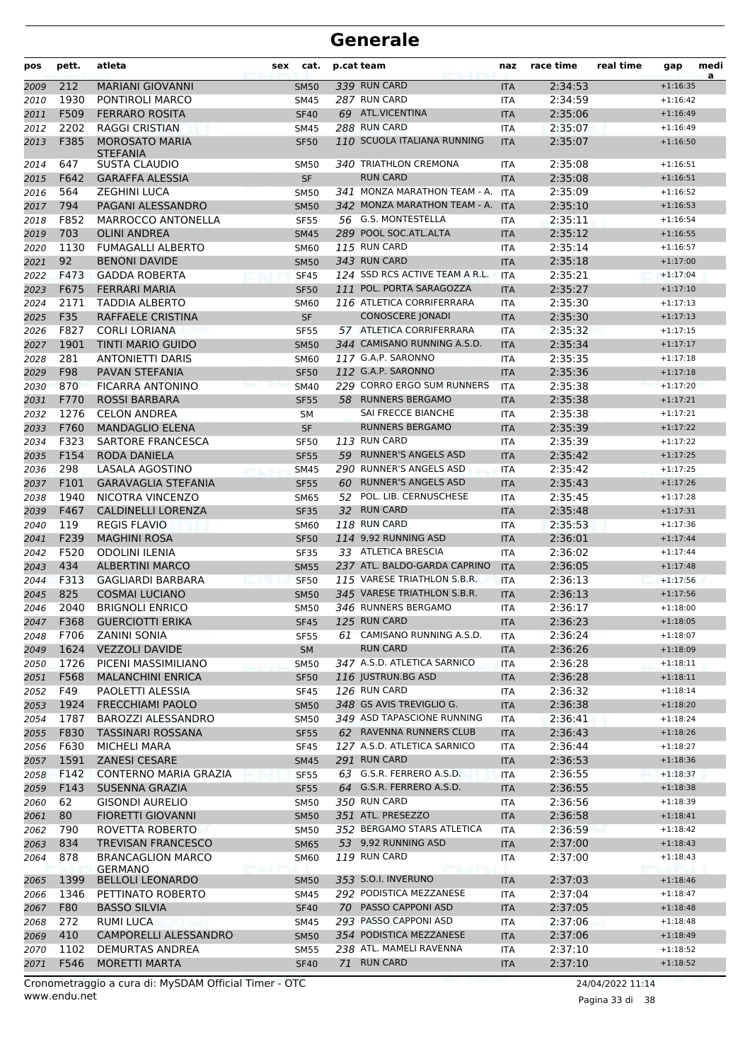| pos          | pett.        | atleta                                          | sex | cat.                       |    | p.cat team                                        | naz                      | race time          | real time | gap                      | medi<br>a |
|--------------|--------------|-------------------------------------------------|-----|----------------------------|----|---------------------------------------------------|--------------------------|--------------------|-----------|--------------------------|-----------|
| 2009         | 212          | <b>MARIANI GIOVANNI</b>                         |     | <b>SM50</b>                |    | 339 RUN CARD                                      | <b>ITA</b>               | 2:34:53            |           | $+1:16:35$               |           |
| 2010         | 1930         | PONTIROLI MARCO                                 |     | <b>SM45</b>                |    | 287 RUN CARD                                      | <b>ITA</b>               | 2:34:59            |           | $+1:16:42$               |           |
| 2011         | F509         | <b>FERRARO ROSITA</b>                           |     | <b>SF40</b>                |    | 69 ATL.VICENTINA                                  | <b>ITA</b>               | 2:35:06            |           | $+1:16:49$               |           |
| 2012         | 2202         | <b>RAGGI CRISTIAN</b>                           |     | <b>SM45</b>                |    | 288 RUN CARD                                      | <b>ITA</b>               | 2:35:07            |           | $+1:16:49$               |           |
| 2013         | F385         | <b>MOROSATO MARIA</b><br><b>STEFANIA</b>        |     | <b>SF50</b>                |    | 110 SCUOLA ITALIANA RUNNING                       | <b>ITA</b>               | 2:35:07            |           | $+1:16:50$               |           |
| 2014         | 647          | <b>SUSTA CLAUDIO</b>                            |     | <b>SM50</b>                |    | 340 TRIATHLON CREMONA                             | <b>ITA</b>               | 2:35:08            |           | $+1:16:51$               |           |
| 2015         | F642         | <b>GARAFFA ALESSIA</b>                          |     | <b>SF</b>                  |    | <b>RUN CARD</b>                                   | <b>ITA</b>               | 2:35:08            |           | $+1:16:51$               |           |
| 2016         | 564          | <b>ZEGHINI LUCA</b>                             |     | <b>SM50</b>                |    | 341 MONZA MARATHON TEAM - A.                      | <b>ITA</b>               | 2:35:09            |           | $+1:16:52$               |           |
| 2017         | 794          | PAGANI ALESSANDRO                               |     | <b>SM50</b>                |    | 342 MONZA MARATHON TEAM - A.                      | <b>ITA</b>               | 2:35:10            |           | $+1:16:53$               |           |
| 2018         | F852         | MARROCCO ANTONELLA                              |     | <b>SF55</b>                |    | 56 G.S. MONTESTELLA                               | ITA                      | 2:35:11            |           | $+1:16:54$               |           |
| 2019         | 703          | <b>OLINI ANDREA</b>                             |     | <b>SM45</b>                |    | 289 POOL SOC.ATL.ALTA                             | <b>ITA</b>               | 2:35:12            |           | $+1:16:55$               |           |
| 2020         | 1130<br>92   | <b>FUMAGALLI ALBERTO</b>                        |     | <b>SM60</b>                |    | 115 RUN CARD<br>343 RUN CARD                      | <b>ITA</b>               | 2:35:14            |           | $+1:16:57$               |           |
| 2021         | F473         | <b>BENONI DAVIDE</b><br><b>GADDA ROBERTA</b>    |     | <b>SM50</b>                |    | 124 SSD RCS ACTIVE TEAM A R.L.                    | <b>ITA</b>               | 2:35:18<br>2:35:21 |           | $+1:17:00$<br>$+1:17:04$ |           |
| 2022<br>2023 | F675         | <b>FERRARI MARIA</b>                            |     | <b>SF45</b><br><b>SF50</b> |    | 111 POL. PORTA SARAGOZZA                          | <b>ITA</b><br><b>ITA</b> | 2:35:27            |           | $+1:17:10$               |           |
| 2024         | 2171         | <b>TADDIA ALBERTO</b>                           |     | <b>SM60</b>                |    | 116 ATLETICA CORRIFERRARA                         | <b>ITA</b>               | 2:35:30            |           | $+1:17:13$               |           |
| 2025         | F35          | RAFFAELE CRISTINA                               |     | <b>SF</b>                  |    | <b>CONOSCERE JONADI</b>                           | <b>ITA</b>               | 2:35:30            |           | $+1:17:13$               |           |
| 2026         | F827         | <b>CORLI LORIANA</b>                            |     | <b>SF55</b>                |    | 57 ATLETICA CORRIFERRARA                          | <b>ITA</b>               | 2:35:32            |           | $+1:17:15$               |           |
| 2027         | 1901         | <b>TINTI MARIO GUIDO</b>                        |     | <b>SM50</b>                |    | 344 CAMISANO RUNNING A.S.D.                       | <b>ITA</b>               | 2:35:34            |           | $+1:17:17$               |           |
| 2028         | 281          | <b>ANTONIETTI DARIS</b>                         |     | <b>SM60</b>                |    | 117 G.A.P. SARONNO                                | <b>ITA</b>               | 2:35:35            |           | $+1:17:18$               |           |
| 2029         | F98          | <b>PAVAN STEFANIA</b>                           |     | <b>SF50</b>                |    | 112 G.A.P. SARONNO                                | <b>ITA</b>               | 2:35:36            |           | $+1:17:18$               |           |
| 2030         | 870          | <b>FICARRA ANTONINO</b>                         |     | <b>SM40</b>                |    | 229 CORRO ERGO SUM RUNNERS                        | <b>ITA</b>               | 2:35:38            |           | $+1:17:20$               |           |
| 2031         | F770         | <b>ROSSI BARBARA</b>                            |     | <b>SF55</b>                | 58 | <b>RUNNERS BERGAMO</b>                            | <b>ITA</b>               | 2:35:38            |           | $+1:17:21$               |           |
| 2032         | 1276         | <b>CELON ANDREA</b>                             |     | SM                         |    | SAI FRECCE BIANCHE                                | <b>ITA</b>               | 2:35:38            |           | $+1:17:21$               |           |
| 2033         | F760         | <b>MANDAGLIO ELENA</b>                          |     | <b>SF</b>                  |    | <b>RUNNERS BERGAMO</b>                            | <b>ITA</b>               | 2:35:39            |           | $+1:17:22$               |           |
| 2034         | F323         | SARTORE FRANCESCA                               |     | <b>SF50</b>                |    | 113 RUN CARD                                      | ITA                      | 2:35:39            |           | $+1:17:22$               |           |
| 2035         | F154         | RODA DANIELA                                    |     | <b>SF55</b>                |    | 59 RUNNER'S ANGELS ASD                            | <b>ITA</b>               | 2:35:42            |           | $+1:17:25$               |           |
| 2036         | 298          | LASALA AGOSTINO                                 |     | <b>SM45</b>                |    | 290 RUNNER'S ANGELS ASD                           | <b>ITA</b>               | 2:35:42            |           | $+1:17:25$               |           |
| 2037         | F101         | <b>GARAVAGLIA STEFANIA</b>                      |     | <b>SF55</b>                | 60 | <b>RUNNER'S ANGELS ASD</b>                        | <b>ITA</b>               | 2:35:43            |           | $+1:17:26$               |           |
| 2038         | 1940         | NICOTRA VINCENZO                                |     | <b>SM65</b>                | 52 | POL. LIB. CERNUSCHESE                             | <b>ITA</b>               | 2:35:45            |           | $+1:17:28$               |           |
| 2039         | F467         | CALDINELLI LORENZA                              |     | <b>SF35</b>                |    | 32 RUN CARD                                       | <b>ITA</b>               | 2:35:48            |           | $+1:17:31$               |           |
| 2040         | 119          | <b>REGIS FLAVIO</b>                             |     | <b>SM60</b>                |    | 118 RUN CARD                                      | <b>ITA</b>               | 2:35:53            |           | $+1:17:36$               |           |
| 2041         | F239<br>F520 | <b>MAGHINI ROSA</b>                             |     | <b>SF50</b>                |    | 114 9,92 RUNNING ASD<br>33 ATLETICA BRESCIA       | <b>ITA</b>               | 2:36:01<br>2:36:02 |           | $+1:17:44$               |           |
| 2042         | 434          | <b>ODOLINI ILENIA</b><br><b>ALBERTINI MARCO</b> |     | <b>SF35</b><br><b>SM55</b> |    | 237 ATL. BALDO-GARDA CAPRINO                      | <b>ITA</b><br><b>ITA</b> | 2:36:05            |           | $+1:17:44$<br>$+1:17:48$ |           |
| 2043<br>2044 | F313         | <b>GAGLIARDI BARBARA</b>                        |     | <b>SF50</b>                |    | 115 VARESE TRIATHLON S.B.R.                       | <b>ITA</b>               | 2:36:13            |           | $+1:17:56$               |           |
| 2045         | 825          | <b>COSMAI LUCIANO</b>                           |     | <b>SM50</b>                |    | 345 VARESE TRIATHLON S.B.R.                       | <b>ITA</b>               | 2:36:13            |           | $+1:17:56$               |           |
| 2046         | 2040         | <b>BRIGNOLI ENRICO</b>                          |     | <b>SM50</b>                |    | 346 RUNNERS BERGAMO                               | <b>ITA</b>               | 2:36:17            |           | $+1:18:00$               |           |
| 2047         |              | F368 GUERCIOTTI ERIKA                           |     | <b>SF45</b>                |    | 125 RUN CARD                                      | <b>ITA</b>               | 2:36:23            |           | $+1:18:05$               |           |
| 2048         | F706         | <b>ZANINI SONIA</b>                             |     | <b>SF55</b>                |    | 61 CAMISANO RUNNING A.S.D.                        | ITA.                     | 2:36:24            |           | $+1:18:07$               |           |
| 2049         | 1624         | <b>VEZZOLI DAVIDE</b>                           |     | <b>SM</b>                  |    | <b>RUN CARD</b>                                   | <b>ITA</b>               | 2:36:26            |           | $+1:18:09$               |           |
| 2050         | 1726         | PICENI MASSIMILIANO                             |     | <b>SM50</b>                |    | 347 A.S.D. ATLETICA SARNICO                       | ITA                      | 2:36:28            |           | $+1:18:11$               |           |
| 2051         | F568         | <b>MALANCHINI ENRICA</b>                        |     | <b>SF50</b>                |    | 116 JUSTRUN.BG ASD                                | <b>ITA</b>               | 2:36:28            |           | $+1:18:11$               |           |
| 2052         | F49          | PAOLETTI ALESSIA                                |     | <b>SF45</b>                |    | 126 RUN CARD                                      | ITA                      | 2:36:32            |           | $+1:18:14$               |           |
| 2053         | 1924         | <b>FRECCHIAMI PAOLO</b>                         |     | <b>SM50</b>                |    | 348 GS AVIS TREVIGLIO G.                          | <b>ITA</b>               | 2:36:38            |           | $+1:18:20$               |           |
| 2054         | 1787         | <b>BAROZZI ALESSANDRO</b>                       |     | <b>SM50</b>                |    | 349 ASD TAPASCIONE RUNNING                        | ITA                      | 2:36:41            |           | $+1:18:24$               |           |
| 2055         | F830         | <b>TASSINARI ROSSANA</b>                        |     | <b>SF55</b>                |    | 62 RAVENNA RUNNERS CLUB                           | <b>ITA</b>               | 2:36:43            |           | $+1:18:26$               |           |
| 2056         | F630         | MICHELI MARA                                    |     | <b>SF45</b>                |    | 127 A.S.D. ATLETICA SARNICO                       | ITA                      | 2:36:44            |           | $+1:18:27$               |           |
| 2057         | 1591         | <b>ZANESI CESARE</b>                            |     | <b>SM45</b>                |    | 291 RUN CARD                                      | <b>ITA</b>               | 2:36:53            |           | $+1:18:36$               |           |
| 2058         | F142         | <b>CONTERNO MARIA GRAZIA</b>                    |     | SF <sub>55</sub>           |    | 63 G.S.R. FERRERO A.S.D.                          | ITA                      | 2:36:55            |           | $+1:18:37$               |           |
| 2059         | F143         | SUSENNA GRAZIA                                  |     | <b>SF55</b>                |    | 64 G.S.R. FERRERO A.S.D.                          | <b>ITA</b>               | 2:36:55            |           | $+1:18:38$               |           |
| 2060         | 62           | <b>GISONDI AURELIO</b>                          |     | <b>SM50</b>                |    | 350 RUN CARD                                      | ITA                      | 2:36:56            |           | $+1:18:39$               |           |
| 2061         | 80           | <b>FIORETTI GIOVANNI</b>                        |     | <b>SM50</b>                |    | 351 ATL. PRESEZZO                                 | <b>ITA</b>               | 2:36:58            |           | $+1:18:41$               |           |
| 2062         | 790          | ROVETTA ROBERTO                                 |     | <b>SM50</b>                |    | 352 BERGAMO STARS ATLETICA<br>53 9,92 RUNNING ASD | ITA                      | 2:36:59            |           | $+1:18:42$               |           |
| 2063         | 834<br>878   | <b>TREVISAN FRANCESCO</b>                       |     | <b>SM65</b>                |    | <b>119 RUN CARD</b>                               | <b>ITA</b>               | 2:37:00            |           | $+1:18:43$               |           |
| 2064         |              | <b>BRANCAGLION MARCO</b><br><b>GERMANO</b>      |     | <b>SM60</b>                |    |                                                   | ITA                      | 2:37:00            |           | $+1:18:43$               |           |
| 2065         | 1399         | <b>BELLOLI LEONARDO</b>                         |     | <b>SM50</b>                |    | 353 S.O.I. INVERUNO                               | <b>ITA</b>               | 2:37:03            |           | $+1:18:46$               |           |
| 2066         | 1346         | PETTINATO ROBERTO                               |     | <b>SM45</b>                |    | 292 PODISTICA MEZZANESE                           | ITA                      | 2:37:04            |           | $+1:18:47$               |           |
| 2067         | F80          | <b>BASSO SILVIA</b>                             |     | <b>SF40</b>                |    | 70 PASSO CAPPONI ASD                              | <b>ITA</b>               | 2:37:05            |           | $+1:18:48$               |           |
| 2068         | 272          | RUMI LUCA                                       |     | <b>SM45</b>                |    | 293 PASSO CAPPONI ASD                             | ITA                      | 2:37:06            |           | $+1:18:48$               |           |
| 2069         | 410          | CAMPORELLI ALESSANDRO                           |     | <b>SM50</b>                |    | 354 PODISTICA MEZZANESE                           | <b>ITA</b>               | 2:37:06            |           | $+1:18:49$               |           |
| 2070         | 1102         | DEMURTAS ANDREA                                 |     | <b>SM55</b>                |    | 238 ATL. MAMELI RAVENNA                           | ITA                      | 2:37:10            |           | $+1:18:52$               |           |
| 2071         | F546         | <b>MORETTI MARTA</b>                            |     | <b>SF40</b>                |    | 71 RUN CARD                                       | <b>ITA</b>               | 2:37:10            |           | $+1:18:52$               |           |

www.endu.net Cronometraggio a cura di: MySDAM Official Timer - OTC 24/04/2022 11:14

Pagina 33 di 38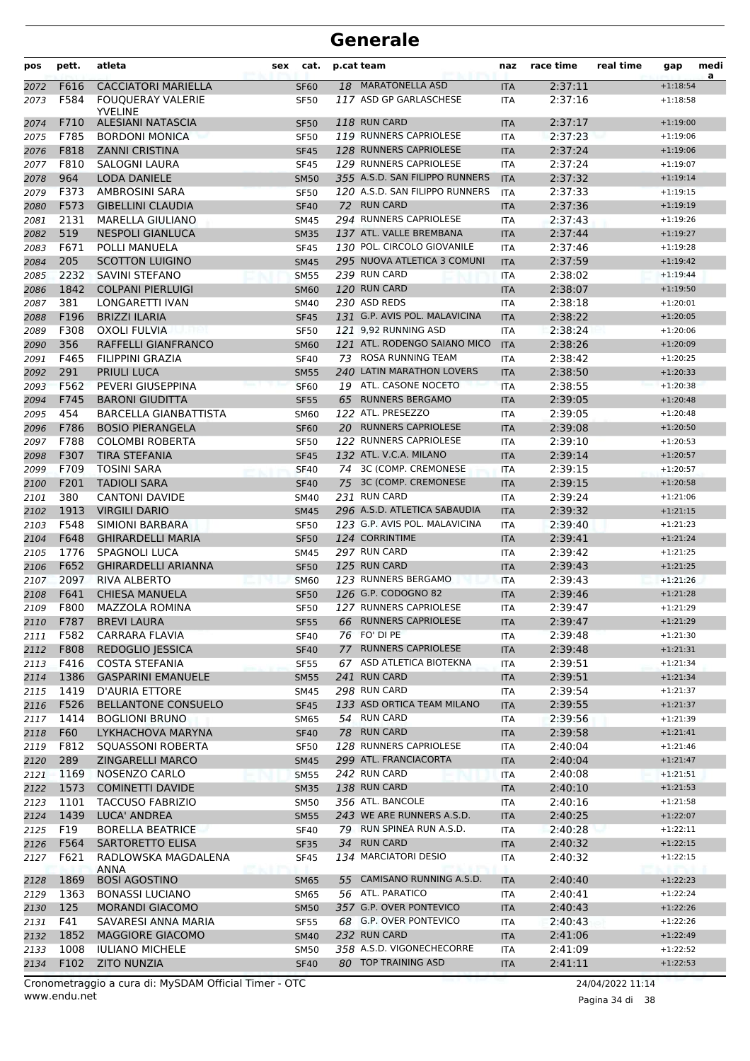| pos          | pett.        | atleta                                         | sex | cat.                       |    | p.cat team                             | naz                      | race time          | real time | gap                      | medi<br>a |
|--------------|--------------|------------------------------------------------|-----|----------------------------|----|----------------------------------------|--------------------------|--------------------|-----------|--------------------------|-----------|
| 2072         | F616         | <b>CACCIATORI MARIELLA</b>                     |     | <b>SF60</b>                | 18 | <b>MARATONELLA ASD</b>                 | <b>ITA</b>               | 2:37:11            |           | $+1:18:54$               |           |
| 2073         | F584         | <b>FOUQUERAY VALERIE</b>                       |     | <b>SF50</b>                |    | 117 ASD GP GARLASCHESE                 | <b>ITA</b>               | 2:37:16            |           | $+1:18:58$               |           |
|              |              | <b>YVELINE</b>                                 |     |                            |    |                                        |                          |                    |           |                          |           |
| 2074         | F710<br>F785 | <b>ALESIANI NATASCIA</b>                       |     | <b>SF50</b>                |    | 118 RUN CARD<br>119 RUNNERS CAPRIOLESE | <b>ITA</b>               | 2:37:17<br>2:37:23 |           | $+1:19:00$               |           |
| 2075         | F818         | <b>BORDONI MONICA</b><br><b>ZANNI CRISTINA</b> |     | <b>SF50</b>                |    | 128 RUNNERS CAPRIOLESE                 | <b>ITA</b>               | 2:37:24            |           | $+1:19:06$<br>$+1:19:06$ |           |
| 2076<br>2077 | F810         | SALOGNI LAURA                                  |     | <b>SF45</b><br><b>SF45</b> |    | 129 RUNNERS CAPRIOLESE                 | <b>ITA</b><br><b>ITA</b> | 2:37:24            |           | $+1:19:07$               |           |
| 2078         | 964          | <b>LODA DANIELE</b>                            |     | <b>SM50</b>                |    | 355 A.S.D. SAN FILIPPO RUNNERS         | <b>ITA</b>               | 2:37:32            |           | $+1:19:14$               |           |
| 2079         | F373         | AMBROSINI SARA                                 |     | <b>SF50</b>                |    | 120 A.S.D. SAN FILIPPO RUNNERS         | <b>ITA</b>               | 2:37:33            |           | $+1:19:15$               |           |
| 2080         | F573         | <b>GIBELLINI CLAUDIA</b>                       |     | <b>SF40</b>                |    | 72 RUN CARD                            | <b>ITA</b>               | 2:37:36            |           | $+1:19:19$               |           |
| 2081         | 2131         | <b>MARELLA GIULIANO</b>                        |     | <b>SM45</b>                |    | 294 RUNNERS CAPRIOLESE                 | <b>ITA</b>               | 2:37:43            |           | $+1:19:26$               |           |
| 2082         | 519          | <b>NESPOLI GIANLUCA</b>                        |     | <b>SM35</b>                |    | 137 ATL. VALLE BREMBANA                | <b>ITA</b>               | 2:37:44            |           | $+1:19:27$               |           |
| 2083         | F671         | POLLI MANUELA                                  |     | <b>SF45</b>                |    | 130 POL. CIRCOLO GIOVANILE             | <b>ITA</b>               | 2:37:46            |           | $+1:19:28$               |           |
| 2084         | 205          | <b>SCOTTON LUIGINO</b>                         |     | <b>SM45</b>                |    | 295 NUOVA ATLETICA 3 COMUNI            | <b>ITA</b>               | 2:37:59            |           | $+1:19:42$               |           |
| 2085         | 2232         | SAVINI STEFANO                                 |     | <b>SM55</b>                |    | 239 RUN CARD                           | <b>ITA</b>               | 2:38:02            |           | $+1:19:44$               |           |
| 2086         | 1842         | <b>COLPANI PIERLUIGI</b>                       |     | <b>SM60</b>                |    | 120 RUN CARD                           | <b>ITA</b>               | 2:38:07            |           | $+1:19:50$               |           |
| 2087         | 381          | LONGARETTI IVAN                                |     | SM40                       |    | 230 ASD REDS                           | <b>ITA</b>               | 2:38:18            |           | $+1:20:01$               |           |
| 2088         | F196         | <b>BRIZZI ILARIA</b>                           |     | <b>SF45</b>                |    | 131 G.P. AVIS POL. MALAVICINA          | <b>ITA</b>               | 2:38:22            |           | $+1:20:05$               |           |
| 2089         | F308         | <b>OXOLI FULVIA</b>                            |     | <b>SF50</b>                |    | 121 9,92 RUNNING ASD                   | <b>ITA</b>               | 2:38:24            |           | $+1:20:06$               |           |
| 2090         | 356          | RAFFELLI GIANFRANCO                            |     | <b>SM60</b>                |    | 121 ATL. RODENGO SAIANO MICO           | <b>ITA</b>               | 2:38:26            |           | $+1:20:09$               |           |
| 2091         | F465         | FILIPPINI GRAZIA                               |     | <b>SF40</b>                |    | 73 ROSA RUNNING TEAM                   | <b>ITA</b>               | 2:38:42            |           | $+1:20:25$               |           |
| 2092         | 291          | <b>PRIULI LUCA</b>                             |     | <b>SM55</b>                |    | 240 LATIN MARATHON LOVERS              | <b>ITA</b>               | 2:38:50            |           | $+1:20:33$               |           |
| 2093         | F562         | PEVERI GIUSEPPINA                              |     | <b>SF60</b>                |    | 19 ATL. CASONE NOCETO                  | <b>ITA</b>               | 2:38:55            |           | $+1:20:38$               |           |
| 2094         | F745         | <b>BARONI GIUDITTA</b>                         |     | <b>SF55</b>                |    | 65 RUNNERS BERGAMO                     | <b>ITA</b>               | 2:39:05            |           | $+1:20:48$               |           |
| 2095         | 454          | <b>BARCELLA GIANBATTISTA</b>                   |     | <b>SM60</b>                |    | 122 ATL. PRESEZZO                      | <b>ITA</b>               | 2:39:05            |           | $+1:20:48$               |           |
| 2096         | F786         | <b>BOSIO PIERANGELA</b>                        |     | <b>SF60</b>                |    | 20 RUNNERS CAPRIOLESE                  | <b>ITA</b>               | 2:39:08            |           | $+1:20:50$               |           |
| 2097         | F788         | <b>COLOMBI ROBERTA</b>                         |     | <b>SF50</b>                |    | 122 RUNNERS CAPRIOLESE                 | <b>ITA</b>               | 2:39:10            |           | $+1:20:53$               |           |
| 2098         | F307         | <b>TIRA STEFANIA</b>                           |     | <b>SF45</b>                |    | 132 ATL. V.C.A. MILANO                 | <b>ITA</b>               | 2:39:14            |           | $+1:20:57$               |           |
| 2099         | F709         | <b>TOSINI SARA</b>                             |     | <b>SF40</b>                |    | 74 3C (COMP. CREMONESE                 | <b>ITA</b>               | 2:39:15            |           | $+1:20:57$               |           |
| 2100         | F201         | <b>TADIOLI SARA</b>                            |     | <b>SF40</b>                |    | 75 3C (COMP. CREMONESE                 | <b>ITA</b>               | 2:39:15            |           | $+1:20:58$               |           |
| 2101         | 380          | <b>CANTONI DAVIDE</b>                          |     | SM40                       |    | 231 RUN CARD                           | <b>ITA</b>               | 2:39:24            |           | $+1:21:06$               |           |
| 2102         | 1913         | <b>VIRGILI DARIO</b>                           |     | <b>SM45</b>                |    | 296 A.S.D. ATLETICA SABAUDIA           | <b>ITA</b>               | 2:39:32            |           | $+1:21:15$               |           |
| 2103         | F548         | SIMIONI BARBARA                                |     | <b>SF50</b>                |    | 123 G.P. AVIS POL. MALAVICINA          | <b>ITA</b>               | 2:39:40            |           | $+1:21:23$               |           |
| 2104         | F648         | <b>GHIRARDELLI MARIA</b>                       |     | <b>SF50</b>                |    | 124 CORRINTIME                         | <b>ITA</b>               | 2:39:41            |           | $+1:21:24$               |           |
| 2105         | 1776         | <b>SPAGNOLI LUCA</b>                           |     | SM45                       |    | 297 RUN CARD                           | <b>ITA</b>               | 2:39:42            |           | $+1:21:25$               |           |
| 2106         | F652         | <b>GHIRARDELLI ARIANNA</b>                     |     | <b>SF50</b>                |    | 125 RUN CARD                           | <b>ITA</b>               | 2:39:43            |           | $+1:21:25$               |           |
| 2107         | 2097         | <b>RIVA ALBERTO</b>                            |     | <b>SM60</b>                |    | 123 RUNNERS BERGAMO                    | <b>ITA</b>               | 2:39:43            |           | $+1:21:26$               |           |
| 2108         | F641         | <b>CHIESA MANUELA</b>                          |     | <b>SF50</b>                |    | 126 G.P. CODOGNO 82                    | <b>ITA</b>               | 2:39:46            |           | $+1:21:28$               |           |
| 2109         | F800         | <b>MAZZOLA ROMINA</b>                          |     | <b>SF50</b>                |    | 127 RUNNERS CAPRIOLESE                 | <b>ITA</b>               | 2:39:47            |           | $+1:21:29$               |           |
| 2110         | F787         | <b>BREVI LAURA</b>                             |     | <b>SF55</b>                |    | 66 RUNNERS CAPRIOLESE                  | <b>ITA</b>               | 2:39:47            |           | $+1:21:29$               |           |
| 2111         | F582         | <b>CARRARA FLAVIA</b>                          |     | <b>SF40</b>                |    | 76 FO' DI PE                           | ITA                      | 2:39:48            |           | $+1:21:30$               |           |
| 2112         | F808         | <b>REDOGLIO JESSICA</b>                        |     | <b>SF40</b>                |    | 77 RUNNERS CAPRIOLESE                  | <b>ITA</b>               | 2:39:48            |           | $+1:21:31$               |           |
| 2113         | F416         | <b>COSTA STEFANIA</b>                          |     | <b>SF55</b>                |    | 67 ASD ATLETICA BIOTEKNA               | ITA                      | 2:39:51            |           | $+1:21:34$               |           |
| 2114         | 1386         | <b>GASPARINI EMANUELE</b>                      |     | <b>SM55</b>                |    | 241 RUN CARD                           | <b>ITA</b>               | 2:39:51            |           | $+1:21:34$               |           |
| 2115         | 1419         | D'AURIA ETTORE                                 |     | <b>SM45</b>                |    | 298 RUN CARD                           | ITA                      | 2:39:54            |           | $+1:21:37$               |           |
| 2116         | F526         | <b>BELLANTONE CONSUELO</b>                     |     | <b>SF45</b>                |    | 133 ASD ORTICA TEAM MILANO             | <b>ITA</b>               | 2:39:55            |           | $+1:21:37$               |           |
| 2117         | 1414         | <b>BOGLIONI BRUNO</b>                          |     | SM65                       |    | 54 RUN CARD                            | ITA                      | 2:39:56            |           | $+1:21:39$               |           |
| 2118         | F60          | LYKHACHOVA MARYNA                              |     | <b>SF40</b>                |    | 78 RUN CARD                            | <b>ITA</b>               | 2:39:58            |           | $+1:21:41$               |           |
| 2119         | F812         | <b>SQUASSONI ROBERTA</b>                       |     | <b>SF50</b>                |    | 128 RUNNERS CAPRIOLESE                 | ITA                      | 2:40:04            |           | $+1:21:46$               |           |
| 2120         | 289          | <b>ZINGARELLI MARCO</b>                        |     | <b>SM45</b>                |    | 299 ATL. FRANCIACORTA                  | <b>ITA</b>               | 2:40:04            |           | $+1:21:47$               |           |
| 2121         | 1169         | NOSENZO CARLO                                  |     | <b>SM55</b>                |    | 242 RUN CARD                           | ITA                      | 2:40:08            |           | $+1:21:51$               |           |
| 2122         | 1573         | <b>COMINETTI DAVIDE</b>                        |     | <b>SM35</b>                |    | 138 RUN CARD                           | <b>ITA</b>               | 2:40:10            |           | $+1:21:53$               |           |
| 2123         | 1101         | <b>TACCUSO FABRIZIO</b>                        |     | <b>SM50</b>                |    | 356 ATL. BANCOLE                       | ITA                      | 2:40:16            |           | $+1:21:58$               |           |
| 2124         | 1439         | LUCA' ANDREA                                   |     | <b>SM55</b>                |    | 243 WE ARE RUNNERS A.S.D.              | <b>ITA</b>               | 2:40:25            |           | $+1:22:07$               |           |
| 2125         | F19          | <b>BORELLA BEATRICE</b>                        |     | <b>SF40</b>                |    | 79 RUN SPINEA RUN A.S.D.               | ITA                      | 2:40:28            |           | $+1:22:11$               |           |
| 2126         | F564<br>F621 | SARTORETTO ELISA                               |     | <b>SF35</b>                |    | 34 RUN CARD<br>134 MARCIATORI DESIO    | <b>ITA</b>               | 2:40:32            |           | $+1:22:15$               |           |
| 2127         |              | RADLOWSKA MAGDALENA<br><b>ANNA</b>             |     | <b>SF45</b>                |    |                                        | ITA                      | 2:40:32            |           | $+1:22:15$               |           |
| 2128         | 1869         | <b>BOSI AGOSTINO</b>                           |     | <b>SM65</b>                | 55 | CAMISANO RUNNING A.S.D.                | <b>ITA</b>               | 2:40:40            |           | $+1:22:23$               |           |
| 2129         | 1363         | <b>BONASSI LUCIANO</b>                         |     | SM65                       |    | 56 ATL. PARATICO                       | ITA                      | 2:40:41            |           | $+1:22:24$               |           |
| 2130         | 125          | <b>MORANDI GIACOMO</b>                         |     | <b>SM50</b>                |    | 357 G.P. OVER PONTEVICO                | <b>ITA</b>               | 2:40:43            |           | $+1:22:26$               |           |
| 2131         | F41          | SAVARESI ANNA MARIA                            |     | SF55                       |    | 68 G.P. OVER PONTEVICO                 | ITA                      | 2:40:43            |           | $+1:22:26$               |           |
| 2132         | 1852         | <b>MAGGIORE GIACOMO</b>                        |     | <b>SM40</b>                |    | 232 RUN CARD                           | <b>ITA</b>               | 2:41:06            |           | $+1:22:49$               |           |
| 2133         | 1008         | <b>IULIANO MICHELE</b>                         |     | <b>SM50</b>                |    | 358 A.S.D. VIGONECHECORRE              | ITA                      | 2:41:09            |           | $+1:22:52$               |           |
| 2134         | F102         | <b>ZITO NUNZIA</b>                             |     | <b>SF40</b>                |    | 80 TOP TRAINING ASD                    | <b>ITA</b>               | 2:41:11            |           | $+1:22:53$               |           |

www.endu.net Cronometraggio a cura di: MySDAM Official Timer - OTC 24/04/2022 11:14

Pagina 34 di 38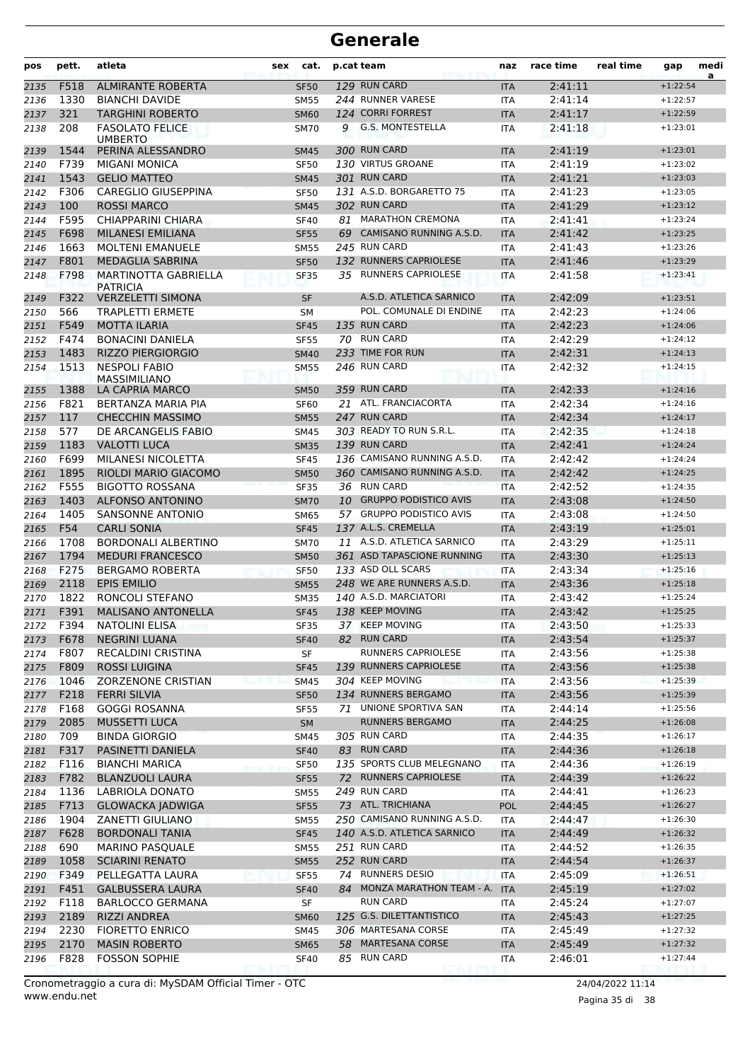| pos          | pett.        | atleta                                                  | sex | cat.                       |    | p.cat team                       | naz                      | race time          | real time | gap                      | medi<br>a |
|--------------|--------------|---------------------------------------------------------|-----|----------------------------|----|----------------------------------|--------------------------|--------------------|-----------|--------------------------|-----------|
| 2135         | F518         | <b>ALMIRANTE ROBERTA</b>                                |     | <b>SF50</b>                |    | 129 RUN CARD                     | <b>ITA</b>               | 2:41:11            |           | $+1:22:54$               |           |
| 2136         | 1330         | <b>BIANCHI DAVIDE</b>                                   |     | <b>SM55</b>                |    | 244 RUNNER VARESE                | ITA                      | 2:41:14            |           | $+1:22:57$               |           |
| 2137         | 321          | <b>TARGHINI ROBERTO</b>                                 |     | <b>SM60</b>                |    | 124 CORRI FORREST                | <b>ITA</b>               | 2:41:17            |           | $+1:22:59$               |           |
| 2138         | 208          | <b>FASOLATO FELICE</b><br><b>UMBERTO</b>                |     | <b>SM70</b>                | 9  | <b>G.S. MONTESTELLA</b>          | <b>ITA</b>               | 2:41:18            |           | $+1:23:01$               |           |
| 2139         | 1544         | PERINA ALESSANDRO                                       |     | <b>SM45</b>                |    | 300 RUN CARD                     | <b>ITA</b>               | 2:41:19            |           | $+1:23:01$               |           |
| 2140         | F739         | <b>MIGANI MONICA</b>                                    |     | <b>SF50</b>                |    | 130 VIRTUS GROANE                | ITA                      | 2:41:19            |           | $+1:23:02$               |           |
| 2141         | 1543         | <b>GELIO MATTEO</b>                                     |     | <b>SM45</b>                |    | 301 RUN CARD                     | <b>ITA</b>               | 2:41:21            |           | $+1:23:03$               |           |
| 2142         | F306         | CAREGLIO GIUSEPPINA                                     |     | <b>SF50</b>                |    | 131 A.S.D. BORGARETTO 75         | <b>ITA</b>               | 2:41:23            |           | $+1:23:05$               |           |
| 2143         | 100          | <b>ROSSI MARCO</b>                                      |     | <b>SM45</b>                |    | 302 RUN CARD                     | <b>ITA</b>               | 2:41:29            |           | $+1:23:12$               |           |
| 2144         | F595         | CHIAPPARINI CHIARA                                      |     | <b>SF40</b>                |    | 81 MARATHON CREMONA              | <b>ITA</b>               | 2:41:41            |           | $+1:23:24$               |           |
| 2145         | F698         | <b>MILANESI EMILIANA</b>                                |     | <b>SF55</b>                |    | 69 CAMISANO RUNNING A.S.D.       | <b>ITA</b>               | 2:41:42            |           | $+1:23:25$               |           |
| 2146         | 1663         | <b>MOLTENI EMANUELE</b>                                 |     | <b>SM55</b>                |    | 245 RUN CARD                     | ITA                      | 2:41:43            |           | $+1:23:26$               |           |
| 2147         | F801         | MEDAGLIA SABRINA                                        |     | <b>SF50</b>                |    | 132 RUNNERS CAPRIOLESE           | <b>ITA</b>               | 2:41:46            |           | $+1:23:29$               |           |
| 2148         | F798         | MARTINOTTA GABRIELLA<br><b>PATRICIA</b>                 |     | <b>SF35</b>                |    | 35 RUNNERS CAPRIOLESE            | <b>ITA</b>               | 2:41:58            |           | $+1:23:41$               |           |
| 2149         | F322         | <b>VERZELETTI SIMONA</b>                                |     | <b>SF</b>                  |    | A.S.D. ATLETICA SARNICO          | <b>ITA</b>               | 2:42:09            |           | $+1:23:51$               |           |
| 2150         | 566          | <b>TRAPLETTI ERMETE</b>                                 |     | SМ                         |    | POL. COMUNALE DI ENDINE          | <b>ITA</b>               | 2:42:23            |           | $+1:24:06$               |           |
| 2151         | F549         | <b>MOTTA ILARIA</b>                                     |     | <b>SF45</b>                |    | 135 RUN CARD                     | <b>ITA</b>               | 2:42:23            |           | $+1:24:06$               |           |
| 2152         | F474         | <b>BONACINI DANIELA</b>                                 |     | <b>SF55</b>                |    | 70 RUN CARD                      | <b>ITA</b>               | 2:42:29            |           | $+1:24:12$               |           |
| 2153         | 1483         | <b>RIZZO PIERGIORGIO</b>                                |     | <b>SM40</b>                |    | 233 TIME FOR RUN<br>246 RUN CARD | <b>ITA</b>               | 2:42:31            |           | $+1:24:13$               |           |
| 2154         | 1513<br>1388 | <b>NESPOLI FABIO</b><br>MASSIMILIANO<br>LA CAPRIA MARCO |     | <b>SM55</b>                |    | 359 RUN CARD                     | <b>ITA</b><br><b>ITA</b> | 2:42:32<br>2:42:33 |           | $+1:24:15$<br>$+1:24:16$ |           |
| 2155<br>2156 | F821         | BERTANZA MARIA PIA                                      |     | <b>SM50</b><br><b>SF60</b> |    | 21 ATL. FRANCIACORTA             | <b>ITA</b>               | 2:42:34            |           | $+1:24:16$               |           |
| 2157         | 117          | <b>CHECCHIN MASSIMO</b>                                 |     | <b>SM55</b>                |    | 247 RUN CARD                     | <b>ITA</b>               | 2:42:34            |           | $+1:24:17$               |           |
| 2158         | 577          | DE ARCANGELIS FABIO                                     |     | <b>SM45</b>                |    | 303 READY TO RUN S.R.L.          | <b>ITA</b>               | 2:42:35            |           | $+1:24:18$               |           |
| 2159         | 1183         | <b>VALOTTI LUCA</b>                                     |     | <b>SM35</b>                |    | 139 RUN CARD                     | <b>ITA</b>               | 2:42:41            |           | $+1:24:24$               |           |
| 2160         | F699         | MILANESI NICOLETTA                                      |     | <b>SF45</b>                |    | 136 CAMISANO RUNNING A.S.D.      | ITA                      | 2:42:42            |           | $+1:24:24$               |           |
| 2161         | 1895         | RIOLDI MARIO GIACOMO                                    |     | <b>SM50</b>                |    | 360 CAMISANO RUNNING A.S.D.      | <b>ITA</b>               | 2:42:42            |           | $+1:24:25$               |           |
| 2162         | F555         | <b>BIGOTTO ROSSANA</b>                                  |     | <b>SF35</b>                |    | 36 RUN CARD                      | <b>ITA</b>               | 2:42:52            |           | $+1:24:35$               |           |
| 2163         | 1403         | <b>ALFONSO ANTONINO</b>                                 |     | <b>SM70</b>                | 10 | <b>GRUPPO PODISTICO AVIS</b>     | <b>ITA</b>               | 2:43:08            |           | $+1:24:50$               |           |
| 2164         | 1405         | <b>SANSONNE ANTONIO</b>                                 |     | <b>SM65</b>                |    | 57 GRUPPO PODISTICO AVIS         | <b>ITA</b>               | 2:43:08            |           | $+1:24:50$               |           |
| 2165         | F54          | <b>CARLI SONIA</b>                                      |     | <b>SF45</b>                |    | 137 A.L.S. CREMELLA              | <b>ITA</b>               | 2:43:19            |           | $+1:25:01$               |           |
| 2166         | 1708         | <b>BORDONALI ALBERTINO</b>                              |     | <b>SM70</b>                |    | 11 A.S.D. ATLETICA SARNICO       | ITA                      | 2:43:29            |           | $+1:25:11$               |           |
| 2167         | 1794         | <b>MEDURI FRANCESCO</b>                                 |     | <b>SM50</b>                |    | 361 ASD TAPASCIONE RUNNING       | <b>ITA</b>               | 2:43:30            |           | $+1:25:13$               |           |
| 2168         | F275         | <b>BERGAMO ROBERTA</b>                                  |     | <b>SF50</b>                |    | 133 ASD OLL SCARS                | <b>ITA</b>               | 2:43:34            |           | $+1:25:16$               |           |
| 2169         | 2118         | <b>EPIS EMILIO</b>                                      |     | <b>SM55</b>                |    | 248 WE ARE RUNNERS A.S.D.        | <b>ITA</b>               | 2:43:36            |           | $+1:25:18$               |           |
| 2170         | 1822         | RONCOLI STEFANO                                         |     | <b>SM35</b>                |    | 140 A.S.D. MARCIATORI            | <b>ITA</b>               | 2:43:42            |           | $+1:25:24$               |           |
| 2171         | F391         | <b>MALISANO ANTONELLA</b>                               |     | <b>SF45</b>                |    | 138 KEEP MOVING                  | <b>ITA</b>               | 2:43:42            |           | $+1:25:25$               |           |
| 2172         | F394         | <b>NATOLINI ELISA</b>                                   |     | <b>SF35</b>                |    | 37 KEEP MOVING                   | ITA                      | 2:43:50            |           | $+1:25:33$               |           |
| 2173         | F678         | <b>NEGRINI LUANA</b>                                    |     | <b>SF40</b>                | 82 | <b>RUN CARD</b>                  | <b>ITA</b>               | 2:43:54            |           | $+1:25:37$               |           |
| 2174         | F807         | <b>RECALDINI CRISTINA</b>                               |     | SF                         |    | RUNNERS CAPRIOLESE               | ITA                      | 2:43:56            |           | $+1:25:38$               |           |
| 2175         | F809         | <b>ROSSI LUIGINA</b>                                    |     | <b>SF45</b>                |    | 139 RUNNERS CAPRIOLESE           | <b>ITA</b>               | 2:43:56            |           | $+1:25:38$               |           |
| 2176         | 1046         | <b>ZORZENONE CRISTIAN</b>                               |     | <b>SM45</b>                |    | 304 KEEP MOVING                  | <b>ITA</b>               | 2:43:56            |           | $+1:25:39$               |           |
| 2177         | F218         | <b>FERRI SILVIA</b>                                     |     | <b>SF50</b>                |    | 134 RUNNERS BERGAMO              | <b>ITA</b>               | 2:43:56            |           | $+1:25:39$               |           |
| 2178         | F168         | <b>GOGGI ROSANNA</b>                                    |     | SF55                       | 71 | UNIONE SPORTIVA SAN              | ITA                      | 2:44:14            |           | $+1:25:56$               |           |
| 2179         | 2085         | <b>MUSSETTI LUCA</b>                                    |     | SM                         |    | RUNNERS BERGAMO                  | <b>ITA</b>               | 2:44:25            |           | $+1:26:08$               |           |
| 2180         | 709<br>F317  | <b>BINDA GIORGIO</b><br>PASINETTI DANIELA               |     | SM45                       |    | 305 RUN CARD<br>83 RUN CARD      | ITA                      | 2:44:35            |           | $+1:26:17$<br>$+1:26:18$ |           |
| 2181         |              |                                                         |     | <b>SF40</b>                |    | 135 SPORTS CLUB MELEGNANO        | <b>ITA</b>               | 2:44:36            |           | $+1:26:19$               |           |
| 2182<br>2183 | F116<br>F782 | <b>BIANCHI MARICA</b><br><b>BLANZUOLI LAURA</b>         |     | <b>SF50</b>                |    | 72 RUNNERS CAPRIOLESE            | ITA                      | 2:44:36<br>2:44:39 |           | $+1:26:22$               |           |
| 2184         | 1136         | LABRIOLA DONATO                                         |     | <b>SF55</b><br><b>SM55</b> |    | 249 RUN CARD                     | <b>ITA</b><br>ITA        | 2:44:41            |           | $+1:26:23$               |           |
| 2185         | F713         | <b>GLOWACKA JADWIGA</b>                                 |     | <b>SF55</b>                |    | 73 ATL. TRICHIANA                | POL                      | 2:44:45            |           | $+1:26:27$               |           |
| 2186         | 1904         | ZANETTI GIULIANO                                        |     | <b>SM55</b>                |    | 250 CAMISANO RUNNING A.S.D.      | ITA                      | 2:44:47            |           | $+1:26:30$               |           |
| 2187         | F628         | <b>BORDONALI TANIA</b>                                  |     | <b>SF45</b>                |    | 140 A.S.D. ATLETICA SARNICO      | <b>ITA</b>               | 2:44:49            |           | $+1:26:32$               |           |
| 2188         | 690          | <b>MARINO PASQUALE</b>                                  |     | <b>SM55</b>                |    | 251 RUN CARD                     | ITA                      | 2:44:52            |           | $+1:26:35$               |           |
| 2189         | 1058         | <b>SCIARINI RENATO</b>                                  |     | <b>SM55</b>                |    | 252 RUN CARD                     | <b>ITA</b>               | 2:44:54            |           | $+1:26:37$               |           |
| 2190         | F349         | PELLEGATTA LAURA                                        |     | <b>SF55</b>                |    | 74 RUNNERS DESIO                 | <b>ITA</b>               | 2:45:09            |           | $+1:26:51$               |           |
| 2191         | F451         | <b>GALBUSSERA LAURA</b>                                 |     | <b>SF40</b>                | 84 | MONZA MARATHON TEAM - A.         | <b>ITA</b>               | 2:45:19            |           | $+1:27:02$               |           |
| 2192         | F118         | <b>BARLOCCO GERMANA</b>                                 |     | SF                         |    | <b>RUN CARD</b>                  | ITA                      | 2:45:24            |           | $+1:27:07$               |           |
| 2193         | 2189         | RIZZI ANDREA                                            |     | <b>SM60</b>                |    | 125 G.S. DILETTANTISTICO         | <b>ITA</b>               | 2:45:43            |           | $+1:27:25$               |           |
| 2194         | 2230         | <b>FIORETTO ENRICO</b>                                  |     | SM45                       |    | 306 MARTESANA CORSE              | ITA                      | 2:45:49            |           | $+1:27:32$               |           |
| 2195         | 2170         | <b>MASIN ROBERTO</b>                                    |     | <b>SM65</b>                |    | 58 MARTESANA CORSE               | <b>ITA</b>               | 2:45:49            |           | $+1:27:32$               |           |
| 2196         | F828         | <b>FOSSON SOPHIE</b>                                    |     | <b>SF40</b>                |    | 85 RUN CARD                      | ITA                      | 2:46:01            |           | $+1:27:44$               |           |
|              |              |                                                         |     |                            |    |                                  |                          |                    |           |                          |           |

www.endu.net Cronometraggio a cura di: MySDAM Official Timer - OTC 24/04/2022 11:14

Pagina 35 di 38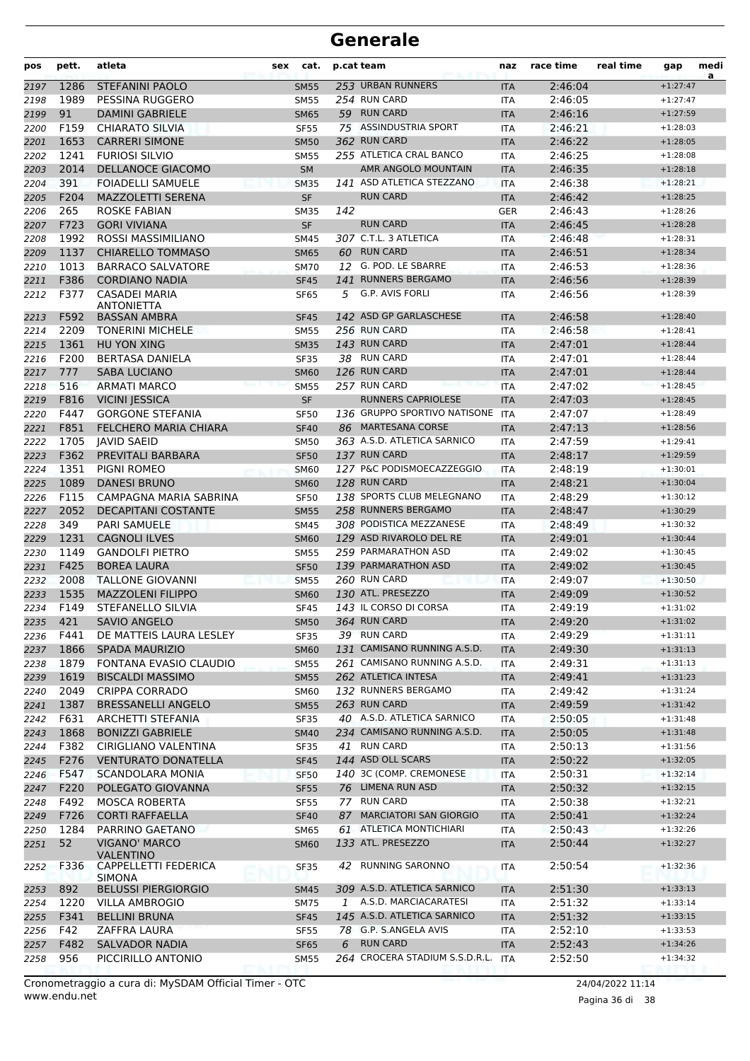| pos  | pett. | atleta                                   | sex | cat.        |     | p.cat team                     | naz        | race time | real time | gap        | medi |
|------|-------|------------------------------------------|-----|-------------|-----|--------------------------------|------------|-----------|-----------|------------|------|
| 2197 | 1286  | <b>STEFANINI PAOLO</b>                   |     | <b>SM55</b> |     | 253 URBAN RUNNERS              | <b>ITA</b> | 2:46:04   |           | $+1:27:47$ | a    |
| 2198 | 1989  | PESSINA RUGGERO                          |     | <b>SM55</b> |     | 254 RUN CARD                   | <b>ITA</b> | 2:46:05   |           | $+1:27:47$ |      |
| 2199 | 91    | <b>DAMINI GABRIELE</b>                   |     | <b>SM65</b> |     | 59 RUN CARD                    | <b>ITA</b> | 2:46:16   |           | $+1:27:59$ |      |
| 2200 | F159  | <b>CHIARATO SILVIA</b>                   |     | <b>SF55</b> |     | 75 ASSINDUSTRIA SPORT          | <b>ITA</b> | 2:46:21   |           | $+1:28:03$ |      |
| 2201 | 1653  | <b>CARRERI SIMONE</b>                    |     | <b>SM50</b> |     | 362 RUN CARD                   | <b>ITA</b> | 2:46:22   |           | $+1:28:05$ |      |
| 2202 | 1241  | <b>FURIOSI SILVIO</b>                    |     | <b>SM55</b> |     | 255 ATLETICA CRAL BANCO        | <b>ITA</b> | 2:46:25   |           | $+1:28:08$ |      |
| 2203 | 2014  | <b>DELLANOCE GIACOMO</b>                 |     | <b>SM</b>   |     | AMR ANGOLO MOUNTAIN            | <b>ITA</b> | 2:46:35   |           | $+1:28:18$ |      |
| 2204 | 391   | <b>FOIADELLI SAMUELE</b>                 |     | <b>SM35</b> |     | 141 ASD ATLETICA STEZZANO      | <b>ITA</b> | 2:46:38   |           | $+1:28:21$ |      |
| 2205 | F204  | <b>MAZZOLETTI SERENA</b>                 |     | <b>SF</b>   |     | <b>RUN CARD</b>                | <b>ITA</b> | 2:46:42   |           | $+1:28:25$ |      |
| 2206 | 265   | <b>ROSKE FABIAN</b>                      |     | <b>SM35</b> | 142 |                                | GER        | 2:46:43   |           | $+1:28:26$ |      |
| 2207 | F723  | <b>GORI VIVIANA</b>                      |     | <b>SF</b>   |     | <b>RUN CARD</b>                | <b>ITA</b> | 2:46:45   |           | $+1:28:28$ |      |
| 2208 | 1992  | ROSSI MASSIMILIANO                       |     | <b>SM45</b> |     | 307 C.T.L. 3 ATLETICA          | <b>ITA</b> | 2:46:48   |           | $+1:28:31$ |      |
| 2209 | 1137  | <b>CHIARELLO TOMMASO</b>                 |     | <b>SM65</b> |     | 60 RUN CARD                    | <b>ITA</b> | 2:46:51   |           | $+1:28:34$ |      |
| 2210 | 1013  | <b>BARRACO SALVATORE</b>                 |     | <b>SM70</b> |     | 12 G. POD. LE SBARRE           | <b>ITA</b> | 2:46:53   |           | $+1:28:36$ |      |
| 2211 | F386  | <b>CORDIANO NADIA</b>                    |     | <b>SF45</b> |     | 141 RUNNERS BERGAMO            | <b>ITA</b> | 2:46:56   |           | $+1:28:39$ |      |
| 2212 | F377  | <b>CASADEI MARIA</b>                     |     | <b>SF65</b> | 5   | G.P. AVIS FORLI                | <b>ITA</b> | 2:46:56   |           | $+1:28:39$ |      |
|      |       | <b>ANTONIETTA</b>                        |     |             |     |                                |            |           |           |            |      |
| 2213 | F592  | <b>BASSAN AMBRA</b>                      |     | <b>SF45</b> |     | 142 ASD GP GARLASCHESE         | <b>ITA</b> | 2:46:58   |           | $+1:28:40$ |      |
| 2214 | 2209  | <b>TONERINI MICHELE</b>                  |     | <b>SM55</b> |     | 256 RUN CARD                   | ITA        | 2:46:58   |           | $+1:28:41$ |      |
| 2215 | 1361  | HU YON XING                              |     | <b>SM35</b> |     | 143 RUN CARD                   | <b>ITA</b> | 2:47:01   |           | $+1:28:44$ |      |
| 2216 | F200  | <b>BERTASA DANIELA</b>                   |     | <b>SF35</b> |     | 38 RUN CARD                    | <b>ITA</b> | 2:47:01   |           | $+1:28:44$ |      |
| 2217 | 777   | <b>SABA LUCIANO</b>                      |     | <b>SM60</b> |     | 126 RUN CARD                   | <b>ITA</b> | 2:47:01   |           | $+1:28:44$ |      |
| 2218 | 516   | <b>ARMATI MARCO</b>                      |     | <b>SM55</b> |     | 257 RUN CARD                   | <b>ITA</b> | 2:47:02   |           | $+1:28:45$ |      |
| 2219 | F816  | <b>VICINI JESSICA</b>                    |     | <b>SF</b>   |     | <b>RUNNERS CAPRIOLESE</b>      | <b>ITA</b> | 2:47:03   |           | $+1:28:45$ |      |
| 2220 | F447  | <b>GORGONE STEFANIA</b>                  |     | <b>SF50</b> |     | 136 GRUPPO SPORTIVO NATISONE   | <b>ITA</b> | 2:47:07   |           | $+1:28:49$ |      |
| 2221 | F851  | FELCHERO MARIA CHIARA                    |     | <b>SF40</b> |     | 86 MARTESANA CORSE             | <b>ITA</b> | 2:47:13   |           | $+1:28:56$ |      |
| 2222 | 1705  | <b>JAVID SAEID</b>                       |     | <b>SM50</b> |     | 363 A.S.D. ATLETICA SARNICO    | <b>ITA</b> | 2:47:59   |           | $+1:29:41$ |      |
| 2223 | F362  | PREVITALI BARBARA                        |     | <b>SF50</b> |     | 137 RUN CARD                   | <b>ITA</b> | 2:48:17   |           | $+1:29:59$ |      |
| 2224 | 1351  | PIGNI ROMEO                              |     | <b>SM60</b> |     | 127 P&C PODISMOECAZZEGGIO      | ITA        | 2:48:19   |           | $+1:30:01$ |      |
| 2225 | 1089  | <b>DANESI BRUNO</b>                      |     | <b>SM60</b> |     | 128 RUN CARD                   | <b>ITA</b> | 2:48:21   |           | $+1:30:04$ |      |
| 2226 | F115  | CAMPAGNA MARIA SABRINA                   |     | <b>SF50</b> |     | 138 SPORTS CLUB MELEGNANO      | ITA        | 2:48:29   |           | $+1:30:12$ |      |
| 2227 | 2052  | <b>DECAPITANI COSTANTE</b>               |     | <b>SM55</b> |     | 258 RUNNERS BERGAMO            | <b>ITA</b> | 2:48:47   |           | $+1:30:29$ |      |
| 2228 | 349   | <b>PARI SAMUELE</b>                      |     | SM45        |     | 308 PODISTICA MEZZANESE        | <b>ITA</b> | 2:48:49   |           | $+1:30:32$ |      |
| 2229 | 1231  | <b>CAGNOLI ILVES</b>                     |     | <b>SM60</b> |     | 129 ASD RIVAROLO DEL RE        | <b>ITA</b> | 2:49:01   |           | $+1:30:44$ |      |
| 2230 | 1149  | <b>GANDOLFI PIETRO</b>                   |     | <b>SM55</b> |     | 259 PARMARATHON ASD            | <b>ITA</b> | 2:49:02   |           | $+1:30:45$ |      |
| 2231 | F425  | <b>BOREA LAURA</b>                       |     | <b>SF50</b> |     | 139 PARMARATHON ASD            | <b>ITA</b> | 2:49:02   |           | $+1:30:45$ |      |
| 2232 | 2008  | <b>TALLONE GIOVANNI</b>                  |     | <b>SM55</b> |     | 260 RUN CARD                   | ITA        | 2:49:07   |           | $+1:30:50$ |      |
| 2233 | 1535  | <b>MAZZOLENI FILIPPO</b>                 |     | <b>SM60</b> |     | 130 ATL. PRESEZZO              | <b>ITA</b> | 2:49:09   |           | $+1:30:52$ |      |
| 2234 | F149  | STEFANELLO SILVIA                        |     | <b>SF45</b> |     | 143 IL CORSO DI CORSA          | <b>ITA</b> | 2:49:19   |           | $+1:31:02$ |      |
| 2235 | 421   | <b>SAVIO ANGELO</b>                      |     | SM50        |     | 364 RUN CARD                   | ITA        | 2:49:20   |           | $+1:31:02$ |      |
| 2236 | F441  | DE MATTEIS LAURA LESLEY                  |     | <b>SF35</b> |     | 39 RUN CARD                    | ITA        | 2:49:29   |           | $+1:31:11$ |      |
| 2237 | 1866  | <b>SPADA MAURIZIO</b>                    |     | <b>SM60</b> |     | 131 CAMISANO RUNNING A.S.D.    | <b>ITA</b> | 2:49:30   |           | $+1:31:13$ |      |
| 2238 | 1879  | FONTANA EVASIO CLAUDIO                   |     | <b>SM55</b> |     | 261 CAMISANO RUNNING A.S.D.    | <b>ITA</b> | 2:49:31   |           | $+1:31:13$ |      |
| 2239 | 1619  | <b>BISCALDI MASSIMO</b>                  |     | <b>SM55</b> |     | 262 ATLETICA INTESA            | <b>ITA</b> | 2:49:41   |           | $+1:31:23$ |      |
| 2240 | 2049  | <b>CRIPPA CORRADO</b>                    |     | <b>SM60</b> |     | 132 RUNNERS BERGAMO            | ITA        | 2:49:42   |           | $+1:31:24$ |      |
| 2241 | 1387  | <b>BRESSANELLI ANGELO</b>                |     | <b>SM55</b> |     | 263 RUN CARD                   | <b>ITA</b> | 2:49:59   |           | $+1:31:42$ |      |
| 2242 | F631  | <b>ARCHETTI STEFANIA</b>                 |     | <b>SF35</b> |     | 40 A.S.D. ATLETICA SARNICO     | <b>ITA</b> | 2:50:05   |           | $+1:31:48$ |      |
| 2243 | 1868  | <b>BONIZZI GABRIELE</b>                  |     | <b>SM40</b> |     | 234 CAMISANO RUNNING A.S.D.    | <b>ITA</b> | 2:50:05   |           | $+1:31:48$ |      |
| 2244 | F382  | CIRIGLIANO VALENTINA                     |     | <b>SF35</b> |     | 41 RUN CARD                    | ITA        | 2:50:13   |           | $+1:31:56$ |      |
| 2245 | F276  | <b>VENTURATO DONATELLA</b>               |     | <b>SF45</b> |     | 144 ASD OLL SCARS              | <b>ITA</b> | 2:50:22   |           | $+1:32:05$ |      |
| 2246 | F547  | <b>SCANDOLARA MONIA</b>                  |     | <b>SF50</b> |     | 140 3C (COMP. CREMONESE        | ITA        | 2:50:31   |           | $+1:32:14$ |      |
| 2247 | F220  | POLEGATO GIOVANNA                        |     | <b>SF55</b> |     | 76 LIMENA RUN ASD              | <b>ITA</b> | 2:50:32   |           | $+1:32:15$ |      |
| 2248 | F492  | <b>MOSCA ROBERTA</b>                     |     | <b>SF55</b> |     | 77 RUN CARD                    | ITA        | 2:50:38   |           | $+1:32:21$ |      |
| 2249 | F726  | <b>CORTI RAFFAELLA</b>                   |     | <b>SF40</b> |     | 87 MARCIATORI SAN GIORGIO      | <b>ITA</b> | 2:50:41   |           | $+1:32:24$ |      |
| 2250 | 1284  | PARRINO GAETANO                          |     | SM65        |     | 61 ATLETICA MONTICHIARI        | ITA        | 2:50:43   |           | $+1:32:26$ |      |
| 2251 | 52    | <b>VIGANO' MARCO</b><br><b>VALENTINO</b> |     | <b>SM60</b> |     | 133 ATL. PRESEZZO              | <b>ITA</b> | 2:50:44   |           | $+1:32:27$ |      |
| 2252 | F336  | CAPPELLETTI FEDERICA<br><b>SIMONA</b>    |     | <b>SF35</b> |     | 42 RUNNING SARONNO             | <b>ITA</b> | 2:50:54   |           | $+1:32:36$ |      |
| 2253 | 892   | <b>BELUSSI PIERGIORGIO</b>               |     | <b>SM45</b> |     | 309 A.S.D. ATLETICA SARNICO    | <b>ITA</b> | 2:51:30   |           | $+1:33:13$ |      |
| 2254 | 1220  | VILLA AMBROGIO                           |     | SM75        |     | 1 A.S.D. MARCIACARATESI        | ITA        | 2:51:32   |           | $+1:33:14$ |      |
| 2255 | F341  | <b>BELLINI BRUNA</b>                     |     | <b>SF45</b> |     | 145 A.S.D. ATLETICA SARNICO    | <b>ITA</b> | 2:51:32   |           | $+1:33:15$ |      |
| 2256 | F42   | ZAFFRA LAURA                             |     | <b>SF55</b> |     | 78 G.P. S.ANGELA AVIS          | ITA        | 2:52:10   |           | $+1:33:53$ |      |
| 2257 | F482  | <b>SALVADOR NADIA</b>                    |     | <b>SF65</b> | 6   | <b>RUN CARD</b>                | <b>ITA</b> | 2:52:43   |           | $+1:34:26$ |      |
| 2258 | 956   | PICCIRILLO ANTONIO                       |     | <b>SM55</b> |     | 264 CROCERA STADIUM S.S.D.R.L. | <b>ITA</b> | 2:52:50   |           | $+1:34:32$ |      |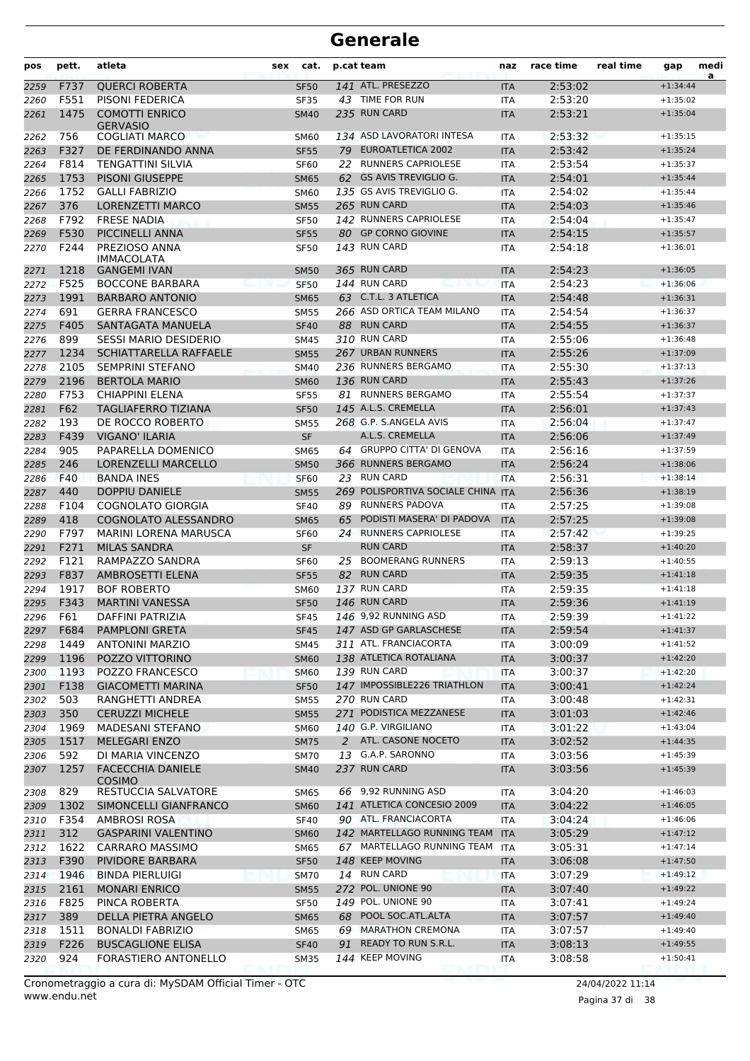| pos          | pett.      | atleta                                    | sex | cat.                       | p.cat team |                                                   | naz                      | race time          | real time | gap                      | medi |
|--------------|------------|-------------------------------------------|-----|----------------------------|------------|---------------------------------------------------|--------------------------|--------------------|-----------|--------------------------|------|
| 2259         | F737       | <b>OUERCI ROBERTA</b>                     |     | <b>SF50</b>                |            | 141 ATL. PRESEZZO                                 | <b>ITA</b>               | 2:53:02            |           | $+1:34:44$               | a    |
| 2260         | F551       | <b>PISONI FEDERICA</b>                    |     | <b>SF35</b>                |            | 43 TIME FOR RUN                                   | <b>ITA</b>               | 2:53:20            |           | $+1:35:02$               |      |
| 2261         | 1475       | <b>COMOTTI ENRICO</b><br><b>GERVASIO</b>  |     | <b>SM40</b>                |            | 235 RUN CARD                                      | <b>ITA</b>               | 2:53:21            |           | $+1:35:04$               |      |
| 2262         | 756        | <b>COGLIATI MARCO</b>                     |     | <b>SM60</b>                |            | 134 ASD LAVORATORI INTESA                         | ITA                      | 2:53:32            |           | $+1:35:15$               |      |
| 2263         | F327       | DE FERDINANDO ANNA                        |     | <b>SF55</b>                |            | 79 EUROATLETICA 2002                              | <b>ITA</b>               | 2:53:42            |           | $+1:35:24$               |      |
| 2264         | F814       | <b>TENGATTINI SILVIA</b>                  |     | <b>SF60</b>                | 22         | <b>RUNNERS CAPRIOLESE</b>                         | <b>ITA</b>               | 2:53:54            |           | $+1:35:37$               |      |
| 2265         | 1753       | <b>PISONI GIUSEPPE</b>                    |     | <b>SM65</b>                | 62         | <b>GS AVIS TREVIGLIO G.</b>                       | <b>ITA</b>               | 2:54:01            |           | $+1:35:44$               |      |
| 2266         | 1752       | <b>GALLI FABRIZIO</b>                     |     | <b>SM60</b>                |            | 135 GS AVIS TREVIGLIO G.                          | <b>ITA</b>               | 2:54:02            |           | $+1:35:44$               |      |
| 2267         | 376        | <b>LORENZETTI MARCO</b>                   |     | <b>SM55</b>                |            | 265 RUN CARD                                      | <b>ITA</b>               | 2:54:03            |           | $+1:35:46$               |      |
| 2268         | F792       | <b>FRESE NADIA</b>                        |     | <b>SF50</b>                |            | 142 RUNNERS CAPRIOLESE                            | <b>ITA</b>               | 2:54:04            |           | $+1:35:47$               |      |
| 2269         | F530       | <b>PICCINELLI ANNA</b>                    |     | <b>SF55</b>                |            | 80 GP CORNO GIOVINE                               | <b>ITA</b>               | 2:54:15            |           | $+1:35:57$               |      |
| 2270         | F244       | PREZIOSO ANNA<br>IMMACOLATA               |     | <b>SF50</b>                |            | 143 RUN CARD                                      | <b>ITA</b>               | 2:54:18            |           | $+1:36:01$               |      |
| 2271         | 1218       | <b>GANGEMI IVAN</b>                       |     | <b>SM50</b>                |            | 365 RUN CARD                                      | <b>ITA</b>               | 2:54:23            |           | $+1:36:05$               |      |
| 2272         | F525       | <b>BOCCONE BARBARA</b>                    |     | <b>SF50</b>                |            | <b>144 RUN CARD</b>                               | <b>ITA</b>               | 2:54:23            |           | $+1:36:06$               |      |
| 2273         | 1991       | <b>BARBARO ANTONIO</b>                    |     | <b>SM65</b>                |            | 63 C.T.L. 3 ATLETICA                              | <b>ITA</b>               | 2:54:48            |           | $+1:36:31$               |      |
| 2274         | 691        | <b>GERRA FRANCESCO</b>                    |     | <b>SM55</b>                |            | 266 ASD ORTICA TEAM MILANO                        | <b>ITA</b>               | 2:54:54            |           | $+1:36:37$               |      |
| 2275         | F405       | SANTAGATA MANUELA                         |     | <b>SF40</b>                | 88         | <b>RUN CARD</b>                                   | <b>ITA</b>               | 2:54:55            |           | $+1:36:37$               |      |
| 2276         | 899        | SESSI MARIO DESIDERIO                     |     | <b>SM45</b>                |            | 310 RUN CARD                                      | <b>ITA</b>               | 2:55:06            |           | $+1:36:48$               |      |
| 2277         | 1234       | <b>SCHIATTARELLA RAFFAELE</b>             |     | <b>SM55</b>                |            | 267 URBAN RUNNERS                                 | <b>ITA</b>               | 2:55:26            |           | $+1:37:09$               |      |
| 2278         | 2105       | <b>SEMPRINI STEFANO</b>                   |     | <b>SM40</b>                |            | 236 RUNNERS BERGAMO                               | <b>ITA</b>               | 2:55:30            |           | $+1:37:13$               |      |
| 2279         | 2196       | <b>BERTOLA MARIO</b>                      |     | <b>SM60</b>                |            | 136 RUN CARD                                      | <b>ITA</b>               | 2:55:43            |           | $+1:37:26$               |      |
| 2280         | F753       | <b>CHIAPPINI ELENA</b>                    |     | <b>SF55</b>                |            | 81 RUNNERS BERGAMO                                | <b>ITA</b>               | 2:55:54            |           | $+1:37:37$               |      |
| 2281         | F62        | TAGLIAFERRO TIZIANA                       |     | <b>SF50</b>                |            | 145 A.L.S. CREMELLA                               | <b>ITA</b>               | 2:56:01            |           | $+1:37:43$               |      |
| 2282         | 193        | DE ROCCO ROBERTO                          |     | <b>SM55</b>                |            | 268 G.P. S.ANGELA AVIS                            | <b>ITA</b>               | 2:56:04            |           | $+1:37:47$               |      |
| 2283         | F439       | <b>VIGANO' ILARIA</b>                     |     | <b>SF</b>                  |            | A.L.S. CREMELLA<br><b>GRUPPO CITTA' DI GENOVA</b> | <b>ITA</b>               | 2:56:06            |           | $+1:37:49$               |      |
| 2284         | 905        | PAPARELLA DOMENICO                        |     | <b>SM65</b>                | 64         | 366 RUNNERS BERGAMO                               | <b>ITA</b>               | 2:56:16<br>2:56:24 |           | $+1:37:59$<br>$+1:38:06$ |      |
| 2285<br>2286 | 246<br>F40 | LORENZELLI MARCELLO<br><b>BANDA INES</b>  |     | <b>SM50</b><br><b>SF60</b> |            | 23 RUN CARD                                       | <b>ITA</b><br><b>ITA</b> | 2:56:31            |           | $+1:38:14$               |      |
| 2287         | 440        | <b>DOPPIU DANIELE</b>                     |     |                            |            | 269 POLISPORTIVA SOCIALE CHINA ITA                |                          | 2:56:36            |           | $+1:38:19$               |      |
| 2288         | F104       | COGNOLATO GIORGIA                         |     | <b>SM55</b><br><b>SF40</b> |            | 89 RUNNERS PADOVA                                 | <b>ITA</b>               | 2:57:25            |           | $+1:39:08$               |      |
| 2289         | 418        | COGNOLATO ALESSANDRO                      |     | <b>SM65</b>                | 65         | PODISTI MASERA' DI PADOVA                         | <b>ITA</b>               | 2:57:25            |           | $+1:39:08$               |      |
| 2290         | F797       | <b>MARINI LORENA MARUSCA</b>              |     | <b>SF60</b>                | 24         | <b>RUNNERS CAPRIOLESE</b>                         | <b>ITA</b>               | 2:57:42            |           | $+1:39:25$               |      |
| 2291         | F271       | <b>MILAS SANDRA</b>                       |     | <b>SF</b>                  |            | <b>RUN CARD</b>                                   | <b>ITA</b>               | 2:58:37            |           | $+1:40:20$               |      |
| 2292         | F121       | RAMPAZZO SANDRA                           |     | <b>SF60</b>                | 25         | <b>BOOMERANG RUNNERS</b>                          | <b>ITA</b>               | 2:59:13            |           | $+1:40:55$               |      |
| 2293         | F837       | <b>AMBROSETTI ELENA</b>                   |     | <b>SF55</b>                | 82         | <b>RUN CARD</b>                                   | <b>ITA</b>               | 2:59:35            |           | $+1:41:18$               |      |
| 2294         | 1917       | <b>BOF ROBERTO</b>                        |     | <b>SM60</b>                |            | 137 RUN CARD                                      | <b>ITA</b>               | 2:59:35            |           | $+1:41:18$               |      |
| 2295         | F343       | <b>MARTINI VANESSA</b>                    |     | <b>SF50</b>                |            | 146 RUN CARD                                      | <b>ITA</b>               | 2:59:36            |           | $+1:41:19$               |      |
| 2296         | F61        | <b>DAFFINI PATRIZIA</b>                   |     | <b>SF45</b>                |            | 146 9,92 RUNNING ASD                              | <b>ITA</b>               | 2:59:39            |           | $+1:41:22$               |      |
| 2297         | F684       | PAMPLONI GRETA                            |     | SF45                       |            | 147 ASD GP GARLASCHESE                            | <b>ITA</b>               | 2:59:54            |           | $+1:41:37$               |      |
| 2298         | 1449       | <b>ANTONINI MARZIO</b>                    |     | <b>SM45</b>                |            | 311 ATL. FRANCIACORTA                             | ITA                      | 3:00:09            |           | $+1:41:52$               |      |
| 2299         | 1196       | POZZO VITTORINO                           |     | <b>SM60</b>                |            | 138 ATLETICA ROTALIANA                            | <b>ITA</b>               | 3:00:37            |           | $+1:42:20$               |      |
| 2300         | 1193       | POZZO FRANCESCO                           |     | <b>SM60</b>                |            | 139 RUN CARD                                      | ITA                      | 3:00:37            |           | $+1:42:20$               |      |
| 2301         | F138       | <b>GIACOMETTI MARINA</b>                  |     | <b>SF50</b>                |            | 147 IMPOSSIBLE226 TRIATHLON                       | <b>ITA</b>               | 3:00:41            |           | $+1:42:24$               |      |
| 2302         | 503        | RANGHETTI ANDREA                          |     | <b>SM55</b>                |            | 270 RUN CARD                                      | ITA                      | 3:00:48            |           | $+1:42:31$               |      |
| 2303         | 350        | <b>CERUZZI MICHELE</b>                    |     | <b>SM55</b>                |            | 271 PODISTICA MEZZANESE                           | <b>ITA</b>               | 3:01:03            |           | $+1:42:46$               |      |
| 2304         | 1969       | MADESANI STEFANO                          |     | <b>SM60</b>                |            | 140 G.P. VIRGILIANO                               | ITA                      | 3:01:22            |           | $+1:43:04$               |      |
| 2305         | 1517       | <b>MELEGARI ENZO</b>                      |     | <b>SM75</b>                |            | 2 ATL. CASONE NOCETO                              | <b>ITA</b>               | 3:02:52            |           | $+1:44:35$               |      |
| 2306         | 592        | DI MARIA VINCENZO                         |     | <b>SM70</b>                |            | 13 G.A.P. SARONNO                                 | ITA                      | 3:03:56            |           | $+1:45:39$               |      |
| 2307         | 1257       | <b>FACECCHIA DANIELE</b><br><b>COSIMO</b> |     | <b>SM40</b>                |            | 237 RUN CARD                                      | <b>ITA</b>               | 3:03:56            |           | $+1:45:39$               |      |
| 2308         | 829        | RESTUCCIA SALVATORE                       |     | SM65                       |            | 66 9,92 RUNNING ASD                               | ITA                      | 3:04:20            |           | $+1:46:03$               |      |
| 2309         | 1302       | SIMONCELLI GIANFRANCO                     |     | <b>SM60</b>                |            | 141 ATLETICA CONCESIO 2009                        | <b>ITA</b>               | 3:04:22            |           | $+1:46:05$               |      |
| 2310         | F354       | AMBROSI ROSA                              |     | <b>SF40</b>                |            | 90 ATL. FRANCIACORTA                              | ITA                      | 3:04:24            |           | $+1:46:06$               |      |
| 2311         | 312        | GASPARINI VALENTINO                       |     | <b>SM60</b>                |            | 142 MARTELLAGO RUNNING TEAM                       | <b>ITA</b>               | 3:05:29            |           | $+1:47:12$               |      |
| 2312         | 1622       | CARRARO MASSIMO                           |     | SM65                       |            | 67 MARTELLAGO RUNNING TEAM                        | <b>ITA</b>               | 3:05:31            |           | $+1:47:14$               |      |
| 2313         | F390       | PIVIDORE BARBARA                          |     | <b>SF50</b>                |            | 148 KEEP MOVING                                   | <b>ITA</b>               | 3:06:08            |           | $+1:47:50$               |      |
| 2314         | 1946       | <b>BINDA PIERLUIGI</b>                    |     | <b>SM70</b>                |            | 14 RUN CARD                                       | ITA                      | 3:07:29            |           | $+1:49:12$               |      |
| 2315         | 2161       | <b>MONARI ENRICO</b>                      |     | <b>SM55</b>                |            | 272 POL. UNIONE 90                                | <b>ITA</b>               | 3:07:40            |           | $+1:49:22$               |      |
| 2316         | F825       | PINCA ROBERTA                             |     | <b>SF50</b>                |            | 149 POL. UNIONE 90                                | ITA                      | 3:07:41            |           | $+1:49:24$               |      |
| 2317         | 389        | DELLA PIETRA ANGELO                       |     | <b>SM65</b>                |            | 68 POOL SOC.ATL.ALTA                              | <b>ITA</b>               | 3:07:57            |           | $+1:49:40$               |      |
| 2318         | 1511       | <b>BONALDI FABRIZIO</b>                   |     | SM65                       |            | 69 MARATHON CREMONA                               | ITA                      | 3:07:57            |           | $+1:49:40$               |      |
| 2319         | F226       | <b>BUSCAGLIONE ELISA</b>                  |     | <b>SF40</b>                |            | 91 READY TO RUN S.R.L.                            | <b>ITA</b>               | 3:08:13            |           | $+1:49:55$               |      |
| 2320         | 924        | FORASTIERO ANTONELLO                      |     | <b>SM35</b>                |            | 144 KEEP MOVING                                   | ITA                      | 3:08:58            |           | $+1:50:41$               |      |

Pagina 37 di 38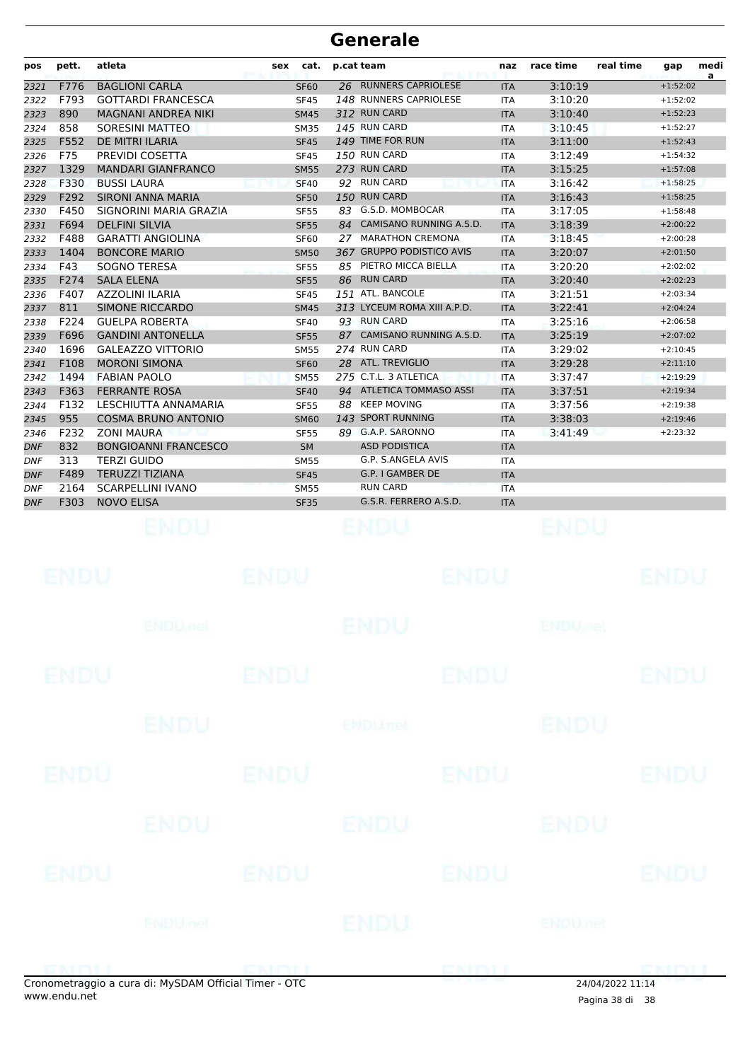| pos        | pett. | atleta                      | sex         | cat. | p.cat team                  | naz        | race time      | real time | gap        | medi<br>a |
|------------|-------|-----------------------------|-------------|------|-----------------------------|------------|----------------|-----------|------------|-----------|
| 2321       | F776  | <b>BAGLIONI CARLA</b>       | <b>SF60</b> |      | 26 RUNNERS CAPRIOLESE       | <b>ITA</b> | 3:10:19        |           | $+1:52:02$ |           |
| 2322       | F793  | <b>GOTTARDI FRANCESCA</b>   | <b>SF45</b> |      | 148 RUNNERS CAPRIOLESE      | <b>ITA</b> | 3:10:20        |           | $+1:52:02$ |           |
| 2323       | 890   | <b>MAGNANI ANDREA NIKI</b>  | <b>SM45</b> |      | 312 RUN CARD                | <b>ITA</b> | 3:10:40        |           | $+1:52:23$ |           |
| 2324       | 858   | <b>SORESINI MATTEO</b>      | <b>SM35</b> |      | 145 RUN CARD                | <b>ITA</b> | 3:10:45        |           | $+1:52:27$ |           |
| 2325       | F552  | DE MITRI ILARIA             | <b>SF45</b> |      | 149 TIME FOR RUN            | <b>ITA</b> | 3:11:00        |           | $+1:52:43$ |           |
| 2326       | F75   | PREVIDI COSETTA             | <b>SF45</b> |      | 150 RUN CARD                | <b>ITA</b> | 3:12:49        |           | $+1:54:32$ |           |
| 2327       | 1329  | <b>MANDARI GIANFRANCO</b>   | <b>SM55</b> |      | 273 RUN CARD                | <b>ITA</b> | 3:15:25        |           | $+1:57:08$ |           |
| 2328       | F330  | <b>BUSSI LAURA</b>          | <b>SF40</b> |      | 92 RUN CARD                 | <b>ITA</b> | 3:16:42        |           | $+1:58:25$ |           |
| 2329       | F292  | <b>SIRONI ANNA MARIA</b>    | <b>SF50</b> |      | 150 RUN CARD                | <b>ITA</b> | 3:16:43        |           | $+1:58:25$ |           |
| 2330       | F450  | SIGNORINI MARIA GRAZIA      | <b>SF55</b> |      | 83 G.S.D. MOMBOCAR          | <b>ITA</b> | 3:17:05        |           | $+1:58:48$ |           |
| 2331       | F694  | <b>DELFINI SILVIA</b>       | <b>SF55</b> | 84   | CAMISANO RUNNING A.S.D.     | <b>ITA</b> | 3:18:39        |           | $+2:00:22$ |           |
| 2332       | F488  | <b>GARATTI ANGIOLINA</b>    | <b>SF60</b> |      | 27 MARATHON CREMONA         | <b>ITA</b> | 3:18:45        |           | $+2:00:28$ |           |
| 2333       | 1404  | <b>BONCORE MARIO</b>        | <b>SM50</b> |      | 367 GRUPPO PODISTICO AVIS   | <b>ITA</b> | 3:20:07        |           | $+2:01:50$ |           |
| 2334       | F43   | SOGNO TERESA                | <b>SF55</b> |      | 85 PIETRO MICCA BIELLA      | <b>ITA</b> | 3:20:20        |           | $+2:02:02$ |           |
| 2335       | F274  | <b>SALA ELENA</b>           | <b>SF55</b> |      | 86 RUN CARD                 | <b>ITA</b> | 3:20:40        |           | $+2:02:23$ |           |
| 2336       | F407  | AZZOLINI ILARIA             | <b>SF45</b> |      | 151 ATL. BANCOLE            | <b>ITA</b> | 3:21:51        |           | $+2:03:34$ |           |
| 2337       | 811   | <b>SIMONE RICCARDO</b>      | <b>SM45</b> |      | 313 LYCEUM ROMA XIII A.P.D. | <b>ITA</b> | 3:22:41        |           | $+2:04:24$ |           |
| 2338       | F224  | <b>GUELPA ROBERTA</b>       | <b>SF40</b> |      | 93 RUN CARD                 | <b>ITA</b> | 3:25:16        |           | $+2:06:58$ |           |
| 2339       | F696  | <b>GANDINI ANTONELLA</b>    | <b>SF55</b> |      | 87 CAMISANO RUNNING A.S.D.  | <b>ITA</b> | 3:25:19        |           | $+2:07:02$ |           |
| 2340       | 1696  | <b>GALEAZZO VITTORIO</b>    | <b>SM55</b> |      | 274 RUN CARD                | <b>ITA</b> | 3:29:02        |           | $+2:10:45$ |           |
| 2341       | F108  | <b>MORONI SIMONA</b>        | <b>SF60</b> |      | 28 ATL. TREVIGLIO           | <b>ITA</b> | 3:29:28        |           | $+2:11:10$ |           |
| 2342       | 1494  | <b>FABIAN PAOLO</b>         | <b>SM55</b> |      | 275 C.T.L. 3 ATLETICA       | <b>ITA</b> | 3:37:47        |           | $+2:19:29$ |           |
| 2343       | F363  | <b>FERRANTE ROSA</b>        | <b>SF40</b> |      | 94 ATLETICA TOMMASO ASSI    | <b>ITA</b> | 3:37:51        |           | $+2:19:34$ |           |
| 2344       | F132  | LESCHIUTTA ANNAMARIA        | <b>SF55</b> |      | 88 KEEP MOVING              | <b>ITA</b> | 3:37:56        |           | $+2:19:38$ |           |
| 2345       | 955   | <b>COSMA BRUNO ANTONIO</b>  | <b>SM60</b> |      | 143 SPORT RUNNING           | <b>ITA</b> | 3:38:03        |           | $+2:19:46$ |           |
| 2346       | F232  | <b>ZONI MAURA</b>           | <b>SF55</b> |      | 89 G.A.P. SARONNO           | <b>ITA</b> | 3:41:49        |           | $+2:23:32$ |           |
| <b>DNF</b> | 832   | <b>BONGIOANNI FRANCESCO</b> | <b>SM</b>   |      | <b>ASD PODISTICA</b>        | <b>ITA</b> |                |           |            |           |
| <b>DNF</b> | 313   | <b>TERZI GUIDO</b>          | <b>SM55</b> |      | G.P. S.ANGELA AVIS          | <b>ITA</b> |                |           |            |           |
| DNF        | F489  | <b>TERUZZI TIZIANA</b>      | <b>SF45</b> |      | G.P. I GAMBER DE            | <b>ITA</b> |                |           |            |           |
| <b>DNF</b> | 2164  | <b>SCARPELLINI IVANO</b>    | <b>SM55</b> |      | <b>RUN CARD</b>             | <b>ITA</b> |                |           |            |           |
| <b>DNF</b> | F303  | <b>NOVO ELISA</b>           | <b>SF35</b> |      | G.S.R. FERRERO A.S.D.       | <b>ITA</b> |                |           |            |           |
|            |       | ENDU                        |             |      |                             |            | ENDU           |           |            |           |
|            | ENDU  |                             | ENDU        |      | ENDU                        |            |                |           | ENDU       |           |
|            |       | <b>ENDUMBL</b>              |             |      | ENDU                        |            | <b>ENDUMBI</b> |           |            |           |
|            |       |                             | 'NNI        |      | ENDI                        |            |                |           | 'NITYI     |           |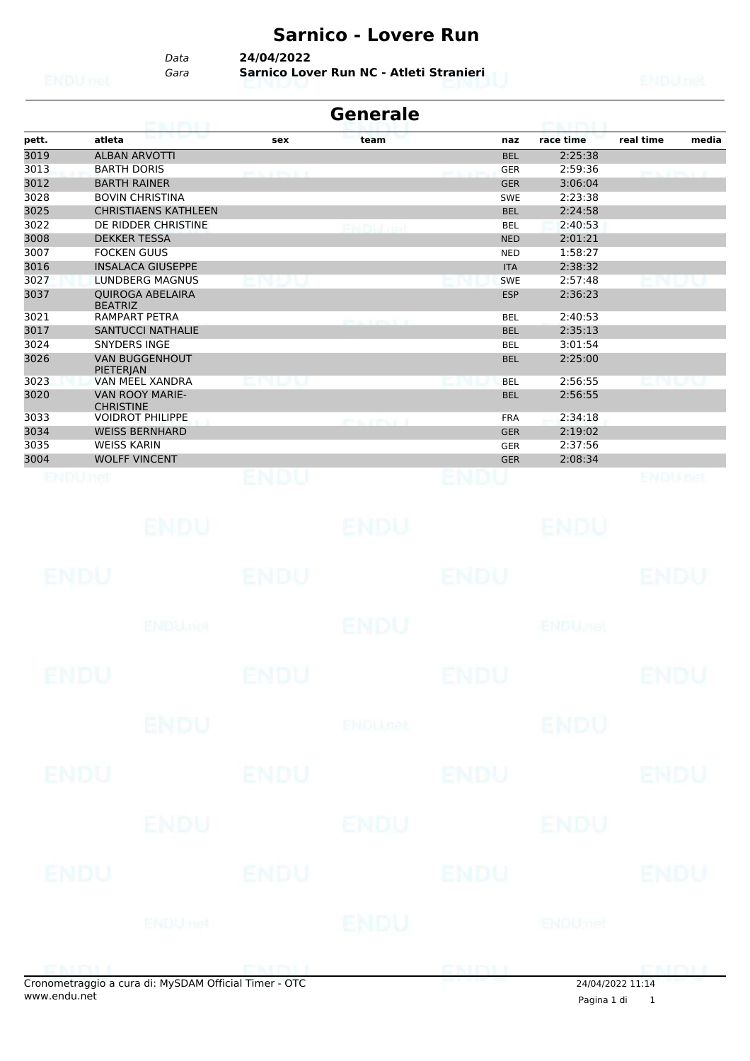# **Sarnico - Lovere Run**

*Data* **24/04/2022**

*Gara* **Sarnico Lover Run NC - Atleti Stranieri**

|       | CAIRNET                                               |                  | <b>Generale</b>  |             | <b>PEACH PACIFIC</b>      |                    |
|-------|-------------------------------------------------------|------------------|------------------|-------------|---------------------------|--------------------|
| pett. | atleta                                                | sex              | team             | naz         | race time                 | real time<br>media |
| 3019  | <b>ALBAN ARVOTTI</b>                                  |                  |                  | <b>BEL</b>  | 2:25:38                   |                    |
| 3013  | <b>BARTH DORIS</b>                                    | <b>PERMITTED</b> |                  | <b>GER</b>  | 2:59:36                   | <b>PERMIT R</b>    |
| 3012  | <b>BARTH RAINER</b>                                   |                  |                  | <b>GER</b>  | 3:06:04                   |                    |
| 3028  | <b>BOVIN CHRISTINA</b>                                |                  |                  | <b>SWE</b>  | 2:23:38                   |                    |
| 3025  | <b>CHRISTIAENS KATHLEEN</b>                           |                  |                  | <b>BEL</b>  | 2:24:58                   |                    |
| 3022  | DE RIDDER CHRISTINE                                   |                  | PNPULFA          | <b>BEL</b>  | 2:40:53                   |                    |
| 3008  | <b>DEKKER TESSA</b>                                   |                  |                  | <b>NED</b>  | 2:01:21                   |                    |
| 3007  | <b>FOCKEN GUUS</b>                                    |                  |                  | <b>NED</b>  | 1:58:27                   |                    |
| 3016  | <b>INSALACA GIUSEPPE</b>                              |                  |                  | <b>ITA</b>  | 2:38:32                   |                    |
| 3027  | <b>LUNDBERG MAGNUS</b>                                |                  |                  | <b>SWE</b>  | 2:57:48                   |                    |
| 3037  | <b>QUIROGA ABELAIRA</b><br><b>BEATRIZ</b>             |                  |                  | <b>ESP</b>  | 2:36:23                   |                    |
| 3021  | <b>RAMPART PETRA</b>                                  |                  |                  | <b>BEL</b>  | 2:40:53                   |                    |
| 3017  | <b>SANTUCCI NATHALIE</b>                              |                  |                  | <b>BEL</b>  | 2:35:13                   |                    |
| 3024  | <b>SNYDERS INGE</b>                                   |                  |                  | <b>BEL</b>  | 3:01:54                   |                    |
| 3026  | <b>VAN BUGGENHOUT</b>                                 |                  |                  | <b>BEL</b>  | 2:25:00                   |                    |
| 3023  | PIETERJAN<br>VAN MEEL XANDRA                          | 9.L/N            |                  | <b>BEL</b>  | 2:56:55                   |                    |
| 3020  | <b>VAN ROOY MARIE-</b><br><b>CHRISTINE</b>            |                  |                  | <b>BEL</b>  | 2:56:55                   |                    |
| 3033  | <b>VOIDROT PHILIPPE</b>                               |                  | <b>PORTAGE A</b> | <b>FRA</b>  | 2:34:18                   |                    |
| 3034  | <b>WEISS BERNHARD</b>                                 |                  |                  | <b>GER</b>  | 2:19:02                   |                    |
| 3035  | <b>WEISS KARIN</b>                                    |                  |                  | <b>GER</b>  | 2:37:56                   |                    |
| 3004  | <b>WOLFF VINCENT</b>                                  |                  |                  | <b>GER</b>  | 2:08:34                   |                    |
|       | ENDLINGI                                              | ENDU             |                  | ENDU        |                           | ENDUnet            |
|       |                                                       |                  |                  |             |                           |                    |
|       |                                                       |                  |                  |             |                           |                    |
|       | ENDU.                                                 |                  | ENDU             |             | ENDU                      |                    |
|       | ENDU                                                  | ENDU             |                  | ENDU        |                           | ENDU               |
|       |                                                       |                  |                  |             |                           |                    |
|       |                                                       |                  |                  |             |                           |                    |
|       | <b>ENDU net</b>                                       |                  | ENDU             |             | <b>ENDU<sub>met</sub></b> |                    |
|       |                                                       |                  |                  |             |                           |                    |
|       |                                                       |                  |                  |             |                           |                    |
|       | ENDU                                                  | ENDU             |                  | ENDU        |                           | ENDU               |
|       |                                                       |                  |                  |             |                           |                    |
|       | <b>ENDU</b>                                           |                  | <b>ENDUnet</b>   |             | <b>ENDU</b>               |                    |
|       |                                                       |                  |                  |             |                           |                    |
|       |                                                       |                  |                  |             |                           |                    |
|       | <b>ENDU</b>                                           | <b>ENDU</b>      |                  | <b>ENDU</b> |                           | ENDU               |
|       |                                                       |                  |                  |             |                           |                    |
|       | ENDU                                                  |                  | ENDU             |             | ENDU                      |                    |
|       |                                                       |                  |                  |             |                           |                    |
|       |                                                       |                  |                  |             |                           |                    |
|       | ENDU                                                  | <b>ENDU</b>      |                  | <b>ENDU</b> |                           | ENDU               |
|       |                                                       |                  |                  |             |                           |                    |
|       | ENDUnet                                               |                  | ENDU             |             | ENDUmet                   |                    |
|       |                                                       |                  |                  |             |                           |                    |
|       |                                                       |                  |                  |             |                           |                    |
|       |                                                       | <b>PERSONAL</b>  |                  | ENDI        |                           | DISTINT            |
|       | Cronometraggio a cura di: MySDAM Official Timer - OTC |                  |                  |             |                           | 24/04/2022 11:14   |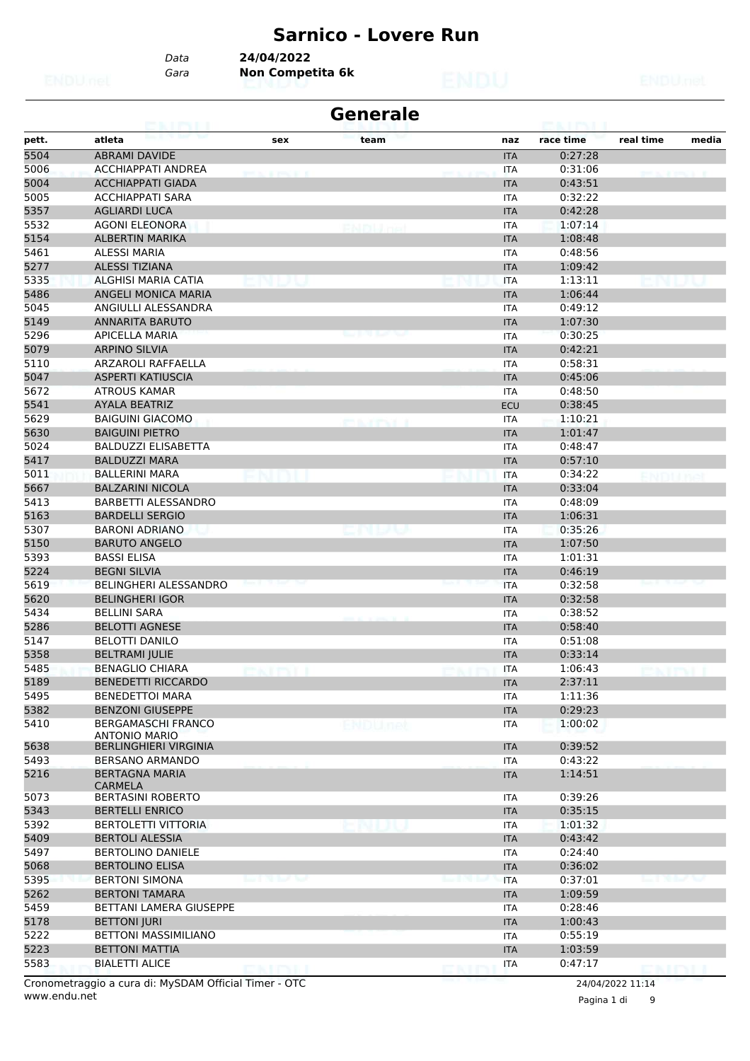#### **Sarnico - Lovere Run**

*Data* **24/04/2022**

*Gara* **Non Competita 6k**

| <b>Generale</b><br><b>CONTRACTOR</b> |                                                   |                |                |  |            |           |                |       |  |
|--------------------------------------|---------------------------------------------------|----------------|----------------|--|------------|-----------|----------------|-------|--|
| pett.                                | atleta                                            | sex            | team           |  | naz        | race time | real time      | media |  |
| 5504                                 | <b>ABRAMI DAVIDE</b>                              |                |                |  | <b>ITA</b> | 0:27:28   |                |       |  |
| 5006                                 | <b>ACCHIAPPATI ANDREA</b>                         |                |                |  | ITA        | 0:31:06   |                |       |  |
| 5004                                 | <b>ACCHIAPPATI GIADA</b>                          |                |                |  | <b>ITA</b> | 0:43:51   |                |       |  |
| 5005                                 | <b>ACCHIAPPATI SARA</b>                           |                |                |  | <b>ITA</b> | 0:32:22   |                |       |  |
| 5357                                 | <b>AGLIARDI LUCA</b>                              |                |                |  | <b>ITA</b> | 0:42:28   |                |       |  |
| 5532                                 | <b>AGONI ELEONORA</b>                             |                | 63 P.U         |  | ITA        | 1:07:14   |                |       |  |
| 5154                                 | <b>ALBERTIN MARIKA</b>                            |                |                |  | <b>ITA</b> | 1:08:48   |                |       |  |
| 5461                                 | <b>ALESSI MARIA</b>                               |                |                |  | ITA        | 0:48:56   |                |       |  |
| 5277                                 | <b>ALESSI TIZIANA</b>                             |                |                |  | <b>ITA</b> | 1:09:42   |                |       |  |
| 5335                                 | ALGHISI MARIA CATIA                               |                |                |  | <b>ITA</b> | 1:13:11   |                |       |  |
| 5486                                 | ANGELI MONICA MARIA                               |                |                |  | <b>ITA</b> | 1:06:44   |                |       |  |
| 5045                                 | ANGIULLI ALESSANDRA                               |                |                |  | <b>ITA</b> | 0:49:12   |                |       |  |
| 5149                                 | <b>ANNARITA BARUTO</b>                            |                |                |  | <b>ITA</b> | 1:07:30   |                |       |  |
| 5296                                 | <b>APICELLA MARIA</b>                             |                |                |  | ITA        | 0:30:25   |                |       |  |
| 5079                                 | <b>ARPINO SILVIA</b>                              |                |                |  | <b>ITA</b> | 0:42:21   |                |       |  |
| 5110                                 | ARZAROLI RAFFAELLA                                |                |                |  |            | 0:58:31   |                |       |  |
|                                      |                                                   |                |                |  | <b>ITA</b> |           |                |       |  |
| 5047                                 | <b>ASPERTI KATIUSCIA</b>                          |                |                |  | <b>ITA</b> | 0:45:06   |                |       |  |
| 5672                                 | <b>ATROUS KAMAR</b>                               |                |                |  | <b>ITA</b> | 0:48:50   |                |       |  |
| 5541                                 | <b>AYALA BEATRIZ</b>                              |                |                |  | <b>ECU</b> | 0:38:45   |                |       |  |
| 5629                                 | <b>BAIGUINI GIACOMO</b>                           |                |                |  | ITA        | 1:10:21   |                |       |  |
| 5630                                 | <b>BAIGUINI PIETRO</b>                            |                |                |  | <b>ITA</b> | 1:01:47   |                |       |  |
| 5024                                 | <b>BALDUZZI ELISABETTA</b>                        |                |                |  | <b>ITA</b> | 0:48:47   |                |       |  |
| 5417                                 | <b>BALDUZZI MARA</b>                              |                |                |  | <b>ITA</b> | 0:57:10   |                |       |  |
| 5011                                 | <b>BALLERINI MARA</b>                             |                |                |  | <b>ITA</b> | 0:34:22   |                |       |  |
| 5667                                 | <b>BALZARINI NICOLA</b>                           |                |                |  | <b>ITA</b> | 0:33:04   |                |       |  |
| 5413                                 | BARBETTI ALESSANDRO                               |                |                |  | ITA        | 0:48:09   |                |       |  |
| 5163                                 | <b>BARDELLI SERGIO</b>                            |                |                |  | <b>ITA</b> | 1:06:31   |                |       |  |
| 5307                                 | <b>BARONI ADRIANO</b>                             |                | : N L/ U       |  | <b>ITA</b> | 0:35:26   |                |       |  |
| 5150                                 | <b>BARUTO ANGELO</b>                              |                |                |  | <b>ITA</b> | 1:07:50   |                |       |  |
| 5393                                 | <b>BASSI ELISA</b>                                |                |                |  | <b>ITA</b> | 1:01:31   |                |       |  |
| 5224                                 | <b>BEGNI SILVIA</b>                               |                |                |  | <b>ITA</b> | 0:46:19   |                |       |  |
| 5619                                 | <b>BELINGHERI ALESSANDRO</b>                      |                |                |  | <b>ITA</b> | 0:32:58   |                |       |  |
| 5620                                 | BELINGHERI IGOR                                   |                |                |  | <b>ITA</b> | 0:32:58   |                |       |  |
| 5434                                 | <b>BELLINI SARA</b>                               |                |                |  | <b>ITA</b> | 0:38:52   |                |       |  |
| 5286                                 | <b>BELOTTI AGNESE</b>                             |                |                |  | <b>ITA</b> | 0:58:40   |                |       |  |
| 5147                                 | <b>BELOTTI DANILO</b>                             |                |                |  | ITA        | 0:51:08   |                |       |  |
| 5358                                 | <b>BELTRAMI JULIE</b>                             |                |                |  | <b>ITA</b> | 0:33:14   |                |       |  |
| 5485                                 | <b>BENAGLIO CHIARA</b>                            |                |                |  | <b>ITA</b> | 1:06:43   |                |       |  |
| 5189                                 |                                                   |                |                |  |            |           |                |       |  |
|                                      | <b>BENEDETTI RICCARDO</b>                         |                |                |  | <b>ITA</b> | 2:37:11   |                |       |  |
| 5495                                 | <b>BENEDETTOI MARA</b>                            |                |                |  | ITA        | 1:11:36   |                |       |  |
| 5382                                 | <b>BENZONI GIUSEPPE</b>                           |                |                |  | <b>ITA</b> | 0:29:23   |                |       |  |
| 5410                                 | <b>BERGAMASCHI FRANCO</b><br><b>ANTONIO MARIO</b> |                | <b>ENDUnet</b> |  | <b>ITA</b> | 1:00:02   |                |       |  |
| 5638                                 | <b>BERLINGHIERI VIRGINIA</b>                      |                |                |  | <b>ITA</b> | 0:39:52   |                |       |  |
| 5493                                 | <b>BERSANO ARMANDO</b>                            |                |                |  | ITA        | 0:43:22   |                |       |  |
| 5216                                 | <b>BERTAGNA MARIA</b><br><b>CARMELA</b>           |                |                |  | <b>ITA</b> | 1:14:51   |                |       |  |
| 5073                                 | <b>BERTASINI ROBERTO</b>                          |                |                |  | ITA        | 0:39:26   |                |       |  |
| 5343                                 | <b>BERTELLI ENRICO</b>                            |                |                |  | <b>ITA</b> | 0:35:15   |                |       |  |
| 5392                                 | <b>BERTOLETTI VITTORIA</b>                        |                |                |  | <b>ITA</b> | 1:01:32   |                |       |  |
| 5409                                 | <b>BERTOLI ALESSIA</b>                            |                |                |  | <b>ITA</b> | 0:43:42   |                |       |  |
| 5497                                 | <b>BERTOLINO DANIELE</b>                          |                |                |  | <b>ITA</b> | 0:24:40   |                |       |  |
| 5068                                 | <b>BERTOLINO ELISA</b>                            |                |                |  | <b>ITA</b> | 0:36:02   |                |       |  |
| 5395                                 | <b>BERTONI SIMONA</b>                             |                |                |  | <b>ITA</b> | 0:37:01   |                |       |  |
| 5262                                 | <b>BERTONI TAMARA</b>                             |                |                |  | <b>ITA</b> | 1:09:59   |                |       |  |
| 5459                                 | BETTANI LAMERA GIUSEPPE                           |                |                |  | <b>ITA</b> | 0:28:46   |                |       |  |
| 5178                                 | <b>BETTONI JURI</b>                               |                |                |  | <b>ITA</b> | 1:00:43   |                |       |  |
| 5222                                 | <b>BETTONI MASSIMILIANO</b>                       |                |                |  | <b>ITA</b> | 0:55:19   |                |       |  |
| 5223                                 | <b>BETTONI MATTIA</b>                             |                |                |  | <b>ITA</b> | 1:03:59   |                |       |  |
| 5583                                 | <b>BIALETTI ALICE</b>                             |                |                |  | <b>ITA</b> | 0:47:17   |                |       |  |
|                                      |                                                   | 7 K.H.TV.II. I |                |  |            |           | <b>DISTINT</b> |       |  |

www.endu.net Cronometraggio a cura di: MySDAM Official Timer - OTC 24/04/2022 11:14

Pagina 1 di 9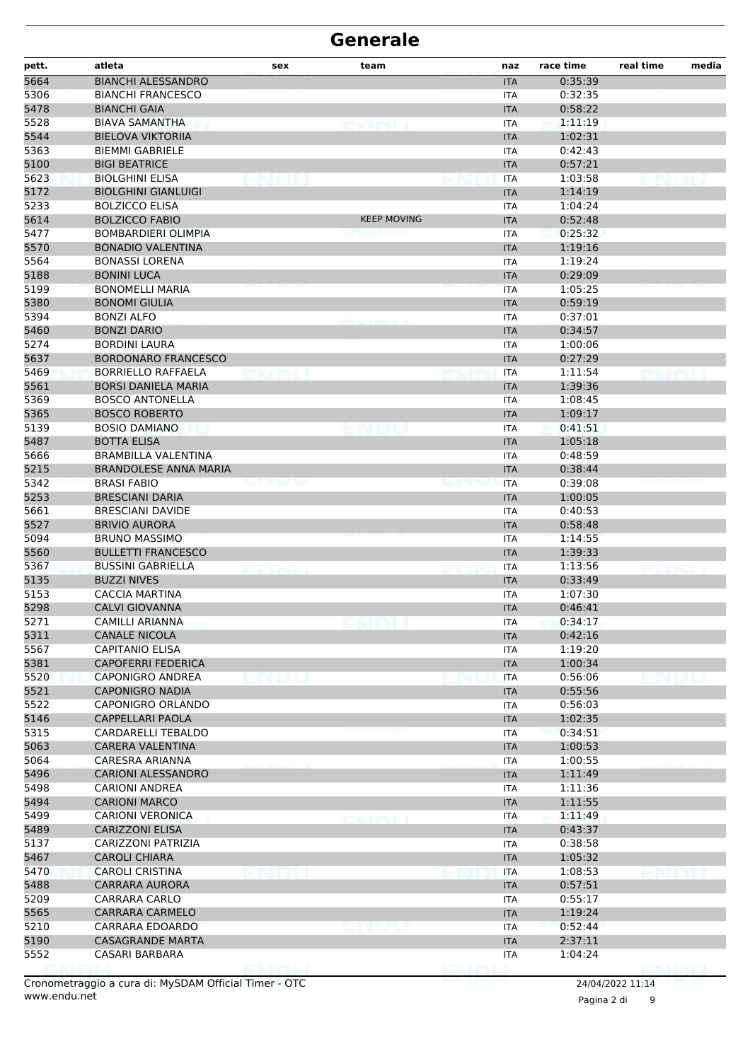| pett. | atleta                       | sex   | team               | naz        | race time | real time | media |
|-------|------------------------------|-------|--------------------|------------|-----------|-----------|-------|
| 5664  | <b>BIANCHI ALESSANDRO</b>    |       |                    | <b>ITA</b> | 0:35:39   |           |       |
| 5306  | <b>BIANCHI FRANCESCO</b>     |       |                    | <b>ITA</b> | 0:32:35   |           |       |
| 5478  | <b>BIANCHI GAIA</b>          |       |                    | <b>ITA</b> | 0:58:22   |           |       |
| 5528  | <b>BIAVA SAMANTHA</b>        |       | rang pang          | <b>ITA</b> | 1:11:19   |           |       |
| 5544  | <b>BIELOVA VIKTORIIA</b>     |       |                    | <b>ITA</b> | 1:02:31   |           |       |
| 5363  | <b>BIEMMI GABRIELE</b>       |       |                    | <b>ITA</b> | 0:42:43   |           |       |
| 5100  | <b>BIGI BEATRICE</b>         |       |                    | <b>ITA</b> | 0:57:21   |           |       |
| 5623  | <b>BIOLGHINI ELISA</b>       |       |                    | <b>ITA</b> | 1:03:58   |           |       |
| 5172  | <b>BIOLGHINI GIANLUIGI</b>   |       |                    | <b>ITA</b> | 1:14:19   |           |       |
| 5233  | <b>BOLZICCO ELISA</b>        |       |                    | <b>ITA</b> | 1:04:24   |           |       |
| 5614  | <b>BOLZICCO FABIO</b>        |       | <b>KEEP MOVING</b> | <b>ITA</b> | 0:52:48   |           |       |
| 5477  | <b>BOMBARDIERI OLIMPIA</b>   |       |                    | <b>ITA</b> | 0:25:32   |           |       |
| 5570  | <b>BONADIO VALENTINA</b>     |       |                    | <b>ITA</b> | 1:19:16   |           |       |
| 5564  | <b>BONASSI LORENA</b>        |       |                    | <b>ITA</b> | 1:19:24   |           |       |
| 5188  | <b>BONINI LUCA</b>           |       |                    | <b>ITA</b> | 0:29:09   |           |       |
| 5199  | <b>BONOMELLI MARIA</b>       |       |                    | <b>ITA</b> | 1:05:25   |           |       |
| 5380  | <b>BONOMI GIULIA</b>         |       |                    | <b>ITA</b> | 0:59:19   |           |       |
| 5394  | <b>BONZI ALFO</b>            |       |                    | <b>ITA</b> | 0:37:01   |           |       |
| 5460  | <b>BONZI DARIO</b>           |       |                    | <b>ITA</b> | 0:34:57   |           |       |
| 5274  | <b>BORDINI LAURA</b>         |       |                    | <b>ITA</b> | 1:00:06   |           |       |
| 5637  | <b>BORDONARO FRANCESCO</b>   |       |                    | <b>ITA</b> | 0:27:29   |           |       |
| 5469  | <b>BORRIELLO RAFFAELA</b>    |       |                    | <b>ITA</b> | 1:11:54   |           |       |
| 5561  | <b>BORSI DANIELA MARIA</b>   |       |                    | <b>ITA</b> | 1:39:36   |           |       |
| 5369  | <b>BOSCO ANTONELLA</b>       |       |                    | <b>ITA</b> | 1:08:45   |           |       |
| 5365  | <b>BOSCO ROBERTO</b>         |       |                    | <b>ITA</b> | 1:09:17   |           |       |
| 5139  | <b>BOSIO DAMIANO</b>         |       |                    | <b>ITA</b> | 0:41:51   |           |       |
| 5487  | <b>BOTTA ELISA</b>           |       |                    | <b>ITA</b> | 1:05:18   |           |       |
| 5666  | <b>BRAMBILLA VALENTINA</b>   |       |                    | <b>ITA</b> | 0:48:59   |           |       |
| 5215  | <b>BRANDOLESE ANNA MARIA</b> |       |                    | <b>ITA</b> | 0:38:44   |           |       |
| 5342  | <b>BRASI FABIO</b>           | שישות |                    | <b>ITA</b> | 0:39:08   |           |       |
| 5253  | <b>BRESCIANI DARIA</b>       |       |                    | <b>ITA</b> | 1:00:05   |           |       |
| 5661  | <b>BRESCIANI DAVIDE</b>      |       |                    | <b>ITA</b> | 0:40:53   |           |       |
| 5527  | <b>BRIVIO AURORA</b>         |       |                    | <b>ITA</b> | 0:58:48   |           |       |
| 5094  | <b>BRUNO MASSIMO</b>         |       |                    | <b>ITA</b> | 1:14:55   |           |       |
| 5560  | <b>BULLETTI FRANCESCO</b>    |       |                    | <b>ITA</b> | 1:39:33   |           |       |
| 5367  | <b>BUSSINI GABRIELLA</b>     |       |                    | <b>ITA</b> | 1:13:56   |           |       |
| 5135  | <b>BUZZI NIVES</b>           |       |                    | <b>ITA</b> | 0:33:49   |           |       |
| 5153  | CACCIA MARTINA               |       |                    | <b>ITA</b> | 1:07:30   |           |       |
| 5298  | <b>CALVI GIOVANNA</b>        |       |                    | <b>ITA</b> | 0:46:41   |           |       |
| 5271  | CAMILLI ARIANNA              |       |                    | ITA        | 0:34:17   |           |       |
| 5311  | <b>CANALE NICOLA</b>         |       |                    | <b>ITA</b> | 0:42:16   |           |       |
| 5567  | <b>CAPITANIO ELISA</b>       |       |                    | <b>ITA</b> | 1:19:20   |           |       |
| 5381  | <b>CAPOFERRI FEDERICA</b>    |       |                    | <b>ITA</b> | 1:00:34   |           |       |
| 5520  | <b>CAPONIGRO ANDREA</b>      |       |                    | <b>ITA</b> | 0:56:06   |           |       |
| 5521  | <b>CAPONIGRO NADIA</b>       |       |                    | <b>ITA</b> | 0:55:56   |           |       |
| 5522  | CAPONIGRO ORLANDO            |       |                    | <b>ITA</b> | 0:56:03   |           |       |
| 5146  | <b>CAPPELLARI PAOLA</b>      |       |                    | <b>ITA</b> | 1:02:35   |           |       |
| 5315  | <b>CARDARELLI TEBALDO</b>    |       |                    | <b>ITA</b> | 0:34:51   |           |       |
| 5063  | <b>CARERA VALENTINA</b>      |       |                    | <b>ITA</b> | 1:00:53   |           |       |
| 5064  | CARESRA ARIANNA              |       |                    | <b>ITA</b> | 1:00:55   |           |       |
| 5496  | <b>CARIONI ALESSANDRO</b>    |       |                    | <b>ITA</b> | 1:11:49   |           |       |
| 5498  | <b>CARIONI ANDREA</b>        |       |                    | ITA        | 1:11:36   |           |       |
| 5494  | <b>CARIONI MARCO</b>         |       |                    | <b>ITA</b> | 1:11:55   |           |       |
| 5499  | <b>CARIONI VERONICA</b>      |       | <b>DAIREL!</b>     | <b>ITA</b> | 1:11:49   |           |       |
| 5489  | <b>CARIZZONI ELISA</b>       |       |                    | <b>ITA</b> | 0:43:37   |           |       |
| 5137  | <b>CARIZZONI PATRIZIA</b>    |       |                    | <b>ITA</b> | 0:38:58   |           |       |
| 5467  | <b>CAROLI CHIARA</b>         |       |                    | <b>ITA</b> | 1:05:32   |           |       |
| 5470  | <b>CAROLI CRISTINA</b>       |       |                    | <b>ITA</b> | 1:08:53   |           |       |
| 5488  | <b>CARRARA AURORA</b>        |       |                    | <b>ITA</b> | 0:57:51   |           |       |
| 5209  | <b>CARRARA CARLO</b>         |       |                    | <b>ITA</b> | 0:55:17   |           |       |
| 5565  | CARRARA CARMELO              |       |                    | <b>ITA</b> | 1:19:24   |           |       |
| 5210  | CARRARA EDOARDO              |       | n bat              | <b>ITA</b> | 0:52:44   |           |       |
| 5190  | <b>CASAGRANDE MARTA</b>      |       |                    | <b>ITA</b> | 2:37:11   |           |       |
| 5552  | CASARI BARBARA               |       |                    | ITA        | 1:04:24   |           |       |
|       |                              |       |                    |            |           |           |       |

Pagina 2 di 9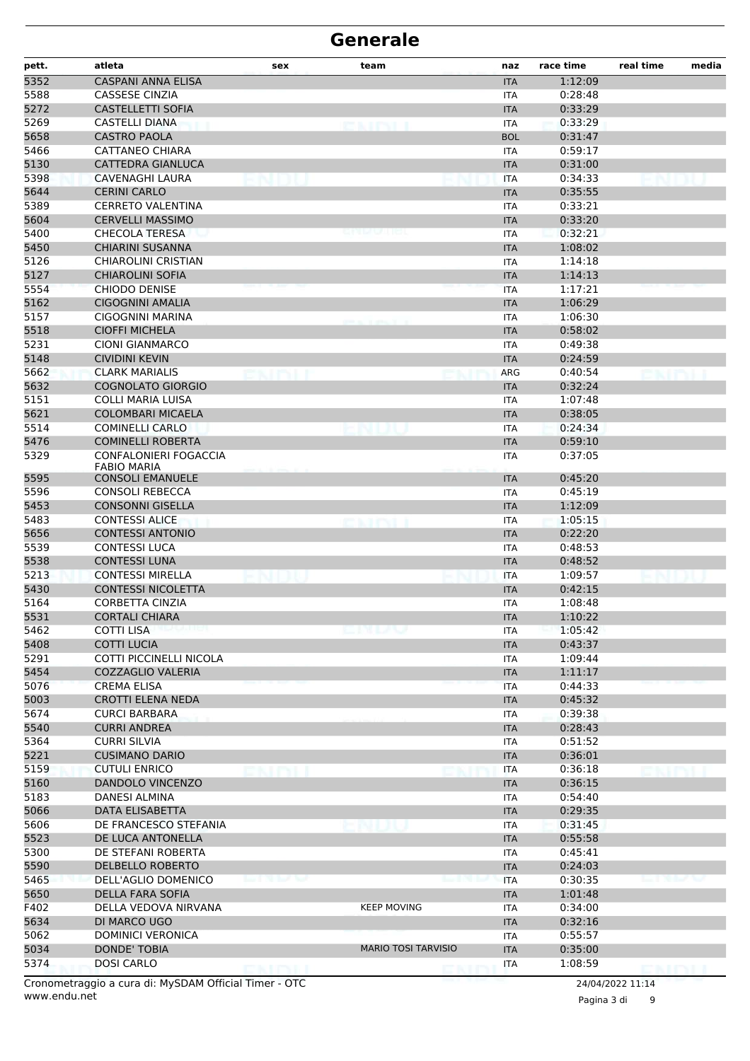| pett.        | atleta                                            | sex | team                       | naz                      | race time          | real time | media |
|--------------|---------------------------------------------------|-----|----------------------------|--------------------------|--------------------|-----------|-------|
| 5352         | <b>CASPANI ANNA ELISA</b>                         |     |                            | <b>ITA</b>               | 1:12:09            |           |       |
| 5588         | <b>CASSESE CINZIA</b>                             |     |                            | <b>ITA</b>               | 0:28:48            |           |       |
| 5272         | <b>CASTELLETTI SOFIA</b>                          |     |                            | <b>ITA</b>               | 0:33:29            |           |       |
| 5269         | <b>CASTELLI DIANA</b>                             |     | exipti                     | <b>ITA</b>               | 0:33:29            |           |       |
| 5658         | <b>CASTRO PAOLA</b>                               |     |                            | <b>BOL</b>               | 0:31:47            |           |       |
| 5466         | <b>CATTANEO CHIARA</b>                            |     |                            | ITA                      | 0:59:17            |           |       |
| 5130         | CATTEDRA GIANLUCA                                 |     |                            | <b>ITA</b>               | 0:31:00            |           |       |
| 5398         | <b>CAVENAGHI LAURA</b>                            |     |                            | <b>ITA</b>               | 0:34:33            |           |       |
| 5644         | <b>CERINI CARLO</b>                               |     |                            | <b>ITA</b>               | 0:35:55            |           |       |
| 5389         | <b>CERRETO VALENTINA</b>                          |     |                            | ITA                      | 0:33:21            |           |       |
| 5604         | <b>CERVELLI MASSIMO</b>                           |     |                            | <b>ITA</b>               | 0:33:20            |           |       |
| 5400         | <b>CHECOLA TERESA</b><br><b>CHIARINI SUSANNA</b>  |     |                            | ITA                      | 0:32:21            |           |       |
| 5450<br>5126 | CHIAROLINI CRISTIAN                               |     |                            | <b>ITA</b><br><b>ITA</b> | 1:08:02<br>1:14:18 |           |       |
| 5127         | <b>CHIAROLINI SOFIA</b>                           |     |                            | <b>ITA</b>               | 1:14:13            |           |       |
| 5554         | <b>CHIODO DENISE</b>                              |     |                            | <b>ITA</b>               | 1:17:21            |           |       |
| 5162         | <b>CIGOGNINI AMALIA</b>                           |     |                            | <b>ITA</b>               | 1:06:29            |           |       |
| 5157         | <b>CIGOGNINI MARINA</b>                           |     |                            | ITA                      | 1:06:30            |           |       |
| 5518         | <b>CIOFFI MICHELA</b>                             |     |                            | <b>ITA</b>               | 0:58:02            |           |       |
| 5231         | <b>CIONI GIANMARCO</b>                            |     |                            | <b>ITA</b>               | 0:49:38            |           |       |
| 5148         | <b>CIVIDINI KEVIN</b>                             |     |                            | <b>ITA</b>               | 0:24:59            |           |       |
| 5662         | <b>CLARK MARIALIS</b>                             |     |                            | ARG                      | 0:40:54            |           |       |
| 5632         | <b>COGNOLATO GIORGIO</b>                          |     |                            | <b>ITA</b>               | 0:32:24            |           |       |
| 5151         | <b>COLLI MARIA LUISA</b>                          |     |                            | <b>ITA</b>               | 1:07:48            |           |       |
| 5621         | <b>COLOMBARI MICAELA</b>                          |     |                            | <b>ITA</b>               | 0:38:05            |           |       |
| 5514         | <b>COMINELLI CARLO</b>                            |     |                            | <b>ITA</b>               | 0:24:34            |           |       |
| 5476         | <b>COMINELLI ROBERTA</b>                          |     |                            | <b>ITA</b>               | 0:59:10            |           |       |
| 5329         | CONFALONIERI FOGACCIA                             |     |                            | <b>ITA</b>               | 0:37:05            |           |       |
|              | <b>FABIO MARIA</b>                                |     |                            |                          |                    |           |       |
| 5595         | <b>CONSOLI EMANUELE</b>                           |     |                            | <b>ITA</b>               | 0:45:20            |           |       |
| 5596         | <b>CONSOLI REBECCA</b><br><b>CONSONNI GISELLA</b> |     |                            | <b>ITA</b>               | 0:45:19<br>1:12:09 |           |       |
| 5453<br>5483 | <b>CONTESSI ALICE</b>                             |     |                            | <b>ITA</b><br><b>ITA</b> | 1:05:15            |           |       |
| 5656         | <b>CONTESSI ANTONIO</b>                           |     |                            | <b>ITA</b>               | 0:22:20            |           |       |
| 5539         | <b>CONTESSI LUCA</b>                              |     |                            | ITA                      | 0:48:53            |           |       |
| 5538         | <b>CONTESSI LUNA</b>                              |     |                            | <b>ITA</b>               | 0:48:52            |           |       |
| 5213         | <b>CONTESSI MIRELLA</b>                           |     |                            | <b>ITA</b>               | 1:09:57            |           |       |
| 5430         | <b>CONTESSI NICOLETTA</b>                         |     |                            | <b>ITA</b>               | 0:42:15            |           |       |
| 5164         | <b>CORBETTA CINZIA</b>                            |     |                            | <b>ITA</b>               | 1:08:48            |           |       |
| 5531         | <b>CORTALI CHIARA</b>                             |     |                            | <b>ITA</b>               | 1:10:22            |           |       |
| 5462         | <b>COTTI LISA</b>                                 |     |                            | ITA                      | 1:05:42            |           |       |
| 5408         | <b>COTTI LUCIA</b>                                |     |                            | <b>ITA</b>               | 0:43:37            |           |       |
| 5291         | <b>COTTI PICCINELLI NICOLA</b>                    |     |                            | <b>ITA</b>               | 1:09:44            |           |       |
| 5454         | <b>COZZAGLIO VALERIA</b>                          |     |                            | <b>ITA</b>               | 1:11:17            |           |       |
| 5076         | <b>CREMA ELISA</b>                                |     |                            | <b>ITA</b>               | 0:44:33            |           |       |
| 5003         | <b>CROTTI ELENA NEDA</b>                          |     |                            | <b>ITA</b>               | 0:45:32            |           |       |
| 5674         | <b>CURCI BARBARA</b>                              |     |                            | ITA                      | 0:39:38            |           |       |
| 5540         | <b>CURRI ANDREA</b>                               |     |                            | <b>ITA</b>               | 0:28:43            |           |       |
| 5364         | <b>CURRI SILVIA</b>                               |     |                            | ITA                      | 0:51:52            |           |       |
| 5221         | <b>CUSIMANO DARIO</b>                             |     |                            | <b>ITA</b>               | 0:36:01            |           |       |
| 5159         | <b>CUTULI ENRICO</b>                              |     |                            | <b>ITA</b>               | 0:36:18            |           |       |
| 5160         | <b>DANDOLO VINCENZO</b>                           |     |                            | <b>ITA</b>               | 0:36:15            |           |       |
| 5183         | <b>DANESI ALMINA</b>                              |     |                            | ITA                      | 0:54:40            |           |       |
| 5066         | DATA ELISABETTA                                   |     |                            | <b>ITA</b>               | 0:29:35            |           |       |
| 5606<br>5523 | DE FRANCESCO STEFANIA                             |     |                            | <b>ITA</b>               | 0:31:45            |           |       |
| 5300         | DE LUCA ANTONELLA<br>DE STEFANI ROBERTA           |     |                            | <b>ITA</b><br><b>ITA</b> | 0:55:58<br>0:45:41 |           |       |
| 5590         | <b>DELBELLO ROBERTO</b>                           |     |                            | <b>ITA</b>               | 0:24:03            |           |       |
| 5465         | DELL'AGLIO DOMENICO                               |     |                            | <b>ITA</b>               | 0:30:35            |           |       |
| 5650         | DELLA FARA SOFIA                                  |     |                            | <b>ITA</b>               | 1:01:48            |           |       |
| F402         | DELLA VEDOVA NIRVANA                              |     | <b>KEEP MOVING</b>         | ITA                      | 0:34:00            |           |       |
| 5634         | DI MARCO UGO                                      |     |                            | <b>ITA</b>               | 0:32:16            |           |       |
| 5062         | DOMINICI VERONICA                                 |     |                            | <b>ITA</b>               | 0:55:57            |           |       |
| 5034         | <b>DONDE' TOBIA</b>                               |     | <b>MARIO TOSI TARVISIO</b> | <b>ITA</b>               | 0:35:00            |           |       |
| 5374         | <b>DOSI CARLO</b>                                 |     |                            | <b>ITA</b>               | 1:08:59            |           |       |
|              |                                                   |     |                            |                          |                    |           |       |

www.endu.net Cronometraggio a cura di: MySDAM Official Timer - OTC 24/04/2022 11:14

Pagina 3 di 9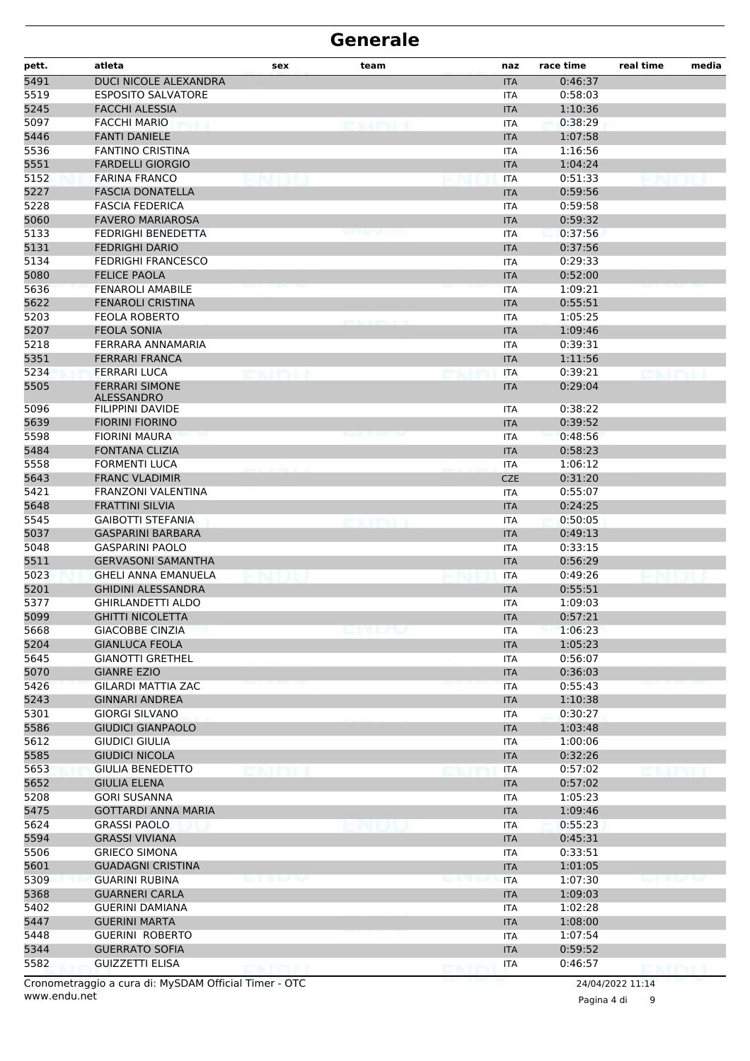| pett.        | atleta                                               | sex           | team         | naz                      | race time          | real time             | media |
|--------------|------------------------------------------------------|---------------|--------------|--------------------------|--------------------|-----------------------|-------|
| 5491         | DUCI NICOLE ALEXANDRA                                |               |              | <b>ITA</b>               | 0:46:37            |                       |       |
| 5519         | <b>ESPOSITO SALVATORE</b>                            |               |              | <b>ITA</b>               | 0:58:03            |                       |       |
| 5245         | <b>FACCHI ALESSIA</b>                                |               |              | <b>ITA</b>               | 1:10:36            |                       |       |
| 5097         | <b>FACCHI MARIO</b>                                  |               | <b>CAINT</b> | <b>ITA</b>               | 0:38:29            |                       |       |
| 5446         | <b>FANTI DANIELE</b>                                 |               |              | <b>ITA</b>               | 1:07:58            |                       |       |
| 5536         | <b>FANTINO CRISTINA</b>                              |               |              | <b>ITA</b>               | 1:16:56            |                       |       |
| 5551         | <b>FARDELLI GIORGIO</b>                              |               |              | <b>ITA</b>               | 1:04:24            |                       |       |
| 5152         | <b>FARINA FRANCO</b>                                 | na I          |              | <b>ITA</b>               | 0:51:33            |                       |       |
| 5227         | <b>FASCIA DONATELLA</b>                              |               |              | <b>ITA</b>               | 0:59:56            |                       |       |
| 5228<br>5060 | <b>FASCIA FEDERICA</b><br><b>FAVERO MARIAROSA</b>    |               |              | ITA<br><b>ITA</b>        | 0:59:58<br>0:59:32 |                       |       |
| 5133         | <b>FEDRIGHI BENEDETTA</b>                            |               |              | <b>ITA</b>               | 0:37:56            |                       |       |
| 5131         | <b>FEDRIGHI DARIO</b>                                |               |              | <b>ITA</b>               | 0:37:56            |                       |       |
| 5134         | <b>FEDRIGHI FRANCESCO</b>                            |               |              | <b>ITA</b>               | 0:29:33            |                       |       |
| 5080         | <b>FELICE PAOLA</b>                                  |               |              | <b>ITA</b>               | 0:52:00            |                       |       |
| 5636         | <b>FENAROLI AMABILE</b>                              |               |              | <b>ITA</b>               | 1:09:21            |                       |       |
| 5622         | <b>FENAROLI CRISTINA</b>                             |               |              | <b>ITA</b>               | 0:55:51            |                       |       |
| 5203         | <b>FEOLA ROBERTO</b>                                 |               |              | ITA                      | 1:05:25            |                       |       |
| 5207         | <b>FEOLA SONIA</b>                                   |               |              | <b>ITA</b>               | 1:09:46            |                       |       |
| 5218         | FERRARA ANNAMARIA                                    |               |              | <b>ITA</b>               | 0:39:31            |                       |       |
| 5351         | <b>FERRARI FRANCA</b>                                |               |              | <b>ITA</b>               | 1:11:56            |                       |       |
| 5234         | <b>FERRARI LUCA</b>                                  |               |              | <b>ITA</b>               | 0:39:21            |                       |       |
| 5505         | <b>FERRARI SIMONE</b><br><b>ALESSANDRO</b>           |               |              | <b>ITA</b>               | 0:29:04            |                       |       |
| 5096         | FILIPPINI DAVIDE                                     |               |              | ITA                      | 0:38:22            |                       |       |
| 5639         | <b>FIORINI FIORINO</b>                               |               |              | <b>ITA</b>               | 0:39:52            |                       |       |
| 5598         | <b>FIORINI MAURA</b>                                 |               |              | <b>ITA</b>               | 0:48:56            |                       |       |
| 5484         | <b>FONTANA CLIZIA</b>                                |               |              | <b>ITA</b>               | 0:58:23            |                       |       |
| 5558         | FORMENTI LUCA                                        |               |              | <b>ITA</b>               | 1:06:12            |                       |       |
| 5643         | <b>FRANC VLADIMIR</b>                                |               |              | <b>CZE</b>               | 0:31:20            |                       |       |
| 5421         | FRANZONI VALENTINA                                   |               |              | <b>ITA</b>               | 0:55:07            |                       |       |
| 5648         | <b>FRATTINI SILVIA</b>                               |               |              | <b>ITA</b>               | 0:24:25            |                       |       |
| 5545<br>5037 | <b>GAIBOTTI STEFANIA</b><br><b>GASPARINI BARBARA</b> |               |              | <b>ITA</b><br><b>ITA</b> | 0:50:05<br>0:49:13 |                       |       |
| 5048         | <b>GASPARINI PAOLO</b>                               |               |              | <b>ITA</b>               | 0:33:15            |                       |       |
| 5511         | <b>GERVASONI SAMANTHA</b>                            |               |              | <b>ITA</b>               | 0:56:29            |                       |       |
| 5023         | <b>GHELI ANNA EMANUELA</b>                           |               |              | <b>ITA</b>               | 0:49:26            |                       |       |
| 5201         | <b>GHIDINI ALESSANDRA</b>                            |               |              | <b>ITA</b>               | 0:55:51            |                       |       |
| 5377         | GHIRLANDETTI ALDO                                    |               |              | <b>ITA</b>               | 1:09:03            |                       |       |
| 5099         | <b>GHITTI NICOLETTA</b>                              |               |              | <b>ITA</b>               | 0:57:21            |                       |       |
| 5668         | <b>GIACOBBE CINZIA</b>                               |               | enuv         | <b>ITA</b>               | 1:06:23            |                       |       |
| 5204         | <b>GIANLUCA FEOLA</b>                                |               |              | <b>ITA</b>               | 1:05:23            |                       |       |
| 5645         | <b>GIANOTTI GRETHEL</b>                              |               |              | <b>ITA</b>               | 0:56:07            |                       |       |
| 5070         | <b>GIANRE EZIO</b>                                   |               |              | <b>ITA</b>               | 0:36:03            |                       |       |
| 5426         | <b>GILARDI MATTIA ZAC</b>                            |               |              | <b>ITA</b>               | 0:55:43            |                       |       |
| 5243         | <b>GINNARI ANDREA</b>                                |               |              | <b>ITA</b>               | 1:10:38            |                       |       |
| 5301         | <b>GIORGI SILVANO</b>                                |               |              | <b>ITA</b>               | 0:30:27            |                       |       |
| 5586         | <b>GIUDICI GIANPAOLO</b>                             |               |              | <b>ITA</b>               | 1:03:48            |                       |       |
| 5612         | <b>GIUDICI GIULIA</b>                                |               |              | <b>ITA</b>               | 1:00:06            |                       |       |
| 5585         | <b>GIUDICI NICOLA</b>                                |               |              | <b>ITA</b>               | 0:32:26            |                       |       |
| 5653<br>5652 | <b>GIULIA BENEDETTO</b>                              |               |              | <b>ITA</b>               | 0:57:02            |                       |       |
| 5208         | <b>GIULIA ELENA</b><br><b>GORI SUSANNA</b>           |               |              | <b>ITA</b><br><b>ITA</b> | 0:57:02<br>1:05:23 |                       |       |
| 5475         | <b>GOTTARDI ANNA MARIA</b>                           |               |              | <b>ITA</b>               | 1:09:46            |                       |       |
| 5624         | <b>GRASSI PAOLO</b>                                  |               |              | <b>ITA</b>               | 0:55:23            |                       |       |
| 5594         | <b>GRASSI VIVIANA</b>                                |               |              | <b>ITA</b>               | 0:45:31            |                       |       |
| 5506         | <b>GRIECO SIMONA</b>                                 |               |              | ITA                      | 0:33:51            |                       |       |
| 5601         | <b>GUADAGNI CRISTINA</b>                             |               |              | <b>ITA</b>               | 1:01:05            |                       |       |
| 5309         | <b>GUARINI RUBINA</b>                                | in the bottom |              | <b>ITA</b>               | 1:07:30            | <b>MAIL OF BUCKER</b> |       |
| 5368         | <b>GUARNERI CARLA</b>                                |               |              | <b>ITA</b>               | 1:09:03            |                       |       |
| 5402         | <b>GUERINI DAMIANA</b>                               |               |              | <b>ITA</b>               | 1:02:28            |                       |       |
| 5447         | <b>GUERINI MARTA</b>                                 |               |              | <b>ITA</b>               | 1:08:00            |                       |       |
| 5448         | <b>GUERINI ROBERTO</b>                               |               |              | ITA                      | 1:07:54            |                       |       |
| 5344         | <b>GUERRATO SOFIA</b>                                |               |              | <b>ITA</b>               | 0:59:52            |                       |       |
| 5582         | <b>GUIZZETTI ELISA</b>                               | ENITYLI       |              | <b>ITA</b>               | 0:46:57            | <b>DMINI I</b>        |       |

www.endu.net Cronometraggio a cura di: MySDAM Official Timer - OTC 24/04/2022 11:14

Pagina 4 di 9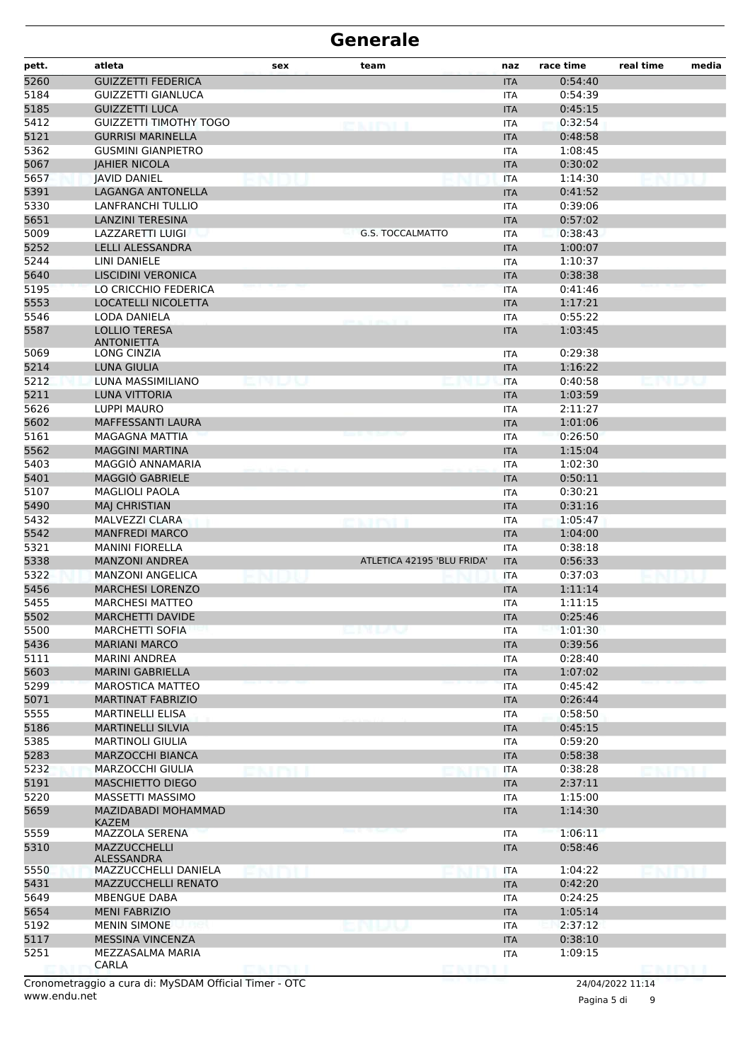| pett.        | atleta                                              | sex          | team                       | naz                      | race time          | real time | media |
|--------------|-----------------------------------------------------|--------------|----------------------------|--------------------------|--------------------|-----------|-------|
| 5260         | <b>GUIZZETTI FEDERICA</b>                           |              |                            | <b>ITA</b>               | 0:54:40            |           |       |
| 5184         | GUIZZETTI GIANLUCA                                  |              |                            | <b>ITA</b>               | 0:54:39            |           |       |
| 5185         | <b>GUIZZETTI LUCA</b>                               |              |                            | <b>ITA</b>               | 0:45:15            |           |       |
| 5412         | <b>GUIZZETTI TIMOTHY TOGO</b>                       |              | enter                      | <b>ITA</b>               | 0:32:54            |           |       |
| 5121         | <b>GURRISI MARINELLA</b>                            |              |                            | <b>ITA</b>               | 0:48:58            |           |       |
| 5362         | <b>GUSMINI GIANPIETRO</b>                           |              |                            | ITA                      | 1:08:45            |           |       |
| 5067         | <b>JAHIER NICOLA</b>                                |              |                            | <b>ITA</b>               | 0:30:02            |           |       |
| 5657         | <b>JAVID DANIEL</b>                                 |              |                            | <b>ITA</b>               | 1:14:30            |           |       |
| 5391         | LAGANGA ANTONELLA                                   |              |                            | <b>ITA</b>               | 0:41:52<br>0:39:06 |           |       |
| 5330<br>5651 | <b>LANFRANCHI TULLIO</b><br><b>LANZINI TERESINA</b> |              |                            | <b>ITA</b>               | 0:57:02            |           |       |
| 5009         | LAZZARETTI LUIGI                                    |              | <b>G.S. TOCCALMATTO</b>    | <b>ITA</b><br><b>ITA</b> | 0:38:43            |           |       |
| 5252         | <b>LELLI ALESSANDRA</b>                             |              |                            | <b>ITA</b>               | 1:00:07            |           |       |
| 5244         | LINI DANIELE                                        |              |                            | <b>ITA</b>               | 1:10:37            |           |       |
| 5640         | <b>LISCIDINI VERONICA</b>                           |              |                            | <b>ITA</b>               | 0:38:38            |           |       |
| 5195         | LO CRICCHIO FEDERICA                                |              |                            | <b>ITA</b>               | 0:41:46            |           |       |
| 5553         | <b>LOCATELLI NICOLETTA</b>                          |              |                            | <b>ITA</b>               | 1:17:21            |           |       |
| 5546         | LODA DANIELA                                        |              |                            | <b>ITA</b>               | 0:55:22            |           |       |
| 5587         | <b>LOLLIO TERESA</b>                                |              |                            | <b>ITA</b>               | 1:03:45            |           |       |
|              | <b>ANTONIETTA</b>                                   |              |                            |                          |                    |           |       |
| 5069         | LONG CINZIA                                         |              |                            | ITA                      | 0:29:38            |           |       |
| 5214         | LUNA GIULIA                                         |              |                            | <b>ITA</b>               | 1:16:22            |           |       |
| 5212         | LUNA MASSIMILIANO                                   |              |                            | <b>ITA</b>               | 0:40:58            |           |       |
| 5211         | <b>LUNA VITTORIA</b>                                |              |                            | <b>ITA</b>               | 1:03:59            |           |       |
| 5626         | LUPPI MAURO<br>MAFFESSANTI LAURA                    |              |                            | <b>ITA</b>               | 2:11:27<br>1:01:06 |           |       |
| 5602<br>5161 | <b>MAGAGNA MATTIA</b>                               |              |                            | <b>ITA</b><br><b>ITA</b> | 0:26:50            |           |       |
| 5562         | <b>MAGGINI MARTINA</b>                              |              |                            | <b>ITA</b>               | 1:15:04            |           |       |
| 5403         | MAGGIÒ ANNAMARIA                                    |              |                            | ITA                      | 1:02:30            |           |       |
| 5401         | MAGGIÒ GABRIELE                                     |              |                            | <b>ITA</b>               | 0:50:11            |           |       |
| 5107         | <b>MAGLIOLI PAOLA</b>                               |              |                            | <b>ITA</b>               | 0:30:21            |           |       |
| 5490         | <b>MAJ CHRISTIAN</b>                                |              |                            | <b>ITA</b>               | 0:31:16            |           |       |
| 5432         | MALVEZZI CLARA                                      |              | <b>SALES</b>               | <b>ITA</b>               | 1:05:47            |           |       |
| 5542         | <b>MANFREDI MARCO</b>                               |              |                            | <b>ITA</b>               | 1:04:00            |           |       |
| 5321         | <b>MANINI FIORELLA</b>                              |              |                            | ITA                      | 0:38:18            |           |       |
| 5338         | <b>MANZONI ANDREA</b>                               |              | ATLETICA 42195 'BLU FRIDA' | <b>ITA</b>               | 0:56:33            |           |       |
| 5322         | <b>MANZONI ANGELICA</b>                             |              |                            | <b>ITA</b>               | 0:37:03            |           |       |
| 5456         | <b>MARCHESI LORENZO</b>                             |              |                            | <b>ITA</b>               | 1:11:14            |           |       |
| 5455         | <b>MARCHESI MATTEO</b>                              |              |                            | <b>ITA</b>               | 1:11:15            |           |       |
| 5502         | MARCHETTI DAVIDE                                    |              |                            | <b>ITA</b>               | 0:25:46            |           |       |
| 5500         | <b>MARCHETTI SOFIA</b>                              |              | エレーン                       | ITA                      | 1:01:30            |           |       |
| 5436         | <b>MARIANI MARCO</b>                                |              |                            | <b>ITA</b>               | 0:39:56            |           |       |
| 5111         | <b>MARINI ANDREA</b>                                |              |                            | <b>ITA</b>               | 0:28:40            |           |       |
| 5603         | <b>MARINI GABRIELLA</b>                             |              |                            | <b>ITA</b>               | 1:07:02            |           |       |
| 5299         | <b>MAROSTICA MATTEO</b>                             |              |                            | <b>ITA</b>               | 0:45:42            |           |       |
| 5071         | <b>MARTINAT FABRIZIO</b>                            |              |                            | <b>ITA</b>               | 0:26:44            |           |       |
| 5555         | <b>MARTINELLI ELISA</b><br><b>MARTINELLI SILVIA</b> |              |                            | ITA                      | 0:58:50<br>0:45:15 |           |       |
| 5186<br>5385 | <b>MARTINOLI GIULIA</b>                             |              |                            | <b>ITA</b><br>ITA        | 0:59:20            |           |       |
| 5283         | <b>MARZOCCHI BIANCA</b>                             |              |                            | <b>ITA</b>               | 0:58:38            |           |       |
| 5232         | <b>MARZOCCHI GIULIA</b>                             |              |                            | ITA                      | 0:38:28            |           |       |
| 5191         | <b>MASCHIETTO DIEGO</b>                             |              |                            | <b>ITA</b>               | 2:37:11            |           |       |
| 5220         | MASSETTI MASSIMO                                    |              |                            | <b>ITA</b>               | 1:15:00            |           |       |
| 5659         | MAZIDABADI MOHAMMAD                                 |              |                            | <b>ITA</b>               | 1:14:30            |           |       |
|              | <b>KAZEM</b>                                        |              |                            |                          |                    |           |       |
| 5559         | MAZZOLA SERENA                                      |              |                            | <b>ITA</b>               | 1:06:11            |           |       |
| 5310         | MAZZUCCHELLI<br>ALESSANDRA                          |              |                            | <b>ITA</b>               | 0:58:46            |           |       |
| 5550         | MAZZUCCHELLI DANIELA                                |              |                            | <b>ITA</b>               | 1:04:22            |           |       |
| 5431         | MAZZUCCHELLI RENATO                                 |              |                            | <b>ITA</b>               | 0:42:20            |           |       |
| 5649         | MBENGUE DABA                                        |              |                            | <b>ITA</b>               | 0:24:25            |           |       |
| 5654         | <b>MENI FABRIZIO</b>                                |              |                            | <b>ITA</b>               | 1:05:14            |           |       |
| 5192         | <b>MENIN SIMONE</b>                                 |              |                            | ITA                      | 2:37:12            |           |       |
| 5117         | MESSINA VINCENZA                                    |              |                            | <b>ITA</b>               | 0:38:10            |           |       |
| 5251         | MEZZASALMA MARIA<br>CARLA                           |              |                            | <b>ITA</b>               | 1:09:15            |           |       |
|              |                                                     | <b>ENTRI</b> |                            |                          |                    | DISTINT   |       |

Pagina 5 di 9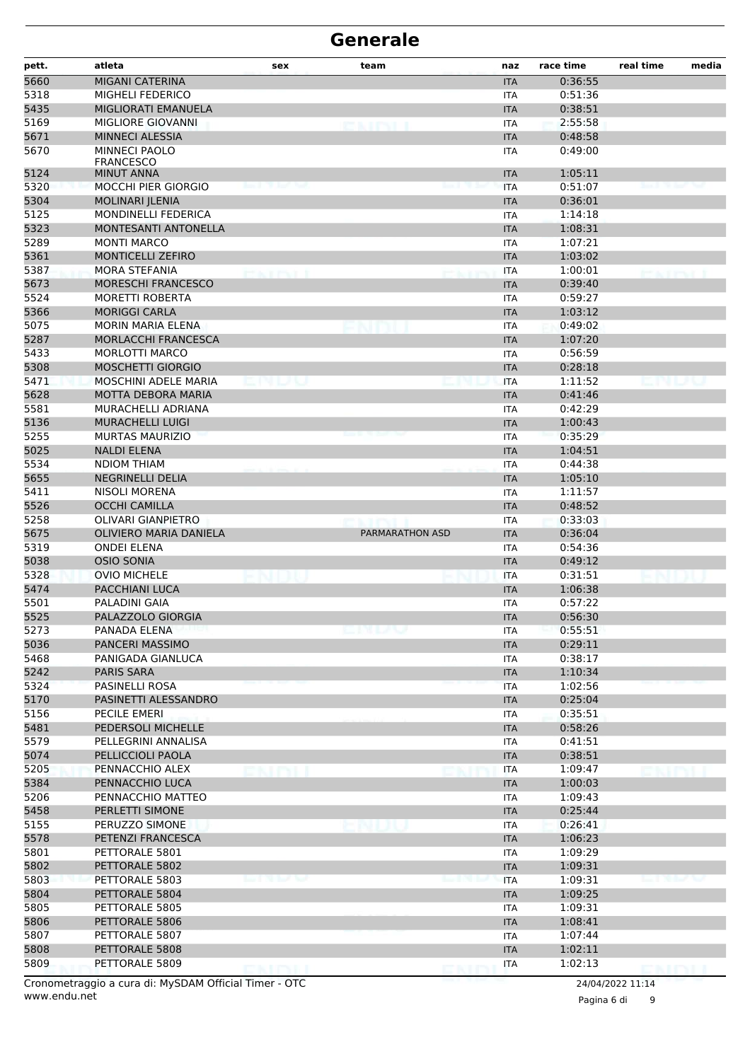| pett.        | atleta                                              | sex           | team                   | naz                      | race time          | real time | media              |
|--------------|-----------------------------------------------------|---------------|------------------------|--------------------------|--------------------|-----------|--------------------|
| 5660         | MIGANI CATERINA                                     |               |                        | <b>ITA</b>               | 0:36:55            |           |                    |
| 5318         | MIGHELI FEDERICO                                    |               |                        | <b>ITA</b>               | 0:51:36            |           |                    |
| 5435         | MIGLIORATI EMANUELA                                 |               |                        | <b>ITA</b>               | 0:38:51            |           |                    |
| 5169         | MIGLIORE GIOVANNI                                   |               |                        | <b>ITA</b>               | 2:55:58            |           |                    |
| 5671         | <b>MINNECI ALESSIA</b>                              |               |                        | <b>ITA</b>               | 0:48:58            |           |                    |
| 5670         | <b>MINNECI PAOLO</b><br><b>FRANCESCO</b>            |               |                        | <b>ITA</b>               | 0:49:00            |           |                    |
| 5124         | <b>MINUT ANNA</b>                                   |               |                        | <b>ITA</b>               | 1:05:11            |           |                    |
| 5320         | MOCCHI PIER GIORGIO                                 |               |                        | <b>ITA</b>               | 0:51:07            |           |                    |
| 5304         | MOLINARI JLENIA                                     |               |                        | <b>ITA</b>               | 0:36:01            |           |                    |
| 5125         | <b>MONDINELLI FEDERICA</b>                          |               |                        | <b>ITA</b>               | 1:14:18            |           |                    |
| 5323         | MONTESANTI ANTONELLA                                |               |                        | <b>ITA</b>               | 1:08:31            |           |                    |
| 5289         | <b>MONTI MARCO</b>                                  |               |                        | <b>ITA</b>               | 1:07:21            |           |                    |
| 5361         | <b>MONTICELLI ZEFIRO</b>                            |               |                        | <b>ITA</b>               | 1:03:02            |           |                    |
| 5387         | MORA STEFANIA                                       |               |                        | <b>ITA</b>               | 1:00:01            |           |                    |
| 5673         | MORESCHI FRANCESCO                                  |               |                        | <b>ITA</b>               | 0:39:40            |           |                    |
| 5524         | MORETTI ROBERTA                                     |               |                        | <b>ITA</b>               | 0:59:27            |           |                    |
| 5366         | <b>MORIGGI CARLA</b>                                |               |                        | <b>ITA</b>               | 1:03:12            |           |                    |
| 5075         | <b>MORIN MARIA ELENA</b>                            |               |                        | <b>ITA</b>               | 0:49:02            |           |                    |
| 5287         | MORLACCHI FRANCESCA                                 |               |                        | <b>ITA</b>               | 1:07:20            |           |                    |
| 5433         | <b>MORLOTTI MARCO</b>                               |               |                        | <b>ITA</b>               | 0:56:59            |           |                    |
| 5308         | <b>MOSCHETTI GIORGIO</b>                            |               |                        | <b>ITA</b>               | 0:28:18            |           |                    |
| 5471         | MOSCHINI ADELE MARIA                                |               |                        | <b>ITA</b>               | 1:11:52            |           |                    |
| 5628         | MOTTA DEBORA MARIA                                  |               |                        | <b>ITA</b>               | 0:41:46            |           |                    |
| 5581         | MURACHELLI ADRIANA                                  |               |                        | <b>ITA</b>               | 0:42:29            |           |                    |
| 5136         | <b>MURACHELLI LUIGI</b>                             |               |                        | <b>ITA</b>               | 1:00:43            |           |                    |
| 5255         | <b>MURTAS MAURIZIO</b>                              |               |                        | <b>ITA</b>               | 0:35:29            |           |                    |
| 5025         | <b>NALDI ELENA</b>                                  |               |                        | <b>ITA</b>               | 1:04:51            |           |                    |
| 5534         | <b>NDIOM THIAM</b>                                  |               |                        | <b>ITA</b>               | 0:44:38            |           |                    |
| 5655         | <b>NEGRINELLI DELIA</b>                             |               |                        | <b>ITA</b>               | 1:05:10            |           |                    |
| 5411         | <b>NISOLI MORENA</b>                                |               |                        | <b>ITA</b>               | 1:11:57            |           |                    |
| 5526         | <b>OCCHI CAMILLA</b>                                |               |                        | <b>ITA</b>               | 0:48:52            |           |                    |
| 5258         | <b>OLIVARI GIANPIETRO</b><br>OLIVIERO MARIA DANIELA |               | <b>PARMARATHON ASD</b> | ITA                      | 0:33:03            |           |                    |
| 5675<br>5319 | ONDEI ELENA                                         |               |                        | <b>ITA</b><br><b>ITA</b> | 0:36:04<br>0:54:36 |           |                    |
| 5038         | <b>OSIO SONIA</b>                                   |               |                        | <b>ITA</b>               | 0:49:12            |           |                    |
| 5328         | <b>OVIO MICHELE</b>                                 |               |                        | <b>ITA</b>               | 0:31:51            |           |                    |
| 5474         | <b>PACCHIANI LUCA</b>                               |               |                        | <b>ITA</b>               | 1:06:38            |           |                    |
| 5501         | PALADINI GAIA                                       |               |                        | <b>ITA</b>               | 0:57:22            |           |                    |
| 5525         | PALAZZOLO GIORGIA                                   |               |                        | <b>ITA</b>               | 0:56:30            |           |                    |
| 5273         | PANADA ELENA                                        |               | enuv                   | ITA                      | 0:55:51            |           |                    |
| 5036         | PANCERI MASSIMO                                     |               |                        | <b>ITA</b>               | 0:29:11            |           |                    |
| 5468         | PANIGADA GIANLUCA                                   |               |                        | <b>ITA</b>               | 0:38:17            |           |                    |
| 5242         | <b>PARIS SARA</b>                                   |               |                        | <b>ITA</b>               | 1:10:34            |           |                    |
| 5324         | PASINELLI ROSA                                      |               |                        | <b>ITA</b>               | 1:02:56            |           |                    |
| 5170         | PASINETTI ALESSANDRO                                |               |                        | <b>ITA</b>               | 0:25:04            |           |                    |
| 5156         | PECILE EMERI                                        |               |                        | <b>ITA</b>               | 0:35:51            |           |                    |
| 5481         | PEDERSOLI MICHELLE                                  |               |                        | <b>ITA</b>               | 0:58:26            |           |                    |
| 5579         | PELLEGRINI ANNALISA                                 |               |                        | <b>ITA</b>               | 0:41:51            |           |                    |
| 5074         | PELLICCIOLI PAOLA                                   |               |                        | <b>ITA</b>               | 0:38:51            |           |                    |
| 5205         | PENNACCHIO ALEX                                     |               |                        | <b>ITA</b>               | 1:09:47            |           |                    |
| 5384         | PENNACCHIO LUCA                                     |               |                        | <b>ITA</b>               | 1:00:03            |           |                    |
| 5206         | PENNACCHIO MATTEO                                   |               |                        | <b>ITA</b>               | 1:09:43            |           |                    |
| 5458         | PERLETTI SIMONE                                     |               |                        | <b>ITA</b>               | 0:25:44            |           |                    |
| 5155         | PERUZZO SIMONE                                      |               |                        | <b>ITA</b>               | 0:26:41            |           |                    |
| 5578         | PETENZI FRANCESCA                                   |               |                        | <b>ITA</b>               | 1:06:23            |           |                    |
| 5801         | PETTORALE 5801                                      |               |                        | ITA                      | 1:09:29            |           |                    |
| 5802         | PETTORALE 5802                                      |               |                        | <b>ITA</b>               | 1:09:31            |           |                    |
| 5803         | PETTORALE 5803                                      | <b>MOTHER</b> |                        | <b>ITA</b>               | 1:09:31            |           | best 1980 for 1982 |
| 5804         | PETTORALE 5804                                      |               |                        | <b>ITA</b>               | 1:09:25            |           |                    |
| 5805         | PETTORALE 5805                                      |               |                        | <b>ITA</b>               | 1:09:31            |           |                    |
| 5806         | PETTORALE 5806                                      |               |                        | <b>ITA</b>               | 1:08:41            |           |                    |
| 5807         | PETTORALE 5807                                      |               |                        | ITA                      | 1:07:44            |           |                    |
| 5808         | PETTORALE 5808                                      |               |                        | <b>ITA</b>               | 1:02:11            |           |                    |
| 5809         | PETTORALE 5809                                      | ENDIL         |                        | <b>ITA</b>               | 1:02:13            |           | <b>CMDII</b>       |

www.endu.net Cronometraggio a cura di: MySDAM Official Timer - OTC 24/04/2022 11:14

Pagina 6 di 9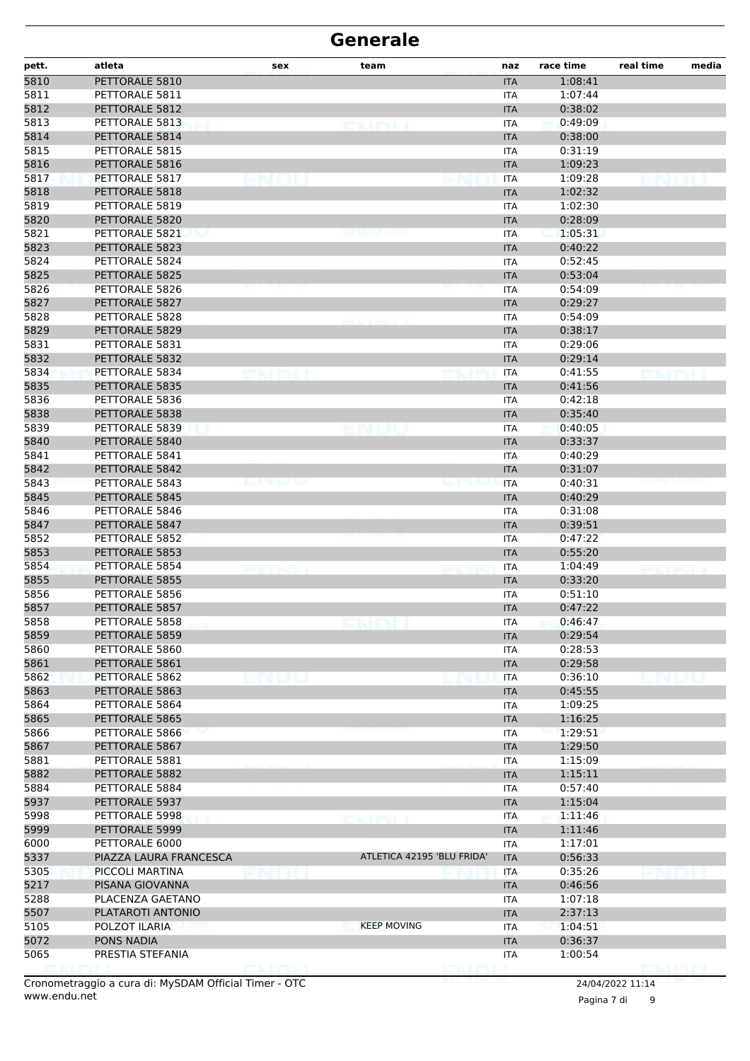| pett. | atleta                 | sex                | team                       | naz                      | race time | real time           | media |
|-------|------------------------|--------------------|----------------------------|--------------------------|-----------|---------------------|-------|
| 5810  | PETTORALE 5810         |                    |                            | <b>ITA</b>               | 1:08:41   |                     |       |
| 5811  | PETTORALE 5811         |                    |                            | <b>ITA</b>               | 1:07:44   |                     |       |
| 5812  | PETTORALE 5812         |                    |                            | <b>ITA</b>               | 0:38:02   |                     |       |
| 5813  | PETTORALE 5813         |                    |                            | <b>ITA</b>               | 0:49:09   |                     |       |
| 5814  | PETTORALE 5814         |                    |                            | <b>ITA</b>               | 0:38:00   |                     |       |
| 5815  | PETTORALE 5815         |                    |                            | <b>ITA</b>               | 0:31:19   |                     |       |
| 5816  | PETTORALE 5816         |                    |                            | <b>ITA</b>               | 1:09:23   |                     |       |
| 5817  | PETTORALE 5817         |                    |                            | <b>ITA</b>               | 1:09:28   |                     |       |
| 5818  | PETTORALE 5818         |                    |                            | <b>ITA</b>               | 1:02:32   |                     |       |
| 5819  | PETTORALE 5819         |                    |                            | <b>ITA</b>               | 1:02:30   |                     |       |
| 5820  | PETTORALE 5820         |                    |                            | <b>ITA</b>               | 0:28:09   |                     |       |
| 5821  | PETTORALE 5821         |                    |                            | <b>ITA</b>               | 1:05:31   |                     |       |
| 5823  | PETTORALE 5823         |                    |                            | <b>ITA</b>               | 0:40:22   |                     |       |
| 5824  | PETTORALE 5824         |                    |                            | <b>ITA</b>               | 0:52:45   |                     |       |
| 5825  | PETTORALE 5825         |                    |                            | <b>ITA</b>               | 0:53:04   |                     |       |
| 5826  | PETTORALE 5826         |                    |                            | <b>ITA</b>               | 0:54:09   |                     |       |
| 5827  | PETTORALE 5827         |                    |                            | <b>ITA</b>               | 0:29:27   |                     |       |
| 5828  | PETTORALE 5828         |                    |                            | <b>ITA</b>               | 0:54:09   |                     |       |
| 5829  | PETTORALE 5829         |                    |                            | <b>ITA</b>               | 0:38:17   |                     |       |
| 5831  | PETTORALE 5831         |                    |                            | <b>ITA</b>               | 0:29:06   |                     |       |
| 5832  | PETTORALE 5832         |                    |                            | <b>ITA</b>               | 0:29:14   |                     |       |
| 5834  | PETTORALE 5834         |                    |                            | <b>ITA</b>               | 0:41:55   |                     |       |
| 5835  | PETTORALE 5835         |                    |                            | <b>ITA</b>               | 0:41:56   |                     |       |
| 5836  | PETTORALE 5836         |                    |                            | <b>ITA</b>               | 0:42:18   |                     |       |
| 5838  | PETTORALE 5838         |                    |                            | <b>ITA</b>               | 0:35:40   |                     |       |
| 5839  | PETTORALE 5839         |                    |                            |                          | 0:40:05   |                     |       |
| 5840  | PETTORALE 5840         |                    |                            | <b>ITA</b><br><b>ITA</b> | 0:33:37   |                     |       |
| 5841  | PETTORALE 5841         |                    |                            | <b>ITA</b>               | 0:40:29   |                     |       |
| 5842  | PETTORALE 5842         |                    |                            |                          | 0:31:07   |                     |       |
| 5843  | PETTORALE 5843         | en voe             |                            | <b>ITA</b>               |           |                     |       |
|       | PETTORALE 5845         |                    |                            | <b>ITA</b>               | 0:40:31   |                     |       |
| 5845  | PETTORALE 5846         |                    |                            | <b>ITA</b>               | 0:40:29   |                     |       |
| 5846  |                        |                    |                            | <b>ITA</b>               | 0:31:08   |                     |       |
| 5847  | PETTORALE 5847         |                    |                            | <b>ITA</b>               | 0:39:51   |                     |       |
| 5852  | PETTORALE 5852         |                    |                            | <b>ITA</b>               | 0:47:22   |                     |       |
| 5853  | PETTORALE 5853         |                    |                            | <b>ITA</b>               | 0:55:20   |                     |       |
| 5854  | PETTORALE 5854         | <b>CALL YOU'LL</b> |                            | <b>ITA</b>               | 1:04:49   | <b>HEALTH STATE</b> |       |
| 5855  | PETTORALE 5855         |                    |                            | <b>ITA</b>               | 0:33:20   |                     |       |
| 5856  | PETTORALE 5856         |                    |                            | <b>ITA</b>               | 0:51:10   |                     |       |
| 5857  | PETTORALE 5857         |                    |                            | <b>ITA</b>               | 0:47:22   |                     |       |
| 5858  | PETTORALE 5858         |                    |                            | 11 A                     | 0:46:47   |                     |       |
| 5859  | PETTORALE 5859         |                    |                            | <b>ITA</b>               | 0:29:54   |                     |       |
| 5860  | PETTORALE 5860         |                    |                            | <b>ITA</b>               | 0:28:53   |                     |       |
| 5861  | PETTORALE 5861         |                    |                            | <b>ITA</b>               | 0:29:58   |                     |       |
| 5862  | PETTORALE 5862         |                    |                            | <b>ITA</b>               | 0:36:10   |                     |       |
| 5863  | PETTORALE 5863         |                    |                            | <b>ITA</b>               | 0:45:55   |                     |       |
| 5864  | PETTORALE 5864         |                    |                            | <b>ITA</b>               | 1:09:25   |                     |       |
| 5865  | PETTORALE 5865         |                    |                            | <b>ITA</b>               | 1:16:25   |                     |       |
| 5866  | PETTORALE 5866         |                    |                            | <b>ITA</b>               | 1:29:51   |                     |       |
| 5867  | PETTORALE 5867         |                    |                            | <b>ITA</b>               | 1:29:50   |                     |       |
| 5881  | PETTORALE 5881         |                    |                            | <b>ITA</b>               | 1:15:09   |                     |       |
| 5882  | PETTORALE 5882         |                    |                            | <b>ITA</b>               | 1:15:11   |                     |       |
| 5884  | PETTORALE 5884         |                    |                            | <b>ITA</b>               | 0:57:40   |                     |       |
| 5937  | PETTORALE 5937         |                    |                            | <b>ITA</b>               | 1:15:04   |                     |       |
| 5998  | PETTORALE 5998         |                    | <b>CAIREL</b>              | ITA                      | 1:11:46   |                     |       |
| 5999  | PETTORALE 5999         |                    |                            | <b>ITA</b>               | 1:11:46   |                     |       |
| 6000  | PETTORALE 6000         |                    |                            | ITA                      | 1:17:01   |                     |       |
| 5337  | PIAZZA LAURA FRANCESCA |                    | ATLETICA 42195 'BLU FRIDA' | <b>ITA</b>               | 0:56:33   |                     |       |
| 5305  | PICCOLI MARTINA        |                    |                            | <b>ITA</b>               | 0:35:26   |                     |       |
| 5217  | PISANA GIOVANNA        |                    |                            | <b>ITA</b>               | 0:46:56   |                     |       |
| 5288  | PLACENZA GAETANO       |                    |                            | <b>ITA</b>               | 1:07:18   |                     |       |
| 5507  | PLATAROTI ANTONIO      |                    |                            | <b>ITA</b>               | 2:37:13   |                     |       |
| 5105  | POLZOT ILARIA          |                    | <b>KEEP MOVING</b>         | <b>ITA</b>               | 1:04:51   |                     |       |
| 5072  | PONS NADIA             |                    |                            | <b>ITA</b>               | 0:36:37   |                     |       |
| 5065  | PRESTIA STEFANIA       |                    |                            | <b>ITA</b>               | 1:00:54   |                     |       |
|       |                        |                    |                            |                          |           | EN EN L             |       |

Pagina 7 di 9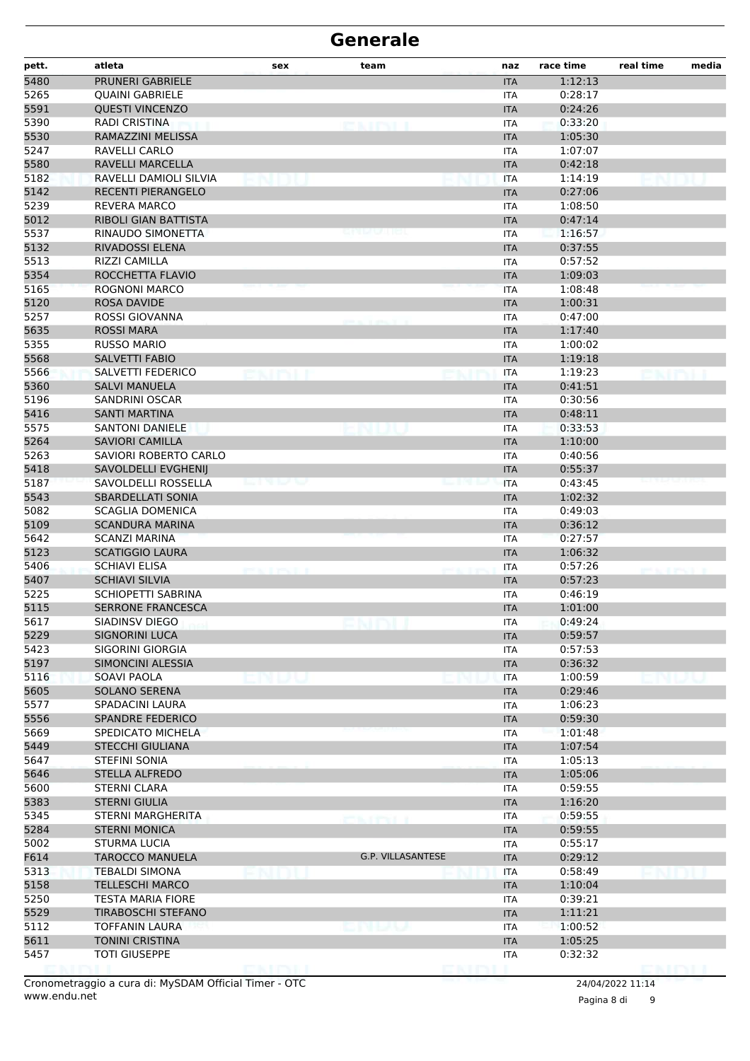| pett. | atleta                      | sex       | team                     | naz        | race time | real time | media |
|-------|-----------------------------|-----------|--------------------------|------------|-----------|-----------|-------|
| 5480  | PRUNERI GABRIELE            |           |                          | <b>ITA</b> | 1:12:13   |           |       |
| 5265  | <b>OUAINI GABRIELE</b>      |           |                          | <b>ITA</b> | 0:28:17   |           |       |
| 5591  | <b>QUESTI VINCENZO</b>      |           |                          | <b>ITA</b> | 0:24:26   |           |       |
| 5390  | <b>RADI CRISTINA</b>        |           | <b>CAINT</b>             | <b>ITA</b> | 0:33:20   |           |       |
| 5530  | <b>RAMAZZINI MELISSA</b>    |           |                          | <b>ITA</b> | 1:05:30   |           |       |
| 5247  | RAVELLI CARLO               |           |                          | <b>ITA</b> | 1:07:07   |           |       |
| 5580  | RAVELLI MARCELLA            |           |                          | <b>ITA</b> | 0:42:18   |           |       |
| 5182  | RAVELLI DAMIOLI SILVIA      |           |                          | <b>ITA</b> | 1:14:19   |           |       |
| 5142  | <b>RECENTI PIERANGELO</b>   |           |                          | <b>ITA</b> | 0:27:06   |           |       |
| 5239  | REVERA MARCO                |           |                          | <b>ITA</b> | 1:08:50   |           |       |
| 5012  | <b>RIBOLI GIAN BATTISTA</b> |           |                          | <b>ITA</b> | 0:47:14   |           |       |
| 5537  | RINAUDO SIMONETTA           |           |                          | <b>ITA</b> | 1:16:57   |           |       |
| 5132  | RIVADOSSI ELENA             |           |                          | <b>ITA</b> | 0:37:55   |           |       |
| 5513  | RIZZI CAMILLA               |           |                          | ITA        | 0:57:52   |           |       |
| 5354  | ROCCHETTA FLAVIO            |           |                          | <b>ITA</b> | 1:09:03   |           |       |
| 5165  | ROGNONI MARCO               |           |                          | <b>ITA</b> | 1:08:48   |           |       |
| 5120  | <b>ROSA DAVIDE</b>          |           |                          | <b>ITA</b> | 1:00:31   |           |       |
| 5257  | ROSSI GIOVANNA              |           |                          | <b>ITA</b> | 0:47:00   |           |       |
| 5635  | <b>ROSSI MARA</b>           |           |                          | <b>ITA</b> | 1:17:40   |           |       |
| 5355  | <b>RUSSO MARIO</b>          |           |                          | ITA        | 1:00:02   |           |       |
| 5568  | SALVETTI FABIO              |           |                          | <b>ITA</b> | 1:19:18   |           |       |
| 5566  | SALVETTI FEDERICO           |           |                          | <b>ITA</b> | 1:19:23   |           |       |
| 5360  | <b>SALVI MANUELA</b>        |           |                          | <b>ITA</b> | 0:41:51   |           |       |
| 5196  | <b>SANDRINI OSCAR</b>       |           |                          | ITA        | 0:30:56   |           |       |
| 5416  | SANTI MARTINA               |           |                          | <b>ITA</b> | 0:48:11   |           |       |
| 5575  | <b>SANTONI DANIELE</b>      |           |                          | <b>ITA</b> | 0:33:53   |           |       |
| 5264  | <b>SAVIORI CAMILLA</b>      |           |                          | <b>ITA</b> | 1:10:00   |           |       |
| 5263  | SAVIORI ROBERTO CARLO       |           |                          | <b>ITA</b> | 0:40:56   |           |       |
| 5418  | SAVOLDELLI EVGHENIJ         |           |                          | <b>ITA</b> | 0:55:37   |           |       |
| 5187  | SAVOLDELLI ROSSELLA         |           |                          | <b>ITA</b> | 0:43:45   |           |       |
| 5543  | <b>SBARDELLATI SONIA</b>    |           |                          | <b>ITA</b> | 1:02:32   |           |       |
| 5082  | <b>SCAGLIA DOMENICA</b>     |           |                          | ITA        | 0:49:03   |           |       |
| 5109  | <b>SCANDURA MARINA</b>      |           |                          | <b>ITA</b> | 0:36:12   |           |       |
| 5642  | SCANZI MARINA               |           |                          | <b>ITA</b> | 0:27:57   |           |       |
| 5123  | <b>SCATIGGIO LAURA</b>      |           |                          | <b>ITA</b> | 1:06:32   |           |       |
| 5406  | <b>SCHIAVI ELISA</b>        |           |                          | <b>ITA</b> | 0:57:26   |           |       |
| 5407  | <b>SCHIAVI SILVIA</b>       | at protes |                          | <b>ITA</b> | 0:57:23   |           |       |
| 5225  | <b>SCHIOPETTI SABRINA</b>   |           |                          | ITA        | 0:46:19   |           |       |
| 5115  | <b>SERRONE FRANCESCA</b>    |           |                          | <b>ITA</b> | 1:01:00   |           |       |
| 5617  | SIADINSV DIEGO              |           |                          | ITA        | 0:49:24   |           |       |
| 5229  | <b>SIGNORINI LUCA</b>       |           |                          | <b>ITA</b> | 0:59:57   |           |       |
| 5423  | SIGORINI GIORGIA            |           |                          | <b>ITA</b> | 0:57:53   |           |       |
| 5197  | SIMONCINI ALESSIA           |           |                          | <b>ITA</b> | 0:36:32   |           |       |
| 5116  | <b>SOAVI PAOLA</b>          |           |                          | <b>ITA</b> | 1:00:59   |           |       |
| 5605  | <b>SOLANO SERENA</b>        |           |                          | <b>ITA</b> | 0:29:46   |           |       |
| 5577  | SPADACINI LAURA             |           |                          | <b>ITA</b> | 1:06:23   |           |       |
| 5556  | <b>SPANDRE FEDERICO</b>     |           |                          | <b>ITA</b> | 0:59:30   |           |       |
| 5669  | SPEDICATO MICHELA           |           |                          | <b>ITA</b> | 1:01:48   |           |       |
| 5449  | <b>STECCHI GIULIANA</b>     |           |                          | <b>ITA</b> | 1:07:54   |           |       |
| 5647  | <b>STEFINI SONIA</b>        |           |                          | <b>ITA</b> | 1:05:13   |           |       |
| 5646  | <b>STELLA ALFREDO</b>       |           |                          | <b>ITA</b> | 1:05:06   |           |       |
| 5600  | STERNI CLARA                |           |                          | <b>ITA</b> | 0:59:55   |           |       |
| 5383  | <b>STERNI GIULIA</b>        |           |                          | <b>ITA</b> | 1:16:20   |           |       |
| 5345  | STERNI MARGHERITA           |           |                          | <b>ITA</b> | 0:59:55   |           |       |
| 5284  | <b>STERNI MONICA</b>        |           | <b>CAIREL</b>            | <b>ITA</b> | 0:59:55   |           |       |
| 5002  | <b>STURMA LUCIA</b>         |           |                          | <b>ITA</b> | 0:55:17   |           |       |
| F614  | <b>TAROCCO MANUELA</b>      |           | <b>G.P. VILLASANTESE</b> | <b>ITA</b> | 0:29:12   |           |       |
| 5313  | TEBALDI SIMONA              |           |                          | <b>ITA</b> | 0:58:49   |           |       |
| 5158  | <b>TELLESCHI MARCO</b>      |           |                          | <b>ITA</b> | 1:10:04   |           |       |
| 5250  | <b>TESTA MARIA FIORE</b>    |           |                          | <b>ITA</b> | 0:39:21   |           |       |
| 5529  | <b>TIRABOSCHI STEFANO</b>   |           |                          | <b>ITA</b> | 1:11:21   |           |       |
| 5112  | <b>TOFFANIN LAURA</b>       |           | マトストラ                    | ITA        | 1:00:52   |           |       |
| 5611  | <b>TONINI CRISTINA</b>      |           |                          | <b>ITA</b> | 1:05:25   |           |       |
| 5457  | <b>TOTI GIUSEPPE</b>        |           |                          | <b>ITA</b> | 0:32:32   |           |       |
|       |                             | e kimi    |                          |            |           | DMM I     |       |

Pagina 8 di 9